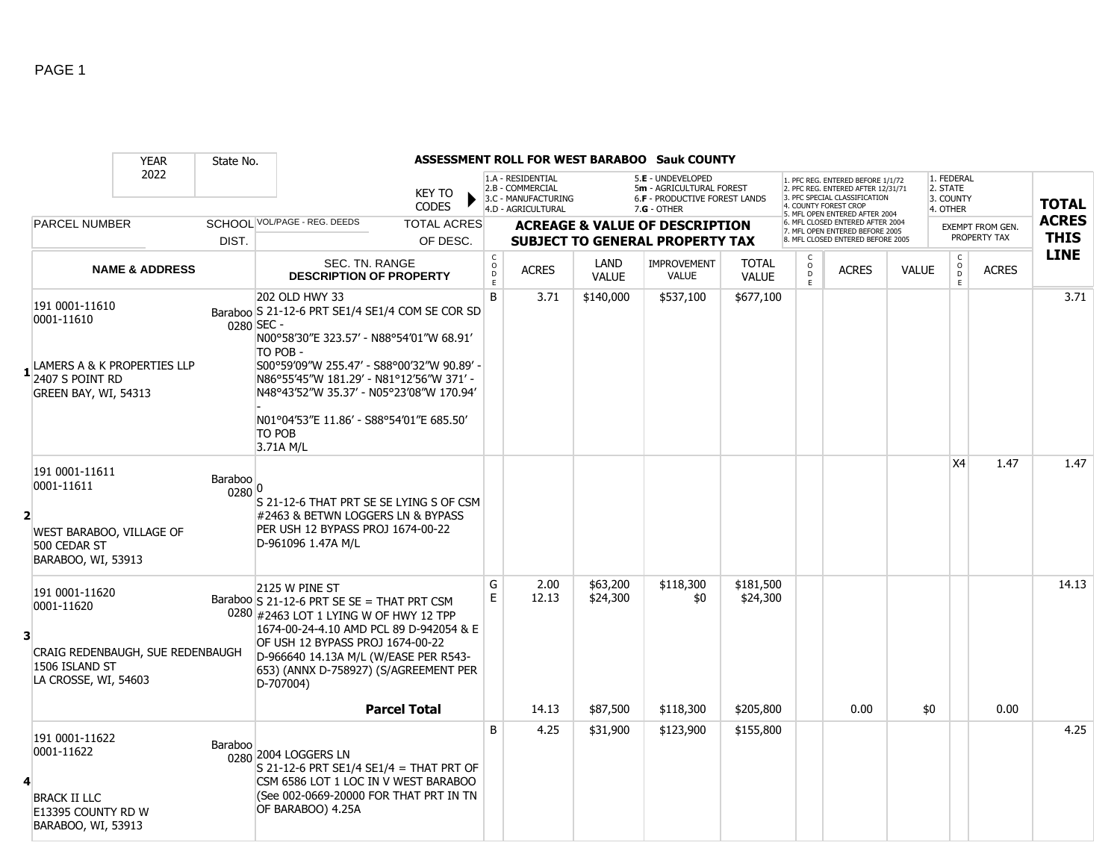|                |                                                                                                            | <b>YEAR</b>               | State No.         |                                                                                                                                                                                                                                                                                                                                                  |                                               |                                                                                    |                      | <b>ASSESSMENT ROLL FOR WEST BARABOO Sauk COUNTY</b>                                                  |                              |                                                 |                                                                                                                                                                     |              |                                                 |                                         |                             |
|----------------|------------------------------------------------------------------------------------------------------------|---------------------------|-------------------|--------------------------------------------------------------------------------------------------------------------------------------------------------------------------------------------------------------------------------------------------------------------------------------------------------------------------------------------------|-----------------------------------------------|------------------------------------------------------------------------------------|----------------------|------------------------------------------------------------------------------------------------------|------------------------------|-------------------------------------------------|---------------------------------------------------------------------------------------------------------------------------------------------------------------------|--------------|-------------------------------------------------|-----------------------------------------|-----------------------------|
|                |                                                                                                            | 2022                      |                   | <b>KEY TO</b><br><b>CODES</b>                                                                                                                                                                                                                                                                                                                    |                                               | 1.A - RESIDENTIAL<br>2.B - COMMERCIAL<br>3.C - MANUFACTURING<br>4.D - AGRICULTURAL |                      | 5.E - UNDEVELOPED<br>5m - AGRICULTURAL FOREST<br><b>6.F - PRODUCTIVE FOREST LANDS</b><br>7.G - OTHER |                              |                                                 | 1. PFC REG. ENTERED BEFORE 1/1/72<br>2. PFC REG. ENTERED AFTER 12/31/71<br>3. PFC SPECIAL CLASSIFICATION<br>4. COUNTY FOREST CROP<br>5. MFL OPEN ENTERED AFTER 2004 |              | 1. FEDERAL<br>2. STATE<br>3. COUNTY<br>4. OTHER |                                         | <b>TOTAL</b>                |
|                | <b>PARCEL NUMBER</b>                                                                                       |                           | DIST.             | SCHOOL VOL/PAGE - REG. DEEDS<br><b>TOTAL ACRES</b><br>OF DESC.                                                                                                                                                                                                                                                                                   |                                               |                                                                                    |                      | <b>ACREAGE &amp; VALUE OF DESCRIPTION</b><br><b>SUBJECT TO GENERAL PROPERTY TAX</b>                  |                              |                                                 | 6. MFL CLOSED ENTERED AFTER 2004<br>7. MFL OPEN ENTERED BEFORE 2005<br>8. MFL CLOSED ENTERED BEFORE 2005                                                            |              |                                                 | <b>EXEMPT FROM GEN.</b><br>PROPERTY TAX | <b>ACRES</b><br><b>THIS</b> |
|                |                                                                                                            | <b>NAME &amp; ADDRESS</b> |                   | <b>SEC. TN. RANGE</b><br><b>DESCRIPTION OF PROPERTY</b>                                                                                                                                                                                                                                                                                          | $\mathsf{C}$<br>$\circ$<br>$\mathsf{D}$<br>E. | <b>ACRES</b>                                                                       | LAND<br><b>VALUE</b> | <b>IMPROVEMENT</b><br><b>VALUE</b>                                                                   | <b>TOTAL</b><br><b>VALUE</b> | $\begin{matrix} 0 \\ 0 \\ 0 \end{matrix}$<br>F. | <b>ACRES</b>                                                                                                                                                        | <b>VALUE</b> | $\begin{matrix} 0 \\ 0 \\ D \end{matrix}$<br>E  | <b>ACRES</b>                            | <b>LINE</b>                 |
|                | 191 0001-11610<br>0001-11610<br>LAMERS A & K PROPERTIES LLP<br>2407 S POINT RD<br>GREEN BAY, WI, 54313     |                           |                   | 202 OLD HWY 33<br>Baraboo S 21-12-6 PRT SE1/4 SE1/4 COM SE COR SD<br>0280 SEC -<br>N00°58'30"E 323.57' - N88°54'01"W 68.91'<br>TO POB -<br>S00°59'09"W 255.47' - S88°00'32"W 90.89' -<br>N86°55'45"W 181.29' - N81°12'56"W 371' -<br>N48°43'52"W 35.37' - N05°23'08"W 170.94'<br>N01°04'53"E 11.86' - S88°54'01"E 685.50'<br>TO POB<br>3.71A M/L | B                                             | 3.71                                                                               | \$140,000            | \$537,100                                                                                            | \$677,100                    |                                                 |                                                                                                                                                                     |              |                                                 |                                         | 3.71                        |
| $\overline{2}$ | 191 0001-11611<br>0001-11611<br>WEST BARABOO, VILLAGE OF<br>500 CEDAR ST<br>BARABOO, WI, 53913             |                           | Baraboo<br>0280 0 | S 21-12-6 THAT PRT SE SE LYING S OF CSM<br>#2463 & BETWN LOGGERS LN & BYPASS<br>PER USH 12 BYPASS PROJ 1674-00-22<br>D-961096 1.47A M/L                                                                                                                                                                                                          |                                               |                                                                                    |                      |                                                                                                      |                              |                                                 |                                                                                                                                                                     |              | X <sub>4</sub>                                  | 1.47                                    | 1.47                        |
| 3              | 191 0001-11620<br>0001-11620<br>CRAIG REDENBAUGH, SUE REDENBAUGH<br>1506 ISLAND ST<br>LA CROSSE, WI, 54603 |                           |                   | 2125 W PINE ST<br>Baraboo S 21-12-6 PRT SE SE = THAT PRT CSM<br>0280 #2463 LOT 1 LYING W OF HWY 12 TPP<br>1674-00-24-4.10 AMD PCL 89 D-942054 & E<br>OF USH 12 BYPASS PROJ 1674-00-22<br>D-966640 14.13A M/L (W/EASE PER R543-<br>653) (ANNX D-758927) (S/AGREEMENT PER<br>D-707004)                                                             | G<br>E                                        | 2.00<br>12.13                                                                      | \$63,200<br>\$24,300 | \$118,300<br>\$0                                                                                     | \$181,500<br>\$24,300        |                                                 |                                                                                                                                                                     |              |                                                 |                                         | 14.13                       |
|                |                                                                                                            |                           |                   | <b>Parcel Total</b>                                                                                                                                                                                                                                                                                                                              |                                               | 14.13                                                                              | \$87,500             | \$118,300                                                                                            | \$205,800                    |                                                 | 0.00                                                                                                                                                                | \$0          |                                                 | 0.00                                    |                             |
| 4              | 191 0001-11622<br>0001-11622<br><b>BRACK II LLC</b><br>E13395 COUNTY RD W<br>BARABOO, WI, 53913            |                           | Baraboo           | 0280 2004 LOGGERS LN<br>S 21-12-6 PRT SE1/4 SE1/4 = THAT PRT OF<br>CSM 6586 LOT 1 LOC IN V WEST BARABOO<br>(See 002-0669-20000 FOR THAT PRT IN TN<br>OF BARABOO) 4.25A                                                                                                                                                                           | B                                             | 4.25                                                                               | \$31,900             | \$123,900                                                                                            | \$155,800                    |                                                 |                                                                                                                                                                     |              |                                                 |                                         | 4.25                        |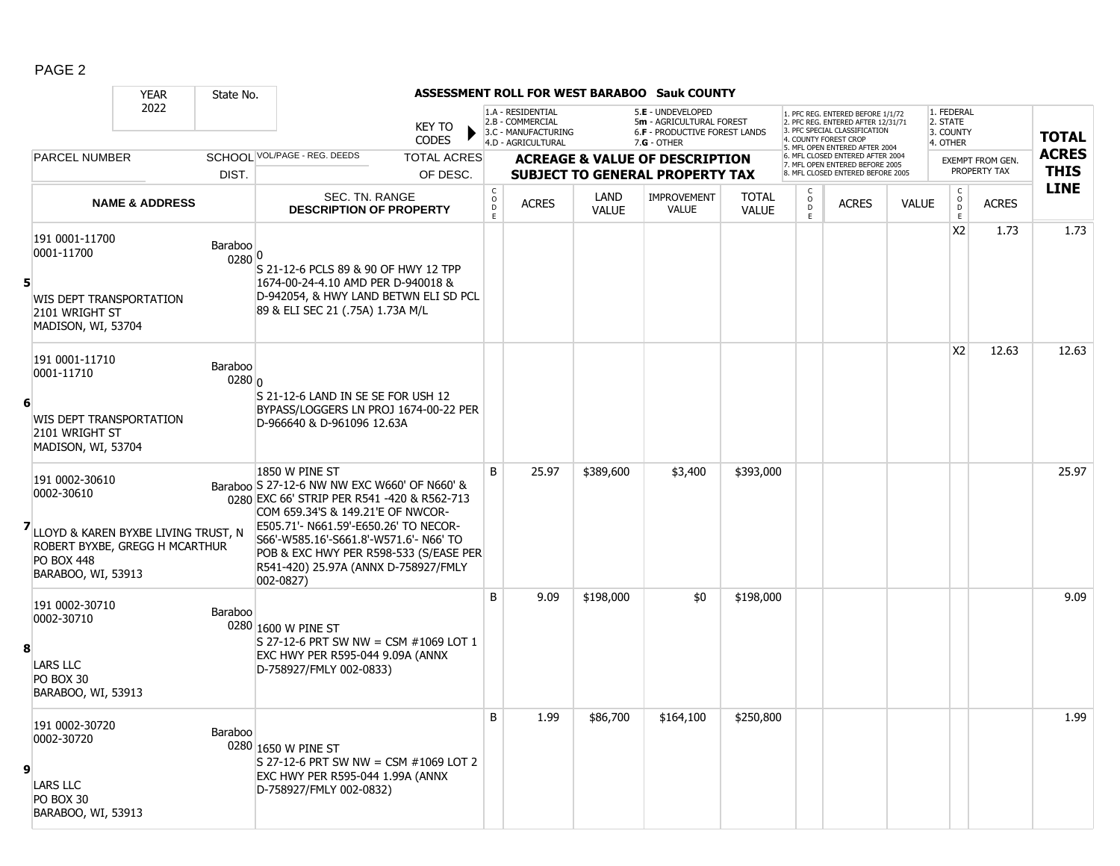|   |                                                                                                                                                   | <b>YEAR</b>               | State No.                    |                                                                                                                                                                                                                                                                                                                                         |                               |                                                |                                                                                    |                      | ASSESSMENT ROLL FOR WEST BARABOO Sauk COUNTY                                                  |                              |                                              |                                                                                                                                                                    |              |                                                 |                         |                            |
|---|---------------------------------------------------------------------------------------------------------------------------------------------------|---------------------------|------------------------------|-----------------------------------------------------------------------------------------------------------------------------------------------------------------------------------------------------------------------------------------------------------------------------------------------------------------------------------------|-------------------------------|------------------------------------------------|------------------------------------------------------------------------------------|----------------------|-----------------------------------------------------------------------------------------------|------------------------------|----------------------------------------------|--------------------------------------------------------------------------------------------------------------------------------------------------------------------|--------------|-------------------------------------------------|-------------------------|----------------------------|
|   |                                                                                                                                                   | 2022                      |                              |                                                                                                                                                                                                                                                                                                                                         | <b>KEY TO</b><br><b>CODES</b> |                                                | 1.A - RESIDENTIAL<br>2.B - COMMERCIAL<br>3.C - MANUFACTURING<br>4.D - AGRICULTURAL |                      | 5.E - UNDEVELOPED<br>5m - AGRICULTURAL FOREST<br>6.F - PRODUCTIVE FOREST LANDS<br>7.G - OTHER |                              |                                              | 1. PFC REG. ENTERED BEFORE 1/1/72<br>2. PFC REG. ENTERED AFTER 12/31/71<br>3 PEC SPECIAL CLASSIFICATION<br>4. COUNTY FOREST CROP<br>5. MFL OPEN ENTERED AFTER 2004 |              | 1. FEDERAL<br>2. STATE<br>3. COUNTY<br>4. OTHER |                         | <b>TOTAL</b>               |
|   | <b>PARCEL NUMBER</b>                                                                                                                              |                           |                              | SCHOOL VOL/PAGE - REG. DEEDS                                                                                                                                                                                                                                                                                                            | <b>TOTAL ACRES</b>            |                                                |                                                                                    |                      | <b>ACREAGE &amp; VALUE OF DESCRIPTION</b>                                                     |                              |                                              | 6. MFL CLOSED ENTERED AFTER 2004<br>7. MFL OPEN ENTERED BEFORE 2005                                                                                                |              |                                                 | <b>EXEMPT FROM GEN.</b> | <b>ACRES</b>               |
|   |                                                                                                                                                   |                           | DIST.                        |                                                                                                                                                                                                                                                                                                                                         | OF DESC.                      |                                                |                                                                                    |                      | <b>SUBJECT TO GENERAL PROPERTY TAX</b>                                                        |                              |                                              | 8. MFL CLOSED ENTERED BEFORE 2005                                                                                                                                  |              |                                                 | PROPERTY TAX            | <b>THIS</b><br><b>LINE</b> |
|   |                                                                                                                                                   | <b>NAME &amp; ADDRESS</b> |                              | SEC. TN. RANGE<br><b>DESCRIPTION OF PROPERTY</b>                                                                                                                                                                                                                                                                                        |                               | $\begin{matrix} 0 \\ 0 \\ D \end{matrix}$<br>E | <b>ACRES</b>                                                                       | LAND<br><b>VALUE</b> | <b>IMPROVEMENT</b><br><b>VALUE</b>                                                            | <b>TOTAL</b><br><b>VALUE</b> | $\begin{array}{c}\n0 \\ D \\ E\n\end{array}$ | <b>ACRES</b>                                                                                                                                                       | <b>VALUE</b> | $\mathsf{C}$<br>$_{\rm D}^{\rm O}$<br>E         | <b>ACRES</b>            |                            |
| 5 | 191 0001-11700<br>0001-11700<br>WIS DEPT TRANSPORTATION<br>2101 WRIGHT ST<br>MADISON, WI, 53704                                                   |                           | Baraboo<br>0280 0            | S 21-12-6 PCLS 89 & 90 OF HWY 12 TPP<br>1674-00-24-4.10 AMD PER D-940018 &<br>D-942054, & HWY LAND BETWN ELI SD PCL<br>89 & ELI SEC 21 (.75A) 1.73A M/L                                                                                                                                                                                 |                               |                                                |                                                                                    |                      |                                                                                               |                              |                                              |                                                                                                                                                                    |              | X2                                              | 1.73                    | 1.73                       |
| 6 | 191 0001-11710<br>0001-11710<br>WIS DEPT TRANSPORTATION<br>2101 WRIGHT ST<br>MADISON, WI, 53704                                                   |                           | Baraboo<br>0280 <sub>0</sub> | S 21-12-6 LAND IN SE SE FOR USH 12<br>BYPASS/LOGGERS LN PROJ 1674-00-22 PER<br>D-966640 & D-961096 12.63A                                                                                                                                                                                                                               |                               |                                                |                                                                                    |                      |                                                                                               |                              |                                              |                                                                                                                                                                    |              | X <sub>2</sub>                                  | 12.63                   | 12.63                      |
|   | 191 0002-30610<br>0002-30610<br>7LLOYD & KAREN BYXBE LIVING TRUST, N<br>ROBERT BYXBE, GREGG H MCARTHUR<br><b>PO BOX 448</b><br>BARABOO, WI, 53913 |                           |                              | 1850 W PINE ST<br>Baraboo S 27-12-6 NW NW EXC W660' OF N660' &<br>0280 EXC 66' STRIP PER R541 -420 & R562-713<br>COM 659.34'S & 149.21'E OF NWCOR-<br>E505.71'- N661.59'-E650.26' TO NECOR-<br>S66'-W585.16'-S661.8'-W571.6'- N66' TO<br>POB & EXC HWY PER R598-533 (S/EASE PER<br>R541-420) 25.97A (ANNX D-758927/FMLY<br>$002 - 0827$ |                               | B                                              | 25.97                                                                              | \$389,600            | \$3,400                                                                                       | \$393,000                    |                                              |                                                                                                                                                                    |              |                                                 |                         | 25.97                      |
| 8 | 191 0002-30710<br>0002-30710<br><b>LARS LLC</b><br>PO BOX 30<br>BARABOO, WI, 53913                                                                |                           | Baraboo                      | 0280 1600 W PINE ST<br>S 27-12-6 PRT SW NW = CSM #1069 LOT 1<br>EXC HWY PER R595-044 9.09A (ANNX<br>D-758927/FMLY 002-0833)                                                                                                                                                                                                             |                               | B                                              | 9.09                                                                               | \$198,000            | \$0                                                                                           | \$198,000                    |                                              |                                                                                                                                                                    |              |                                                 |                         | 9.09                       |
| 9 | 191 0002-30720<br>0002-30720<br><b>LARS LLC</b><br>PO BOX 30<br>BARABOO, WI, 53913                                                                |                           | Baraboo                      | 0280 1650 W PINE ST<br>S 27-12-6 PRT SW NW = CSM #1069 LOT 2<br>EXC HWY PER R595-044 1.99A (ANNX<br>D-758927/FMLY 002-0832)                                                                                                                                                                                                             |                               | B                                              | 1.99                                                                               | \$86,700             | \$164,100                                                                                     | \$250,800                    |                                              |                                                                                                                                                                    |              |                                                 |                         | 1.99                       |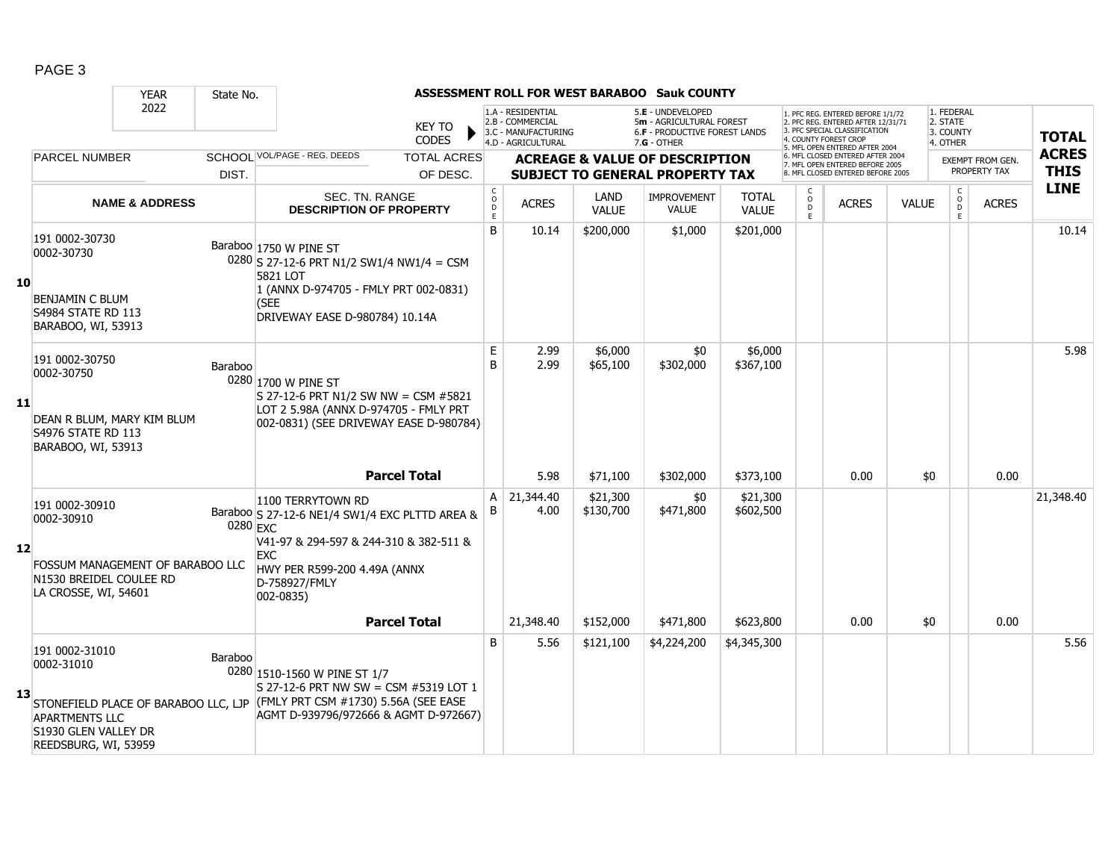|    |                                                                                                                                               | <b>YEAR</b>               | State No. |                                                                                                                                                               |                    |                                                |                                                                                    |                       | ASSESSMENT ROLL FOR WEST BARABOO Sauk COUNTY                                                    |                              |                   |                                                                                                                                                                    |              |                                                 |                                         |                             |
|----|-----------------------------------------------------------------------------------------------------------------------------------------------|---------------------------|-----------|---------------------------------------------------------------------------------------------------------------------------------------------------------------|--------------------|------------------------------------------------|------------------------------------------------------------------------------------|-----------------------|-------------------------------------------------------------------------------------------------|------------------------------|-------------------|--------------------------------------------------------------------------------------------------------------------------------------------------------------------|--------------|-------------------------------------------------|-----------------------------------------|-----------------------------|
|    |                                                                                                                                               | 2022                      |           | <b>KEY TO</b><br><b>CODES</b>                                                                                                                                 |                    |                                                | 1.A - RESIDENTIAL<br>2.B - COMMERCIAL<br>3.C - MANUFACTURING<br>4.D - AGRICULTURAL |                       | 5.E - UNDEVELOPED<br>5m - AGRICULTURAL FOREST<br>6.F - PRODUCTIVE FOREST LANDS<br>$7.G - OTHER$ |                              |                   | . PFC REG. ENTERED BEFORE 1/1/72<br>2. PFC REG. ENTERED AFTER 12/31/71<br>3. PFC SPECIAL CLASSIFICATION<br>4. COUNTY FOREST CROF<br>5. MFL OPEN ENTERED AFTER 2004 |              | 1. FEDERAL<br>2. STATE<br>3. COUNTY<br>4. OTHER |                                         | <b>TOTAL</b>                |
|    | <b>PARCEL NUMBER</b>                                                                                                                          |                           | DIST.     | SCHOOL VOL/PAGE - REG. DEEDS                                                                                                                                  | <b>TOTAL ACRES</b> |                                                |                                                                                    |                       | <b>ACREAGE &amp; VALUE OF DESCRIPTION</b>                                                       |                              |                   | 6. MFL CLOSED ENTERED AFTER 2004<br>7. MFL OPEN ENTERED BEFORE 2005<br>8. MFL CLOSED ENTERED BEFORE 2005                                                           |              |                                                 | <b>EXEMPT FROM GEN.</b><br>PROPERTY TAX | <b>ACRES</b><br><b>THIS</b> |
|    |                                                                                                                                               |                           |           |                                                                                                                                                               | OF DESC.           |                                                |                                                                                    |                       | <b>SUBJECT TO GENERAL PROPERTY TAX</b>                                                          |                              |                   |                                                                                                                                                                    |              |                                                 |                                         | <b>LINE</b>                 |
|    |                                                                                                                                               | <b>NAME &amp; ADDRESS</b> |           | SEC. TN. RANGE<br><b>DESCRIPTION OF PROPERTY</b>                                                                                                              |                    | $\begin{matrix} 0 \\ 0 \\ D \end{matrix}$<br>E | <b>ACRES</b>                                                                       | LAND<br><b>VALUE</b>  | <b>IMPROVEMENT</b><br><b>VALUE</b>                                                              | <b>TOTAL</b><br><b>VALUE</b> | $\circ$<br>D<br>E | <b>ACRES</b>                                                                                                                                                       | <b>VALUE</b> | $_{\rm o}^{\rm c}$<br>$\mathsf D$               | <b>ACRES</b><br>E.                      |                             |
| 10 | 191 0002-30730<br>0002-30730                                                                                                                  |                           |           | Baraboo 1750 W PINE ST<br>$0280$ S 27-12-6 PRT N1/2 SW1/4 NW1/4 = CSM<br>5821 LOT<br>1 (ANNX D-974705 - FMLY PRT 002-0831)                                    |                    | <sub>B</sub>                                   | 10.14                                                                              | \$200,000             | \$1,000                                                                                         | \$201,000                    |                   |                                                                                                                                                                    |              |                                                 |                                         | 10.14                       |
|    | <b>BENJAMIN C BLUM</b><br><b>S4984 STATE RD 113</b><br>BARABOO, WI, 53913                                                                     |                           |           | (SEE<br>DRIVEWAY EASE D-980784) 10.14A                                                                                                                        |                    |                                                |                                                                                    |                       |                                                                                                 |                              |                   |                                                                                                                                                                    |              |                                                 |                                         |                             |
| 11 | 191 0002-30750<br>0002-30750<br>DEAN R BLUM, MARY KIM BLUM<br><b>S4976 STATE RD 113</b>                                                       |                           | Baraboo   | 0280 1700 W PINE ST<br>S 27-12-6 PRT N1/2 SW NW = CSM #5821<br>LOT 2 5.98A (ANNX D-974705 - FMLY PRT<br>002-0831) (SEE DRIVEWAY EASE D-980784)                |                    | E<br>B                                         | 2.99<br>2.99                                                                       | \$6,000<br>\$65,100   | \$0<br>\$302,000                                                                                | \$6,000<br>\$367,100         |                   |                                                                                                                                                                    |              |                                                 |                                         | 5.98                        |
|    | BARABOO, WI, 53913                                                                                                                            |                           |           | <b>Parcel Total</b>                                                                                                                                           |                    |                                                | 5.98                                                                               | \$71,100              | \$302,000                                                                                       | \$373,100                    |                   | 0.00                                                                                                                                                               | \$0          |                                                 | 0.00                                    |                             |
|    | 191 0002-30910<br>0002-30910                                                                                                                  |                           | 0280 EXC  | 1100 TERRYTOWN RD<br>Baraboo S 27-12-6 NE1/4 SW1/4 EXC PLTTD AREA &                                                                                           |                    | $\mathsf{A}$<br>В                              | 21,344.40<br>4.00                                                                  | \$21,300<br>\$130,700 | \$0<br>\$471,800                                                                                | \$21,300<br>\$602,500        |                   |                                                                                                                                                                    |              |                                                 |                                         | 21,348.40                   |
| 12 | FOSSUM MANAGEMENT OF BARABOO LLC<br>N1530 BREIDEL COULEE RD<br>LA CROSSE, WI, 54601                                                           |                           |           | V41-97 & 294-597 & 244-310 & 382-511 &<br><b>EXC</b><br>HWY PER R599-200 4.49A (ANNX<br>D-758927/FMLY<br>002-0835)                                            |                    |                                                |                                                                                    |                       |                                                                                                 |                              |                   |                                                                                                                                                                    |              |                                                 |                                         |                             |
|    |                                                                                                                                               |                           |           | <b>Parcel Total</b>                                                                                                                                           |                    |                                                | 21,348.40                                                                          | \$152,000             | \$471,800                                                                                       | \$623,800                    |                   | 0.00                                                                                                                                                               | \$0          |                                                 | 0.00                                    |                             |
| 13 | 191 0002-31010<br>0002-31010<br>STONEFIELD PLACE OF BARABOO LLC, LJP<br><b>APARTMENTS LLC</b><br>S1930 GLEN VALLEY DR<br>REEDSBURG, WI, 53959 |                           | Baraboo   | 0280 1510-1560 W PINE ST 1/7<br>S 27-12-6 PRT NW SW = CSM #5319 LOT 1<br>$ $ (FMLY PRT CSM $#1730$ ) 5.56A (SEE EASE<br>AGMT D-939796/972666 & AGMT D-972667) |                    | B                                              | 5.56                                                                               | \$121,100             | \$4,224,200                                                                                     | \$4,345,300                  |                   |                                                                                                                                                                    |              |                                                 |                                         | 5.56                        |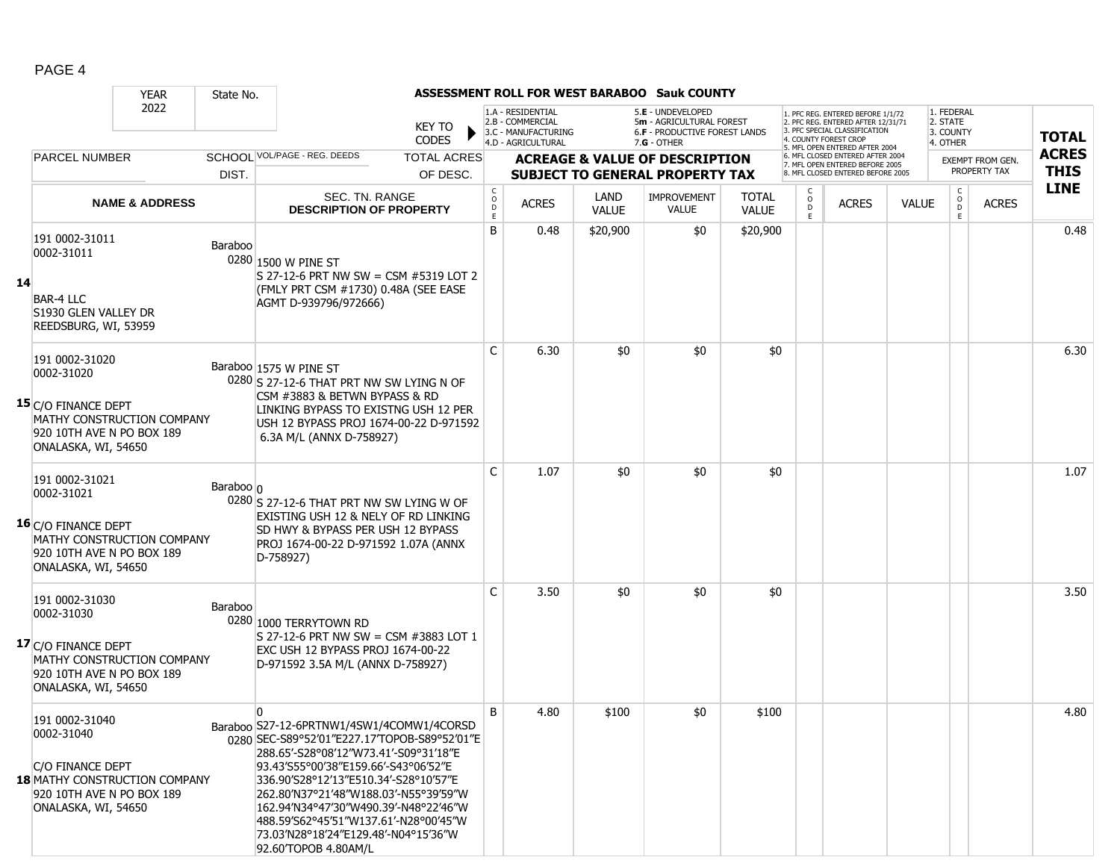|    |                                                                                                                                              | <b>YEAR</b>                | State No.     |                                                                                                                                                                                                                                                                                                                                                                                                                                 |                        |                                                                                    |                      | <b>ASSESSMENT ROLL FOR WEST BARABOO Sauk COUNTY</b>                                                  |                              |                             |                                                                                                                                  |              |                                                 |                         |              |
|----|----------------------------------------------------------------------------------------------------------------------------------------------|----------------------------|---------------|---------------------------------------------------------------------------------------------------------------------------------------------------------------------------------------------------------------------------------------------------------------------------------------------------------------------------------------------------------------------------------------------------------------------------------|------------------------|------------------------------------------------------------------------------------|----------------------|------------------------------------------------------------------------------------------------------|------------------------------|-----------------------------|----------------------------------------------------------------------------------------------------------------------------------|--------------|-------------------------------------------------|-------------------------|--------------|
|    |                                                                                                                                              | 2022                       |               | <b>KEY TO</b><br><b>CODES</b>                                                                                                                                                                                                                                                                                                                                                                                                   |                        | 1.A - RESIDENTIAL<br>2.B - COMMERCIAL<br>3.C - MANUFACTURING<br>4.D - AGRICULTURAL |                      | 5.E - UNDEVELOPED<br>5m - AGRICULTURAL FOREST<br><b>6.F - PRODUCTIVE FOREST LANDS</b><br>7.G - OTHER |                              |                             | . PFC REG. ENTERED BEFORE 1/1/72<br>2. PFC REG. ENTERED AFTER 12/31/71<br>3. PFC SPECIAL CLASSIFICATION<br>4. COUNTY FOREST CROP |              | 1. FEDERAL<br>2. STATE<br>3. COUNTY<br>4. OTHER |                         | <b>TOTAL</b> |
|    | <b>PARCEL NUMBER</b>                                                                                                                         |                            |               | SCHOOL VOL/PAGE - REG. DEEDS<br><b>TOTAL ACRES</b>                                                                                                                                                                                                                                                                                                                                                                              |                        |                                                                                    |                      | <b>ACREAGE &amp; VALUE OF DESCRIPTION</b>                                                            |                              |                             | 5. MFL OPEN ENTERED AFTER 2004<br>6. MFL CLOSED ENTERED AFTER 2004<br>7. MFL OPEN ENTERED BEFORE 2005                            |              |                                                 | <b>EXEMPT FROM GEN.</b> | <b>ACRES</b> |
|    |                                                                                                                                              |                            | DIST.         | OF DESC.                                                                                                                                                                                                                                                                                                                                                                                                                        |                        |                                                                                    |                      | <b>SUBJECT TO GENERAL PROPERTY TAX</b>                                                               |                              |                             | 8. MFL CLOSED ENTERED BEFORE 2005                                                                                                |              |                                                 | PROPERTY TAX            | <b>THIS</b>  |
|    |                                                                                                                                              | <b>NAME &amp; ADDRESS</b>  |               | SEC. TN. RANGE<br><b>DESCRIPTION OF PROPERTY</b>                                                                                                                                                                                                                                                                                                                                                                                | C<br>$\circ$<br>D<br>E | <b>ACRES</b>                                                                       | LAND<br><b>VALUE</b> | <b>IMPROVEMENT</b><br><b>VALUE</b>                                                                   | <b>TOTAL</b><br><b>VALUE</b> | C<br>$\mathsf{o}$<br>D<br>E | <b>ACRES</b>                                                                                                                     | <b>VALUE</b> | $\mathsf{C}$<br>$\mathsf O$<br>D<br>E.          | <b>ACRES</b>            | <b>LINE</b>  |
| 14 | 191 0002-31011<br>0002-31011<br><b>BAR-4 LLC</b><br>S1930 GLEN VALLEY DR<br>REEDSBURG, WI, 53959                                             |                            | Baraboo       | 0280 1500 W PINE ST<br>S 27-12-6 PRT NW SW = CSM #5319 LOT 2<br>(FMLY PRT CSM #1730) 0.48A (SEE EASE<br>AGMT D-939796/972666)                                                                                                                                                                                                                                                                                                   | B                      | 0.48                                                                               | \$20,900             | \$0                                                                                                  | \$20,900                     |                             |                                                                                                                                  |              |                                                 |                         | 0.48         |
|    | 191 0002-31020<br>0002-31020<br>15 C/O FINANCE DEPT<br>920 10TH AVE N PO BOX 189<br>ONALASKA, WI, 54650                                      | MATHY CONSTRUCTION COMPANY |               | Baraboo 1575 W PINE ST<br>0280 S 27-12-6 THAT PRT NW SW LYING N OF<br>CSM #3883 & BETWN BYPASS & RD<br>LINKING BYPASS TO EXISTNG USH 12 PER<br>USH 12 BYPASS PROJ 1674-00-22 D-971592<br>6.3A M/L (ANNX D-758927)                                                                                                                                                                                                               | $\mathsf{C}$           | 6.30                                                                               | \$0                  | \$0                                                                                                  | \$0                          |                             |                                                                                                                                  |              |                                                 |                         | 6.30         |
|    | 191 0002-31021<br>0002-31021<br>16 C/O FINANCE DEPT<br>920 10TH AVE N PO BOX 189<br>ONALASKA, WI, 54650                                      | MATHY CONSTRUCTION COMPANY | Baraboo $ _0$ | 0280 S 27-12-6 THAT PRT NW SW LYING W OF<br>EXISTING USH 12 & NELY OF RD LINKING<br>SD HWY & BYPASS PER USH 12 BYPASS<br>PROJ 1674-00-22 D-971592 1.07A (ANNX<br>D-758927)                                                                                                                                                                                                                                                      | C                      | 1.07                                                                               | \$0                  | \$0                                                                                                  | \$0                          |                             |                                                                                                                                  |              |                                                 |                         | 1.07         |
|    | 191 0002-31030<br>0002-31030<br>17 C/O FINANCE DEPT<br>920 10TH AVE N PO BOX 189<br>ONALASKA, WI, 54650                                      | MATHY CONSTRUCTION COMPANY | Baraboo       | 0280 1000 TERRYTOWN RD<br>$S$ 27-12-6 PRT NW SW = CSM #3883 LOT 1<br>EXC USH 12 BYPASS PROJ 1674-00-22<br>D-971592 3.5A M/L (ANNX D-758927)                                                                                                                                                                                                                                                                                     | C                      | 3.50                                                                               | \$0                  | \$0                                                                                                  | \$0                          |                             |                                                                                                                                  |              |                                                 |                         | 3.50         |
|    | 191 0002-31040<br>0002-31040<br>C/O FINANCE DEPT<br><b>18 MATHY CONSTRUCTION COMPANY</b><br>920 10TH AVE N PO BOX 189<br>ONALASKA, WI, 54650 |                            |               | $\overline{0}$<br>Baraboo S27-12-6PRTNW1/4SW1/4COMW1/4CORSD<br>0280 SEC-S89°52'01"E227.17'TOPOB-S89°52'01"E<br>288.65'-S28°08'12"W73.41'-S09°31'18"E<br>93.43'S55°00'38"E159.66'-S43°06'52"E<br>336.90'S28°12'13"E510.34'-S28°10'57"E<br>262.80'N37°21'48"W188.03'-N55°39'59"W<br>162.94′N34°47′30″W490.39′-N48°22′46″W<br>488.59'S62°45'51″W137.61′-N28°00′45″W<br>73.03'N28°18'24"E129.48'-N04°15'36"W<br>92.60TOPOB 4.80AM/L | B                      | 4.80                                                                               | \$100                | \$0                                                                                                  | \$100                        |                             |                                                                                                                                  |              |                                                 |                         | 4.80         |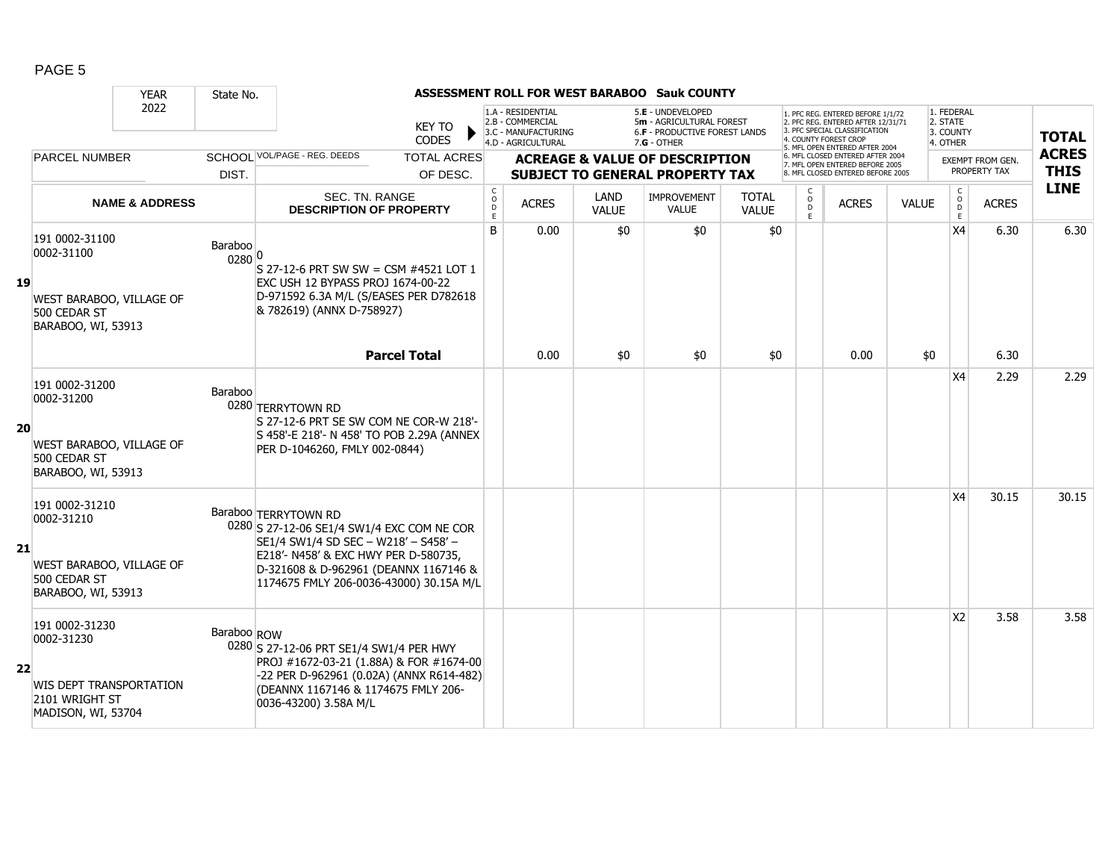|    |                                                                                                 | <b>YEAR</b>               | State No.         |                                                                                                                                                                                                                                        |                                             |                                                                                    |                      | <b>ASSESSMENT ROLL FOR WEST BARABOO Sauk COUNTY</b>                                             |                              |                        |                                                                                                                                                                     |              |                                                 |                                         |                             |
|----|-------------------------------------------------------------------------------------------------|---------------------------|-------------------|----------------------------------------------------------------------------------------------------------------------------------------------------------------------------------------------------------------------------------------|---------------------------------------------|------------------------------------------------------------------------------------|----------------------|-------------------------------------------------------------------------------------------------|------------------------------|------------------------|---------------------------------------------------------------------------------------------------------------------------------------------------------------------|--------------|-------------------------------------------------|-----------------------------------------|-----------------------------|
|    |                                                                                                 | 2022                      |                   | <b>KEY TO</b><br><b>CODES</b>                                                                                                                                                                                                          |                                             | 1.A - RESIDENTIAL<br>2.B - COMMERCIAL<br>3.C - MANUFACTURING<br>4.D - AGRICULTURAL |                      | 5.E - UNDEVELOPED<br>5m - AGRICULTURAL FOREST<br>6.F - PRODUCTIVE FOREST LANDS<br>$7.G - OTHER$ |                              |                        | 1. PFC REG. ENTERED BEFORE 1/1/72<br>2. PFC REG. ENTERED AFTER 12/31/71<br>3. PFC SPECIAL CLASSIFICATION<br>4. COUNTY FOREST CROP<br>5. MFL OPEN ENTERED AFTER 2004 |              | 1. FEDERAL<br>2. STATE<br>3. COUNTY<br>4. OTHER |                                         | <b>TOTAL</b>                |
|    | <b>PARCEL NUMBER</b>                                                                            |                           | DIST.             | SCHOOL VOL/PAGE - REG. DEEDS<br><b>TOTAL ACRES</b><br>OF DESC.                                                                                                                                                                         |                                             |                                                                                    |                      | <b>ACREAGE &amp; VALUE OF DESCRIPTION</b><br><b>SUBJECT TO GENERAL PROPERTY TAX</b>             |                              |                        | 6. MFL CLOSED ENTERED AFTER 2004<br>7. MFL OPEN ENTERED BEFORE 2005<br>8. MFL CLOSED ENTERED BEFORE 2005                                                            |              |                                                 | <b>EXEMPT FROM GEN.</b><br>PROPERTY TAX | <b>ACRES</b><br><b>THIS</b> |
|    |                                                                                                 | <b>NAME &amp; ADDRESS</b> |                   | SEC. TN. RANGE<br><b>DESCRIPTION OF PROPERTY</b>                                                                                                                                                                                       | $\mathsf{C}$<br>$\circ$<br>$\mathsf D$<br>E | <b>ACRES</b>                                                                       | LAND<br><b>VALUE</b> | <b>IMPROVEMENT</b><br><b>VALUE</b>                                                              | <b>TOTAL</b><br><b>VALUE</b> | C<br>$\circ$<br>D<br>E | <b>ACRES</b>                                                                                                                                                        | <b>VALUE</b> | $\mathsf{C}$<br>$\overline{0}$<br>E             | <b>ACRES</b>                            | <b>LINE</b>                 |
| 19 | 191 0002-31100<br>0002-31100<br>WEST BARABOO, VILLAGE OF<br>500 CEDAR ST<br>BARABOO, WI, 53913  |                           | Baraboo<br>0280 0 | S 27-12-6 PRT SW SW = CSM #4521 LOT 1<br>EXC USH 12 BYPASS PROJ 1674-00-22<br>D-971592 6.3A M/L (S/EASES PER D782618<br>& 782619) (ANNX D-758927)                                                                                      | B                                           | 0.00                                                                               | \$0                  | \$0                                                                                             | \$0                          |                        |                                                                                                                                                                     |              | X <sub>4</sub>                                  | 6.30                                    | 6.30                        |
|    |                                                                                                 |                           |                   | <b>Parcel Total</b>                                                                                                                                                                                                                    |                                             | 0.00                                                                               | \$0                  | \$0                                                                                             | \$0                          |                        | 0.00                                                                                                                                                                | \$0          |                                                 | 6.30                                    |                             |
| 20 | 191 0002-31200<br>0002-31200<br>WEST BARABOO, VILLAGE OF<br>500 CEDAR ST<br>BARABOO, WI, 53913  |                           | Baraboo           | 0280 TERRYTOWN RD<br>S 27-12-6 PRT SE SW COM NE COR-W 218'-<br>S 458'-E 218'- N 458' TO POB 2.29A (ANNEX<br>PER D-1046260, FMLY 002-0844)                                                                                              |                                             |                                                                                    |                      |                                                                                                 |                              |                        |                                                                                                                                                                     |              | X4                                              | 2.29                                    | 2.29                        |
| 21 | 191 0002-31210<br>0002-31210<br>WEST BARABOO, VILLAGE OF<br>500 CEDAR ST<br>BARABOO, WI, 53913  |                           |                   | Baraboo TERRYTOWN RD<br>0280 S 27-12-06 SE1/4 SW1/4 EXC COM NE COR<br>SE1/4 SW1/4 SD SEC - W218' - S458' -<br>E218'- N458' & EXC HWY PER D-580735,<br>D-321608 & D-962961 (DEANNX 1167146 &<br>1174675 FMLY 206-0036-43000) 30.15A M/L |                                             |                                                                                    |                      |                                                                                                 |                              |                        |                                                                                                                                                                     |              | <b>X4</b>                                       | 30.15                                   | 30.15                       |
| 22 | 191 0002-31230<br>0002-31230<br>WIS DEPT TRANSPORTATION<br>2101 WRIGHT ST<br>MADISON, WI, 53704 |                           | Baraboo ROW       | 0280 S 27-12-06 PRT SE1/4 SW1/4 PER HWY<br>PROJ #1672-03-21 (1.88A) & FOR #1674-00<br>-22 PER D-962961 (0.02A) (ANNX R614-482)<br>(DEANNX 1167146 & 1174675 FMLY 206-<br>0036-43200) 3.58A M/L                                         |                                             |                                                                                    |                      |                                                                                                 |                              |                        |                                                                                                                                                                     |              | X <sub>2</sub>                                  | 3.58                                    | 3.58                        |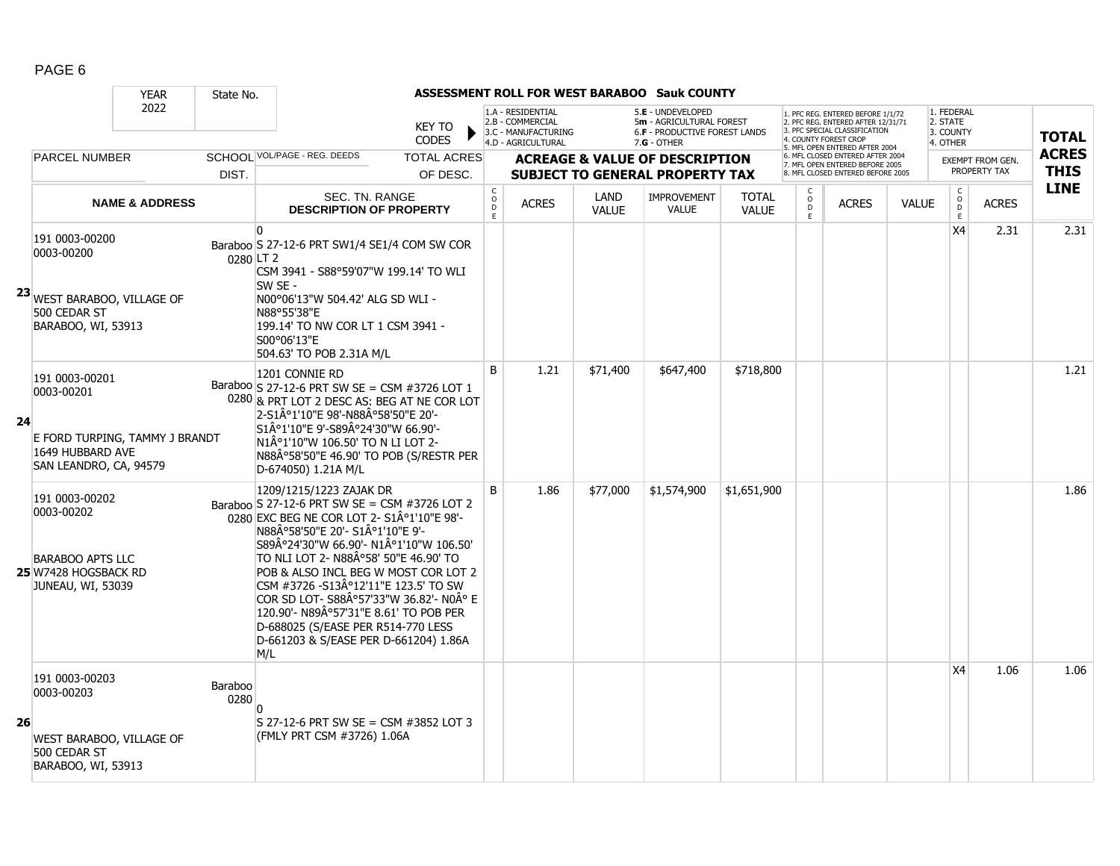|     |                                                                                                              | <b>YEAR</b>               | State No.       |                                                                                                                                                                                                                                                                                                                                                                                                                                                                                                  |                                   |                                                                                    |                             | <b>ASSESSMENT ROLL FOR WEST BARABOO Sauk COUNTY</b>                                                    |                              |                     |                                                                                                                                                                     |              |                                                 |                         |              |
|-----|--------------------------------------------------------------------------------------------------------------|---------------------------|-----------------|--------------------------------------------------------------------------------------------------------------------------------------------------------------------------------------------------------------------------------------------------------------------------------------------------------------------------------------------------------------------------------------------------------------------------------------------------------------------------------------------------|-----------------------------------|------------------------------------------------------------------------------------|-----------------------------|--------------------------------------------------------------------------------------------------------|------------------------------|---------------------|---------------------------------------------------------------------------------------------------------------------------------------------------------------------|--------------|-------------------------------------------------|-------------------------|--------------|
|     |                                                                                                              | 2022                      |                 | <b>KEY TO</b><br><b>CODES</b>                                                                                                                                                                                                                                                                                                                                                                                                                                                                    |                                   | 1.A - RESIDENTIAL<br>2.B - COMMERCIAL<br>3.C - MANUFACTURING<br>4.D - AGRICULTURAL |                             | 5.E - UNDEVELOPED<br>5m - AGRICULTURAL FOREST<br><b>6.F - PRODUCTIVE FOREST LANDS</b><br>$7.G - OTHER$ |                              |                     | 1. PFC REG. ENTERED BEFORE 1/1/72<br>2. PFC REG. ENTERED AFTER 12/31/71<br>3. PFC SPECIAL CLASSIFICATION<br>4. COUNTY FOREST CROP<br>5. MFL OPEN ENTERED AFTER 2004 |              | 1. FEDERAL<br>2. STATE<br>3. COUNTY<br>4. OTHER |                         | <b>TOTAL</b> |
|     | <b>PARCEL NUMBER</b>                                                                                         |                           |                 | SCHOOL VOL/PAGE - REG. DEEDS<br><b>TOTAL ACRES</b>                                                                                                                                                                                                                                                                                                                                                                                                                                               |                                   |                                                                                    |                             | <b>ACREAGE &amp; VALUE OF DESCRIPTION</b>                                                              |                              |                     | 6. MFL CLOSED ENTERED AFTER 2004<br>7. MFL OPEN ENTERED BEFORE 2005                                                                                                 |              |                                                 | <b>EXEMPT FROM GEN.</b> | <b>ACRES</b> |
|     |                                                                                                              |                           | DIST.           | OF DESC.                                                                                                                                                                                                                                                                                                                                                                                                                                                                                         |                                   |                                                                                    |                             | <b>SUBJECT TO GENERAL PROPERTY TAX</b>                                                                 |                              |                     | 8. MFL CLOSED ENTERED BEFORE 2005                                                                                                                                   |              |                                                 | PROPERTY TAX            | <b>THIS</b>  |
|     |                                                                                                              | <b>NAME &amp; ADDRESS</b> |                 | SEC. TN. RANGE<br><b>DESCRIPTION OF PROPERTY</b>                                                                                                                                                                                                                                                                                                                                                                                                                                                 | C<br>$\circ$<br>$\mathsf D$<br>F. | <b>ACRES</b>                                                                       | <b>LAND</b><br><b>VALUE</b> | IMPROVEMENT<br><b>VALUE</b>                                                                            | <b>TOTAL</b><br><b>VALUE</b> | $\overline{0}$<br>E | <b>ACRES</b>                                                                                                                                                        | <b>VALUE</b> | $\rm _o^C$<br>E                                 | <b>ACRES</b>            | <b>LINE</b>  |
|     | 191 0003-00200<br>0003-00200<br>23 WEST BARABOO, VILLAGE OF<br>500 CEDAR ST<br>BARABOO, WI, 53913            |                           | 0280 LT 2       | <sup>0</sup><br>Baraboo S 27-12-6 PRT SW1/4 SE1/4 COM SW COR<br>CSM 3941 - S88°59'07"W 199.14' TO WLI<br>SW SE -<br>N00°06'13"W 504.42' ALG SD WLI -<br>N88°55'38"E<br>199.14' TO NW COR LT 1 CSM 3941 -<br>S00°06'13"E<br>504.63' TO POB 2.31A M/L                                                                                                                                                                                                                                              |                                   |                                                                                    |                             |                                                                                                        |                              |                     |                                                                                                                                                                     |              | X <sub>4</sub>                                  | 2.31                    | 2.31         |
| -24 | 191 0003-00201<br>0003-00201<br>E FORD TURPING, TAMMY J BRANDT<br>1649 HUBBARD AVE<br>SAN LEANDRO, CA, 94579 |                           |                 | 1201 CONNIE RD<br>Baraboo S 27-12-6 PRT SW SE = CSM #3726 LOT 1<br>0280 & PRT LOT 2 DESC AS: BEG AT NE COR LOT<br>2-S1°1'10"E 98'-N88°58'50"E 20'-<br>S1°1'10"E 9'-S89°24'30"W 66.90'-<br>N1°1'10"W 106.50' TO N LI LOT 2-<br>N88°58'50"E 46.90' TO POB (S/RESTR PER<br>D-674050) 1.21A M/L                                                                                                                                                                                                      | B                                 | 1.21                                                                               | \$71,400                    | \$647,400                                                                                              | \$718,800                    |                     |                                                                                                                                                                     |              |                                                 |                         | 1.21         |
|     | 191 0003-00202<br>0003-00202<br><b>BARABOO APTS LLC</b><br>25 W7428 HOGSBACK RD<br>JUNEAU, WI, 53039         |                           |                 | 1209/1215/1223 ZAJAK DR<br>Baraboo S 27-12-6 PRT SW SE = CSM #3726 LOT 2<br>0280 EXC BEG NE COR LOT 2- S1°1'10"E 98'-<br>N88°58'50"E 20'- S1°1'10"E 9'-<br>S89°24'30"W 66.90'- N1°1'10"W 106.50'<br>TO NLI LOT 2- N88°58' 50"E 46.90' TO<br>POB & ALSO INCL BEG W MOST COR LOT 2<br>CSM #3726 -S13A°12'11"E 123.5' TO SW<br>COR SD LOT- S88°57'33"W 36.82'- N0° E<br>120.90'- N89°57'31"E 8.61' TO POB PER<br>D-688025 (S/EASE PER R514-770 LESS<br>D-661203 & S/EASE PER D-661204) 1.86A<br>M/L | <sub>B</sub>                      | 1.86                                                                               | \$77,000                    | \$1,574,900                                                                                            | \$1,651,900                  |                     |                                                                                                                                                                     |              |                                                 |                         | 1.86         |
| 26  | 191 0003-00203<br>0003-00203<br>WEST BARABOO, VILLAGE OF<br>500 CEDAR ST<br>BARABOO, WI, 53913               |                           | Baraboo<br>0280 | S 27-12-6 PRT SW SE = CSM #3852 LOT 3<br>(FMLY PRT CSM #3726) 1.06A                                                                                                                                                                                                                                                                                                                                                                                                                              |                                   |                                                                                    |                             |                                                                                                        |                              |                     |                                                                                                                                                                     |              | X <sub>4</sub>                                  | 1.06                    | 1.06         |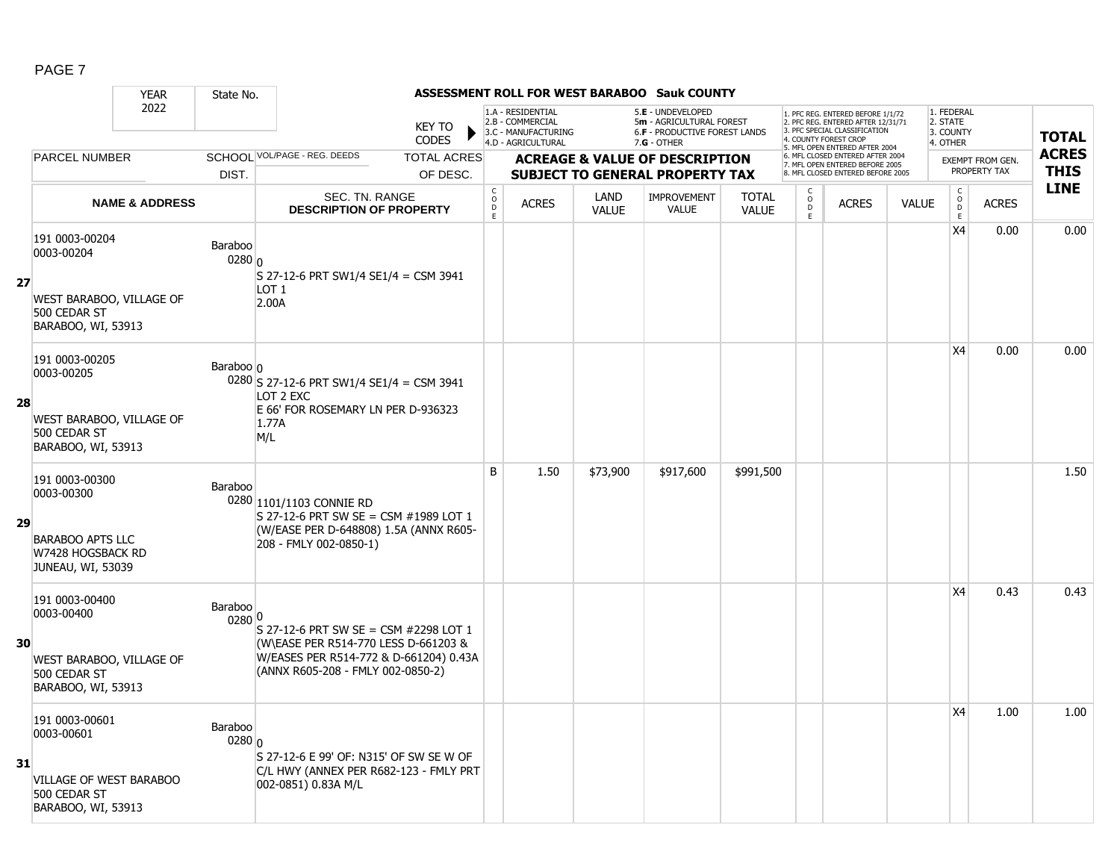|    |                                                                                                      | <b>YEAR</b>               | State No.                    |                                                                                                                                                              |                               |                                               |                                                                                    |                      | ASSESSMENT ROLL FOR WEST BARABOO Sauk COUNTY                                                         |                              |                                                |                                                                                                                                   |              |                                                          |                         |              |
|----|------------------------------------------------------------------------------------------------------|---------------------------|------------------------------|--------------------------------------------------------------------------------------------------------------------------------------------------------------|-------------------------------|-----------------------------------------------|------------------------------------------------------------------------------------|----------------------|------------------------------------------------------------------------------------------------------|------------------------------|------------------------------------------------|-----------------------------------------------------------------------------------------------------------------------------------|--------------|----------------------------------------------------------|-------------------------|--------------|
|    |                                                                                                      | 2022                      |                              |                                                                                                                                                              | <b>KEY TO</b><br><b>CODES</b> |                                               | 1.A - RESIDENTIAL<br>2.B - COMMERCIAL<br>3.C - MANUFACTURING<br>4.D - AGRICULTURAL |                      | 5.E - UNDEVELOPED<br>5m - AGRICULTURAL FOREST<br><b>6.F - PRODUCTIVE FOREST LANDS</b><br>7.G - OTHER |                              |                                                | 1. PFC REG. ENTERED BEFORE 1/1/72<br>2. PFC REG. ENTERED AFTER 12/31/71<br>3. PFC SPECIAL CLASSIFICATION<br>4. COUNTY FOREST CROP |              | 1. FEDERAL<br>2. STATE<br>3. COUNTY<br>4. OTHER          |                         | <b>TOTAL</b> |
|    | <b>PARCEL NUMBER</b>                                                                                 |                           |                              | SCHOOL VOL/PAGE - REG. DEEDS                                                                                                                                 | <b>TOTAL ACRES</b>            |                                               |                                                                                    |                      | <b>ACREAGE &amp; VALUE OF DESCRIPTION</b>                                                            |                              |                                                | 5. MFL OPEN ENTERED AFTER 2004<br>6. MFL CLOSED ENTERED AFTER 2004<br>7. MFL OPEN ENTERED BEFORE 2005                             |              |                                                          | <b>EXEMPT FROM GEN.</b> | <b>ACRES</b> |
|    |                                                                                                      |                           | DIST.                        |                                                                                                                                                              | OF DESC.                      |                                               |                                                                                    |                      | <b>SUBJECT TO GENERAL PROPERTY TAX</b>                                                               |                              |                                                | 8. MFL CLOSED ENTERED BEFORE 2005                                                                                                 |              |                                                          | PROPERTY TAX            | <b>THIS</b>  |
|    |                                                                                                      | <b>NAME &amp; ADDRESS</b> |                              | SEC. TN. RANGE<br><b>DESCRIPTION OF PROPERTY</b>                                                                                                             |                               | $\mathsf{C}$<br>$\circ$<br>$\mathsf{D}$<br>E. | <b>ACRES</b>                                                                       | LAND<br><b>VALUE</b> | IMPROVEMENT<br><b>VALUE</b>                                                                          | <b>TOTAL</b><br><b>VALUE</b> | $\begin{matrix} 0 \\ 0 \\ 0 \end{matrix}$<br>E | <b>ACRES</b>                                                                                                                      | <b>VALUE</b> | $\begin{matrix} C \\ O \\ D \end{matrix}$<br>$\mathsf E$ | <b>ACRES</b>            | <b>LINE</b>  |
| 27 | 191 0003-00204<br>0003-00204<br>WEST BARABOO, VILLAGE OF<br>500 CEDAR ST<br>BARABOO, WI, 53913       |                           | Baraboo<br>$0280 _0$         | S 27-12-6 PRT SW1/4 SE1/4 = CSM 3941<br>LOT <sub>1</sub><br>2.00A                                                                                            |                               |                                               |                                                                                    |                      |                                                                                                      |                              |                                                |                                                                                                                                   |              | X4                                                       | 0.00                    | 0.00         |
| 28 | 191 0003-00205<br>0003-00205<br>WEST BARABOO, VILLAGE OF<br>500 CEDAR ST<br>BARABOO, WI, 53913       |                           | Baraboo $\vert$              | 0280 S 27-12-6 PRT SW1/4 SE1/4 = CSM 3941<br>LOT 2 EXC<br>E 66' FOR ROSEMARY LN PER D-936323<br>1.77A<br>M/L                                                 |                               |                                               |                                                                                    |                      |                                                                                                      |                              |                                                |                                                                                                                                   |              | X4                                                       | 0.00                    | 0.00         |
| 29 | 191 0003-00300<br>0003-00300<br><b>BARABOO APTS LLC</b><br>W7428 HOGSBACK RD<br>JUNEAU, WI, 53039    |                           | Baraboo                      | 0280 1101/1103 CONNIE RD<br>S 27-12-6 PRT SW SE = CSM #1989 LOT 1<br>(W/EASE PER D-648808) 1.5A (ANNX R605-<br>208 - FMLY 002-0850-1)                        |                               | B                                             | 1.50                                                                               | \$73,900             | \$917,600                                                                                            | \$991,500                    |                                                |                                                                                                                                   |              |                                                          |                         | 1.50         |
| 30 | 191 0003-00400<br>0003-00400<br>WEST BARABOO, VILLAGE OF<br>500 CEDAR ST<br>BARABOO, WI, 53913       |                           | Baraboo<br>0280 0            | S 27-12-6 PRT SW SE = CSM #2298 LOT 1<br>(W\EASE PER R514-770 LESS D-661203 &<br>W/EASES PER R514-772 & D-661204) 0.43A<br>(ANNX R605-208 - FMLY 002-0850-2) |                               |                                               |                                                                                    |                      |                                                                                                      |                              |                                                |                                                                                                                                   |              | X4                                                       | 0.43                    | 0.43         |
| 31 | 191 0003-00601<br>0003-00601<br><b>VILLAGE OF WEST BARABOO</b><br>500 CEDAR ST<br>BARABOO, WI, 53913 |                           | Baraboo<br>0280 <sub>0</sub> | S 27-12-6 E 99' OF: N315' OF SW SE W OF<br>C/L HWY (ANNEX PER R682-123 - FMLY PRT<br>002-0851) 0.83A M/L                                                     |                               |                                               |                                                                                    |                      |                                                                                                      |                              |                                                |                                                                                                                                   |              | X4                                                       | 1.00                    | 1.00         |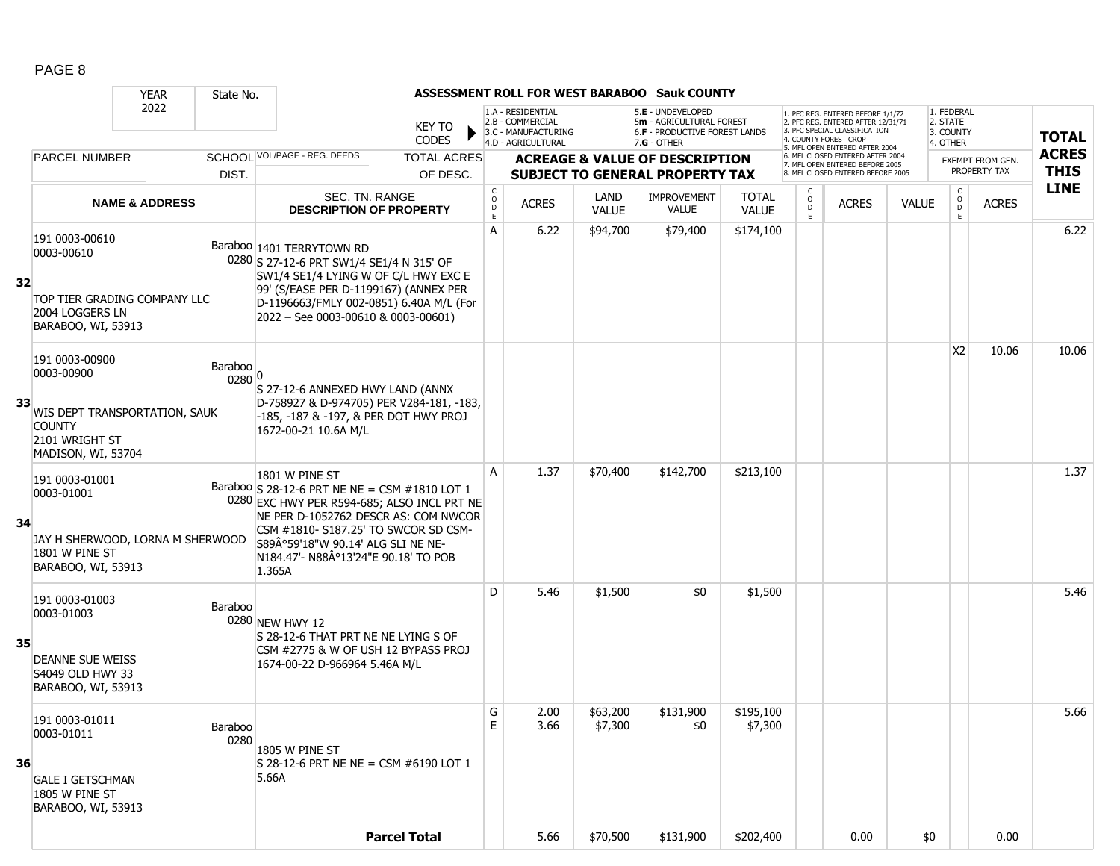|    |                                                                                                                        | <b>YEAR</b>               | State No.         |                                                                                                                                                                                                                                                                                      |                                                 |                                                                                    |                             | <b>ASSESSMENT ROLL FOR WEST BARABOO Sauk COUNTY</b>                                                    |                              |             |                                                                                                                                   |              |                                                 |                  |              |
|----|------------------------------------------------------------------------------------------------------------------------|---------------------------|-------------------|--------------------------------------------------------------------------------------------------------------------------------------------------------------------------------------------------------------------------------------------------------------------------------------|-------------------------------------------------|------------------------------------------------------------------------------------|-----------------------------|--------------------------------------------------------------------------------------------------------|------------------------------|-------------|-----------------------------------------------------------------------------------------------------------------------------------|--------------|-------------------------------------------------|------------------|--------------|
|    |                                                                                                                        | 2022                      |                   | <b>KEY TO</b><br><b>CODES</b>                                                                                                                                                                                                                                                        |                                                 | 1.A - RESIDENTIAL<br>2.B - COMMERCIAL<br>3.C - MANUFACTURING<br>4.D - AGRICULTURAL |                             | 5.E - UNDEVELOPED<br>5m - AGRICULTURAL FOREST<br><b>6.F - PRODUCTIVE FOREST LANDS</b><br>$7.G - OTHER$ |                              |             | 1. PFC REG. ENTERED BEFORE 1/1/72<br>2. PFC REG. ENTERED AFTER 12/31/71<br>3. PFC SPECIAL CLASSIFICATION<br>4. COUNTY FOREST CROP |              | 1. FEDERAL<br>2. STATE<br>3. COUNTY<br>4. OTHER |                  | <b>TOTAL</b> |
|    | <b>PARCEL NUMBER</b>                                                                                                   |                           |                   | SCHOOL VOL/PAGE - REG. DEEDS<br><b>TOTAL ACRES</b>                                                                                                                                                                                                                                   |                                                 |                                                                                    |                             | <b>ACREAGE &amp; VALUE OF DESCRIPTION</b>                                                              |                              |             | 5. MFL OPEN ENTERED AFTER 2004<br>6. MFL CLOSED ENTERED AFTER 2004                                                                |              |                                                 | EXEMPT FROM GEN. | <b>ACRES</b> |
|    |                                                                                                                        |                           | DIST.             | OF DESC.                                                                                                                                                                                                                                                                             |                                                 |                                                                                    |                             | <b>SUBJECT TO GENERAL PROPERTY TAX</b>                                                                 |                              |             | 7. MFL OPEN ENTERED BEFORE 2005<br>8. MFL CLOSED ENTERED BEFORE 2005                                                              |              |                                                 | PROPERTY TAX     | <b>THIS</b>  |
|    |                                                                                                                        | <b>NAME &amp; ADDRESS</b> |                   | SEC. TN. RANGE<br><b>DESCRIPTION OF PROPERTY</b>                                                                                                                                                                                                                                     | $\begin{array}{c} C \\ O \\ D \\ E \end{array}$ | <b>ACRES</b>                                                                       | <b>LAND</b><br><b>VALUE</b> | <b>IMPROVEMENT</b><br><b>VALUE</b>                                                                     | <b>TOTAL</b><br><b>VALUE</b> | 0<br>D<br>E | <b>ACRES</b>                                                                                                                      | <b>VALUE</b> | $\mathsf{C}$<br>$\circ$<br>D<br>E               | <b>ACRES</b>     | <b>LINE</b>  |
| 32 | 191 0003-00610<br>0003-00610<br>TOP TIER GRADING COMPANY LLC<br>2004 LOGGERS LN<br>BARABOO, WI, 53913                  |                           |                   | Baraboo 1401 TERRYTOWN RD<br>0280 S 27-12-6 PRT SW1/4 SE1/4 N 315' OF<br>SW1/4 SE1/4 LYING W OF C/L HWY EXC E<br>99' (S/EASE PER D-1199167) (ANNEX PER<br>D-1196663/FMLY 002-0851) 6.40A M/L (For<br>2022 - See 0003-00610 & 0003-00601)                                             | A                                               | 6.22                                                                               | \$94,700                    | \$79,400                                                                                               | \$174,100                    |             |                                                                                                                                   |              |                                                 |                  | 6.22         |
| 33 | 191 0003-00900<br>0003-00900<br>WIS DEPT TRANSPORTATION, SAUK<br><b>COUNTY</b><br>2101 WRIGHT ST<br>MADISON, WI, 53704 |                           | Baraboo<br>0280 0 | S 27-12-6 ANNEXED HWY LAND (ANNX<br>D-758927 & D-974705) PER V284-181, -183,<br>-185, -187 & -197, & PER DOT HWY PROJ<br>1672-00-21 10.6A M/L                                                                                                                                        |                                                 |                                                                                    |                             |                                                                                                        |                              |             |                                                                                                                                   |              | X <sub>2</sub>                                  | 10.06            | 10.06        |
| 34 | 191 0003-01001<br>0003-01001<br>JAY H SHERWOOD, LORNA M SHERWOOD<br>1801 W PINE ST<br>BARABOO, WI, 53913               |                           |                   | 1801 W PINE ST<br>Baraboo S 28-12-6 PRT NE NE = CSM #1810 LOT 1<br>0280 EXC HWY PER R594-685; ALSO INCL PRT NE<br>NE PER D-1052762 DESCR AS: COM NWCOR<br>CSM #1810- S187.25' TO SWCOR SD CSM-<br>S89°59'18"W 90.14' ALG SLI NE NE-<br>N184.47'- N88°13'24"E 90.18' TO POB<br>1.365A | A                                               | 1.37                                                                               | \$70,400                    | \$142,700                                                                                              | \$213,100                    |             |                                                                                                                                   |              |                                                 |                  | 1.37         |
| 35 | 191 0003-01003<br>0003-01003<br><b>DEANNE SUE WEISS</b><br>S4049 OLD HWY 33<br>BARABOO, WI, 53913                      |                           | Baraboo           | 0280 NEW HWY 12<br>S 28-12-6 THAT PRT NE NE LYING S OF<br>CSM #2775 & W OF USH 12 BYPASS PROJ<br>1674-00-22 D-966964 5.46A M/L                                                                                                                                                       | D                                               | 5.46                                                                               | \$1,500                     | \$0                                                                                                    | \$1,500                      |             |                                                                                                                                   |              |                                                 |                  | 5.46         |
| 36 | 191 0003-01011<br>0003-01011<br><b>GALE I GETSCHMAN</b><br>1805 W PINE ST<br>BARABOO, WI, 53913                        |                           | Baraboo<br>0280   | 1805 W PINE ST<br>S 28-12-6 PRT NE NE = CSM $\#6190$ LOT 1<br>5.66A                                                                                                                                                                                                                  | G<br>E                                          | 2.00<br>3.66                                                                       | \$63,200<br>\$7,300         | \$131,900<br>\$0                                                                                       | \$195,100<br>\$7,300         |             |                                                                                                                                   |              |                                                 |                  | 5.66         |
|    |                                                                                                                        |                           |                   | <b>Parcel Total</b>                                                                                                                                                                                                                                                                  |                                                 | 5.66                                                                               | \$70,500                    | \$131,900                                                                                              | \$202,400                    |             | 0.00                                                                                                                              | \$0          |                                                 | 0.00             |              |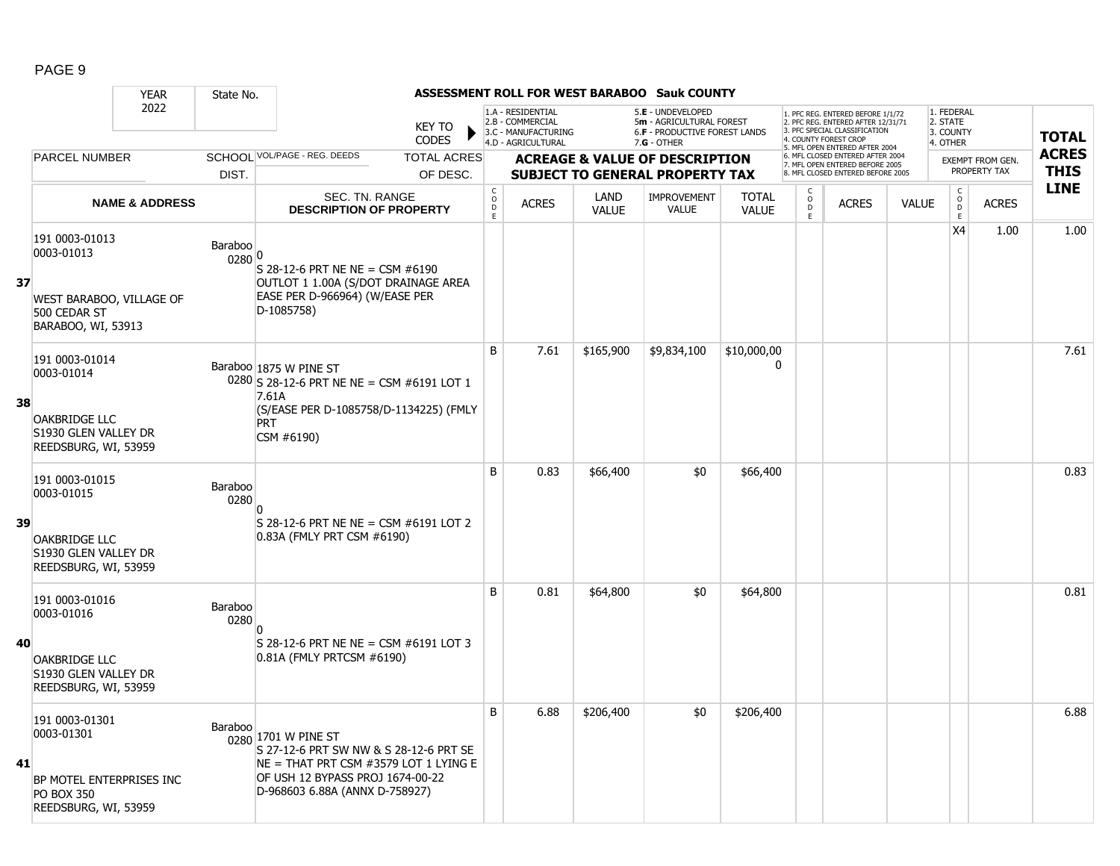|    |                                                                                                       | <b>YEAR</b>               | State No.         |                                                                                                                                                                                |                               |                                            |                                                                                    |                      | <b>ASSESSMENT ROLL FOR WEST BARABOO Sauk COUNTY</b>                                             |                              |                          |                                                                                                                                                                     |              |                                                 |                  |              |
|----|-------------------------------------------------------------------------------------------------------|---------------------------|-------------------|--------------------------------------------------------------------------------------------------------------------------------------------------------------------------------|-------------------------------|--------------------------------------------|------------------------------------------------------------------------------------|----------------------|-------------------------------------------------------------------------------------------------|------------------------------|--------------------------|---------------------------------------------------------------------------------------------------------------------------------------------------------------------|--------------|-------------------------------------------------|------------------|--------------|
|    |                                                                                                       | 2022                      |                   |                                                                                                                                                                                | <b>KEY TO</b><br><b>CODES</b> |                                            | 1.A - RESIDENTIAL<br>2.B - COMMERCIAL<br>3.C - MANUFACTURING<br>4.D - AGRICULTURAL |                      | 5.E - UNDEVELOPED<br>5m - AGRICULTURAL FOREST<br>6.F - PRODUCTIVE FOREST LANDS<br>$7.G - OTHER$ |                              |                          | 1. PFC REG. ENTERED BEFORE 1/1/72<br>2. PFC REG. ENTERED AFTER 12/31/71<br>3. PFC SPECIAL CLASSIFICATION<br>4. COUNTY FOREST CROF<br>5. MFL OPEN ENTERED AFTER 2004 |              | 1. FEDERAL<br>2. STATE<br>3. COUNTY<br>4. OTHER |                  | <b>TOTAL</b> |
|    | <b>PARCEL NUMBER</b>                                                                                  |                           |                   | SCHOOL VOL/PAGE - REG. DEEDS                                                                                                                                                   | <b>TOTAL ACRES</b>            |                                            |                                                                                    |                      | <b>ACREAGE &amp; VALUE OF DESCRIPTION</b>                                                       |                              |                          | 6. MFL CLOSED ENTERED AFTER 2004<br>7. MFL OPEN ENTERED BEFORE 2005                                                                                                 |              |                                                 | EXEMPT FROM GEN. | <b>ACRES</b> |
|    |                                                                                                       |                           | DIST.             |                                                                                                                                                                                | OF DESC.                      |                                            |                                                                                    |                      | <b>SUBJECT TO GENERAL PROPERTY TAX</b>                                                          |                              |                          | 8. MFL CLOSED ENTERED BEFORE 2005                                                                                                                                   |              |                                                 | PROPERTY TAX     | <b>THIS</b>  |
|    |                                                                                                       | <b>NAME &amp; ADDRESS</b> |                   | SEC. TN. RANGE<br><b>DESCRIPTION OF PROPERTY</b>                                                                                                                               |                               | $\begin{array}{c} C \\ O \\ E \end{array}$ | <b>ACRES</b>                                                                       | LAND<br><b>VALUE</b> | <b>IMPROVEMENT</b><br>VALUE                                                                     | <b>TOTAL</b><br><b>VALUE</b> | C<br>$\overline{0}$<br>E | <b>ACRES</b>                                                                                                                                                        | <b>VALUE</b> | $\mathsf{C}$<br>$\overline{0}$<br>$\mathsf E$   | <b>ACRES</b>     | <b>LINE</b>  |
| 37 | 191 0003-01013<br>0003-01013<br>WEST BARABOO, VILLAGE OF<br>500 CEDAR ST<br>BARABOO, WI, 53913        |                           | Baraboo<br>0280 0 | S 28-12-6 PRT NE NE = CSM $#6190$<br>OUTLOT 1 1.00A (S/DOT DRAINAGE AREA<br>EASE PER D-966964) (W/EASE PER<br>D-1085758)                                                       |                               |                                            |                                                                                    |                      |                                                                                                 |                              |                          |                                                                                                                                                                     |              | X4                                              | 1.00             | 1.00         |
|    | 191 0003-01014<br>0003-01014                                                                          |                           |                   | Baraboo 1875 W PINE ST<br>0280 S 28-12-6 PRT NE NE = CSM #6191 LOT 1                                                                                                           |                               | B                                          | 7.61                                                                               | \$165,900            | \$9,834,100                                                                                     | \$10,000,00<br>$\Omega$      |                          |                                                                                                                                                                     |              |                                                 |                  | 7.61         |
| 38 | <b>OAKBRIDGE LLC</b><br>S1930 GLEN VALLEY DR<br>REEDSBURG, WI, 53959                                  |                           |                   | 7.61A<br>(S/EASE PER D-1085758/D-1134225) (FMLY<br><b>PRT</b><br>CSM #6190)                                                                                                    |                               |                                            |                                                                                    |                      |                                                                                                 |                              |                          |                                                                                                                                                                     |              |                                                 |                  |              |
|    | 191 0003-01015<br>0003-01015                                                                          |                           | Baraboo<br>0280   |                                                                                                                                                                                |                               | B                                          | 0.83                                                                               | \$66,400             | \$0                                                                                             | \$66,400                     |                          |                                                                                                                                                                     |              |                                                 |                  | 0.83         |
| 39 | <b>OAKBRIDGE LLC</b><br>S1930 GLEN VALLEY DR<br>REEDSBURG, WI, 53959                                  |                           |                   | $S$ 28-12-6 PRT NE NE = CSM #6191 LOT 2<br>0.83A (FMLY PRT CSM #6190)                                                                                                          |                               |                                            |                                                                                    |                      |                                                                                                 |                              |                          |                                                                                                                                                                     |              |                                                 |                  |              |
|    | 191 0003-01016<br>0003-01016                                                                          |                           | Baraboo<br>0280   |                                                                                                                                                                                |                               | B                                          | 0.81                                                                               | \$64,800             | \$0                                                                                             | \$64,800                     |                          |                                                                                                                                                                     |              |                                                 |                  | 0.81         |
| 40 | <b>OAKBRIDGE LLC</b><br>S1930 GLEN VALLEY DR<br>REEDSBURG, WI, 53959                                  |                           |                   | $S$ 28-12-6 PRT NE NE = CSM #6191 LOT 3<br>0.81A (FMLY PRTCSM #6190)                                                                                                           |                               |                                            |                                                                                    |                      |                                                                                                 |                              |                          |                                                                                                                                                                     |              |                                                 |                  |              |
| 41 | 191 0003-01301<br>0003-01301<br>BP MOTEL ENTERPRISES INC<br><b>PO BOX 350</b><br>REEDSBURG, WI, 53959 |                           | Baraboo           | 0280 1701 W PINE ST<br>S 27-12-6 PRT SW NW & S 28-12-6 PRT SE<br>$NE = THAT$ PRT CSM #3579 LOT 1 LYING E<br>OF USH 12 BYPASS PROJ 1674-00-22<br>D-968603 6.88A (ANNX D-758927) |                               | B                                          | 6.88                                                                               | \$206,400            | \$0                                                                                             | \$206,400                    |                          |                                                                                                                                                                     |              |                                                 |                  | 6.88         |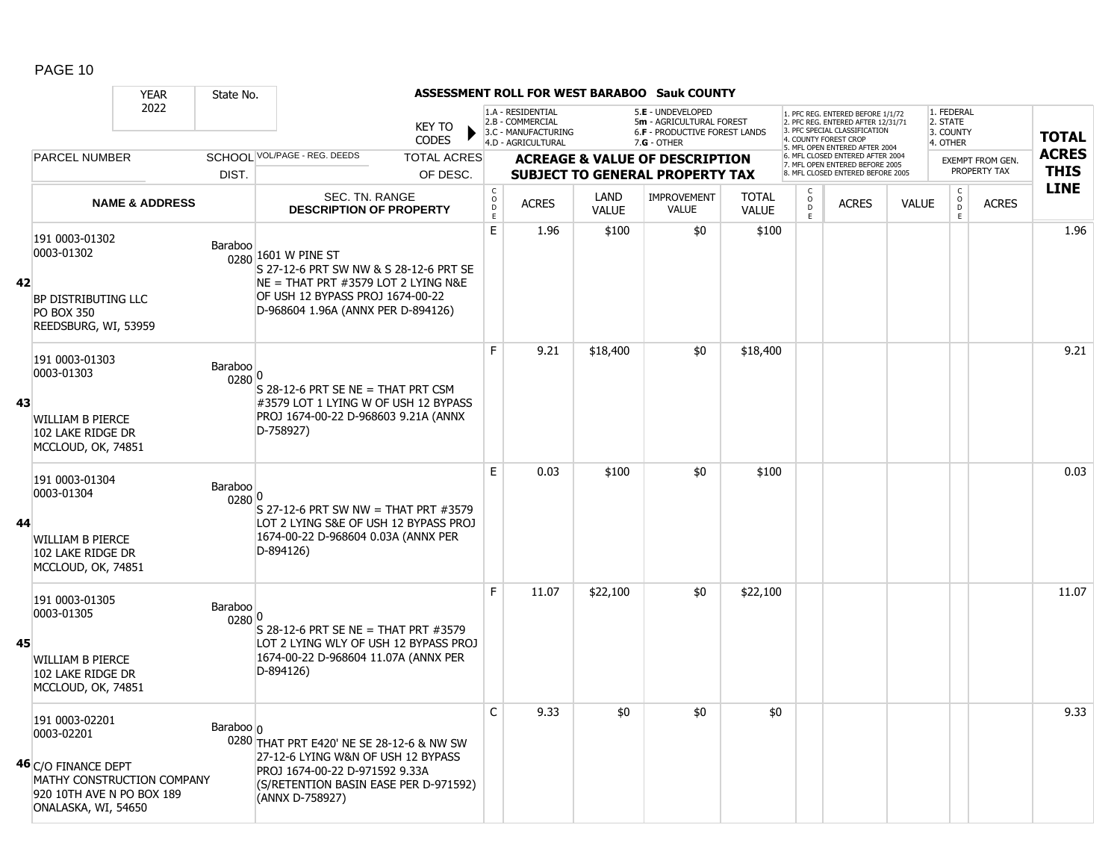|    | <b>YEAR</b>                                                                                                                           | State No.         |                                                                                                                                                                                  |                                |                  |                                                                                    |                      | ASSESSMENT ROLL FOR WEST BARABOO Sauk COUNTY                                                    |                              |                         |                                                                                                                                                                     |              |                                                 |                                         |                             |
|----|---------------------------------------------------------------------------------------------------------------------------------------|-------------------|----------------------------------------------------------------------------------------------------------------------------------------------------------------------------------|--------------------------------|------------------|------------------------------------------------------------------------------------|----------------------|-------------------------------------------------------------------------------------------------|------------------------------|-------------------------|---------------------------------------------------------------------------------------------------------------------------------------------------------------------|--------------|-------------------------------------------------|-----------------------------------------|-----------------------------|
|    | 2022                                                                                                                                  |                   |                                                                                                                                                                                  | <b>KEY TO</b><br><b>CODES</b>  |                  | 1.A - RESIDENTIAL<br>2.B - COMMERCIAL<br>3.C - MANUFACTURING<br>4.D - AGRICULTURAL |                      | 5.E - UNDEVELOPED<br>5m - AGRICULTURAL FOREST<br>6.F - PRODUCTIVE FOREST LANDS<br>$7.G - OTHER$ |                              |                         | 1. PFC REG. ENTERED BEFORE 1/1/72<br>2. PFC REG. ENTERED AFTER 12/31/71<br>3. PFC SPECIAL CLASSIFICATION<br>4. COUNTY FOREST CROP<br>5. MFL OPEN ENTERED AFTER 2004 |              | 1. FEDERAL<br>2. STATE<br>3. COUNTY<br>4. OTHER |                                         | <b>TOTAL</b>                |
|    | PARCEL NUMBER                                                                                                                         | DIST.             | SCHOOL VOL/PAGE - REG. DEEDS                                                                                                                                                     | <b>TOTAL ACRES</b><br>OF DESC. |                  |                                                                                    |                      | <b>ACREAGE &amp; VALUE OF DESCRIPTION</b><br><b>SUBJECT TO GENERAL PROPERTY TAX</b>             |                              |                         | 6. MFL CLOSED ENTERED AFTER 2004<br>7. MFL OPEN ENTERED BEFORE 2005<br>8. MFL CLOSED ENTERED BEFORE 2005                                                            |              |                                                 | <b>EXEMPT FROM GEN.</b><br>PROPERTY TAX | <b>ACRES</b><br><b>THIS</b> |
|    | <b>NAME &amp; ADDRESS</b>                                                                                                             |                   | SEC. TN. RANGE<br><b>DESCRIPTION OF PROPERTY</b>                                                                                                                                 |                                | C<br>D<br>D<br>E | <b>ACRES</b>                                                                       | LAND<br><b>VALUE</b> | <b>IMPROVEMENT</b><br>VALUE                                                                     | <b>TOTAL</b><br><b>VALUE</b> | $_{\rm D}^{\rm O}$<br>E | <b>ACRES</b>                                                                                                                                                        | <b>VALUE</b> | $\mathsf{C}$<br>$_{\rm D}^{\rm O}$<br>E         | <b>ACRES</b>                            | <b>LINE</b>                 |
| 42 | 191 0003-01302<br>0003-01302<br>BP DISTRIBUTING LLC<br><b>PO BOX 350</b><br>REEDSBURG, WI, 53959                                      | Baraboo           | 0280 1601 W PINE ST<br>S 27-12-6 PRT SW NW & S 28-12-6 PRT SE<br>$NE = THAT$ PRT #3579 LOT 2 LYING N&E<br>OF USH 12 BYPASS PROJ 1674-00-22<br>D-968604 1.96A (ANNX PER D-894126) |                                | E                | 1.96                                                                               | \$100                | \$0                                                                                             | \$100                        |                         |                                                                                                                                                                     |              |                                                 |                                         | 1.96                        |
| 43 | 191 0003-01303<br>0003-01303<br>WILLIAM B PIERCE<br>102 LAKE RIDGE DR<br>MCCLOUD, OK, 74851                                           | Baraboo<br>0280 0 | $S$ 28-12-6 PRT SE NE = THAT PRT CSM<br>#3579 LOT 1 LYING W OF USH 12 BYPASS<br>PROJ 1674-00-22 D-968603 9.21A (ANNX<br>D-758927)                                                |                                | E                | 9.21                                                                               | \$18,400             | \$0                                                                                             | \$18,400                     |                         |                                                                                                                                                                     |              |                                                 |                                         | 9.21                        |
| 44 | 191 0003-01304<br>0003-01304<br>WILLIAM B PIERCE<br>102 LAKE RIDGE DR<br>MCCLOUD, OK, 74851                                           | Baraboo<br>0280 0 | S 27-12-6 PRT SW NW = THAT PRT #3579<br>LOT 2 LYING S&E OF USH 12 BYPASS PROJ<br>1674-00-22 D-968604 0.03A (ANNX PER<br>D-894126)                                                |                                | E                | 0.03                                                                               | \$100                | \$0                                                                                             | \$100                        |                         |                                                                                                                                                                     |              |                                                 |                                         | 0.03                        |
| 45 | 191 0003-01305<br>0003-01305<br>WILLIAM B PIERCE<br>102 LAKE RIDGE DR<br>MCCLOUD, OK, 74851                                           | Baraboo<br>0280 0 | S 28-12-6 PRT SE NE = THAT PRT #3579<br>LOT 2 LYING WLY OF USH 12 BYPASS PROJ<br>1674-00-22 D-968604 11.07A (ANNX PER<br>D-894126)                                               |                                | F                | 11.07                                                                              | \$22,100             | \$0                                                                                             | \$22,100                     |                         |                                                                                                                                                                     |              |                                                 |                                         | 11.07                       |
|    | 191 0003-02201<br>0003-02201<br>46 C/O FINANCE DEPT<br>MATHY CONSTRUCTION COMPANY<br>920 10TH AVE N PO BOX 189<br>ONALASKA, WI, 54650 | Baraboo o         | 0280 THAT PRT E420' NE SE 28-12-6 & NW SW<br>27-12-6 LYING W&N OF USH 12 BYPASS<br>PROJ 1674-00-22 D-971592 9.33A<br>(S/RETENTION BASIN EASE PER D-971592)<br>(ANNX D-758927)    |                                | C                | 9.33                                                                               | \$0                  | \$0                                                                                             | \$0                          |                         |                                                                                                                                                                     |              |                                                 |                                         | 9.33                        |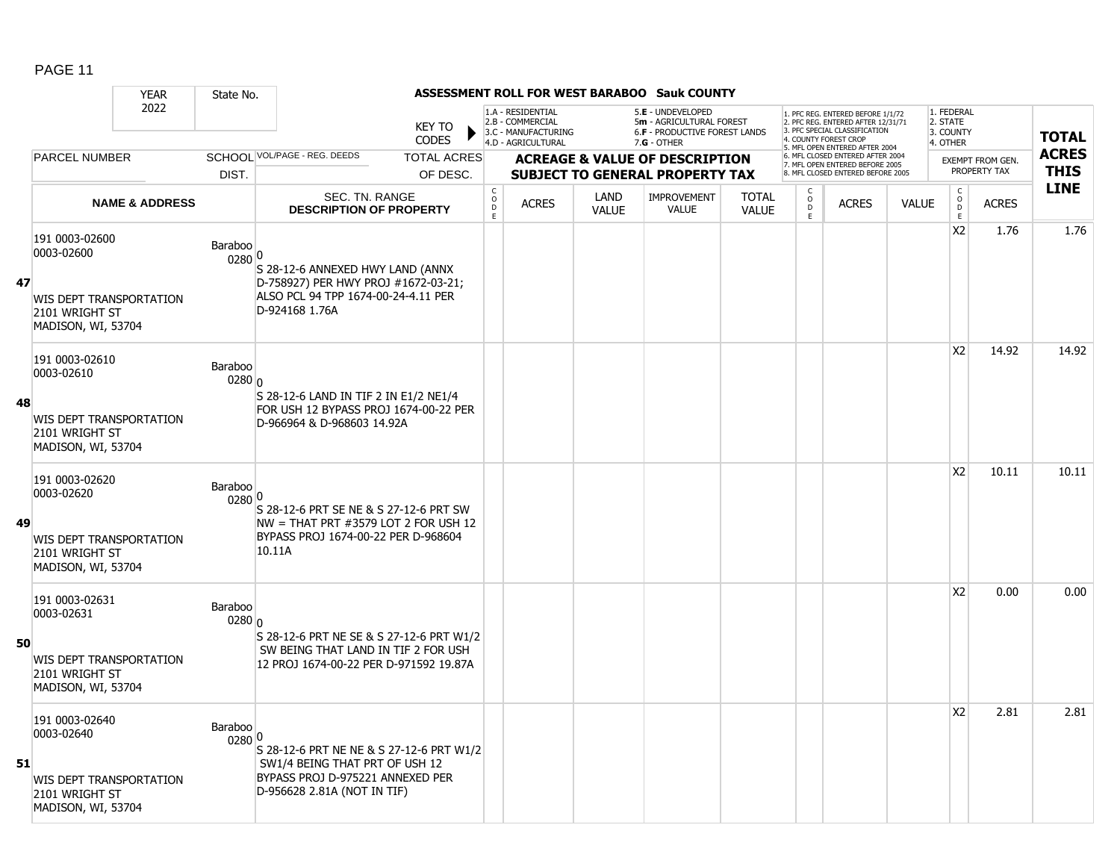|    |                                                                                                 | <b>YEAR</b>               | State No.         |                                                                                                                                               |                               |                                           |                                                                                    |                      | <b>ASSESSMENT ROLL FOR WEST BARABOO Sauk COUNTY</b>                                                    |                              |                         |                                                                                                                                                                     |              |                                                 |                         |                            |
|----|-------------------------------------------------------------------------------------------------|---------------------------|-------------------|-----------------------------------------------------------------------------------------------------------------------------------------------|-------------------------------|-------------------------------------------|------------------------------------------------------------------------------------|----------------------|--------------------------------------------------------------------------------------------------------|------------------------------|-------------------------|---------------------------------------------------------------------------------------------------------------------------------------------------------------------|--------------|-------------------------------------------------|-------------------------|----------------------------|
|    |                                                                                                 | 2022                      |                   |                                                                                                                                               | <b>KEY TO</b><br><b>CODES</b> |                                           | 1.A - RESIDENTIAL<br>2.B - COMMERCIAL<br>3.C - MANUFACTURING<br>4.D - AGRICULTURAL |                      | 5.E - UNDEVELOPED<br>5m - AGRICULTURAL FOREST<br><b>6.F - PRODUCTIVE FOREST LANDS</b><br>$7.G - OTHER$ |                              |                         | 1. PFC REG. ENTERED BEFORE 1/1/72<br>2. PFC REG. ENTERED AFTER 12/31/71<br>3. PFC SPECIAL CLASSIFICATION<br>4. COUNTY FOREST CROP<br>5. MFL OPEN ENTERED AFTER 2004 |              | 1. FEDERAL<br>2. STATE<br>3. COUNTY<br>4. OTHER |                         | <b>TOTAL</b>               |
|    | <b>PARCEL NUMBER</b>                                                                            |                           |                   | SCHOOL VOL/PAGE - REG. DEEDS                                                                                                                  | <b>TOTAL ACRES</b>            |                                           |                                                                                    |                      | <b>ACREAGE &amp; VALUE OF DESCRIPTION</b>                                                              |                              |                         | 6. MFL CLOSED ENTERED AFTER 2004<br>7. MFL OPEN ENTERED BEFORE 2005                                                                                                 |              |                                                 | <b>EXEMPT FROM GEN.</b> | <b>ACRES</b>               |
|    |                                                                                                 |                           | DIST.             |                                                                                                                                               | OF DESC.                      |                                           |                                                                                    |                      | <b>SUBJECT TO GENERAL PROPERTY TAX</b>                                                                 |                              |                         | 8. MFL CLOSED ENTERED BEFORE 2005                                                                                                                                   |              |                                                 | PROPERTY TAX            | <b>THIS</b><br><b>LINE</b> |
|    |                                                                                                 | <b>NAME &amp; ADDRESS</b> |                   | SEC. TN. RANGE<br><b>DESCRIPTION OF PROPERTY</b>                                                                                              |                               | $_{\rm o}^{\rm c}$<br>$\overline{D}$<br>E | <b>ACRES</b>                                                                       | LAND<br><b>VALUE</b> | <b>IMPROVEMENT</b><br><b>VALUE</b>                                                                     | <b>TOTAL</b><br><b>VALUE</b> | $_{\rm D}^{\rm O}$<br>E | <b>ACRES</b>                                                                                                                                                        | <b>VALUE</b> | $\begin{matrix} 0 \\ 0 \\ D \end{matrix}$<br>E  | <b>ACRES</b>            |                            |
| 47 | 191 0003-02600<br>0003-02600<br>WIS DEPT TRANSPORTATION<br>2101 WRIGHT ST<br>MADISON, WI, 53704 |                           | Baraboo<br>0280 0 | S 28-12-6 ANNEXED HWY LAND (ANNX<br>D-758927) PER HWY PROJ #1672-03-21;<br>ALSO PCL 94 TPP 1674-00-24-4.11 PER<br>D-924168 1.76A              |                               |                                           |                                                                                    |                      |                                                                                                        |                              |                         |                                                                                                                                                                     |              | X <sub>2</sub>                                  | 1.76                    | 1.76                       |
| 48 | 191 0003-02610<br>0003-02610<br>WIS DEPT TRANSPORTATION<br>2101 WRIGHT ST<br>MADISON, WI, 53704 |                           | Baraboo<br>0280 0 | S 28-12-6 LAND IN TIF 2 IN E1/2 NE1/4<br>FOR USH 12 BYPASS PROJ 1674-00-22 PER<br>D-966964 & D-968603 14.92A                                  |                               |                                           |                                                                                    |                      |                                                                                                        |                              |                         |                                                                                                                                                                     |              | X <sub>2</sub>                                  | 14.92                   | 14.92                      |
| 49 | 191 0003-02620<br>0003-02620<br>WIS DEPT TRANSPORTATION<br>2101 WRIGHT ST<br>MADISON, WI, 53704 |                           | Baraboo<br>0280 0 | S 28-12-6 PRT SE NE & S 27-12-6 PRT SW<br>NW = THAT PRT #3579 LOT 2 FOR USH 12<br>BYPASS PROJ 1674-00-22 PER D-968604<br>10.11A               |                               |                                           |                                                                                    |                      |                                                                                                        |                              |                         |                                                                                                                                                                     |              | X <sub>2</sub>                                  | 10.11                   | 10.11                      |
| 50 | 191 0003-02631<br>0003-02631<br>WIS DEPT TRANSPORTATION<br>2101 WRIGHT ST<br>MADISON, WI, 53704 |                           | Baraboo<br>0280 0 | S 28-12-6 PRT NE SE & S 27-12-6 PRT W1/2<br>SW BEING THAT LAND IN TIF 2 FOR USH<br>12 PROJ 1674-00-22 PER D-971592 19.87A                     |                               |                                           |                                                                                    |                      |                                                                                                        |                              |                         |                                                                                                                                                                     |              | X <sub>2</sub>                                  | 0.00                    | 0.00                       |
| 51 | 191 0003-02640<br>0003-02640<br>WIS DEPT TRANSPORTATION<br>2101 WRIGHT ST<br>MADISON, WI, 53704 |                           | Baraboo<br>0280 0 | S 28-12-6 PRT NE NE & S 27-12-6 PRT W1/2<br>SW1/4 BEING THAT PRT OF USH 12<br>BYPASS PROJ D-975221 ANNEXED PER<br>D-956628 2.81A (NOT IN TIF) |                               |                                           |                                                                                    |                      |                                                                                                        |                              |                         |                                                                                                                                                                     |              | X <sub>2</sub>                                  | 2.81                    | 2.81                       |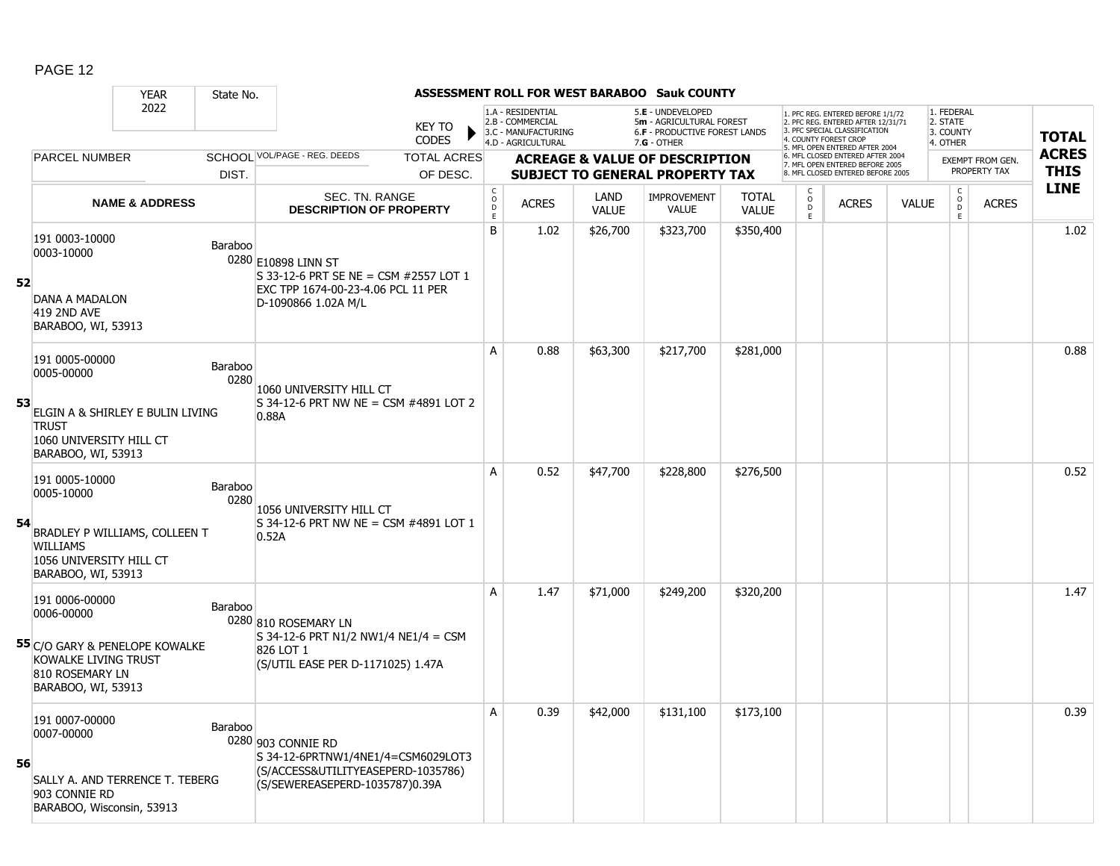|    |                                                                                                                                        | <b>YEAR</b>               | State No.       |                                                                                                                                  |                               |                                                 |                                                                                    |                      | ASSESSMENT ROLL FOR WEST BARABOO Sauk COUNTY                                                    |                              |                     |                                                                                                                                                                     |              |                                                 |                                         |                             |
|----|----------------------------------------------------------------------------------------------------------------------------------------|---------------------------|-----------------|----------------------------------------------------------------------------------------------------------------------------------|-------------------------------|-------------------------------------------------|------------------------------------------------------------------------------------|----------------------|-------------------------------------------------------------------------------------------------|------------------------------|---------------------|---------------------------------------------------------------------------------------------------------------------------------------------------------------------|--------------|-------------------------------------------------|-----------------------------------------|-----------------------------|
|    |                                                                                                                                        | 2022                      |                 |                                                                                                                                  | <b>KEY TO</b><br><b>CODES</b> |                                                 | 1.A - RESIDENTIAL<br>2.B - COMMERCIAL<br>3.C - MANUFACTURING<br>4.D - AGRICULTURAL |                      | 5.E - UNDEVELOPED<br>5m - AGRICULTURAL FOREST<br>6.F - PRODUCTIVE FOREST LANDS<br>$7.G - OTHER$ |                              |                     | 1. PFC REG. ENTERED BEFORE 1/1/72<br>2. PFC REG. ENTERED AFTER 12/31/71<br>3. PFC SPECIAL CLASSIFICATION<br>4. COUNTY FOREST CROP<br>5. MFL OPEN ENTERED AFTER 2004 |              | 1. FEDERAL<br>2. STATE<br>3. COUNTY<br>4. OTHER |                                         | <b>TOTAL</b>                |
|    | <b>PARCEL NUMBER</b>                                                                                                                   |                           |                 | SCHOOL VOL/PAGE - REG. DEEDS                                                                                                     | <b>TOTAL ACRES</b>            |                                                 |                                                                                    |                      | <b>ACREAGE &amp; VALUE OF DESCRIPTION</b>                                                       |                              |                     | 6. MFL CLOSED ENTERED AFTER 2004<br>7. MFL OPEN ENTERED BEFORE 2005                                                                                                 |              |                                                 | <b>EXEMPT FROM GEN.</b><br>PROPERTY TAX | <b>ACRES</b><br><b>THIS</b> |
|    |                                                                                                                                        |                           | DIST.           |                                                                                                                                  | OF DESC.                      |                                                 |                                                                                    |                      | <b>SUBJECT TO GENERAL PROPERTY TAX</b>                                                          |                              |                     | 8. MFL CLOSED ENTERED BEFORE 2005                                                                                                                                   |              |                                                 |                                         | <b>LINE</b>                 |
|    |                                                                                                                                        | <b>NAME &amp; ADDRESS</b> |                 | <b>DESCRIPTION OF PROPERTY</b>                                                                                                   | SEC. TN. RANGE                | $\begin{array}{c} C \\ O \\ D \\ E \end{array}$ | <b>ACRES</b>                                                                       | LAND<br><b>VALUE</b> | <b>IMPROVEMENT</b><br><b>VALUE</b>                                                              | <b>TOTAL</b><br><b>VALUE</b> | $\overline{0}$<br>E | <b>ACRES</b>                                                                                                                                                        | <b>VALUE</b> | $\begin{matrix} 0 \\ 0 \\ 0 \end{matrix}$<br>E  | <b>ACRES</b>                            |                             |
| 52 | 191 0003-10000<br>0003-10000<br>DANA A MADALON<br>419 2ND AVE<br>BARABOO, WI, 53913                                                    |                           | Baraboo         | 0280 E10898 LINN ST<br>S 33-12-6 PRT SE NE = CSM #2557 LOT 1<br>EXC TPP 1674-00-23-4.06 PCL 11 PER<br>D-1090866 1.02A M/L        |                               | B                                               | 1.02                                                                               | \$26,700             | \$323,700                                                                                       | \$350,400                    |                     |                                                                                                                                                                     |              |                                                 |                                         | 1.02                        |
| 53 | 191 0005-00000<br>0005-00000<br>ELGIN A & SHIRLEY E BULIN LIVING<br><b>TRUST</b><br>1060 UNIVERSITY HILL CT<br>BARABOO, WI, 53913      |                           | Baraboo<br>0280 | 1060 UNIVERSITY HILL CT<br>S 34-12-6 PRT NW NE = CSM #4891 LOT 2<br>0.88A                                                        |                               | A                                               | 0.88                                                                               | \$63,300             | \$217,700                                                                                       | \$281,000                    |                     |                                                                                                                                                                     |              |                                                 |                                         | 0.88                        |
| 54 | 191 0005-10000<br>0005-10000<br>BRADLEY P WILLIAMS, COLLEEN T<br><b>WILLIAMS</b><br>1056 UNIVERSITY HILL CT<br>BARABOO, WI, 53913      |                           | Baraboo<br>0280 | 1056 UNIVERSITY HILL CT<br>$S$ 34-12-6 PRT NW NE = CSM #4891 LOT 1<br>0.52A                                                      |                               | A                                               | 0.52                                                                               | \$47,700             | \$228,800                                                                                       | \$276,500                    |                     |                                                                                                                                                                     |              |                                                 |                                         | 0.52                        |
|    | 191 0006-00000<br>0006-00000<br>55 C/O GARY & PENELOPE KOWALKE<br><b>KOWALKE LIVING TRUST</b><br>810 ROSEMARY LN<br>BARABOO, WI, 53913 |                           | Baraboo         | 0280 810 ROSEMARY LN<br>S 34-12-6 PRT N1/2 NW1/4 NE1/4 = CSM<br>826 LOT 1<br>(S/UTIL EASE PER D-1171025) 1.47A                   |                               | A                                               | 1.47                                                                               | \$71,000             | \$249,200                                                                                       | \$320,200                    |                     |                                                                                                                                                                     |              |                                                 |                                         | 1.47                        |
| 56 | 191 0007-00000<br>0007-00000<br>SALLY A. AND TERRENCE T. TEBERG<br>903 CONNIE RD<br>BARABOO, Wisconsin, 53913                          |                           | Baraboo         | 0280 903 CONNIE RD<br>S 34-12-6PRTNW1/4NE1/4=CSM6029LOT3<br>(S/ACCESS&UTILITYEASEPERD-1035786)<br>(S/SEWEREASEPERD-1035787)0.39A |                               | A                                               | 0.39                                                                               | \$42,000             | \$131,100                                                                                       | \$173,100                    |                     |                                                                                                                                                                     |              |                                                 |                                         | 0.39                        |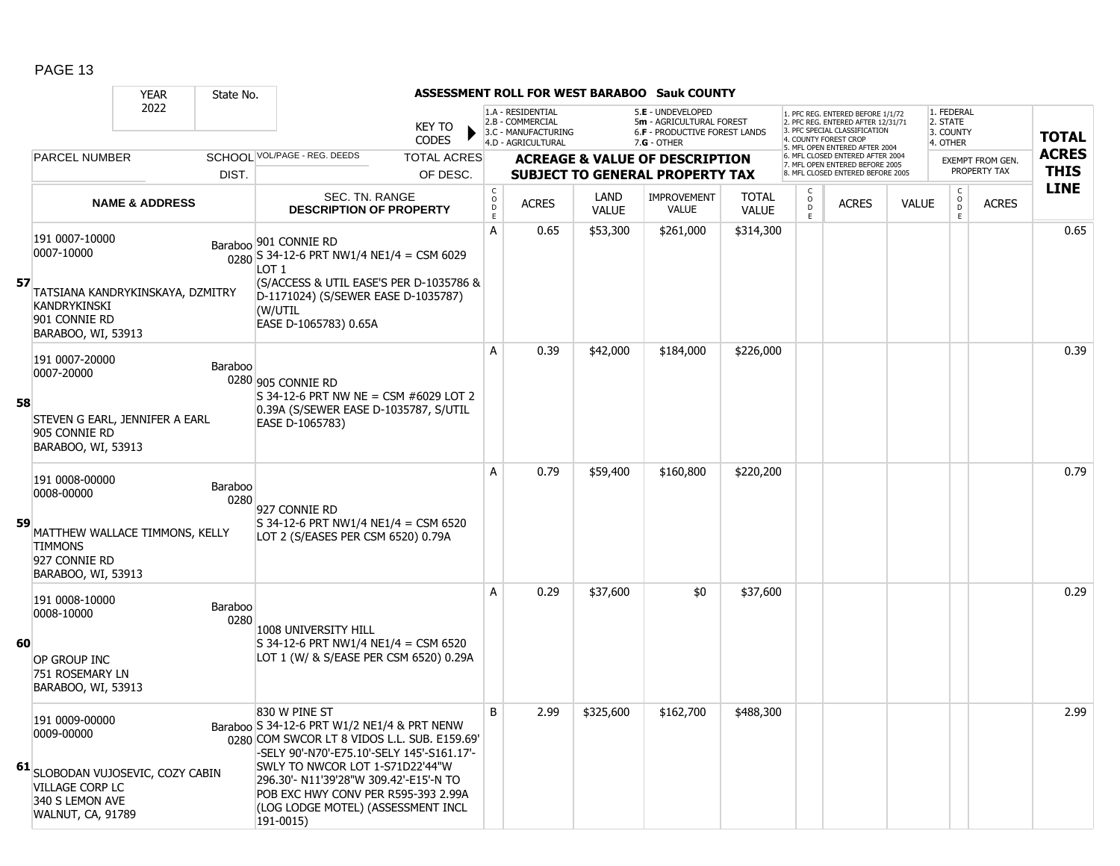|    |                                                                                                                                     | <b>YEAR</b>               | State No.       |                                                                                                                                                                                                                                                                                                                     |                               |                                                          |                                                                                    |                      | ASSESSMENT ROLL FOR WEST BARABOO Sauk COUNTY                                                         |                              |                                |                                                                                                                                                                    |              |                                                          |                         |              |
|----|-------------------------------------------------------------------------------------------------------------------------------------|---------------------------|-----------------|---------------------------------------------------------------------------------------------------------------------------------------------------------------------------------------------------------------------------------------------------------------------------------------------------------------------|-------------------------------|----------------------------------------------------------|------------------------------------------------------------------------------------|----------------------|------------------------------------------------------------------------------------------------------|------------------------------|--------------------------------|--------------------------------------------------------------------------------------------------------------------------------------------------------------------|--------------|----------------------------------------------------------|-------------------------|--------------|
|    |                                                                                                                                     | 2022                      |                 |                                                                                                                                                                                                                                                                                                                     | <b>KEY TO</b><br><b>CODES</b> |                                                          | 1.A - RESIDENTIAL<br>2.B - COMMERCIAL<br>3.C - MANUFACTURING<br>4.D - AGRICULTURAL |                      | 5.E - UNDEVELOPED<br>5m - AGRICULTURAL FOREST<br><b>6.F - PRODUCTIVE FOREST LANDS</b><br>7.G - OTHER |                              |                                | 1. PFC REG. ENTERED BEFORE 1/1/72<br>2. PFC REG. ENTERED AFTER 12/31/71<br>3. PFC SPECIAL CLASSIFICATION<br>4 COUNTY FOREST CROE<br>5. MFL OPEN ENTERED AFTER 2004 |              | 1. FEDERAL<br>2. STATE<br>3. COUNTY<br>4. OTHER          |                         | <b>TOTAL</b> |
|    | <b>PARCEL NUMBER</b>                                                                                                                |                           |                 | SCHOOL VOL/PAGE - REG. DEEDS                                                                                                                                                                                                                                                                                        | <b>TOTAL ACRES</b>            |                                                          |                                                                                    |                      | <b>ACREAGE &amp; VALUE OF DESCRIPTION</b>                                                            |                              |                                | 6. MFL CLOSED ENTERED AFTER 2004<br>7. MFL OPEN ENTERED BEFORE 2005                                                                                                |              |                                                          | <b>EXEMPT FROM GEN.</b> | <b>ACRES</b> |
|    |                                                                                                                                     |                           | DIST.           |                                                                                                                                                                                                                                                                                                                     | OF DESC.                      |                                                          |                                                                                    |                      | <b>SUBJECT TO GENERAL PROPERTY TAX</b>                                                               |                              |                                | 8 MFL CLOSED ENTERED BEFORE 2005                                                                                                                                   |              |                                                          | PROPERTY TAX            | <b>THIS</b>  |
|    |                                                                                                                                     | <b>NAME &amp; ADDRESS</b> |                 | <b>SEC. TN. RANGE</b><br><b>DESCRIPTION OF PROPERTY</b>                                                                                                                                                                                                                                                             |                               | $\begin{matrix} 0 \\ 0 \\ D \end{matrix}$<br>$\mathsf E$ | <b>ACRES</b>                                                                       | LAND<br><b>VALUE</b> | <b>IMPROVEMENT</b><br><b>VALUE</b>                                                                   | <b>TOTAL</b><br><b>VALUE</b> | $\frac{c}{0}$<br>$\frac{D}{E}$ | <b>ACRES</b>                                                                                                                                                       | <b>VALUE</b> | $\begin{matrix} C \\ O \\ D \end{matrix}$<br>$\mathsf E$ | <b>ACRES</b>            | <b>LINE</b>  |
|    | 191 0007-10000<br>0007-10000                                                                                                        |                           |                 | Baraboo 901 CONNIE RD<br>$\frac{1}{0280}$ S 34-12-6 PRT NW1/4 NE1/4 = CSM 6029<br>LOT <sub>1</sub>                                                                                                                                                                                                                  |                               | A                                                        | 0.65                                                                               | \$53,300             | \$261,000                                                                                            | \$314,300                    |                                |                                                                                                                                                                    |              |                                                          |                         | 0.65         |
| 57 | TATSIANA KANDRYKINSKAYA, DZMITRY<br><b>KANDRYKINSKI</b><br>901 CONNIE RD<br>BARABOO, WI, 53913                                      |                           |                 | (S/ACCESS & UTIL EASE'S PER D-1035786 &<br>D-1171024) (S/SEWER EASE D-1035787)<br>(W/UTIL<br>EASE D-1065783) 0.65A                                                                                                                                                                                                  |                               |                                                          |                                                                                    |                      |                                                                                                      |                              |                                |                                                                                                                                                                    |              |                                                          |                         |              |
| 58 | 191 0007-20000<br>0007-20000                                                                                                        |                           | Baraboo         | 0280 905 CONNIE RD<br>S 34-12-6 PRT NW NE = CSM #6029 LOT 2                                                                                                                                                                                                                                                         |                               | A                                                        | 0.39                                                                               | \$42,000             | \$184,000                                                                                            | \$226,000                    |                                |                                                                                                                                                                    |              |                                                          |                         | 0.39         |
|    | STEVEN G EARL, JENNIFER A EARL<br>905 CONNIE RD<br>BARABOO, WI, 53913                                                               |                           |                 | 0.39A (S/SEWER EASE D-1035787, S/UTIL<br>EASE D-1065783)                                                                                                                                                                                                                                                            |                               |                                                          |                                                                                    |                      |                                                                                                      |                              |                                |                                                                                                                                                                    |              |                                                          |                         |              |
| 59 | 191 0008-00000<br>0008-00000<br>MATTHEW WALLACE TIMMONS, KELLY<br><b>TIMMONS</b><br>927 CONNIE RD                                   |                           | Baraboo<br>0280 | 927 CONNIE RD<br>$S$ 34-12-6 PRT NW1/4 NE1/4 = CSM 6520<br>LOT 2 (S/EASES PER CSM 6520) 0.79A                                                                                                                                                                                                                       |                               | A                                                        | 0.79                                                                               | \$59,400             | \$160,800                                                                                            | \$220,200                    |                                |                                                                                                                                                                    |              |                                                          |                         | 0.79         |
|    | BARABOO, WI, 53913                                                                                                                  |                           |                 |                                                                                                                                                                                                                                                                                                                     |                               |                                                          |                                                                                    |                      |                                                                                                      |                              |                                |                                                                                                                                                                    |              |                                                          |                         |              |
| 60 | 191 0008-10000<br>0008-10000<br>OP GROUP INC                                                                                        |                           | Baraboo<br>0280 | 1008 UNIVERSITY HILL<br>S 34-12-6 PRT NW1/4 NE1/4 = CSM 6520<br>LOT 1 (W/ & S/EASE PER CSM 6520) 0.29A                                                                                                                                                                                                              |                               | A                                                        | 0.29                                                                               | \$37,600             | \$0                                                                                                  | \$37,600                     |                                |                                                                                                                                                                    |              |                                                          |                         | 0.29         |
|    | 751 ROSEMARY LN<br>BARABOO, WI, 53913                                                                                               |                           |                 | 830 W PINE ST                                                                                                                                                                                                                                                                                                       |                               | B                                                        | 2.99                                                                               | \$325,600            | \$162,700                                                                                            | \$488,300                    |                                |                                                                                                                                                                    |              |                                                          |                         | 2.99         |
|    | 191 0009-00000<br>0009-00000<br>61 SLOBODAN VUJOSEVIC, COZY CABIN<br>VILLAGE CORP LC<br>340 S LEMON AVE<br><b>WALNUT, CA, 91789</b> |                           |                 | Baraboo S 34-12-6 PRT W1/2 NE1/4 & PRT NENW<br>0280 COM SWCOR LT 8 VIDOS L.L. SUB. E159.69'<br>-SELY 90'-N70'-E75.10'-SELY 145'-S161.17'-<br>SWLY TO NWCOR LOT 1-S71D22'44"W<br>296.30'- N11'39'28"W 309.42'-E15'-N TO<br>POB EXC HWY CONV PER R595-393 2.99A<br>(LOG LODGE MOTEL) (ASSESSMENT INCL<br>$191 - 0015$ |                               |                                                          |                                                                                    |                      |                                                                                                      |                              |                                |                                                                                                                                                                    |              |                                                          |                         |              |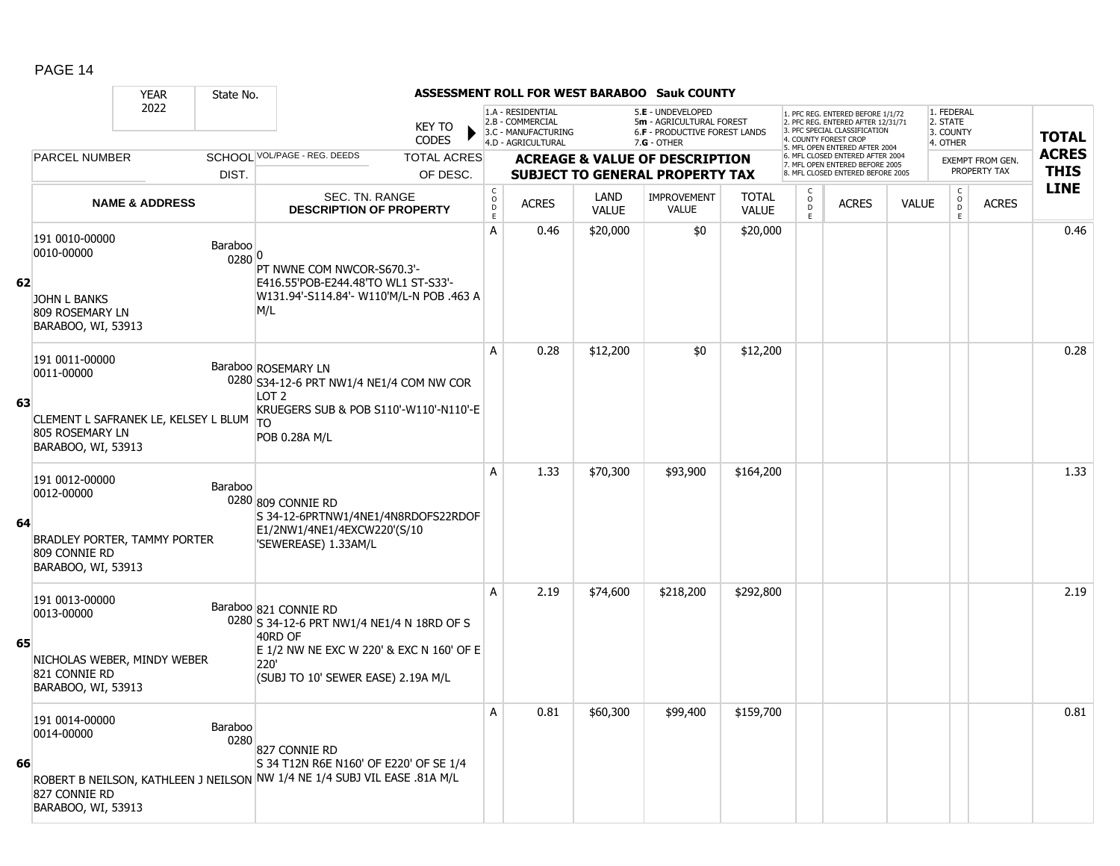|    |                                                                                                            | <b>YEAR</b>               | State No.         |                                                                                                                                                                          |                               |                                            |                                                                                    |                      | ASSESSMENT ROLL FOR WEST BARABOO Sauk COUNTY                                                    |                              |                                |                                                                                                                                                                    |              |                                                 |                         |              |
|----|------------------------------------------------------------------------------------------------------------|---------------------------|-------------------|--------------------------------------------------------------------------------------------------------------------------------------------------------------------------|-------------------------------|--------------------------------------------|------------------------------------------------------------------------------------|----------------------|-------------------------------------------------------------------------------------------------|------------------------------|--------------------------------|--------------------------------------------------------------------------------------------------------------------------------------------------------------------|--------------|-------------------------------------------------|-------------------------|--------------|
|    |                                                                                                            | 2022                      |                   |                                                                                                                                                                          | <b>KEY TO</b><br><b>CODES</b> |                                            | 1.A - RESIDENTIAL<br>2.B - COMMERCIAL<br>3.C - MANUFACTURING<br>4.D - AGRICULTURAL |                      | 5.E - UNDEVELOPED<br>5m - AGRICULTURAL FOREST<br>6.F - PRODUCTIVE FOREST LANDS<br>$7.G - OTHER$ |                              |                                | . PFC REG. ENTERED BEFORE 1/1/72<br>2. PFC REG. ENTERED AFTER 12/31/71<br>3. PFC SPECIAL CLASSIFICATION<br>4. COUNTY FOREST CROP<br>5. MFL OPEN ENTERED AFTER 2004 |              | 1. FEDERAL<br>2. STATE<br>3. COUNTY<br>4. OTHER |                         | <b>TOTAL</b> |
|    | <b>PARCEL NUMBER</b>                                                                                       |                           |                   | SCHOOL VOL/PAGE - REG. DEEDS                                                                                                                                             | <b>TOTAL ACRES</b>            |                                            |                                                                                    |                      | <b>ACREAGE &amp; VALUE OF DESCRIPTION</b>                                                       |                              |                                | 6. MFL CLOSED ENTERED AFTER 2004<br>7. MFL OPEN ENTERED BEFORE 2005                                                                                                |              |                                                 | <b>EXEMPT FROM GEN.</b> | <b>ACRES</b> |
|    |                                                                                                            |                           | DIST.             |                                                                                                                                                                          | OF DESC.                      |                                            |                                                                                    |                      | <b>SUBJECT TO GENERAL PROPERTY TAX</b>                                                          |                              |                                | 8. MFL CLOSED ENTERED BEFORE 2005                                                                                                                                  |              |                                                 | PROPERTY TAX            | <b>THIS</b>  |
|    |                                                                                                            | <b>NAME &amp; ADDRESS</b> |                   | SEC. TN. RANGE<br><b>DESCRIPTION OF PROPERTY</b>                                                                                                                         |                               | $\begin{array}{c} C \\ O \\ E \end{array}$ | <b>ACRES</b>                                                                       | LAND<br><b>VALUE</b> | <b>IMPROVEMENT</b><br><b>VALUE</b>                                                              | <b>TOTAL</b><br><b>VALUE</b> | $\frac{c}{0}$<br>$\frac{D}{E}$ | <b>ACRES</b>                                                                                                                                                       | <b>VALUE</b> | $_{\rm o}^{\rm c}$<br><b>D</b><br>E             | <b>ACRES</b>            | <b>LINE</b>  |
| 62 | 191 0010-00000<br>0010-00000<br><b>JOHN L BANKS</b><br>809 ROSEMARY LN                                     |                           | Baraboo<br>0280 0 | PT NWNE COM NWCOR-S670.3'-<br>E416.55'POB-E244.48'TO WL1 ST-S33'-<br>W131.94'-S114.84'- W110'M/L-N POB .463 A<br>M/L                                                     |                               | A                                          | 0.46                                                                               | \$20,000             | \$0                                                                                             | \$20,000                     |                                |                                                                                                                                                                    |              |                                                 |                         | 0.46         |
|    | BARABOO, WI, 53913<br>191 0011-00000<br>0011-00000                                                         |                           |                   | Baraboo ROSEMARY LN<br>0280 S34-12-6 PRT NW1/4 NE1/4 COM NW COR<br>LOT <sub>2</sub>                                                                                      |                               | A                                          | 0.28                                                                               | \$12,200             | \$0                                                                                             | \$12,200                     |                                |                                                                                                                                                                    |              |                                                 |                         | 0.28         |
| 63 | CLEMENT L SAFRANEK LE, KELSEY L BLUM<br>805 ROSEMARY LN<br>BARABOO, WI, 53913                              |                           |                   | KRUEGERS SUB & POB S110'-W110'-N110'-E<br><b>TO</b><br>POB 0.28A M/L                                                                                                     |                               |                                            |                                                                                    |                      |                                                                                                 |                              |                                |                                                                                                                                                                    |              |                                                 |                         |              |
| 64 | 191 0012-00000<br>0012-00000<br><b>BRADLEY PORTER, TAMMY PORTER</b><br>809 CONNIE RD<br>BARABOO, WI, 53913 |                           | Baraboo           | 0280 809 CONNIE RD<br>S 34-12-6PRTNW1/4NE1/4N8RDOFS22RDOF<br>E1/2NW1/4NE1/4EXCW220'(S/10<br>'SEWEREASE) 1.33AM/L                                                         |                               | A                                          | 1.33                                                                               | \$70,300             | \$93,900                                                                                        | \$164,200                    |                                |                                                                                                                                                                    |              |                                                 |                         | 1.33         |
| 65 | 191 0013-00000<br>0013-00000<br>NICHOLAS WEBER, MINDY WEBER<br>821 CONNIE RD<br>BARABOO, WI, 53913         |                           |                   | Baraboo 821 CONNIE RD<br>0280 S 34-12-6 PRT NW1/4 NE1/4 N 18RD OF S<br>40RD OF<br>E 1/2 NW NE EXC W 220' & EXC N 160' OF E<br>220'<br>(SUBJ TO 10' SEWER EASE) 2.19A M/L |                               | A                                          | 2.19                                                                               | \$74,600             | \$218,200                                                                                       | \$292,800                    |                                |                                                                                                                                                                    |              |                                                 |                         | 2.19         |
| 66 | 191 0014-00000<br>0014-00000<br>827 CONNIE RD<br>BARABOO, WI, 53913                                        |                           | Baraboo<br>0280   | 827 CONNIE RD<br>S 34 T12N R6E N160' OF E220' OF SE 1/4<br>ROBERT B NEILSON, KATHLEEN J NEILSON NW 1/4 NE 1/4 SUBJ VIL EASE .81A M/L                                     |                               | A                                          | 0.81                                                                               | \$60,300             | \$99,400                                                                                        | \$159,700                    |                                |                                                                                                                                                                    |              |                                                 |                         | 0.81         |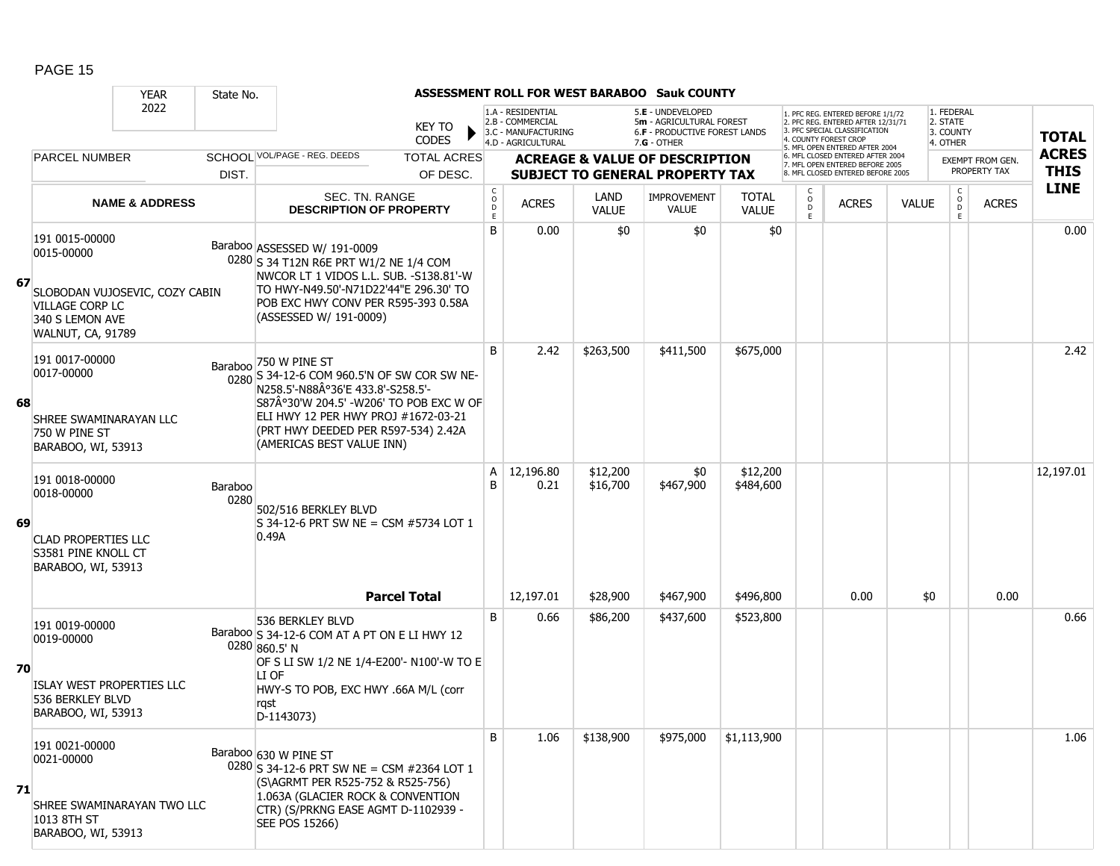|    |                                                                                                                           | <b>YEAR</b>               | State No.       |                                                                                                                                                                                                                                                                |                   |                                                                                    |                      | ASSESSMENT ROLL FOR WEST BARABOO Sauk COUNTY                                                  |                              |                        |                                                                                                                                          |              |                                                 |                                         |                             |
|----|---------------------------------------------------------------------------------------------------------------------------|---------------------------|-----------------|----------------------------------------------------------------------------------------------------------------------------------------------------------------------------------------------------------------------------------------------------------------|-------------------|------------------------------------------------------------------------------------|----------------------|-----------------------------------------------------------------------------------------------|------------------------------|------------------------|------------------------------------------------------------------------------------------------------------------------------------------|--------------|-------------------------------------------------|-----------------------------------------|-----------------------------|
|    |                                                                                                                           | 2022                      |                 | KEY TO<br><b>CODES</b>                                                                                                                                                                                                                                         |                   | 1.A - RESIDENTIAL<br>2.B - COMMERCIAL<br>3.C - MANUFACTURING<br>4.D - AGRICULTURAL |                      | 5.E - UNDEVELOPED<br>5m - AGRICULTURAL FOREST<br>6.F - PRODUCTIVE FOREST LANDS<br>7.G - OTHER |                              |                        | 1. PFC REG. ENTERED BEFORE 1/1/72<br>2. PFC REG. ENTERED AFTER 12/31/71<br>3. PFC SPECIAL CLASSIFICATION<br><b>4. COUNTY FOREST CROP</b> |              | 1. FEDERAL<br>2. STATE<br>3. COUNTY<br>4. OTHER |                                         | <b>TOTAL</b>                |
|    | <b>PARCEL NUMBER</b>                                                                                                      |                           |                 | SCHOOL VOL/PAGE - REG. DEEDS<br><b>TOTAL ACRES</b>                                                                                                                                                                                                             |                   |                                                                                    |                      | <b>ACREAGE &amp; VALUE OF DESCRIPTION</b>                                                     |                              |                        | 5. MFL OPEN ENTERED AFTER 2004<br>6. MFL CLOSED ENTERED AFTER 2004<br>7. MFL OPEN ENTERED BEFORE 2005                                    |              |                                                 | <b>EXEMPT FROM GEN.</b><br>PROPERTY TAX | <b>ACRES</b><br><b>THIS</b> |
|    |                                                                                                                           |                           | DIST.           | OF DESC.                                                                                                                                                                                                                                                       | $\mathsf{C}$      |                                                                                    |                      | <b>SUBJECT TO GENERAL PROPERTY TAX</b>                                                        |                              | C                      | 8. MFL CLOSED ENTERED BEFORE 2005                                                                                                        |              | $\mathsf{C}$                                    |                                         | <b>LINE</b>                 |
|    |                                                                                                                           | <b>NAME &amp; ADDRESS</b> |                 | SEC. TN. RANGE<br><b>DESCRIPTION OF PROPERTY</b>                                                                                                                                                                                                               | $\circ$<br>D<br>E | <b>ACRES</b>                                                                       | LAND<br><b>VALUE</b> | <b>IMPROVEMENT</b><br><b>VALUE</b>                                                            | <b>TOTAL</b><br><b>VALUE</b> | $\mathsf{o}$<br>D<br>E | <b>ACRES</b>                                                                                                                             | <b>VALUE</b> | $\circ$<br>D<br>E.                              | <b>ACRES</b>                            |                             |
| 67 | 191 0015-00000<br>0015-00000<br>SLOBODAN VUJOSEVIC, COZY CABIN<br>VILLAGE CORP LC<br>340 S LEMON AVE<br>WALNUT, CA, 91789 |                           |                 | Baraboo ASSESSED W/ 191-0009<br>0280 S 34 T12N R6E PRT W1/2 NE 1/4 COM<br>NWCOR LT 1 VIDOS L.L. SUB. -S138.81'-W<br>TO HWY-N49.50'-N71D22'44"E 296.30' TO<br>POB EXC HWY CONV PER R595-393 0.58A<br>(ASSESSED W/ 191-0009)                                     | B                 | 0.00                                                                               | \$0                  | \$0                                                                                           | \$0                          |                        |                                                                                                                                          |              |                                                 |                                         | 0.00                        |
| 68 | 191 0017-00000<br>0017-00000<br>SHREE SWAMINARAYAN LLC<br>750 W PINE ST<br>BARABOO, WI, 53913                             |                           |                 | Baraboo 750 W PINE ST<br>0280 S 34-12-6 COM 960.5'N OF SW COR SW NE-<br>N258.5'-N88A°36'E 433.8'-S258.5'-<br>S87°30'W 204.5' -W206' TO POB EXC W OF<br>ELI HWY 12 PER HWY PROJ #1672-03-21<br>(PRT HWY DEEDED PER R597-534) 2.42A<br>(AMERICAS BEST VALUE INN) | B                 | 2.42                                                                               | \$263,500            | \$411,500                                                                                     | \$675,000                    |                        |                                                                                                                                          |              |                                                 |                                         | 2.42                        |
| 69 | 191 0018-00000<br>0018-00000<br><b>CLAD PROPERTIES LLC</b><br>S3581 PINE KNOLL CT<br>BARABOO, WI, 53913                   |                           | Baraboo<br>0280 | 502/516 BERKLEY BLVD<br>S 34-12-6 PRT SW NE = CSM #5734 LOT 1<br>0.49A                                                                                                                                                                                         | A<br>B            | 12,196.80<br>0.21                                                                  | \$12,200<br>\$16,700 | \$0<br>\$467,900                                                                              | \$12,200<br>\$484,600        |                        |                                                                                                                                          |              |                                                 |                                         | 12,197.01                   |
|    |                                                                                                                           |                           |                 | <b>Parcel Total</b>                                                                                                                                                                                                                                            |                   | 12,197.01                                                                          | \$28,900             | \$467,900                                                                                     | \$496,800                    |                        | 0.00                                                                                                                                     | \$0          |                                                 | 0.00                                    |                             |
| 70 | 191 0019-00000<br>0019-00000<br>ISLAY WEST PROPERTIES LLC<br>536 BERKLEY BLVD<br>BARABOO, WI, 53913                       |                           |                 | 536 BERKLEY BLVD<br>Baraboo S 34-12-6 COM AT A PT ON E LI HWY 12<br>0280 860.5' N<br>OF S LI SW 1/2 NE 1/4-E200'- N100'-W TO E<br>LI OF<br>HWY-S TO POB, EXC HWY .66A M/L (corr<br>rgst<br>D-1143073)                                                          | B                 | 0.66                                                                               | \$86,200             | \$437,600                                                                                     | \$523,800                    |                        |                                                                                                                                          |              |                                                 |                                         | 0.66                        |
| 71 | 191 0021-00000<br>0021-00000<br>SHREE SWAMINARAYAN TWO LLC<br>1013 8TH ST<br>BARABOO, WI, 53913                           |                           |                 | Baraboo 630 W PINE ST<br>0280 S 34-12-6 PRT SW NE = CSM #2364 LOT 1<br>(S\AGRMT PER R525-752 & R525-756)<br>1.063A (GLACIER ROCK & CONVENTION<br>CTR) (S/PRKNG EASE AGMT D-1102939 -<br>SEE POS 15266)                                                         | B                 | 1.06                                                                               | \$138,900            | \$975,000                                                                                     | \$1,113,900                  |                        |                                                                                                                                          |              |                                                 |                                         | 1.06                        |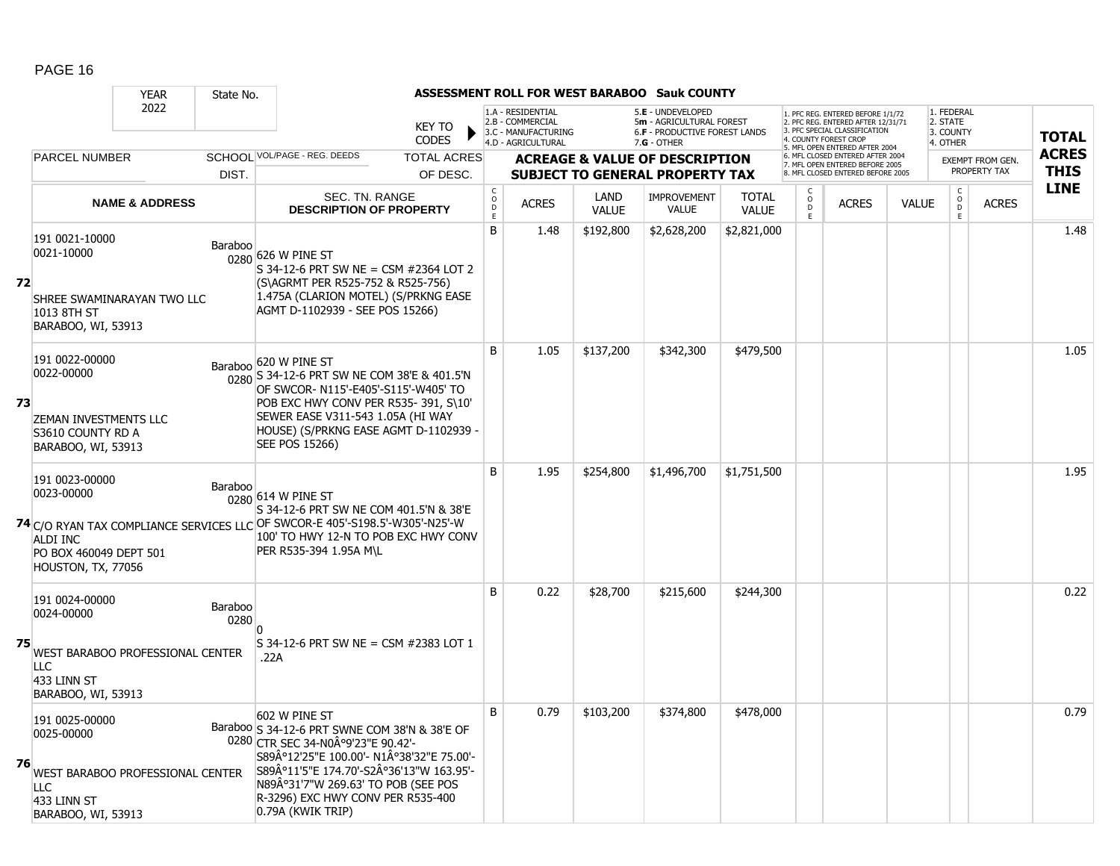|    |                                                                                                              | <b>YEAR</b>               | State No.       |                                                                                                                                                                                                                                                                                          |                        |                                                                                    |                      | ASSESSMENT ROLL FOR WEST BARABOO Sauk COUNTY                                                  |                              |                                                   |                                                                                                                                          |              |                                                 |                         |              |
|----|--------------------------------------------------------------------------------------------------------------|---------------------------|-----------------|------------------------------------------------------------------------------------------------------------------------------------------------------------------------------------------------------------------------------------------------------------------------------------------|------------------------|------------------------------------------------------------------------------------|----------------------|-----------------------------------------------------------------------------------------------|------------------------------|---------------------------------------------------|------------------------------------------------------------------------------------------------------------------------------------------|--------------|-------------------------------------------------|-------------------------|--------------|
|    |                                                                                                              | 2022                      |                 | <b>KEY TO</b><br><b>CODES</b>                                                                                                                                                                                                                                                            |                        | 1.A - RESIDENTIAL<br>2.B - COMMERCIAL<br>3.C - MANUFACTURING<br>4.D - AGRICULTURAL |                      | 5.E - UNDEVELOPED<br>5m - AGRICULTURAL FOREST<br>6.F - PRODUCTIVE FOREST LANDS<br>7.G - OTHER |                              |                                                   | PFC REG. ENTERED BEFORE 1/1/72<br>2. PFC REG. ENTERED AFTER 12/31/71<br><b>3 PEC SPECIAL CLASSIFICATION</b><br><b>COUNTY FOREST CROP</b> |              | 1. FEDERAL<br>2. STATE<br>3. COUNTY<br>4. OTHER |                         | <b>TOTAL</b> |
|    | <b>PARCEL NUMBER</b>                                                                                         |                           |                 | SCHOOL VOL/PAGE - REG. DEEDS<br><b>TOTAL ACRES</b>                                                                                                                                                                                                                                       |                        |                                                                                    |                      | <b>ACREAGE &amp; VALUE OF DESCRIPTION</b>                                                     |                              |                                                   | 5. MFL OPEN ENTERED AFTER 2004<br>6. MFL CLOSED ENTERED AFTER 2004<br>7. MFL OPEN ENTERED BEFORE 2005                                    |              |                                                 | <b>EXEMPT FROM GEN.</b> | <b>ACRES</b> |
|    |                                                                                                              |                           | DIST.           | OF DESC.                                                                                                                                                                                                                                                                                 |                        |                                                                                    |                      | <b>SUBJECT TO GENERAL PROPERTY TAX</b>                                                        |                              |                                                   | 8. MFL CLOSED ENTERED BEFORE 2005                                                                                                        |              |                                                 | PROPERTY TAX            | <b>THIS</b>  |
|    |                                                                                                              | <b>NAME &amp; ADDRESS</b> |                 | SEC. TN. RANGE<br><b>DESCRIPTION OF PROPERTY</b>                                                                                                                                                                                                                                         | C<br>$\circ$<br>D<br>E | <b>ACRES</b>                                                                       | LAND<br><b>VALUE</b> | <b>IMPROVEMENT</b><br><b>VALUE</b>                                                            | <b>TOTAL</b><br><b>VALUE</b> | $\overset{\mathsf{O}}{\mathsf{D}}$<br>$\mathsf F$ | <b>ACRES</b>                                                                                                                             | <b>VALUE</b> | $\begin{matrix} 0 \\ 0 \\ 0 \end{matrix}$<br>E  | <b>ACRES</b>            | <b>LINE</b>  |
| 72 | 191 0021-10000<br>0021-10000<br>SHREE SWAMINARAYAN TWO LLC<br>1013 8TH ST<br>BARABOO, WI, 53913              |                           | Baraboo         | 0280 626 W PINE ST<br>S 34-12-6 PRT SW NE = CSM #2364 LOT 2<br>(S\AGRMT PER R525-752 & R525-756)<br>1.475A (CLARION MOTEL) (S/PRKNG EASE<br>AGMT D-1102939 - SEE POS 15266)                                                                                                              | B                      | 1.48                                                                               | \$192,800            | \$2,628,200                                                                                   | \$2,821,000                  |                                                   |                                                                                                                                          |              |                                                 |                         | 1.48         |
| 73 | 191 0022-00000<br>0022-00000<br><b>ZEMAN INVESTMENTS LLC</b><br>S3610 COUNTY RD A<br>BARABOO, WI, 53913      |                           | Baraboo         | 620 W PINE ST<br>0280 S 34-12-6 PRT SW NE COM 38'E & 401.5'N<br>OF SWCOR- N115'-E405'-S115'-W405' TO<br>POB EXC HWY CONV PER R535-391, S\10'<br>SEWER EASE V311-543 1.05A (HI WAY<br>HOUSE) (S/PRKNG EASE AGMT D-1102939 -<br>SEE POS 15266)                                             | B                      | 1.05                                                                               | \$137,200            | \$342,300                                                                                     | \$479,500                    |                                                   |                                                                                                                                          |              |                                                 |                         | 1.05         |
|    | 191 0023-00000<br>0023-00000<br>ALDI INC<br>PO BOX 460049 DEPT 501<br>HOUSTON, TX, 77056                     |                           | Baraboo         | 0280 614 W PINE ST<br>S 34-12-6 PRT SW NE COM 401.5'N & 38'E<br>74 C/O RYAN TAX COMPLIANCE SERVICES LLC OF SWCOR-E 405'-S198.5'-W305'-N25'-W<br>100' TO HWY 12-N TO POB EXC HWY CONV<br>PER R535-394 1.95A M\L                                                                           | B                      | 1.95                                                                               | \$254,800            | \$1,496,700                                                                                   | \$1,751,500                  |                                                   |                                                                                                                                          |              |                                                 |                         | 1.95         |
| 75 | 191 0024-00000<br>0024-00000<br>WEST BARABOO PROFESSIONAL CENTER<br>LLC<br>433 LINN ST<br>BARABOO, WI, 53913 |                           | Baraboo<br>0280 | S 34-12-6 PRT SW NE = CSM #2383 LOT 1<br>.22A                                                                                                                                                                                                                                            | B                      | 0.22                                                                               | \$28,700             | \$215,600                                                                                     | \$244,300                    |                                                   |                                                                                                                                          |              |                                                 |                         | 0.22         |
| 76 | 191 0025-00000<br>0025-00000<br>WEST BARABOO PROFESSIONAL CENTER<br>LLC<br>433 LINN ST<br>BARABOO, WI, 53913 |                           |                 | 602 W PINE ST<br>Baraboo S 34-12-6 PRT SWNE COM 38'N & 38'E OF<br>0280 CTR SEC 34-N0°9'23"E 90.42'-<br>S89°12'25"E 100.00'- N1°38'32"E 75.00'-<br>S89°11'5"E 174.70'-S2°36'13"W 163.95'-<br>N89°31'7"W 269.63' TO POB (SEE POS<br>R-3296) EXC HWY CONV PER R535-400<br>0.79A (KWIK TRIP) | B                      | 0.79                                                                               | \$103,200            | \$374,800                                                                                     | \$478,000                    |                                                   |                                                                                                                                          |              |                                                 |                         | 0.79         |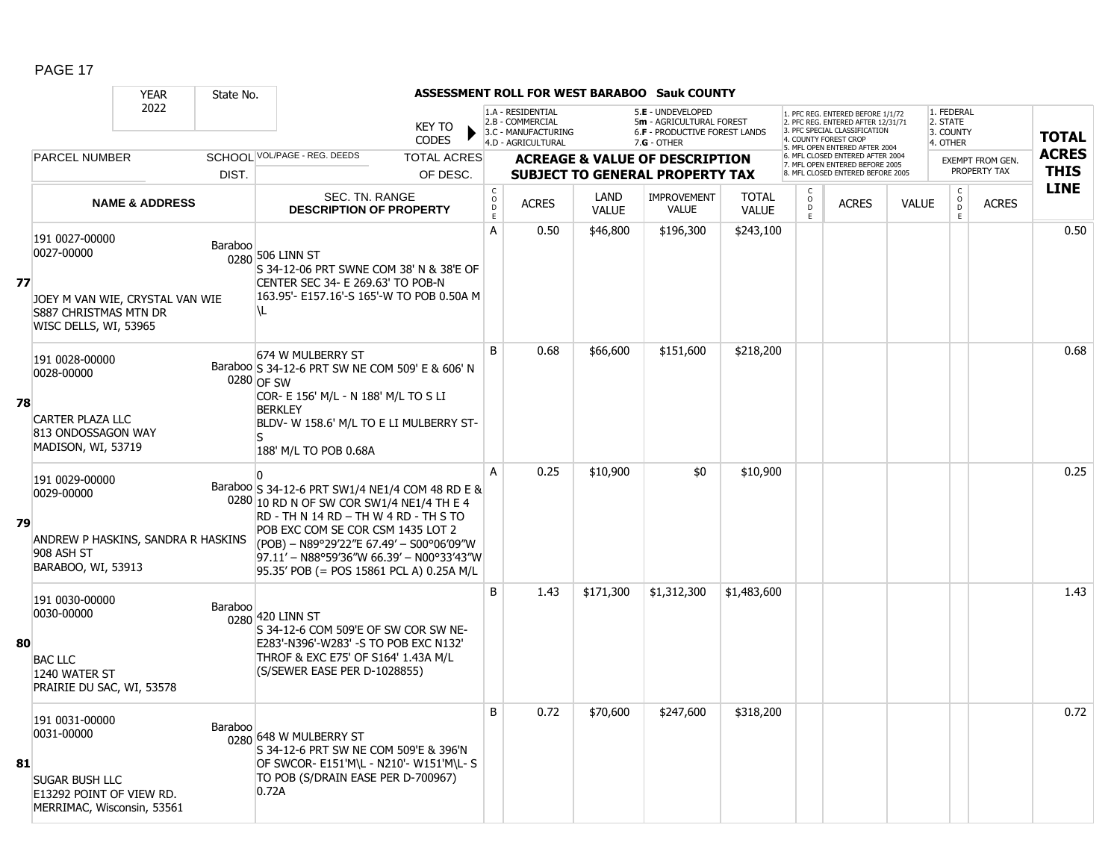|    |                                                                                                                          | <b>YEAR</b>               | State No.      |                                                                                                                                                                                                                                                                                                                 |                                             |                                                                                    |                      | <b>ASSESSMENT ROLL FOR WEST BARABOO Sauk COUNTY</b>                                           |                              |                         |                                                                                                                                                                    |              |                                                 |                         |              |
|----|--------------------------------------------------------------------------------------------------------------------------|---------------------------|----------------|-----------------------------------------------------------------------------------------------------------------------------------------------------------------------------------------------------------------------------------------------------------------------------------------------------------------|---------------------------------------------|------------------------------------------------------------------------------------|----------------------|-----------------------------------------------------------------------------------------------|------------------------------|-------------------------|--------------------------------------------------------------------------------------------------------------------------------------------------------------------|--------------|-------------------------------------------------|-------------------------|--------------|
|    |                                                                                                                          | 2022                      |                | <b>KEY TO</b><br><b>CODES</b>                                                                                                                                                                                                                                                                                   |                                             | 1.A - RESIDENTIAL<br>2.B - COMMERCIAL<br>3.C - MANUFACTURING<br>4.D - AGRICULTURAL |                      | 5.E - UNDEVELOPED<br>5m - AGRICULTURAL FOREST<br>6.F - PRODUCTIVE FOREST LANDS<br>7.G - OTHER |                              |                         | 1. PFC REG. ENTERED BEFORE 1/1/72<br>2. PFC REG. ENTERED AFTER 12/31/71<br>3 PEC SPECIAL CLASSIFICATION<br>4. COUNTY FOREST CROP<br>5. MFL OPEN ENTERED AFTER 2004 |              | 1. FEDERAL<br>2. STATE<br>3. COUNTY<br>4. OTHER |                         | <b>TOTAL</b> |
|    | PARCEL NUMBER                                                                                                            |                           |                | SCHOOL VOL/PAGE - REG. DEEDS<br><b>TOTAL ACRES</b>                                                                                                                                                                                                                                                              |                                             |                                                                                    |                      | <b>ACREAGE &amp; VALUE OF DESCRIPTION</b>                                                     |                              |                         | 6. MFL CLOSED ENTERED AFTER 2004<br>7. MFL OPEN ENTERED BEFORE 2005                                                                                                |              |                                                 | <b>EXEMPT FROM GEN.</b> | <b>ACRES</b> |
|    |                                                                                                                          |                           | DIST.          | OF DESC.                                                                                                                                                                                                                                                                                                        |                                             |                                                                                    |                      | <b>SUBJECT TO GENERAL PROPERTY TAX</b>                                                        |                              |                         | 8. MFL CLOSED ENTERED BEFORE 2005                                                                                                                                  |              |                                                 | PROPERTY TAX            | <b>THIS</b>  |
|    |                                                                                                                          | <b>NAME &amp; ADDRESS</b> |                | SEC. TN. RANGE<br><b>DESCRIPTION OF PROPERTY</b>                                                                                                                                                                                                                                                                | $\mathsf{C}$<br>$\circ$<br>$\mathsf D$<br>E | <b>ACRES</b>                                                                       | LAND<br><b>VALUE</b> | <b>IMPROVEMENT</b><br><b>VALUE</b>                                                            | <b>TOTAL</b><br><b>VALUE</b> | $_{\rm D}^{\rm O}$<br>E | <b>ACRES</b>                                                                                                                                                       | <b>VALUE</b> | $\begin{matrix} 0 \\ 0 \\ D \end{matrix}$<br>E  | <b>ACRES</b>            | <b>LINE</b>  |
| 77 | 191 0027-00000<br>0027-00000<br>JOEY M VAN WIE, CRYSTAL VAN WIE<br><b>S887 CHRISTMAS MTN DR</b><br>WISC DELLS, WI, 53965 |                           | Baraboo        | 0280 506 LINN ST<br>S 34-12-06 PRT SWNE COM 38' N & 38'E OF<br>CENTER SEC 34- E 269.63' TO POB-N<br>163.95'- E157.16'-S 165'-W TO POB 0.50A M<br>۱L                                                                                                                                                             | A                                           | 0.50                                                                               | \$46,800             | \$196,300                                                                                     | \$243,100                    |                         |                                                                                                                                                                    |              |                                                 |                         | 0.50         |
| 78 | 191 0028-00000<br>0028-00000<br><b>CARTER PLAZA LLC</b><br>813 ONDOSSAGON WAY<br>MADISON, WI, 53719                      |                           |                | 674 W MULBERRY ST<br>Baraboo S 34-12-6 PRT SW NE COM 509' E & 606' N<br>0280 OF SW<br>COR- E 156' M/L - N 188' M/L TO S LI<br><b>BERKLEY</b><br>BLDV- W 158.6' M/L TO E LI MULBERRY ST-<br>S<br>188' M/L TO POB 0.68A                                                                                           | <sub>B</sub>                                | 0.68                                                                               | \$66,600             | \$151,600                                                                                     | \$218,200                    |                         |                                                                                                                                                                    |              |                                                 |                         | 0.68         |
| 79 | 191 0029-00000<br>0029-00000<br>ANDREW P HASKINS, SANDRA R HASKINS<br>908 ASH ST<br>BARABOO, WI, 53913                   |                           |                | Baraboo S 34-12-6 PRT SW1/4 NE1/4 COM 48 RD E &<br>0280 10 RD N OF SW COR SW1/4 NE1/4 TH E 4<br>RD - TH N 14 RD - TH W 4 RD - TH S TO<br>POB EXC COM SE COR CSM 1435 LOT 2<br>(POB) - N89°29'22"E 67.49' - S00°06'09"W<br>97.11' - N88°59'36"W 66.39' - N00°33'43"W<br>95.35' POB (= POS 15861 PCL A) 0.25A M/L | A                                           | 0.25                                                                               | \$10,900             | \$0                                                                                           | \$10,900                     |                         |                                                                                                                                                                    |              |                                                 |                         | 0.25         |
| 80 | 191 0030-00000<br>0030-00000<br><b>BAC LLC</b><br>1240 WATER ST<br>PRAIRIE DU SAC, WI, 53578                             |                           | <b>Baraboo</b> | 0280 420 LINN ST<br>S 34-12-6 COM 509'E OF SW COR SW NE-<br>E283'-N396'-W283' -S TO POB EXC N132'<br>THROF & EXC E75' OF S164' 1.43A M/L<br>(S/SEWER EASE PER D-1028855)                                                                                                                                        | B                                           | 1.43                                                                               | \$171,300            | \$1,312,300                                                                                   | \$1,483,600                  |                         |                                                                                                                                                                    |              |                                                 |                         | 1.43         |
| 81 | 191 0031-00000<br>0031-00000<br><b>SUGAR BUSH LLC</b><br>E13292 POINT OF VIEW RD.<br>MERRIMAC, Wisconsin, 53561          |                           | Baraboo        | 0280 648 W MULBERRY ST<br>S 34-12-6 PRT SW NE COM 509'E & 396'N<br>OF SWCOR- E151'M\L - N210'- W151'M\L- S<br>TO POB (S/DRAIN EASE PER D-700967)<br>0.72A                                                                                                                                                       | B                                           | 0.72                                                                               | \$70,600             | \$247,600                                                                                     | \$318,200                    |                         |                                                                                                                                                                    |              |                                                 |                         | 0.72         |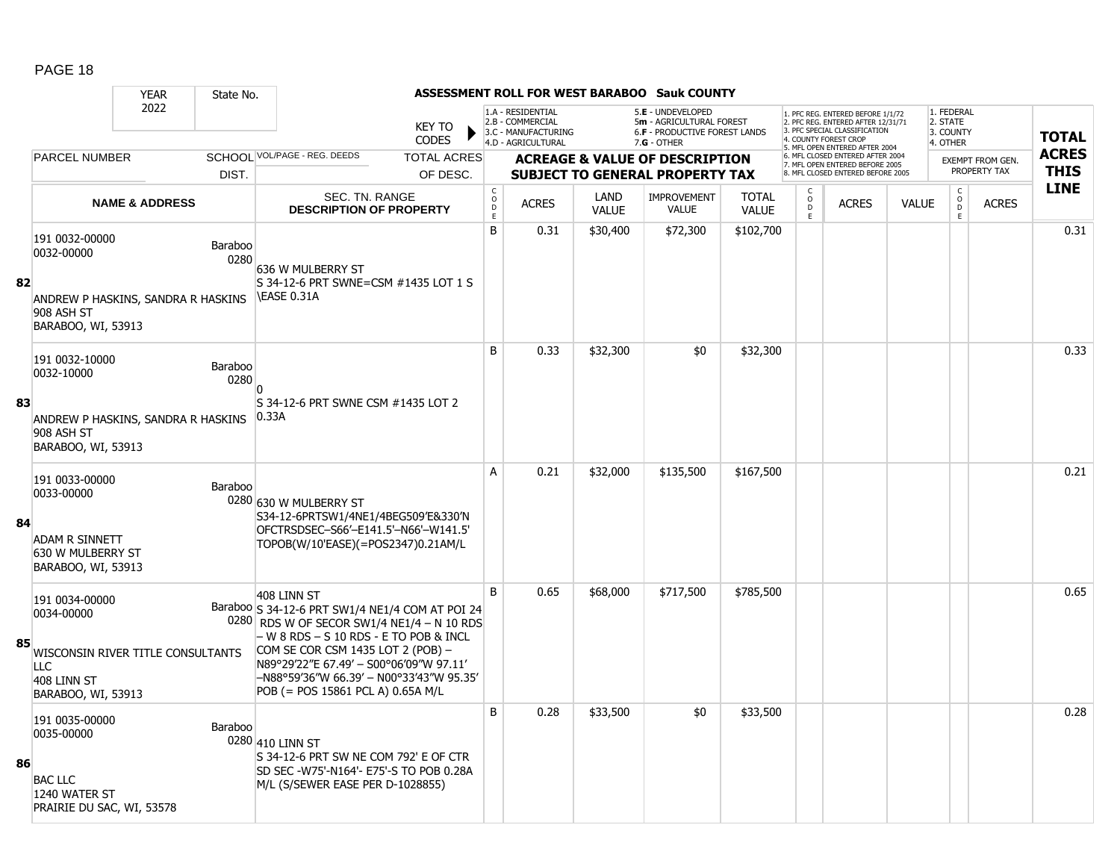|    |                                                                                                | <b>YEAR</b>               | State No.       |                                                                                                                                                                                                                                        |                               |                         |                                                                                    |                      | <b>ASSESSMENT ROLL FOR WEST BARABOO Sauk COUNTY</b>                                                    |                              |                     |                                                                                                                                                                     |              |                                                 |                                         |                             |
|----|------------------------------------------------------------------------------------------------|---------------------------|-----------------|----------------------------------------------------------------------------------------------------------------------------------------------------------------------------------------------------------------------------------------|-------------------------------|-------------------------|------------------------------------------------------------------------------------|----------------------|--------------------------------------------------------------------------------------------------------|------------------------------|---------------------|---------------------------------------------------------------------------------------------------------------------------------------------------------------------|--------------|-------------------------------------------------|-----------------------------------------|-----------------------------|
|    |                                                                                                | 2022                      |                 |                                                                                                                                                                                                                                        | <b>KEY TO</b><br><b>CODES</b> |                         | 1.A - RESIDENTIAL<br>2.B - COMMERCIAL<br>3.C - MANUFACTURING<br>4.D - AGRICULTURAL |                      | 5.E - UNDEVELOPED<br>5m - AGRICULTURAL FOREST<br><b>6.F - PRODUCTIVE FOREST LANDS</b><br>$7.G - OTHER$ |                              |                     | 1. PFC REG. ENTERED BEFORE 1/1/72<br>2. PFC REG. ENTERED AFTER 12/31/71<br>3. PFC SPECIAL CLASSIFICATION<br>4. COUNTY FOREST CROP<br>5. MFL OPEN ENTERED AFTER 2004 |              | 1. FEDERAL<br>2. STATE<br>3. COUNTY<br>4. OTHER |                                         | <b>TOTAL</b>                |
|    | <b>PARCEL NUMBER</b>                                                                           |                           |                 | SCHOOL VOL/PAGE - REG. DEEDS                                                                                                                                                                                                           | <b>TOTAL ACRES</b>            |                         |                                                                                    |                      | <b>ACREAGE &amp; VALUE OF DESCRIPTION</b>                                                              |                              |                     | 6. MFL CLOSED ENTERED AFTER 2004<br>7. MFL OPEN ENTERED BEFORE 2005                                                                                                 |              |                                                 | <b>EXEMPT FROM GEN.</b><br>PROPERTY TAX | <b>ACRES</b><br><b>THIS</b> |
|    |                                                                                                |                           | DIST.           |                                                                                                                                                                                                                                        | OF DESC.                      | $\mathsf{C}$            |                                                                                    |                      | <b>SUBJECT TO GENERAL PROPERTY TAX</b>                                                                 |                              |                     | 8. MFL CLOSED ENTERED BEFORE 2005                                                                                                                                   |              | $\mathsf C$                                     |                                         | <b>LINE</b>                 |
|    |                                                                                                | <b>NAME &amp; ADDRESS</b> |                 | SEC. TN. RANGE<br><b>DESCRIPTION OF PROPERTY</b>                                                                                                                                                                                       |                               | $_{\rm D}^{\rm O}$<br>E | <b>ACRES</b>                                                                       | LAND<br><b>VALUE</b> | <b>IMPROVEMENT</b><br><b>VALUE</b>                                                                     | <b>TOTAL</b><br><b>VALUE</b> | $\overline{0}$<br>E | <b>ACRES</b>                                                                                                                                                        | <b>VALUE</b> | $_{\rm D}^{\rm O}$<br>E.                        | <b>ACRES</b>                            |                             |
| 82 | 191 0032-00000<br>0032-00000<br>ANDREW P HASKINS, SANDRA R HASKINS                             |                           | Baraboo<br>0280 | 636 W MULBERRY ST<br>S 34-12-6 PRT SWNE=CSM #1435 LOT 1 S<br>EASE 0.31A                                                                                                                                                                |                               | B                       | 0.31                                                                               | \$30,400             | \$72,300                                                                                               | \$102,700                    |                     |                                                                                                                                                                     |              |                                                 |                                         | 0.31                        |
|    | 908 ASH ST<br>BARABOO, WI, 53913                                                               |                           |                 |                                                                                                                                                                                                                                        |                               |                         |                                                                                    |                      |                                                                                                        |                              |                     |                                                                                                                                                                     |              |                                                 |                                         |                             |
|    | 191 0032-10000<br>0032-10000                                                                   |                           | Baraboo<br>0280 | 0                                                                                                                                                                                                                                      |                               | B                       | 0.33                                                                               | \$32,300             | \$0                                                                                                    | \$32,300                     |                     |                                                                                                                                                                     |              |                                                 |                                         | 0.33                        |
| 83 | ANDREW P HASKINS, SANDRA R HASKINS<br>908 ASH ST<br>BARABOO, WI, 53913                         |                           |                 | S 34-12-6 PRT SWNE CSM #1435 LOT 2<br>0.33A                                                                                                                                                                                            |                               |                         |                                                                                    |                      |                                                                                                        |                              |                     |                                                                                                                                                                     |              |                                                 |                                         |                             |
| 84 | 191 0033-00000<br>0033-00000<br><b>ADAM R SINNETT</b><br>630 W MULBERRY ST                     |                           | Baraboo         | 0280 630 W MULBERRY ST<br>S34-12-6PRTSW1/4NE1/4BEG509'E&330'N<br>OFCTRSDSEC-S66'-E141.5'-N66'-W141.5'<br>TOPOB(W/10'EASE)(=POS2347)0.21AM/L                                                                                            |                               | A                       | 0.21                                                                               | \$32,000             | \$135,500                                                                                              | \$167,500                    |                     |                                                                                                                                                                     |              |                                                 |                                         | 0.21                        |
| 85 | BARABOO, WI, 53913<br>191 0034-00000<br>0034-00000<br>WISCONSIN RIVER TITLE CONSULTANTS<br>LLC |                           |                 | 408 LINN ST<br>Baraboo S 34-12-6 PRT SW1/4 NE1/4 COM AT POI 24<br>0280 RDS W OF SECOR SW1/4 NE1/4 - N 10 RDS<br>- W 8 RDS - S 10 RDS - E TO POB & INCL<br>COM SE COR CSM 1435 LOT 2 (POB) -<br>N89°29'22"E 67.49' - S00°06'09"W 97.11' |                               | B                       | 0.65                                                                               | \$68,000             | \$717,500                                                                                              | \$785,500                    |                     |                                                                                                                                                                     |              |                                                 |                                         | 0.65                        |
|    | 408 LINN ST<br>BARABOO, WI, 53913                                                              |                           |                 | -N88°59′36″W 66.39′ - N00°33′43″W 95.35′<br>$POB (= POS 15861 PCL A) 0.65A M/L$                                                                                                                                                        |                               |                         |                                                                                    |                      |                                                                                                        |                              |                     |                                                                                                                                                                     |              |                                                 |                                         |                             |
| 86 | 191 0035-00000<br>0035-00000<br><b>BAC LLC</b><br>1240 WATER ST<br>PRAIRIE DU SAC, WI, 53578   |                           | Baraboo         | 0280 410 LINN ST<br>S 34-12-6 PRT SW NE COM 792' E OF CTR<br>SD SEC -W75'-N164'- E75'-S TO POB 0.28A<br>M/L (S/SEWER EASE PER D-1028855)                                                                                               |                               | B                       | 0.28                                                                               | \$33,500             | \$0                                                                                                    | \$33,500                     |                     |                                                                                                                                                                     |              |                                                 |                                         | 0.28                        |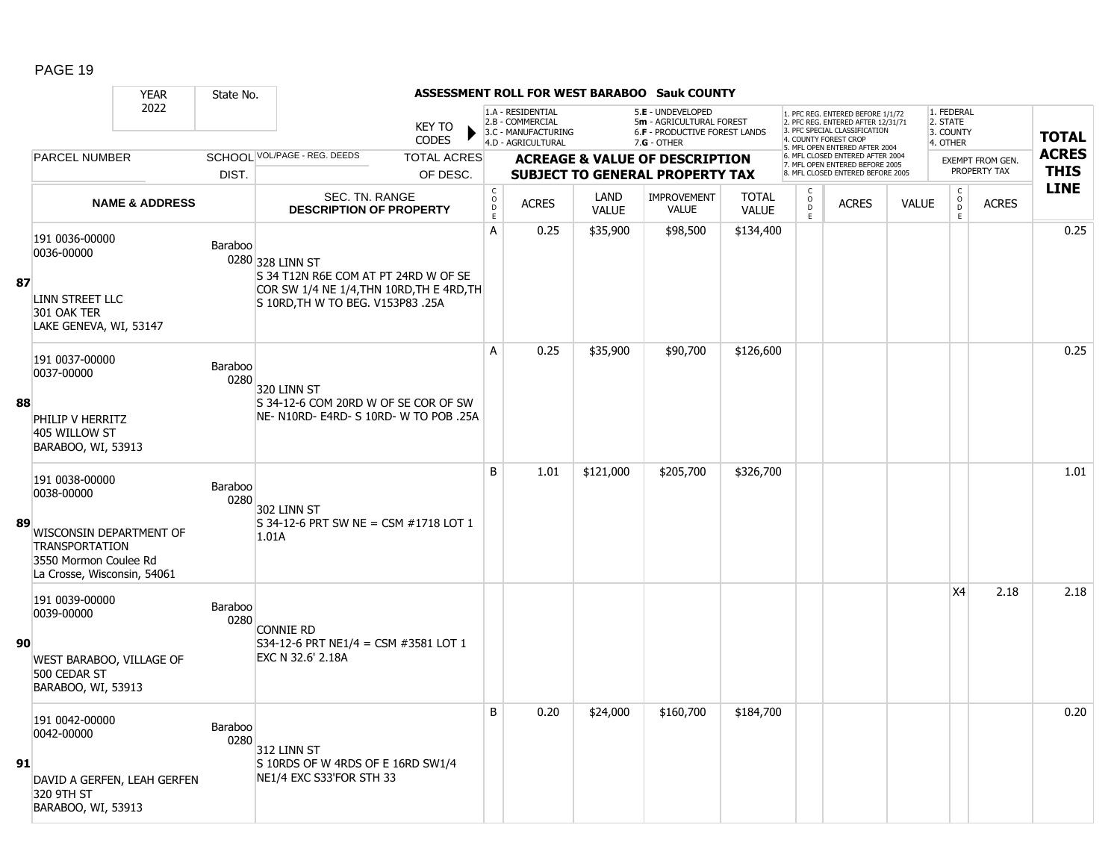|    |                                                                                                          | <b>YEAR</b>               | State No.       |                                                                                                                                            |                               |                                         |                                                                                    |                             | ASSESSMENT ROLL FOR WEST BARABOO Sauk COUNTY                                                    |                              |                         |                                                                                                                                                                     |              |                                                                   |                         |                            |
|----|----------------------------------------------------------------------------------------------------------|---------------------------|-----------------|--------------------------------------------------------------------------------------------------------------------------------------------|-------------------------------|-----------------------------------------|------------------------------------------------------------------------------------|-----------------------------|-------------------------------------------------------------------------------------------------|------------------------------|-------------------------|---------------------------------------------------------------------------------------------------------------------------------------------------------------------|--------------|-------------------------------------------------------------------|-------------------------|----------------------------|
|    |                                                                                                          | 2022                      |                 |                                                                                                                                            | <b>KEY TO</b><br><b>CODES</b> |                                         | 1.A - RESIDENTIAL<br>2.B - COMMERCIAL<br>3.C - MANUFACTURING<br>4.D - AGRICULTURAL |                             | 5.E - UNDEVELOPED<br>5m - AGRICULTURAL FOREST<br>6.F - PRODUCTIVE FOREST LANDS<br>$7.G - OTHER$ |                              |                         | 1. PFC REG. ENTERED BEFORE 1/1/72<br>2. PFC REG. ENTERED AFTER 12/31/71<br>3. PFC SPECIAL CLASSIFICATION<br>4. COUNTY FOREST CROP<br>5. MFL OPEN ENTERED AFTER 2004 |              | 1. FEDERAL<br>2. STATE<br>3. COUNTY<br>4. OTHER                   |                         | <b>TOTAL</b>               |
|    | PARCEL NUMBER                                                                                            |                           |                 | SCHOOL VOL/PAGE - REG. DEEDS                                                                                                               | <b>TOTAL ACRES</b>            |                                         |                                                                                    |                             | <b>ACREAGE &amp; VALUE OF DESCRIPTION</b>                                                       |                              |                         | 6. MFL CLOSED ENTERED AFTER 2004<br>7. MFL OPEN ENTERED BEFORE 2005                                                                                                 |              |                                                                   | <b>EXEMPT FROM GEN.</b> | <b>ACRES</b>               |
|    |                                                                                                          |                           | DIST.           |                                                                                                                                            | OF DESC.                      |                                         |                                                                                    |                             | <b>SUBJECT TO GENERAL PROPERTY TAX</b>                                                          |                              |                         | 8. MFL CLOSED ENTERED BEFORE 2005                                                                                                                                   |              |                                                                   | PROPERTY TAX            | <b>THIS</b><br><b>LINE</b> |
|    |                                                                                                          | <b>NAME &amp; ADDRESS</b> |                 | SEC. TN. RANGE<br><b>DESCRIPTION OF PROPERTY</b>                                                                                           |                               | $\mathsf{C}$<br>$_{\rm D}^{\rm O}$<br>E | <b>ACRES</b>                                                                       | <b>LAND</b><br><b>VALUE</b> | <b>IMPROVEMENT</b><br><b>VALUE</b>                                                              | <b>TOTAL</b><br><b>VALUE</b> | $_{\rm D}^{\rm O}$<br>E | <b>ACRES</b>                                                                                                                                                        | <b>VALUE</b> | $\begin{smallmatrix} C\\O\\O\\D \end{smallmatrix}$<br>$\mathsf E$ | <b>ACRES</b>            |                            |
| 87 | 191 0036-00000<br>0036-00000<br>LINN STREET LLC<br>301 OAK TER<br>LAKE GENEVA, WI, 53147                 |                           | Baraboo         | 0280 328 LINN ST<br>S 34 T12N R6E COM AT PT 24RD W OF SE<br>COR SW 1/4 NE 1/4, THN 10RD, TH E 4RD, TH<br>S 10RD, TH W TO BEG. V153P83 .25A |                               | A                                       | 0.25                                                                               | \$35,900                    | \$98,500                                                                                        | \$134,400                    |                         |                                                                                                                                                                     |              |                                                                   |                         | 0.25                       |
|    | 191 0037-00000<br>0037-00000                                                                             |                           | Baraboo<br>0280 | 320 LINN ST                                                                                                                                |                               | A                                       | 0.25                                                                               | \$35,900                    | \$90,700                                                                                        | \$126,600                    |                         |                                                                                                                                                                     |              |                                                                   |                         | 0.25                       |
| 88 | PHILIP V HERRITZ<br>405 WILLOW ST<br>BARABOO, WI, 53913                                                  |                           |                 | S 34-12-6 COM 20RD W OF SE COR OF SW<br>NE- N10RD- E4RD- S 10RD- W TO POB .25A                                                             |                               |                                         |                                                                                    |                             |                                                                                                 |                              |                         |                                                                                                                                                                     |              |                                                                   |                         |                            |
| 89 | 191 0038-00000<br>0038-00000                                                                             |                           | Baraboo<br>0280 | 302 LINN ST<br>$S$ 34-12-6 PRT SW NE = CSM #1718 LOT 1                                                                                     |                               | B                                       | 1.01                                                                               | \$121,000                   | \$205,700                                                                                       | \$326,700                    |                         |                                                                                                                                                                     |              |                                                                   |                         | 1.01                       |
|    | WISCONSIN DEPARTMENT OF<br><b>TRANSPORTATION</b><br>3550 Mormon Coulee Rd<br>La Crosse, Wisconsin, 54061 |                           |                 | 1.01A                                                                                                                                      |                               |                                         |                                                                                    |                             |                                                                                                 |                              |                         |                                                                                                                                                                     |              |                                                                   |                         |                            |
| 90 | 191 0039-00000<br>0039-00000                                                                             |                           | Baraboo<br>0280 | <b>CONNIE RD</b><br>S34-12-6 PRT NE1/4 = CSM #3581 LOT 1<br>EXC N 32.6' 2.18A                                                              |                               |                                         |                                                                                    |                             |                                                                                                 |                              |                         |                                                                                                                                                                     |              | <b>X4</b>                                                         | 2.18                    | 2.18                       |
|    | WEST BARABOO, VILLAGE OF<br>500 CEDAR ST<br>BARABOO, WI, 53913                                           |                           |                 |                                                                                                                                            |                               |                                         |                                                                                    |                             |                                                                                                 |                              |                         |                                                                                                                                                                     |              |                                                                   |                         |                            |
| 91 | 191 0042-00000<br>0042-00000<br>DAVID A GERFEN, LEAH GERFEN<br>320 9TH ST<br>BARABOO, WI, 53913          |                           | Baraboo<br>0280 | 312 LINN ST<br>S 10RDS OF W 4RDS OF E 16RD SW1/4<br>NE1/4 EXC S33'FOR STH 33                                                               |                               | B                                       | 0.20                                                                               | \$24,000                    | \$160,700                                                                                       | \$184,700                    |                         |                                                                                                                                                                     |              |                                                                   |                         | 0.20                       |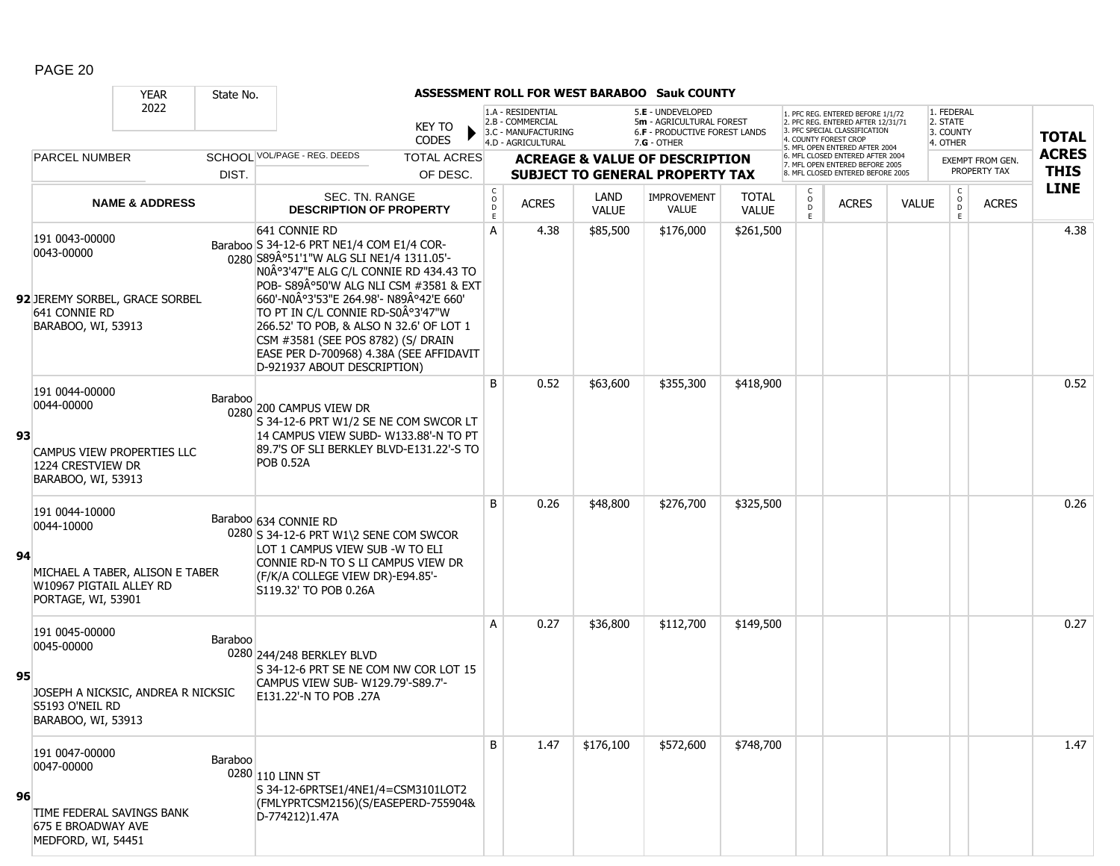|    |                                                                                                       | <b>YEAR</b>                        | State No. |                                                                                                                                                                                                                                                                                                                                                                                                                                  |                                                 |                                                                                    |                      | ASSESSMENT ROLL FOR WEST BARABOO Sauk COUNTY                                                    |                              |                    |                                                                                                                                          |              |                                                 |                  |              |
|----|-------------------------------------------------------------------------------------------------------|------------------------------------|-----------|----------------------------------------------------------------------------------------------------------------------------------------------------------------------------------------------------------------------------------------------------------------------------------------------------------------------------------------------------------------------------------------------------------------------------------|-------------------------------------------------|------------------------------------------------------------------------------------|----------------------|-------------------------------------------------------------------------------------------------|------------------------------|--------------------|------------------------------------------------------------------------------------------------------------------------------------------|--------------|-------------------------------------------------|------------------|--------------|
|    |                                                                                                       | 2022                               |           | <b>KEY TO</b><br><b>CODES</b>                                                                                                                                                                                                                                                                                                                                                                                                    |                                                 | 1.A - RESIDENTIAL<br>2.B - COMMERCIAL<br>3.C - MANUFACTURING<br>4.D - AGRICULTURAL |                      | 5.E - UNDEVELOPED<br>5m - AGRICULTURAL FOREST<br>6.F - PRODUCTIVE FOREST LANDS<br>$7.G - OTHER$ |                              |                    | I. PFC REG. ENTERED BEFORE 1/1/72<br>2. PFC REG. ENTERED AFTER 12/31/71<br>3. PFC SPECIAL CLASSIFICATION<br><b>4. COUNTY FOREST CROP</b> |              | 1. FEDERAL<br>2. STATE<br>3. COUNTY<br>4. OTHER |                  | <b>TOTAL</b> |
|    | <b>PARCEL NUMBER</b>                                                                                  |                                    |           | SCHOOL VOL/PAGE - REG. DEEDS<br><b>TOTAL ACRES</b>                                                                                                                                                                                                                                                                                                                                                                               |                                                 |                                                                                    |                      | <b>ACREAGE &amp; VALUE OF DESCRIPTION</b>                                                       |                              |                    | 5. MFL OPEN ENTERED AFTER 2004<br>6. MFL CLOSED ENTERED AFTER 2004                                                                       |              |                                                 | EXEMPT FROM GEN. | <b>ACRES</b> |
|    |                                                                                                       |                                    | DIST.     | OF DESC.                                                                                                                                                                                                                                                                                                                                                                                                                         |                                                 |                                                                                    |                      | <b>SUBJECT TO GENERAL PROPERTY TAX</b>                                                          |                              |                    | 7. MFL OPEN ENTERED BEFORE 2005<br>. MFL CLOSED ENTERED BEFORE 2005                                                                      |              |                                                 | PROPERTY TAX     | <b>THIS</b>  |
|    |                                                                                                       | <b>NAME &amp; ADDRESS</b>          |           | SEC. TN. RANGE<br><b>DESCRIPTION OF PROPERTY</b>                                                                                                                                                                                                                                                                                                                                                                                 | $\begin{array}{c} C \\ O \\ D \\ E \end{array}$ | <b>ACRES</b>                                                                       | LAND<br><b>VALUE</b> | <b>IMPROVEMENT</b><br><b>VALUE</b>                                                              | <b>TOTAL</b><br><b>VALUE</b> | $\circ$<br>D<br>E. | <b>ACRES</b>                                                                                                                             | <b>VALUE</b> | $\begin{matrix} 0 \\ 0 \\ 0 \end{matrix}$<br>E. | <b>ACRES</b>     | <b>LINE</b>  |
|    | 191 0043-00000<br>0043-00000<br>92 JEREMY SORBEL, GRACE SORBEL<br>641 CONNIE RD<br>BARABOO, WI, 53913 |                                    |           | 641 CONNIE RD<br>Baraboo S 34-12-6 PRT NE1/4 COM E1/4 COR-<br>0280 S89A°51'1"W ALG SLI NE1/4 1311.05'-<br>N0°3'47"E ALG C/L CONNIE RD 434.43 TO<br>POB- S89°50'W ALG NLI CSM #3581 & EXT<br>660'-N0°3'53"E 264.98'- N89°42'E 660'<br>TO PT IN C/L CONNIE RD-S0°3'47"W<br>266.52' TO POB, & ALSO N 32.6' OF LOT 1<br>CSM #3581 (SEE POS 8782) (S/ DRAIN<br>EASE PER D-700968) 4.38A (SEE AFFIDAVIT<br>D-921937 ABOUT DESCRIPTION) | A                                               | 4.38                                                                               | \$85,500             | \$176,000                                                                                       | \$261,500                    |                    |                                                                                                                                          |              |                                                 |                  | 4.38         |
| 93 | 191 0044-00000<br>0044-00000<br>1224 CRESTVIEW DR<br>BARABOO, WI, 53913                               | CAMPUS VIEW PROPERTIES LLC         | Baraboo   | 0280 200 CAMPUS VIEW DR<br>S 34-12-6 PRT W1/2 SE NE COM SWCOR LT<br>14 CAMPUS VIEW SUBD- W133.88'-N TO PT<br>89.7'S OF SLI BERKLEY BLVD-E131.22'-S TO<br><b>POB 0.52A</b>                                                                                                                                                                                                                                                        | B                                               | 0.52                                                                               | \$63,600             | \$355,300                                                                                       | \$418,900                    |                    |                                                                                                                                          |              |                                                 |                  | 0.52         |
| 94 | 191 0044-10000<br>0044-10000<br>W10967 PIGTAIL ALLEY RD<br>PORTAGE, WI, 53901                         | MICHAEL A TABER, ALISON E TABER    |           | Baraboo 634 CONNIE RD<br>0280 S 34-12-6 PRT W1\2 SENE COM SWCOR<br>LOT 1 CAMPUS VIEW SUB -W TO ELI<br>CONNIE RD-N TO S LI CAMPUS VIEW DR<br>(F/K/A COLLEGE VIEW DR)-E94.85'-<br>S119.32' TO POB 0.26A                                                                                                                                                                                                                            | B                                               | 0.26                                                                               | \$48,800             | \$276,700                                                                                       | \$325,500                    |                    |                                                                                                                                          |              |                                                 |                  | 0.26         |
| 95 | 191 0045-00000<br>0045-00000<br>S5193 O'NEIL RD<br>BARABOO, WI, 53913                                 | JOSEPH A NICKSIC, ANDREA R NICKSIC | Baraboo   | 0280 244/248 BERKLEY BLVD<br>S 34-12-6 PRT SE NE COM NW COR LOT 15<br>CAMPUS VIEW SUB- W129.79'-S89.7'-<br>E131.22'-N TO POB .27A                                                                                                                                                                                                                                                                                                | A                                               | 0.27                                                                               | \$36,800             | \$112,700                                                                                       | \$149,500                    |                    |                                                                                                                                          |              |                                                 |                  | 0.27         |
| 96 | 191 0047-00000<br>0047-00000<br>TIME FEDERAL SAVINGS BANK<br>675 E BROADWAY AVE<br>MEDFORD, WI, 54451 |                                    | Baraboo   | 0280 110 LINN ST<br>S 34-12-6PRTSE1/4NE1/4=CSM3101LOT2<br>(FMLYPRTCSM2156)(S/EASEPERD-755904&<br>D-774212)1.47A                                                                                                                                                                                                                                                                                                                  | B                                               | 1.47                                                                               | \$176,100            | \$572,600                                                                                       | \$748,700                    |                    |                                                                                                                                          |              |                                                 |                  | 1.47         |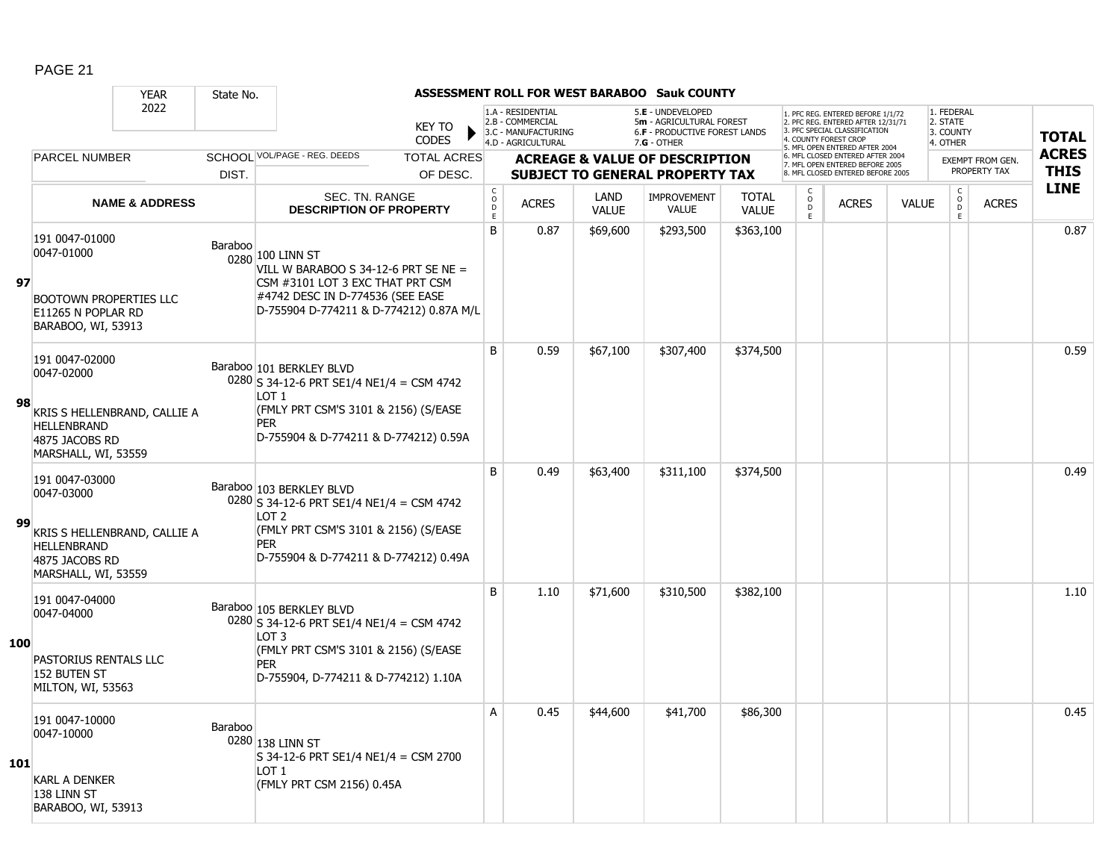|            |                                                                                                                                                    | <b>YEAR</b>               | State No. |                                                                                                                                                                                         |                               |                                       |                                                                                    |                      | <b>ASSESSMENT ROLL FOR WEST BARABOO Sauk COUNTY</b>                                             |                              |                               |                                                                                                                                   |              |                                                 |                         |                            |
|------------|----------------------------------------------------------------------------------------------------------------------------------------------------|---------------------------|-----------|-----------------------------------------------------------------------------------------------------------------------------------------------------------------------------------------|-------------------------------|---------------------------------------|------------------------------------------------------------------------------------|----------------------|-------------------------------------------------------------------------------------------------|------------------------------|-------------------------------|-----------------------------------------------------------------------------------------------------------------------------------|--------------|-------------------------------------------------|-------------------------|----------------------------|
|            |                                                                                                                                                    | 2022                      |           |                                                                                                                                                                                         | <b>KEY TO</b><br><b>CODES</b> |                                       | 1.A - RESIDENTIAL<br>2.B - COMMERCIAL<br>3.C - MANUFACTURING<br>4.D - AGRICULTURAL |                      | 5.E - UNDEVELOPED<br>5m - AGRICULTURAL FOREST<br>6.F - PRODUCTIVE FOREST LANDS<br>$7.G - OTHER$ |                              |                               | 1. PFC REG. ENTERED BEFORE 1/1/72<br>2. PFC REG. ENTERED AFTER 12/31/71<br>3. PFC SPECIAL CLASSIFICATION<br>4. COUNTY FOREST CROP |              | 1. FEDERAL<br>2. STATE<br>3. COUNTY<br>4. OTHER |                         | <b>TOTAL</b>               |
|            | <b>PARCEL NUMBER</b>                                                                                                                               |                           |           | SCHOOL VOL/PAGE - REG. DEEDS                                                                                                                                                            | <b>TOTAL ACRES</b>            |                                       |                                                                                    |                      | <b>ACREAGE &amp; VALUE OF DESCRIPTION</b>                                                       |                              |                               | 5. MFL OPEN ENTERED AFTER 2004<br>6. MFL CLOSED ENTERED AFTER 2004<br>7. MFL OPEN ENTERED BEFORE 2005                             |              |                                                 | <b>EXEMPT FROM GEN.</b> | <b>ACRES</b>               |
|            |                                                                                                                                                    |                           | DIST.     |                                                                                                                                                                                         | OF DESC.                      |                                       |                                                                                    |                      | <b>SUBJECT TO GENERAL PROPERTY TAX</b>                                                          |                              |                               | 8. MFL CLOSED ENTERED BEFORE 2005                                                                                                 |              |                                                 | PROPERTY TAX            | <b>THIS</b><br><b>LINE</b> |
|            |                                                                                                                                                    | <b>NAME &amp; ADDRESS</b> |           | <b>SEC. TN. RANGE</b><br><b>DESCRIPTION OF PROPERTY</b>                                                                                                                                 |                               | C<br>$\mathsf{O}$<br>$\mathsf D$<br>E | <b>ACRES</b>                                                                       | LAND<br><b>VALUE</b> | <b>IMPROVEMENT</b><br>VALUE                                                                     | <b>TOTAL</b><br><b>VALUE</b> | C<br>$_{\rm D}^{\rm O}$<br>E. | <b>ACRES</b>                                                                                                                      | <b>VALUE</b> | $\begin{matrix} 0 \\ 0 \\ D \end{matrix}$<br>E  | <b>ACRES</b>            |                            |
| 97         | 191 0047-01000<br>0047-01000<br><b>BOOTOWN PROPERTIES LLC</b><br>E11265 N POPLAR RD<br>BARABOO, WI, 53913                                          |                           | Baraboo   | 0280 100 LINN ST<br>VILL W BARABOO S 34-12-6 PRT SE NE =<br>CSM #3101 LOT 3 EXC THAT PRT CSM<br>#4742 DESC IN D-774536 (SEE EASE<br>D-755904 D-774211 & D-774212) 0.87A M/L             |                               | B                                     | 0.87                                                                               | \$69,600             | \$293,500                                                                                       | \$363,100                    |                               |                                                                                                                                   |              |                                                 |                         | 0.87                       |
| 98         | 191 0047-02000<br>0047-02000<br>KRIS S HELLENBRAND, CALLIE A<br><b>HELLENBRAND</b><br>4875 JACOBS RD                                               |                           |           | Baraboo 101 BERKLEY BLVD<br>$0280$ S 34-12-6 PRT SE1/4 NE1/4 = CSM 4742<br>LOT 1<br>(FMLY PRT CSM'S 3101 & 2156) (S/EASE<br><b>PER</b><br>D-755904 & D-774211 & D-774212) 0.59A         |                               | B                                     | 0.59                                                                               | \$67,100             | \$307,400                                                                                       | \$374,500                    |                               |                                                                                                                                   |              |                                                 |                         | 0.59                       |
| 99         | MARSHALL, WI, 53559<br>191 0047-03000<br>0047-03000<br>KRIS S HELLENBRAND, CALLIE A<br><b>HELLENBRAND</b><br>4875 JACOBS RD<br>MARSHALL, WI, 53559 |                           |           | Baraboo 103 BERKLEY BLVD<br>$0280$ S 34-12-6 PRT SE1/4 NE1/4 = CSM 4742<br>LOT <sub>2</sub><br>(FMLY PRT CSM'S 3101 & 2156) (S/EASE<br>PER<br>D-755904 & D-774211 & D-774212) 0.49A     |                               | <sub>B</sub>                          | 0.49                                                                               | \$63,400             | \$311,100                                                                                       | \$374,500                    |                               |                                                                                                                                   |              |                                                 |                         | 0.49                       |
| 100        | 191 0047-04000<br>0047-04000<br>PASTORIUS RENTALS LLC<br>152 BUTEN ST<br>MILTON, WI, 53563                                                         |                           |           | Baraboo 105 BERKLEY BLVD<br>0280 S 34-12-6 PRT SE1/4 NE1/4 = CSM 4742<br>LOT <sub>3</sub><br>(FMLY PRT CSM'S 3101 & 2156) (S/EASE<br><b>PER</b><br>D-755904, D-774211 & D-774212) 1.10A |                               | B                                     | 1.10                                                                               | \$71,600             | \$310,500                                                                                       | \$382,100                    |                               |                                                                                                                                   |              |                                                 |                         | 1.10                       |
| <b>101</b> | 191 0047-10000<br>0047-10000<br><b>KARL A DENKER</b><br>138 LINN ST<br>BARABOO, WI, 53913                                                          |                           | Baraboo   | 0280 138 LINN ST<br>S 34-12-6 PRT SE1/4 NE1/4 = CSM 2700<br>LOT <sub>1</sub><br>(FMLY PRT CSM 2156) 0.45A                                                                               |                               | A                                     | 0.45                                                                               | \$44,600             | \$41,700                                                                                        | \$86,300                     |                               |                                                                                                                                   |              |                                                 |                         | 0.45                       |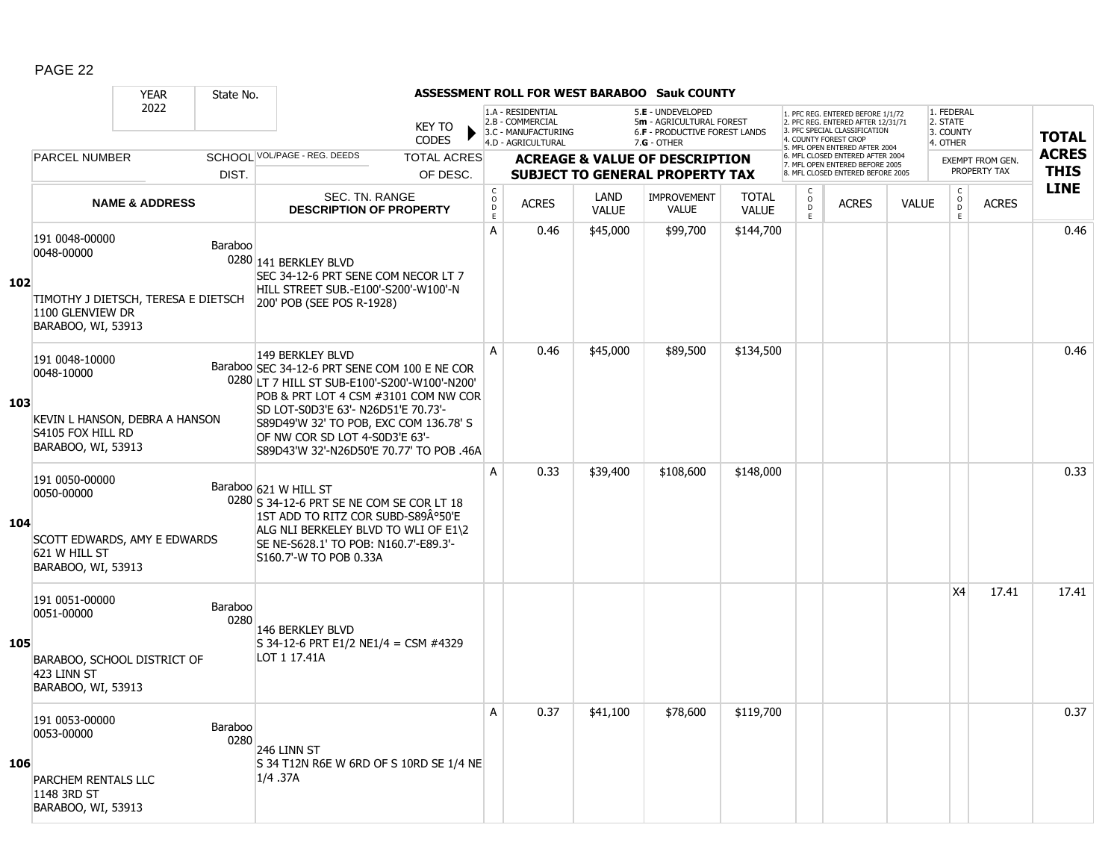|     |                                                                                                               | <b>YEAR</b>               | State No.       |                                                                                                                                                                                                                                                                                                                                  |                               |                             |                                                                                    |                      | <b>ASSESSMENT ROLL FOR WEST BARABOO Sauk COUNTY</b>                                             |                              |                                                 |                                                                                                                                  |              |                                                 |                         |              |
|-----|---------------------------------------------------------------------------------------------------------------|---------------------------|-----------------|----------------------------------------------------------------------------------------------------------------------------------------------------------------------------------------------------------------------------------------------------------------------------------------------------------------------------------|-------------------------------|-----------------------------|------------------------------------------------------------------------------------|----------------------|-------------------------------------------------------------------------------------------------|------------------------------|-------------------------------------------------|----------------------------------------------------------------------------------------------------------------------------------|--------------|-------------------------------------------------|-------------------------|--------------|
|     |                                                                                                               | 2022                      |                 |                                                                                                                                                                                                                                                                                                                                  | <b>KEY TO</b><br><b>CODES</b> |                             | 1.A - RESIDENTIAL<br>2.B - COMMERCIAL<br>3.C - MANUFACTURING<br>4.D - AGRICULTURAL |                      | 5.E - UNDEVELOPED<br>5m - AGRICULTURAL FOREST<br>6.F - PRODUCTIVE FOREST LANDS<br>$7.G - OTHER$ |                              |                                                 | . PFC REG. ENTERED BEFORE 1/1/72<br>2. PFC REG. ENTERED AFTER 12/31/71<br>3. PFC SPECIAL CLASSIFICATION<br>4. COUNTY FOREST CROP |              | 1. FEDERAL<br>2. STATE<br>3. COUNTY<br>4. OTHER |                         | <b>TOTAL</b> |
|     | <b>PARCEL NUMBER</b>                                                                                          |                           |                 | SCHOOL VOL/PAGE - REG. DEEDS                                                                                                                                                                                                                                                                                                     | <b>TOTAL ACRES</b>            |                             |                                                                                    |                      | <b>ACREAGE &amp; VALUE OF DESCRIPTION</b>                                                       |                              |                                                 | 5. MFL OPEN ENTERED AFTER 2004<br>6. MFL CLOSED ENTERED AFTER 2004                                                               |              |                                                 | <b>EXEMPT FROM GEN.</b> | <b>ACRES</b> |
|     |                                                                                                               |                           | DIST.           |                                                                                                                                                                                                                                                                                                                                  | OF DESC.                      |                             |                                                                                    |                      | <b>SUBJECT TO GENERAL PROPERTY TAX</b>                                                          |                              |                                                 | 7. MFL OPEN ENTERED BEFORE 2005<br>8. MFL CLOSED ENTERED BEFORE 2005                                                             |              |                                                 | PROPERTY TAX            | <b>THIS</b>  |
|     |                                                                                                               | <b>NAME &amp; ADDRESS</b> |                 | SEC. TN. RANGE<br><b>DESCRIPTION OF PROPERTY</b>                                                                                                                                                                                                                                                                                 |                               | $\rm _c^C$<br>$\frac{D}{E}$ | <b>ACRES</b>                                                                       | LAND<br><b>VALUE</b> | <b>IMPROVEMENT</b><br><b>VALUE</b>                                                              | <b>TOTAL</b><br><b>VALUE</b> | $\begin{matrix} 0 \\ 0 \\ D \end{matrix}$<br>E. | <b>ACRES</b>                                                                                                                     | <b>VALUE</b> | $\begin{matrix} 0 \\ 0 \\ 0 \end{matrix}$<br>E  | <b>ACRES</b>            | <b>LINE</b>  |
| 102 | 191 0048-00000<br>0048-00000<br>TIMOTHY J DIETSCH, TERESA E DIETSCH<br>1100 GLENVIEW DR<br>BARABOO, WI, 53913 |                           | Baraboo         | 0280 141 BERKLEY BLVD<br>SEC 34-12-6 PRT SENE COM NECOR LT 7<br>HILL STREET SUB.-E100'-S200'-W100'-N<br>200' POB (SEE POS R-1928)                                                                                                                                                                                                |                               | A                           | 0.46                                                                               | \$45,000             | \$99,700                                                                                        | \$144,700                    |                                                 |                                                                                                                                  |              |                                                 |                         | 0.46         |
| 103 | 191 0048-10000<br>0048-10000<br>KEVIN L HANSON, DEBRA A HANSON<br>S4105 FOX HILL RD<br>BARABOO, WI, 53913     |                           |                 | <b>149 BERKLEY BLVD</b><br>Baraboo SEC 34-12-6 PRT SENE COM 100 E NE COR<br>0280 LT 7 HILL ST SUB-E100'-S200'-W100'-N200'<br>POB & PRT LOT 4 CSM #3101 COM NW COR<br>SD LOT-S0D3'E 63'- N26D51'E 70.73'-<br>S89D49'W 32' TO POB, EXC COM 136.78' S<br>OF NW COR SD LOT 4-S0D3'E 63'-<br>S89D43'W 32'-N26D50'E 70.77' TO POB .46A |                               | A                           | 0.46                                                                               | \$45,000             | \$89,500                                                                                        | \$134,500                    |                                                 |                                                                                                                                  |              |                                                 |                         | 0.46         |
| 104 | 191 0050-00000<br>0050-00000<br>SCOTT EDWARDS, AMY E EDWARDS<br>621 W HILL ST<br>BARABOO, WI, 53913           |                           |                 | Baraboo 621 W HILL ST<br>0280 S 34-12-6 PRT SE NE COM SE COR LT 18<br>1ST ADD TO RITZ COR SUBD-S89°50'E<br>ALG NLI BERKELEY BLVD TO WLI OF E1\2<br>SE NE-S628.1' TO POB: N160.7'-E89.3'-<br>S160.7'-W TO POB 0.33A                                                                                                               |                               | A                           | 0.33                                                                               | \$39,400             | \$108,600                                                                                       | \$148,000                    |                                                 |                                                                                                                                  |              |                                                 |                         | 0.33         |
| 105 | 191 0051-00000<br>0051-00000<br>BARABOO, SCHOOL DISTRICT OF<br>423 LINN ST<br>BARABOO, WI, 53913              |                           | Baraboo<br>0280 | 146 BERKLEY BLVD<br>S 34-12-6 PRT E1/2 NE1/4 = CSM #4329<br>LOT 1 17.41A                                                                                                                                                                                                                                                         |                               |                             |                                                                                    |                      |                                                                                                 |                              |                                                 |                                                                                                                                  |              | X4                                              | 17.41                   | 17.41        |
| 106 | 191 0053-00000<br>0053-00000<br>PARCHEM RENTALS LLC<br>1148 3RD ST<br>BARABOO, WI, 53913                      |                           | Baraboo<br>0280 | 246 LINN ST<br>S 34 T12N R6E W 6RD OF S 10RD SE 1/4 NE<br>$1/4$ .37A                                                                                                                                                                                                                                                             |                               | A                           | 0.37                                                                               | \$41,100             | \$78,600                                                                                        | \$119,700                    |                                                 |                                                                                                                                  |              |                                                 |                         | 0.37         |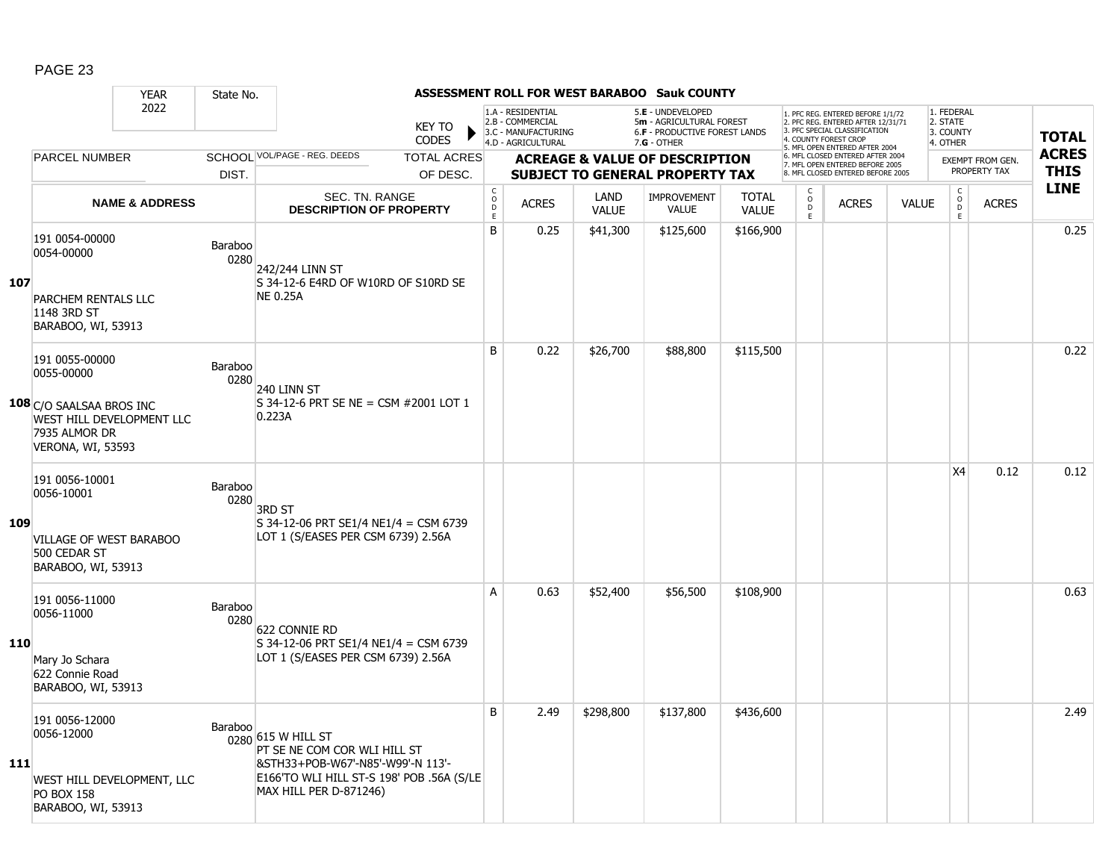|     |                                                                                                       | <b>YEAR</b>               | State No.       |                                                                                                                                                                |                                                  |                                                                                    |                      | ASSESSMENT ROLL FOR WEST BARABOO Sauk COUNTY                                                  |                              |                                     |                                                                                                                                   |              |                                                 |                         |              |
|-----|-------------------------------------------------------------------------------------------------------|---------------------------|-----------------|----------------------------------------------------------------------------------------------------------------------------------------------------------------|--------------------------------------------------|------------------------------------------------------------------------------------|----------------------|-----------------------------------------------------------------------------------------------|------------------------------|-------------------------------------|-----------------------------------------------------------------------------------------------------------------------------------|--------------|-------------------------------------------------|-------------------------|--------------|
|     |                                                                                                       | 2022                      |                 | <b>KEY TO</b><br><b>CODES</b>                                                                                                                                  |                                                  | 1.A - RESIDENTIAL<br>2.B - COMMERCIAL<br>3.C - MANUFACTURING<br>4.D - AGRICULTURAL |                      | 5.E - UNDEVELOPED<br>5m - AGRICULTURAL FOREST<br>6.F - PRODUCTIVE FOREST LANDS<br>7.G - OTHER |                              |                                     | 1. PFC REG. ENTERED BEFORE 1/1/72<br>2. PFC REG. ENTERED AFTER 12/31/71<br>3. PFC SPECIAL CLASSIFICATION<br>4. COUNTY FOREST CROP |              | 1. FEDERAL<br>2. STATE<br>3. COUNTY<br>4. OTHER |                         | <b>TOTAL</b> |
|     | <b>PARCEL NUMBER</b>                                                                                  |                           |                 | SCHOOL VOL/PAGE - REG. DEEDS<br><b>TOTAL ACRES</b>                                                                                                             |                                                  |                                                                                    |                      | <b>ACREAGE &amp; VALUE OF DESCRIPTION</b>                                                     |                              |                                     | 5. MFL OPEN ENTERED AFTER 2004<br>6. MFL CLOSED ENTERED AFTER 2004                                                                |              |                                                 | <b>EXEMPT FROM GEN.</b> | <b>ACRES</b> |
|     |                                                                                                       |                           | DIST.           | OF DESC.                                                                                                                                                       |                                                  |                                                                                    |                      | <b>SUBJECT TO GENERAL PROPERTY TAX</b>                                                        |                              |                                     | 7. MFL OPEN ENTERED BEFORE 2005<br>8. MFL CLOSED ENTERED BEFORE 2005                                                              |              |                                                 | PROPERTY TAX            | <b>THIS</b>  |
|     |                                                                                                       | <b>NAME &amp; ADDRESS</b> |                 | <b>SEC. TN. RANGE</b><br><b>DESCRIPTION OF PROPERTY</b>                                                                                                        | $_{\rm o}^{\rm c}$<br>$\mathsf D$<br>$\mathsf E$ | <b>ACRES</b>                                                                       | LAND<br><b>VALUE</b> | <b>IMPROVEMENT</b><br><b>VALUE</b>                                                            | <b>TOTAL</b><br><b>VALUE</b> | $\mathsf{C}$<br>$\overline{0}$<br>E | <b>ACRES</b>                                                                                                                      | <b>VALUE</b> | $\rm _o^C$<br>E                                 | <b>ACRES</b>            | <b>LINE</b>  |
| 107 | 191 0054-00000<br>0054-00000<br>PARCHEM RENTALS LLC<br>1148 3RD ST<br>BARABOO, WI, 53913              |                           | Baraboo<br>0280 | 242/244 LINN ST<br>S 34-12-6 E4RD OF W10RD OF S10RD SE<br><b>NE 0.25A</b>                                                                                      | B                                                | 0.25                                                                               | \$41,300             | \$125,600                                                                                     | \$166,900                    |                                     |                                                                                                                                   |              |                                                 |                         | 0.25         |
|     | 191 0055-00000<br>0055-00000                                                                          |                           | Baraboo<br>0280 | 240 LINN ST                                                                                                                                                    | B                                                | 0.22                                                                               | \$26,700             | \$88,800                                                                                      | \$115,500                    |                                     |                                                                                                                                   |              |                                                 |                         | 0.22         |
|     | 108 C/O SAALSAA BROS INC<br>WEST HILL DEVELOPMENT LLC<br>7935 ALMOR DR<br><b>VERONA, WI, 53593</b>    |                           |                 | S 34-12-6 PRT SE NE = CSM #2001 LOT 1<br>0.223A                                                                                                                |                                                  |                                                                                    |                      |                                                                                               |                              |                                     |                                                                                                                                   |              |                                                 |                         |              |
| 109 | 191 0056-10001<br>0056-10001<br>VILLAGE OF WEST BARABOO<br>500 CEDAR ST<br>BARABOO, WI, 53913         |                           | Baraboo<br>0280 | 3RD ST<br>S 34-12-06 PRT SE1/4 NE1/4 = CSM 6739<br>LOT 1 (S/EASES PER CSM 6739) 2.56A                                                                          |                                                  |                                                                                    |                      |                                                                                               |                              |                                     |                                                                                                                                   |              | <b>X4</b>                                       | 0.12                    | 0.12         |
| 110 | 191 0056-11000<br>0056-11000<br>Mary Jo Schara<br>622 Connie Road<br>BARABOO, WI, 53913               |                           | Baraboo<br>0280 | 622 CONNIE RD<br>S 34-12-06 PRT SE1/4 NE1/4 = CSM 6739<br>LOT 1 (S/EASES PER CSM 6739) 2.56A                                                                   | A                                                | 0.63                                                                               | \$52,400             | \$56,500                                                                                      | \$108,900                    |                                     |                                                                                                                                   |              |                                                 |                         | 0.63         |
| 111 | 191 0056-12000<br>0056-12000<br>WEST HILL DEVELOPMENT, LLC<br><b>PO BOX 158</b><br>BARABOO, WI, 53913 |                           | Baraboo         | 0280 615 W HILL ST<br>PT SE NE COM COR WLI HILL ST<br>&STH33+POB-W67'-N85'-W99'-N 113'-<br>E166'TO WLI HILL ST-S 198' POB .56A (S/LE<br>MAX HILL PER D-871246) | B                                                | 2.49                                                                               | \$298,800            | \$137,800                                                                                     | \$436,600                    |                                     |                                                                                                                                   |              |                                                 |                         | 2.49         |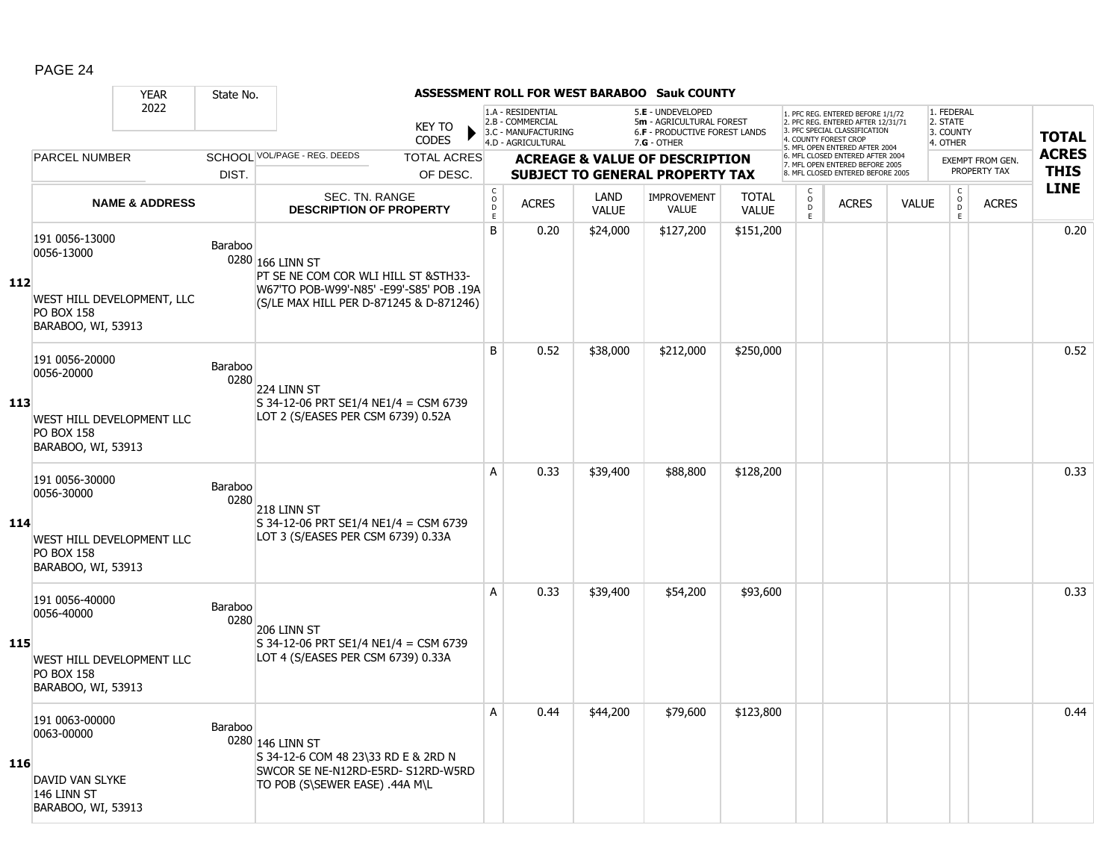|     |                                                                       | <b>YEAR</b>               | State No.       |                                                                                     |                               |                                        |                                                                                    |                             | <b>ASSESSMENT ROLL FOR WEST BARABOO Sauk COUNTY</b>                                           |                              |                                              |                                                                                                                                                                     |              |                                                 |                         |                            |
|-----|-----------------------------------------------------------------------|---------------------------|-----------------|-------------------------------------------------------------------------------------|-------------------------------|----------------------------------------|------------------------------------------------------------------------------------|-----------------------------|-----------------------------------------------------------------------------------------------|------------------------------|----------------------------------------------|---------------------------------------------------------------------------------------------------------------------------------------------------------------------|--------------|-------------------------------------------------|-------------------------|----------------------------|
|     |                                                                       | 2022                      |                 |                                                                                     | <b>KEY TO</b><br><b>CODES</b> |                                        | 1.A - RESIDENTIAL<br>2.B - COMMERCIAL<br>3.C - MANUFACTURING<br>4.D - AGRICULTURAL |                             | 5.E - UNDEVELOPED<br>5m - AGRICULTURAL FOREST<br>6.F - PRODUCTIVE FOREST LANDS<br>7.G - OTHER |                              |                                              | 1. PFC REG. ENTERED BEFORE 1/1/72<br>2. PFC REG. ENTERED AFTER 12/31/71<br>3. PFC SPECIAL CLASSIFICATION<br>4. COUNTY FOREST CROP<br>5. MFL OPEN ENTERED AFTER 2004 |              | 1. FEDERAL<br>2. STATE<br>3. COUNTY<br>4. OTHER |                         | <b>TOTAL</b>               |
|     | <b>PARCEL NUMBER</b>                                                  |                           |                 | SCHOOL VOL/PAGE - REG. DEEDS                                                        | <b>TOTAL ACRES</b>            |                                        |                                                                                    |                             | <b>ACREAGE &amp; VALUE OF DESCRIPTION</b>                                                     |                              |                                              | 6. MFL CLOSED ENTERED AFTER 2004<br>7. MFL OPEN ENTERED BEFORE 2005                                                                                                 |              |                                                 | <b>EXEMPT FROM GEN.</b> | <b>ACRES</b>               |
|     |                                                                       |                           | DIST.           |                                                                                     | OF DESC.                      |                                        |                                                                                    |                             | <b>SUBJECT TO GENERAL PROPERTY TAX</b>                                                        |                              |                                              | 8 MEL CLOSED ENTERED BEEORE 2005                                                                                                                                    |              |                                                 | PROPERTY TAX            | <b>THIS</b><br><b>LINE</b> |
|     |                                                                       | <b>NAME &amp; ADDRESS</b> |                 | SEC. TN. RANGE<br><b>DESCRIPTION OF PROPERTY</b>                                    |                               | $_{\rm o}^{\rm c}$<br>$\mathsf D$<br>E | <b>ACRES</b>                                                                       | <b>LAND</b><br><b>VALUE</b> | <b>IMPROVEMENT</b><br><b>VALUE</b>                                                            | <b>TOTAL</b><br><b>VALUE</b> | C<br>$\overset{\circ}{\phantom{\circ}}$<br>E | <b>ACRES</b>                                                                                                                                                        | <b>VALUE</b> | $\begin{matrix} 0 \\ 0 \\ 0 \end{matrix}$<br>E  | <b>ACRES</b>            |                            |
| 112 | 191 0056-13000<br>0056-13000                                          |                           | Baraboo         | 0280 166 LINN ST<br>PT SE NE COM COR WLI HILL ST & STH33-                           |                               | B                                      | 0.20                                                                               | \$24,000                    | \$127,200                                                                                     | \$151,200                    |                                              |                                                                                                                                                                     |              |                                                 |                         | 0.20                       |
|     | WEST HILL DEVELOPMENT, LLC<br><b>PO BOX 158</b><br>BARABOO, WI, 53913 |                           |                 | W67'TO POB-W99'-N85' -E99'-S85' POB .19A<br>(S/LE MAX HILL PER D-871245 & D-871246) |                               |                                        |                                                                                    |                             |                                                                                               |                              |                                              |                                                                                                                                                                     |              |                                                 |                         |                            |
|     | 191 0056-20000<br>0056-20000                                          |                           | Baraboo<br>0280 | 224 LINN ST                                                                         |                               | B                                      | 0.52                                                                               | \$38,000                    | \$212,000                                                                                     | \$250,000                    |                                              |                                                                                                                                                                     |              |                                                 |                         | 0.52                       |
| 113 | WEST HILL DEVELOPMENT LLC<br><b>PO BOX 158</b><br>BARABOO, WI, 53913  |                           |                 | S 34-12-06 PRT SE1/4 NE1/4 = CSM 6739<br>LOT 2 (S/EASES PER CSM 6739) 0.52A         |                               |                                        |                                                                                    |                             |                                                                                               |                              |                                              |                                                                                                                                                                     |              |                                                 |                         |                            |
|     | 191 0056-30000<br>0056-30000                                          |                           | Baraboo<br>0280 | 218 LINN ST                                                                         |                               | A                                      | 0.33                                                                               | \$39,400                    | \$88,800                                                                                      | \$128,200                    |                                              |                                                                                                                                                                     |              |                                                 |                         | 0.33                       |
| 114 | WEST HILL DEVELOPMENT LLC<br><b>PO BOX 158</b><br>BARABOO, WI, 53913  |                           |                 | S 34-12-06 PRT SE1/4 NE1/4 = CSM 6739<br>LOT 3 (S/EASES PER CSM 6739) 0.33A         |                               |                                        |                                                                                    |                             |                                                                                               |                              |                                              |                                                                                                                                                                     |              |                                                 |                         |                            |
|     | 191 0056-40000<br>0056-40000                                          |                           | Baraboo<br>0280 | 206 LINN ST                                                                         |                               | A                                      | 0.33                                                                               | \$39,400                    | \$54,200                                                                                      | \$93,600                     |                                              |                                                                                                                                                                     |              |                                                 |                         | 0.33                       |
| 115 | WEST HILL DEVELOPMENT LLC<br><b>PO BOX 158</b><br>BARABOO, WI, 53913  |                           |                 | S 34-12-06 PRT SE1/4 NE1/4 = CSM 6739<br>LOT 4 (S/EASES PER CSM 6739) 0.33A         |                               |                                        |                                                                                    |                             |                                                                                               |                              |                                              |                                                                                                                                                                     |              |                                                 |                         |                            |
|     | 191 0063-00000<br>0063-00000                                          |                           | Baraboo         | 0280 146 LINN ST<br>S 34-12-6 COM 48 23\33 RD E & 2RD N                             |                               | A                                      | 0.44                                                                               | \$44,200                    | \$79,600                                                                                      | \$123,800                    |                                              |                                                                                                                                                                     |              |                                                 |                         | 0.44                       |
| 116 | DAVID VAN SLYKE<br>146 LINN ST<br>BARABOO, WI, 53913                  |                           |                 | SWCOR SE NE-N12RD-E5RD- S12RD-W5RD<br>TO POB (S\SEWER EASE) .44A M\L                |                               |                                        |                                                                                    |                             |                                                                                               |                              |                                              |                                                                                                                                                                     |              |                                                 |                         |                            |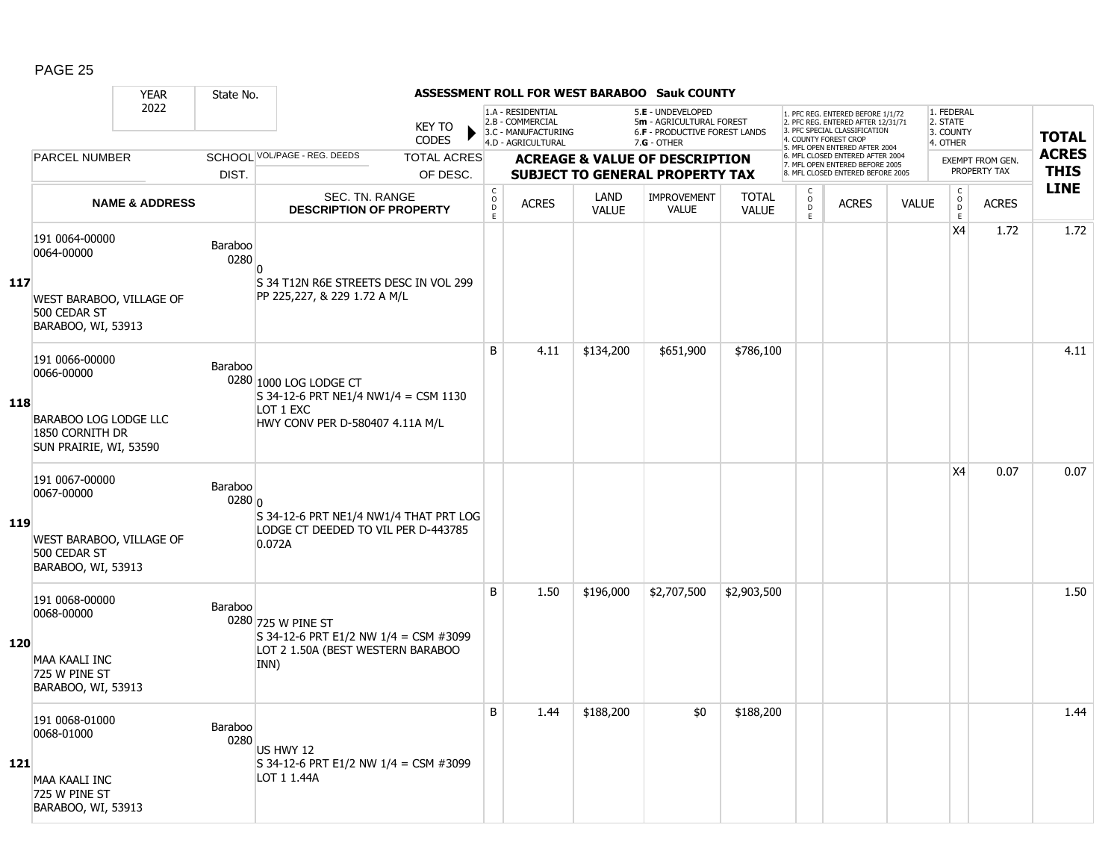|     |                                                                    | <b>YEAR</b>               | State No.         |                                                                                    |                                        |                                                                                    |                      | <b>ASSESSMENT ROLL FOR WEST BARABOO Sauk COUNTY</b>                                           |                              |                                         |                                                                                                                                   |              |                                                 |                                         |                             |
|-----|--------------------------------------------------------------------|---------------------------|-------------------|------------------------------------------------------------------------------------|----------------------------------------|------------------------------------------------------------------------------------|----------------------|-----------------------------------------------------------------------------------------------|------------------------------|-----------------------------------------|-----------------------------------------------------------------------------------------------------------------------------------|--------------|-------------------------------------------------|-----------------------------------------|-----------------------------|
|     |                                                                    | 2022                      |                   | <b>KEY TO</b><br><b>CODES</b>                                                      |                                        | 1.A - RESIDENTIAL<br>2.B - COMMERCIAL<br>3.C - MANUFACTURING<br>4.D - AGRICULTURAL |                      | 5.E - UNDEVELOPED<br>5m - AGRICULTURAL FOREST<br>6.F - PRODUCTIVE FOREST LANDS<br>7.G - OTHER |                              |                                         | 1. PFC REG. ENTERED BEFORE 1/1/72<br>2. PFC REG. ENTERED AFTER 12/31/71<br>3. PFC SPECIAL CLASSIFICATION<br>4. COUNTY FOREST CROP |              | 1. FEDERAL<br>2. STATE<br>3. COUNTY<br>4. OTHER |                                         | <b>TOTAL</b>                |
|     | <b>PARCEL NUMBER</b>                                               |                           |                   | SCHOOL VOL/PAGE - REG. DEEDS<br><b>TOTAL ACRES</b>                                 |                                        |                                                                                    |                      | <b>ACREAGE &amp; VALUE OF DESCRIPTION</b>                                                     |                              |                                         | 5. MFL OPEN ENTERED AFTER 2004<br>6. MFL CLOSED ENTERED AFTER 2004<br>7. MFL OPEN ENTERED BEFORE 2005                             |              |                                                 | <b>EXEMPT FROM GEN.</b><br>PROPERTY TAX | <b>ACRES</b><br><b>THIS</b> |
|     |                                                                    |                           | DIST.             | OF DESC.                                                                           |                                        |                                                                                    |                      | <b>SUBJECT TO GENERAL PROPERTY TAX</b>                                                        |                              |                                         | 8. MFL CLOSED ENTERED BEFORE 2005                                                                                                 |              |                                                 |                                         | <b>LINE</b>                 |
|     |                                                                    | <b>NAME &amp; ADDRESS</b> |                   | <b>SEC. TN. RANGE</b><br><b>DESCRIPTION OF PROPERTY</b>                            | $_{\rm o}^{\rm c}$<br>$\mathsf D$<br>E | <b>ACRES</b>                                                                       | LAND<br><b>VALUE</b> | <b>IMPROVEMENT</b><br><b>VALUE</b>                                                            | <b>TOTAL</b><br><b>VALUE</b> | $\mathsf{C}$<br>$_{\rm D}^{\rm O}$<br>E | <b>ACRES</b>                                                                                                                      | <b>VALUE</b> | $\rm _o^C$<br>E                                 | <b>ACRES</b>                            |                             |
|     | 191 0064-00000<br>0064-00000                                       |                           | Baraboo<br>0280   | n                                                                                  |                                        |                                                                                    |                      |                                                                                               |                              |                                         |                                                                                                                                   |              | X <sub>4</sub>                                  | 1.72                                    | 1.72                        |
| 117 | WEST BARABOO, VILLAGE OF<br>500 CEDAR ST<br>BARABOO, WI, 53913     |                           |                   | S 34 T12N R6E STREETS DESC IN VOL 299<br>PP 225,227, & 229 1.72 A M/L              |                                        |                                                                                    |                      |                                                                                               |                              |                                         |                                                                                                                                   |              |                                                 |                                         |                             |
|     | 191 0066-00000<br>0066-00000                                       |                           | Baraboo           | 0280 1000 LOG LODGE CT<br>$S$ 34-12-6 PRT NE1/4 NW1/4 = CSM 1130                   | B                                      | 4.11                                                                               | \$134,200            | \$651,900                                                                                     | \$786,100                    |                                         |                                                                                                                                   |              |                                                 |                                         | 4.11                        |
| 118 | BARABOO LOG LODGE LLC<br>1850 CORNITH DR<br>SUN PRAIRIE, WI, 53590 |                           |                   | LOT 1 EXC<br>HWY CONV PER D-580407 4.11A M/L                                       |                                        |                                                                                    |                      |                                                                                               |                              |                                         |                                                                                                                                   |              |                                                 |                                         |                             |
|     | 191 0067-00000<br>0067-00000                                       |                           | Baraboo<br>0280 0 | S 34-12-6 PRT NE1/4 NW1/4 THAT PRT LOG                                             |                                        |                                                                                    |                      |                                                                                               |                              |                                         |                                                                                                                                   |              | X4                                              | 0.07                                    | 0.07                        |
| 119 | WEST BARABOO, VILLAGE OF<br>500 CEDAR ST<br>BARABOO, WI, 53913     |                           |                   | LODGE CT DEEDED TO VIL PER D-443785<br>0.072A                                      |                                        |                                                                                    |                      |                                                                                               |                              |                                         |                                                                                                                                   |              |                                                 |                                         |                             |
|     | 191 0068-00000<br>0068-00000                                       |                           | Baraboo           | 0280 725 W PINE ST                                                                 | B                                      | 1.50                                                                               | \$196,000            | \$2,707,500                                                                                   | \$2,903,500                  |                                         |                                                                                                                                   |              |                                                 |                                         | 1.50                        |
| 120 | <b>MAA KAALI INC</b><br>725 W PINE ST<br>BARABOO, WI, 53913        |                           |                   | S 34-12-6 PRT E1/2 NW 1/4 = CSM #3099<br>LOT 2 1.50A (BEST WESTERN BARABOO<br>INN) |                                        |                                                                                    |                      |                                                                                               |                              |                                         |                                                                                                                                   |              |                                                 |                                         |                             |
|     | 191 0068-01000<br>0068-01000                                       |                           | Baraboo<br>0280   | US HWY 12                                                                          | B                                      | 1.44                                                                               | \$188,200            | \$0                                                                                           | \$188,200                    |                                         |                                                                                                                                   |              |                                                 |                                         | 1.44                        |
| 121 | <b>MAA KAALI INC</b><br>725 W PINE ST<br>BARABOO, WI, 53913        |                           |                   | S 34-12-6 PRT E1/2 NW 1/4 = CSM #3099<br>LOT 1 1.44A                               |                                        |                                                                                    |                      |                                                                                               |                              |                                         |                                                                                                                                   |              |                                                 |                                         |                             |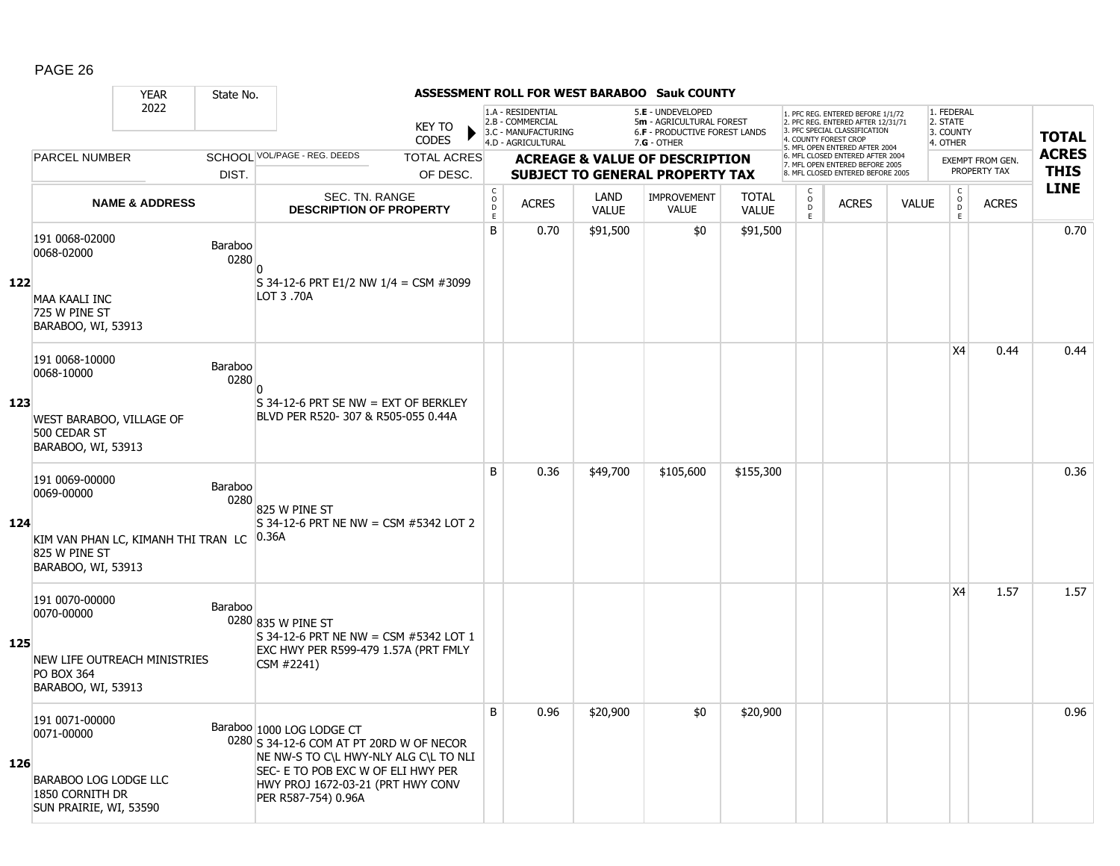|     |                                                                                  | <b>YEAR</b>               | State No.              |                                                                                                                                                      |                               |                                                              |                                                                                    |                      | ASSESSMENT ROLL FOR WEST BARABOO Sauk COUNTY                                                         |                              |                                  |                                                                                                                                            |              |                                                 |                         |              |
|-----|----------------------------------------------------------------------------------|---------------------------|------------------------|------------------------------------------------------------------------------------------------------------------------------------------------------|-------------------------------|--------------------------------------------------------------|------------------------------------------------------------------------------------|----------------------|------------------------------------------------------------------------------------------------------|------------------------------|----------------------------------|--------------------------------------------------------------------------------------------------------------------------------------------|--------------|-------------------------------------------------|-------------------------|--------------|
|     |                                                                                  | 2022                      |                        |                                                                                                                                                      | <b>KEY TO</b><br><b>CODES</b> |                                                              | 1.A - RESIDENTIAL<br>2.B - COMMERCIAL<br>3.C - MANUFACTURING<br>4.D - AGRICULTURAL |                      | 5.E - UNDEVELOPED<br>5m - AGRICULTURAL FOREST<br><b>6.F - PRODUCTIVE FOREST LANDS</b><br>7.G - OTHER |                              | 4. COUNTY FOREST CROP            | 1. PFC REG. ENTERED BEFORE 1/1/72<br>2. PFC REG. ENTERED AFTER 12/31/71<br>3. PFC SPECIAL CLASSIFICATION<br>5. MFL OPEN ENTERED AFTER 2004 |              | 1. FEDERAL<br>2. STATE<br>3. COUNTY<br>4. OTHER |                         | <b>TOTAL</b> |
|     | PARCEL NUMBER                                                                    |                           |                        | SCHOOL VOL/PAGE - REG. DEEDS                                                                                                                         | <b>TOTAL ACRES</b>            |                                                              |                                                                                    |                      | <b>ACREAGE &amp; VALUE OF DESCRIPTION</b>                                                            |                              |                                  | 6. MFL CLOSED ENTERED AFTER 2004<br>7. MFL OPEN ENTERED BEFORE 2005                                                                        |              |                                                 | <b>EXEMPT FROM GEN.</b> | <b>ACRES</b> |
|     |                                                                                  |                           | DIST.                  |                                                                                                                                                      | OF DESC.                      |                                                              |                                                                                    |                      | <b>SUBJECT TO GENERAL PROPERTY TAX</b>                                                               |                              |                                  | 8. MFL CLOSED ENTERED BEFORE 2005                                                                                                          |              |                                                 | PROPERTY TAX            | <b>THIS</b>  |
|     |                                                                                  | <b>NAME &amp; ADDRESS</b> |                        | SEC. TN. RANGE<br><b>DESCRIPTION OF PROPERTY</b>                                                                                                     |                               | $\mathsf{C}$<br>$\begin{array}{c}\n0 \\ 0 \\ E\n\end{array}$ | <b>ACRES</b>                                                                       | LAND<br><b>VALUE</b> | <b>IMPROVEMENT</b><br><b>VALUE</b>                                                                   | <b>TOTAL</b><br><b>VALUE</b> | C<br>$\circ$<br>$\mathsf D$<br>E | <b>ACRES</b>                                                                                                                               | <b>VALUE</b> | $\mathsf{C}$<br>$\overline{0}$<br>E             | <b>ACRES</b>            | <b>LINE</b>  |
|     | 191 0068-02000<br>0068-02000                                                     |                           | Baraboo<br>0280        | n                                                                                                                                                    |                               | B                                                            | 0.70                                                                               | \$91,500             | \$0                                                                                                  | \$91,500                     |                                  |                                                                                                                                            |              |                                                 |                         | 0.70         |
| 122 | <b>MAA KAALI INC</b><br>725 W PINE ST<br>BARABOO, WI, 53913                      |                           |                        | S 34-12-6 PRT E1/2 NW 1/4 = CSM #3099<br>LOT 3.70A                                                                                                   |                               |                                                              |                                                                                    |                      |                                                                                                      |                              |                                  |                                                                                                                                            |              |                                                 |                         |              |
|     | 191 0068-10000<br>0068-10000                                                     |                           | Baraboo<br>0280        | n                                                                                                                                                    |                               |                                                              |                                                                                    |                      |                                                                                                      |                              |                                  |                                                                                                                                            |              | X4                                              | 0.44                    | 0.44         |
| 123 | <b>WEST BARABOO, VILLAGE OF</b><br>500 CEDAR ST<br>BARABOO, WI, 53913            |                           |                        | S 34-12-6 PRT SE NW = EXT OF BERKLEY<br>BLVD PER R520- 307 & R505-055 0.44A                                                                          |                               |                                                              |                                                                                    |                      |                                                                                                      |                              |                                  |                                                                                                                                            |              |                                                 |                         |              |
|     | 191 0069-00000<br>0069-00000                                                     |                           | <b>Baraboo</b><br>0280 | 825 W PINE ST                                                                                                                                        |                               | B                                                            | 0.36                                                                               | \$49,700             | \$105,600                                                                                            | \$155,300                    |                                  |                                                                                                                                            |              |                                                 |                         | 0.36         |
| 124 | KIM VAN PHAN LC, KIMANH THI TRAN LC 0.36A<br>825 W PINE ST<br>BARABOO, WI, 53913 |                           |                        | S 34-12-6 PRT NE NW = CSM #5342 LOT 2                                                                                                                |                               |                                                              |                                                                                    |                      |                                                                                                      |                              |                                  |                                                                                                                                            |              |                                                 |                         |              |
|     | 191 0070-00000<br>0070-00000                                                     |                           | Baraboo                | 0280 835 W PINE ST<br>S 34-12-6 PRT NE NW = CSM #5342 LOT 1                                                                                          |                               |                                                              |                                                                                    |                      |                                                                                                      |                              |                                  |                                                                                                                                            |              | X4                                              | 1.57                    | 1.57         |
| 125 | NEW LIFE OUTREACH MINISTRIES<br><b>PO BOX 364</b><br>BARABOO, WI, 53913          |                           |                        | EXC HWY PER R599-479 1.57A (PRT FMLY<br>CSM #2241)                                                                                                   |                               |                                                              |                                                                                    |                      |                                                                                                      |                              |                                  |                                                                                                                                            |              |                                                 |                         |              |
| 126 | 191 0071-00000<br>0071-00000                                                     |                           |                        | Baraboo 1000 LOG LODGE CT<br>0280 S 34-12-6 COM AT PT 20RD W OF NECOR<br>NE NW-S TO C\L HWY-NLY ALG C\L TO NLI<br>SEC- E TO POB EXC W OF ELI HWY PER |                               | B                                                            | 0.96                                                                               | \$20,900             | \$0                                                                                                  | \$20,900                     |                                  |                                                                                                                                            |              |                                                 |                         | 0.96         |
|     | <b>BARABOO LOG LODGE LLC</b><br>1850 CORNITH DR<br>SUN PRAIRIE, WI, 53590        |                           |                        | HWY PROJ 1672-03-21 (PRT HWY CONV<br>PER R587-754) 0.96A                                                                                             |                               |                                                              |                                                                                    |                      |                                                                                                      |                              |                                  |                                                                                                                                            |              |                                                 |                         |              |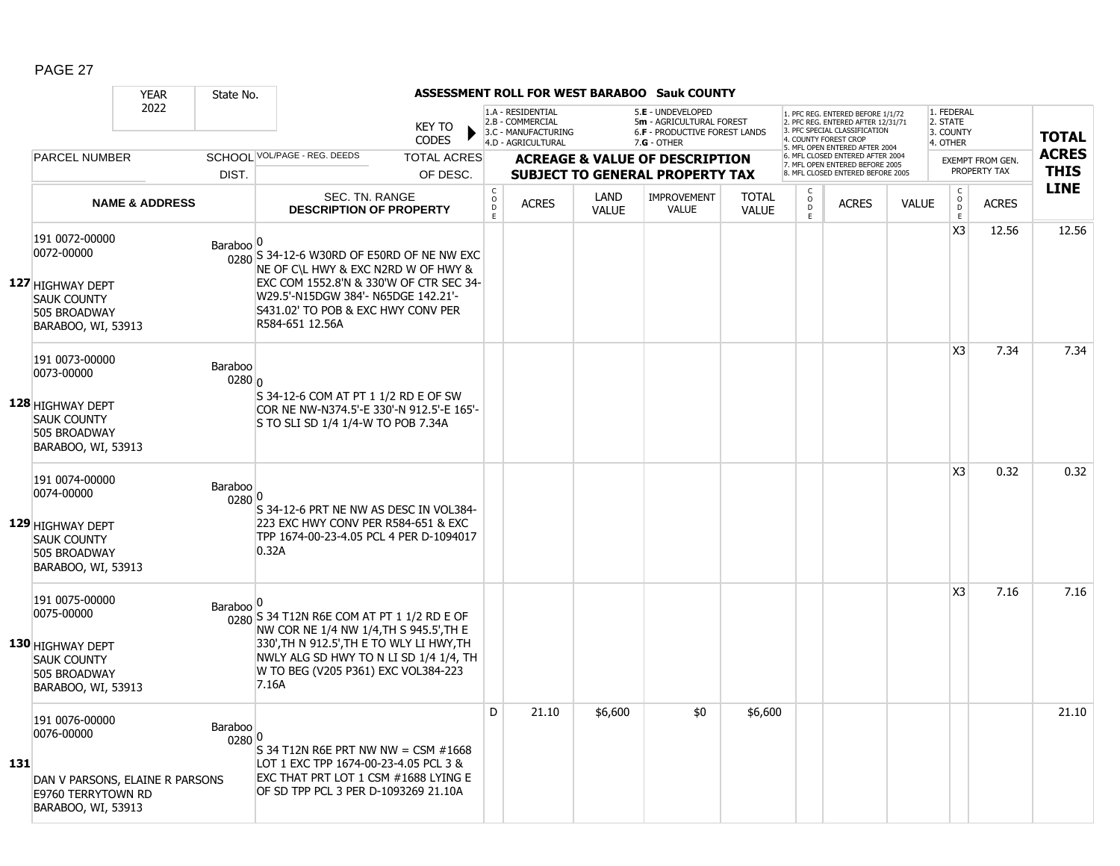|     |                                                                                                              | <b>YEAR</b>               | State No.            |                                                                                                                                                                                                                              |                               |                                                 |                                                                                    |                      | <b>ASSESSMENT ROLL FOR WEST BARABOO Sauk COUNTY</b>                                                  |                              |                   |                                                                                                                                                                     |              |                                                 |                                         |                             |
|-----|--------------------------------------------------------------------------------------------------------------|---------------------------|----------------------|------------------------------------------------------------------------------------------------------------------------------------------------------------------------------------------------------------------------------|-------------------------------|-------------------------------------------------|------------------------------------------------------------------------------------|----------------------|------------------------------------------------------------------------------------------------------|------------------------------|-------------------|---------------------------------------------------------------------------------------------------------------------------------------------------------------------|--------------|-------------------------------------------------|-----------------------------------------|-----------------------------|
|     |                                                                                                              | 2022                      |                      |                                                                                                                                                                                                                              | <b>KEY TO</b><br><b>CODES</b> |                                                 | 1.A - RESIDENTIAL<br>2.B - COMMERCIAL<br>3.C - MANUFACTURING<br>4.D - AGRICULTURAL |                      | 5.E - UNDEVELOPED<br>5m - AGRICULTURAL FOREST<br><b>6.F - PRODUCTIVE FOREST LANDS</b><br>7.G - OTHER |                              |                   | 1. PFC REG. ENTERED BEFORE 1/1/72<br>2. PFC REG. ENTERED AFTER 12/31/71<br>3. PFC SPECIAL CLASSIFICATION<br>4. COUNTY FOREST CROP<br>5. MFL OPEN ENTERED AFTER 2004 |              | 1. FEDERAL<br>2. STATE<br>3. COUNTY<br>4. OTHER |                                         | <b>TOTAL</b>                |
|     | <b>PARCEL NUMBER</b>                                                                                         |                           |                      | SCHOOL VOL/PAGE - REG. DEEDS                                                                                                                                                                                                 | <b>TOTAL ACRES</b>            |                                                 |                                                                                    |                      | <b>ACREAGE &amp; VALUE OF DESCRIPTION</b>                                                            |                              |                   | 6. MFL CLOSED ENTERED AFTER 2004<br>7. MFL OPEN ENTERED BEFORE 2005<br>8. MFL CLOSED ENTERED BEFORE 2005                                                            |              |                                                 | <b>EXEMPT FROM GEN.</b><br>PROPERTY TAX | <b>ACRES</b><br><b>THIS</b> |
|     |                                                                                                              |                           | DIST.                |                                                                                                                                                                                                                              | OF DESC.                      |                                                 |                                                                                    |                      | <b>SUBJECT TO GENERAL PROPERTY TAX</b>                                                               |                              | С                 |                                                                                                                                                                     |              |                                                 |                                         | <b>LINE</b>                 |
|     |                                                                                                              | <b>NAME &amp; ADDRESS</b> |                      | SEC. TN. RANGE<br><b>DESCRIPTION OF PROPERTY</b>                                                                                                                                                                             |                               | $\begin{array}{c} C \\ O \\ D \end{array}$<br>E | <b>ACRES</b>                                                                       | LAND<br><b>VALUE</b> | IMPROVEMENT<br><b>VALUE</b>                                                                          | <b>TOTAL</b><br><b>VALUE</b> | $\circ$<br>D<br>E | <b>ACRES</b>                                                                                                                                                        | <b>VALUE</b> | $\begin{matrix} 0 \\ 0 \\ D \end{matrix}$<br>E  | <b>ACRES</b>                            |                             |
|     | 191 0072-00000<br>0072-00000<br>127 HIGHWAY DEPT<br><b>SAUK COUNTY</b><br>505 BROADWAY<br>BARABOO, WI, 53913 |                           | <b>Baraboo</b>       | 0280 S 34-12-6 W30RD OF E50RD OF NE NW EXC<br>NE OF C\L HWY & EXC N2RD W OF HWY &<br>EXC COM 1552.8'N & 330'W OF CTR SEC 34-<br>W29.5'-N15DGW 384'- N65DGE 142.21'-<br>S431.02' TO POB & EXC HWY CONV PER<br>R584-651 12.56A |                               |                                                 |                                                                                    |                      |                                                                                                      |                              |                   |                                                                                                                                                                     |              | X <sub>3</sub>                                  | 12.56                                   | 12.56                       |
|     | 191 0073-00000<br>0073-00000<br>128 HIGHWAY DEPT<br><b>SAUK COUNTY</b><br>505 BROADWAY<br>BARABOO, WI, 53913 |                           | Baraboo<br>0280 0    | S 34-12-6 COM AT PT 1 1/2 RD E OF SW<br>COR NE NW-N374.5'-E 330'-N 912.5'-E 165'-<br>S TO SLI SD 1/4 1/4-W TO POB 7.34A                                                                                                      |                               |                                                 |                                                                                    |                      |                                                                                                      |                              |                   |                                                                                                                                                                     |              | X <sub>3</sub>                                  | 7.34                                    | 7.34                        |
|     | 191 0074-00000<br>0074-00000<br>129 HIGHWAY DEPT<br><b>SAUK COUNTY</b><br>505 BROADWAY<br>BARABOO, WI, 53913 |                           | Baraboo<br>0280 0    | S 34-12-6 PRT NE NW AS DESC IN VOL384-<br>223 EXC HWY CONV PER R584-651 & EXC<br>TPP 1674-00-23-4.05 PCL 4 PER D-1094017<br>0.32A                                                                                            |                               |                                                 |                                                                                    |                      |                                                                                                      |                              |                   |                                                                                                                                                                     |              | X <sub>3</sub>                                  | 0.32                                    | 0.32                        |
|     | 191 0075-00000<br>0075-00000<br>130 HIGHWAY DEPT<br><b>SAUK COUNTY</b><br>505 BROADWAY<br>BARABOO, WI, 53913 |                           | Baraboo <sup>o</sup> | 0280 S 34 T12N R6E COM AT PT 1 1/2 RD E OF<br>NW COR NE 1/4 NW 1/4, TH S 945.5', TH E<br>330', TH N 912.5', TH E TO WLY LI HWY, TH<br>NWLY ALG SD HWY TO N LI SD 1/4 1/4, TH<br>W TO BEG (V205 P361) EXC VOL384-223<br>7.16A |                               |                                                 |                                                                                    |                      |                                                                                                      |                              |                   |                                                                                                                                                                     |              | X <sub>3</sub>                                  | 7.16                                    | 7.16                        |
| 131 | 191 0076-00000<br>0076-00000<br>DAN V PARSONS, ELAINE R PARSONS<br>E9760 TERRYTOWN RD<br>BARABOO, WI, 53913  |                           | Baraboo<br>0280      | 0<br>S 34 T12N R6E PRT NW NW = CSM $#1668$<br>LOT 1 EXC TPP 1674-00-23-4.05 PCL 3 &<br>EXC THAT PRT LOT 1 CSM #1688 LYING E<br>OF SD TPP PCL 3 PER D-1093269 21.10A                                                          |                               | D                                               | 21.10                                                                              | \$6,600              | \$0                                                                                                  | \$6,600                      |                   |                                                                                                                                                                     |              |                                                 |                                         | 21.10                       |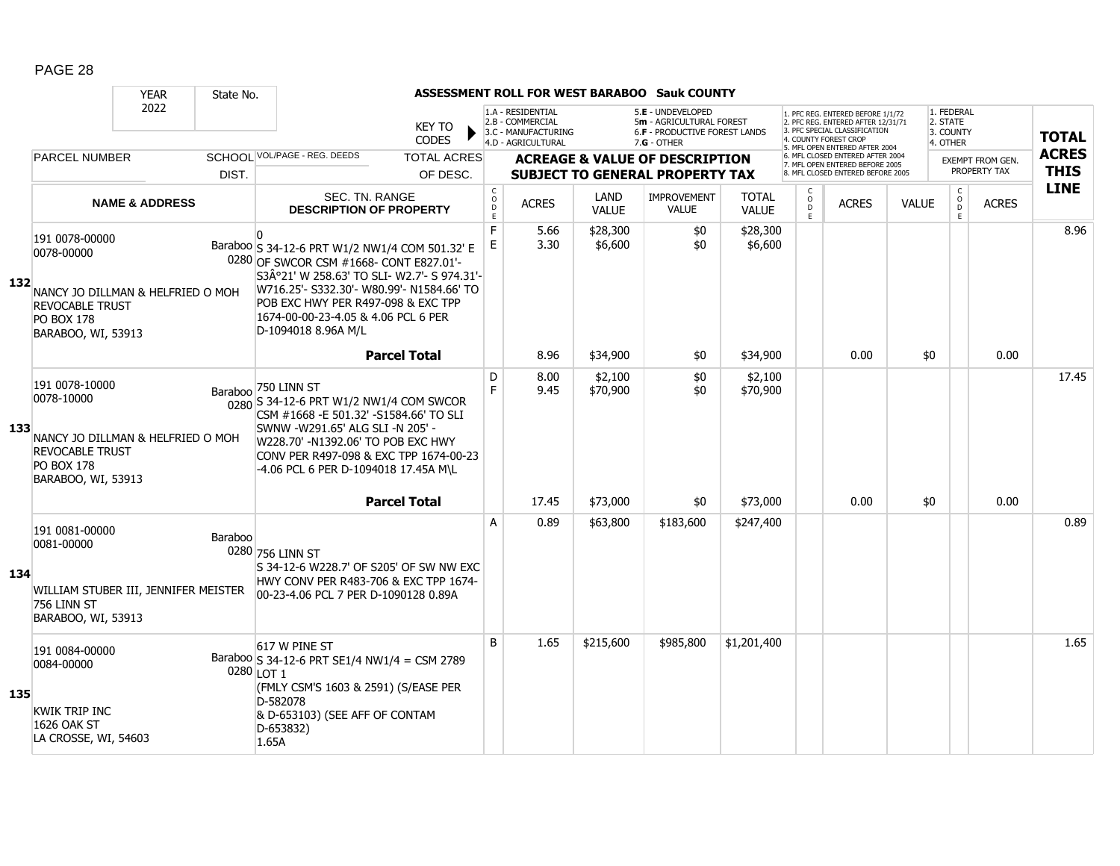|     |                                                                                                                                        | <b>YEAR</b>               | State No. |                                                                                                                                                                                                                                                                                                      |                                                  |                                                                                    |                      | ASSESSMENT ROLL FOR WEST BARABOO Sauk COUNTY                                                           |                              |                                           |                                                                                                                                                                    |              |                                                 |                                  |                             |
|-----|----------------------------------------------------------------------------------------------------------------------------------------|---------------------------|-----------|------------------------------------------------------------------------------------------------------------------------------------------------------------------------------------------------------------------------------------------------------------------------------------------------------|--------------------------------------------------|------------------------------------------------------------------------------------|----------------------|--------------------------------------------------------------------------------------------------------|------------------------------|-------------------------------------------|--------------------------------------------------------------------------------------------------------------------------------------------------------------------|--------------|-------------------------------------------------|----------------------------------|-----------------------------|
|     |                                                                                                                                        | 2022                      |           | <b>KEY TO</b><br><b>CODES</b>                                                                                                                                                                                                                                                                        |                                                  | 1.A - RESIDENTIAL<br>2.B - COMMERCIAL<br>3.C - MANUFACTURING<br>4.D - AGRICULTURAL |                      | 5.E - UNDEVELOPED<br>5m - AGRICULTURAL FOREST<br><b>6.F - PRODUCTIVE FOREST LANDS</b><br>$7.G - OTHER$ |                              |                                           | . PFC REG. ENTERED BEFORE 1/1/72<br>2. PFC REG. ENTERED AFTER 12/31/71<br>3. PFC SPECIAL CLASSIFICATION<br>4. COUNTY FOREST CROP<br>5. MFL OPEN ENTERED AFTER 2004 |              | 1. FEDERAL<br>2. STATE<br>3. COUNTY<br>4. OTHER |                                  | <b>TOTAL</b>                |
|     | <b>PARCEL NUMBER</b>                                                                                                                   |                           | DIST.     | SCHOOL VOL/PAGE - REG. DEEDS<br><b>TOTAL ACRES</b><br>OF DESC.                                                                                                                                                                                                                                       |                                                  |                                                                                    |                      | <b>ACREAGE &amp; VALUE OF DESCRIPTION</b><br><b>SUBJECT TO GENERAL PROPERTY TAX</b>                    |                              |                                           | 6. MFL CLOSED ENTERED AFTER 2004<br>7. MFL OPEN ENTERED BEFORE 2005<br>8 MEL CLOSED ENTERED BEFORE 2005                                                            |              |                                                 | EXEMPT FROM GEN.<br>PROPERTY TAX | <b>ACRES</b><br><b>THIS</b> |
|     |                                                                                                                                        | <b>NAME &amp; ADDRESS</b> |           | SEC. TN. RANGE<br><b>DESCRIPTION OF PROPERTY</b>                                                                                                                                                                                                                                                     | $\mathsf C$<br>$_{\rm D}^{\rm O}$<br>$\mathsf E$ | <b>ACRES</b>                                                                       | LAND<br><b>VALUE</b> | <b>IMPROVEMENT</b><br><b>VALUE</b>                                                                     | <b>TOTAL</b><br><b>VALUE</b> | C<br>$\circ$<br>$\ddot{\mathsf{D}}$<br>E. | <b>ACRES</b>                                                                                                                                                       | <b>VALUE</b> | $\mathsf{C}$<br>$_{\rm D}^{\rm O}$<br>E         | <b>ACRES</b>                     | <b>LINE</b>                 |
| 132 | 191 0078-00000<br>0078-00000<br>NANCY JO DILLMAN & HELFRIED O MOH<br><b>REVOCABLE TRUST</b><br><b>PO BOX 178</b><br>BARABOO, WI, 53913 |                           |           | $\Omega$<br>Baraboo S 34-12-6 PRT W1/2 NW1/4 COM 501.32' E<br>0280 OF SWCOR CSM #1668- CONT E827.01'-<br>S3°21' W 258.63' TO SLI- W2.7'- S 974.31'-<br>W716.25'- S332.30'- W80.99'- N1584.66' TO<br>POB EXC HWY PER R497-098 & EXC TPP<br>1674-00-00-23-4.05 & 4.06 PCL 6 PER<br>D-1094018 8.96A M/L | F<br>E                                           | 5.66<br>3.30                                                                       | \$28,300<br>\$6,600  | \$0<br>\$0                                                                                             | \$28,300<br>\$6,600          |                                           |                                                                                                                                                                    |              |                                                 |                                  | 8.96                        |
|     |                                                                                                                                        |                           |           | <b>Parcel Total</b>                                                                                                                                                                                                                                                                                  |                                                  | 8.96                                                                               | \$34,900             | \$0                                                                                                    | \$34,900                     |                                           | 0.00                                                                                                                                                               | \$0          |                                                 | 0.00                             |                             |
| 133 | 191 0078-10000<br>0078-10000<br>NANCY JO DILLMAN & HELFRIED O MOH<br><b>REVOCABLE TRUST</b><br><b>PO BOX 178</b><br>BARABOO, WI, 53913 |                           | Baraboo   | 750 LINN ST<br>0280 S 34-12-6 PRT W1/2 NW1/4 COM SWCOR<br>CSM #1668 - E 501.32' - S1584.66' TO SLI<br>SWNW -W291.65' ALG SLI -N 205' -<br>W228.70' -N1392.06' TO POB EXC HWY<br>CONV PER R497-098 & EXC TPP 1674-00-23<br>-4.06 PCL 6 PER D-1094018 17.45A M\L                                       | D<br>F.                                          | 8.00<br>9.45                                                                       | \$2,100<br>\$70,900  | \$0<br>\$0                                                                                             | \$2,100<br>\$70,900          |                                           |                                                                                                                                                                    |              |                                                 |                                  | 17.45                       |
|     |                                                                                                                                        |                           |           | <b>Parcel Total</b>                                                                                                                                                                                                                                                                                  |                                                  | 17.45                                                                              | \$73,000             | \$0                                                                                                    | \$73,000                     |                                           | 0.00                                                                                                                                                               | \$0          |                                                 | 0.00                             |                             |
| 134 | 191 0081-00000<br>0081-00000<br>WILLIAM STUBER III, JENNIFER MEISTER<br>756 LINN ST<br>BARABOO, WI, 53913                              |                           | Baraboo   | 0280 756 LINN ST<br>S 34-12-6 W228.7' OF S205' OF SW NW EXC<br>HWY CONV PER R483-706 & EXC TPP 1674-<br>00-23-4.06 PCL 7 PER D-1090128 0.89A                                                                                                                                                         | A                                                | 0.89                                                                               | \$63,800             | \$183,600                                                                                              | \$247,400                    |                                           |                                                                                                                                                                    |              |                                                 |                                  | 0.89                        |
| 135 | 191 0084-00000<br>0084-00000<br><b>KWIK TRIP INC</b><br>1626 OAK ST<br>LA CROSSE, WI, 54603                                            |                           |           | 617 W PINE ST<br>Baraboo S 34-12-6 PRT SE1/4 NW1/4 = CSM 2789<br>0280 LOT 1<br>(FMLY CSM'S 1603 & 2591) (S/EASE PER<br>D-582078<br>& D-653103) (SEE AFF OF CONTAM<br>D-653832)<br>1.65A                                                                                                              | B                                                | 1.65                                                                               | \$215,600            | \$985,800                                                                                              | \$1,201,400                  |                                           |                                                                                                                                                                    |              |                                                 |                                  | 1.65                        |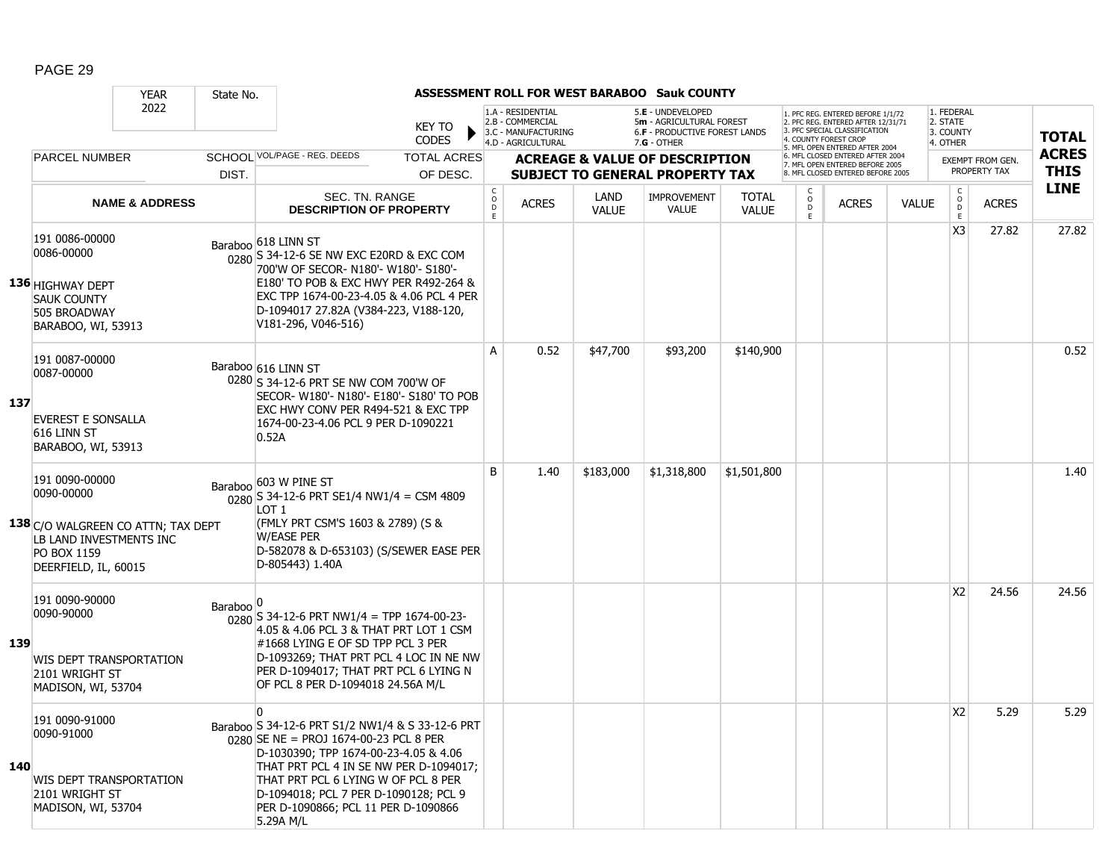|     |                                                                                                                                      | <b>YEAR</b>               | State No.            |                                                                                                                                                                                                                                                                                                                                  |                               |                              |                                                                                    |                      | <b>ASSESSMENT ROLL FOR WEST BARABOO Sauk COUNTY</b>                                                    |                              |                        |                                                                                                                                   |              |                                                 |                  |              |
|-----|--------------------------------------------------------------------------------------------------------------------------------------|---------------------------|----------------------|----------------------------------------------------------------------------------------------------------------------------------------------------------------------------------------------------------------------------------------------------------------------------------------------------------------------------------|-------------------------------|------------------------------|------------------------------------------------------------------------------------|----------------------|--------------------------------------------------------------------------------------------------------|------------------------------|------------------------|-----------------------------------------------------------------------------------------------------------------------------------|--------------|-------------------------------------------------|------------------|--------------|
|     |                                                                                                                                      | 2022                      |                      |                                                                                                                                                                                                                                                                                                                                  | <b>KEY TO</b><br><b>CODES</b> |                              | 1.A - RESIDENTIAL<br>2.B - COMMERCIAL<br>3.C - MANUFACTURING<br>4.D - AGRICULTURAL |                      | 5.E - UNDEVELOPED<br>5m - AGRICULTURAL FOREST<br><b>6.F - PRODUCTIVE FOREST LANDS</b><br>$7.G - OTHER$ |                              |                        | 1. PFC REG. ENTERED BEFORE 1/1/72<br>2. PFC REG. ENTERED AFTER 12/31/71<br>3. PFC SPECIAL CLASSIFICATION<br>4. COUNTY FOREST CROP |              | 1. FEDERAL<br>2. STATE<br>3. COUNTY<br>4. OTHER |                  | <b>TOTAL</b> |
|     | <b>PARCEL NUMBER</b>                                                                                                                 |                           |                      | SCHOOL VOL/PAGE - REG. DEEDS                                                                                                                                                                                                                                                                                                     | <b>TOTAL ACRES</b>            |                              |                                                                                    |                      | <b>ACREAGE &amp; VALUE OF DESCRIPTION</b>                                                              |                              |                        | 5. MFL OPEN ENTERED AFTER 2004<br>6. MFL CLOSED ENTERED AFTER 2004<br>7. MFL OPEN ENTERED BEFORE 2005                             |              |                                                 | EXEMPT FROM GEN. | <b>ACRES</b> |
|     |                                                                                                                                      |                           | DIST.                |                                                                                                                                                                                                                                                                                                                                  | OF DESC.                      |                              |                                                                                    |                      | <b>SUBJECT TO GENERAL PROPERTY TAX</b>                                                                 |                              |                        | 8. MFL CLOSED ENTERED BEFORE 2005                                                                                                 |              |                                                 | PROPERTY TAX     | <b>THIS</b>  |
|     |                                                                                                                                      | <b>NAME &amp; ADDRESS</b> |                      | SEC. TN. RANGE<br><b>DESCRIPTION OF PROPERTY</b>                                                                                                                                                                                                                                                                                 |                               | $_{\rm o}^{\rm c}$<br>D<br>E | <b>ACRES</b>                                                                       | LAND<br><b>VALUE</b> | <b>IMPROVEMENT</b><br><b>VALUE</b>                                                                     | <b>TOTAL</b><br><b>VALUE</b> | C<br>$\circ$<br>D<br>E | <b>ACRES</b>                                                                                                                      | <b>VALUE</b> | $\mathsf{C}$<br>$\overline{0}$<br>$\mathsf E$   | <b>ACRES</b>     | <b>LINE</b>  |
|     | 191 0086-00000<br>0086-00000<br>136 HIGHWAY DEPT<br><b>SAUK COUNTY</b><br>505 BROADWAY<br>BARABOO, WI, 53913                         |                           |                      | Baraboo 618 LINN ST<br>$\frac{1}{0280}$ S 34-12-6 SE NW EXC E20RD & EXC COM<br>700'W OF SECOR- N180'- W180'- S180'-<br>E180' TO POB & EXC HWY PER R492-264 &<br>EXC TPP 1674-00-23-4.05 & 4.06 PCL 4 PER<br>D-1094017 27.82A (V384-223, V188-120,<br>V181-296, V046-516)                                                         |                               |                              |                                                                                    |                      |                                                                                                        |                              |                        |                                                                                                                                   |              | X <sub>3</sub>                                  | 27.82            | 27.82        |
| 137 | 191 0087-00000<br>0087-00000<br><b>EVEREST E SONSALLA</b><br>616 LINN ST<br>BARABOO, WI, 53913                                       |                           |                      | Baraboo 616 LINN ST<br>0280 S 34-12-6 PRT SE NW COM 700'W OF<br>SECOR- W180'- N180'- E180'- S180' TO POB<br>EXC HWY CONV PER R494-521 & EXC TPP<br>1674-00-23-4.06 PCL 9 PER D-1090221<br>0.52A                                                                                                                                  |                               | A                            | 0.52                                                                               | \$47,700             | \$93,200                                                                                               | \$140,900                    |                        |                                                                                                                                   |              |                                                 |                  | 0.52         |
|     | 191 0090-00000<br>0090-00000<br>138 C/O WALGREEN CO ATTN; TAX DEPT<br>LB LAND INVESTMENTS INC<br>PO BOX 1159<br>DEERFIELD, IL, 60015 |                           |                      | Baraboo 603 W PINE ST<br>$\frac{1}{0280}$ S 34-12-6 PRT SE1/4 NW1/4 = CSM 4809<br>LOT 1<br>(FMLY PRT CSM'S 1603 & 2789) (S &<br><b>W/EASE PER</b><br>D-582078 & D-653103) (S/SEWER EASE PER<br>D-805443) 1.40A                                                                                                                   |                               | B                            | 1.40                                                                               | \$183,000            | \$1,318,800                                                                                            | \$1,501,800                  |                        |                                                                                                                                   |              |                                                 |                  | 1.40         |
| 139 | 191 0090-90000<br>0090-90000<br>WIS DEPT TRANSPORTATION<br>2101 WRIGHT ST<br>MADISON, WI, 53704                                      |                           | Baraboo <sup>o</sup> | $0280$ S 34-12-6 PRT NW1/4 = TPP 1674-00-23-<br>4.05 & 4.06 PCL 3 & THAT PRT LOT 1 CSM<br>#1668 LYING E OF SD TPP PCL 3 PER<br>D-1093269; THAT PRT PCL 4 LOC IN NE NW<br>PER D-1094017; THAT PRT PCL 6 LYING N<br>OF PCL 8 PER D-1094018 24.56A M/L                                                                              |                               |                              |                                                                                    |                      |                                                                                                        |                              |                        |                                                                                                                                   |              | X <sub>2</sub>                                  | 24.56            | 24.56        |
| 140 | 191 0090-91000<br>0090-91000<br>WIS DEPT TRANSPORTATION<br>2101 WRIGHT ST<br>MADISON, WI, 53704                                      |                           |                      | $\Omega$<br>Baraboo S 34-12-6 PRT S1/2 NW1/4 & S 33-12-6 PRT<br>$0.280$ SE NE = PROJ 1674-00-23 PCL 8 PER<br>D-1030390; TPP 1674-00-23-4.05 & 4.06<br>THAT PRT PCL 4 IN SE NW PER D-1094017;<br>THAT PRT PCL 6 LYING W OF PCL 8 PER<br>D-1094018; PCL 7 PER D-1090128; PCL 9<br>PER D-1090866; PCL 11 PER D-1090866<br>5.29A M/L |                               |                              |                                                                                    |                      |                                                                                                        |                              |                        |                                                                                                                                   |              | X <sub>2</sub>                                  | 5.29             | 5.29         |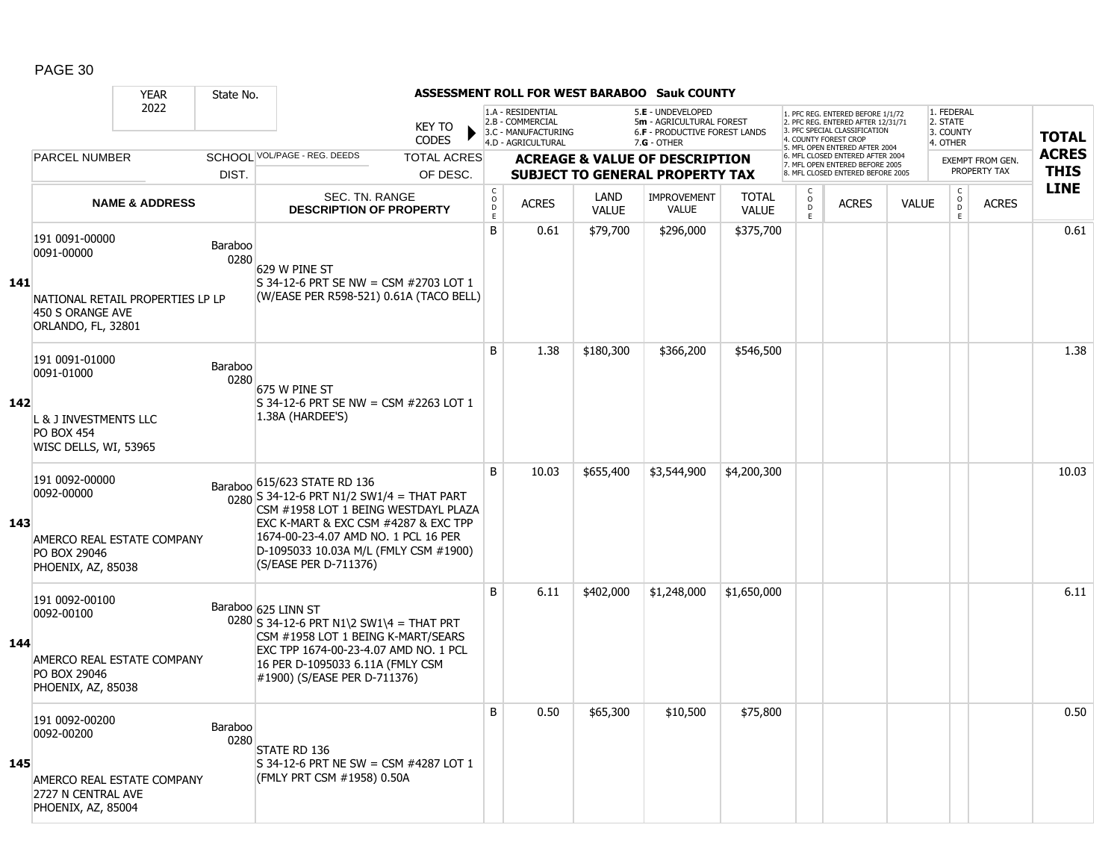|     |                                                                            | <b>YEAR</b>               | State No.       |                                                                                                                                                                                                                                                        |                               |                              |                                                                                    |                      | <b>ASSESSMENT ROLL FOR WEST BARABOO Sauk COUNTY</b>                                           |                              |                          |                                                                                                                                   |              |                                                 |                         |              |
|-----|----------------------------------------------------------------------------|---------------------------|-----------------|--------------------------------------------------------------------------------------------------------------------------------------------------------------------------------------------------------------------------------------------------------|-------------------------------|------------------------------|------------------------------------------------------------------------------------|----------------------|-----------------------------------------------------------------------------------------------|------------------------------|--------------------------|-----------------------------------------------------------------------------------------------------------------------------------|--------------|-------------------------------------------------|-------------------------|--------------|
|     |                                                                            | 2022                      |                 |                                                                                                                                                                                                                                                        | <b>KEY TO</b><br><b>CODES</b> |                              | 1.A - RESIDENTIAL<br>2.B - COMMERCIAL<br>3.C - MANUFACTURING<br>4.D - AGRICULTURAL |                      | 5.E - UNDEVELOPED<br>5m - AGRICULTURAL FOREST<br>6.F - PRODUCTIVE FOREST LANDS<br>7.G - OTHER |                              |                          | 1. PFC REG. ENTERED BEFORE 1/1/72<br>2. PFC REG. ENTERED AFTER 12/31/71<br>3. PFC SPECIAL CLASSIFICATION<br>4. COUNTY FOREST CROP |              | 1. FEDERAL<br>2. STATE<br>3. COUNTY<br>4. OTHER |                         | <b>TOTAL</b> |
|     | <b>PARCEL NUMBER</b>                                                       |                           |                 | SCHOOL VOL/PAGE - REG. DEEDS                                                                                                                                                                                                                           | <b>TOTAL ACRES</b>            |                              |                                                                                    |                      | <b>ACREAGE &amp; VALUE OF DESCRIPTION</b>                                                     |                              |                          | 5. MFL OPEN ENTERED AFTER 2004<br>6. MFL CLOSED ENTERED AFTER 2004                                                                |              |                                                 | <b>EXEMPT FROM GEN.</b> | <b>ACRES</b> |
|     |                                                                            |                           | DIST.           |                                                                                                                                                                                                                                                        | OF DESC.                      |                              |                                                                                    |                      | <b>SUBJECT TO GENERAL PROPERTY TAX</b>                                                        |                              |                          | 7. MFL OPEN ENTERED BEFORE 2005<br>8. MFL CLOSED ENTERED BEFORE 2005                                                              |              |                                                 | PROPERTY TAX            | <b>THIS</b>  |
|     |                                                                            | <b>NAME &amp; ADDRESS</b> |                 | SEC. TN. RANGE<br><b>DESCRIPTION OF PROPERTY</b>                                                                                                                                                                                                       |                               | $_{\rm o}^{\rm c}$<br>D<br>E | <b>ACRES</b>                                                                       | LAND<br><b>VALUE</b> | <b>IMPROVEMENT</b><br><b>VALUE</b>                                                            | <b>TOTAL</b><br><b>VALUE</b> | C<br>$\overline{0}$<br>E | <b>ACRES</b>                                                                                                                      | <b>VALUE</b> | $\begin{matrix} 0 \\ 0 \\ 0 \end{matrix}$<br>E  | <b>ACRES</b>            | <b>LINE</b>  |
|     | 191 0091-00000<br>0091-00000                                               |                           | Baraboo<br>0280 | 629 W PINE ST                                                                                                                                                                                                                                          |                               | B                            | 0.61                                                                               | \$79,700             | \$296,000                                                                                     | \$375,700                    |                          |                                                                                                                                   |              |                                                 |                         | 0.61         |
| 141 | NATIONAL RETAIL PROPERTIES LP LP<br>450 S ORANGE AVE<br>ORLANDO, FL, 32801 |                           |                 | $S$ 34-12-6 PRT SE NW = CSM #2703 LOT 1<br>(W/EASE PER R598-521) 0.61A (TACO BELL)                                                                                                                                                                     |                               |                              |                                                                                    |                      |                                                                                               |                              |                          |                                                                                                                                   |              |                                                 |                         |              |
|     | 191 0091-01000<br>0091-01000                                               |                           | Baraboo<br>0280 | 675 W PINE ST                                                                                                                                                                                                                                          |                               | B                            | 1.38                                                                               | \$180,300            | \$366,200                                                                                     | \$546,500                    |                          |                                                                                                                                   |              |                                                 |                         | 1.38         |
| 142 | L & J INVESTMENTS LLC<br><b>PO BOX 454</b><br>WISC DELLS, WI, 53965        |                           |                 | S 34-12-6 PRT SE NW = CSM #2263 LOT 1<br>1.38A (HARDEE'S)                                                                                                                                                                                              |                               |                              |                                                                                    |                      |                                                                                               |                              |                          |                                                                                                                                   |              |                                                 |                         |              |
| 143 | 191 0092-00000<br>0092-00000<br>AMERCO REAL ESTATE COMPANY<br>PO BOX 29046 |                           |                 | Baraboo 615/623 STATE RD 136<br>$\frac{1}{0280}$ S 34-12-6 PRT N1/2 SW1/4 = THAT PART<br>CSM #1958 LOT 1 BEING WESTDAYL PLAZA<br>EXC K-MART & EXC CSM #4287 & EXC TPP<br>1674-00-23-4.07 AMD NO. 1 PCL 16 PER<br>D-1095033 10.03A M/L (FMLY CSM #1900) |                               | <sub>B</sub>                 | 10.03                                                                              | \$655,400            | \$3,544,900                                                                                   | \$4,200,300                  |                          |                                                                                                                                   |              |                                                 |                         | 10.03        |
|     | PHOENIX, AZ, 85038                                                         |                           |                 | (S/EASE PER D-711376)                                                                                                                                                                                                                                  |                               |                              |                                                                                    |                      |                                                                                               |                              |                          |                                                                                                                                   |              |                                                 |                         |              |
| 144 | 191 0092-00100<br>0092-00100                                               |                           |                 | Baraboo 625 LINN ST<br>$0280$ S 34-12-6 PRT N1\2 SW1\4 = THAT PRT<br>CSM #1958 LOT 1 BEING K-MART/SEARS                                                                                                                                                |                               | B                            | 6.11                                                                               | \$402,000            | \$1,248,000                                                                                   | \$1,650,000                  |                          |                                                                                                                                   |              |                                                 |                         | 6.11         |
|     | AMERCO REAL ESTATE COMPANY<br>PO BOX 29046<br>PHOENIX, AZ, 85038           |                           |                 | EXC TPP 1674-00-23-4.07 AMD NO. 1 PCL<br>16 PER D-1095033 6.11A (FMLY CSM<br>#1900) (S/EASE PER D-711376)                                                                                                                                              |                               |                              |                                                                                    |                      |                                                                                               |                              |                          |                                                                                                                                   |              |                                                 |                         |              |
|     | 191 0092-00200<br>0092-00200                                               |                           | Baraboo<br>0280 | STATE RD 136                                                                                                                                                                                                                                           |                               | B                            | 0.50                                                                               | \$65,300             | \$10,500                                                                                      | \$75,800                     |                          |                                                                                                                                   |              |                                                 |                         | 0.50         |
| 145 | AMERCO REAL ESTATE COMPANY<br>2727 N CENTRAL AVE<br>PHOENIX, AZ, 85004     |                           |                 | S 34-12-6 PRT NE SW = CSM #4287 LOT 1<br>(FMLY PRT CSM #1958) 0.50A                                                                                                                                                                                    |                               |                              |                                                                                    |                      |                                                                                               |                              |                          |                                                                                                                                   |              |                                                 |                         |              |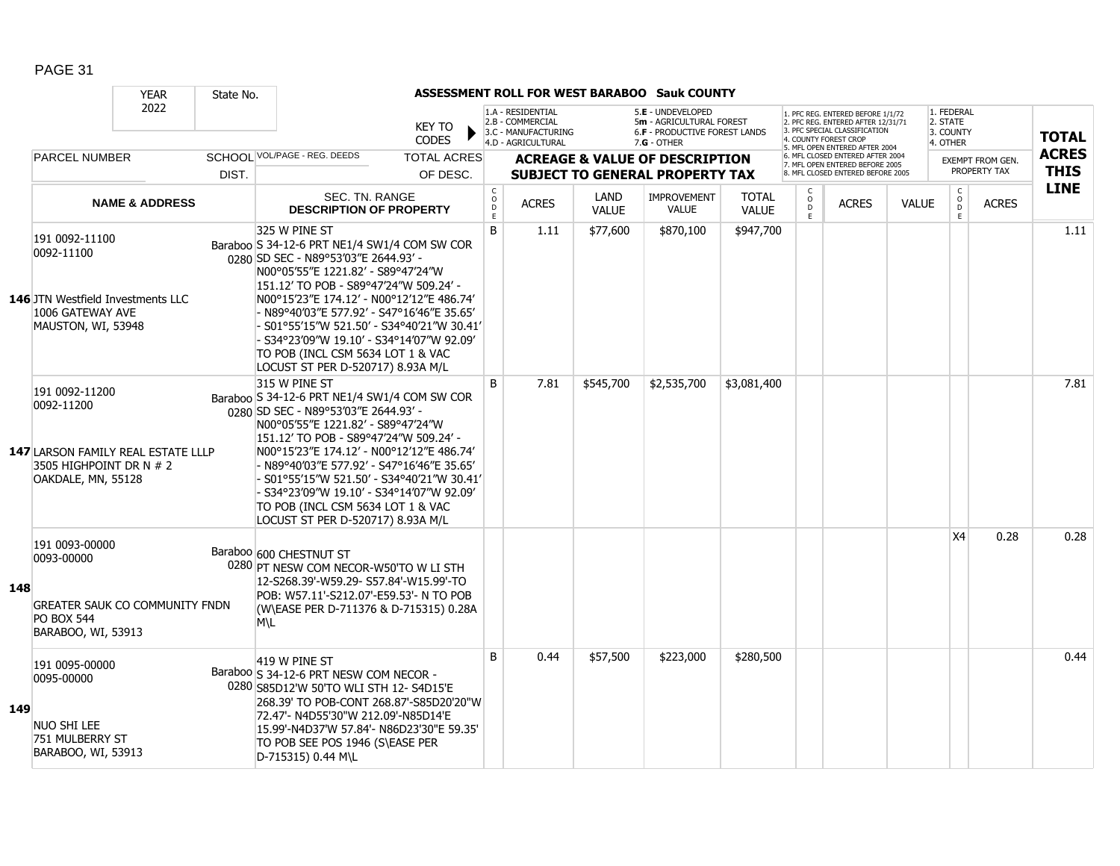|     |                                                                                                                     | <b>YEAR</b>               | State No. |                                                                                                                                                                                                                                                                                                                                                                                                                                                       |                                |                                        |                                                                                    |                      | <b>ASSESSMENT ROLL FOR WEST BARABOO Sauk COUNTY</b>                                           |                              |                        |                                                                                                                                                                     |              |                                                 |                                         |                             |
|-----|---------------------------------------------------------------------------------------------------------------------|---------------------------|-----------|-------------------------------------------------------------------------------------------------------------------------------------------------------------------------------------------------------------------------------------------------------------------------------------------------------------------------------------------------------------------------------------------------------------------------------------------------------|--------------------------------|----------------------------------------|------------------------------------------------------------------------------------|----------------------|-----------------------------------------------------------------------------------------------|------------------------------|------------------------|---------------------------------------------------------------------------------------------------------------------------------------------------------------------|--------------|-------------------------------------------------|-----------------------------------------|-----------------------------|
|     |                                                                                                                     | 2022                      |           |                                                                                                                                                                                                                                                                                                                                                                                                                                                       | KEY TO<br><b>CODES</b>         |                                        | 1.A - RESIDENTIAL<br>2.B - COMMERCIAL<br>3.C - MANUFACTURING<br>4.D - AGRICULTURAL |                      | 5.E - UNDEVELOPED<br>5m - AGRICULTURAL FOREST<br>6.F - PRODUCTIVE FOREST LANDS<br>7.G - OTHER |                              |                        | 1. PFC REG. ENTERED BEFORE 1/1/72<br>2. PFC REG. ENTERED AFTER 12/31/71<br>3. PFC SPECIAL CLASSIFICATION<br>4. COUNTY FOREST CROP<br>5. MFL OPEN ENTERED AFTER 2004 |              | 1. FEDERAL<br>2. STATE<br>3. COUNTY<br>4. OTHER |                                         | <b>TOTAL</b>                |
|     | <b>PARCEL NUMBER</b>                                                                                                |                           | DIST.     | SCHOOI VOL/PAGE - REG. DEEDS                                                                                                                                                                                                                                                                                                                                                                                                                          | <b>TOTAL ACRES</b><br>OF DESC. |                                        |                                                                                    |                      | <b>ACREAGE &amp; VALUE OF DESCRIPTION</b><br><b>SUBJECT TO GENERAL PROPERTY TAX</b>           |                              |                        | 6. MFL CLOSED ENTERED AFTER 2004<br>7. MFL OPEN ENTERED BEFORE 2005<br>8. MFL CLOSED ENTERED BEFORE 2005                                                            |              |                                                 | <b>EXEMPT FROM GEN.</b><br>PROPERTY TAX | <b>ACRES</b><br><b>THIS</b> |
|     |                                                                                                                     | <b>NAME &amp; ADDRESS</b> |           | SEC. TN. RANGE<br><b>DESCRIPTION OF PROPERTY</b>                                                                                                                                                                                                                                                                                                                                                                                                      |                                | $_{\rm o}^{\rm c}$<br>$\mathsf D$<br>E | <b>ACRES</b>                                                                       | LAND<br><b>VALUE</b> | IMPROVEMENT<br><b>VALUE</b>                                                                   | <b>TOTAL</b><br><b>VALUE</b> | C<br>$\circ$<br>D<br>E | <b>ACRES</b>                                                                                                                                                        | <b>VALUE</b> | $_{\rm o}^{\rm c}$<br>$\overline{D}$<br>E       | <b>ACRES</b>                            | <b>LINE</b>                 |
|     | 191 0092-11100<br>0092-11100<br>146 JTN Westfield Investments LLC<br>1006 GATEWAY AVE<br>MAUSTON, WI, 53948         |                           |           | 325 W PINE ST<br>Baraboo S 34-12-6 PRT NE1/4 SW1/4 COM SW COR<br>0280 SD SEC - N89°53'03"E 2644.93' -<br>N00°05'55"E 1221.82' - S89°47'24"W<br>151.12' TO POB - S89°47'24"W 509.24' -<br>N00°15'23"E 174.12' - N00°12'12"E 486.74'<br>- N89°40′03″E 577.92′ - S47°16′46″E 35.65′<br>- S01°55′15″W 521.50′ - S34°40′21″W 30.41′<br>- S34°23′09″W 19.10′ - S34°14′07″W 92.09′<br>TO POB (INCL CSM 5634 LOT 1 & VAC<br>LOCUST ST PER D-520717) 8.93A M/L |                                | B                                      | 1.11                                                                               | \$77,600             | \$870,100                                                                                     | \$947,700                    |                        |                                                                                                                                                                     |              |                                                 |                                         | 1.11                        |
|     | 191 0092-11200<br>0092-11200<br>147 LARSON FAMILY REAL ESTATE LLLP<br>3505 HIGHPOINT DR N # 2<br>OAKDALE, MN, 55128 |                           |           | 315 W PINE ST<br>Baraboo S 34-12-6 PRT NE1/4 SW1/4 COM SW COR<br>0280 SD SEC - N89°53'03"E 2644.93' -<br>N00°05'55"E 1221.82' - S89°47'24"W<br>151.12' TO POB - S89°47'24"W 509.24' -<br>N00°15'23"E 174.12' - N00°12'12"E 486.74'<br>- N89°40′03″E 577.92′ - S47°16′46″E 35.65′<br>- S01°55′15″W 521.50′ - S34°40′21″W 30.41′<br>- S34°23′09″W 19.10′ - S34°14′07″W 92.09′<br>TO POB (INCL CSM 5634 LOT 1 & VAC<br>LOCUST ST PER D-520717) 8.93A M/L |                                | B                                      | 7.81                                                                               | \$545,700            | \$2,535,700                                                                                   | \$3,081,400                  |                        |                                                                                                                                                                     |              |                                                 |                                         | 7.81                        |
| 148 | 191 0093-00000<br>0093-00000<br><b>GREATER SAUK CO COMMUNITY FNDN</b><br><b>PO BOX 544</b><br>BARABOO, WI, 53913    |                           |           | Baraboo 600 CHESTNUT ST<br>0280 PT NESW COM NECOR-W50'TO W LI STH<br>12-S268.39'-W59.29- S57.84'-W15.99'-TO<br>POB: W57.11'-S212.07'-E59.53'- N TO POB<br>(W\EASE PER D-711376 & D-715315) 0.28A<br>M\L                                                                                                                                                                                                                                               |                                |                                        |                                                                                    |                      |                                                                                               |                              |                        |                                                                                                                                                                     |              | X4                                              | 0.28                                    | 0.28                        |
| 149 | 191 0095-00000<br>0095-00000<br>NUO SHI LEE<br>751 MULBERRY ST<br>BARABOO, WI, 53913                                |                           |           | 419 W PINE ST<br>Baraboo S 34-12-6 PRT NESW COM NECOR -<br>0280 S85D12'W 50'TO WLI STH 12- S4D15'E<br>268.39' TO POB-CONT 268.87'-S85D20'20"W<br>72.47'- N4D55'30"W 212.09'-N85D14'E<br>15.99'-N4D37'W 57.84'- N86D23'30"E 59.35'<br>TO POB SEE POS 1946 (S\EASE PER<br>D-715315) 0.44 M\L                                                                                                                                                            |                                | <sub>B</sub>                           | 0.44                                                                               | \$57,500             | \$223,000                                                                                     | \$280,500                    |                        |                                                                                                                                                                     |              |                                                 |                                         | 0.44                        |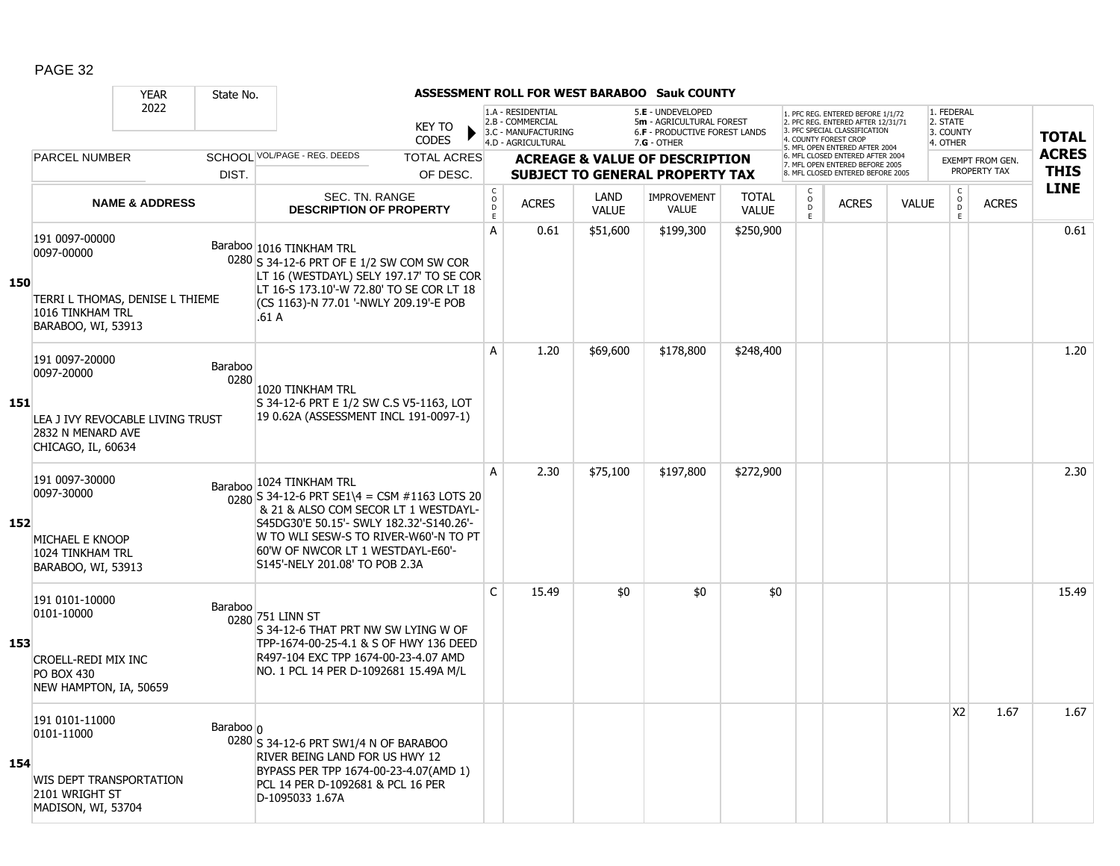|     |                                                                                                             | <b>YEAR</b>               | State No.         |                                                                                                                                                                                                                                                                                 |                             |                                                                                    |                      | <b>ASSESSMENT ROLL FOR WEST BARABOO Sauk COUNTY</b>                                             |                              |                           |                                                                                                                                  |              |                                                 |                         |              |
|-----|-------------------------------------------------------------------------------------------------------------|---------------------------|-------------------|---------------------------------------------------------------------------------------------------------------------------------------------------------------------------------------------------------------------------------------------------------------------------------|-----------------------------|------------------------------------------------------------------------------------|----------------------|-------------------------------------------------------------------------------------------------|------------------------------|---------------------------|----------------------------------------------------------------------------------------------------------------------------------|--------------|-------------------------------------------------|-------------------------|--------------|
|     |                                                                                                             | 2022                      |                   | <b>KEY TO</b><br><b>CODES</b>                                                                                                                                                                                                                                                   |                             | 1.A - RESIDENTIAL<br>2.B - COMMERCIAL<br>3.C - MANUFACTURING<br>4.D - AGRICULTURAL |                      | 5.E - UNDEVELOPED<br>5m - AGRICULTURAL FOREST<br>6.F - PRODUCTIVE FOREST LANDS<br>$7.G - OTHER$ |                              |                           | . PFC REG. ENTERED BEFORE 1/1/72<br>2. PFC REG. ENTERED AFTER 12/31/71<br>3. PFC SPECIAL CLASSIFICATION<br>4. COUNTY FOREST CROP |              | 1. FEDERAL<br>2. STATE<br>3. COUNTY<br>4. OTHER |                         | <b>TOTAL</b> |
|     | <b>PARCEL NUMBER</b>                                                                                        |                           |                   | SCHOOL VOL/PAGE - REG. DEEDS<br><b>TOTAL ACRES</b>                                                                                                                                                                                                                              |                             |                                                                                    |                      | <b>ACREAGE &amp; VALUE OF DESCRIPTION</b>                                                       |                              |                           | 5. MFL OPEN ENTERED AFTER 2004<br>6. MFL CLOSED ENTERED AFTER 2004<br>7. MFL OPEN ENTERED BEFORE 2005                            |              |                                                 | <b>EXEMPT FROM GEN.</b> | <b>ACRES</b> |
|     |                                                                                                             |                           | DIST.             | OF DESC.                                                                                                                                                                                                                                                                        |                             |                                                                                    |                      | <b>SUBJECT TO GENERAL PROPERTY TAX</b>                                                          |                              |                           | 8. MFL CLOSED ENTERED BEFORE 2005                                                                                                |              |                                                 | PROPERTY TAX            | <b>THIS</b>  |
|     |                                                                                                             | <b>NAME &amp; ADDRESS</b> |                   | SEC. TN. RANGE<br><b>DESCRIPTION OF PROPERTY</b>                                                                                                                                                                                                                                | $\rm _c^C$<br>$\frac{D}{E}$ | <b>ACRES</b>                                                                       | LAND<br><b>VALUE</b> | <b>IMPROVEMENT</b><br><b>VALUE</b>                                                              | <b>TOTAL</b><br><b>VALUE</b> | C<br>$\overline{0}$<br>E. | <b>ACRES</b>                                                                                                                     | <b>VALUE</b> | $\begin{matrix} 0 \\ 0 \\ 0 \end{matrix}$<br>E  | <b>ACRES</b>            | <b>LINE</b>  |
| 150 | 191 0097-00000<br>0097-00000<br>TERRI L THOMAS, DENISE L THIEME<br>1016 TINKHAM TRL<br>BARABOO, WI, 53913   |                           |                   | Baraboo 1016 TINKHAM TRL<br>0280 S 34-12-6 PRT OF E 1/2 SW COM SW COR<br>LT 16 (WESTDAYL) SELY 197.17' TO SE COR<br>LT 16-S 173.10'-W 72.80' TO SE COR LT 18<br>(CS 1163)-N 77.01 '-NWLY 209.19'-E POB<br>.61 A                                                                 | A                           | 0.61                                                                               | \$51,600             | \$199,300                                                                                       | \$250,900                    |                           |                                                                                                                                  |              |                                                 |                         | 0.61         |
| 151 | 191 0097-20000<br>0097-20000<br>LEA J IVY REVOCABLE LIVING TRUST<br>2832 N MENARD AVE<br>CHICAGO, IL, 60634 |                           | Baraboo<br>0280   | 1020 TINKHAM TRL<br>S 34-12-6 PRT E 1/2 SW C.S V5-1163, LOT<br>19 0.62A (ASSESSMENT INCL 191-0097-1)                                                                                                                                                                            | A                           | 1.20                                                                               | \$69,600             | \$178,800                                                                                       | \$248,400                    |                           |                                                                                                                                  |              |                                                 |                         | 1.20         |
| 152 | 191 0097-30000<br>0097-30000<br>MICHAEL E KNOOP<br>1024 TINKHAM TRL<br>BARABOO, WI, 53913                   |                           |                   | Baraboo 1024 TINKHAM TRL<br>$0.280$ S 34-12-6 PRT SE1\4 = CSM #1163 LOTS 20<br>& 21 & ALSO COM SECOR LT 1 WESTDAYL-<br>S45DG30'E 50.15'- SWLY 182.32'-S140.26'-<br>W TO WLI SESW-S TO RIVER-W60'-N TO PT<br>60'W OF NWCOR LT 1 WESTDAYL-E60'-<br>S145'-NELY 201.08' TO POB 2.3A | A                           | 2.30                                                                               | \$75,100             | \$197,800                                                                                       | \$272,900                    |                           |                                                                                                                                  |              |                                                 |                         | 2.30         |
| 153 | 191 0101-10000<br>0101-10000<br>CROELL-REDI MIX INC<br><b>PO BOX 430</b><br>NEW HAMPTON, IA, 50659          |                           | Baraboo           | 0280 751 LINN ST<br>S 34-12-6 THAT PRT NW SW LYING W OF<br>TPP-1674-00-25-4.1 & S OF HWY 136 DEED<br>R497-104 EXC TPP 1674-00-23-4.07 AMD<br>NO. 1 PCL 14 PER D-1092681 15.49A M/L                                                                                              | $\mathsf{C}$                | 15.49                                                                              | \$0                  | \$0                                                                                             | \$0                          |                           |                                                                                                                                  |              |                                                 |                         | 15.49        |
| 154 | 191 0101-11000<br>0101-11000<br><b>WIS DEPT TRANSPORTATION</b><br>2101 WRIGHT ST<br>MADISON, WI, 53704      |                           | Baraboo $\vert$ 0 | 0280 S 34-12-6 PRT SW1/4 N OF BARABOO<br>RIVER BEING LAND FOR US HWY 12<br>BYPASS PER TPP 1674-00-23-4.07(AMD 1)<br>PCL 14 PER D-1092681 & PCL 16 PER<br>D-1095033 1.67A                                                                                                        |                             |                                                                                    |                      |                                                                                                 |                              |                           |                                                                                                                                  |              | X <sub>2</sub>                                  | 1.67                    | 1.67         |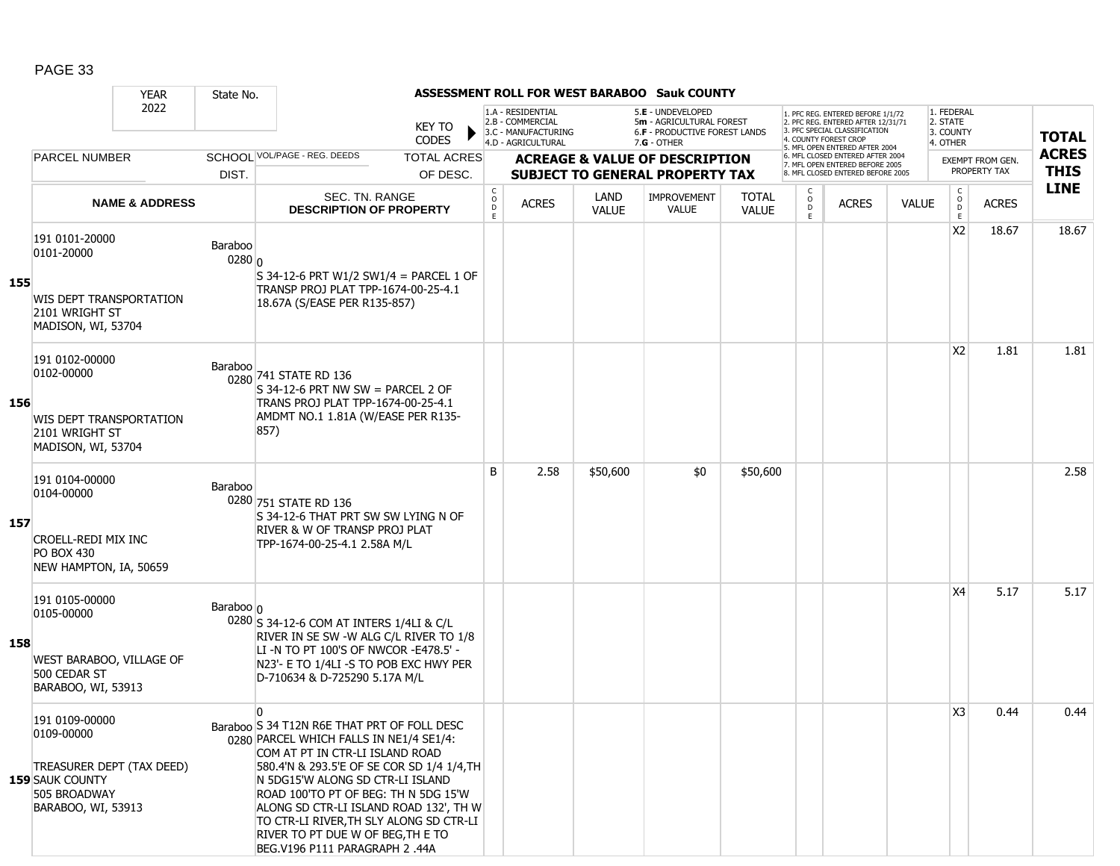|     |                                                                                                                           | <b>YEAR</b>               | State No.                    |                                                                                                                                                                                                                                                                                                                                                                                                                                |                               |                                        |                                                                                    |                      | ASSESSMENT ROLL FOR WEST BARABOO Sauk COUNTY                                                  |                              |                        |                                                                                                                                   |              |                                                 |                  |              |
|-----|---------------------------------------------------------------------------------------------------------------------------|---------------------------|------------------------------|--------------------------------------------------------------------------------------------------------------------------------------------------------------------------------------------------------------------------------------------------------------------------------------------------------------------------------------------------------------------------------------------------------------------------------|-------------------------------|----------------------------------------|------------------------------------------------------------------------------------|----------------------|-----------------------------------------------------------------------------------------------|------------------------------|------------------------|-----------------------------------------------------------------------------------------------------------------------------------|--------------|-------------------------------------------------|------------------|--------------|
|     |                                                                                                                           | 2022                      |                              |                                                                                                                                                                                                                                                                                                                                                                                                                                | <b>KEY TO</b><br><b>CODES</b> |                                        | 1.A - RESIDENTIAL<br>2.B - COMMERCIAL<br>3.C - MANUFACTURING<br>4.D - AGRICULTURAL |                      | 5.E - UNDEVELOPED<br>5m - AGRICULTURAL FOREST<br>6.F - PRODUCTIVE FOREST LANDS<br>7.G - OTHER |                              |                        | 1. PFC REG. ENTERED BEFORE 1/1/72<br>2. PFC REG. ENTERED AFTER 12/31/71<br>3. PFC SPECIAL CLASSIFICATION<br>4. COUNTY FOREST CROP |              | 1. FEDERAL<br>2. STATE<br>3. COUNTY<br>4. OTHER |                  | <b>TOTAL</b> |
|     | <b>PARCEL NUMBER</b>                                                                                                      |                           |                              | SCHOOL VOL/PAGE - REG. DEEDS                                                                                                                                                                                                                                                                                                                                                                                                   | <b>TOTAL ACRES</b>            |                                        |                                                                                    |                      | <b>ACREAGE &amp; VALUE OF DESCRIPTION</b>                                                     |                              |                        | 5. MFL OPEN ENTERED AFTER 2004<br>6. MFL CLOSED ENTERED AFTER 2004<br>7. MFL OPEN ENTERED BEFORE 2005                             |              |                                                 | EXEMPT FROM GEN. | <b>ACRES</b> |
|     |                                                                                                                           |                           | DIST.                        |                                                                                                                                                                                                                                                                                                                                                                                                                                | OF DESC.                      |                                        |                                                                                    |                      | <b>SUBJECT TO GENERAL PROPERTY TAX</b>                                                        |                              |                        | 8. MFL CLOSED ENTERED BEFORE 2005                                                                                                 |              |                                                 | PROPERTY TAX     | <b>THIS</b>  |
|     |                                                                                                                           | <b>NAME &amp; ADDRESS</b> |                              | SEC. TN. RANGE<br><b>DESCRIPTION OF PROPERTY</b>                                                                                                                                                                                                                                                                                                                                                                               |                               | $_{\rm o}^{\rm c}$<br>$\mathsf D$<br>E | <b>ACRES</b>                                                                       | LAND<br><b>VALUE</b> | <b>IMPROVEMENT</b><br><b>VALUE</b>                                                            | <b>TOTAL</b><br><b>VALUE</b> | C<br>$\circ$<br>D<br>E | <b>ACRES</b>                                                                                                                      | <b>VALUE</b> | $\mathsf{C}$<br>$_{\rm D}^{\rm O}$<br>E         | <b>ACRES</b>     | <b>LINE</b>  |
| 155 | 191 0101-20000<br>0101-20000<br><b>WIS DEPT TRANSPORTATION</b><br>2101 WRIGHT ST<br>MADISON, WI, 53704                    |                           | Baraboo<br>0280 <sub>0</sub> | S 34-12-6 PRT W1/2 SW1/4 = PARCEL 1 OF<br>TRANSP PROJ PLAT TPP-1674-00-25-4.1<br>18.67A (S/EASE PER R135-857)                                                                                                                                                                                                                                                                                                                  |                               |                                        |                                                                                    |                      |                                                                                               |                              |                        |                                                                                                                                   |              | X <sub>2</sub>                                  | 18.67            | 18.67        |
| 156 | 191 0102-00000<br>0102-00000<br><b>WIS DEPT TRANSPORTATION</b><br>2101 WRIGHT ST<br>MADISON, WI, 53704                    |                           | Baraboo                      | 0280 741 STATE RD 136<br>$S$ 34-12-6 PRT NW SW = PARCEL 2 OF<br>TRANS PROJ PLAT TPP-1674-00-25-4.1<br>AMDMT NO.1 1.81A (W/EASE PER R135-<br>857)                                                                                                                                                                                                                                                                               |                               |                                        |                                                                                    |                      |                                                                                               |                              |                        |                                                                                                                                   |              | X <sub>2</sub>                                  | 1.81             | 1.81         |
| 157 | 191 0104-00000<br>0104-00000<br><b>CROELL-REDI MIX INC</b><br><b>PO BOX 430</b><br>NEW HAMPTON, IA, 50659                 |                           | <b>Baraboo</b>               | 0280 751 STATE RD 136<br>S 34-12-6 THAT PRT SW SW LYING N OF<br>RIVER & W OF TRANSP PROJ PLAT<br>TPP-1674-00-25-4.1 2.58A M/L                                                                                                                                                                                                                                                                                                  |                               | B                                      | 2.58                                                                               | \$50,600             | \$0                                                                                           | \$50,600                     |                        |                                                                                                                                   |              |                                                 |                  | 2.58         |
| 158 | 191 0105-00000<br>0105-00000<br>WEST BARABOO, VILLAGE OF<br>500 CEDAR ST<br>BARABOO, WI, 53913                            |                           | Baraboo n                    | 0280 S 34-12-6 COM AT INTERS 1/4LI & C/L<br>RIVER IN SE SW -W ALG C/L RIVER TO 1/8<br>LI-N TO PT 100'S OF NWCOR-E478.5' -<br>N23'- E TO 1/4LI -S TO POB EXC HWY PER<br>D-710634 & D-725290 5.17A M/L                                                                                                                                                                                                                           |                               |                                        |                                                                                    |                      |                                                                                               |                              |                        |                                                                                                                                   |              | X4                                              | 5.17             | 5.17         |
|     | 191 0109-00000<br>0109-00000<br>TREASURER DEPT (TAX DEED)<br><b>159 SAUK COUNTY</b><br>505 BROADWAY<br>BARABOO, WI, 53913 |                           |                              | $\mathbf{0}$<br>Baraboo S 34 T12N R6E THAT PRT OF FOLL DESC<br>0280 PARCEL WHICH FALLS IN NE1/4 SE1/4:<br>COM AT PT IN CTR-LI ISLAND ROAD<br>580.4'N & 293.5'E OF SE COR SD 1/4 1/4, TH<br>N 5DG15'W ALONG SD CTR-LI ISLAND<br>ROAD 100'TO PT OF BEG: TH N 5DG 15'W<br>ALONG SD CTR-LI ISLAND ROAD 132', TH W<br>TO CTR-LI RIVER.TH SLY ALONG SD CTR-LI<br>RIVER TO PT DUE W OF BEG, TH E TO<br>BEG.V196 P111 PARAGRAPH 2 .44A |                               |                                        |                                                                                    |                      |                                                                                               |                              |                        |                                                                                                                                   |              | X <sub>3</sub>                                  | 0.44             | 0.44         |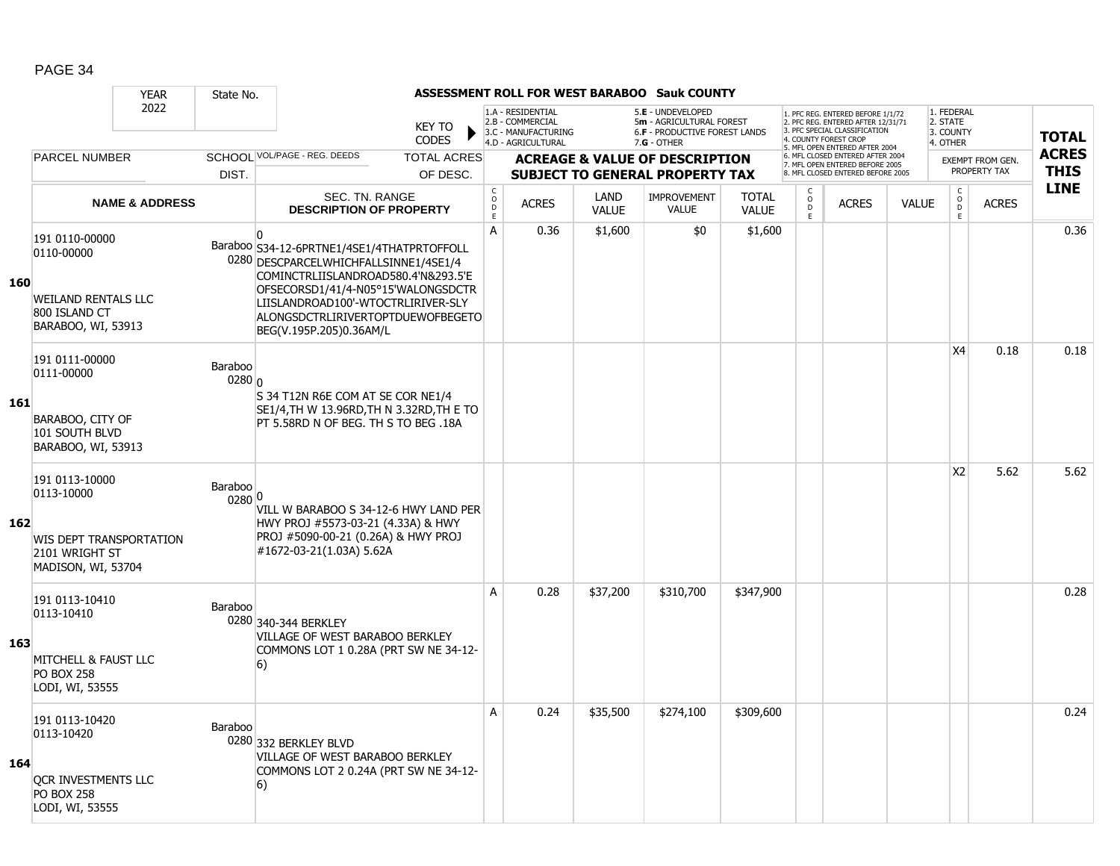|            |                                                                   | <b>YEAR</b>               | State No.         |                                                                                                                                          |                               |                              |                                                                                    |                      | ASSESSMENT ROLL FOR WEST BARABOO Sauk COUNTY                                                           |                              |                          |                                                                                                                                           |              |                                                 |                         |                            |
|------------|-------------------------------------------------------------------|---------------------------|-------------------|------------------------------------------------------------------------------------------------------------------------------------------|-------------------------------|------------------------------|------------------------------------------------------------------------------------|----------------------|--------------------------------------------------------------------------------------------------------|------------------------------|--------------------------|-------------------------------------------------------------------------------------------------------------------------------------------|--------------|-------------------------------------------------|-------------------------|----------------------------|
|            |                                                                   | 2022                      |                   |                                                                                                                                          | <b>KEY TO</b><br><b>CODES</b> |                              | 1.A - RESIDENTIAL<br>2.B - COMMERCIAL<br>3.C - MANUFACTURING<br>4.D - AGRICULTURAL |                      | 5.E - UNDEVELOPED<br>5m - AGRICULTURAL FOREST<br><b>6.F - PRODUCTIVE FOREST LANDS</b><br>$7.G - OTHER$ |                              | 4. COUNTY FOREST CROP    | 1. PFC REG. ENTERED BEFORE 1/1/72<br>2. PFC REG. ENTERED AFTER 12/31/71<br>3 PEC SPECIAL CLASSIFICATION<br>5. MFL OPEN ENTERED AFTER 2004 |              | 1. FEDERAL<br>2. STATE<br>3. COUNTY<br>4. OTHER |                         | <b>TOTAL</b>               |
|            | <b>PARCEL NUMBER</b>                                              |                           |                   | SCHOOL VOL/PAGE - REG. DEEDS                                                                                                             | <b>TOTAL ACRES</b>            |                              |                                                                                    |                      | <b>ACREAGE &amp; VALUE OF DESCRIPTION</b>                                                              |                              |                          | 6. MFL CLOSED ENTERED AFTER 2004<br>7. MFL OPEN ENTERED BEFORE 2005                                                                       |              |                                                 | <b>EXEMPT FROM GEN.</b> | <b>ACRES</b>               |
|            |                                                                   |                           | DIST.             |                                                                                                                                          | OF DESC.                      |                              |                                                                                    |                      | <b>SUBJECT TO GENERAL PROPERTY TAX</b>                                                                 |                              |                          | 8. MFL CLOSED ENTERED BEFORE 2005                                                                                                         |              |                                                 | PROPERTY TAX            | <b>THIS</b><br><b>LINE</b> |
|            |                                                                   | <b>NAME &amp; ADDRESS</b> |                   | SEC. TN. RANGE<br><b>DESCRIPTION OF PROPERTY</b>                                                                                         |                               | $_{\rm o}^{\rm c}$<br>D<br>E | <b>ACRES</b>                                                                       | LAND<br><b>VALUE</b> | IMPROVEMENT<br><b>VALUE</b>                                                                            | <b>TOTAL</b><br><b>VALUE</b> | C<br>$\overline{0}$<br>E | <b>ACRES</b>                                                                                                                              | <b>VALUE</b> | $\begin{matrix} 0 \\ 0 \\ 0 \end{matrix}$<br>E  | <b>ACRES</b>            |                            |
| 160        | 191 0110-00000<br>0110-00000                                      |                           |                   | n.<br>Baraboo S34-12-6PRTNE1/4SE1/4THATPRTOFFOLL<br>0280 DESCPARCELWHICHFALLSINNE1/4SE1/4<br>COMINCTRLIISLANDROAD580.4'N&293.5'E         |                               | A                            | 0.36                                                                               | \$1,600              | \$0                                                                                                    | \$1,600                      |                          |                                                                                                                                           |              |                                                 |                         | 0.36                       |
|            | <b>WEILAND RENTALS LLC</b><br>800 ISLAND CT<br>BARABOO, WI, 53913 |                           |                   | OFSECORSD1/41/4-N05°15'WALONGSDCTR<br>LIISLANDROAD100'-WTOCTRLIRIVER-SLY<br>ALONGSDCTRLIRIVERTOPTDUEWOFBEGETO<br>BEG(V.195P.205)0.36AM/L |                               |                              |                                                                                    |                      |                                                                                                        |                              |                          |                                                                                                                                           |              |                                                 |                         |                            |
| <b>161</b> | 191 0111-00000<br>0111-00000                                      |                           | Baraboo<br>0280 0 | S 34 T12N R6E COM AT SE COR NE1/4                                                                                                        |                               |                              |                                                                                    |                      |                                                                                                        |                              |                          |                                                                                                                                           |              | <b>X4</b>                                       | 0.18                    | 0.18                       |
|            | BARABOO, CITY OF<br>101 SOUTH BLVD<br>BARABOO, WI, 53913          |                           |                   | SE1/4, TH W 13.96RD, TH N 3.32RD, TH E TO<br>PT 5.58RD N OF BEG. TH S TO BEG .18A                                                        |                               |                              |                                                                                    |                      |                                                                                                        |                              |                          |                                                                                                                                           |              |                                                 |                         |                            |
|            | 191 0113-10000<br>0113-10000                                      |                           | Baraboo<br>0280 0 | VILL W BARABOO S 34-12-6 HWY LAND PER                                                                                                    |                               |                              |                                                                                    |                      |                                                                                                        |                              |                          |                                                                                                                                           |              | X <sub>2</sub>                                  | 5.62                    | 5.62                       |
| 162        | WIS DEPT TRANSPORTATION<br>2101 WRIGHT ST<br>MADISON, WI, 53704   |                           |                   | HWY PROJ #5573-03-21 (4.33A) & HWY<br>PROJ #5090-00-21 (0.26A) & HWY PROJ<br>#1672-03-21(1.03A) 5.62A                                    |                               |                              |                                                                                    |                      |                                                                                                        |                              |                          |                                                                                                                                           |              |                                                 |                         |                            |
|            | 191 0113-10410<br>0113-10410                                      |                           | Baraboo           | 0280 340-344 BERKLEY<br>VILLAGE OF WEST BARABOO BERKLEY                                                                                  |                               | A                            | 0.28                                                                               | \$37,200             | \$310,700                                                                                              | \$347,900                    |                          |                                                                                                                                           |              |                                                 |                         | 0.28                       |
| 163        | MITCHELL & FAUST LLC<br><b>PO BOX 258</b><br>LODI, WI, 53555      |                           |                   | COMMONS LOT 1 0.28A (PRT SW NE 34-12-<br>6)                                                                                              |                               |                              |                                                                                    |                      |                                                                                                        |                              |                          |                                                                                                                                           |              |                                                 |                         |                            |
|            | 191 0113-10420<br>0113-10420                                      |                           | Baraboo           | 0280 332 BERKLEY BLVD<br>VILLAGE OF WEST BARABOO BERKLEY                                                                                 |                               | A                            | 0.24                                                                               | \$35,500             | \$274,100                                                                                              | \$309,600                    |                          |                                                                                                                                           |              |                                                 |                         | 0.24                       |
| 164        | OCR INVESTMENTS LLC<br><b>PO BOX 258</b><br>LODI, WI, 53555       |                           |                   | COMMONS LOT 2 0.24A (PRT SW NE 34-12-<br>6)                                                                                              |                               |                              |                                                                                    |                      |                                                                                                        |                              |                          |                                                                                                                                           |              |                                                 |                         |                            |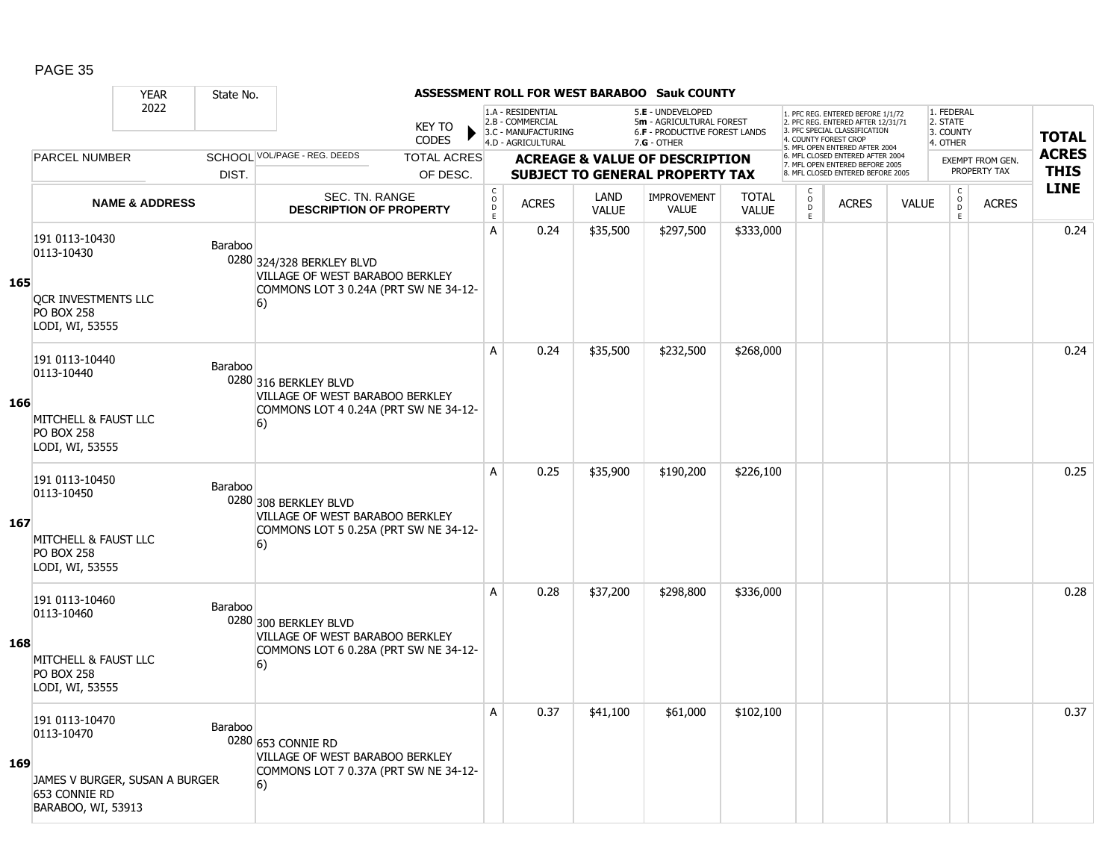|     |                                                                                                                 | <b>YEAR</b>               | State No. |                                                                                                             |                    |                                                                      |                                                              |                      | ASSESSMENT ROLL FOR WEST BARABOO Sauk COUNTY                                          |                              |                          |                                                                                                          |              |                                                |                                         |              |
|-----|-----------------------------------------------------------------------------------------------------------------|---------------------------|-----------|-------------------------------------------------------------------------------------------------------------|--------------------|----------------------------------------------------------------------|--------------------------------------------------------------|----------------------|---------------------------------------------------------------------------------------|------------------------------|--------------------------|----------------------------------------------------------------------------------------------------------|--------------|------------------------------------------------|-----------------------------------------|--------------|
|     |                                                                                                                 | 2022                      |           |                                                                                                             | <b>KEY TO</b>      |                                                                      | 1.A - RESIDENTIAL<br>2.B - COMMERCIAL<br>3.C - MANUFACTURING |                      | 5.E - UNDEVELOPED<br>5m - AGRICULTURAL FOREST<br><b>6.F - PRODUCTIVE FOREST LANDS</b> |                              |                          | 1. PFC REG. ENTERED BEFORE 1/1/72<br>2. PFC REG. ENTERED AFTER 12/31/71<br>3. PFC SPECIAL CLASSIFICATION |              | 1. FEDERAL<br>2. STATE<br>3. COUNTY            |                                         | <b>TOTAL</b> |
|     |                                                                                                                 |                           |           |                                                                                                             | <b>CODES</b>       |                                                                      | 4.D - AGRICULTURAL                                           |                      | $7.G - OTHER$                                                                         |                              |                          | 4. COUNTY FOREST CROP<br>5. MFL OPEN ENTERED AFTER 2004                                                  |              | 4. OTHER                                       |                                         | <b>ACRES</b> |
|     | <b>PARCEL NUMBER</b>                                                                                            |                           |           | SCHOOL VOL/PAGE - REG. DEEDS                                                                                | <b>TOTAL ACRES</b> |                                                                      |                                                              |                      | <b>ACREAGE &amp; VALUE OF DESCRIPTION</b>                                             |                              |                          | 6. MFL CLOSED ENTERED AFTER 2004<br>7. MFL OPEN ENTERED BEFORE 2005                                      |              |                                                | <b>EXEMPT FROM GEN.</b><br>PROPERTY TAX | <b>THIS</b>  |
|     |                                                                                                                 |                           | DIST.     |                                                                                                             | OF DESC.           |                                                                      |                                                              |                      | <b>SUBJECT TO GENERAL PROPERTY TAX</b>                                                |                              |                          | 8. MFL CLOSED ENTERED BEFORE 2005                                                                        |              |                                                |                                         | <b>LINE</b>  |
|     |                                                                                                                 | <b>NAME &amp; ADDRESS</b> |           | SEC. TN. RANGE<br><b>DESCRIPTION OF PROPERTY</b>                                                            |                    | $\begin{smallmatrix} C\\ O\\ O\\ D \end{smallmatrix}$<br>$\mathsf E$ | <b>ACRES</b>                                                 | LAND<br><b>VALUE</b> | <b>IMPROVEMENT</b><br>VALUE                                                           | <b>TOTAL</b><br><b>VALUE</b> | C<br>$\overline{D}$<br>E | <b>ACRES</b>                                                                                             | <b>VALUE</b> | $\begin{matrix} 0 \\ 0 \\ 0 \end{matrix}$<br>E | <b>ACRES</b>                            |              |
| 165 | 191 0113-10430<br>0113-10430<br>OCR INVESTMENTS LLC<br><b>PO BOX 258</b>                                        |                           | Baraboo   | 0280 324/328 BERKLEY BLVD<br>VILLAGE OF WEST BARABOO BERKLEY<br>COMMONS LOT 3 0.24A (PRT SW NE 34-12-<br>6) |                    | A                                                                    | 0.24                                                         | \$35,500             | \$297,500                                                                             | \$333,000                    |                          |                                                                                                          |              |                                                |                                         | 0.24         |
| 166 | LODI, WI, 53555<br>191 0113-10440<br>0113-10440<br>MITCHELL & FAUST LLC<br><b>PO BOX 258</b><br>LODI, WI, 53555 |                           | Baraboo   | 0280 316 BERKLEY BLVD<br>VILLAGE OF WEST BARABOO BERKLEY<br>COMMONS LOT 4 0.24A (PRT SW NE 34-12-<br>6)     |                    | Α                                                                    | 0.24                                                         | \$35,500             | \$232,500                                                                             | \$268,000                    |                          |                                                                                                          |              |                                                |                                         | 0.24         |
| 167 | 191 0113-10450<br>0113-10450<br>MITCHELL & FAUST LLC<br><b>PO BOX 258</b><br>LODI, WI, 53555                    |                           | Baraboo   | 0280 308 BERKLEY BLVD<br>VILLAGE OF WEST BARABOO BERKLEY<br>COMMONS LOT 5 0.25A (PRT SW NE 34-12-<br>6)     |                    | A                                                                    | 0.25                                                         | \$35,900             | \$190,200                                                                             | \$226,100                    |                          |                                                                                                          |              |                                                |                                         | 0.25         |
| 168 | 191 0113-10460<br>0113-10460<br>MITCHELL & FAUST LLC<br><b>PO BOX 258</b><br>LODI, WI, 53555                    |                           | Baraboo   | 0280 300 BERKLEY BLVD<br>VILLAGE OF WEST BARABOO BERKLEY<br>COMMONS LOT 6 0.28A (PRT SW NE 34-12-<br>6)     |                    | A                                                                    | 0.28                                                         | \$37,200             | \$298,800                                                                             | \$336,000                    |                          |                                                                                                          |              |                                                |                                         | 0.28         |
| 169 | 191 0113-10470<br>0113-10470<br>JAMES V BURGER, SUSAN A BURGER<br>653 CONNIE RD<br>BARABOO, WI, 53913           |                           | Baraboo   | 0280 653 CONNIE RD<br>VILLAGE OF WEST BARABOO BERKLEY<br>COMMONS LOT 7 0.37A (PRT SW NE 34-12-<br>6)        |                    | A                                                                    | 0.37                                                         | \$41,100             | \$61,000                                                                              | \$102,100                    |                          |                                                                                                          |              |                                                |                                         | 0.37         |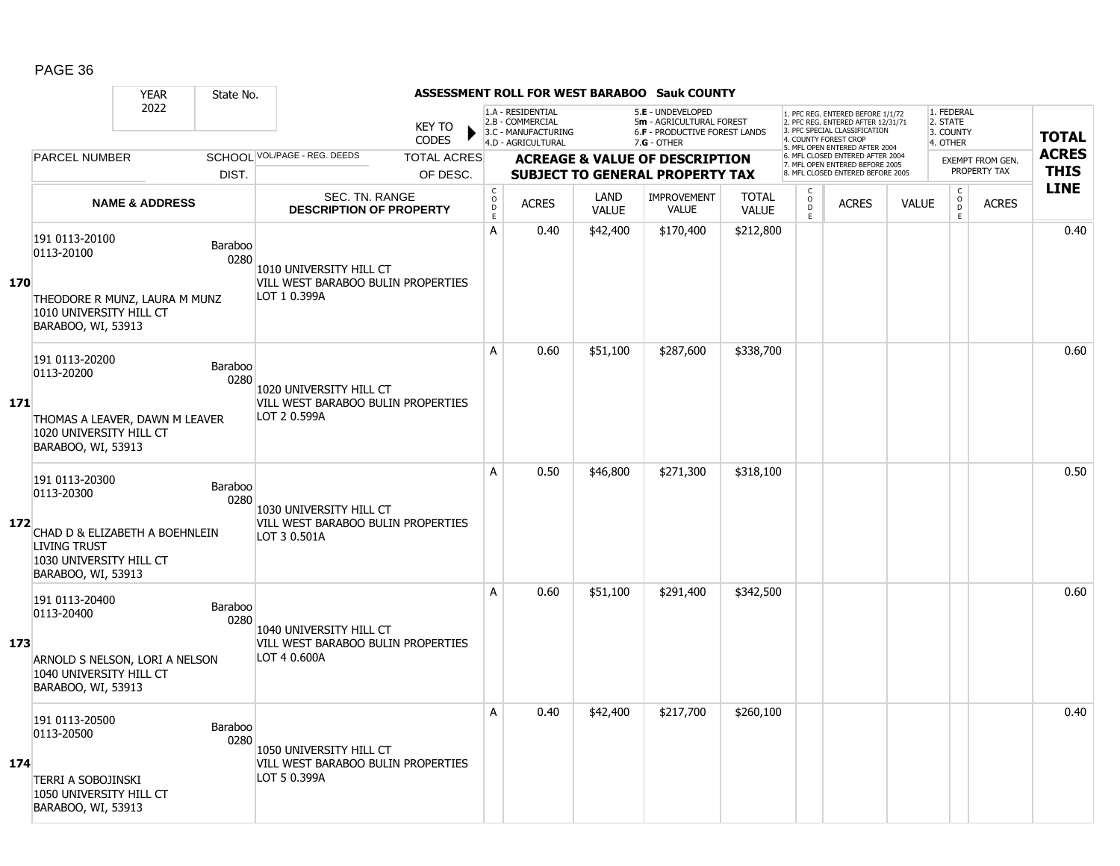|     |                                                                                                                                        | <b>YEAR</b>               | State No.              |                                                                               |                        |                                     |                                                                                    |                      | <b>ASSESSMENT ROLL FOR WEST BARABOO Sauk COUNTY</b>                                           |                              |                                                |                                                                                                                                                                     |              |                                                 |                                         |                             |
|-----|----------------------------------------------------------------------------------------------------------------------------------------|---------------------------|------------------------|-------------------------------------------------------------------------------|------------------------|-------------------------------------|------------------------------------------------------------------------------------|----------------------|-----------------------------------------------------------------------------------------------|------------------------------|------------------------------------------------|---------------------------------------------------------------------------------------------------------------------------------------------------------------------|--------------|-------------------------------------------------|-----------------------------------------|-----------------------------|
|     |                                                                                                                                        | 2022                      |                        |                                                                               | <b>KEY TO</b><br>CODES |                                     | 1.A - RESIDENTIAL<br>2.B - COMMERCIAL<br>3.C - MANUFACTURING<br>4.D - AGRICULTURAL |                      | 5.E - UNDEVELOPED<br>5m - AGRICULTURAL FOREST<br>6.F - PRODUCTIVE FOREST LANDS<br>7.G - OTHER |                              |                                                | 1. PFC REG. ENTERED BEFORE 1/1/72<br>2. PFC REG. ENTERED AFTER 12/31/71<br>3. PFC SPECIAL CLASSIFICATION<br>4. COUNTY FOREST CROP<br>5. MFL OPEN ENTERED AFTER 2004 |              | 1. FEDERAL<br>2. STATE<br>3. COUNTY<br>4. OTHER |                                         | <b>TOTAL</b>                |
|     | <b>PARCEL NUMBER</b>                                                                                                                   |                           |                        | SCHOOL VOL/PAGE - REG. DEEDS                                                  | <b>TOTAL ACRES</b>     |                                     |                                                                                    |                      | <b>ACREAGE &amp; VALUE OF DESCRIPTION</b>                                                     |                              |                                                | 6. MFL CLOSED ENTERED AFTER 2004<br>7. MFL OPEN ENTERED BEFORE 2005                                                                                                 |              |                                                 | <b>EXEMPT FROM GEN.</b><br>PROPERTY TAX | <b>ACRES</b><br><b>THIS</b> |
|     |                                                                                                                                        |                           | DIST.                  |                                                                               | OF DESC.               |                                     |                                                                                    |                      | <b>SUBJECT TO GENERAL PROPERTY TAX</b>                                                        |                              |                                                | 8. MFL CLOSED ENTERED BEFORE 2005                                                                                                                                   |              |                                                 |                                         | <b>LINE</b>                 |
|     |                                                                                                                                        | <b>NAME &amp; ADDRESS</b> |                        | SEC. TN. RANGE<br><b>DESCRIPTION OF PROPERTY</b>                              |                        | $_{\rm o}^{\rm c}$<br>$\frac{D}{E}$ | <b>ACRES</b>                                                                       | LAND<br><b>VALUE</b> | <b>IMPROVEMENT</b><br><b>VALUE</b>                                                            | <b>TOTAL</b><br><b>VALUE</b> | $\begin{matrix} 0 \\ 0 \\ D \end{matrix}$<br>E | <b>ACRES</b>                                                                                                                                                        | <b>VALUE</b> | $\begin{matrix} 0 \\ 0 \\ D \end{matrix}$<br>E  | <b>ACRES</b>                            |                             |
| 170 | 191 0113-20100<br>0113-20100<br>THEODORE R MUNZ, LAURA M MUNZ                                                                          |                           | Baraboo<br>0280        | 1010 UNIVERSITY HILL CT<br>VILL WEST BARABOO BULIN PROPERTIES<br>LOT 1 0.399A |                        | A                                   | 0.40                                                                               | \$42,400             | \$170,400                                                                                     | \$212,800                    |                                                |                                                                                                                                                                     |              |                                                 |                                         | 0.40                        |
|     | 1010 UNIVERSITY HILL CT<br>BARABOO, WI, 53913                                                                                          |                           |                        |                                                                               |                        |                                     |                                                                                    |                      |                                                                                               |                              |                                                |                                                                                                                                                                     |              |                                                 |                                         |                             |
| 171 | 191 0113-20200<br>0113-20200                                                                                                           |                           | <b>Baraboo</b><br>0280 | 1020 UNIVERSITY HILL CT<br>VILL WEST BARABOO BULIN PROPERTIES                 |                        | A                                   | 0.60                                                                               | \$51,100             | \$287,600                                                                                     | \$338,700                    |                                                |                                                                                                                                                                     |              |                                                 |                                         | 0.60                        |
|     | THOMAS A LEAVER, DAWN M LEAVER<br>1020 UNIVERSITY HILL CT<br>BARABOO, WI, 53913                                                        |                           |                        | LOT 2 0.599A                                                                  |                        |                                     |                                                                                    |                      |                                                                                               |                              |                                                |                                                                                                                                                                     |              |                                                 |                                         |                             |
| 172 | 191 0113-20300<br>0113-20300<br>CHAD D & ELIZABETH A BOEHNLEIN<br><b>LIVING TRUST</b><br>1030 UNIVERSITY HILL CT<br>BARABOO, WI, 53913 |                           | Baraboo<br>0280        | 1030 UNIVERSITY HILL CT<br>VILL WEST BARABOO BULIN PROPERTIES<br>LOT 3 0.501A |                        | A                                   | 0.50                                                                               | \$46,800             | \$271,300                                                                                     | \$318,100                    |                                                |                                                                                                                                                                     |              |                                                 |                                         | 0.50                        |
| 173 | 191 0113-20400<br>0113-20400<br>ARNOLD S NELSON, LORI A NELSON<br>1040 UNIVERSITY HILL CT<br>BARABOO, WI, 53913                        |                           | <b>Baraboo</b><br>0280 | 1040 UNIVERSITY HILL CT<br>VILL WEST BARABOO BULIN PROPERTIES<br>LOT 4 0.600A |                        | A                                   | 0.60                                                                               | \$51,100             | \$291,400                                                                                     | \$342,500                    |                                                |                                                                                                                                                                     |              |                                                 |                                         | 0.60                        |
| 174 | 191 0113-20500<br>0113-20500<br>TERRI A SOBOJINSKI<br>1050 UNIVERSITY HILL CT<br>BARABOO, WI, 53913                                    |                           | Baraboo<br>0280        | 1050 UNIVERSITY HILL CT<br>VILL WEST BARABOO BULIN PROPERTIES<br>LOT 5 0.399A |                        | A                                   | 0.40                                                                               | \$42,400             | \$217,700                                                                                     | \$260,100                    |                                                |                                                                                                                                                                     |              |                                                 |                                         | 0.40                        |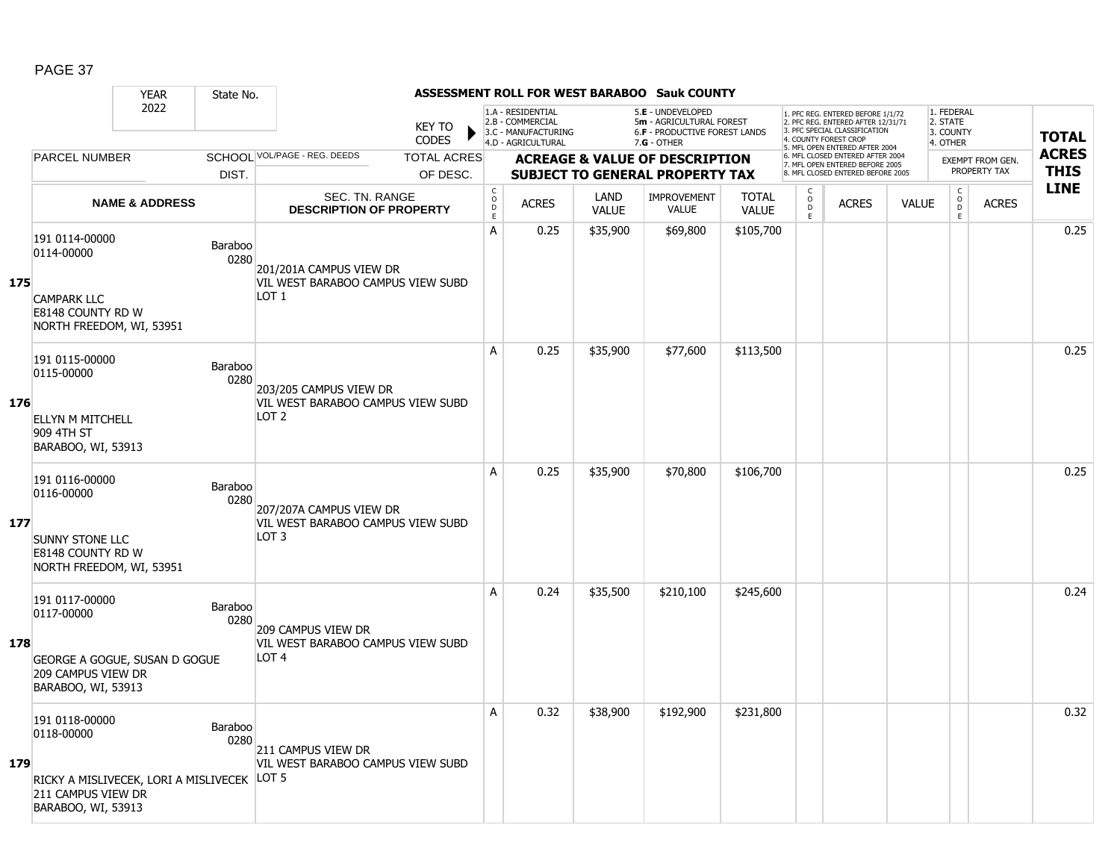|     |                                                                                                                   | <b>YEAR</b>               | State No.              |                                                                                    |                               |                                                     |                                                                                    |                      | ASSESSMENT ROLL FOR WEST BARABOO Sauk COUNTY                                                  |                              |                                     |                                                                                                                                                                     |              |                                                 |                         |              |
|-----|-------------------------------------------------------------------------------------------------------------------|---------------------------|------------------------|------------------------------------------------------------------------------------|-------------------------------|-----------------------------------------------------|------------------------------------------------------------------------------------|----------------------|-----------------------------------------------------------------------------------------------|------------------------------|-------------------------------------|---------------------------------------------------------------------------------------------------------------------------------------------------------------------|--------------|-------------------------------------------------|-------------------------|--------------|
|     |                                                                                                                   | 2022                      |                        |                                                                                    | <b>KEY TO</b><br><b>CODES</b> |                                                     | 1.A - RESIDENTIAL<br>2.B - COMMERCIAL<br>3.C - MANUFACTURING<br>4.D - AGRICULTURAL |                      | 5.E - UNDEVELOPED<br>5m - AGRICULTURAL FOREST<br>6.F - PRODUCTIVE FOREST LANDS<br>7.G - OTHER |                              |                                     | 1. PFC REG. ENTERED BEFORE 1/1/72<br>2. PFC REG. ENTERED AFTER 12/31/71<br>3. PFC SPECIAL CLASSIFICATION<br>4. COUNTY FOREST CROP<br>5. MFL OPEN ENTERED AFTER 2004 |              | 1. FEDERAL<br>2. STATE<br>3. COUNTY<br>4. OTHER |                         | <b>TOTAL</b> |
|     | <b>PARCEL NUMBER</b>                                                                                              |                           |                        | SCHOOL VOL/PAGE - REG. DEEDS                                                       | <b>TOTAL ACRES</b>            |                                                     |                                                                                    |                      | <b>ACREAGE &amp; VALUE OF DESCRIPTION</b>                                                     |                              |                                     | 6. MFL CLOSED ENTERED AFTER 2004<br>7. MFL OPEN ENTERED BEFORE 2005                                                                                                 |              |                                                 | <b>EXEMPT FROM GEN.</b> | <b>ACRES</b> |
|     |                                                                                                                   |                           | DIST.                  |                                                                                    | OF DESC.                      |                                                     |                                                                                    |                      | SUBJECT TO GENERAL PROPERTY TAX                                                               |                              |                                     | 8. MFL CLOSED ENTERED BEFORE 2005                                                                                                                                   |              |                                                 | PROPERTY TAX            | <b>THIS</b>  |
|     |                                                                                                                   | <b>NAME &amp; ADDRESS</b> |                        | <b>SEC. TN. RANGE</b><br><b>DESCRIPTION OF PROPERTY</b>                            |                               | $\mathsf C$<br>$\circ$<br>$\mathsf{D}_{\mathsf{E}}$ | <b>ACRES</b>                                                                       | LAND<br><b>VALUE</b> | <b>IMPROVEMENT</b><br><b>VALUE</b>                                                            | <b>TOTAL</b><br><b>VALUE</b> | $\mathsf{C}$<br>$\overline{0}$<br>E | <b>ACRES</b>                                                                                                                                                        | <b>VALUE</b> | $\rm _o^C$<br>E                                 | <b>ACRES</b>            | <b>LINE</b>  |
| 175 | 191 0114-00000<br>0114-00000<br><b>CAMPARK LLC</b><br>E8148 COUNTY RD W<br>NORTH FREEDOM, WI, 53951               |                           | Baraboo<br>0280        | 201/201A CAMPUS VIEW DR<br>VIL WEST BARABOO CAMPUS VIEW SUBD<br>LOT 1              |                               | A                                                   | 0.25                                                                               | \$35,900             | \$69,800                                                                                      | \$105,700                    |                                     |                                                                                                                                                                     |              |                                                 |                         | 0.25         |
| 176 | 191 0115-00000<br>0115-00000<br><b>ELLYN M MITCHELL</b><br>909 4TH ST<br>BARABOO, WI, 53913                       |                           | Baraboo<br>0280        | 203/205 CAMPUS VIEW DR<br>VIL WEST BARABOO CAMPUS VIEW SUBD<br>LOT <sub>2</sub>    |                               | A                                                   | 0.25                                                                               | \$35,900             | \$77,600                                                                                      | \$113,500                    |                                     |                                                                                                                                                                     |              |                                                 |                         | 0.25         |
| 177 | 191 0116-00000<br>0116-00000<br><b>SUNNY STONE LLC</b><br><b>E8148 COUNTY RD W</b><br>NORTH FREEDOM, WI, 53951    |                           | Baraboo<br>0280        | 207/207A CAMPUS VIEW DR<br>VIL WEST BARABOO CAMPUS VIEW SUBD<br>LOT 3              |                               | A                                                   | 0.25                                                                               | \$35,900             | \$70,800                                                                                      | \$106,700                    |                                     |                                                                                                                                                                     |              |                                                 |                         | 0.25         |
| 178 | 191 0117-00000<br>0117-00000<br>GEORGE A GOGUE, SUSAN D GOGUE<br>209 CAMPUS VIEW DR<br>BARABOO, WI, 53913         |                           | Baraboo<br>0280        | <b>209 CAMPUS VIEW DR</b><br>VIL WEST BARABOO CAMPUS VIEW SUBD<br>LOT <sub>4</sub> |                               | A                                                   | 0.24                                                                               | \$35,500             | \$210,100                                                                                     | \$245,600                    |                                     |                                                                                                                                                                     |              |                                                 |                         | 0.24         |
| 179 | 191 0118-00000<br>0118-00000<br>RICKY A MISLIVECEK, LORI A MISLIVECEK<br>211 CAMPUS VIEW DR<br>BARABOO, WI, 53913 |                           | <b>Baraboo</b><br>0280 | 211 CAMPUS VIEW DR<br>VIL WEST BARABOO CAMPUS VIEW SUBD<br>LOT <sub>5</sub>        |                               | A                                                   | 0.32                                                                               | \$38,900             | \$192,900                                                                                     | \$231,800                    |                                     |                                                                                                                                                                     |              |                                                 |                         | 0.32         |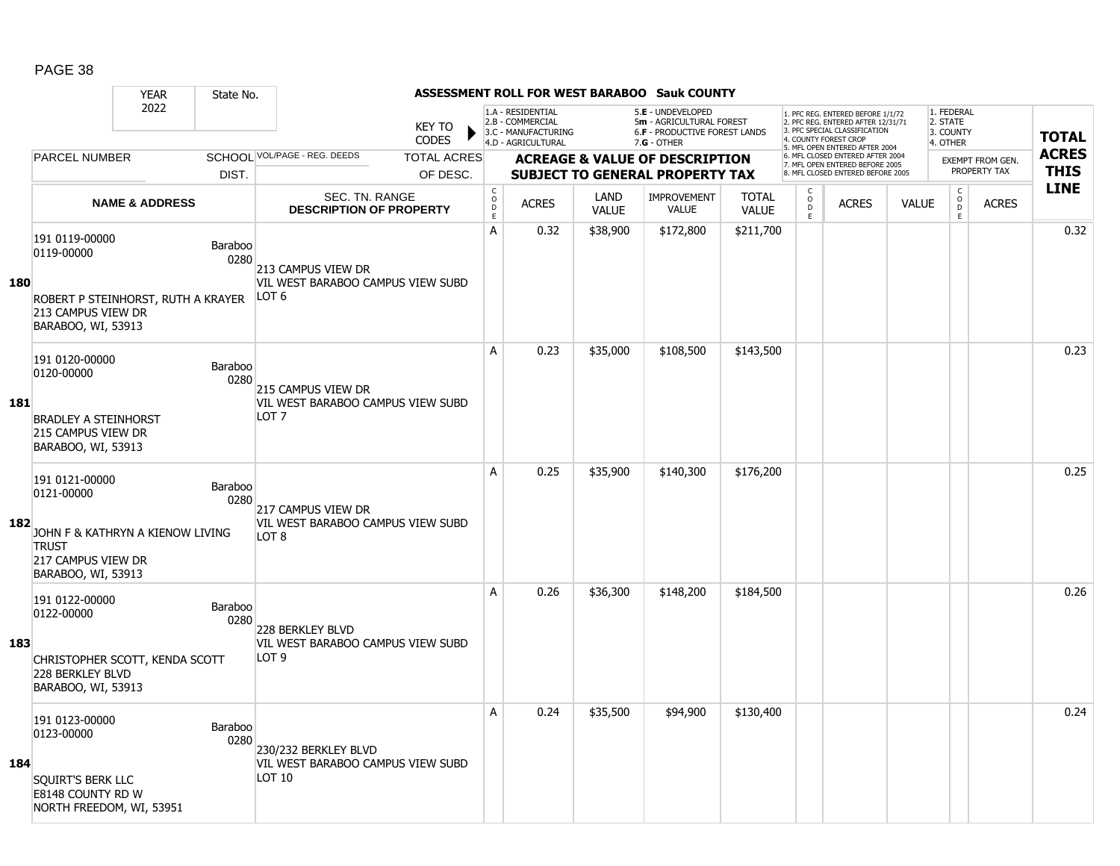|            |                                                                                                                              | <b>YEAR</b>               | State No.              |                                                                                  |                               |                                                     |                                                                                    |                      | ASSESSMENT ROLL FOR WEST BARABOO Sauk COUNTY                                                    |                              |                          |                                                                                                                                   |              |                                                          |                  |              |
|------------|------------------------------------------------------------------------------------------------------------------------------|---------------------------|------------------------|----------------------------------------------------------------------------------|-------------------------------|-----------------------------------------------------|------------------------------------------------------------------------------------|----------------------|-------------------------------------------------------------------------------------------------|------------------------------|--------------------------|-----------------------------------------------------------------------------------------------------------------------------------|--------------|----------------------------------------------------------|------------------|--------------|
|            |                                                                                                                              | 2022                      |                        |                                                                                  | <b>KEY TO</b><br><b>CODES</b> |                                                     | 1.A - RESIDENTIAL<br>2.B - COMMERCIAL<br>3.C - MANUFACTURING<br>4.D - AGRICULTURAL |                      | 5.E - UNDEVELOPED<br>5m - AGRICULTURAL FOREST<br>6.F - PRODUCTIVE FOREST LANDS<br>$7.G - OTHER$ |                              |                          | 1. PFC REG. ENTERED BEFORE 1/1/72<br>2. PFC REG. ENTERED AFTER 12/31/71<br>3. PFC SPECIAL CLASSIFICATION<br>4. COUNTY FOREST CROP |              | 1. FEDERAL<br>2. STATE<br>3. COUNTY<br>4. OTHER          |                  | <b>TOTAL</b> |
|            | <b>PARCEL NUMBER</b>                                                                                                         |                           |                        | SCHOOL VOL/PAGE - REG. DEEDS                                                     | <b>TOTAL ACRES</b>            |                                                     |                                                                                    |                      | <b>ACREAGE &amp; VALUE OF DESCRIPTION</b>                                                       |                              |                          | 5. MFL OPEN ENTERED AFTER 2004<br>6. MFL CLOSED ENTERED AFTER 2004                                                                |              |                                                          | EXEMPT FROM GEN. | <b>ACRES</b> |
|            |                                                                                                                              |                           | DIST.                  |                                                                                  | OF DESC.                      |                                                     |                                                                                    |                      | <b>SUBJECT TO GENERAL PROPERTY TAX</b>                                                          |                              |                          | 7. MFL OPEN ENTERED BEFORE 2005<br>8. MFL CLOSED ENTERED BEFORE 2005                                                              |              |                                                          | PROPERTY TAX     | <b>THIS</b>  |
|            |                                                                                                                              | <b>NAME &amp; ADDRESS</b> |                        | <b>SEC. TN. RANGE</b><br><b>DESCRIPTION OF PROPERTY</b>                          |                               | $\mathsf C$<br>$\circ$<br>$\mathsf{D}_{\mathsf{E}}$ | <b>ACRES</b>                                                                       | LAND<br><b>VALUE</b> | <b>IMPROVEMENT</b><br><b>VALUE</b>                                                              | <b>TOTAL</b><br><b>VALUE</b> | C<br>$\overline{0}$<br>E | <b>ACRES</b>                                                                                                                      | <b>VALUE</b> | $\begin{matrix} 0 \\ 0 \\ 0 \end{matrix}$<br>$\mathsf E$ | <b>ACRES</b>     | <b>LINE</b>  |
| <b>180</b> | 191 0119-00000<br>0119-00000<br>ROBERT P STEINHORST, RUTH A KRAYER<br>213 CAMPUS VIEW DR<br>BARABOO, WI, 53913               |                           | <b>Baraboo</b><br>0280 | 213 CAMPUS VIEW DR<br>VIL WEST BARABOO CAMPUS VIEW SUBD<br>LOT 6                 |                               | А                                                   | 0.32                                                                               | \$38,900             | \$172,800                                                                                       | \$211,700                    |                          |                                                                                                                                   |              |                                                          |                  | 0.32         |
| 181        | 191 0120-00000<br>0120-00000<br><b>BRADLEY A STEINHORST</b><br>215 CAMPUS VIEW DR<br>BARABOO, WI, 53913                      |                           | <b>Baraboo</b><br>0280 | 215 CAMPUS VIEW DR<br>VIL WEST BARABOO CAMPUS VIEW SUBD<br>LOT <sub>7</sub>      |                               | A                                                   | 0.23                                                                               | \$35,000             | \$108,500                                                                                       | \$143,500                    |                          |                                                                                                                                   |              |                                                          |                  | 0.23         |
| 182        | 191 0121-00000<br>0121-00000<br>JOHN F & KATHRYN A KIENOW LIVING<br><b>TRUST</b><br>217 CAMPUS VIEW DR<br>BARABOO, WI, 53913 |                           | <b>Baraboo</b><br>0280 | 217 CAMPUS VIEW DR<br>VIL WEST BARABOO CAMPUS VIEW SUBD<br>LOT 8                 |                               | A                                                   | 0.25                                                                               | \$35,900             | \$140,300                                                                                       | \$176,200                    |                          |                                                                                                                                   |              |                                                          |                  | 0.25         |
| 183        | 191 0122-00000<br>0122-00000<br>CHRISTOPHER SCOTT, KENDA SCOTT<br>228 BERKLEY BLVD<br>BARABOO, WI, 53913                     |                           | Baraboo<br>0280        | <b>228 BERKLEY BLVD</b><br>VIL WEST BARABOO CAMPUS VIEW SUBD<br>LOT <sub>9</sub> |                               | Α                                                   | 0.26                                                                               | \$36,300             | \$148,200                                                                                       | \$184,500                    |                          |                                                                                                                                   |              |                                                          |                  | 0.26         |
| 184        | 191 0123-00000<br>0123-00000<br>SQUIRT'S BERK LLC<br>E8148 COUNTY RD W<br>NORTH FREEDOM, WI, 53951                           |                           | <b>Baraboo</b><br>0280 | 230/232 BERKLEY BLVD<br>VIL WEST BARABOO CAMPUS VIEW SUBD<br>LOT 10              |                               | A                                                   | 0.24                                                                               | \$35,500             | \$94,900                                                                                        | \$130,400                    |                          |                                                                                                                                   |              |                                                          |                  | 0.24         |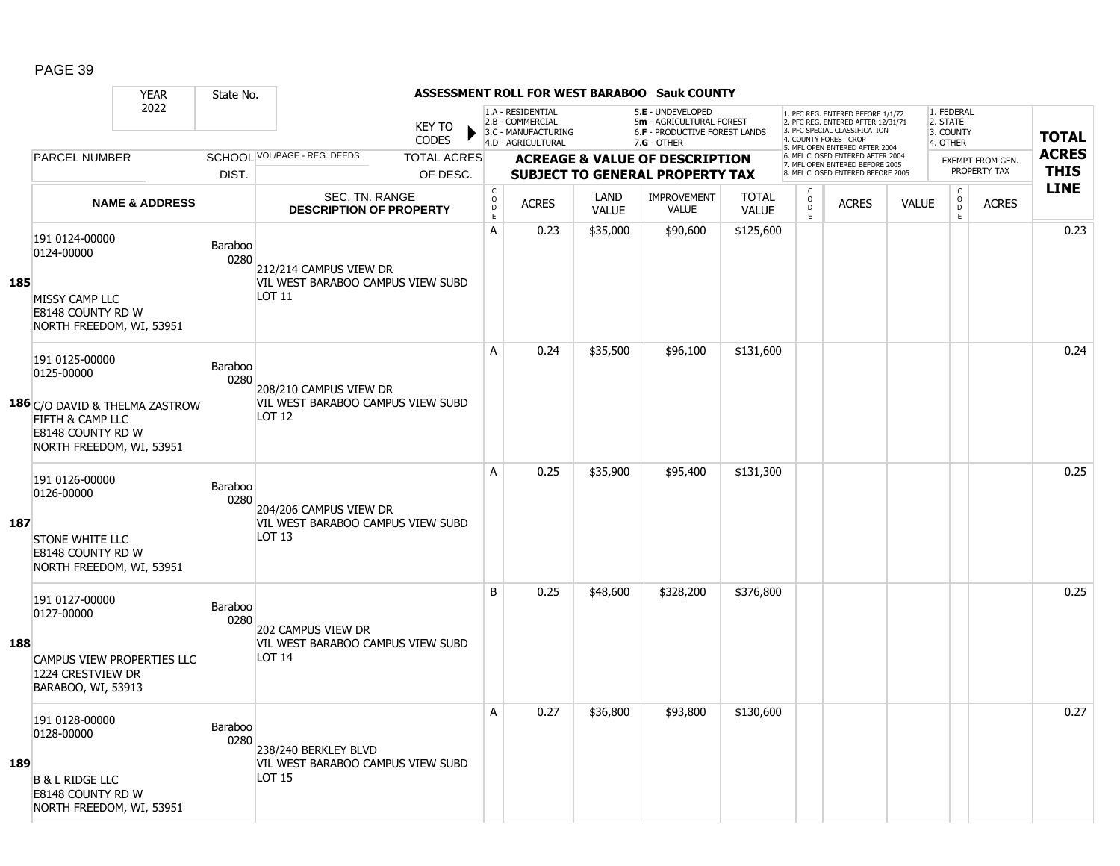|     |                                                                                                            | <b>YEAR</b>               | State No.       |                                                             |                    |                                                 |                                                              |                      | ASSESSMENT ROLL FOR WEST BARABOO Sauk COUNTY                                   |                              |                           |                                                                                                         |              |                                                |                                  |              |
|-----|------------------------------------------------------------------------------------------------------------|---------------------------|-----------------|-------------------------------------------------------------|--------------------|-------------------------------------------------|--------------------------------------------------------------|----------------------|--------------------------------------------------------------------------------|------------------------------|---------------------------|---------------------------------------------------------------------------------------------------------|--------------|------------------------------------------------|----------------------------------|--------------|
|     |                                                                                                            | 2022                      |                 |                                                             | <b>KEY TO</b>      |                                                 | 1.A - RESIDENTIAL<br>2.B - COMMERCIAL<br>3.C - MANUFACTURING |                      | 5.E - UNDEVELOPED<br>5m - AGRICULTURAL FOREST<br>6.F - PRODUCTIVE FOREST LANDS |                              |                           | 1. PFC REG. ENTERED BEFORE 1/1/72<br>2. PFC REG. ENTERED AFTER 12/31/71<br>3 PEC SPECIAL CLASSIFICATION |              | 1. FEDERAL<br>2. STATE<br>3. COUNTY            |                                  | <b>TOTAL</b> |
|     |                                                                                                            |                           |                 |                                                             | <b>CODES</b>       |                                                 | 4.D - AGRICULTURAL                                           |                      | 7.G - OTHER                                                                    |                              |                           | 4. COUNTY FOREST CROP<br>5. MFL OPEN ENTERED AFTER 2004                                                 |              | 4. OTHER                                       |                                  | <b>ACRES</b> |
|     | <b>PARCEL NUMBER</b>                                                                                       |                           |                 | SCHOOL VOL/PAGE - REG. DEEDS                                | <b>TOTAL ACRES</b> |                                                 |                                                              |                      | <b>ACREAGE &amp; VALUE OF DESCRIPTION</b>                                      |                              |                           | 6. MFL CLOSED ENTERED AFTER 2004<br>7. MFL OPEN ENTERED BEFORE 2005                                     |              |                                                | EXEMPT FROM GEN.<br>PROPERTY TAX | <b>THIS</b>  |
|     |                                                                                                            |                           | DIST.           |                                                             | OF DESC.           |                                                 |                                                              |                      | <b>SUBJECT TO GENERAL PROPERTY TAX</b>                                         |                              |                           | 8. MFL CLOSED ENTERED BEFORE 2005                                                                       |              |                                                |                                  | <b>LINE</b>  |
|     |                                                                                                            | <b>NAME &amp; ADDRESS</b> |                 | SEC. TN. RANGE<br><b>DESCRIPTION OF PROPERTY</b>            |                    | $\mathsf C$<br>$\mathsf{o}$<br>D<br>$\mathsf E$ | <b>ACRES</b>                                                 | LAND<br><b>VALUE</b> | <b>IMPROVEMENT</b><br><b>VALUE</b>                                             | <b>TOTAL</b><br><b>VALUE</b> | C<br>$\overline{D}$<br>F. | <b>ACRES</b>                                                                                            | <b>VALUE</b> | $\begin{matrix} 0 \\ 0 \\ D \end{matrix}$<br>E | <b>ACRES</b>                     |              |
|     | 191 0124-00000<br>0124-00000                                                                               |                           | Baraboo<br>0280 | 212/214 CAMPUS VIEW DR                                      |                    | A                                               | 0.23                                                         | \$35,000             | \$90,600                                                                       | \$125,600                    |                           |                                                                                                         |              |                                                |                                  | 0.23         |
| 185 | <b>MISSY CAMP LLC</b><br>E8148 COUNTY RD W<br>NORTH FREEDOM, WI, 53951                                     |                           |                 | VIL WEST BARABOO CAMPUS VIEW SUBD<br>LOT 11                 |                    |                                                 |                                                              |                      |                                                                                |                              |                           |                                                                                                         |              |                                                |                                  |              |
|     | 191 0125-00000<br>0125-00000                                                                               |                           | Baraboo<br>0280 | 208/210 CAMPUS VIEW DR                                      |                    | A                                               | 0.24                                                         | \$35,500             | \$96,100                                                                       | \$131,600                    |                           |                                                                                                         |              |                                                |                                  | 0.24         |
|     | <b>186</b> C/O DAVID & THELMA ZASTROW<br>FIFTH & CAMP LLC<br>E8148 COUNTY RD W<br>NORTH FREEDOM, WI, 53951 |                           |                 | VIL WEST BARABOO CAMPUS VIEW SUBD<br>LOT 12                 |                    |                                                 |                                                              |                      |                                                                                |                              |                           |                                                                                                         |              |                                                |                                  |              |
|     | 191 0126-00000<br>0126-00000                                                                               |                           | Baraboo<br>0280 | 204/206 CAMPUS VIEW DR<br>VIL WEST BARABOO CAMPUS VIEW SUBD |                    | A                                               | 0.25                                                         | \$35,900             | \$95,400                                                                       | \$131,300                    |                           |                                                                                                         |              |                                                |                                  | 0.25         |
| 187 | <b>STONE WHITE LLC</b><br><b>E8148 COUNTY RD W</b><br>NORTH FREEDOM, WI, 53951                             |                           |                 | LOT <sub>13</sub>                                           |                    |                                                 |                                                              |                      |                                                                                |                              |                           |                                                                                                         |              |                                                |                                  |              |
|     | 191 0127-00000<br>0127-00000                                                                               |                           | Baraboo<br>0280 | 202 CAMPUS VIEW DR                                          |                    | B                                               | 0.25                                                         | \$48,600             | \$328,200                                                                      | \$376,800                    |                           |                                                                                                         |              |                                                |                                  | 0.25         |
| 188 | <b>CAMPUS VIEW PROPERTIES LLC</b><br>1224 CRESTVIEW DR<br>BARABOO, WI, 53913                               |                           |                 | VIL WEST BARABOO CAMPUS VIEW SUBD<br>LOT 14                 |                    |                                                 |                                                              |                      |                                                                                |                              |                           |                                                                                                         |              |                                                |                                  |              |
|     | 191 0128-00000<br>0128-00000                                                                               |                           | Baraboo<br>0280 | 238/240 BERKLEY BLVD                                        |                    | A                                               | 0.27                                                         | \$36,800             | \$93,800                                                                       | \$130,600                    |                           |                                                                                                         |              |                                                |                                  | 0.27         |
| 189 | <b>B &amp; L RIDGE LLC</b><br>E8148 COUNTY RD W<br>NORTH FREEDOM, WI, 53951                                |                           |                 | VIL WEST BARABOO CAMPUS VIEW SUBD<br>LOT 15                 |                    |                                                 |                                                              |                      |                                                                                |                              |                           |                                                                                                         |              |                                                |                                  |              |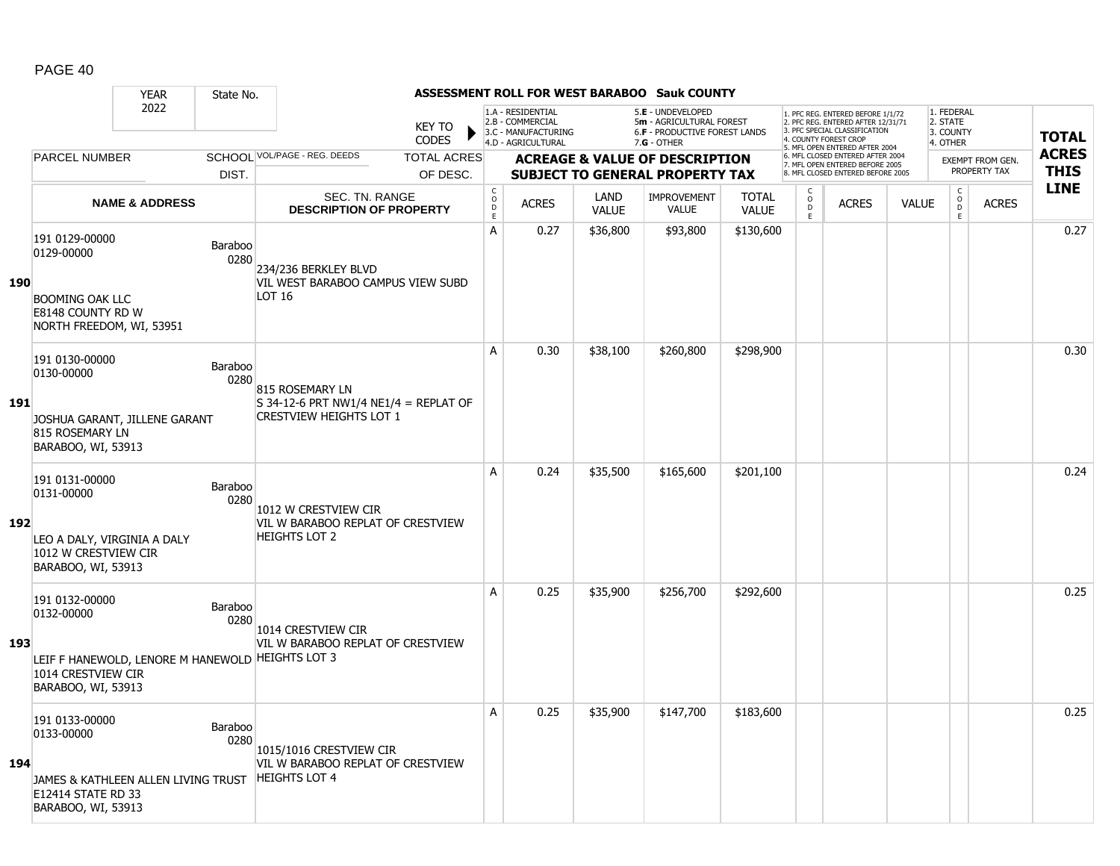|     |                                                                                                                              | <b>YEAR</b>               | State No.              |                                                                                            |                                |                                             |                                                              |                      | ASSESSMENT ROLL FOR WEST BARABOO Sauk COUNTY                                        |                              |                                     |                                                                                                                                   |              |                                     |                                         |              |
|-----|------------------------------------------------------------------------------------------------------------------------------|---------------------------|------------------------|--------------------------------------------------------------------------------------------|--------------------------------|---------------------------------------------|--------------------------------------------------------------|----------------------|-------------------------------------------------------------------------------------|------------------------------|-------------------------------------|-----------------------------------------------------------------------------------------------------------------------------------|--------------|-------------------------------------|-----------------------------------------|--------------|
|     |                                                                                                                              | 2022                      |                        |                                                                                            | <b>KEY TO</b><br><b>CODES</b>  |                                             | 1.A - RESIDENTIAL<br>2.B - COMMERCIAL<br>3.C - MANUFACTURING |                      | 5.E - UNDEVELOPED<br>5m - AGRICULTURAL FOREST<br>6.F - PRODUCTIVE FOREST LANDS      |                              |                                     | 1. PFC REG. ENTERED BEFORE 1/1/72<br>2. PFC REG. ENTERED AFTER 12/31/71<br>3. PFC SPECIAL CLASSIFICATION<br>4. COUNTY FOREST CROP |              | 1. FEDERAL<br>2. STATE<br>3. COUNTY |                                         | <b>TOTAL</b> |
|     | <b>PARCEL NUMBER</b>                                                                                                         |                           |                        | SCHOOL VOL/PAGE - REG. DEEDS                                                               |                                |                                             | 4.D - AGRICULTURAL                                           |                      | $7.G - OTHER$                                                                       |                              |                                     | 5. MFL OPEN ENTERED AFTER 2004<br>6. MFL CLOSED ENTERED AFTER 2004                                                                |              | 4. OTHER                            |                                         | <b>ACRES</b> |
|     |                                                                                                                              |                           | DIST.                  |                                                                                            | <b>TOTAL ACRES</b><br>OF DESC. |                                             |                                                              |                      | <b>ACREAGE &amp; VALUE OF DESCRIPTION</b><br><b>SUBJECT TO GENERAL PROPERTY TAX</b> |                              |                                     | 7. MFL OPEN ENTERED BEFORE 2005<br>8. MFL CLOSED ENTERED BEFORE 2005                                                              |              |                                     | <b>EXEMPT FROM GEN.</b><br>PROPERTY TAX | <b>THIS</b>  |
|     |                                                                                                                              | <b>NAME &amp; ADDRESS</b> |                        | SEC. TN. RANGE<br><b>DESCRIPTION OF PROPERTY</b>                                           |                                | $\mathsf{C}$<br>$\circ$<br>D<br>$\mathsf E$ | <b>ACRES</b>                                                 | LAND<br><b>VALUE</b> | IMPROVEMENT<br><b>VALUE</b>                                                         | <b>TOTAL</b><br><b>VALUE</b> | $\mathsf{C}$<br>$\overline{0}$<br>E | <b>ACRES</b>                                                                                                                      | <b>VALUE</b> | $\mathsf C$<br>$\overline{0}$<br>E  | <b>ACRES</b>                            | <b>LINE</b>  |
| 190 | 191 0129-00000<br>0129-00000<br><b>BOOMING OAK LLC</b><br>E8148 COUNTY RD W<br>NORTH FREEDOM, WI, 53951                      |                           | Baraboo<br>0280        | 234/236 BERKLEY BLVD<br>VIL WEST BARABOO CAMPUS VIEW SUBD<br>LOT 16                        |                                | A                                           | 0.27                                                         | \$36,800             | \$93,800                                                                            | \$130,600                    |                                     |                                                                                                                                   |              |                                     |                                         | 0.27         |
| 191 | 191 0130-00000<br>0130-00000<br>JOSHUA GARANT, JILLENE GARANT<br>815 ROSEMARY LN<br>BARABOO, WI, 53913                       |                           | <b>Baraboo</b><br>0280 | 815 ROSEMARY LN<br>S 34-12-6 PRT NW1/4 NE1/4 = REPLAT OF<br><b>CRESTVIEW HEIGHTS LOT 1</b> |                                | A                                           | 0.30                                                         | \$38,100             | \$260,800                                                                           | \$298,900                    |                                     |                                                                                                                                   |              |                                     |                                         | 0.30         |
| 192 | 191 0131-00000<br>0131-00000<br>LEO A DALY, VIRGINIA A DALY<br>1012 W CRESTVIEW CIR<br>BARABOO, WI, 53913                    |                           | Baraboo<br>0280        | 1012 W CRESTVIEW CIR<br>VIL W BARABOO REPLAT OF CRESTVIEW<br><b>HEIGHTS LOT 2</b>          |                                | A                                           | 0.24                                                         | \$35,500             | \$165,600                                                                           | \$201,100                    |                                     |                                                                                                                                   |              |                                     |                                         | 0.24         |
| 193 | 191 0132-00000<br>0132-00000<br>LEIF F HANEWOLD, LENORE M HANEWOLD HEIGHTS LOT 3<br>1014 CRESTVIEW CIR<br>BARABOO, WI, 53913 |                           | Baraboo<br>0280        | 1014 CRESTVIEW CIR<br>VIL W BARABOO REPLAT OF CRESTVIEW                                    |                                | A                                           | 0.25                                                         | \$35,900             | \$256,700                                                                           | \$292,600                    |                                     |                                                                                                                                   |              |                                     |                                         | 0.25         |
| 194 | 191 0133-00000<br>0133-00000<br>JAMES & KATHLEEN ALLEN LIVING TRUST<br>E12414 STATE RD 33<br>BARABOO, WI, 53913              |                           | Baraboo<br>0280        | 1015/1016 CRESTVIEW CIR<br>VIL W BARABOO REPLAT OF CRESTVIEW<br><b>HEIGHTS LOT 4</b>       |                                | Α                                           | 0.25                                                         | \$35,900             | \$147,700                                                                           | \$183,600                    |                                     |                                                                                                                                   |              |                                     |                                         | 0.25         |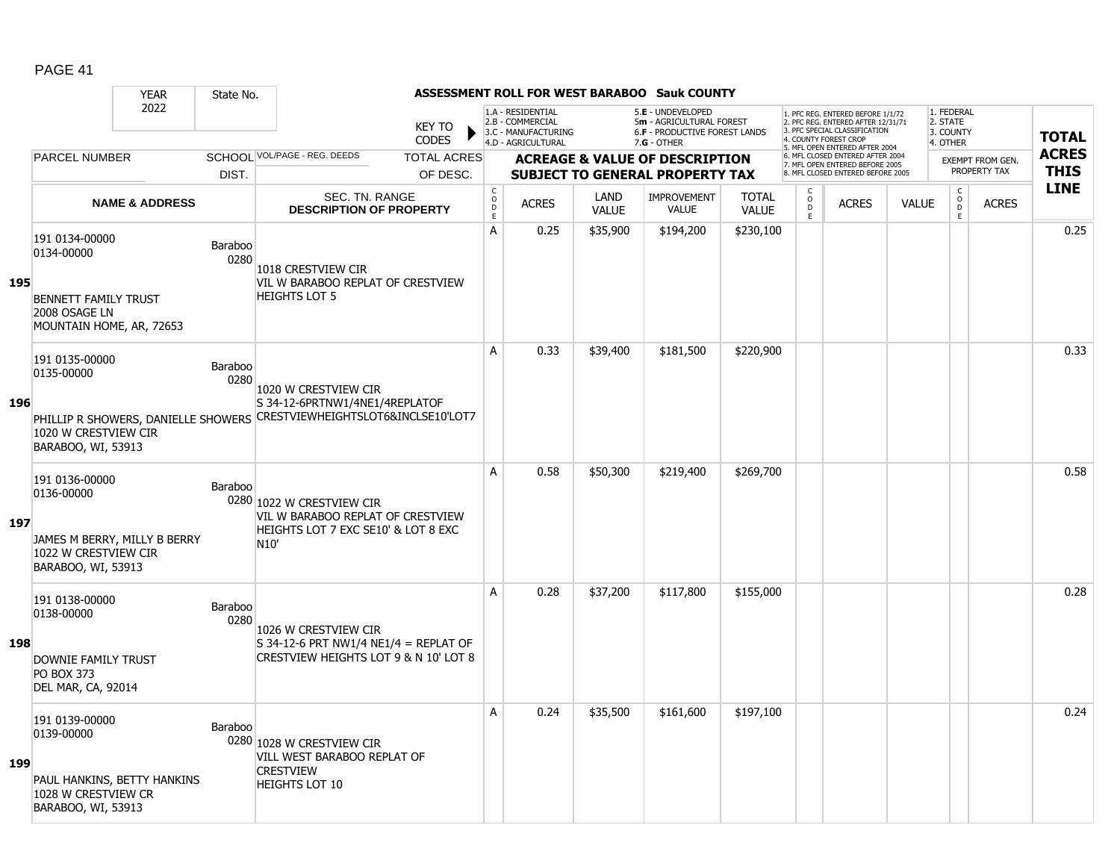|     |                                                                                                            | <b>YEAR</b>               | State No.              |                                                                                                                                  |                               |                             |                                                                                    |                      | <b>ASSESSMENT ROLL FOR WEST BARABOO Sauk COUNTY</b>                                           |                              |                                                 |                                                                                                                                   |              |                                                 |                         |              |
|-----|------------------------------------------------------------------------------------------------------------|---------------------------|------------------------|----------------------------------------------------------------------------------------------------------------------------------|-------------------------------|-----------------------------|------------------------------------------------------------------------------------|----------------------|-----------------------------------------------------------------------------------------------|------------------------------|-------------------------------------------------|-----------------------------------------------------------------------------------------------------------------------------------|--------------|-------------------------------------------------|-------------------------|--------------|
|     |                                                                                                            | 2022                      |                        |                                                                                                                                  | <b>KEY TO</b><br><b>CODES</b> |                             | 1.A - RESIDENTIAL<br>2.B - COMMERCIAL<br>3.C - MANUFACTURING<br>4.D - AGRICULTURAL |                      | 5.E - UNDEVELOPED<br>5m - AGRICULTURAL FOREST<br>6.F - PRODUCTIVE FOREST LANDS<br>7.G - OTHER |                              |                                                 | 1. PFC REG. ENTERED BEFORE 1/1/72<br>2. PFC REG. ENTERED AFTER 12/31/71<br>3. PFC SPECIAL CLASSIFICATION<br>4. COUNTY FOREST CROP |              | 1. FEDERAL<br>2. STATE<br>3. COUNTY<br>4. OTHER |                         | <b>TOTAL</b> |
|     | <b>PARCEL NUMBER</b>                                                                                       |                           |                        | SCHOOL VOL/PAGE - REG. DEEDS                                                                                                     | <b>TOTAL ACRES</b>            |                             |                                                                                    |                      | <b>ACREAGE &amp; VALUE OF DESCRIPTION</b>                                                     |                              |                                                 | 5. MFL OPEN ENTERED AFTER 2004<br>6. MFL CLOSED ENTERED AFTER 2004                                                                |              |                                                 | <b>EXEMPT FROM GEN.</b> | <b>ACRES</b> |
|     |                                                                                                            |                           | DIST.                  |                                                                                                                                  | OF DESC.                      |                             |                                                                                    |                      | <b>SUBJECT TO GENERAL PROPERTY TAX</b>                                                        |                              |                                                 | 7. MFL OPEN ENTERED BEFORE 2005<br>8. MFL CLOSED ENTERED BEFORE 2005                                                              |              |                                                 | PROPERTY TAX            | <b>THIS</b>  |
|     |                                                                                                            | <b>NAME &amp; ADDRESS</b> |                        | SEC. TN. RANGE<br><b>DESCRIPTION OF PROPERTY</b>                                                                                 |                               | $\rm _c^C$<br>$\frac{D}{E}$ | <b>ACRES</b>                                                                       | LAND<br><b>VALUE</b> | <b>IMPROVEMENT</b><br><b>VALUE</b>                                                            | <b>TOTAL</b><br><b>VALUE</b> | $\begin{matrix} 0 \\ 0 \\ D \end{matrix}$<br>E. | <b>ACRES</b>                                                                                                                      | <b>VALUE</b> | $\begin{matrix} 0 \\ 0 \\ 0 \end{matrix}$<br>E  | <b>ACRES</b>            | <b>LINE</b>  |
| 195 | 191 0134-00000<br>0134-00000<br><b>BENNETT FAMILY TRUST</b><br>2008 OSAGE LN<br>MOUNTAIN HOME, AR, 72653   |                           | Baraboo<br>0280        | 1018 CRESTVIEW CIR<br>VIL W BARABOO REPLAT OF CRESTVIEW<br><b>HEIGHTS LOT 5</b>                                                  |                               | A                           | 0.25                                                                               | \$35,900             | \$194,200                                                                                     | \$230,100                    |                                                 |                                                                                                                                   |              |                                                 |                         | 0.25         |
| 196 | 191 0135-00000<br>0135-00000<br>1020 W CRESTVIEW CIR<br>BARABOO, WI, 53913                                 |                           | <b>Baraboo</b><br>0280 | 1020 W CRESTVIEW CIR<br>S 34-12-6PRTNW1/4NE1/4REPLATOF<br>PHILLIP R SHOWERS, DANIELLE SHOWERS CRESTVIEWHEIGHTSLOT6&INCLSE10'LOT7 |                               | A                           | 0.33                                                                               | \$39,400             | \$181,500                                                                                     | \$220,900                    |                                                 |                                                                                                                                   |              |                                                 |                         | 0.33         |
| 197 | 191 0136-00000<br>0136-00000<br>JAMES M BERRY, MILLY B BERRY<br>1022 W CRESTVIEW CIR<br>BARABOO, WI, 53913 |                           | Baraboo                | 0280 1022 W CRESTVIEW CIR<br>VIL W BARABOO REPLAT OF CRESTVIEW<br>HEIGHTS LOT 7 EXC SE10' & LOT 8 EXC<br>N <sub>10</sub> '       |                               | A                           | 0.58                                                                               | \$50,300             | \$219,400                                                                                     | \$269,700                    |                                                 |                                                                                                                                   |              |                                                 |                         | 0.58         |
| 198 | 191 0138-00000<br>0138-00000<br>DOWNIE FAMILY TRUST<br><b>PO BOX 373</b><br>DEL MAR, CA, 92014             |                           | Baraboo<br>0280        | 1026 W CRESTVIEW CIR<br>S 34-12-6 PRT NW1/4 NE1/4 = REPLAT OF<br>CRESTVIEW HEIGHTS LOT 9 & N 10' LOT 8                           |                               | A                           | 0.28                                                                               | \$37,200             | \$117,800                                                                                     | \$155,000                    |                                                 |                                                                                                                                   |              |                                                 |                         | 0.28         |
| 199 | 191 0139-00000<br>0139-00000<br>PAUL HANKINS, BETTY HANKINS<br>1028 W CRESTVIEW CR<br>BARABOO, WI, 53913   |                           | Baraboo                | 0280 1028 W CRESTVIEW CIR<br>VILL WEST BARABOO REPLAT OF<br><b>CRESTVIEW</b><br><b>HEIGHTS LOT 10</b>                            |                               | A                           | 0.24                                                                               | \$35,500             | \$161,600                                                                                     | \$197,100                    |                                                 |                                                                                                                                   |              |                                                 |                         | 0.24         |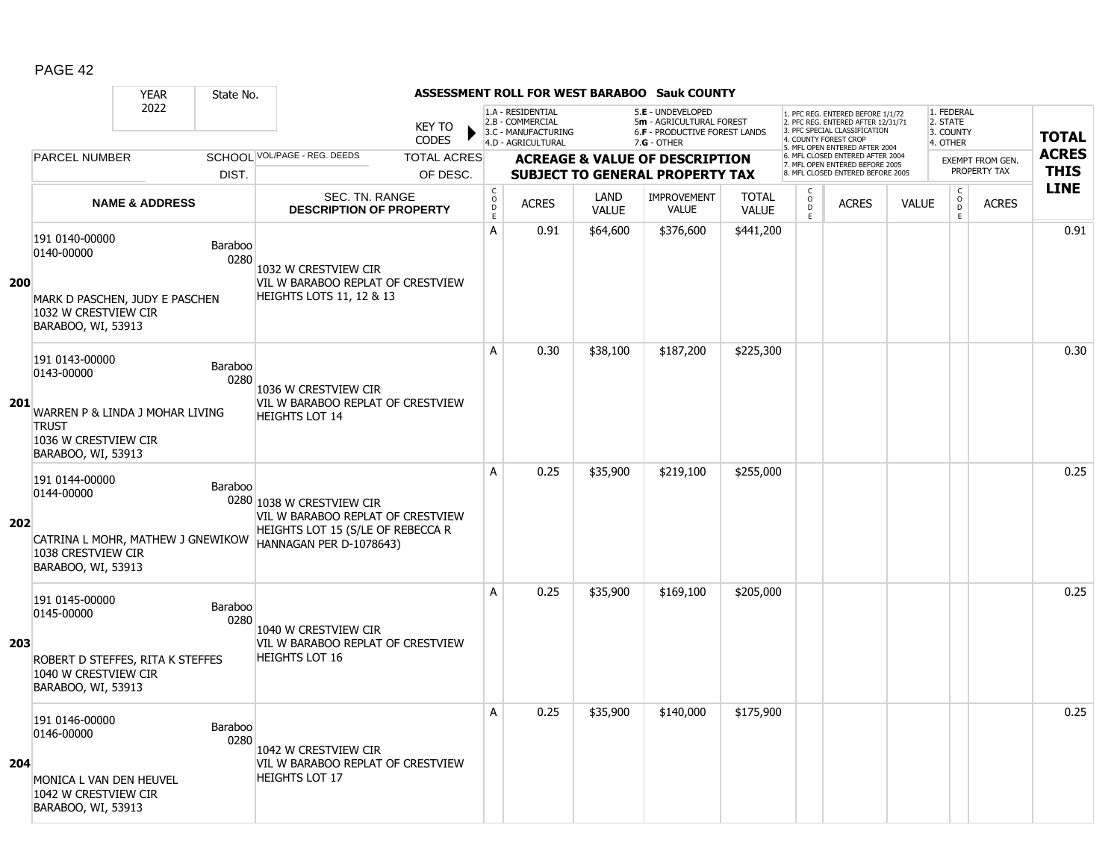|            |                                                                                                                             | <b>YEAR</b>               | State No.       |                                                                                                                                |                               |                                     |                                                              |                      | <b>ASSESSMENT ROLL FOR WEST BARABOO Sauk COUNTY</b>                                   |                              |                                                |                                                                                                                                   |              |                                                          |                                         |              |
|------------|-----------------------------------------------------------------------------------------------------------------------------|---------------------------|-----------------|--------------------------------------------------------------------------------------------------------------------------------|-------------------------------|-------------------------------------|--------------------------------------------------------------|----------------------|---------------------------------------------------------------------------------------|------------------------------|------------------------------------------------|-----------------------------------------------------------------------------------------------------------------------------------|--------------|----------------------------------------------------------|-----------------------------------------|--------------|
|            |                                                                                                                             | 2022                      |                 |                                                                                                                                | <b>KEY TO</b><br><b>CODES</b> |                                     | 1.A - RESIDENTIAL<br>2.B - COMMERCIAL<br>3.C - MANUFACTURING |                      | 5.E - UNDEVELOPED<br>5m - AGRICULTURAL FOREST<br><b>6.F - PRODUCTIVE FOREST LANDS</b> |                              |                                                | 1. PFC REG. ENTERED BEFORE 1/1/72<br>2. PFC REG. ENTERED AFTER 12/31/71<br>3. PFC SPECIAL CLASSIFICATION<br>4. COUNTY FOREST CROP |              | 1. FEDERAL<br>2. STATE<br>3. COUNTY                      |                                         | <b>TOTAL</b> |
|            | <b>PARCEL NUMBER</b>                                                                                                        |                           |                 | SCHOOL VOL/PAGE - REG. DEEDS                                                                                                   | <b>TOTAL ACRES</b>            |                                     | 4.D - AGRICULTURAL                                           |                      | $7.G - OTHER$                                                                         |                              |                                                | 5. MFL OPEN ENTERED AFTER 2004<br>6. MFL CLOSED ENTERED AFTER 2004                                                                |              | 4. OTHER                                                 |                                         | <b>ACRES</b> |
|            |                                                                                                                             |                           | DIST.           |                                                                                                                                | OF DESC.                      |                                     |                                                              |                      | <b>ACREAGE &amp; VALUE OF DESCRIPTION</b><br><b>SUBJECT TO GENERAL PROPERTY TAX</b>   |                              |                                                | 7. MFL OPEN ENTERED BEFORE 2005<br>8. MFL CLOSED ENTERED BEFORE 2005                                                              |              |                                                          | <b>EXEMPT FROM GEN.</b><br>PROPERTY TAX | <b>THIS</b>  |
|            |                                                                                                                             | <b>NAME &amp; ADDRESS</b> |                 | SEC. TN. RANGE<br><b>DESCRIPTION OF PROPERTY</b>                                                                               |                               | $_{\rm o}^{\rm c}$<br>$\frac{D}{E}$ | <b>ACRES</b>                                                 | LAND<br><b>VALUE</b> | <b>IMPROVEMENT</b><br><b>VALUE</b>                                                    | <b>TOTAL</b><br><b>VALUE</b> | $\begin{matrix} 0 \\ 0 \\ 0 \end{matrix}$<br>Ē | <b>ACRES</b>                                                                                                                      | <b>VALUE</b> | $\begin{matrix} C \\ O \\ D \end{matrix}$<br>$\mathsf E$ | <b>ACRES</b>                            | <b>LINE</b>  |
| <b>200</b> | 191 0140-00000<br>0140-00000                                                                                                |                           | Baraboo<br>0280 | 1032 W CRESTVIEW CIR<br>VIL W BARABOO REPLAT OF CRESTVIEW                                                                      |                               | A                                   | 0.91                                                         | \$64,600             | \$376,600                                                                             | \$441,200                    |                                                |                                                                                                                                   |              |                                                          |                                         | 0.91         |
|            | MARK D PASCHEN, JUDY E PASCHEN<br>1032 W CRESTVIEW CIR<br>BARABOO, WI, 53913                                                |                           |                 | <b>HEIGHTS LOTS 11, 12 &amp; 13</b>                                                                                            |                               |                                     |                                                              |                      |                                                                                       |                              |                                                |                                                                                                                                   |              |                                                          |                                         |              |
|            | 191 0143-00000<br>0143-00000                                                                                                |                           | Baraboo<br>0280 | 1036 W CRESTVIEW CIR                                                                                                           |                               | A                                   | 0.30                                                         | \$38,100             | \$187,200                                                                             | \$225,300                    |                                                |                                                                                                                                   |              |                                                          |                                         | 0.30         |
| 201        | WARREN P & LINDA J MOHAR LIVING<br><b>TRUST</b><br>1036 W CRESTVIEW CIR<br>BARABOO, WI, 53913                               |                           |                 | VIL W BARABOO REPLAT OF CRESTVIEW<br><b>HEIGHTS LOT 14</b>                                                                     |                               |                                     |                                                              |                      |                                                                                       |                              |                                                |                                                                                                                                   |              |                                                          |                                         |              |
| 202        | 191 0144-00000<br>0144-00000<br>CATRINA L MOHR, MATHEW J GNEWIKOW<br>1038 CRESTVIEW CIR<br>BARABOO, WI, 53913               |                           | Baraboo         | 0280 1038 W CRESTVIEW CIR<br>VIL W BARABOO REPLAT OF CRESTVIEW<br>HEIGHTS LOT 15 (S/LE OF REBECCA R<br>HANNAGAN PER D-1078643) |                               | A                                   | 0.25                                                         | \$35,900             | \$219,100                                                                             | \$255,000                    |                                                |                                                                                                                                   |              |                                                          |                                         | 0.25         |
| 203        | 191 0145-00000<br>0145-00000<br>ROBERT D STEFFES, RITA K STEFFES<br>1040 W CRESTVIEW CIR                                    |                           | Baraboo<br>0280 | 1040 W CRESTVIEW CIR<br>VIL W BARABOO REPLAT OF CRESTVIEW<br><b>HEIGHTS LOT 16</b>                                             |                               | A                                   | 0.25                                                         | \$35,900             | \$169,100                                                                             | \$205,000                    |                                                |                                                                                                                                   |              |                                                          |                                         | 0.25         |
| 204        | BARABOO, WI, 53913<br>191 0146-00000<br>0146-00000<br>MONICA L VAN DEN HEUVEL<br>1042 W CRESTVIEW CIR<br>BARABOO, WI, 53913 |                           | Baraboo<br>0280 | 1042 W CRESTVIEW CIR<br>VIL W BARABOO REPLAT OF CRESTVIEW<br><b>HEIGHTS LOT 17</b>                                             |                               | Α                                   | 0.25                                                         | \$35,900             | \$140,000                                                                             | \$175,900                    |                                                |                                                                                                                                   |              |                                                          |                                         | 0.25         |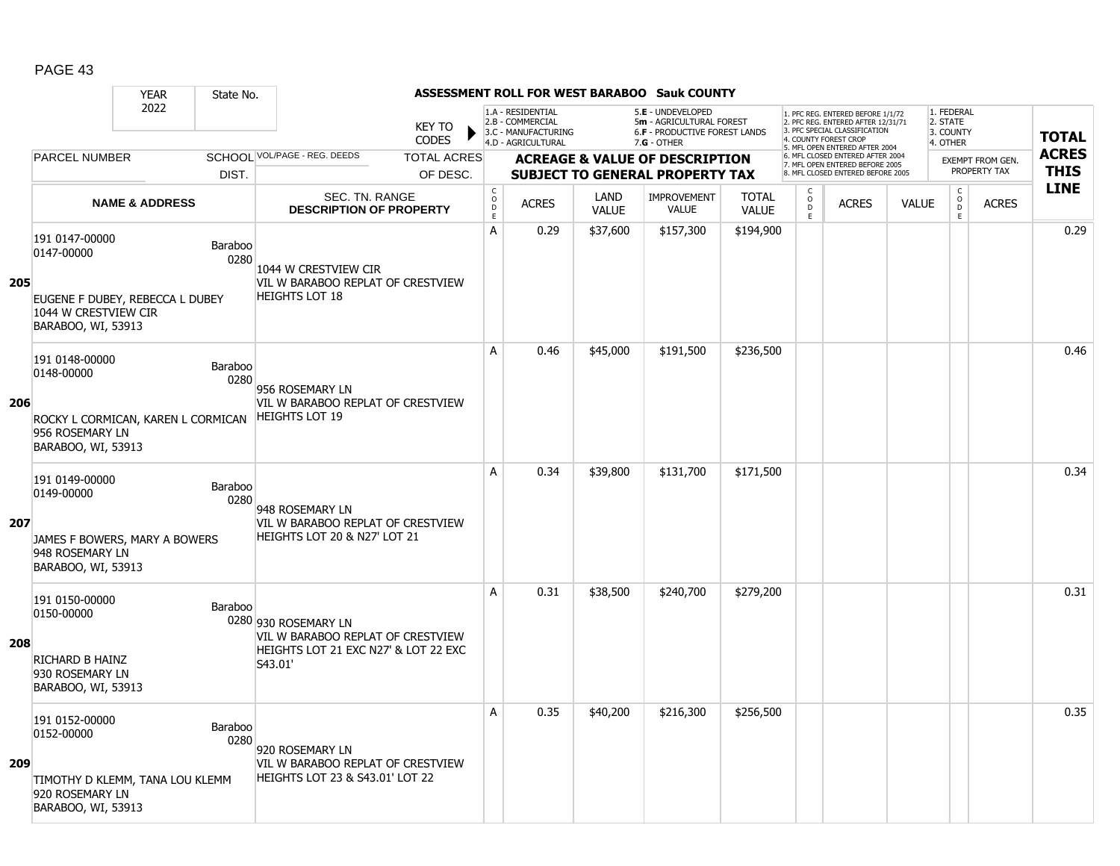|     |                                                                                                               | <b>YEAR</b>               | State No.              |                                                                                                              |                               |                                        |                                                                                    |                      | <b>ASSESSMENT ROLL FOR WEST BARABOO Sauk COUNTY</b>                                           |                              |                                                |                                                                                                                                   |              |                                                 |                         |              |
|-----|---------------------------------------------------------------------------------------------------------------|---------------------------|------------------------|--------------------------------------------------------------------------------------------------------------|-------------------------------|----------------------------------------|------------------------------------------------------------------------------------|----------------------|-----------------------------------------------------------------------------------------------|------------------------------|------------------------------------------------|-----------------------------------------------------------------------------------------------------------------------------------|--------------|-------------------------------------------------|-------------------------|--------------|
|     |                                                                                                               | 2022                      |                        |                                                                                                              | <b>KEY TO</b><br><b>CODES</b> |                                        | 1.A - RESIDENTIAL<br>2.B - COMMERCIAL<br>3.C - MANUFACTURING<br>4.D - AGRICULTURAL |                      | 5.E - UNDEVELOPED<br>5m - AGRICULTURAL FOREST<br>6.F - PRODUCTIVE FOREST LANDS<br>7.G - OTHER |                              |                                                | 1. PFC REG. ENTERED BEFORE 1/1/72<br>2. PFC REG. ENTERED AFTER 12/31/71<br>3. PFC SPECIAL CLASSIFICATION<br>4. COUNTY FOREST CROP |              | 1. FEDERAL<br>2. STATE<br>3. COUNTY<br>4. OTHER |                         | <b>TOTAL</b> |
|     | <b>PARCEL NUMBER</b>                                                                                          |                           |                        | SCHOOL VOL/PAGE - REG. DEEDS                                                                                 | <b>TOTAL ACRES</b>            |                                        |                                                                                    |                      | <b>ACREAGE &amp; VALUE OF DESCRIPTION</b>                                                     |                              |                                                | 5. MFL OPEN ENTERED AFTER 2004<br>6. MFL CLOSED ENTERED AFTER 2004                                                                |              |                                                 | <b>EXEMPT FROM GEN.</b> | <b>ACRES</b> |
|     |                                                                                                               |                           | DIST.                  |                                                                                                              | OF DESC.                      |                                        |                                                                                    |                      | <b>SUBJECT TO GENERAL PROPERTY TAX</b>                                                        |                              |                                                | 7. MFL OPEN ENTERED BEFORE 2005<br>8. MFL CLOSED ENTERED BEFORE 2005                                                              |              |                                                 | PROPERTY TAX            | <b>THIS</b>  |
|     |                                                                                                               | <b>NAME &amp; ADDRESS</b> |                        | SEC. TN. RANGE<br><b>DESCRIPTION OF PROPERTY</b>                                                             |                               | $_{\rm o}^{\rm c}$<br>$\mathsf D$<br>E | <b>ACRES</b>                                                                       | LAND<br><b>VALUE</b> | <b>IMPROVEMENT</b><br><b>VALUE</b>                                                            | <b>TOTAL</b><br><b>VALUE</b> | $\begin{matrix} 0 \\ 0 \\ D \end{matrix}$<br>E | <b>ACRES</b>                                                                                                                      | <b>VALUE</b> | $\begin{matrix} 0 \\ 0 \\ 0 \end{matrix}$<br>E  | <b>ACRES</b>            | <b>LINE</b>  |
| 205 | 191 0147-00000<br>0147-00000<br>EUGENE F DUBEY, REBECCA L DUBEY<br>1044 W CRESTVIEW CIR<br>BARABOO, WI, 53913 |                           | Baraboo<br>0280        | 1044 W CRESTVIEW CIR<br>VIL W BARABOO REPLAT OF CRESTVIEW<br><b>HEIGHTS LOT 18</b>                           |                               | A                                      | 0.29                                                                               | \$37,600             | \$157,300                                                                                     | \$194,900                    |                                                |                                                                                                                                   |              |                                                 |                         | 0.29         |
| 206 | 191 0148-00000<br>0148-00000<br>ROCKY L CORMICAN, KAREN L CORMICAN<br>956 ROSEMARY LN<br>BARABOO, WI, 53913   |                           | Baraboo<br>0280        | 956 ROSEMARY LN<br>VIL W BARABOO REPLAT OF CRESTVIEW<br><b>HEIGHTS LOT 19</b>                                |                               | A                                      | 0.46                                                                               | \$45,000             | \$191,500                                                                                     | \$236,500                    |                                                |                                                                                                                                   |              |                                                 |                         | 0.46         |
| 207 | 191 0149-00000<br>0149-00000<br>JAMES F BOWERS, MARY A BOWERS<br>948 ROSEMARY LN<br>BARABOO, WI, 53913        |                           | Baraboo<br>0280        | 948 ROSEMARY LN<br>VIL W BARABOO REPLAT OF CRESTVIEW<br>HEIGHTS LOT 20 & N27' LOT 21                         |                               | A                                      | 0.34                                                                               | \$39,800             | \$131,700                                                                                     | \$171,500                    |                                                |                                                                                                                                   |              |                                                 |                         | 0.34         |
| 208 | 191 0150-00000<br>0150-00000<br><b>RICHARD B HAINZ</b><br>930 ROSEMARY LN<br>BARABOO, WI, 53913               |                           | Baraboo                | 0280 930 ROSEMARY LN<br>VIL W BARABOO REPLAT OF CRESTVIEW<br>HEIGHTS LOT 21 EXC N27' & LOT 22 EXC<br>S43.01' |                               | A                                      | 0.31                                                                               | \$38,500             | \$240,700                                                                                     | \$279,200                    |                                                |                                                                                                                                   |              |                                                 |                         | 0.31         |
| 209 | 191 0152-00000<br>0152-00000<br>TIMOTHY D KLEMM, TANA LOU KLEMM<br>920 ROSEMARY LN<br>BARABOO, WI, 53913      |                           | <b>Baraboo</b><br>0280 | 920 ROSEMARY LN<br>VIL W BARABOO REPLAT OF CRESTVIEW<br><b>HEIGHTS LOT 23 &amp; S43.01' LOT 22</b>           |                               | A                                      | 0.35                                                                               | \$40,200             | \$216,300                                                                                     | \$256,500                    |                                                |                                                                                                                                   |              |                                                 |                         | 0.35         |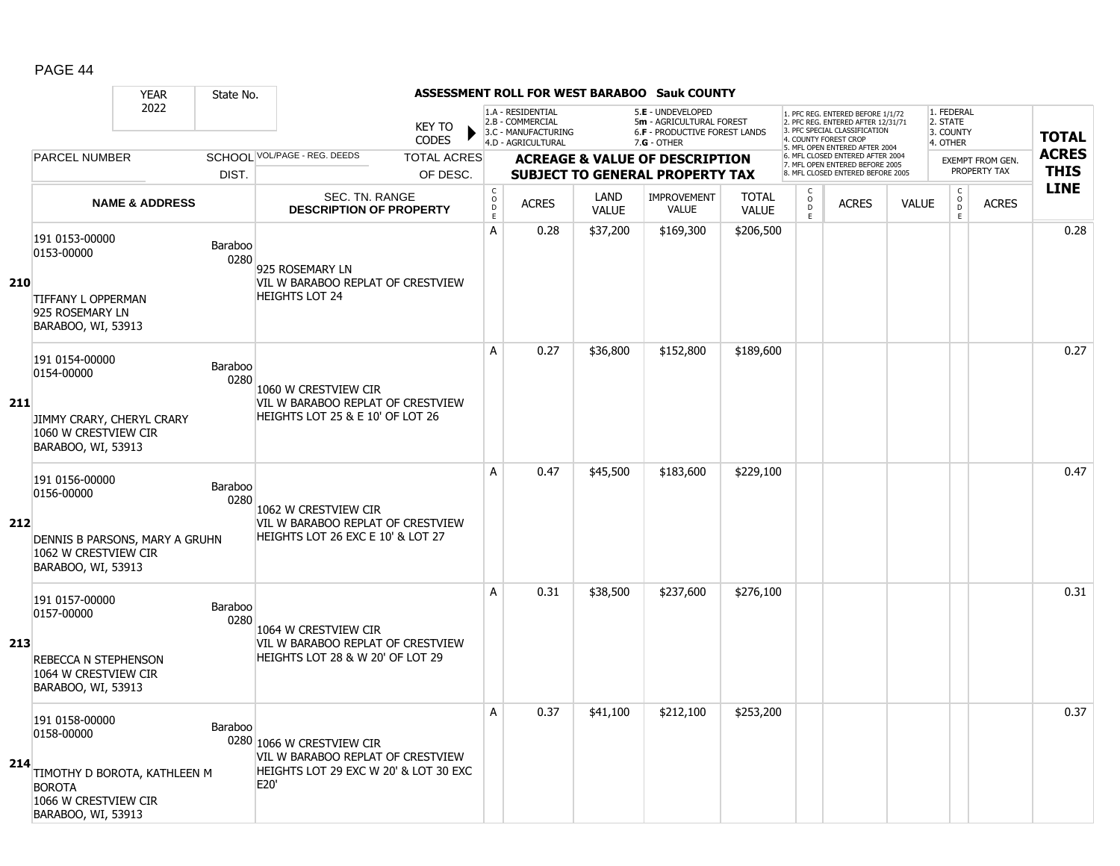|     |                                                                                                           | <b>YEAR</b>                    | State No.              |                                                                                                                 |                               |                                             |                                                                                    |                      | ASSESSMENT ROLL FOR WEST BARABOO Sauk COUNTY                                                    |                              |                                      |                                                                                                                                   |              |                                                 |                         |              |
|-----|-----------------------------------------------------------------------------------------------------------|--------------------------------|------------------------|-----------------------------------------------------------------------------------------------------------------|-------------------------------|---------------------------------------------|------------------------------------------------------------------------------------|----------------------|-------------------------------------------------------------------------------------------------|------------------------------|--------------------------------------|-----------------------------------------------------------------------------------------------------------------------------------|--------------|-------------------------------------------------|-------------------------|--------------|
|     |                                                                                                           | 2022                           |                        |                                                                                                                 | <b>KEY TO</b><br><b>CODES</b> |                                             | 1.A - RESIDENTIAL<br>2.B - COMMERCIAL<br>3.C - MANUFACTURING<br>4.D - AGRICULTURAL |                      | 5.E - UNDEVELOPED<br>5m - AGRICULTURAL FOREST<br>6.F - PRODUCTIVE FOREST LANDS<br>$7.G - OTHER$ |                              |                                      | 1. PFC REG. ENTERED BEFORE 1/1/72<br>2. PFC REG. ENTERED AFTER 12/31/71<br>3. PFC SPECIAL CLASSIFICATION<br>4. COUNTY FOREST CROP |              | 1. FEDERAL<br>2. STATE<br>3. COUNTY<br>4. OTHER |                         | <b>TOTAL</b> |
|     | <b>PARCEL NUMBER</b>                                                                                      |                                |                        | SCHOOL VOL/PAGE - REG. DEEDS                                                                                    | <b>TOTAL ACRES</b>            |                                             |                                                                                    |                      | <b>ACREAGE &amp; VALUE OF DESCRIPTION</b>                                                       |                              |                                      | 5. MFL OPEN ENTERED AFTER 2004<br>6. MFL CLOSED ENTERED AFTER 2004                                                                |              |                                                 | <b>EXEMPT FROM GEN.</b> | <b>ACRES</b> |
|     |                                                                                                           |                                | DIST.                  |                                                                                                                 | OF DESC.                      |                                             |                                                                                    |                      | <b>SUBJECT TO GENERAL PROPERTY TAX</b>                                                          |                              |                                      | 7. MFL OPEN ENTERED BEFORE 2005<br>8. MFL CLOSED ENTERED BEFORE 2005                                                              |              |                                                 | PROPERTY TAX            | <b>THIS</b>  |
|     |                                                                                                           | <b>NAME &amp; ADDRESS</b>      |                        | SEC. TN. RANGE<br><b>DESCRIPTION OF PROPERTY</b>                                                                |                               | $\mathsf{C}$<br>$\circ$<br>D<br>$\mathsf E$ | <b>ACRES</b>                                                                       | LAND<br><b>VALUE</b> | <b>IMPROVEMENT</b><br><b>VALUE</b>                                                              | <b>TOTAL</b><br><b>VALUE</b> | $\mathsf{C}$<br>$\overline{0}$<br>E. | <b>ACRES</b>                                                                                                                      | <b>VALUE</b> | $\mathsf{C}$<br>$\overline{0}$<br>E             | <b>ACRES</b>            | <b>LINE</b>  |
| 210 | 191 0153-00000<br>0153-00000                                                                              |                                | Baraboo<br>0280        | 925 ROSEMARY LN<br>VIL W BARABOO REPLAT OF CRESTVIEW                                                            |                               | A                                           | 0.28                                                                               | \$37,200             | \$169,300                                                                                       | \$206,500                    |                                      |                                                                                                                                   |              |                                                 |                         | 0.28         |
|     | <b>TIFFANY L OPPERMAN</b><br>925 ROSEMARY LN<br>BARABOO, WI, 53913                                        |                                |                        | <b>HEIGHTS LOT 24</b>                                                                                           |                               |                                             |                                                                                    |                      |                                                                                                 |                              |                                      |                                                                                                                                   |              |                                                 |                         |              |
|     | 191 0154-00000<br>0154-00000                                                                              |                                | Baraboo<br>0280        | 1060 W CRESTVIEW CIR                                                                                            |                               | A                                           | 0.27                                                                               | \$36,800             | \$152,800                                                                                       | \$189,600                    |                                      |                                                                                                                                   |              |                                                 |                         | 0.27         |
| 211 | JIMMY CRARY, CHERYL CRARY<br>1060 W CRESTVIEW CIR<br>BARABOO, WI, 53913                                   |                                |                        | VIL W BARABOO REPLAT OF CRESTVIEW<br>HEIGHTS LOT 25 & E 10' OF LOT 26                                           |                               |                                             |                                                                                    |                      |                                                                                                 |                              |                                      |                                                                                                                                   |              |                                                 |                         |              |
| 212 | 191 0156-00000<br>0156-00000<br>1062 W CRESTVIEW CIR<br>BARABOO, WI, 53913                                | DENNIS B PARSONS, MARY A GRUHN | Baraboo<br>0280        | 1062 W CRESTVIEW CIR<br>VIL W BARABOO REPLAT OF CRESTVIEW<br>HEIGHTS LOT 26 EXC E 10' & LOT 27                  |                               | A                                           | 0.47                                                                               | \$45,500             | \$183,600                                                                                       | \$229,100                    |                                      |                                                                                                                                   |              |                                                 |                         | 0.47         |
| 213 | 191 0157-00000<br>0157-00000<br><b>REBECCA N STEPHENSON</b><br>1064 W CRESTVIEW CIR<br>BARABOO, WI, 53913 |                                | <b>Baraboo</b><br>0280 | 1064 W CRESTVIEW CIR<br>VIL W BARABOO REPLAT OF CRESTVIEW<br>HEIGHTS LOT 28 & W 20' OF LOT 29                   |                               | A                                           | 0.31                                                                               | \$38,500             | \$237,600                                                                                       | \$276,100                    |                                      |                                                                                                                                   |              |                                                 |                         | 0.31         |
| 214 | 191 0158-00000<br>0158-00000<br><b>BOROTA</b><br>1066 W CRESTVIEW CIR<br>BARABOO, WI, 53913               | TIMOTHY D BOROTA, KATHLEEN M   | Baraboo                | 0280 1066 W CRESTVIEW CIR<br>VIL W BARABOO REPLAT OF CRESTVIEW<br>HEIGHTS LOT 29 EXC W 20' & LOT 30 EXC<br>E20' |                               | A                                           | 0.37                                                                               | \$41,100             | \$212,100                                                                                       | \$253,200                    |                                      |                                                                                                                                   |              |                                                 |                         | 0.37         |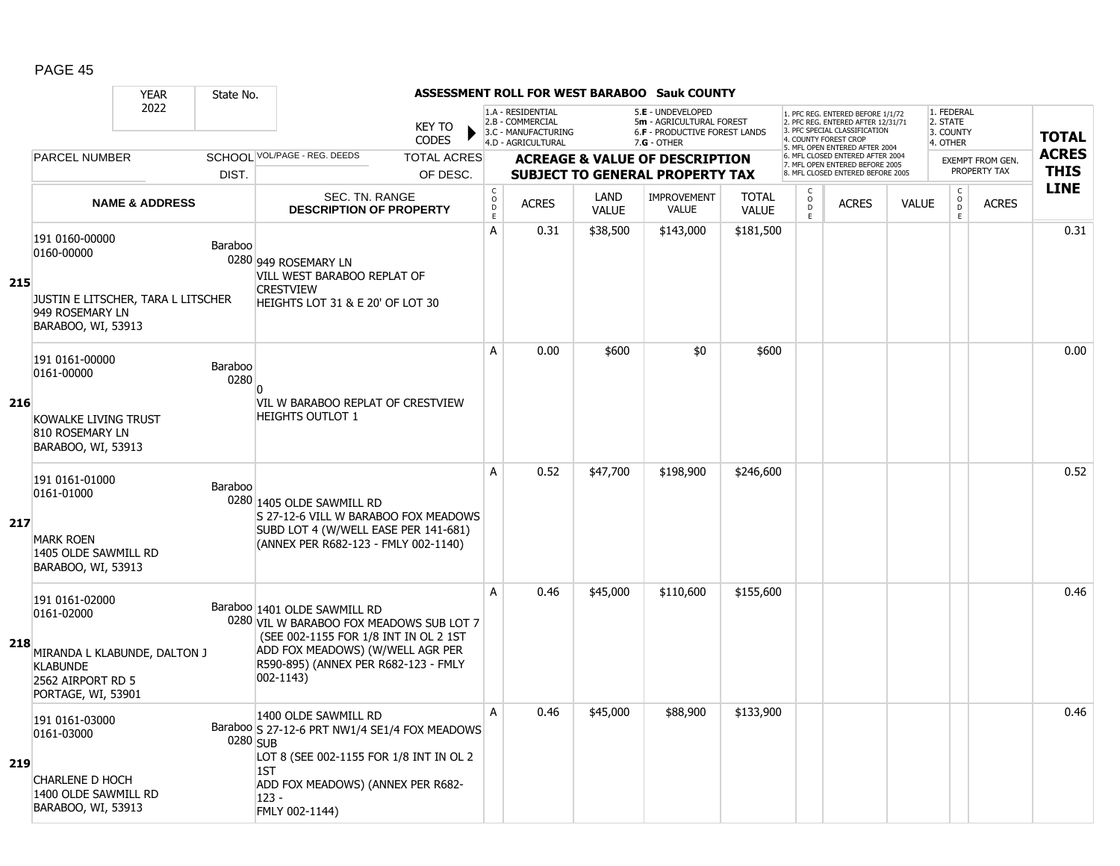|     |                                                                                                                            | <b>YEAR</b><br>State No.  |                                                                                                                                                                                                               |                                                      |                                                                                    |                      | ASSESSMENT ROLL FOR WEST BARABOO Sauk COUNTY                                                           |                              |                                     |                                                                                                                                   |              |                                                 |                         |              |
|-----|----------------------------------------------------------------------------------------------------------------------------|---------------------------|---------------------------------------------------------------------------------------------------------------------------------------------------------------------------------------------------------------|------------------------------------------------------|------------------------------------------------------------------------------------|----------------------|--------------------------------------------------------------------------------------------------------|------------------------------|-------------------------------------|-----------------------------------------------------------------------------------------------------------------------------------|--------------|-------------------------------------------------|-------------------------|--------------|
|     |                                                                                                                            | 2022                      | <b>KEY TO</b><br><b>CODES</b>                                                                                                                                                                                 |                                                      | 1.A - RESIDENTIAL<br>2.B - COMMERCIAL<br>3.C - MANUFACTURING<br>4.D - AGRICULTURAL |                      | 5.E - UNDEVELOPED<br>5m - AGRICULTURAL FOREST<br><b>6.F - PRODUCTIVE FOREST LANDS</b><br>$7.G - OTHER$ |                              |                                     | 1. PFC REG. ENTERED BEFORE 1/1/72<br>2. PFC REG. ENTERED AFTER 12/31/71<br>3. PFC SPECIAL CLASSIFICATION<br>4. COUNTY FOREST CROP |              | 1. FEDERAL<br>2. STATE<br>3. COUNTY<br>4. OTHER |                         | <b>TOTAL</b> |
|     | <b>PARCEL NUMBER</b>                                                                                                       |                           | SCHOOL VOL/PAGE - REG. DEEDS<br><b>TOTAL ACRES</b>                                                                                                                                                            |                                                      |                                                                                    |                      | <b>ACREAGE &amp; VALUE OF DESCRIPTION</b>                                                              |                              |                                     | 5. MFL OPEN ENTERED AFTER 2004<br>6. MFL CLOSED ENTERED AFTER 2004                                                                |              |                                                 | <b>EXEMPT FROM GEN.</b> | <b>ACRES</b> |
|     |                                                                                                                            | DIST.                     | OF DESC.                                                                                                                                                                                                      |                                                      |                                                                                    |                      | <b>SUBJECT TO GENERAL PROPERTY TAX</b>                                                                 |                              |                                     | 7. MFL OPEN ENTERED BEFORE 2005<br>8. MFL CLOSED ENTERED BEFORE 2005                                                              |              |                                                 | PROPERTY TAX            | <b>THIS</b>  |
|     |                                                                                                                            | <b>NAME &amp; ADDRESS</b> | <b>SEC. TN. RANGE</b><br><b>DESCRIPTION OF PROPERTY</b>                                                                                                                                                       | $\mathsf{C}$<br>$\circ$<br>$\mathsf{D}_{\mathsf{E}}$ | <b>ACRES</b>                                                                       | LAND<br><b>VALUE</b> | <b>IMPROVEMENT</b><br><b>VALUE</b>                                                                     | <b>TOTAL</b><br><b>VALUE</b> | $\mathsf{C}$<br>$\overline{0}$<br>E | <b>ACRES</b>                                                                                                                      | <b>VALUE</b> | $\begin{matrix} 0 \\ 0 \\ 0 \end{matrix}$<br>E  | <b>ACRES</b>            | <b>LINE</b>  |
| 215 | 191 0160-00000<br>0160-00000<br>JUSTIN E LITSCHER, TARA L LITSCHER<br>949 ROSEMARY LN<br>BARABOO, WI, 53913                | Baraboo                   | 0280 949 ROSEMARY LN<br>VILL WEST BARABOO REPLAT OF<br><b>CRESTVIEW</b><br>HEIGHTS LOT 31 & E 20' OF LOT 30                                                                                                   | A                                                    | 0.31                                                                               | \$38,500             | \$143,000                                                                                              | \$181,500                    |                                     |                                                                                                                                   |              |                                                 |                         | 0.31         |
|     | 191 0161-00000<br>0161-00000                                                                                               | Baraboo<br>0280           | n                                                                                                                                                                                                             | A                                                    | 0.00                                                                               | \$600                | \$0                                                                                                    | \$600                        |                                     |                                                                                                                                   |              |                                                 |                         | 0.00         |
| 216 | KOWALKE LIVING TRUST<br>810 ROSEMARY LN<br>BARABOO, WI, 53913                                                              |                           | VIL W BARABOO REPLAT OF CRESTVIEW<br><b>HEIGHTS OUTLOT 1</b>                                                                                                                                                  |                                                      |                                                                                    |                      |                                                                                                        |                              |                                     |                                                                                                                                   |              |                                                 |                         |              |
| 217 | 191 0161-01000<br>0161-01000<br><b>MARK ROEN</b><br>1405 OLDE SAWMILL RD<br>BARABOO, WI, 53913                             | Baraboo                   | 0280 1405 OLDE SAWMILL RD<br>S 27-12-6 VILL W BARABOO FOX MEADOWS<br>SUBD LOT 4 (W/WELL EASE PER 141-681)<br>(ANNEX PER R682-123 - FMLY 002-1140)                                                             | A                                                    | 0.52                                                                               | \$47,700             | \$198,900                                                                                              | \$246,600                    |                                     |                                                                                                                                   |              |                                                 |                         | 0.52         |
| 218 | 191 0161-02000<br>0161-02000<br>MIRANDA L KLABUNDE, DALTON J<br><b>KLABUNDE</b><br>2562 AIRPORT RD 5<br>PORTAGE, WI, 53901 |                           | Baraboo 1401 OLDE SAWMILL RD<br>0280 VIL W BARABOO FOX MEADOWS SUB LOT 7<br>(SEE 002-1155 FOR 1/8 INT IN OL 2 1ST<br>ADD FOX MEADOWS) (W/WELL AGR PER<br>R590-895) (ANNEX PER R682-123 - FMLY<br>$002 - 1143$ | A                                                    | 0.46                                                                               | \$45,000             | \$110,600                                                                                              | \$155,600                    |                                     |                                                                                                                                   |              |                                                 |                         | 0.46         |
| 219 | 191 0161-03000<br>0161-03000<br>CHARLENE D HOCH<br>1400 OLDE SAWMILL RD<br>BARABOO, WI, 53913                              |                           | 1400 OLDE SAWMILL RD<br>Baraboo S 27-12-6 PRT NW1/4 SE1/4 FOX MEADOWS<br>0280 SUB<br>LOT 8 (SEE 002-1155 FOR 1/8 INT IN OL 2<br>1ST<br>ADD FOX MEADOWS) (ANNEX PER R682-<br>$123 -$<br>FMLY 002-1144)         | A                                                    | 0.46                                                                               | \$45,000             | \$88,900                                                                                               | \$133,900                    |                                     |                                                                                                                                   |              |                                                 |                         | 0.46         |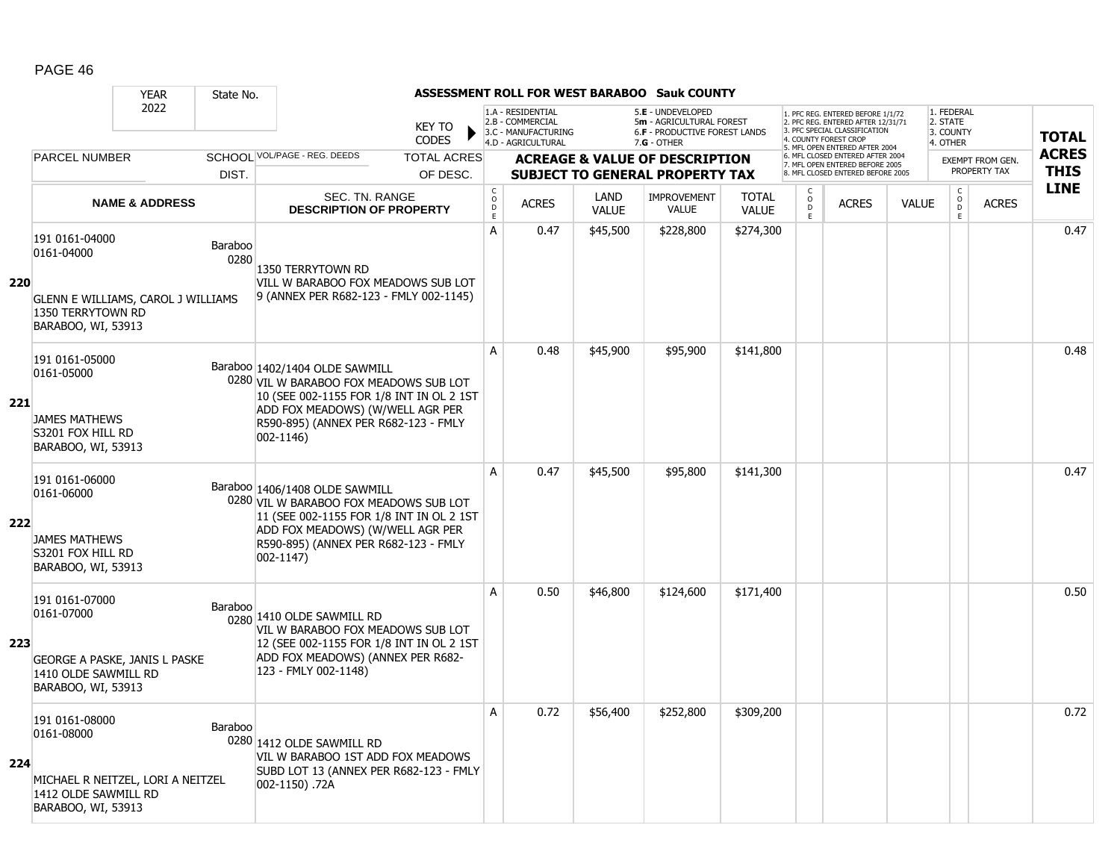|     |                                                                                                                       | <b>YEAR</b>               | State No.       |                                                                                                                                                                                                                  |                             |                                                                                    |                      | <b>ASSESSMENT ROLL FOR WEST BARABOO Sauk COUNTY</b>                                                    |                              |                                                |                                                                                                                                   |              |                                                 |                         |              |
|-----|-----------------------------------------------------------------------------------------------------------------------|---------------------------|-----------------|------------------------------------------------------------------------------------------------------------------------------------------------------------------------------------------------------------------|-----------------------------|------------------------------------------------------------------------------------|----------------------|--------------------------------------------------------------------------------------------------------|------------------------------|------------------------------------------------|-----------------------------------------------------------------------------------------------------------------------------------|--------------|-------------------------------------------------|-------------------------|--------------|
|     |                                                                                                                       | 2022                      |                 | <b>KEY TO</b><br><b>CODES</b>                                                                                                                                                                                    |                             | 1.A - RESIDENTIAL<br>2.B - COMMERCIAL<br>3.C - MANUFACTURING<br>4.D - AGRICULTURAL |                      | 5.E - UNDEVELOPED<br>5m - AGRICULTURAL FOREST<br><b>6.F - PRODUCTIVE FOREST LANDS</b><br>$7.G - OTHER$ |                              |                                                | 1. PFC REG. ENTERED BEFORE 1/1/72<br>2. PFC REG. ENTERED AFTER 12/31/71<br>3. PFC SPECIAL CLASSIFICATION<br>4. COUNTY FOREST CROP |              | 1. FEDERAL<br>2. STATE<br>3. COUNTY<br>4. OTHER |                         | <b>TOTAL</b> |
|     | <b>PARCEL NUMBER</b>                                                                                                  |                           |                 | SCHOOL VOL/PAGE - REG. DEEDS<br><b>TOTAL ACRES</b>                                                                                                                                                               |                             |                                                                                    |                      | <b>ACREAGE &amp; VALUE OF DESCRIPTION</b>                                                              |                              |                                                | 5. MFL OPEN ENTERED AFTER 2004<br>6. MFL CLOSED ENTERED AFTER 2004                                                                |              |                                                 | <b>EXEMPT FROM GEN.</b> | <b>ACRES</b> |
|     |                                                                                                                       |                           | DIST.           | OF DESC.                                                                                                                                                                                                         |                             |                                                                                    |                      | <b>SUBJECT TO GENERAL PROPERTY TAX</b>                                                                 |                              |                                                | 7. MFL OPEN ENTERED BEFORE 2005<br>8. MFL CLOSED ENTERED BEFORE 2005                                                              |              |                                                 | PROPERTY TAX            | <b>THIS</b>  |
|     |                                                                                                                       | <b>NAME &amp; ADDRESS</b> |                 | SEC. TN. RANGE<br><b>DESCRIPTION OF PROPERTY</b>                                                                                                                                                                 | $\rm _o^C$<br>$\frac{D}{E}$ | <b>ACRES</b>                                                                       | LAND<br><b>VALUE</b> | <b>IMPROVEMENT</b><br>VALUE                                                                            | <b>TOTAL</b><br><b>VALUE</b> | $\begin{matrix} 0 \\ 0 \\ 0 \end{matrix}$<br>Ē | <b>ACRES</b>                                                                                                                      | <b>VALUE</b> | $\begin{matrix} C \\ O \\ D \end{matrix}$<br>E  | <b>ACRES</b>            | <b>LINE</b>  |
| 220 | 191 0161-04000<br>0161-04000                                                                                          |                           | Baraboo<br>0280 | 1350 TERRYTOWN RD<br>VILL W BARABOO FOX MEADOWS SUB LOT                                                                                                                                                          | A                           | 0.47                                                                               | \$45,500             | \$228,800                                                                                              | \$274,300                    |                                                |                                                                                                                                   |              |                                                 |                         | 0.47         |
|     | GLENN E WILLIAMS, CAROL J WILLIAMS<br>1350 TERRYTOWN RD<br>BARABOO, WI, 53913                                         |                           |                 | 9 (ANNEX PER R682-123 - FMLY 002-1145)                                                                                                                                                                           |                             |                                                                                    |                      |                                                                                                        |                              |                                                |                                                                                                                                   |              |                                                 |                         |              |
| 221 | 191 0161-05000<br>0161-05000<br>JAMES MATHEWS<br>S3201 FOX HILL RD                                                    |                           |                 | Baraboo 1402/1404 OLDE SAWMILL<br>0280 VIL W BARABOO FOX MEADOWS SUB LOT<br>10 (SEE 002-1155 FOR 1/8 INT IN OL 2 1ST<br>ADD FOX MEADOWS) (W/WELL AGR PER<br>R590-895) (ANNEX PER R682-123 - FMLY<br>$002 - 1146$ | A                           | 0.48                                                                               | \$45,900             | \$95,900                                                                                               | \$141,800                    |                                                |                                                                                                                                   |              |                                                 |                         | 0.48         |
| 222 | BARABOO, WI, 53913<br>191 0161-06000<br>0161-06000<br><b>JAMES MATHEWS</b><br>S3201 FOX HILL RD<br>BARABOO, WI, 53913 |                           |                 | Baraboo 1406/1408 OLDE SAWMILL<br>0280 VIL W BARABOO FOX MEADOWS SUB LOT<br>11 (SEE 002-1155 FOR 1/8 INT IN OL 2 1ST<br>ADD FOX MEADOWS) (W/WELL AGR PER<br>R590-895) (ANNEX PER R682-123 - FMLY<br>$002 - 1147$ | A                           | 0.47                                                                               | \$45,500             | \$95,800                                                                                               | \$141,300                    |                                                |                                                                                                                                   |              |                                                 |                         | 0.47         |
| 223 | 191 0161-07000<br>0161-07000<br>GEORGE A PASKE, JANIS L PASKE<br>1410 OLDE SAWMILL RD<br>BARABOO, WI, 53913           |                           | Baraboo         | 0280 1410 OLDE SAWMILL RD<br>VIL W BARABOO FOX MEADOWS SUB LOT<br>12 (SEE 002-1155 FOR 1/8 INT IN OL 2 1ST<br>ADD FOX MEADOWS) (ANNEX PER R682-<br>123 - FMLY 002-1148)                                          | A                           | 0.50                                                                               | \$46,800             | \$124,600                                                                                              | \$171,400                    |                                                |                                                                                                                                   |              |                                                 |                         | 0.50         |
| 224 | 191 0161-08000<br>0161-08000<br>MICHAEL R NEITZEL, LORI A NEITZEL<br>1412 OLDE SAWMILL RD<br>BARABOO, WI, 53913       |                           | Baraboo         | 0280 1412 OLDE SAWMILL RD<br>VIL W BARABOO 1ST ADD FOX MEADOWS<br>SUBD LOT 13 (ANNEX PER R682-123 - FMLY<br>002-1150) .72A                                                                                       | A                           | 0.72                                                                               | \$56,400             | \$252,800                                                                                              | \$309,200                    |                                                |                                                                                                                                   |              |                                                 |                         | 0.72         |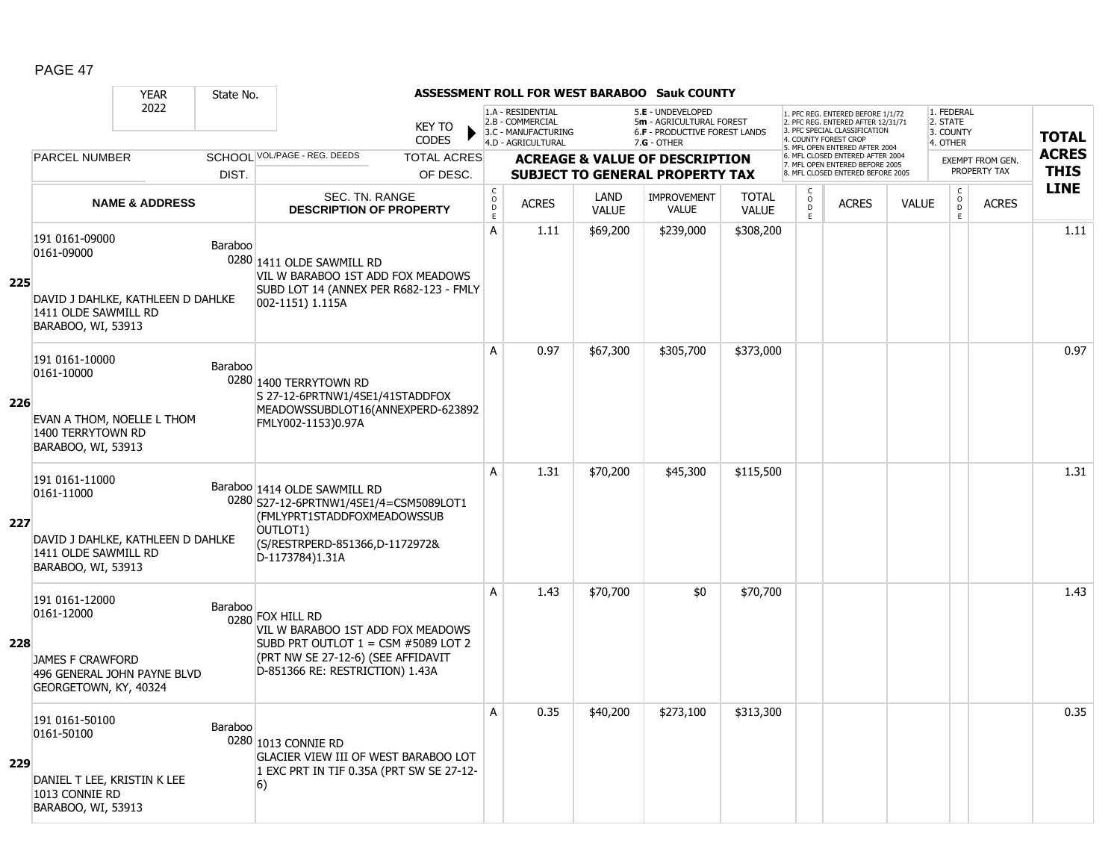|     |                                                                                                                 | <b>YEAR</b>               | State No. |                                                                                                                                                                         |                                         |                                                                                    |                      | <b>ASSESSMENT ROLL FOR WEST BARABOO Sauk COUNTY</b>                                                    |                              |                                                 |                                                                                                                                   |              |                                                          |                                         |              |
|-----|-----------------------------------------------------------------------------------------------------------------|---------------------------|-----------|-------------------------------------------------------------------------------------------------------------------------------------------------------------------------|-----------------------------------------|------------------------------------------------------------------------------------|----------------------|--------------------------------------------------------------------------------------------------------|------------------------------|-------------------------------------------------|-----------------------------------------------------------------------------------------------------------------------------------|--------------|----------------------------------------------------------|-----------------------------------------|--------------|
|     |                                                                                                                 | 2022                      |           | <b>KEY TO</b><br><b>CODES</b>                                                                                                                                           |                                         | 1.A - RESIDENTIAL<br>2.B - COMMERCIAL<br>3.C - MANUFACTURING<br>4.D - AGRICULTURAL |                      | 5.E - UNDEVELOPED<br>5m - AGRICULTURAL FOREST<br><b>6.F - PRODUCTIVE FOREST LANDS</b><br>$7.G - OTHER$ |                              |                                                 | 1. PFC REG. ENTERED BEFORE 1/1/72<br>2. PFC REG. ENTERED AFTER 12/31/71<br>3. PFC SPECIAL CLASSIFICATION<br>4. COUNTY FOREST CROP |              | 1. FEDERAL<br>2. STATE<br>3. COUNTY<br>4. OTHER          |                                         | <b>TOTAL</b> |
|     | <b>PARCEL NUMBER</b>                                                                                            |                           |           | SCHOOL VOL/PAGE - REG. DEEDS<br><b>TOTAL ACRES</b>                                                                                                                      |                                         |                                                                                    |                      | <b>ACREAGE &amp; VALUE OF DESCRIPTION</b>                                                              |                              |                                                 | 5. MFL OPEN ENTERED AFTER 2004<br>6. MFL CLOSED ENTERED AFTER 2004                                                                |              |                                                          |                                         | <b>ACRES</b> |
|     |                                                                                                                 |                           | DIST.     | OF DESC.                                                                                                                                                                |                                         |                                                                                    |                      | <b>SUBJECT TO GENERAL PROPERTY TAX</b>                                                                 |                              |                                                 | 7. MFL OPEN ENTERED BEFORE 2005<br>8. MFL CLOSED ENTERED BEFORE 2005                                                              |              |                                                          | <b>EXEMPT FROM GEN.</b><br>PROPERTY TAX | <b>THIS</b>  |
|     |                                                                                                                 | <b>NAME &amp; ADDRESS</b> |           | <b>SEC. TN. RANGE</b><br><b>DESCRIPTION OF PROPERTY</b>                                                                                                                 | $\rm _o^C$<br>$\mathsf{D}_{\mathsf{E}}$ | <b>ACRES</b>                                                                       | LAND<br><b>VALUE</b> | <b>IMPROVEMENT</b><br>VALUE                                                                            | <b>TOTAL</b><br><b>VALUE</b> | $\begin{matrix} 0 \\ 0 \\ D \end{matrix}$<br>Ē. | <b>ACRES</b>                                                                                                                      | <b>VALUE</b> | $\begin{matrix} C \\ O \\ D \end{matrix}$<br>$\tilde{E}$ | <b>ACRES</b>                            | <b>LINE</b>  |
| 225 | 191 0161-09000<br>0161-09000<br>DAVID J DAHLKE, KATHLEEN D DAHLKE                                               |                           | Baraboo   | 0280 1411 OLDE SAWMILL RD<br>VIL W BARABOO 1ST ADD FOX MEADOWS<br>SUBD LOT 14 (ANNEX PER R682-123 - FMLY<br>002-1151) 1.115A                                            | A                                       | 1.11                                                                               | \$69,200             | \$239,000                                                                                              | \$308,200                    |                                                 |                                                                                                                                   |              |                                                          |                                         | 1.11         |
|     | 1411 OLDE SAWMILL RD<br>BARABOO, WI, 53913                                                                      |                           |           |                                                                                                                                                                         |                                         |                                                                                    |                      |                                                                                                        |                              |                                                 |                                                                                                                                   |              |                                                          |                                         |              |
| 226 | 191 0161-10000<br>0161-10000<br>EVAN A THOM, NOELLE L THOM                                                      |                           | Baraboo   | 0280 1400 TERRYTOWN RD<br>S 27-12-6PRTNW1/4SE1/41STADDFOX<br>MEADOWSSUBDLOT16(ANNEXPERD-623892                                                                          | $\mathsf{A}$                            | 0.97                                                                               | \$67,300             | \$305,700                                                                                              | \$373,000                    |                                                 |                                                                                                                                   |              |                                                          |                                         | 0.97         |
|     | 1400 TERRYTOWN RD<br>BARABOO, WI, 53913                                                                         |                           |           | FMLY002-1153)0.97A                                                                                                                                                      |                                         |                                                                                    |                      |                                                                                                        |                              |                                                 |                                                                                                                                   |              |                                                          |                                         |              |
| 227 | 191 0161-11000<br>0161-11000<br>DAVID J DAHLKE, KATHLEEN D DAHLKE<br>1411 OLDE SAWMILL RD<br>BARABOO, WI, 53913 |                           |           | Baraboo 1414 OLDE SAWMILL RD<br>0280 S27-12-6PRTNW1/4SE1/4=CSM5089LOT1<br>(FMLYPRT1STADDFOXMEADOWSSUB<br>OUTLOT1)<br>(S/RESTRPERD-851366,D-1172972&<br>D-1173784)1.31A  | A                                       | 1.31                                                                               | \$70,200             | \$45,300                                                                                               | \$115,500                    |                                                 |                                                                                                                                   |              |                                                          |                                         | 1.31         |
| 228 | 191 0161-12000<br>0161-12000<br><b>JAMES F CRAWFORD</b><br>496 GENERAL JOHN PAYNE BLVD<br>GEORGETOWN, KY, 40324 |                           | Baraboo   | 0280 FOX HILL RD<br>VIL W BARABOO 1ST ADD FOX MEADOWS<br>SUBD PRT OUTLOT $1 =$ CSM #5089 LOT 2<br>(PRT NW SE 27-12-6) (SEE AFFIDAVIT<br>D-851366 RE: RESTRICTION) 1.43A | A                                       | 1.43                                                                               | \$70,700             | \$0                                                                                                    | \$70,700                     |                                                 |                                                                                                                                   |              |                                                          |                                         | 1.43         |
| 229 | 191 0161-50100<br>0161-50100<br>DANIEL T LEE, KRISTIN K LEE<br>1013 CONNIE RD<br>BARABOO, WI, 53913             |                           | Baraboo   | 0280 1013 CONNIE RD<br>GLACIER VIEW III OF WEST BARABOO LOT<br>1 EXC PRT IN TIF 0.35A (PRT SW SE 27-12-<br>6)                                                           | A                                       | 0.35                                                                               | \$40,200             | \$273,100                                                                                              | \$313,300                    |                                                 |                                                                                                                                   |              |                                                          |                                         | 0.35         |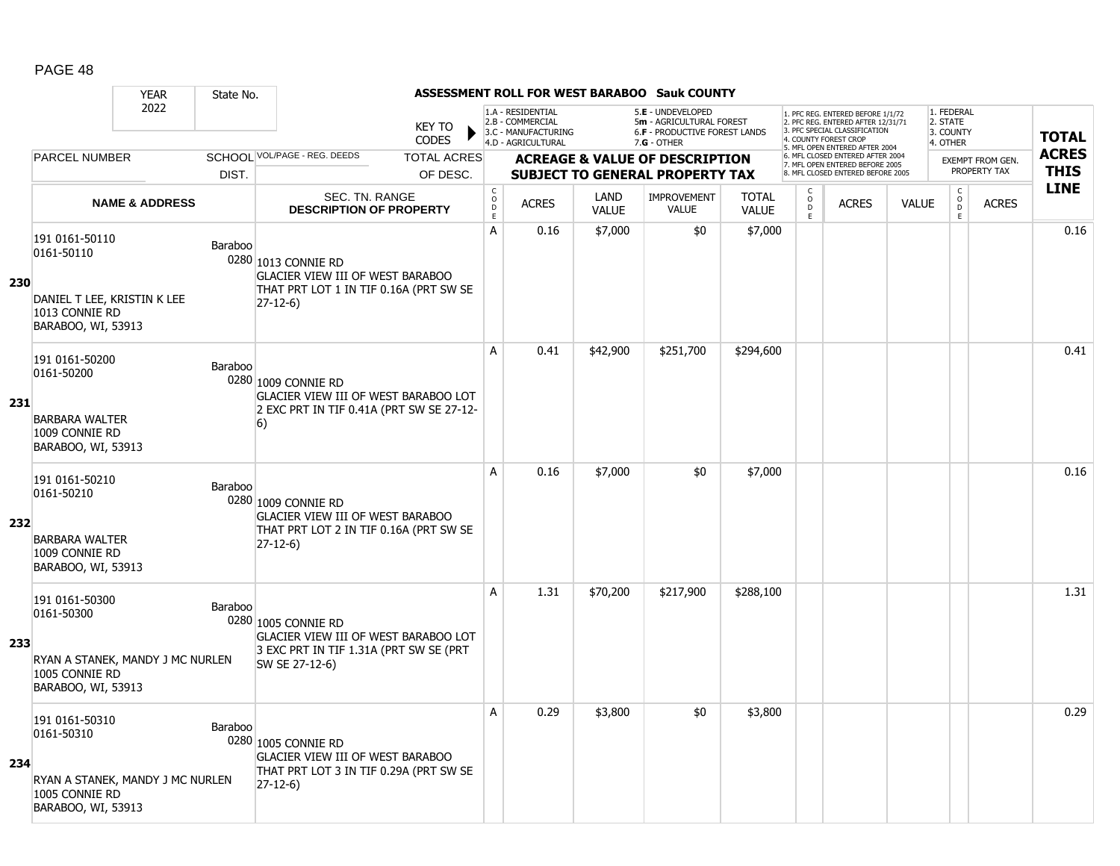|     |                                                                                                     | <b>YEAR</b>                                 | State No.      |                                                                                                                         |                             |                                                                                    |                      | <b>ASSESSMENT ROLL FOR WEST BARABOO Sauk COUNTY</b>                                                  |                              |                                                |                                                                                                                                   |              |                                                 |                         |              |
|-----|-----------------------------------------------------------------------------------------------------|---------------------------------------------|----------------|-------------------------------------------------------------------------------------------------------------------------|-----------------------------|------------------------------------------------------------------------------------|----------------------|------------------------------------------------------------------------------------------------------|------------------------------|------------------------------------------------|-----------------------------------------------------------------------------------------------------------------------------------|--------------|-------------------------------------------------|-------------------------|--------------|
|     |                                                                                                     | 2022                                        |                | <b>KEY TO</b><br><b>CODES</b>                                                                                           |                             | 1.A - RESIDENTIAL<br>2.B - COMMERCIAL<br>3.C - MANUFACTURING<br>4.D - AGRICULTURAL |                      | 5.E - UNDEVELOPED<br>5m - AGRICULTURAL FOREST<br><b>6.F - PRODUCTIVE FOREST LANDS</b><br>7.G - OTHER |                              |                                                | 1. PFC REG. ENTERED BEFORE 1/1/72<br>2. PFC REG. ENTERED AFTER 12/31/71<br>3. PFC SPECIAL CLASSIFICATION<br>4. COUNTY FOREST CROP |              | 1. FEDERAL<br>2. STATE<br>3. COUNTY<br>4. OTHER |                         | <b>TOTAL</b> |
|     | <b>PARCEL NUMBER</b>                                                                                |                                             |                | SCHOOL VOL/PAGE - REG. DEEDS<br><b>TOTAL ACRES</b>                                                                      |                             |                                                                                    |                      | <b>ACREAGE &amp; VALUE OF DESCRIPTION</b>                                                            |                              |                                                | 5. MFL OPEN ENTERED AFTER 2004<br>6. MFL CLOSED ENTERED AFTER 2004                                                                |              |                                                 | <b>EXEMPT FROM GEN.</b> | <b>ACRES</b> |
|     |                                                                                                     |                                             | DIST.          | OF DESC.                                                                                                                |                             |                                                                                    |                      | <b>SUBJECT TO GENERAL PROPERTY TAX</b>                                                               |                              |                                                | 7. MFL OPEN ENTERED BEFORE 2005<br>8. MFL CLOSED ENTERED BEFORE 2005                                                              |              |                                                 | PROPERTY TAX            | <b>THIS</b>  |
|     |                                                                                                     | <b>NAME &amp; ADDRESS</b>                   |                | SEC. TN. RANGE<br><b>DESCRIPTION OF PROPERTY</b>                                                                        | $\rm _o^C$<br>$\frac{D}{E}$ | <b>ACRES</b>                                                                       | LAND<br><b>VALUE</b> | <b>IMPROVEMENT</b><br>VALUE                                                                          | <b>TOTAL</b><br><b>VALUE</b> | $\begin{matrix} 0 \\ 0 \\ 0 \end{matrix}$<br>Ē | <b>ACRES</b>                                                                                                                      | <b>VALUE</b> | $\begin{matrix} C \\ O \\ D \end{matrix}$<br>E  | <b>ACRES</b>            | <b>LINE</b>  |
| 230 | 191 0161-50110<br>0161-50110<br>DANIEL T LEE, KRISTIN K LEE<br>1013 CONNIE RD<br>BARABOO, WI, 53913 | Baraboo                                     |                | 0280 1013 CONNIE RD<br><b>GLACIER VIEW III OF WEST BARABOO</b><br>THAT PRT LOT 1 IN TIF 0.16A (PRT SW SE<br>$27-12-6$   | $\mathsf{A}$                | 0.16                                                                               | \$7,000              | \$0                                                                                                  | \$7,000                      |                                                |                                                                                                                                   |              |                                                 |                         | 0.16         |
| 231 | 191 0161-50200<br>0161-50200<br><b>BARBARA WALTER</b><br>1009 CONNIE RD<br>BARABOO, WI, 53913       | Baraboo                                     |                | 0280 1009 CONNIE RD<br>GLACIER VIEW III OF WEST BARABOO LOT<br>2 EXC PRT IN TIF 0.41A (PRT SW SE 27-12-<br>6)           | A                           | 0.41                                                                               | \$42,900             | \$251,700                                                                                            | \$294,600                    |                                                |                                                                                                                                   |              |                                                 |                         | 0.41         |
| 232 | 191 0161-50210<br>0161-50210<br><b>BARBARA WALTER</b><br>1009 CONNIE RD<br>BARABOO, WI, 53913       |                                             | <b>Baraboo</b> | 0280 1009 CONNIE RD<br>GLACIER VIEW III OF WEST BARABOO<br>THAT PRT LOT 2 IN TIF 0.16A (PRT SW SE<br>$27-12-6$          | A                           | 0.16                                                                               | \$7,000              | \$0                                                                                                  | \$7,000                      |                                                |                                                                                                                                   |              |                                                 |                         | 0.16         |
| 233 | 191 0161-50300<br>0161-50300<br>1005 CONNIE RD<br>BARABOO, WI, 53913                                | RYAN A STANEK, MANDY J MC NURLEN            | <b>Baraboo</b> | 0280 1005 CONNIE RD<br>GLACIER VIEW III OF WEST BARABOO LOT<br>3 EXC PRT IN TIF 1.31A (PRT SW SE (PRT<br>SW SE 27-12-6) | A                           | 1.31                                                                               | \$70,200             | \$217,900                                                                                            | \$288,100                    |                                                |                                                                                                                                   |              |                                                 |                         | 1.31         |
| 234 | 191 0161-50310<br>0161-50310<br>1005 CONNIE RD<br>BARABOO, WI, 53913                                | Baraboo<br>RYAN A STANEK, MANDY J MC NURLEN |                | 0280 1005 CONNIE RD<br><b>GLACIER VIEW III OF WEST BARABOO</b><br>THAT PRT LOT 3 IN TIF 0.29A (PRT SW SE<br>$27-12-6$   | Α                           | 0.29                                                                               | \$3,800              | \$0                                                                                                  | \$3,800                      |                                                |                                                                                                                                   |              |                                                 |                         | 0.29         |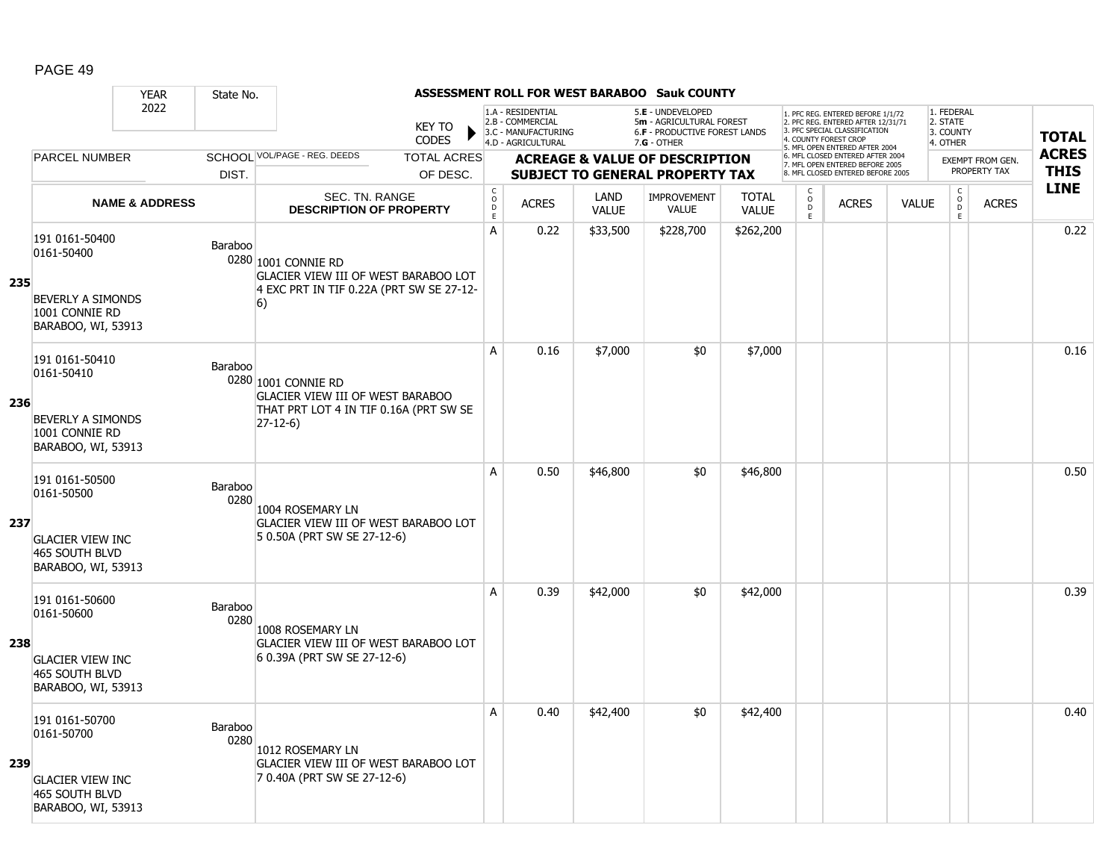|     |                                                                                                 | <b>YEAR</b>               | State No.       |                                                                                                                       |                                                 |                                                                                    |                      | <b>ASSESSMENT ROLL FOR WEST BARABOO Sauk COUNTY</b>                                             |                              |                                                |                                                                                                                                   |              |                                                 |                  |              |
|-----|-------------------------------------------------------------------------------------------------|---------------------------|-----------------|-----------------------------------------------------------------------------------------------------------------------|-------------------------------------------------|------------------------------------------------------------------------------------|----------------------|-------------------------------------------------------------------------------------------------|------------------------------|------------------------------------------------|-----------------------------------------------------------------------------------------------------------------------------------|--------------|-------------------------------------------------|------------------|--------------|
|     |                                                                                                 | 2022                      |                 | <b>KEY TO</b><br><b>CODES</b>                                                                                         |                                                 | 1.A - RESIDENTIAL<br>2.B - COMMERCIAL<br>3.C - MANUFACTURING<br>4.D - AGRICULTURAL |                      | 5.E - UNDEVELOPED<br>5m - AGRICULTURAL FOREST<br>6.F - PRODUCTIVE FOREST LANDS<br>$7.G - OTHER$ |                              |                                                | 1. PFC REG. ENTERED BEFORE 1/1/72<br>2. PFC REG. ENTERED AFTER 12/31/71<br>3. PFC SPECIAL CLASSIFICATION<br>4. COUNTY FOREST CROP |              | 1. FEDERAL<br>2. STATE<br>3. COUNTY<br>4. OTHER |                  | <b>TOTAL</b> |
|     | <b>PARCEL NUMBER</b>                                                                            |                           |                 | SCHOOL VOL/PAGE - REG. DEEDS<br><b>TOTAL ACRES</b>                                                                    |                                                 |                                                                                    |                      | <b>ACREAGE &amp; VALUE OF DESCRIPTION</b>                                                       |                              |                                                | 5. MFL OPEN ENTERED AFTER 2004<br>6. MFL CLOSED ENTERED AFTER 2004                                                                |              |                                                 | EXEMPT FROM GEN. | <b>ACRES</b> |
|     |                                                                                                 |                           | DIST.           | OF DESC.                                                                                                              |                                                 |                                                                                    |                      | <b>SUBJECT TO GENERAL PROPERTY TAX</b>                                                          |                              |                                                | 7. MFL OPEN ENTERED BEFORE 2005<br>8. MFL CLOSED ENTERED BEFORE 2005                                                              |              |                                                 | PROPERTY TAX     | <b>THIS</b>  |
|     |                                                                                                 | <b>NAME &amp; ADDRESS</b> |                 | SEC. TN. RANGE<br><b>DESCRIPTION OF PROPERTY</b>                                                                      | $_{\rm o}^{\rm c}$<br>$\mathsf{D}_{\mathsf{E}}$ | <b>ACRES</b>                                                                       | LAND<br><b>VALUE</b> | <b>IMPROVEMENT</b><br><b>VALUE</b>                                                              | <b>TOTAL</b><br><b>VALUE</b> | $\begin{matrix} 0 \\ 0 \\ D \end{matrix}$<br>E | <b>ACRES</b>                                                                                                                      | <b>VALUE</b> | $\begin{matrix} 0 \\ 0 \\ 0 \end{matrix}$<br>E  | <b>ACRES</b>     | <b>LINE</b>  |
| 235 | 191 0161-50400<br>0161-50400<br><b>BEVERLY A SIMONDS</b><br>1001 CONNIE RD                      |                           | Baraboo         | 0280 1001 CONNIE RD<br>GLACIER VIEW III OF WEST BARABOO LOT<br>4 EXC PRT IN TIF 0.22A (PRT SW SE 27-12-<br>6)         | А                                               | 0.22                                                                               | \$33,500             | \$228,700                                                                                       | \$262,200                    |                                                |                                                                                                                                   |              |                                                 |                  | 0.22         |
| 236 | BARABOO, WI, 53913<br>191 0161-50410<br>0161-50410<br><b>BEVERLY A SIMONDS</b>                  |                           | Baraboo         | 0280 1001 CONNIE RD<br><b>GLACIER VIEW III OF WEST BARABOO</b><br>THAT PRT LOT 4 IN TIF 0.16A (PRT SW SE<br>$27-12-6$ | A                                               | 0.16                                                                               | \$7,000              | \$0                                                                                             | \$7,000                      |                                                |                                                                                                                                   |              |                                                 |                  | 0.16         |
|     | 1001 CONNIE RD<br>BARABOO, WI, 53913<br>191 0161-50500<br>0161-50500                            |                           | Baraboo         |                                                                                                                       | A                                               | 0.50                                                                               | \$46,800             | \$0                                                                                             | \$46,800                     |                                                |                                                                                                                                   |              |                                                 |                  | 0.50         |
| 237 | <b>GLACIER VIEW INC</b><br>465 SOUTH BLVD<br>BARABOO, WI, 53913                                 |                           | 0280            | 1004 ROSEMARY LN<br><b>GLACIER VIEW III OF WEST BARABOO LOT</b><br>5 0.50A (PRT SW SE 27-12-6)                        |                                                 |                                                                                    |                      |                                                                                                 |                              |                                                |                                                                                                                                   |              |                                                 |                  |              |
| 238 | 191 0161-50600<br>0161-50600<br><b>GLACIER VIEW INC</b><br>465 SOUTH BLVD<br>BARABOO, WI, 53913 |                           | Baraboo<br>0280 | 1008 ROSEMARY LN<br>GLACIER VIEW III OF WEST BARABOO LOT<br>6 0.39A (PRT SW SE 27-12-6)                               | A                                               | 0.39                                                                               | \$42,000             | \$0                                                                                             | \$42,000                     |                                                |                                                                                                                                   |              |                                                 |                  | 0.39         |
| 239 | 191 0161-50700<br>0161-50700<br><b>GLACIER VIEW INC</b><br>465 SOUTH BLVD<br>BARABOO, WI, 53913 |                           | Baraboo<br>0280 | 1012 ROSEMARY LN<br>GLACIER VIEW III OF WEST BARABOO LOT<br>7 0.40A (PRT SW SE 27-12-6)                               | A                                               | 0.40                                                                               | \$42,400             | \$0                                                                                             | \$42,400                     |                                                |                                                                                                                                   |              |                                                 |                  | 0.40         |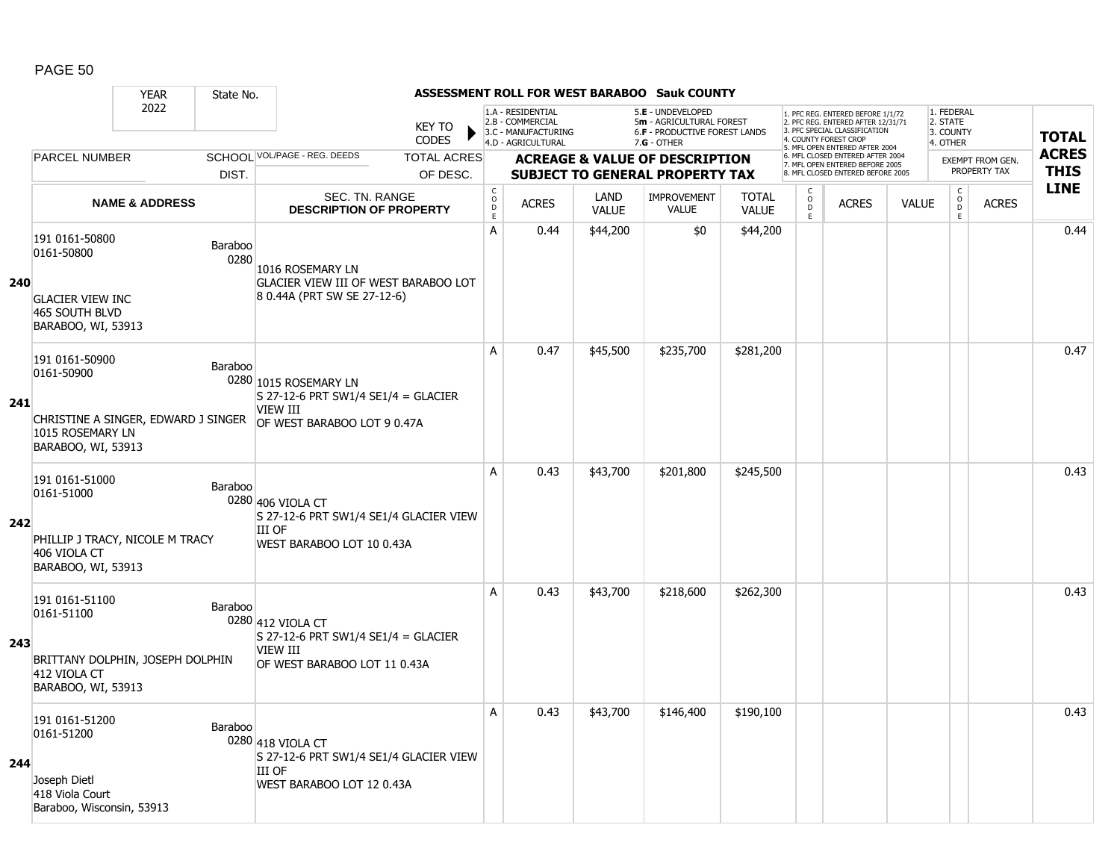|     |                                                                                              | <b>YEAR</b>                         | State No.       |                                                                                                           |                                             |                                                                                    |                      | ASSESSMENT ROLL FOR WEST BARABOO Sauk COUNTY                                                    |                              |                                     |                                                                                                                                   |              |                                                 |                                  |              |
|-----|----------------------------------------------------------------------------------------------|-------------------------------------|-----------------|-----------------------------------------------------------------------------------------------------------|---------------------------------------------|------------------------------------------------------------------------------------|----------------------|-------------------------------------------------------------------------------------------------|------------------------------|-------------------------------------|-----------------------------------------------------------------------------------------------------------------------------------|--------------|-------------------------------------------------|----------------------------------|--------------|
|     |                                                                                              | 2022                                |                 | <b>KEY TO</b><br><b>CODES</b>                                                                             |                                             | 1.A - RESIDENTIAL<br>2.B - COMMERCIAL<br>3.C - MANUFACTURING<br>4.D - AGRICULTURAL |                      | 5.E - UNDEVELOPED<br>5m - AGRICULTURAL FOREST<br>6.F - PRODUCTIVE FOREST LANDS<br>$7.G - OTHER$ |                              |                                     | 1. PFC REG. ENTERED BEFORE 1/1/72<br>2. PFC REG. ENTERED AFTER 12/31/71<br>3. PFC SPECIAL CLASSIFICATION<br>4. COUNTY FOREST CROP |              | 1. FEDERAL<br>2. STATE<br>3. COUNTY<br>4. OTHER |                                  | <b>TOTAL</b> |
|     | <b>PARCEL NUMBER</b>                                                                         |                                     |                 | SCHOOL VOL/PAGE - REG. DEEDS<br><b>TOTAL ACRES</b>                                                        |                                             |                                                                                    |                      |                                                                                                 |                              |                                     | 5. MFL OPEN ENTERED AFTER 2004<br>6. MFL CLOSED ENTERED AFTER 2004                                                                |              |                                                 |                                  | <b>ACRES</b> |
|     |                                                                                              |                                     | DIST.           | OF DESC.                                                                                                  |                                             |                                                                                    |                      | <b>ACREAGE &amp; VALUE OF DESCRIPTION</b><br><b>SUBJECT TO GENERAL PROPERTY TAX</b>             |                              |                                     | 7. MFL OPEN ENTERED BEFORE 2005<br>8. MFL CLOSED ENTERED BEFORE 2005                                                              |              |                                                 | EXEMPT FROM GEN.<br>PROPERTY TAX | <b>THIS</b>  |
|     |                                                                                              | <b>NAME &amp; ADDRESS</b>           |                 | SEC. TN. RANGE<br><b>DESCRIPTION OF PROPERTY</b>                                                          | $\mathsf{C}$<br>$\circ$<br>D<br>$\mathsf E$ | <b>ACRES</b>                                                                       | LAND<br><b>VALUE</b> | IMPROVEMENT<br><b>VALUE</b>                                                                     | <b>TOTAL</b><br><b>VALUE</b> | $\mathsf{C}$<br>$\overline{0}$<br>E | <b>ACRES</b>                                                                                                                      | <b>VALUE</b> | $\begin{matrix} 0 \\ 0 \\ 0 \end{matrix}$<br>E  | <b>ACRES</b>                     | <b>LINE</b>  |
| 240 | 191 0161-50800<br>0161-50800<br><b>GLACIER VIEW INC</b>                                      |                                     | Baraboo<br>0280 | 1016 ROSEMARY LN<br>GLACIER VIEW III OF WEST BARABOO LOT<br>8 0.44A (PRT SW SE 27-12-6)                   | A                                           | 0.44                                                                               | \$44,200             | \$0                                                                                             | \$44,200                     |                                     |                                                                                                                                   |              |                                                 |                                  | 0.44         |
|     | 465 SOUTH BLVD<br>BARABOO, WI, 53913                                                         |                                     |                 |                                                                                                           |                                             |                                                                                    |                      |                                                                                                 |                              |                                     |                                                                                                                                   |              |                                                 |                                  |              |
| 241 | 191 0161-50900<br>0161-50900                                                                 |                                     | Baraboo         | 0280 1015 ROSEMARY LN<br>S 27-12-6 PRT SW1/4 SE1/4 = GLACIER                                              | A                                           | 0.47                                                                               | \$45,500             | \$235,700                                                                                       | \$281,200                    |                                     |                                                                                                                                   |              |                                                 |                                  | 0.47         |
|     | 1015 ROSEMARY LN<br>BARABOO, WI, 53913                                                       | CHRISTINE A SINGER, EDWARD J SINGER |                 | VIEW III<br>OF WEST BARABOO LOT 9 0.47A                                                                   |                                             |                                                                                    |                      |                                                                                                 |                              |                                     |                                                                                                                                   |              |                                                 |                                  |              |
| 242 | 191 0161-51000<br>0161-51000<br>406 VIOLA CT                                                 | PHILLIP J TRACY, NICOLE M TRACY     | Baraboo         | 0280 406 VIOLA CT<br>S 27-12-6 PRT SW1/4 SE1/4 GLACIER VIEW<br><b>III OF</b><br>WEST BARABOO LOT 10 0.43A | A                                           | 0.43                                                                               | \$43,700             | \$201,800                                                                                       | \$245,500                    |                                     |                                                                                                                                   |              |                                                 |                                  | 0.43         |
|     | BARABOO, WI, 53913<br>191 0161-51100<br>0161-51100                                           |                                     | Baraboo         | 0280 412 VIOLA CT                                                                                         | A                                           | 0.43                                                                               | \$43,700             | \$218,600                                                                                       | \$262,300                    |                                     |                                                                                                                                   |              |                                                 |                                  | 0.43         |
| 243 | 412 VIOLA CT<br>BARABOO, WI, 53913                                                           | BRITTANY DOLPHIN, JOSEPH DOLPHIN    |                 | S 27-12-6 PRT SW1/4 SE1/4 = GLACIER<br>VIEW III<br>OF WEST BARABOO LOT 11 0.43A                           |                                             |                                                                                    |                      |                                                                                                 |                              |                                     |                                                                                                                                   |              |                                                 |                                  |              |
| 244 | 191 0161-51200<br>0161-51200<br>Joseph Dietl<br>418 Viola Court<br>Baraboo, Wisconsin, 53913 |                                     | Baraboo         | 0280 418 VIOLA CT<br>S 27-12-6 PRT SW1/4 SE1/4 GLACIER VIEW<br><b>III OF</b><br>WEST BARABOO LOT 12 0.43A | Α                                           | 0.43                                                                               | \$43,700             | \$146,400                                                                                       | \$190,100                    |                                     |                                                                                                                                   |              |                                                 |                                  | 0.43         |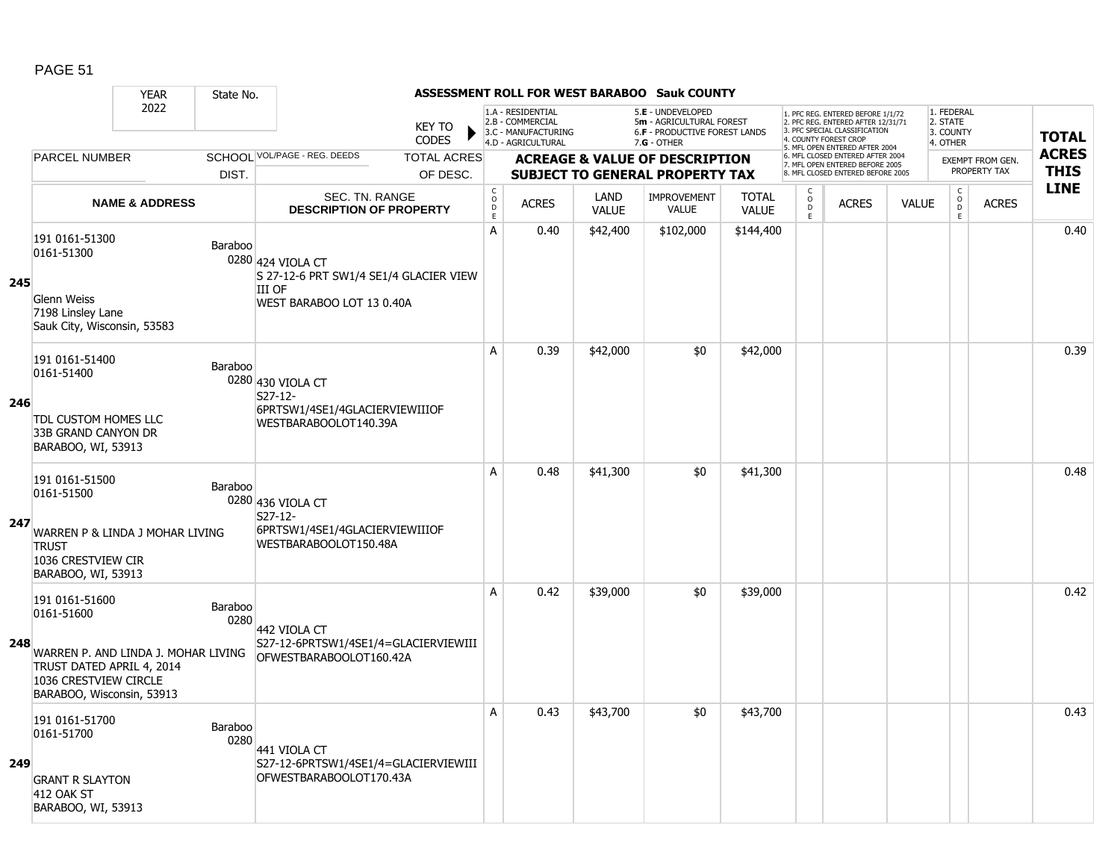|     |                                                                                                                 | <b>YEAR</b>                         | State No.       |                                                                                                           |                                        |                                                                                    |                      | <b>ASSESSMENT ROLL FOR WEST BARABOO Sauk COUNTY</b>                                           |                              |                                                |                                                                                                                                   |              |                                                 |                         |                            |
|-----|-----------------------------------------------------------------------------------------------------------------|-------------------------------------|-----------------|-----------------------------------------------------------------------------------------------------------|----------------------------------------|------------------------------------------------------------------------------------|----------------------|-----------------------------------------------------------------------------------------------|------------------------------|------------------------------------------------|-----------------------------------------------------------------------------------------------------------------------------------|--------------|-------------------------------------------------|-------------------------|----------------------------|
|     |                                                                                                                 | 2022                                |                 | <b>KEY TO</b><br><b>CODES</b>                                                                             |                                        | 1.A - RESIDENTIAL<br>2.B - COMMERCIAL<br>3.C - MANUFACTURING<br>4.D - AGRICULTURAL |                      | 5.E - UNDEVELOPED<br>5m - AGRICULTURAL FOREST<br>6.F - PRODUCTIVE FOREST LANDS<br>7.G - OTHER |                              |                                                | 1. PFC REG. ENTERED BEFORE 1/1/72<br>2. PFC REG. ENTERED AFTER 12/31/71<br>3. PFC SPECIAL CLASSIFICATION<br>4. COUNTY FOREST CROP |              | 1. FEDERAL<br>2. STATE<br>3. COUNTY<br>4. OTHER |                         | <b>TOTAL</b>               |
|     | <b>PARCEL NUMBER</b>                                                                                            |                                     |                 | SCHOOL VOL/PAGE - REG. DEEDS<br><b>TOTAL ACRES</b>                                                        |                                        |                                                                                    |                      | <b>ACREAGE &amp; VALUE OF DESCRIPTION</b>                                                     |                              |                                                | 5. MFL OPEN ENTERED AFTER 2004<br>6. MFL CLOSED ENTERED AFTER 2004<br>7. MFL OPEN ENTERED BEFORE 2005                             |              |                                                 | <b>EXEMPT FROM GEN.</b> | <b>ACRES</b>               |
|     |                                                                                                                 |                                     | DIST.           | OF DESC.                                                                                                  |                                        |                                                                                    |                      | <b>SUBJECT TO GENERAL PROPERTY TAX</b>                                                        |                              |                                                | 8. MFL CLOSED ENTERED BEFORE 2005                                                                                                 |              |                                                 | PROPERTY TAX            | <b>THIS</b><br><b>LINE</b> |
|     |                                                                                                                 | <b>NAME &amp; ADDRESS</b>           |                 | SEC. TN. RANGE<br><b>DESCRIPTION OF PROPERTY</b>                                                          | $_{\rm o}^{\rm c}$<br>$\mathsf D$<br>E | <b>ACRES</b>                                                                       | LAND<br><b>VALUE</b> | <b>IMPROVEMENT</b><br><b>VALUE</b>                                                            | <b>TOTAL</b><br><b>VALUE</b> | $\begin{matrix} 0 \\ 0 \\ D \end{matrix}$<br>E | <b>ACRES</b>                                                                                                                      | <b>VALUE</b> | $\begin{matrix} 0 \\ 0 \\ 0 \end{matrix}$<br>E. | <b>ACRES</b>            |                            |
| 245 | 191 0161-51300<br>0161-51300<br><b>Glenn Weiss</b><br>7198 Linsley Lane<br>Sauk City, Wisconsin, 53583          |                                     | Baraboo         | 0280 424 VIOLA CT<br>S 27-12-6 PRT SW1/4 SE1/4 GLACIER VIEW<br><b>III OF</b><br>WEST BARABOO LOT 13 0.40A | A                                      | 0.40                                                                               | \$42,400             | \$102,000                                                                                     | \$144,400                    |                                                |                                                                                                                                   |              |                                                 |                         | 0.40                       |
| 246 | 191 0161-51400<br>0161-51400<br><b>TDL CUSTOM HOMES LLC</b><br>33B GRAND CANYON DR<br>BARABOO, WI, 53913        |                                     | Baraboo         | 0280 430 VIOLA CT<br>S27-12-<br>6PRTSW1/4SE1/4GLACIERVIEWIIIOF<br>WESTBARABOOLOT140.39A                   | A                                      | 0.39                                                                               | \$42,000             | \$0                                                                                           | \$42,000                     |                                                |                                                                                                                                   |              |                                                 |                         | 0.39                       |
| 247 | 191 0161-51500<br>0161-51500<br><b>TRUST</b><br>1036 CRESTVIEW CIR<br>BARABOO, WI, 53913                        | WARREN P & LINDA J MOHAR LIVING     | Baraboo         | 0280 436 VIOLA CT<br>S27-12-<br>6PRTSW1/4SE1/4GLACIERVIEWIIIOF<br>WESTBARABOOLOT150.48A                   | A                                      | 0.48                                                                               | \$41,300             | \$0                                                                                           | \$41,300                     |                                                |                                                                                                                                   |              |                                                 |                         | 0.48                       |
| 248 | 191 0161-51600<br>0161-51600<br>TRUST DATED APRIL 4, 2014<br>1036 CRESTVIEW CIRCLE<br>BARABOO, Wisconsin, 53913 | WARREN P. AND LINDA J. MOHAR LIVING | Baraboo<br>0280 | 442 VIOLA CT<br>S27-12-6PRTSW1/4SE1/4=GLACIERVIEWIII<br>OFWESTBARABOOLOT160.42A                           | A                                      | 0.42                                                                               | \$39,000             | \$0                                                                                           | \$39,000                     |                                                |                                                                                                                                   |              |                                                 |                         | 0.42                       |
| 249 | 191 0161-51700<br>0161-51700<br><b>GRANT R SLAYTON</b><br><b>412 OAK ST</b><br>BARABOO, WI, 53913               |                                     | Baraboo<br>0280 | 441 VIOLA CT<br>S27-12-6PRTSW1/4SE1/4=GLACIERVIEWIII<br>OFWESTBARABOOLOT170.43A                           | A                                      | 0.43                                                                               | \$43,700             | \$0                                                                                           | \$43,700                     |                                                |                                                                                                                                   |              |                                                 |                         | 0.43                       |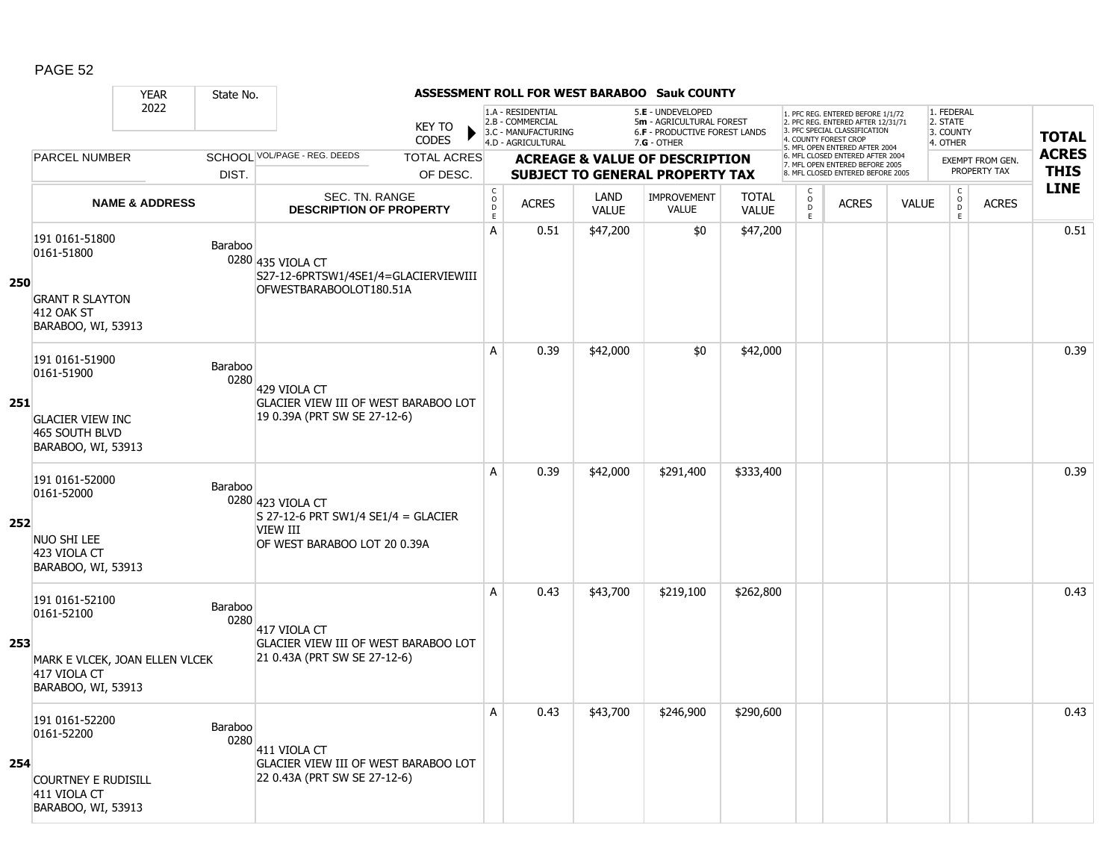|     |                                                                                                      | <b>YEAR</b>               | State No.       |                                                                                                      |                               |                                     |                                                                                    |                      | <b>ASSESSMENT ROLL FOR WEST BARABOO Sauk COUNTY</b>                                             |                              |                                                |                                                                                                                                   |              |                                                          |                         |              |
|-----|------------------------------------------------------------------------------------------------------|---------------------------|-----------------|------------------------------------------------------------------------------------------------------|-------------------------------|-------------------------------------|------------------------------------------------------------------------------------|----------------------|-------------------------------------------------------------------------------------------------|------------------------------|------------------------------------------------|-----------------------------------------------------------------------------------------------------------------------------------|--------------|----------------------------------------------------------|-------------------------|--------------|
|     |                                                                                                      | 2022                      |                 |                                                                                                      | <b>KEY TO</b><br><b>CODES</b> |                                     | 1.A - RESIDENTIAL<br>2.B - COMMERCIAL<br>3.C - MANUFACTURING<br>4.D - AGRICULTURAL |                      | 5.E - UNDEVELOPED<br>5m - AGRICULTURAL FOREST<br>6.F - PRODUCTIVE FOREST LANDS<br>$7.G - OTHER$ |                              |                                                | 1. PFC REG. ENTERED BEFORE 1/1/72<br>2. PFC REG. ENTERED AFTER 12/31/71<br>3. PFC SPECIAL CLASSIFICATION<br>4. COUNTY FOREST CROP |              | 1. FEDERAL<br>2. STATE<br>3. COUNTY<br>4. OTHER          |                         | <b>TOTAL</b> |
|     | <b>PARCEL NUMBER</b>                                                                                 |                           |                 | SCHOOL VOL/PAGE - REG. DEEDS                                                                         | <b>TOTAL ACRES</b>            |                                     |                                                                                    |                      | <b>ACREAGE &amp; VALUE OF DESCRIPTION</b>                                                       |                              |                                                | 5. MFL OPEN ENTERED AFTER 2004<br>6. MFL CLOSED ENTERED AFTER 2004                                                                |              |                                                          | <b>EXEMPT FROM GEN.</b> | <b>ACRES</b> |
|     |                                                                                                      |                           | DIST.           |                                                                                                      | OF DESC.                      |                                     |                                                                                    |                      | <b>SUBJECT TO GENERAL PROPERTY TAX</b>                                                          |                              |                                                | 7. MFL OPEN ENTERED BEFORE 2005<br>8. MFL CLOSED ENTERED BEFORE 2005                                                              |              |                                                          | PROPERTY TAX            | <b>THIS</b>  |
|     |                                                                                                      | <b>NAME &amp; ADDRESS</b> |                 | SEC. TN. RANGE<br><b>DESCRIPTION OF PROPERTY</b>                                                     |                               | $_{\rm o}^{\rm c}$<br>$\frac{D}{E}$ | <b>ACRES</b>                                                                       | LAND<br><b>VALUE</b> | <b>IMPROVEMENT</b><br><b>VALUE</b>                                                              | <b>TOTAL</b><br><b>VALUE</b> | $\begin{matrix} 0 \\ 0 \\ D \end{matrix}$<br>E | <b>ACRES</b>                                                                                                                      | <b>VALUE</b> | $\begin{matrix} 0 \\ 0 \\ 0 \end{matrix}$<br>$\mathsf E$ | <b>ACRES</b>            | <b>LINE</b>  |
| 250 | 191 0161-51800<br>0161-51800<br><b>GRANT R SLAYTON</b><br><b>412 OAK ST</b><br>BARABOO, WI, 53913    |                           | Baraboo         | 0280 435 VIOLA CT<br>S27-12-6PRTSW1/4SE1/4=GLACIERVIEWIII<br>OFWESTBARABOOLOT180.51A                 |                               | A                                   | 0.51                                                                               | \$47,200             | \$0                                                                                             | \$47,200                     |                                                |                                                                                                                                   |              |                                                          |                         | 0.51         |
| 251 | 191 0161-51900<br>0161-51900<br><b>GLACIER VIEW INC</b><br>465 SOUTH BLVD<br>BARABOO, WI, 53913      |                           | Baraboo<br>0280 | 429 VIOLA CT<br><b>GLACIER VIEW III OF WEST BARABOO LOT</b><br>19 0.39A (PRT SW SE 27-12-6)          |                               | A                                   | 0.39                                                                               | \$42,000             | \$0                                                                                             | \$42,000                     |                                                |                                                                                                                                   |              |                                                          |                         | 0.39         |
| 252 | 191 0161-52000<br>0161-52000<br>NUO SHI LEE<br>423 VIOLA CT<br>BARABOO, WI, 53913                    |                           | Baraboo         | 0280 423 VIOLA CT<br>S 27-12-6 PRT SW1/4 SE1/4 = GLACIER<br>VIEW III<br>OF WEST BARABOO LOT 20 0.39A |                               | A                                   | 0.39                                                                               | \$42,000             | \$291,400                                                                                       | \$333,400                    |                                                |                                                                                                                                   |              |                                                          |                         | 0.39         |
| 253 | 191 0161-52100<br>0161-52100<br>MARK E VLCEK, JOAN ELLEN VLCEK<br>417 VIOLA CT<br>BARABOO, WI, 53913 |                           | Baraboo<br>0280 | 417 VIOLA CT<br><b>GLACIER VIEW III OF WEST BARABOO LOT</b><br>21 0.43A (PRT SW SE 27-12-6)          |                               | А                                   | 0.43                                                                               | \$43,700             | \$219,100                                                                                       | \$262,800                    |                                                |                                                                                                                                   |              |                                                          |                         | 0.43         |
| 254 | 191 0161-52200<br>0161-52200<br><b>COURTNEY E RUDISILL</b><br>411 VIOLA CT<br>BARABOO, WI, 53913     |                           | Baraboo<br>0280 | 411 VIOLA CT<br>GLACIER VIEW III OF WEST BARABOO LOT<br>22 0.43A (PRT SW SE 27-12-6)                 |                               | Α                                   | 0.43                                                                               | \$43,700             | \$246,900                                                                                       | \$290,600                    |                                                |                                                                                                                                   |              |                                                          |                         | 0.43         |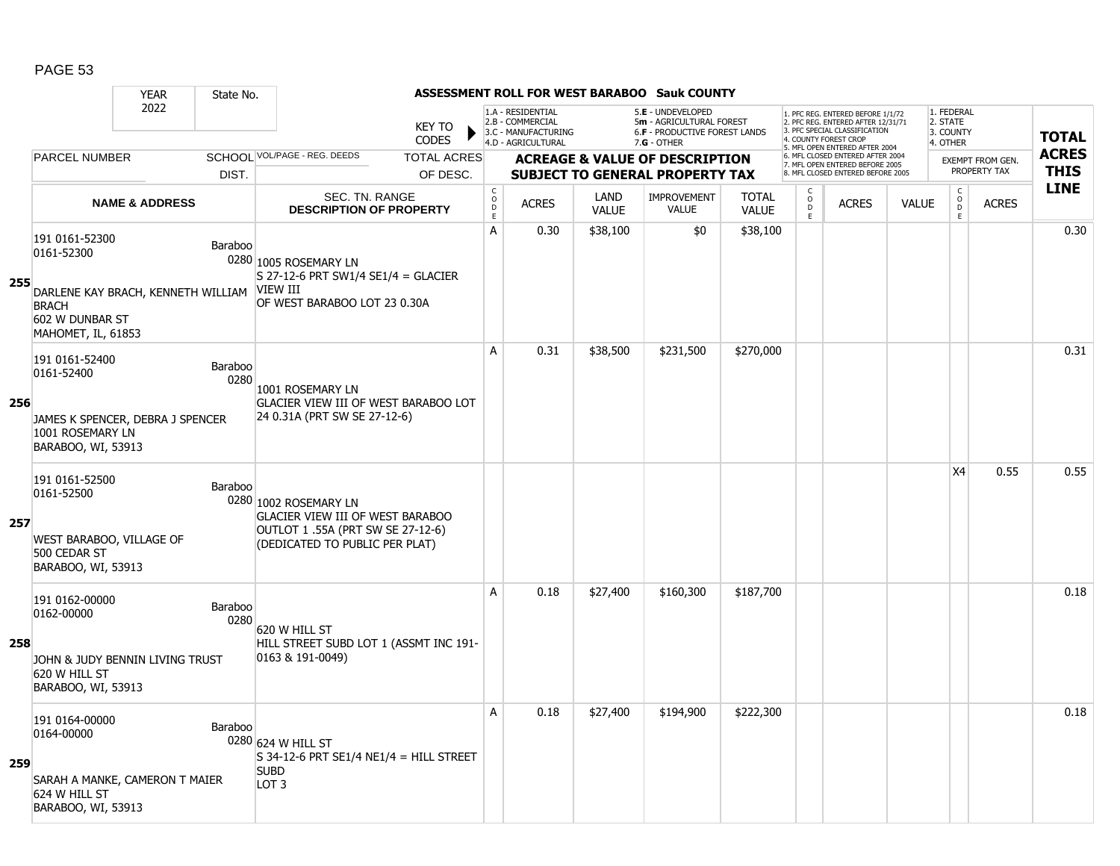|     |                                                                                                | <b>YEAR</b><br>State No.                                   |                                                                                                                                         |                                   |                                                                                    |                      | <b>ASSESSMENT ROLL FOR WEST BARABOO Sauk COUNTY</b>                                 |                              |                                                 |                                                                                                                                  |              |                                           |                                         |              |
|-----|------------------------------------------------------------------------------------------------|------------------------------------------------------------|-----------------------------------------------------------------------------------------------------------------------------------------|-----------------------------------|------------------------------------------------------------------------------------|----------------------|-------------------------------------------------------------------------------------|------------------------------|-------------------------------------------------|----------------------------------------------------------------------------------------------------------------------------------|--------------|-------------------------------------------|-----------------------------------------|--------------|
|     |                                                                                                | 2022                                                       | <b>KEY TO</b><br><b>CODES</b>                                                                                                           |                                   | 1.A - RESIDENTIAL<br>2.B - COMMERCIAL<br>3.C - MANUFACTURING<br>4.D - AGRICULTURAL |                      | 5.E - UNDEVELOPED<br>5m - AGRICULTURAL FOREST<br>6.F - PRODUCTIVE FOREST LANDS      |                              |                                                 | . PFC REG. ENTERED BEFORE 1/1/72<br>2. PFC REG. ENTERED AFTER 12/31/71<br>3. PFC SPECIAL CLASSIFICATION<br>4. COUNTY FOREST CROP |              | 1. FEDERAL<br>2. STATE<br>3. COUNTY       |                                         | <b>TOTAL</b> |
|     | <b>PARCEL NUMBER</b>                                                                           |                                                            | SCHOOL VOL/PAGE - REG. DEEDS<br><b>TOTAL ACRES</b>                                                                                      |                                   |                                                                                    |                      | $7.G - OTHER$                                                                       |                              |                                                 | 5. MFL OPEN ENTERED AFTER 2004<br>6. MFL CLOSED ENTERED AFTER 2004                                                               |              | 4. OTHER                                  |                                         | <b>ACRES</b> |
|     |                                                                                                | DIST.                                                      | OF DESC.                                                                                                                                |                                   |                                                                                    |                      | <b>ACREAGE &amp; VALUE OF DESCRIPTION</b><br><b>SUBJECT TO GENERAL PROPERTY TAX</b> |                              |                                                 | 7. MFL OPEN ENTERED BEFORE 2005<br>8. MFL CLOSED ENTERED BEFORE 2005                                                             |              |                                           | <b>EXEMPT FROM GEN.</b><br>PROPERTY TAX | <b>THIS</b>  |
|     |                                                                                                | <b>NAME &amp; ADDRESS</b>                                  | SEC. TN. RANGE<br><b>DESCRIPTION OF PROPERTY</b>                                                                                        | $_{\rm o}^{\rm c}$<br>$\mathsf D$ | <b>ACRES</b>                                                                       | LAND<br><b>VALUE</b> | <b>IMPROVEMENT</b><br><b>VALUE</b>                                                  | <b>TOTAL</b><br><b>VALUE</b> | $\begin{array}{c} C \\ O \\ D \\ E \end{array}$ | <b>ACRES</b>                                                                                                                     | <b>VALUE</b> | $\begin{matrix} C \\ O \\ D \end{matrix}$ | <b>ACRES</b>                            | <b>LINE</b>  |
| 255 | 191 0161-52300<br>0161-52300<br><b>BRACH</b><br>602 W DUNBAR ST<br>MAHOMET, IL, 61853          | Baraboo<br>DARLENE KAY BRACH, KENNETH WILLIAM              | 0280 1005 ROSEMARY LN<br>S 27-12-6 PRT SW1/4 SE1/4 = GLACIER<br><b>VIEW III</b><br>OF WEST BARABOO LOT 23 0.30A                         | $\bar{E}$<br>$\mathsf{A}$         | 0.30                                                                               | \$38,100             | \$0                                                                                 | \$38,100                     |                                                 |                                                                                                                                  |              | E                                         |                                         | 0.30         |
| 256 | 191 0161-52400<br>0161-52400<br>1001 ROSEMARY LN<br>BARABOO, WI, 53913                         | <b>Baraboo</b><br>0280<br>JAMES K SPENCER, DEBRA J SPENCER | 1001 ROSEMARY LN<br><b>GLACIER VIEW III OF WEST BARABOO LOT</b><br>24 0.31A (PRT SW SE 27-12-6)                                         | A                                 | 0.31                                                                               | \$38,500             | \$231,500                                                                           | \$270,000                    |                                                 |                                                                                                                                  |              |                                           |                                         | 0.31         |
| 257 | 191 0161-52500<br>0161-52500<br>WEST BARABOO, VILLAGE OF<br>500 CEDAR ST<br>BARABOO, WI, 53913 | Baraboo                                                    | 0280 1002 ROSEMARY LN<br><b>GLACIER VIEW III OF WEST BARABOO</b><br>OUTLOT 1 .55A (PRT SW SE 27-12-6)<br>(DEDICATED TO PUBLIC PER PLAT) |                                   |                                                                                    |                      |                                                                                     |                              |                                                 |                                                                                                                                  |              | X4                                        | 0.55                                    | 0.55         |
| 258 | 191 0162-00000<br>0162-00000<br>620 W HILL ST<br>BARABOO, WI, 53913                            | <b>Baraboo</b><br>0280<br>JOHN & JUDY BENNIN LIVING TRUST  | 620 W HILL ST<br>HILL STREET SUBD LOT 1 (ASSMT INC 191-<br>$ 0163 \& 191-0049\rangle$                                                   | A                                 | 0.18                                                                               | \$27,400             | \$160,300                                                                           | \$187,700                    |                                                 |                                                                                                                                  |              |                                           |                                         | 0.18         |
| 259 | 191 0164-00000<br>0164-00000<br>624 W HILL ST<br>BARABOO, WI, 53913                            | <b>Baraboo</b><br>SARAH A MANKE, CAMERON T MAIER           | 0280 624 W HILL ST<br>$S$ 34-12-6 PRT SE1/4 NE1/4 = HILL STREET<br><b>SUBD</b><br>LOT <sub>3</sub>                                      | $\mathsf{A}$                      | 0.18                                                                               | \$27,400             | \$194,900                                                                           | \$222,300                    |                                                 |                                                                                                                                  |              |                                           |                                         | 0.18         |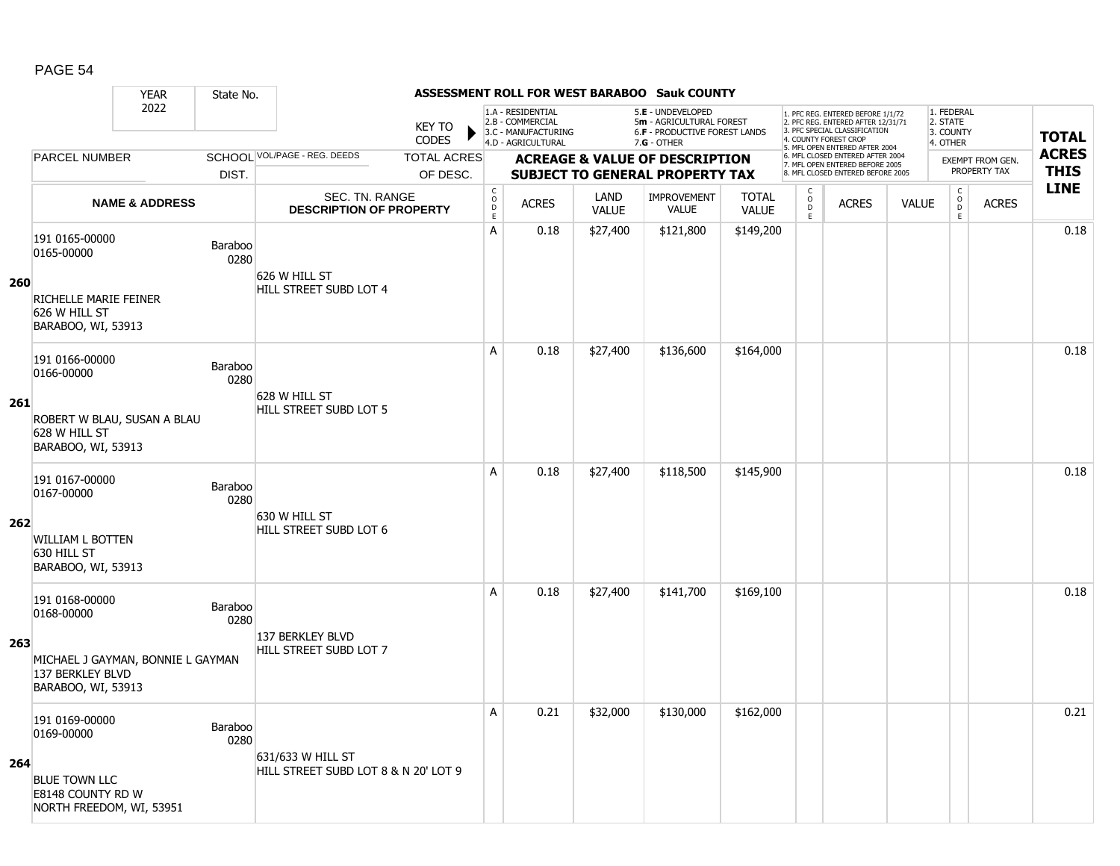|            |                                                                       | <b>YEAR</b>                       | State No.       |                                                           |                    |                                                    |                                                              |                             | ASSESSMENT ROLL FOR WEST BARABOO Sauk COUNTY                                          |                              |                                     |                                                                                                                                   |              |                                               |                                  |              |
|------------|-----------------------------------------------------------------------|-----------------------------------|-----------------|-----------------------------------------------------------|--------------------|----------------------------------------------------|--------------------------------------------------------------|-----------------------------|---------------------------------------------------------------------------------------|------------------------------|-------------------------------------|-----------------------------------------------------------------------------------------------------------------------------------|--------------|-----------------------------------------------|----------------------------------|--------------|
|            |                                                                       | 2022                              |                 |                                                           | <b>KEY TO</b>      |                                                    | 1.A - RESIDENTIAL<br>2.B - COMMERCIAL<br>3.C - MANUFACTURING |                             | 5.E - UNDEVELOPED<br>5m - AGRICULTURAL FOREST<br><b>6.F - PRODUCTIVE FOREST LANDS</b> |                              |                                     | 1. PFC REG. ENTERED BEFORE 1/1/72<br>2. PFC REG. ENTERED AFTER 12/31/71<br>3. PFC SPECIAL CLASSIFICATION<br>4. COUNTY FOREST CROP |              | 1. FEDERAL<br>2. STATE<br>3. COUNTY           |                                  | <b>TOTAL</b> |
|            |                                                                       |                                   |                 |                                                           | <b>CODES</b>       |                                                    | 4.D - AGRICULTURAL                                           |                             | $7.G - OTHER$                                                                         |                              |                                     | 5. MFL OPEN ENTERED AFTER 2004                                                                                                    |              | 4. OTHER                                      |                                  | <b>ACRES</b> |
|            | <b>PARCEL NUMBER</b>                                                  |                                   |                 | SCHOOL VOL/PAGE - REG. DEEDS                              | <b>TOTAL ACRES</b> |                                                    |                                                              |                             | <b>ACREAGE &amp; VALUE OF DESCRIPTION</b>                                             |                              |                                     | 6. MFL CLOSED ENTERED AFTER 2004<br>7. MFL OPEN ENTERED BEFORE 2005                                                               |              |                                               | EXEMPT FROM GEN.<br>PROPERTY TAX | <b>THIS</b>  |
|            |                                                                       |                                   | DIST.           |                                                           | OF DESC.           |                                                    |                                                              |                             | <b>SUBJECT TO GENERAL PROPERTY TAX</b>                                                |                              |                                     | 8. MFL CLOSED ENTERED BEFORE 2005                                                                                                 |              |                                               |                                  |              |
|            |                                                                       | <b>NAME &amp; ADDRESS</b>         |                 | SEC. TN. RANGE<br><b>DESCRIPTION OF PROPERTY</b>          |                    | $\mathsf{C}$<br>$\overset{\circ}{\mathsf{D}}$<br>E | <b>ACRES</b>                                                 | <b>LAND</b><br><b>VALUE</b> | IMPROVEMENT<br><b>VALUE</b>                                                           | <b>TOTAL</b><br><b>VALUE</b> | C<br>$\overset{\mathsf{O}}{D}$<br>E | <b>ACRES</b>                                                                                                                      | <b>VALUE</b> | $\mathsf{C}$<br>$\overline{0}$<br>$\mathsf E$ | <b>ACRES</b>                     | <b>LINE</b>  |
|            | 191 0165-00000<br>0165-00000                                          |                                   | Baraboo<br>0280 |                                                           |                    | A                                                  | 0.18                                                         | \$27,400                    | \$121,800                                                                             | \$149,200                    |                                     |                                                                                                                                   |              |                                               |                                  | 0.18         |
| <b>260</b> | RICHELLE MARIE FEINER<br>626 W HILL ST<br>BARABOO, WI, 53913          |                                   |                 | 626 W HILL ST<br>HILL STREET SUBD LOT 4                   |                    |                                                    |                                                              |                             |                                                                                       |                              |                                     |                                                                                                                                   |              |                                               |                                  |              |
|            | 191 0166-00000<br>0166-00000                                          |                                   | Baraboo<br>0280 |                                                           |                    | A                                                  | 0.18                                                         | \$27,400                    | \$136,600                                                                             | \$164,000                    |                                     |                                                                                                                                   |              |                                               |                                  | 0.18         |
| 261        | 628 W HILL ST<br>BARABOO, WI, 53913                                   | ROBERT W BLAU, SUSAN A BLAU       |                 | 628 W HILL ST<br>HILL STREET SUBD LOT 5                   |                    |                                                    |                                                              |                             |                                                                                       |                              |                                     |                                                                                                                                   |              |                                               |                                  |              |
|            | 191 0167-00000<br>0167-00000                                          |                                   | Baraboo<br>0280 | 630 W HILL ST                                             |                    | A                                                  | 0.18                                                         | \$27,400                    | \$118,500                                                                             | \$145,900                    |                                     |                                                                                                                                   |              |                                               |                                  | 0.18         |
| 262        | <b>WILLIAM L BOTTEN</b><br>630 HILL ST<br>BARABOO, WI, 53913          |                                   |                 | HILL STREET SUBD LOT 6                                    |                    |                                                    |                                                              |                             |                                                                                       |                              |                                     |                                                                                                                                   |              |                                               |                                  |              |
|            | 191 0168-00000<br>0168-00000                                          |                                   | Baraboo<br>0280 | 137 BERKLEY BLVD                                          |                    | A                                                  | 0.18                                                         | \$27,400                    | \$141,700                                                                             | \$169,100                    |                                     |                                                                                                                                   |              |                                               |                                  | 0.18         |
| 263        | 137 BERKLEY BLVD<br>BARABOO, WI, 53913                                | MICHAEL J GAYMAN, BONNIE L GAYMAN |                 | HILL STREET SUBD LOT 7                                    |                    |                                                    |                                                              |                             |                                                                                       |                              |                                     |                                                                                                                                   |              |                                               |                                  |              |
|            | 191 0169-00000<br>0169-00000                                          |                                   | Baraboo<br>0280 |                                                           |                    | A                                                  | 0.21                                                         | \$32,000                    | \$130,000                                                                             | \$162,000                    |                                     |                                                                                                                                   |              |                                               |                                  | 0.21         |
| 264        | <b>BLUE TOWN LLC</b><br>E8148 COUNTY RD W<br>NORTH FREEDOM, WI, 53951 |                                   |                 | 631/633 W HILL ST<br>HILL STREET SUBD LOT 8 & N 20' LOT 9 |                    |                                                    |                                                              |                             |                                                                                       |                              |                                     |                                                                                                                                   |              |                                               |                                  |              |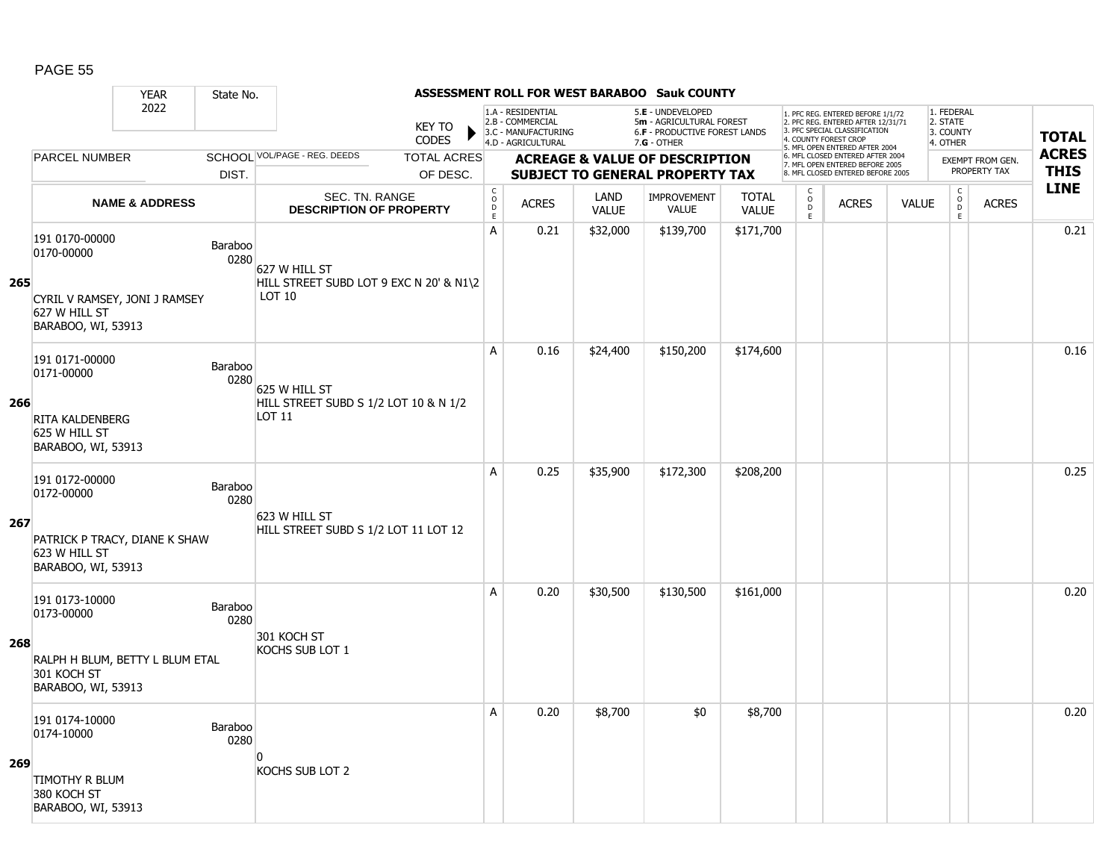|     |                                                                      | <b>YEAR</b>                          | State No.       |                                                                    |                                    |                                            |                                                                                    |                      | ASSESSMENT ROLL FOR WEST BARABOO Sauk COUNTY                                                           |                              |                                     |                                                                                                                                   |              |                                                 |                                         |              |
|-----|----------------------------------------------------------------------|--------------------------------------|-----------------|--------------------------------------------------------------------|------------------------------------|--------------------------------------------|------------------------------------------------------------------------------------|----------------------|--------------------------------------------------------------------------------------------------------|------------------------------|-------------------------------------|-----------------------------------------------------------------------------------------------------------------------------------|--------------|-------------------------------------------------|-----------------------------------------|--------------|
|     |                                                                      | 2022<br>SCHOOL VOL/PAGE - REG. DEEDS |                 |                                                                    |                                    |                                            | 1.A - RESIDENTIAL<br>2.B - COMMERCIAL<br>3.C - MANUFACTURING<br>4.D - AGRICULTURAL |                      | 5.E - UNDEVELOPED<br>5m - AGRICULTURAL FOREST<br><b>6.F - PRODUCTIVE FOREST LANDS</b><br>$7.G - OTHER$ |                              |                                     | 1. PFC REG. ENTERED BEFORE 1/1/72<br>2. PFC REG. ENTERED AFTER 12/31/71<br>3. PFC SPECIAL CLASSIFICATION<br>4. COUNTY FOREST CROP |              | 1. FEDERAL<br>2. STATE<br>3. COUNTY<br>4. OTHER |                                         | <b>TOTAL</b> |
|     | <b>PARCEL NUMBER</b>                                                 |                                      |                 |                                                                    | <b>CODES</b><br><b>TOTAL ACRES</b> |                                            |                                                                                    |                      |                                                                                                        |                              |                                     | 5. MFL OPEN ENTERED AFTER 2004<br>6. MFL CLOSED ENTERED AFTER 2004                                                                |              |                                                 |                                         | <b>ACRES</b> |
|     |                                                                      |                                      | DIST.           |                                                                    | OF DESC.                           |                                            |                                                                                    |                      | <b>ACREAGE &amp; VALUE OF DESCRIPTION</b><br><b>SUBJECT TO GENERAL PROPERTY TAX</b>                    |                              |                                     | 7. MFL OPEN ENTERED BEFORE 2005<br>8. MFL CLOSED ENTERED BEFORE 2005                                                              |              |                                                 | <b>EXEMPT FROM GEN.</b><br>PROPERTY TAX | <b>THIS</b>  |
|     |                                                                      | <b>NAME &amp; ADDRESS</b>            |                 | SEC. TN. RANGE<br><b>DESCRIPTION OF PROPERTY</b>                   |                                    | $\mathsf C$<br>$\circ$<br>D<br>$\mathsf E$ | <b>ACRES</b>                                                                       | LAND<br><b>VALUE</b> | <b>IMPROVEMENT</b><br><b>VALUE</b>                                                                     | <b>TOTAL</b><br><b>VALUE</b> | $\mathsf{C}$<br>$\overline{0}$<br>E | <b>ACRES</b>                                                                                                                      | <b>VALUE</b> | $\mathsf{C}$<br>$\overline{0}$<br>$\mathsf E$   | <b>ACRES</b>                            | <b>LINE</b>  |
| 265 | 191 0170-00000<br>0170-00000                                         |                                      | Baraboo<br>0280 | 627 W HILL ST<br>HILL STREET SUBD LOT 9 EXC N 20' & N1\2<br>LOT 10 |                                    | Α                                          | 0.21                                                                               | \$32,000             | \$139,700                                                                                              | \$171,700                    |                                     |                                                                                                                                   |              |                                                 |                                         | 0.21         |
|     | CYRIL V RAMSEY, JONI J RAMSEY<br>627 W HILL ST<br>BARABOO, WI, 53913 |                                      |                 |                                                                    |                                    |                                            |                                                                                    |                      |                                                                                                        |                              |                                     |                                                                                                                                   |              |                                                 |                                         |              |
|     | 191 0171-00000<br>0171-00000                                         |                                      | Baraboo<br>0280 | 625 W HILL ST                                                      |                                    | A                                          | 0.16                                                                               | \$24,400             | \$150,200                                                                                              | \$174,600                    |                                     |                                                                                                                                   |              |                                                 |                                         | 0.16         |
| 266 | <b>RITA KALDENBERG</b><br>625 W HILL ST<br>BARABOO, WI, 53913        |                                      |                 | HILL STREET SUBD S 1/2 LOT 10 & N 1/2<br>LOT 11                    |                                    |                                            |                                                                                    |                      |                                                                                                        |                              |                                     |                                                                                                                                   |              |                                                 |                                         |              |
|     | 191 0172-00000<br>0172-00000                                         |                                      | Baraboo<br>0280 | 623 W HILL ST                                                      |                                    | A                                          | 0.25                                                                               | \$35,900             | \$172,300                                                                                              | \$208,200                    |                                     |                                                                                                                                   |              |                                                 |                                         | 0.25         |
| 267 | PATRICK P TRACY, DIANE K SHAW<br>623 W HILL ST<br>BARABOO, WI, 53913 |                                      |                 | HILL STREET SUBD S 1/2 LOT 11 LOT 12                               |                                    |                                            |                                                                                    |                      |                                                                                                        |                              |                                     |                                                                                                                                   |              |                                                 |                                         |              |
|     | 191 0173-10000<br>0173-00000                                         |                                      | Baraboo<br>0280 | 301 KOCH ST                                                        |                                    | Α                                          | 0.20                                                                               | \$30,500             | \$130,500                                                                                              | \$161,000                    |                                     |                                                                                                                                   |              |                                                 |                                         | 0.20         |
| 268 | RALPH H BLUM, BETTY L BLUM ETAL<br>301 KOCH ST<br>BARABOO, WI, 53913 |                                      |                 | <b>KOCHS SUB LOT 1</b>                                             |                                    |                                            |                                                                                    |                      |                                                                                                        |                              |                                     |                                                                                                                                   |              |                                                 |                                         |              |
|     | 191 0174-10000<br>0174-10000                                         |                                      | Baraboo<br>0280 | $\Omega$                                                           |                                    | A                                          | 0.20                                                                               | \$8,700              | \$0                                                                                                    | \$8,700                      |                                     |                                                                                                                                   |              |                                                 |                                         | 0.20         |
| 269 | <b>TIMOTHY R BLUM</b><br>380 KOCH ST<br>BARABOO, WI, 53913           |                                      |                 | KOCHS SUB LOT 2                                                    |                                    |                                            |                                                                                    |                      |                                                                                                        |                              |                                     |                                                                                                                                   |              |                                                 |                                         |              |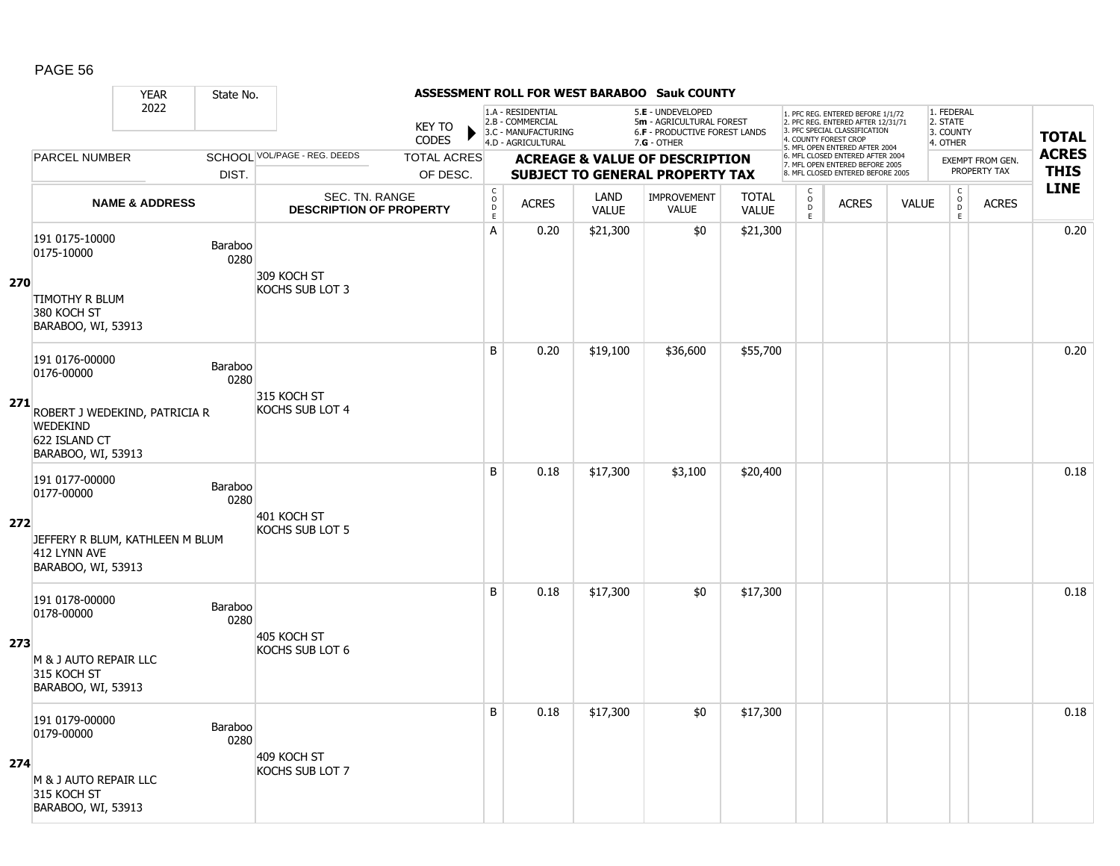#### YEAR State No. **ASSESSMENT ROLL FOR WEST BARABOO Sauk COUNTY** 2022 KEY TO **CODES** 1. PFC REG. ENTERED BEFORE 1/1/72 2. PFC REG. ENTERED AFTER 12/31/71 3. PFC SPECIAL CLASSIFICATION 4. COUNTY FOREST CROP 5. MFL OPEN ENTERED AFTER 2004 6. MFL CLOSED ENTERED AFTER 2004 7. MFL OPEN ENTERED BEFORE 2005 8. MFL CLOSED ENTERED BEFORE 2005 1. FEDERAL 2. STATE 3. COUNTY 4. OTHER **ACREAGE & VALUE OF DESCRIPTION SUBJECT TO GENERAL PROPERTY TAX** EXEMPT FROM GEN. PROPERTY TAX **TOTAL ACRES THIS LINE** 1.A - RESIDENTIAL 2.B - COMMERCIAL 3.C - MANUFACTURING 4.D - AGRICULTURAL 5.**E** - UNDEVELOPED 5**m** - AGRICULTURAL FOREST 6.**F** - PRODUCTIVE FOREST LANDS 7.**G** - OTHER TOTAL ACRES OF DESC. SCHOOL VOL/PAGE - REG. DEEDS DIST. PARCEL NUMBER ACRES C O  $\overline{D}$ E ACRES VALUE  $\mathsf{C}$ O  $\overline{D}$ E TOTAL VALUE IMPROVEMENT VALUE LAND ACRES | VALUE C O  $\overline{D}$ E SEC. TN. RANGE **DESCRIPTION OF PROPERTY NAME & ADDRESS 270** 191 0175-10000 151 0175-10000<br>0175-10000 Baraboo 0280 TIMOTHY R BLUM 380 KOCH ST BARABOO, WI, 53913 309 KOCH ST KOCHS SUB LOT 3 A 0.20 \$21,300 \$0 \$0 \$21,300 distance the set of the set of the set of the set of the set of the set of the se **271** 191 0176-00000 0176-00000 Baraboo 0280 ROBERT J WEDEKIND, PATRICIA R WEDEKIND 622 ISLAND CT BARABOO, WI, 53913 315 KOCH ST KOCHS SUB LOT 4 B | 0.20 \$19,100 | \$36,600 | \$55,700 | | | | | | | | 0.20 **272** 191 0177-00000 131 0177-00000<br>0177-00000 Baraboo 0280 JEFFERY R BLUM, KATHLEEN M BLUM 412 LYNN AVE BARABOO, WI, 53913 401 KOCH ST KOCHS SUB LOT 5 B 0.18 \$17,300 \$3,100 \$20,400 distance the set of the set of the set of the set of the set of the set of the s **273** 191 0178-00000 131 0178-00000<br>0178-00000 Baraboo 0280 M & J AUTO REPAIR LLC 315 KOCH ST BARABOO, WI, 53913 405 KOCH ST KOCHS SUB LOT 6 B 0.18 \$17,300 \$0 \$17,300 distance the 10.18 \$17,300 distance that the 10.18 **274** 191 0179-00000 131 0173-00000<br>0179-00000 Baraboo 0280 M & J AUTO REPAIR LLC 315 KOCH ST BARABOO, WI, 53913 409 KOCH ST KOCHS SUB LOT 7 B 0.18 \$17,300 \$0 \$17,300 discussed by 10.18 and 517,300 discussed by 10.18 and 5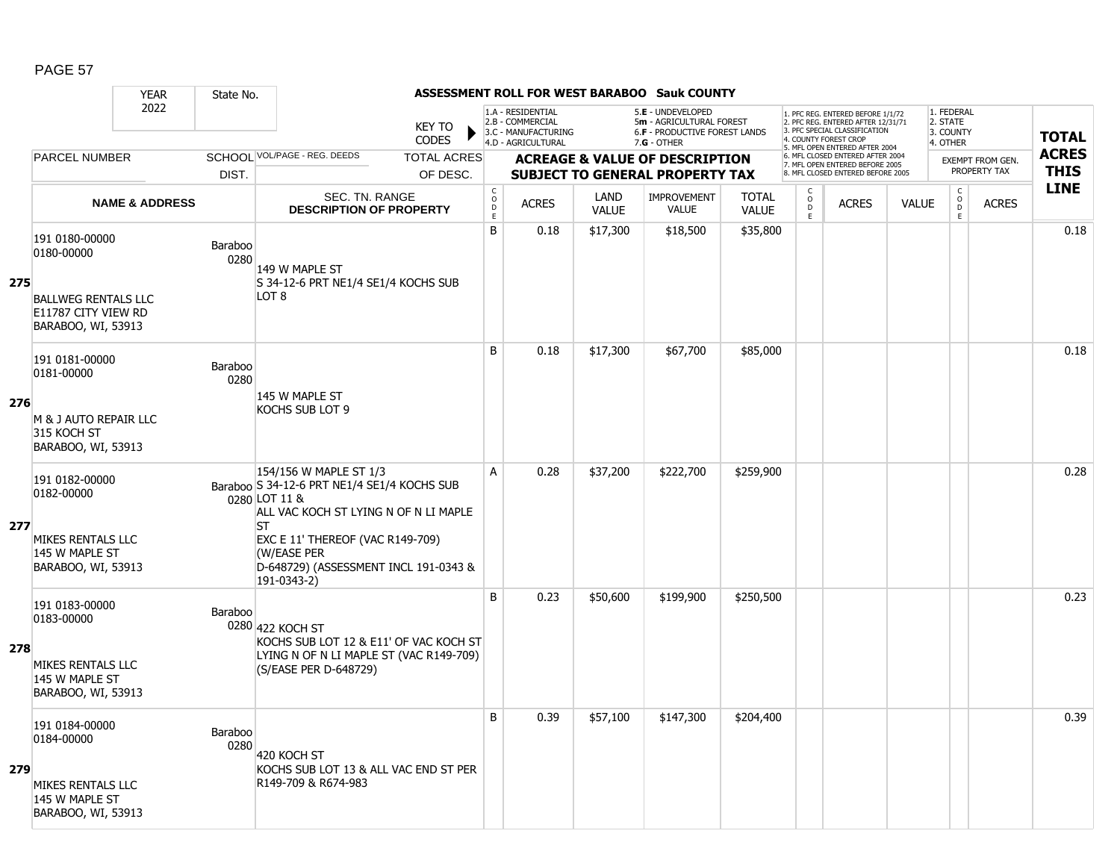|     |                                                                         | <b>YEAR</b>               | State No.       |                                                                                                                                              |                                            |                                                                                    |                      | <b>ASSESSMENT ROLL FOR WEST BARABOO Sauk COUNTY</b>                                                    |                              |                                     |                                                                                                                                   |              |                                                 |                         |              |
|-----|-------------------------------------------------------------------------|---------------------------|-----------------|----------------------------------------------------------------------------------------------------------------------------------------------|--------------------------------------------|------------------------------------------------------------------------------------|----------------------|--------------------------------------------------------------------------------------------------------|------------------------------|-------------------------------------|-----------------------------------------------------------------------------------------------------------------------------------|--------------|-------------------------------------------------|-------------------------|--------------|
|     |                                                                         | 2022                      |                 | <b>KEY TO</b><br><b>CODES</b>                                                                                                                |                                            | 1.A - RESIDENTIAL<br>2.B - COMMERCIAL<br>3.C - MANUFACTURING<br>4.D - AGRICULTURAL |                      | 5.E - UNDEVELOPED<br>5m - AGRICULTURAL FOREST<br><b>6.F - PRODUCTIVE FOREST LANDS</b><br>$7.G - OTHER$ |                              |                                     | 1. PFC REG. ENTERED BEFORE 1/1/72<br>2. PFC REG. ENTERED AFTER 12/31/71<br>3. PFC SPECIAL CLASSIFICATION<br>4. COUNTY FOREST CROP |              | 1. FEDERAL<br>2. STATE<br>3. COUNTY<br>4. OTHER |                         | <b>TOTAL</b> |
|     | <b>PARCEL NUMBER</b>                                                    |                           |                 | SCHOOL VOL/PAGE - REG. DEEDS<br><b>TOTAL ACRES</b>                                                                                           |                                            |                                                                                    |                      | <b>ACREAGE &amp; VALUE OF DESCRIPTION</b>                                                              |                              |                                     | 5. MFL OPEN ENTERED AFTER 2004<br>6. MFL CLOSED ENTERED AFTER 2004                                                                |              |                                                 | <b>EXEMPT FROM GEN.</b> | <b>ACRES</b> |
|     |                                                                         |                           | DIST.           | OF DESC.                                                                                                                                     |                                            |                                                                                    |                      | <b>SUBJECT TO GENERAL PROPERTY TAX</b>                                                                 |                              |                                     | 7. MFL OPEN ENTERED BEFORE 2005<br>8. MFL CLOSED ENTERED BEFORE 2005                                                              |              |                                                 | PROPERTY TAX            | <b>THIS</b>  |
|     |                                                                         | <b>NAME &amp; ADDRESS</b> |                 | SEC. TN. RANGE<br><b>DESCRIPTION OF PROPERTY</b>                                                                                             | $\mathsf C$<br>$\circ$<br>D<br>$\mathsf E$ | <b>ACRES</b>                                                                       | LAND<br><b>VALUE</b> | <b>IMPROVEMENT</b><br><b>VALUE</b>                                                                     | <b>TOTAL</b><br><b>VALUE</b> | $\mathsf C$<br>$\overline{0}$<br>E. | <b>ACRES</b>                                                                                                                      | <b>VALUE</b> | $\mathsf{C}$<br>$\overline{0}$<br>E             | <b>ACRES</b>            | <b>LINE</b>  |
| 275 | 191 0180-00000<br>0180-00000                                            |                           | Baraboo<br>0280 | 149 W MAPLE ST<br>S 34-12-6 PRT NE1/4 SE1/4 KOCHS SUB                                                                                        | B                                          | 0.18                                                                               | \$17,300             | \$18,500                                                                                               | \$35,800                     |                                     |                                                                                                                                   |              |                                                 |                         | 0.18         |
|     | <b>BALLWEG RENTALS LLC</b><br>E11787 CITY VIEW RD<br>BARABOO, WI, 53913 |                           |                 | LOT 8                                                                                                                                        |                                            |                                                                                    |                      |                                                                                                        |                              |                                     |                                                                                                                                   |              |                                                 |                         |              |
|     | 191 0181-00000<br>0181-00000                                            |                           | Baraboo<br>0280 |                                                                                                                                              | B                                          | 0.18                                                                               | \$17,300             | \$67,700                                                                                               | \$85,000                     |                                     |                                                                                                                                   |              |                                                 |                         | 0.18         |
| 276 | M & J AUTO REPAIR LLC<br>315 KOCH ST<br>BARABOO, WI, 53913              |                           |                 | 145 W MAPLE ST<br><b>KOCHS SUB LOT 9</b>                                                                                                     |                                            |                                                                                    |                      |                                                                                                        |                              |                                     |                                                                                                                                   |              |                                                 |                         |              |
| 277 | 191 0182-00000<br>0182-00000                                            |                           |                 | 154/156 W MAPLE ST 1/3<br>Baraboo S 34-12-6 PRT NE1/4 SE1/4 KOCHS SUB<br>0280 LOT 11 &<br>ALL VAC KOCH ST LYING N OF N LI MAPLE<br><b>ST</b> | A                                          | 0.28                                                                               | \$37,200             | \$222,700                                                                                              | \$259,900                    |                                     |                                                                                                                                   |              |                                                 |                         | 0.28         |
|     | MIKES RENTALS LLC<br>145 W MAPLE ST<br>BARABOO, WI, 53913               |                           |                 | EXC E 11' THEREOF (VAC R149-709)<br>(W/EASE PER<br>D-648729) (ASSESSMENT INCL 191-0343 &<br>191-0343-2)                                      |                                            |                                                                                    |                      |                                                                                                        |                              |                                     |                                                                                                                                   |              |                                                 |                         |              |
|     | 191 0183-00000<br>0183-00000                                            |                           | Baraboo         | 0280 422 KOCH ST<br>KOCHS SUB LOT 12 & E11' OF VAC KOCH ST                                                                                   | B                                          | 0.23                                                                               | \$50,600             | \$199,900                                                                                              | \$250,500                    |                                     |                                                                                                                                   |              |                                                 |                         | 0.23         |
| 278 | MIKES RENTALS LLC<br>145 W MAPLE ST<br>BARABOO, WI, 53913               |                           |                 | LYING N OF N LI MAPLE ST (VAC R149-709)<br>(S/EASE PER D-648729)                                                                             |                                            |                                                                                    |                      |                                                                                                        |                              |                                     |                                                                                                                                   |              |                                                 |                         |              |
| 279 | 191 0184-00000<br>0184-00000                                            |                           | Baraboo<br>0280 | 420 KOCH ST<br>KOCHS SUB LOT 13 & ALL VAC END ST PER                                                                                         | B                                          | 0.39                                                                               | \$57,100             | \$147,300                                                                                              | \$204,400                    |                                     |                                                                                                                                   |              |                                                 |                         | 0.39         |
|     | MIKES RENTALS LLC<br>145 W MAPLE ST<br>BARABOO, WI, 53913               |                           |                 | R149-709 & R674-983                                                                                                                          |                                            |                                                                                    |                      |                                                                                                        |                              |                                     |                                                                                                                                   |              |                                                 |                         |              |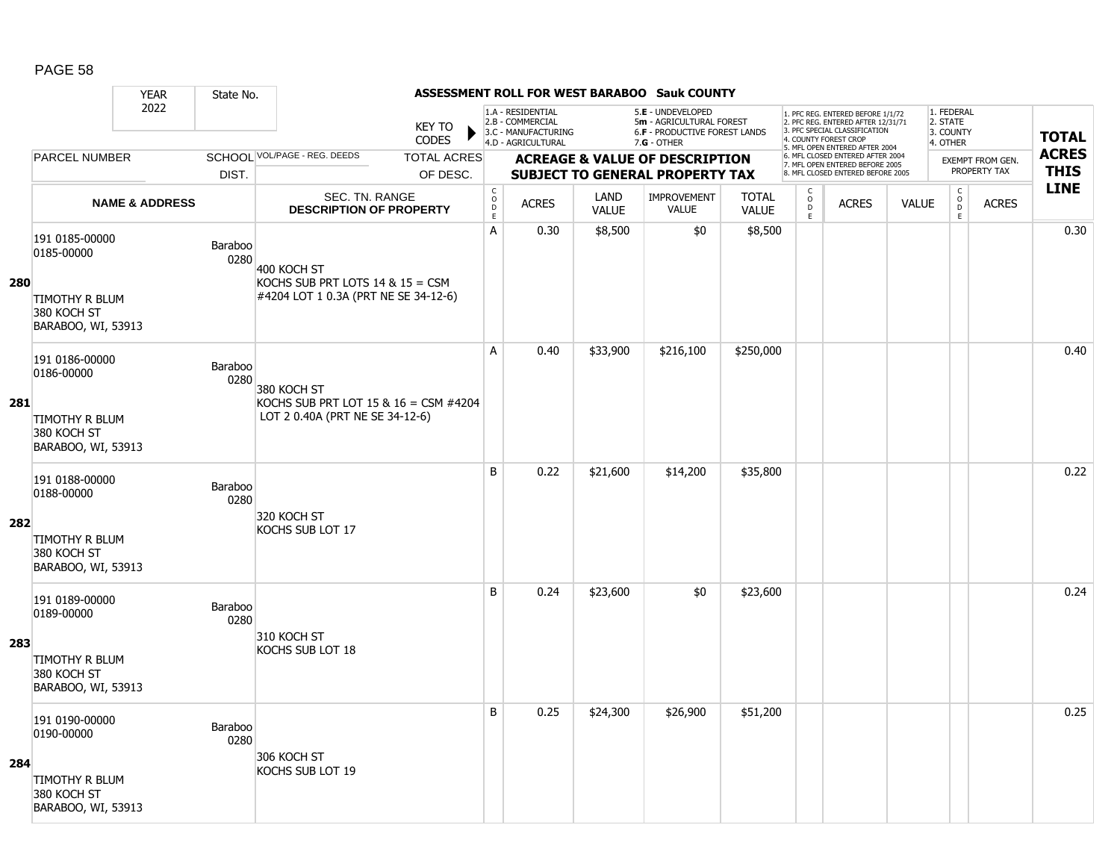|     |                                                            | <b>YEAR</b>                                                  | State No.       |                                                                            |                               |                                            |                                                                                    |                             | ASSESSMENT ROLL FOR WEST BARABOO Sauk COUNTY                                                    |                              |                                   |                                                                                                                                   |              |                                                 |                         |              |
|-----|------------------------------------------------------------|--------------------------------------------------------------|-----------------|----------------------------------------------------------------------------|-------------------------------|--------------------------------------------|------------------------------------------------------------------------------------|-----------------------------|-------------------------------------------------------------------------------------------------|------------------------------|-----------------------------------|-----------------------------------------------------------------------------------------------------------------------------------|--------------|-------------------------------------------------|-------------------------|--------------|
|     |                                                            | 2022<br>SCHOOL VOL/PAGE - REG. DEEDS<br><b>PARCEL NUMBER</b> |                 |                                                                            | <b>KEY TO</b><br><b>CODES</b> |                                            | 1.A - RESIDENTIAL<br>2.B - COMMERCIAL<br>3.C - MANUFACTURING<br>4.D - AGRICULTURAL |                             | 5.E - UNDEVELOPED<br>5m - AGRICULTURAL FOREST<br>6.F - PRODUCTIVE FOREST LANDS<br>$7.G - OTHER$ |                              |                                   | 1. PFC REG. ENTERED BEFORE 1/1/72<br>2. PFC REG. ENTERED AFTER 12/31/71<br>3. PFC SPECIAL CLASSIFICATION<br>4. COUNTY FOREST CROP |              | 1. FEDERAL<br>2. STATE<br>3. COUNTY<br>4. OTHER |                         | <b>TOTAL</b> |
|     |                                                            |                                                              |                 |                                                                            | <b>TOTAL ACRES</b>            |                                            |                                                                                    |                             |                                                                                                 |                              |                                   | 5. MFL OPEN ENTERED AFTER 2004<br>6. MFL CLOSED ENTERED AFTER 2004                                                                |              |                                                 | <b>EXEMPT FROM GEN.</b> | <b>ACRES</b> |
|     |                                                            |                                                              | DIST.           |                                                                            | OF DESC.                      |                                            |                                                                                    |                             | <b>ACREAGE &amp; VALUE OF DESCRIPTION</b><br><b>SUBJECT TO GENERAL PROPERTY TAX</b>             |                              |                                   | 7. MFL OPEN ENTERED BEFORE 2005<br>8. MFL CLOSED ENTERED BEFORE 2005                                                              |              |                                                 | PROPERTY TAX            | <b>THIS</b>  |
|     |                                                            | <b>NAME &amp; ADDRESS</b>                                    |                 | SEC. TN. RANGE<br><b>DESCRIPTION OF PROPERTY</b>                           |                               | $\mathsf C$<br>$\circ$<br>D<br>$\mathsf E$ | <b>ACRES</b>                                                                       | <b>LAND</b><br><b>VALUE</b> | <b>IMPROVEMENT</b><br><b>VALUE</b>                                                              | <b>TOTAL</b><br><b>VALUE</b> | $\mathsf{C}$<br>$\circ$<br>D<br>E | <b>ACRES</b>                                                                                                                      | <b>VALUE</b> | $\mathsf C$<br>$\overline{0}$<br>$\mathsf E$    | <b>ACRES</b>            | <b>LINE</b>  |
| 280 | 191 0185-00000<br>0185-00000                               |                                                              | Baraboo<br>0280 | 400 KOCH ST<br>KOCHS SUB PRT LOTS $14 & 15 = CSM$                          |                               | A                                          | 0.30                                                                               | \$8,500                     | \$0                                                                                             | \$8,500                      |                                   |                                                                                                                                   |              |                                                 |                         | 0.30         |
|     | <b>TIMOTHY R BLUM</b><br>380 KOCH ST<br>BARABOO, WI, 53913 |                                                              |                 | #4204 LOT 1 0.3A (PRT NE SE 34-12-6)                                       |                               |                                            |                                                                                    |                             |                                                                                                 |                              |                                   |                                                                                                                                   |              |                                                 |                         |              |
|     | 191 0186-00000<br>0186-00000                               |                                                              | Baraboo<br>0280 | 380 KOCH ST                                                                |                               | A                                          | 0.40                                                                               | \$33,900                    | \$216,100                                                                                       | \$250,000                    |                                   |                                                                                                                                   |              |                                                 |                         | 0.40         |
| 281 | <b>TIMOTHY R BLUM</b><br>380 KOCH ST<br>BARABOO, WI, 53913 |                                                              |                 | KOCHS SUB PRT LOT 15 & $16 =$ CSM #4204<br>LOT 2 0.40A (PRT NE SE 34-12-6) |                               |                                            |                                                                                    |                             |                                                                                                 |                              |                                   |                                                                                                                                   |              |                                                 |                         |              |
|     | 191 0188-00000<br>0188-00000                               |                                                              | Baraboo<br>0280 | 320 KOCH ST                                                                |                               | B                                          | 0.22                                                                               | \$21,600                    | \$14,200                                                                                        | \$35,800                     |                                   |                                                                                                                                   |              |                                                 |                         | 0.22         |
| 282 | TIMOTHY R BLUM<br>380 KOCH ST<br>BARABOO, WI, 53913        |                                                              |                 | KOCHS SUB LOT 17                                                           |                               |                                            |                                                                                    |                             |                                                                                                 |                              |                                   |                                                                                                                                   |              |                                                 |                         |              |
|     | 191 0189-00000<br>0189-00000                               |                                                              | Baraboo<br>0280 | 310 KOCH ST                                                                |                               | B                                          | 0.24                                                                               | \$23,600                    | \$0                                                                                             | \$23,600                     |                                   |                                                                                                                                   |              |                                                 |                         | 0.24         |
| 283 | TIMOTHY R BLUM<br>380 KOCH ST<br>BARABOO, WI, 53913        |                                                              |                 | KOCHS SUB LOT 18                                                           |                               |                                            |                                                                                    |                             |                                                                                                 |                              |                                   |                                                                                                                                   |              |                                                 |                         |              |
|     | 191 0190-00000<br>0190-00000                               |                                                              | Baraboo<br>0280 | 306 KOCH ST                                                                |                               | B                                          | 0.25                                                                               | \$24,300                    | \$26,900                                                                                        | \$51,200                     |                                   |                                                                                                                                   |              |                                                 |                         | 0.25         |
| 284 | <b>TIMOTHY R BLUM</b><br>380 KOCH ST<br>BARABOO, WI, 53913 |                                                              |                 | KOCHS SUB LOT 19                                                           |                               |                                            |                                                                                    |                             |                                                                                                 |                              |                                   |                                                                                                                                   |              |                                                 |                         |              |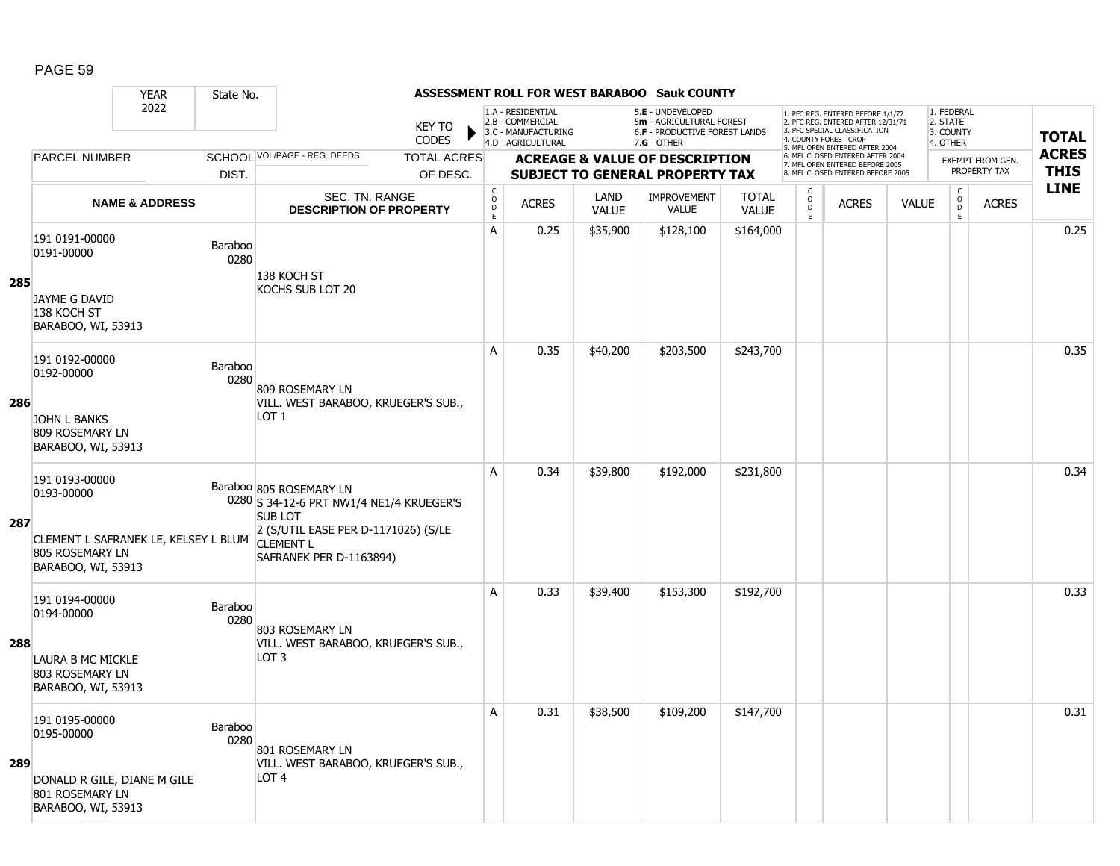|     |                                                                                                                         | <b>YEAR</b>               | State No.       |                                                                                                                                                         |                               |                                      |                                                                                    |                      | ASSESSMENT ROLL FOR WEST BARABOO Sauk COUNTY                                                           |                              |                                   |                                                                                                                                   |              |                                                 |                         |              |
|-----|-------------------------------------------------------------------------------------------------------------------------|---------------------------|-----------------|---------------------------------------------------------------------------------------------------------------------------------------------------------|-------------------------------|--------------------------------------|------------------------------------------------------------------------------------|----------------------|--------------------------------------------------------------------------------------------------------|------------------------------|-----------------------------------|-----------------------------------------------------------------------------------------------------------------------------------|--------------|-------------------------------------------------|-------------------------|--------------|
|     |                                                                                                                         | 2022                      |                 |                                                                                                                                                         | <b>KEY TO</b><br><b>CODES</b> |                                      | 1.A - RESIDENTIAL<br>2.B - COMMERCIAL<br>3.C - MANUFACTURING<br>4.D - AGRICULTURAL |                      | 5.E - UNDEVELOPED<br>5m - AGRICULTURAL FOREST<br><b>6.F - PRODUCTIVE FOREST LANDS</b><br>$7.G - OTHER$ |                              |                                   | 1. PFC REG. ENTERED BEFORE 1/1/72<br>2. PFC REG. ENTERED AFTER 12/31/71<br>3. PFC SPECIAL CLASSIFICATION<br>4. COUNTY FOREST CROP |              | 1. FEDERAL<br>2. STATE<br>3. COUNTY<br>4. OTHER |                         | <b>TOTAL</b> |
|     | <b>PARCEL NUMBER</b>                                                                                                    |                           |                 | SCHOOL VOL/PAGE - REG. DEEDS                                                                                                                            | <b>TOTAL ACRES</b>            |                                      |                                                                                    |                      | <b>ACREAGE &amp; VALUE OF DESCRIPTION</b>                                                              |                              |                                   | 5. MFL OPEN ENTERED AFTER 2004<br>6. MFL CLOSED ENTERED AFTER 2004                                                                |              |                                                 | <b>EXEMPT FROM GEN.</b> | <b>ACRES</b> |
|     |                                                                                                                         |                           | DIST.           |                                                                                                                                                         | OF DESC.                      |                                      |                                                                                    |                      | <b>SUBJECT TO GENERAL PROPERTY TAX</b>                                                                 |                              |                                   | 7. MFL OPEN ENTERED BEFORE 2005<br>8. MFL CLOSED ENTERED BEFORE 2005                                                              |              |                                                 | PROPERTY TAX            | <b>THIS</b>  |
|     |                                                                                                                         | <b>NAME &amp; ADDRESS</b> |                 | <b>SEC. TN. RANGE</b><br><b>DESCRIPTION OF PROPERTY</b>                                                                                                 |                               | $_{\rm o}^{\rm c}$<br>D<br>$\bar{E}$ | <b>ACRES</b>                                                                       | LAND<br><b>VALUE</b> | <b>IMPROVEMENT</b><br><b>VALUE</b>                                                                     | <b>TOTAL</b><br><b>VALUE</b> | $\mathsf{C}$<br>$\circ$<br>D<br>E | <b>ACRES</b>                                                                                                                      | <b>VALUE</b> | $\begin{matrix} 0 \\ 0 \\ D \end{matrix}$<br>E  | <b>ACRES</b>            | <b>LINE</b>  |
| 285 | 191 0191-00000<br>0191-00000<br>JAYME G DAVID                                                                           |                           | Baraboo<br>0280 | 138 KOCH ST<br>KOCHS SUB LOT 20                                                                                                                         |                               | A                                    | 0.25                                                                               | \$35,900             | \$128,100                                                                                              | \$164,000                    |                                   |                                                                                                                                   |              |                                                 |                         | 0.25         |
|     | 138 KOCH ST<br>BARABOO, WI, 53913                                                                                       |                           |                 |                                                                                                                                                         |                               | A                                    | 0.35                                                                               | \$40,200             | \$203,500                                                                                              | \$243,700                    |                                   |                                                                                                                                   |              |                                                 |                         | 0.35         |
| 286 | 191 0192-00000<br>0192-00000<br><b>JOHN L BANKS</b><br>809 ROSEMARY LN<br>BARABOO, WI, 53913                            |                           | Baraboo<br>0280 | 809 ROSEMARY LN<br>VILL. WEST BARABOO, KRUEGER'S SUB.,<br>LOT 1                                                                                         |                               |                                      |                                                                                    |                      |                                                                                                        |                              |                                   |                                                                                                                                   |              |                                                 |                         |              |
| 287 | 191 0193-00000<br>0193-00000<br>CLEMENT L SAFRANEK LE, KELSEY L BLUM CLEMENT L<br>805 ROSEMARY LN<br>BARABOO, WI, 53913 |                           |                 | Baraboo 805 ROSEMARY LN<br>0280 S 34-12-6 PRT NW1/4 NE1/4 KRUEGER'S<br><b>SUB LOT</b><br>2 (S/UTIL EASE PER D-1171026) (S/LE<br>SAFRANEK PER D-1163894) |                               | A                                    | 0.34                                                                               | \$39,800             | \$192,000                                                                                              | \$231,800                    |                                   |                                                                                                                                   |              |                                                 |                         | 0.34         |
| 288 | 191 0194-00000<br>0194-00000<br>LAURA B MC MICKLE<br>803 ROSEMARY LN<br>BARABOO, WI, 53913                              |                           | Baraboo<br>0280 | 803 ROSEMARY LN<br>VILL. WEST BARABOO, KRUEGER'S SUB.,<br>LOT <sub>3</sub>                                                                              |                               | A                                    | 0.33                                                                               | \$39,400             | \$153,300                                                                                              | \$192,700                    |                                   |                                                                                                                                   |              |                                                 |                         | 0.33         |
| 289 | 191 0195-00000<br>0195-00000<br>DONALD R GILE, DIANE M GILE<br>801 ROSEMARY LN<br>BARABOO, WI, 53913                    |                           | Baraboo<br>0280 | 801 ROSEMARY LN<br>VILL. WEST BARABOO, KRUEGER'S SUB.,<br>LOT <sub>4</sub>                                                                              |                               | A                                    | 0.31                                                                               | \$38,500             | \$109,200                                                                                              | \$147,700                    |                                   |                                                                                                                                   |              |                                                 |                         | 0.31         |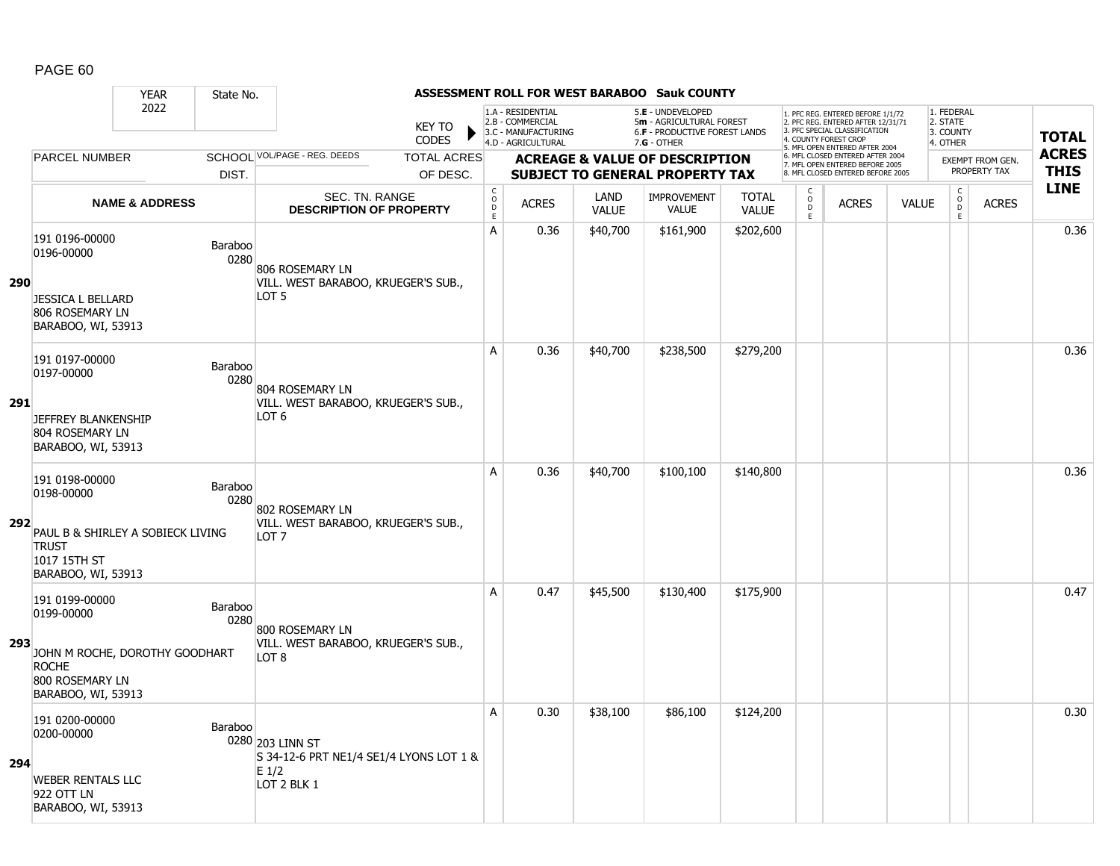|            |                                                                                                                         | <b>YEAR</b>               | State No.       |                                                                                       |                               |                                       |                                                                                    |                      | <b>ASSESSMENT ROLL FOR WEST BARABOO Sauk COUNTY</b>                                           |                              |                                                |                                                                                                                                   |              |                                                 |                         |              |
|------------|-------------------------------------------------------------------------------------------------------------------------|---------------------------|-----------------|---------------------------------------------------------------------------------------|-------------------------------|---------------------------------------|------------------------------------------------------------------------------------|----------------------|-----------------------------------------------------------------------------------------------|------------------------------|------------------------------------------------|-----------------------------------------------------------------------------------------------------------------------------------|--------------|-------------------------------------------------|-------------------------|--------------|
|            |                                                                                                                         | 2022                      |                 |                                                                                       | <b>KEY TO</b><br><b>CODES</b> |                                       | 1.A - RESIDENTIAL<br>2.B - COMMERCIAL<br>3.C - MANUFACTURING<br>4.D - AGRICULTURAL |                      | 5.E - UNDEVELOPED<br>5m - AGRICULTURAL FOREST<br>6.F - PRODUCTIVE FOREST LANDS<br>7.G - OTHER |                              |                                                | 1. PFC REG. ENTERED BEFORE 1/1/72<br>2. PFC REG. ENTERED AFTER 12/31/71<br>3. PFC SPECIAL CLASSIFICATION<br>4. COUNTY FOREST CROP |              | 1. FEDERAL<br>2. STATE<br>3. COUNTY<br>4. OTHER |                         | <b>TOTAL</b> |
|            | <b>PARCEL NUMBER</b>                                                                                                    |                           |                 | SCHOOL VOL/PAGE - REG. DEEDS                                                          | <b>TOTAL ACRES</b>            |                                       |                                                                                    |                      | <b>ACREAGE &amp; VALUE OF DESCRIPTION</b>                                                     |                              |                                                | 5. MFL OPEN ENTERED AFTER 2004<br>6. MFL CLOSED ENTERED AFTER 2004                                                                |              |                                                 | <b>EXEMPT FROM GEN.</b> | <b>ACRES</b> |
|            |                                                                                                                         |                           | DIST.           |                                                                                       | OF DESC.                      |                                       |                                                                                    |                      | <b>SUBJECT TO GENERAL PROPERTY TAX</b>                                                        |                              |                                                | 7. MFL OPEN ENTERED BEFORE 2005<br>8. MFL CLOSED ENTERED BEFORE 2005                                                              |              |                                                 | PROPERTY TAX            | <b>THIS</b>  |
|            |                                                                                                                         | <b>NAME &amp; ADDRESS</b> |                 | SEC. TN. RANGE<br><b>DESCRIPTION OF PROPERTY</b>                                      |                               | $\mathsf C$<br>$\mathsf{O}$<br>D<br>E | <b>ACRES</b>                                                                       | LAND<br><b>VALUE</b> | <b>IMPROVEMENT</b><br><b>VALUE</b>                                                            | <b>TOTAL</b><br><b>VALUE</b> | $\begin{matrix} 0 \\ 0 \\ D \end{matrix}$<br>E | <b>ACRES</b>                                                                                                                      | <b>VALUE</b> | $\begin{matrix} 0 \\ 0 \\ 0 \end{matrix}$<br>E  | <b>ACRES</b>            | <b>LINE</b>  |
| <b>290</b> | 191 0196-00000<br>0196-00000<br><b>JESSICA L BELLARD</b><br>806 ROSEMARY LN<br>BARABOO, WI, 53913                       |                           | Baraboo<br>0280 | 806 ROSEMARY LN<br>VILL. WEST BARABOO, KRUEGER'S SUB.,<br>LOT <sub>5</sub>            |                               | A                                     | 0.36                                                                               | \$40,700             | \$161,900                                                                                     | \$202,600                    |                                                |                                                                                                                                   |              |                                                 |                         | 0.36         |
| 291        | 191 0197-00000<br>0197-00000<br><b>JEFFREY BLANKENSHIP</b><br>804 ROSEMARY LN<br>BARABOO, WI, 53913                     |                           | Baraboo<br>0280 | 804 ROSEMARY LN<br>VILL. WEST BARABOO, KRUEGER'S SUB.,<br>LOT 6                       |                               | A                                     | 0.36                                                                               | \$40,700             | \$238,500                                                                                     | \$279,200                    |                                                |                                                                                                                                   |              |                                                 |                         | 0.36         |
| 292        | 191 0198-00000<br>0198-00000<br>PAUL B & SHIRLEY A SOBIECK LIVING<br><b>TRUST</b><br>1017 15TH ST<br>BARABOO, WI, 53913 |                           | Baraboo<br>0280 | 802 ROSEMARY LN<br>VILL. WEST BARABOO, KRUEGER'S SUB.,<br>LOT <sub>7</sub>            |                               | Α                                     | 0.36                                                                               | \$40,700             | \$100,100                                                                                     | \$140,800                    |                                                |                                                                                                                                   |              |                                                 |                         | 0.36         |
| 293        | 191 0199-00000<br>0199-00000<br>JOHN M ROCHE, DOROTHY GOODHART<br><b>ROCHE</b><br>800 ROSEMARY LN<br>BARABOO, WI, 53913 |                           | Baraboo<br>0280 | 800 ROSEMARY LN<br>VILL. WEST BARABOO, KRUEGER'S SUB.,<br>LOT <sub>8</sub>            |                               | A                                     | 0.47                                                                               | \$45,500             | \$130,400                                                                                     | \$175,900                    |                                                |                                                                                                                                   |              |                                                 |                         | 0.47         |
| 294        | 191 0200-00000<br>0200-00000<br><b>WEBER RENTALS LLC</b><br>922 OTT LN<br>BARABOO, WI, 53913                            |                           | Baraboo         | 0280 203 LINN ST<br>S 34-12-6 PRT NE1/4 SE1/4 LYONS LOT 1 &<br>$E_1/2$<br>LOT 2 BLK 1 |                               | A                                     | 0.30                                                                               | \$38,100             | \$86,100                                                                                      | \$124,200                    |                                                |                                                                                                                                   |              |                                                 |                         | 0.30         |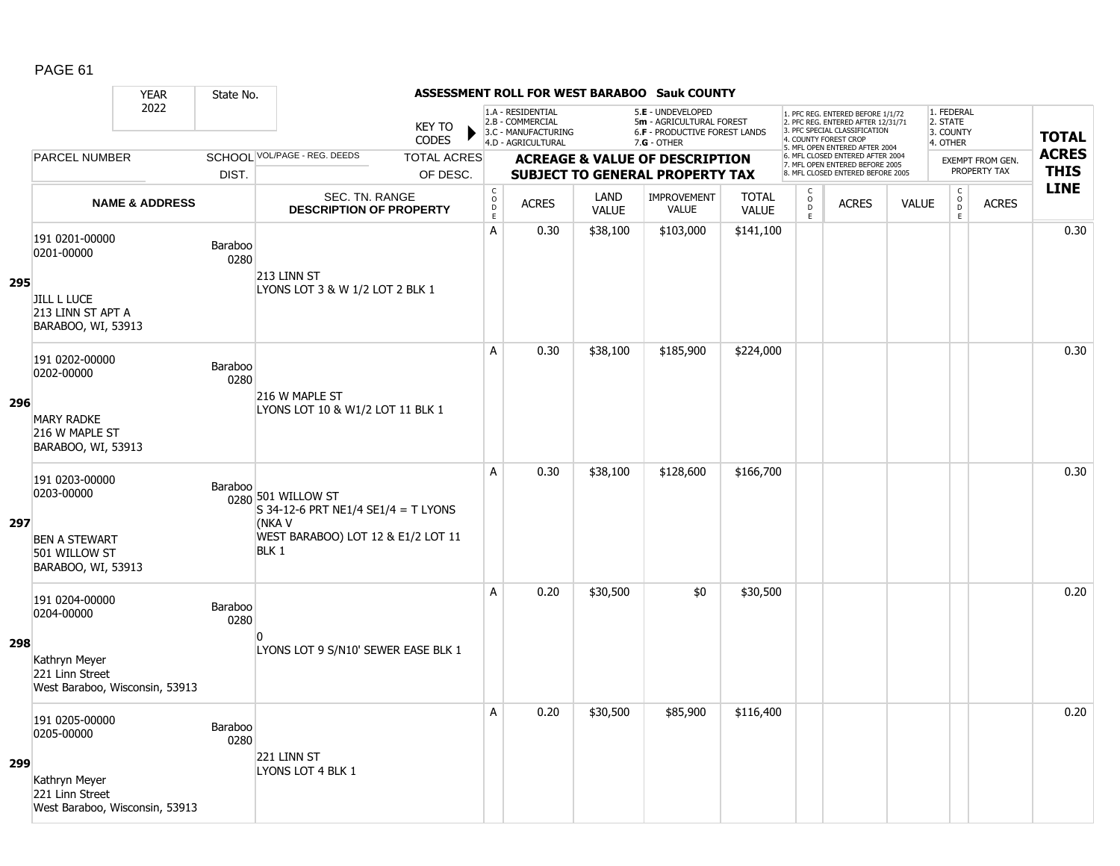|     |                                                                    | <b>YEAR</b>               | State No.       |                                                                                                           |                               |                                        |                                                                                    |                      | <b>ASSESSMENT ROLL FOR WEST BARABOO Sauk COUNTY</b>                                             |                              |                                    |                                                                                                                                   |              |                                                 |                         |              |
|-----|--------------------------------------------------------------------|---------------------------|-----------------|-----------------------------------------------------------------------------------------------------------|-------------------------------|----------------------------------------|------------------------------------------------------------------------------------|----------------------|-------------------------------------------------------------------------------------------------|------------------------------|------------------------------------|-----------------------------------------------------------------------------------------------------------------------------------|--------------|-------------------------------------------------|-------------------------|--------------|
|     |                                                                    | 2022                      |                 |                                                                                                           | <b>KEY TO</b><br><b>CODES</b> |                                        | 1.A - RESIDENTIAL<br>2.B - COMMERCIAL<br>3.C - MANUFACTURING<br>4.D - AGRICULTURAL |                      | 5.E - UNDEVELOPED<br>5m - AGRICULTURAL FOREST<br>6.F - PRODUCTIVE FOREST LANDS<br>$7.G - OTHER$ |                              |                                    | 1. PFC REG. ENTERED BEFORE 1/1/72<br>2. PFC REG. ENTERED AFTER 12/31/71<br>3. PFC SPECIAL CLASSIFICATION<br>4. COUNTY FOREST CROP |              | 1. FEDERAL<br>2. STATE<br>3. COUNTY<br>4. OTHER |                         | <b>TOTAL</b> |
|     | <b>PARCEL NUMBER</b>                                               |                           |                 | SCHOOL VOL/PAGE - REG. DEEDS                                                                              | <b>TOTAL ACRES</b>            |                                        |                                                                                    |                      | <b>ACREAGE &amp; VALUE OF DESCRIPTION</b>                                                       |                              |                                    | 5. MFL OPEN ENTERED AFTER 2004<br>6. MFL CLOSED ENTERED AFTER 2004                                                                |              |                                                 | <b>EXEMPT FROM GEN.</b> | <b>ACRES</b> |
|     |                                                                    |                           | DIST.           |                                                                                                           | OF DESC.                      |                                        |                                                                                    |                      | <b>SUBJECT TO GENERAL PROPERTY TAX</b>                                                          |                              |                                    | 7. MFL OPEN ENTERED BEFORE 2005<br>8. MFL CLOSED ENTERED BEFORE 2005                                                              |              |                                                 | PROPERTY TAX            | <b>THIS</b>  |
|     |                                                                    | <b>NAME &amp; ADDRESS</b> |                 | <b>SEC. TN. RANGE</b><br><b>DESCRIPTION OF PROPERTY</b>                                                   |                               | $_{\rm o}^{\rm c}$<br>D<br>$\mathsf E$ | <b>ACRES</b>                                                                       | LAND<br><b>VALUE</b> | <b>IMPROVEMENT</b><br><b>VALUE</b>                                                              | <b>TOTAL</b><br><b>VALUE</b> | $\mathsf{C}$<br>$\circ$<br>D<br>E. | <b>ACRES</b>                                                                                                                      | <b>VALUE</b> | $\mathsf C$<br>$\overline{0}$<br>E              | <b>ACRES</b>            | <b>LINE</b>  |
| 295 | 191 0201-00000<br>0201-00000                                       |                           | Baraboo<br>0280 | 213 LINN ST<br>LYONS LOT 3 & W 1/2 LOT 2 BLK 1                                                            |                               | А                                      | 0.30                                                                               | \$38,100             | \$103,000                                                                                       | \$141,100                    |                                    |                                                                                                                                   |              |                                                 |                         | 0.30         |
|     | <b>JILL L LUCE</b><br>213 LINN ST APT A<br>BARABOO, WI, 53913      |                           |                 |                                                                                                           |                               |                                        |                                                                                    |                      |                                                                                                 |                              |                                    |                                                                                                                                   |              |                                                 |                         |              |
|     | 191 0202-00000<br>0202-00000                                       |                           | Baraboo<br>0280 | 216 W MAPLE ST                                                                                            |                               | A                                      | 0.30                                                                               | \$38,100             | \$185,900                                                                                       | \$224,000                    |                                    |                                                                                                                                   |              |                                                 |                         | 0.30         |
| 296 | <b>MARY RADKE</b><br>216 W MAPLE ST<br>BARABOO, WI, 53913          |                           |                 | LYONS LOT 10 & W1/2 LOT 11 BLK 1                                                                          |                               |                                        |                                                                                    |                      |                                                                                                 |                              |                                    |                                                                                                                                   |              |                                                 |                         |              |
| 297 | 191 0203-00000<br>0203-00000                                       |                           | Baraboo         | 0280 501 WILLOW ST<br>S 34-12-6 PRT NE1/4 SE1/4 = T LYONS<br>(NKA V<br>WEST BARABOO) LOT 12 & E1/2 LOT 11 |                               | A                                      | 0.30                                                                               | \$38,100             | \$128,600                                                                                       | \$166,700                    |                                    |                                                                                                                                   |              |                                                 |                         | 0.30         |
|     | <b>BEN A STEWART</b><br>501 WILLOW ST<br>BARABOO, WI, 53913        |                           |                 | BLK 1                                                                                                     |                               |                                        |                                                                                    |                      |                                                                                                 |                              |                                    |                                                                                                                                   |              |                                                 |                         |              |
|     | 191 0204-00000<br>0204-00000                                       |                           | Baraboo<br>0280 |                                                                                                           |                               | A                                      | 0.20                                                                               | \$30,500             | \$0                                                                                             | \$30,500                     |                                    |                                                                                                                                   |              |                                                 |                         | 0.20         |
| 298 | Kathryn Meyer<br>221 Linn Street<br>West Baraboo, Wisconsin, 53913 |                           |                 | n<br>LYONS LOT 9 S/N10' SEWER EASE BLK 1                                                                  |                               |                                        |                                                                                    |                      |                                                                                                 |                              |                                    |                                                                                                                                   |              |                                                 |                         |              |
| 299 | 191 0205-00000<br>0205-00000                                       |                           | Baraboo<br>0280 | 221 LINN ST                                                                                               |                               | A                                      | 0.20                                                                               | \$30,500             | \$85,900                                                                                        | \$116,400                    |                                    |                                                                                                                                   |              |                                                 |                         | 0.20         |
|     | Kathryn Meyer<br>221 Linn Street<br>West Baraboo, Wisconsin, 53913 |                           |                 | LYONS LOT 4 BLK 1                                                                                         |                               |                                        |                                                                                    |                      |                                                                                                 |                              |                                    |                                                                                                                                   |              |                                                 |                         |              |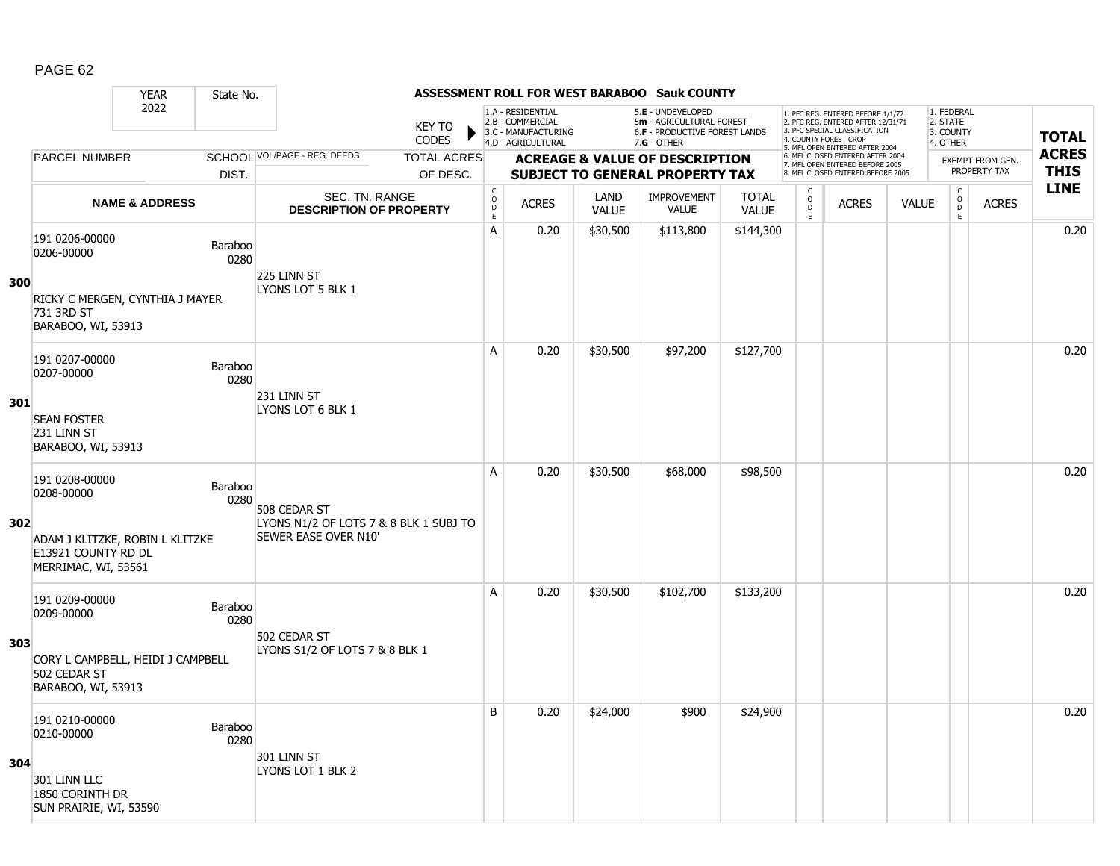|     |                                                                               | <b>YEAR</b>               | State No.              |                                                                |                                        |                                                                                    |                      | <b>ASSESSMENT ROLL FOR WEST BARABOO Sauk COUNTY</b>                                             |                              |                                    |                                                                                                                                   |              |                                                 |                                         |              |
|-----|-------------------------------------------------------------------------------|---------------------------|------------------------|----------------------------------------------------------------|----------------------------------------|------------------------------------------------------------------------------------|----------------------|-------------------------------------------------------------------------------------------------|------------------------------|------------------------------------|-----------------------------------------------------------------------------------------------------------------------------------|--------------|-------------------------------------------------|-----------------------------------------|--------------|
|     |                                                                               | 2022                      |                        | <b>KEY TO</b><br><b>CODES</b>                                  |                                        | 1.A - RESIDENTIAL<br>2.B - COMMERCIAL<br>3.C - MANUFACTURING<br>4.D - AGRICULTURAL |                      | 5.E - UNDEVELOPED<br>5m - AGRICULTURAL FOREST<br>6.F - PRODUCTIVE FOREST LANDS<br>$7.G - OTHER$ |                              |                                    | 1. PFC REG. ENTERED BEFORE 1/1/72<br>2. PFC REG. ENTERED AFTER 12/31/71<br>3. PFC SPECIAL CLASSIFICATION<br>4. COUNTY FOREST CROP |              | 1. FEDERAL<br>2. STATE<br>3. COUNTY<br>4. OTHER |                                         | <b>TOTAL</b> |
|     | <b>PARCEL NUMBER</b>                                                          |                           |                        | SCHOOL VOL/PAGE - REG. DEEDS<br><b>TOTAL ACRES</b>             |                                        |                                                                                    |                      |                                                                                                 |                              |                                    | 5. MFL OPEN ENTERED AFTER 2004<br>6. MFL CLOSED ENTERED AFTER 2004                                                                |              |                                                 |                                         | <b>ACRES</b> |
|     |                                                                               |                           | DIST.                  | OF DESC.                                                       |                                        |                                                                                    |                      | <b>ACREAGE &amp; VALUE OF DESCRIPTION</b><br><b>SUBJECT TO GENERAL PROPERTY TAX</b>             |                              |                                    | 7. MFL OPEN ENTERED BEFORE 2005<br>8. MFL CLOSED ENTERED BEFORE 2005                                                              |              |                                                 | <b>EXEMPT FROM GEN.</b><br>PROPERTY TAX | <b>THIS</b>  |
|     |                                                                               | <b>NAME &amp; ADDRESS</b> |                        | <b>SEC. TN. RANGE</b><br><b>DESCRIPTION OF PROPERTY</b>        | $_{\rm o}^{\rm c}$<br>D<br>$\mathsf E$ | <b>ACRES</b>                                                                       | LAND<br><b>VALUE</b> | <b>IMPROVEMENT</b><br><b>VALUE</b>                                                              | <b>TOTAL</b><br><b>VALUE</b> | $\mathsf{C}$<br>$\circ$<br>D<br>E. | <b>ACRES</b>                                                                                                                      | <b>VALUE</b> | $\mathsf C$<br>$\overline{0}$<br>E              | <b>ACRES</b>                            | <b>LINE</b>  |
| 300 | 191 0206-00000<br>0206-00000                                                  |                           | Baraboo<br>0280        | 225 LINN ST                                                    | А                                      | 0.20                                                                               | \$30,500             | \$113,800                                                                                       | \$144,300                    |                                    |                                                                                                                                   |              |                                                 |                                         | 0.20         |
|     | RICKY C MERGEN, CYNTHIA J MAYER<br>731 3RD ST<br>BARABOO, WI, 53913           |                           |                        | LYONS LOT 5 BLK 1                                              |                                        |                                                                                    |                      |                                                                                                 |                              |                                    |                                                                                                                                   |              |                                                 |                                         |              |
|     | 191 0207-00000<br>0207-00000                                                  |                           | <b>Baraboo</b><br>0280 | 231 LINN ST                                                    | A                                      | 0.20                                                                               | \$30,500             | \$97,200                                                                                        | \$127,700                    |                                    |                                                                                                                                   |              |                                                 |                                         | 0.20         |
| 301 | <b>SEAN FOSTER</b><br>231 LINN ST<br>BARABOO, WI, 53913                       |                           |                        | LYONS LOT 6 BLK 1                                              |                                        |                                                                                    |                      |                                                                                                 |                              |                                    |                                                                                                                                   |              |                                                 |                                         |              |
|     | 191 0208-00000<br>0208-00000                                                  |                           | <b>Baraboo</b><br>0280 | 508 CEDAR ST                                                   | A                                      | 0.20                                                                               | \$30,500             | \$68,000                                                                                        | \$98,500                     |                                    |                                                                                                                                   |              |                                                 |                                         | 0.20         |
| 302 | ADAM J KLITZKE, ROBIN L KLITZKE<br>E13921 COUNTY RD DL<br>MERRIMAC, WI, 53561 |                           |                        | LYONS N1/2 OF LOTS 7 & 8 BLK 1 SUBJ TO<br>SEWER EASE OVER N10' |                                        |                                                                                    |                      |                                                                                                 |                              |                                    |                                                                                                                                   |              |                                                 |                                         |              |
|     | 191 0209-00000<br>0209-00000                                                  |                           | Baraboo<br>0280        | 502 CEDAR ST                                                   | A                                      | 0.20                                                                               | \$30,500             | \$102,700                                                                                       | \$133,200                    |                                    |                                                                                                                                   |              |                                                 |                                         | 0.20         |
| 303 | CORY L CAMPBELL, HEIDI J CAMPBELL<br>502 CEDAR ST<br>BARABOO, WI, 53913       |                           |                        | LYONS S1/2 OF LOTS 7 & 8 BLK 1                                 |                                        |                                                                                    |                      |                                                                                                 |                              |                                    |                                                                                                                                   |              |                                                 |                                         |              |
|     | 191 0210-00000<br>0210-00000                                                  |                           | <b>Baraboo</b><br>0280 | 301 LINN ST                                                    | B                                      | 0.20                                                                               | \$24,000             | \$900                                                                                           | \$24,900                     |                                    |                                                                                                                                   |              |                                                 |                                         | 0.20         |
| 304 | 301 LINN LLC<br>1850 CORINTH DR<br>SUN PRAIRIE, WI, 53590                     |                           |                        | LYONS LOT 1 BLK 2                                              |                                        |                                                                                    |                      |                                                                                                 |                              |                                    |                                                                                                                                   |              |                                                 |                                         |              |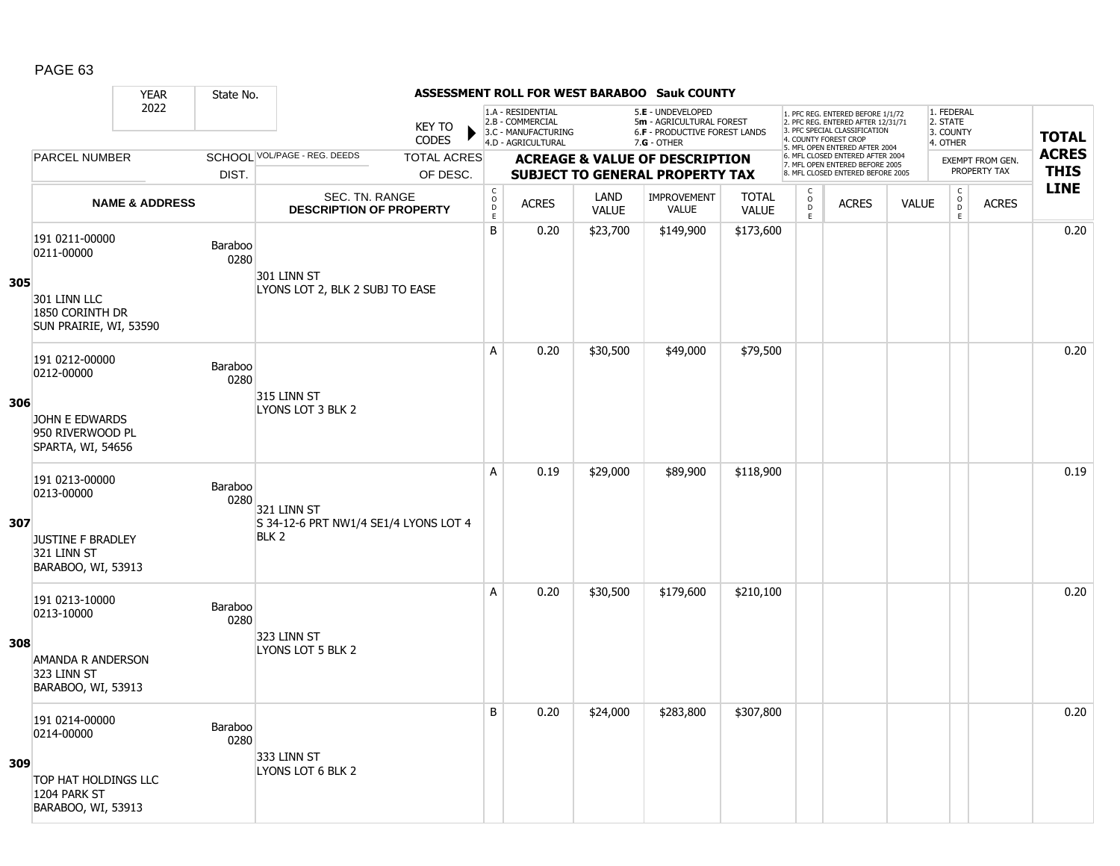|     |                                                               | <b>YEAR</b>               | State No.       |                                                           |                               |                                            |                                                                                    |                      | ASSESSMENT ROLL FOR WEST BARABOO Sauk COUNTY                                          |                              |                                   |                                                                                                          |              |                                     |                         |              |
|-----|---------------------------------------------------------------|---------------------------|-----------------|-----------------------------------------------------------|-------------------------------|--------------------------------------------|------------------------------------------------------------------------------------|----------------------|---------------------------------------------------------------------------------------|------------------------------|-----------------------------------|----------------------------------------------------------------------------------------------------------|--------------|-------------------------------------|-------------------------|--------------|
|     |                                                               | 2022                      |                 |                                                           | <b>KEY TO</b><br><b>CODES</b> |                                            | 1.A - RESIDENTIAL<br>2.B - COMMERCIAL<br>3.C - MANUFACTURING<br>4.D - AGRICULTURAL |                      | 5.E - UNDEVELOPED<br>5m - AGRICULTURAL FOREST<br><b>6.F - PRODUCTIVE FOREST LANDS</b> |                              | 4. COUNTY FOREST CROP             | 1. PFC REG. ENTERED BEFORE 1/1/72<br>2. PFC REG. ENTERED AFTER 12/31/71<br>3. PFC SPECIAL CLASSIFICATION |              | 1. FEDERAL<br>2. STATE<br>3. COUNTY |                         | <b>TOTAL</b> |
|     | <b>PARCEL NUMBER</b>                                          |                           |                 | SCHOOL VOL/PAGE - REG. DEEDS                              | <b>TOTAL ACRES</b>            |                                            |                                                                                    |                      | 7.G - OTHER<br><b>ACREAGE &amp; VALUE OF DESCRIPTION</b>                              |                              |                                   | 5. MFL OPEN ENTERED AFTER 2004<br>6. MFL CLOSED ENTERED AFTER 2004                                       |              | 4. OTHER                            | <b>EXEMPT FROM GEN.</b> | <b>ACRES</b> |
|     |                                                               |                           | DIST.           |                                                           | OF DESC.                      |                                            |                                                                                    |                      | <b>SUBJECT TO GENERAL PROPERTY TAX</b>                                                |                              |                                   | 7. MFL OPEN ENTERED BEFORE 2005<br>8. MFL CLOSED ENTERED BEFORE 2005                                     |              |                                     | PROPERTY TAX            | <b>THIS</b>  |
|     |                                                               | <b>NAME &amp; ADDRESS</b> |                 | SEC. TN. RANGE<br><b>DESCRIPTION OF PROPERTY</b>          |                               | $\mathsf C$<br>$\circ$<br>D<br>$\mathsf E$ | <b>ACRES</b>                                                                       | LAND<br><b>VALUE</b> | <b>IMPROVEMENT</b><br><b>VALUE</b>                                                    | <b>TOTAL</b><br><b>VALUE</b> | $\mathsf{C}$<br>$\circ$<br>D<br>E | <b>ACRES</b>                                                                                             | <b>VALUE</b> | C<br>$\overline{0}$<br>E            | <b>ACRES</b>            | <b>LINE</b>  |
| 305 | 191 0211-00000<br>0211-00000                                  |                           | Baraboo<br>0280 | 301 LINN ST<br>LYONS LOT 2, BLK 2 SUBJ TO EASE            |                               | B                                          | 0.20                                                                               | \$23,700             | \$149,900                                                                             | \$173,600                    |                                   |                                                                                                          |              |                                     |                         | 0.20         |
|     | 301 LINN LLC<br>1850 CORINTH DR<br>SUN PRAIRIE, WI, 53590     |                           |                 |                                                           |                               |                                            |                                                                                    |                      |                                                                                       |                              |                                   |                                                                                                          |              |                                     |                         |              |
|     | 191 0212-00000<br>0212-00000                                  |                           | Baraboo<br>0280 |                                                           |                               | A                                          | 0.20                                                                               | \$30,500             | \$49,000                                                                              | \$79,500                     |                                   |                                                                                                          |              |                                     |                         | 0.20         |
| 306 | JOHN E EDWARDS<br>950 RIVERWOOD PL<br>SPARTA, WI, 54656       |                           |                 | 315 LINN ST<br>LYONS LOT 3 BLK 2                          |                               |                                            |                                                                                    |                      |                                                                                       |                              |                                   |                                                                                                          |              |                                     |                         |              |
| 307 | 191 0213-00000<br>0213-00000                                  |                           | Baraboo<br>0280 | 321 LINN ST                                               |                               | A                                          | 0.19                                                                               | \$29,000             | \$89,900                                                                              | \$118,900                    |                                   |                                                                                                          |              |                                     |                         | 0.19         |
|     | <b>JUSTINE F BRADLEY</b><br>321 LINN ST<br>BARABOO, WI, 53913 |                           |                 | S 34-12-6 PRT NW1/4 SE1/4 LYONS LOT 4<br>BLK <sub>2</sub> |                               |                                            |                                                                                    |                      |                                                                                       |                              |                                   |                                                                                                          |              |                                     |                         |              |
|     | 191 0213-10000<br>0213-10000                                  |                           | Baraboo<br>0280 | 323 LINN ST                                               |                               | A                                          | 0.20                                                                               | \$30,500             | \$179,600                                                                             | \$210,100                    |                                   |                                                                                                          |              |                                     |                         | 0.20         |
| 308 | AMANDA R ANDERSON<br>323 LINN ST<br>BARABOO, WI, 53913        |                           |                 | LYONS LOT 5 BLK 2                                         |                               |                                            |                                                                                    |                      |                                                                                       |                              |                                   |                                                                                                          |              |                                     |                         |              |
|     | 191 0214-00000<br>0214-00000                                  |                           | Baraboo<br>0280 | 333 LINN ST                                               |                               | B                                          | 0.20                                                                               | \$24,000             | \$283,800                                                                             | \$307,800                    |                                   |                                                                                                          |              |                                     |                         | 0.20         |
| 309 | TOP HAT HOLDINGS LLC<br>1204 PARK ST<br>BARABOO, WI, 53913    |                           |                 | LYONS LOT 6 BLK 2                                         |                               |                                            |                                                                                    |                      |                                                                                       |                              |                                   |                                                                                                          |              |                                     |                         |              |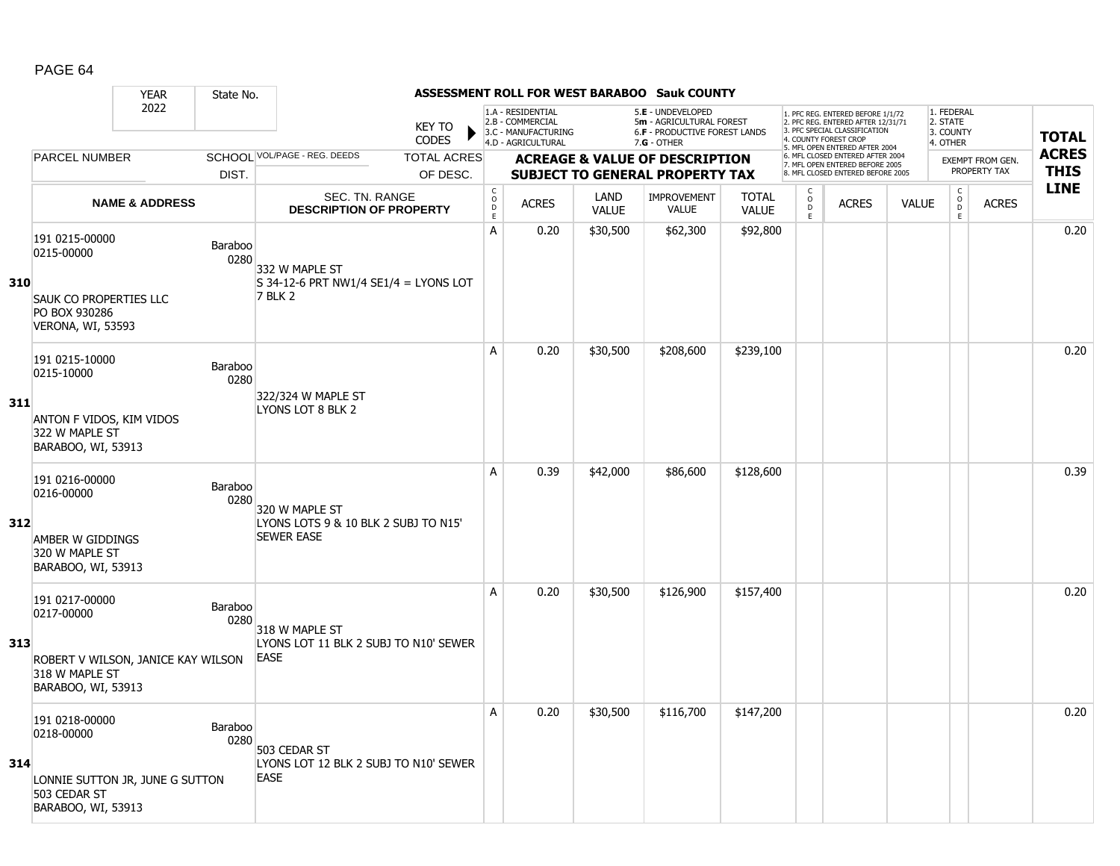|     |                                                                                                            | <b>YEAR</b>               | State No.       |                                                                             |                        |                                                          |                                                                                    |                      | <b>ASSESSMENT ROLL FOR WEST BARABOO Sauk COUNTY</b>                                             |                              |                         |                                                                                                          |              |                                                 |                         |              |
|-----|------------------------------------------------------------------------------------------------------------|---------------------------|-----------------|-----------------------------------------------------------------------------|------------------------|----------------------------------------------------------|------------------------------------------------------------------------------------|----------------------|-------------------------------------------------------------------------------------------------|------------------------------|-------------------------|----------------------------------------------------------------------------------------------------------|--------------|-------------------------------------------------|-------------------------|--------------|
|     |                                                                                                            | 2022                      |                 |                                                                             | <b>KEY TO</b><br>CODES |                                                          | 1.A - RESIDENTIAL<br>2.B - COMMERCIAL<br>3.C - MANUFACTURING<br>4.D - AGRICULTURAL |                      | 5.E - UNDEVELOPED<br>5m - AGRICULTURAL FOREST<br>6.F - PRODUCTIVE FOREST LANDS<br>$7.G - OTHER$ |                              | 4. COUNTY FOREST CROP   | 1. PFC REG. ENTERED BEFORE 1/1/72<br>2. PFC REG. ENTERED AFTER 12/31/71<br>3. PFC SPECIAL CLASSIFICATION |              | 1. FEDERAL<br>2. STATE<br>3. COUNTY<br>4. OTHER |                         | <b>TOTAL</b> |
|     | <b>PARCEL NUMBER</b>                                                                                       |                           |                 | SCHOOL VOL/PAGE - REG. DEEDS                                                | <b>TOTAL ACRES</b>     |                                                          |                                                                                    |                      | <b>ACREAGE &amp; VALUE OF DESCRIPTION</b>                                                       |                              |                         | 5. MFL OPEN ENTERED AFTER 2004<br>6. MFL CLOSED ENTERED AFTER 2004                                       |              |                                                 | <b>EXEMPT FROM GEN.</b> | <b>ACRES</b> |
|     |                                                                                                            |                           | DIST.           |                                                                             | OF DESC.               |                                                          |                                                                                    |                      | <b>SUBJECT TO GENERAL PROPERTY TAX</b>                                                          |                              |                         | 7. MFL OPEN ENTERED BEFORE 2005<br>8. MFL CLOSED ENTERED BEFORE 2005                                     |              |                                                 | PROPERTY TAX            | <b>THIS</b>  |
|     |                                                                                                            | <b>NAME &amp; ADDRESS</b> |                 | <b>SEC. TN. RANGE</b><br><b>DESCRIPTION OF PROPERTY</b>                     |                        | $\mathsf C$<br>$\mathsf O$<br>$\mathsf D$<br>$\mathsf E$ | <b>ACRES</b>                                                                       | LAND<br><b>VALUE</b> | <b>IMPROVEMENT</b><br><b>VALUE</b>                                                              | <b>TOTAL</b><br><b>VALUE</b> | C<br>$\circ$<br>D<br>E. | <b>ACRES</b>                                                                                             | <b>VALUE</b> | $\mathsf C$<br>$_{\rm D}^{\rm O}$<br>E          | <b>ACRES</b>            | <b>LINE</b>  |
| 310 | 191 0215-00000<br>0215-00000<br><b>SAUK CO PROPERTIES LLC</b><br>PO BOX 930286<br><b>VERONA, WI, 53593</b> |                           | Baraboo<br>0280 | 332 W MAPLE ST<br>$S$ 34-12-6 PRT NW1/4 SE1/4 = LYONS LOT<br><b>7 BLK 2</b> |                        | A                                                        | 0.20                                                                               | \$30,500             | \$62,300                                                                                        | \$92,800                     |                         |                                                                                                          |              |                                                 |                         | 0.20         |
| 311 | 191 0215-10000<br>0215-10000<br>ANTON F VIDOS, KIM VIDOS<br>322 W MAPLE ST<br>BARABOO, WI, 53913           |                           | Baraboo<br>0280 | 322/324 W MAPLE ST<br>LYONS LOT 8 BLK 2                                     |                        | A                                                        | 0.20                                                                               | \$30,500             | \$208,600                                                                                       | \$239,100                    |                         |                                                                                                          |              |                                                 |                         | 0.20         |
| 312 | 191 0216-00000<br>0216-00000<br>AMBER W GIDDINGS<br>320 W MAPLE ST<br>BARABOO, WI, 53913                   |                           | Baraboo<br>0280 | 320 W MAPLE ST<br>LYONS LOTS 9 & 10 BLK 2 SUBJ TO N15'<br><b>SEWER EASE</b> |                        | A                                                        | 0.39                                                                               | \$42,000             | \$86,600                                                                                        | \$128,600                    |                         |                                                                                                          |              |                                                 |                         | 0.39         |
| 313 | 191 0217-00000<br>0217-00000<br>ROBERT V WILSON, JANICE KAY WILSON<br>318 W MAPLE ST<br>BARABOO, WI, 53913 |                           | Baraboo<br>0280 | 318 W MAPLE ST<br>LYONS LOT 11 BLK 2 SUBJ TO N10' SEWER<br><b>EASE</b>      |                        | A                                                        | 0.20                                                                               | \$30,500             | \$126,900                                                                                       | \$157,400                    |                         |                                                                                                          |              |                                                 |                         | 0.20         |
| 314 | 191 0218-00000<br>0218-00000<br>LONNIE SUTTON JR, JUNE G SUTTON<br>503 CEDAR ST<br>BARABOO, WI, 53913      |                           | Baraboo<br>0280 | 503 CEDAR ST<br>LYONS LOT 12 BLK 2 SUBJ TO N10' SEWER<br><b>EASE</b>        |                        | A                                                        | 0.20                                                                               | \$30,500             | \$116,700                                                                                       | \$147,200                    |                         |                                                                                                          |              |                                                 |                         | 0.20         |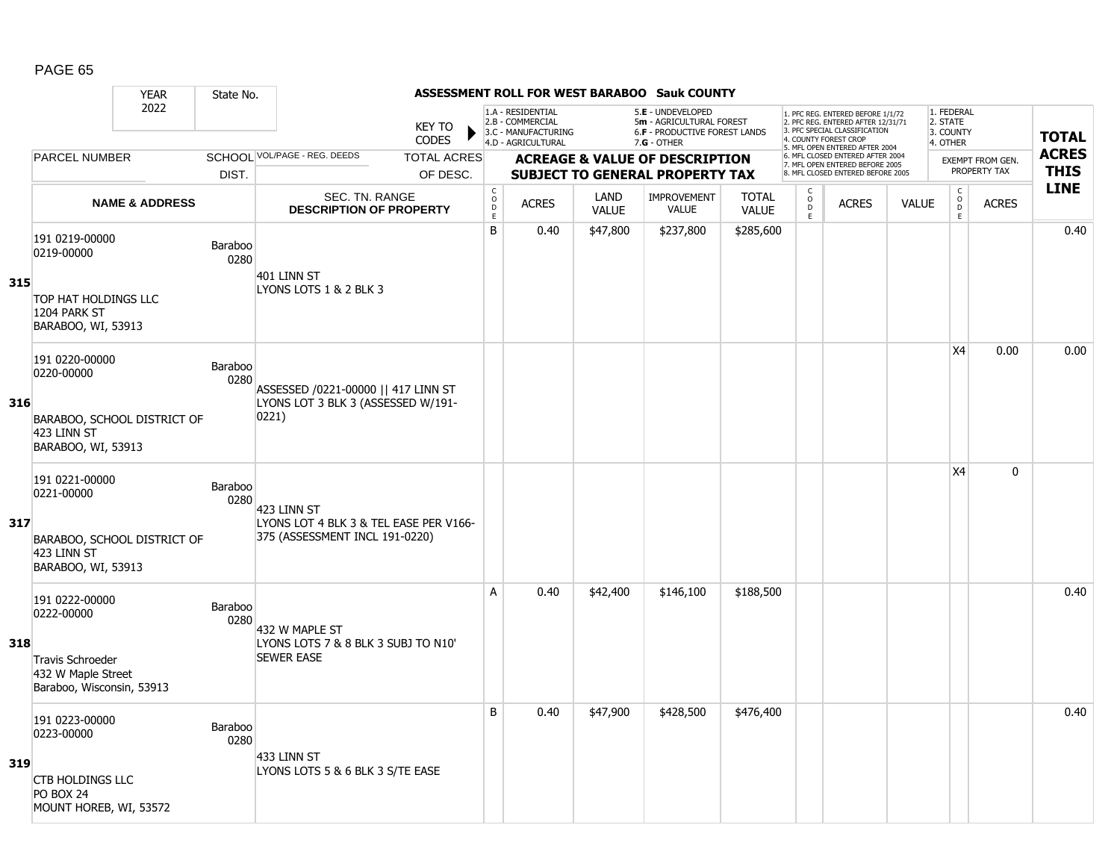|     |                                                                                                     | <b>YEAR</b>               | State No.       |                                                                                         |                               |                                      |                                                                                    |                      | ASSESSMENT ROLL FOR WEST BARABOO Sauk COUNTY                                                           |                              |                                       |                                                                                                          |              |                                                 |                                         |              |
|-----|-----------------------------------------------------------------------------------------------------|---------------------------|-----------------|-----------------------------------------------------------------------------------------|-------------------------------|--------------------------------------|------------------------------------------------------------------------------------|----------------------|--------------------------------------------------------------------------------------------------------|------------------------------|---------------------------------------|----------------------------------------------------------------------------------------------------------|--------------|-------------------------------------------------|-----------------------------------------|--------------|
|     |                                                                                                     | 2022                      |                 |                                                                                         | <b>KEY TO</b><br><b>CODES</b> |                                      | 1.A - RESIDENTIAL<br>2.B - COMMERCIAL<br>3.C - MANUFACTURING<br>4.D - AGRICULTURAL |                      | 5.E - UNDEVELOPED<br>5m - AGRICULTURAL FOREST<br><b>6.F - PRODUCTIVE FOREST LANDS</b><br>$7.G - OTHER$ |                              | 4. COUNTY FOREST CROP                 | 1. PFC REG. ENTERED BEFORE 1/1/72<br>2. PFC REG. ENTERED AFTER 12/31/71<br>3. PFC SPECIAL CLASSIFICATION |              | 1. FEDERAL<br>2. STATE<br>3. COUNTY<br>4. OTHER |                                         | <b>TOTAL</b> |
|     | <b>PARCEL NUMBER</b>                                                                                |                           |                 | SCHOOL VOL/PAGE - REG. DEEDS                                                            | <b>TOTAL ACRES</b>            |                                      |                                                                                    |                      | <b>ACREAGE &amp; VALUE OF DESCRIPTION</b>                                                              |                              |                                       | 5. MFL OPEN ENTERED AFTER 2004<br>6. MFL CLOSED ENTERED AFTER 2004                                       |              |                                                 |                                         | <b>ACRES</b> |
|     |                                                                                                     |                           | DIST.           |                                                                                         | OF DESC.                      |                                      |                                                                                    |                      | <b>SUBJECT TO GENERAL PROPERTY TAX</b>                                                                 |                              |                                       | 7. MFL OPEN ENTERED BEFORE 2005<br>8. MFL CLOSED ENTERED BEFORE 2005                                     |              |                                                 | <b>EXEMPT FROM GEN.</b><br>PROPERTY TAX | <b>THIS</b>  |
|     |                                                                                                     | <b>NAME &amp; ADDRESS</b> |                 | <b>SEC. TN. RANGE</b><br><b>DESCRIPTION OF PROPERTY</b>                                 |                               | $_{\rm o}^{\rm c}$<br>D<br>$\bar{E}$ | <b>ACRES</b>                                                                       | LAND<br><b>VALUE</b> | <b>IMPROVEMENT</b><br><b>VALUE</b>                                                                     | <b>TOTAL</b><br><b>VALUE</b> | $\mathsf{C}$<br>$\mathsf O$<br>D<br>E | <b>ACRES</b>                                                                                             | <b>VALUE</b> | $\begin{matrix} 0 \\ 0 \\ D \end{matrix}$<br>E  | <b>ACRES</b>                            | <b>LINE</b>  |
| 315 | 191 0219-00000<br>0219-00000<br>TOP HAT HOLDINGS LLC                                                |                           | Baraboo<br>0280 | 401 LINN ST<br>LYONS LOTS 1 & 2 BLK 3                                                   |                               | B                                    | 0.40                                                                               | \$47,800             | \$237,800                                                                                              | \$285,600                    |                                       |                                                                                                          |              |                                                 |                                         | 0.40         |
|     | 1204 PARK ST<br>BARABOO, WI, 53913                                                                  |                           |                 |                                                                                         |                               |                                      |                                                                                    |                      |                                                                                                        |                              |                                       |                                                                                                          |              | X4                                              | 0.00                                    | 0.00         |
| 316 | 191 0220-00000<br>0220-00000<br>BARABOO, SCHOOL DISTRICT OF<br>423 LINN ST<br>BARABOO, WI, 53913    |                           | Baraboo<br>0280 | ASSESSED /0221-00000    417 LINN ST<br>LYONS LOT 3 BLK 3 (ASSESSED W/191-<br> 0221)     |                               |                                      |                                                                                    |                      |                                                                                                        |                              |                                       |                                                                                                          |              |                                                 |                                         |              |
| 317 | 191 0221-00000<br>0221-00000<br>BARABOO, SCHOOL DISTRICT OF<br>423 LINN ST<br>BARABOO, WI, 53913    |                           | Baraboo<br>0280 | 423 LINN ST<br>LYONS LOT 4 BLK 3 & TEL EASE PER V166-<br>375 (ASSESSMENT INCL 191-0220) |                               |                                      |                                                                                    |                      |                                                                                                        |                              |                                       |                                                                                                          |              | X4                                              | 0                                       |              |
| 318 | 191 0222-00000<br>0222-00000<br>Travis Schroeder<br>432 W Maple Street<br>Baraboo, Wisconsin, 53913 |                           | Baraboo<br>0280 | 432 W MAPLE ST<br>LYONS LOTS 7 & 8 BLK 3 SUBJ TO N10'<br><b>SEWER EASE</b>              |                               | A                                    | 0.40                                                                               | \$42,400             | \$146,100                                                                                              | \$188,500                    |                                       |                                                                                                          |              |                                                 |                                         | 0.40         |
| 319 | 191 0223-00000<br>0223-00000<br><b>CTB HOLDINGS LLC</b><br>PO BOX 24<br>MOUNT HOREB, WI, 53572      |                           | Baraboo<br>0280 | 433 LINN ST<br>LYONS LOTS 5 & 6 BLK 3 S/TE EASE                                         |                               | B                                    | 0.40                                                                               | \$47,900             | \$428,500                                                                                              | \$476,400                    |                                       |                                                                                                          |              |                                                 |                                         | 0.40         |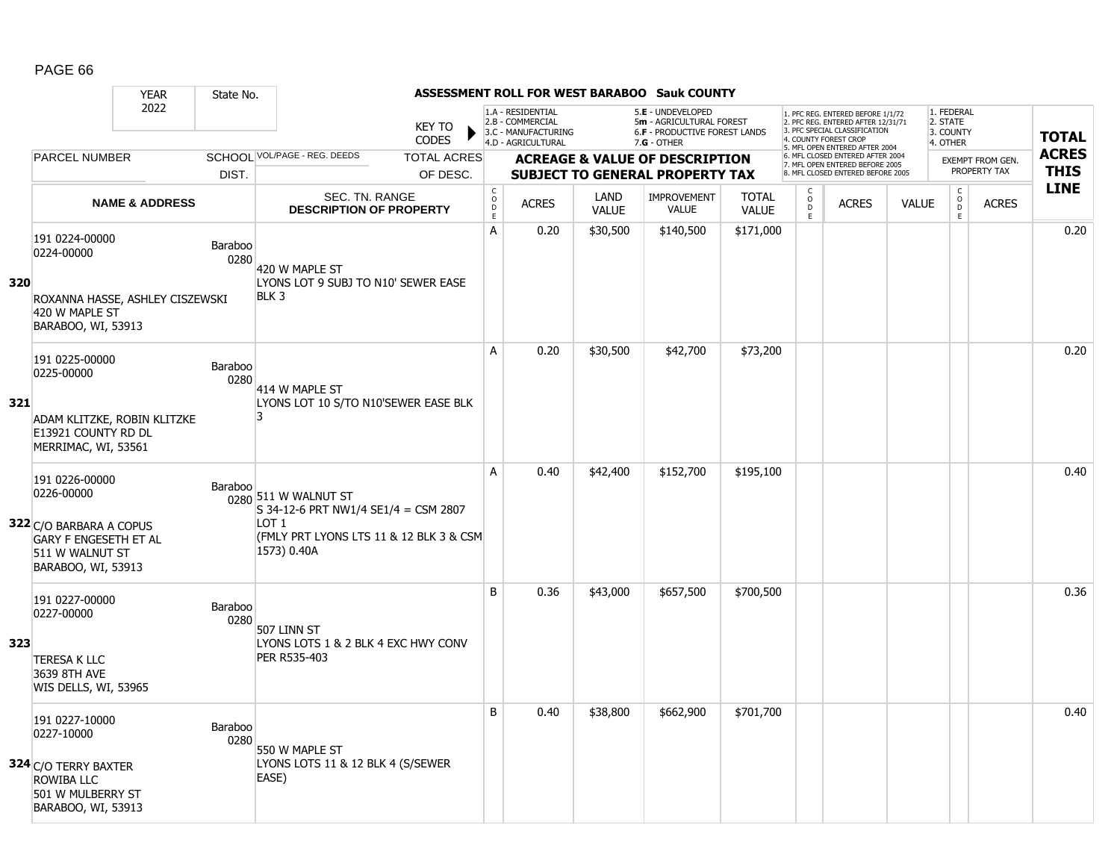|     |                                                                                                  | <b>YEAR</b>               | State No.              |                                                                            |                                                  |                                                                                    |                      | ASSESSMENT ROLL FOR WEST BARABOO Sauk COUNTY                                                           |                              |                                    |                                                                                                                                                                     |              |                                                 |                         |              |
|-----|--------------------------------------------------------------------------------------------------|---------------------------|------------------------|----------------------------------------------------------------------------|--------------------------------------------------|------------------------------------------------------------------------------------|----------------------|--------------------------------------------------------------------------------------------------------|------------------------------|------------------------------------|---------------------------------------------------------------------------------------------------------------------------------------------------------------------|--------------|-------------------------------------------------|-------------------------|--------------|
|     |                                                                                                  | 2022                      |                        | <b>KEY TO</b><br><b>CODES</b>                                              |                                                  | 1.A - RESIDENTIAL<br>2.B - COMMERCIAL<br>3.C - MANUFACTURING<br>4.D - AGRICULTURAL |                      | 5.E - UNDEVELOPED<br>5m - AGRICULTURAL FOREST<br><b>6.F - PRODUCTIVE FOREST LANDS</b><br>$7.G - OTHER$ |                              |                                    | 1. PFC REG. ENTERED BEFORE 1/1/72<br>2. PFC REG. ENTERED AFTER 12/31/71<br>3. PFC SPECIAL CLASSIFICATION<br>4. COUNTY FOREST CROP<br>5. MFL OPEN ENTERED AFTER 2004 |              | 1. FEDERAL<br>2. STATE<br>3. COUNTY<br>4. OTHER |                         | <b>TOTAL</b> |
|     | <b>PARCEL NUMBER</b>                                                                             |                           |                        | SCHOOL VOL/PAGE - REG. DEEDS<br><b>TOTAL ACRES</b>                         |                                                  |                                                                                    |                      | <b>ACREAGE &amp; VALUE OF DESCRIPTION</b>                                                              |                              |                                    | 6. MFL CLOSED ENTERED AFTER 2004<br>7. MFL OPEN ENTERED BEFORE 2005                                                                                                 |              |                                                 | <b>EXEMPT FROM GEN.</b> | <b>ACRES</b> |
|     |                                                                                                  |                           | DIST.                  | OF DESC.                                                                   |                                                  |                                                                                    |                      | <b>SUBJECT TO GENERAL PROPERTY TAX</b>                                                                 |                              |                                    | 8. MFL CLOSED ENTERED BEFORE 2005                                                                                                                                   |              |                                                 | PROPERTY TAX            | <b>THIS</b>  |
|     |                                                                                                  | <b>NAME &amp; ADDRESS</b> |                        | <b>SEC. TN. RANGE</b><br><b>DESCRIPTION OF PROPERTY</b>                    | $_{\rm o}^{\rm c}$<br>$\mathsf D$<br>$\mathsf E$ | <b>ACRES</b>                                                                       | LAND<br><b>VALUE</b> | <b>IMPROVEMENT</b><br><b>VALUE</b>                                                                     | <b>TOTAL</b><br><b>VALUE</b> | $\mathsf{C}$<br>$\circ$<br>D<br>E. | <b>ACRES</b>                                                                                                                                                        | <b>VALUE</b> | $\mathsf C$<br>$\overline{D}$<br>E              | <b>ACRES</b>            | <b>LINE</b>  |
| 320 | 191 0224-00000<br>0224-00000                                                                     |                           | Baraboo<br>0280        | 420 W MAPLE ST<br>LYONS LOT 9 SUBJ TO N10' SEWER EASE                      | A                                                | 0.20                                                                               | \$30,500             | \$140,500                                                                                              | \$171,000                    |                                    |                                                                                                                                                                     |              |                                                 |                         | 0.20         |
|     | ROXANNA HASSE, ASHLEY CISZEWSKI<br>420 W MAPLE ST<br>BARABOO, WI, 53913                          |                           |                        | BLK 3                                                                      |                                                  |                                                                                    |                      |                                                                                                        |                              |                                    |                                                                                                                                                                     |              |                                                 |                         |              |
|     | 191 0225-00000<br>0225-00000                                                                     |                           | Baraboo<br>0280        | 414 W MAPLE ST                                                             | A                                                | 0.20                                                                               | \$30,500             | \$42,700                                                                                               | \$73,200                     |                                    |                                                                                                                                                                     |              |                                                 |                         | 0.20         |
| 321 | ADAM KLITZKE, ROBIN KLITZKE<br>E13921 COUNTY RD DL<br>MERRIMAC, WI, 53561                        |                           |                        | LYONS LOT 10 S/TO N10'SEWER EASE BLK<br>З                                  |                                                  |                                                                                    |                      |                                                                                                        |                              |                                    |                                                                                                                                                                     |              |                                                 |                         |              |
|     | 191 0226-00000<br>0226-00000                                                                     |                           | Baraboo                | 0280 511 W WALNUT ST<br>S 34-12-6 PRT NW1/4 SE1/4 = CSM 2807               | A                                                | 0.40                                                                               | \$42,400             | \$152,700                                                                                              | \$195,100                    |                                    |                                                                                                                                                                     |              |                                                 |                         | 0.40         |
|     | 322 C/O BARBARA A COPUS<br><b>GARY F ENGESETH ET AL</b><br>511 W WALNUT ST<br>BARABOO, WI, 53913 |                           |                        | LOT <sub>1</sub><br>(FMLY PRT LYONS LTS 11 & 12 BLK 3 & CSM<br>1573) 0.40A |                                                  |                                                                                    |                      |                                                                                                        |                              |                                    |                                                                                                                                                                     |              |                                                 |                         |              |
|     | 191 0227-00000<br>0227-00000                                                                     |                           | Baraboo<br>0280        | 507 LINN ST                                                                | B                                                | 0.36                                                                               | \$43,000             | \$657,500                                                                                              | \$700,500                    |                                    |                                                                                                                                                                     |              |                                                 |                         | 0.36         |
| 323 | <b>TERESA K LLC</b><br>3639 8TH AVE<br>WIS DELLS, WI, 53965                                      |                           |                        | LYONS LOTS 1 & 2 BLK 4 EXC HWY CONV<br>PER R535-403                        |                                                  |                                                                                    |                      |                                                                                                        |                              |                                    |                                                                                                                                                                     |              |                                                 |                         |              |
|     | 191 0227-10000<br>0227-10000                                                                     |                           | <b>Baraboo</b><br>0280 | 550 W MAPLE ST                                                             | B                                                | 0.40                                                                               | \$38,800             | \$662,900                                                                                              | \$701,700                    |                                    |                                                                                                                                                                     |              |                                                 |                         | 0.40         |
|     | 324 C/O TERRY BAXTER<br>ROWIBA LLC<br>501 W MULBERRY ST<br>BARABOO, WI, 53913                    |                           |                        | LYONS LOTS 11 & 12 BLK 4 (S/SEWER<br>EASE)                                 |                                                  |                                                                                    |                      |                                                                                                        |                              |                                    |                                                                                                                                                                     |              |                                                 |                         |              |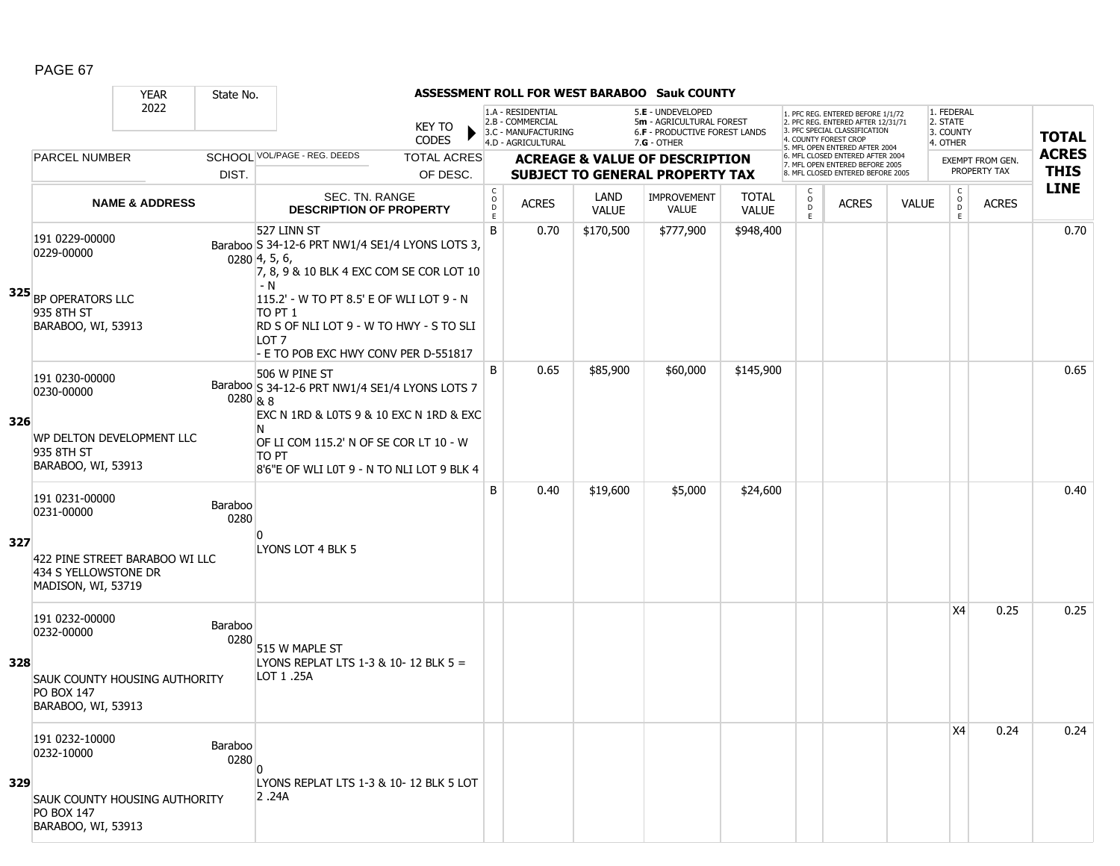|     |                                                                                 | <b>YEAR</b>               | State No.              |                                                                                                                                                 |                               |                             |                                                              |                      | ASSESSMENT ROLL FOR WEST BARABOO Sauk COUNTY                                   |                              |                         |                                                                                                          |              |                                     |                                         |              |
|-----|---------------------------------------------------------------------------------|---------------------------|------------------------|-------------------------------------------------------------------------------------------------------------------------------------------------|-------------------------------|-----------------------------|--------------------------------------------------------------|----------------------|--------------------------------------------------------------------------------|------------------------------|-------------------------|----------------------------------------------------------------------------------------------------------|--------------|-------------------------------------|-----------------------------------------|--------------|
|     |                                                                                 | 2022                      |                        |                                                                                                                                                 | <b>KEY TO</b><br><b>CODES</b> |                             | 1.A - RESIDENTIAL<br>2.B - COMMERCIAL<br>3.C - MANUFACTURING |                      | 5.E - UNDEVELOPED<br>5m - AGRICULTURAL FOREST<br>6.F - PRODUCTIVE FOREST LANDS |                              | 4. COUNTY FOREST CROF   | 1. PFC REG. ENTERED BEFORE 1/1/72<br>2. PFC REG. ENTERED AFTER 12/31/71<br>3. PFC SPECIAL CLASSIFICATION |              | 1. FEDERAL<br>2. STATE<br>3. COUNTY |                                         | <b>TOTAL</b> |
|     | <b>PARCEL NUMBER</b>                                                            |                           |                        | SCHOOL VOL/PAGE - REG. DEEDS                                                                                                                    | <b>TOTAL ACRES</b>            |                             | 4.D - AGRICULTURAL                                           |                      | $7.G - OTHER$<br><b>ACREAGE &amp; VALUE OF DESCRIPTION</b>                     |                              |                         | 5. MFL OPEN ENTERED AFTER 2004<br>6. MFL CLOSED ENTERED AFTER 2004                                       |              | 4. OTHER                            |                                         | <b>ACRES</b> |
|     |                                                                                 |                           | DIST.                  |                                                                                                                                                 | OF DESC.                      |                             |                                                              |                      | <b>SUBJECT TO GENERAL PROPERTY TAX</b>                                         |                              |                         | 7. MFL OPEN ENTERED BEFORE 2005<br>8. MFL CLOSED ENTERED BEFORE 2005                                     |              |                                     | <b>EXEMPT FROM GEN.</b><br>PROPERTY TAX | <b>THIS</b>  |
|     |                                                                                 | <b>NAME &amp; ADDRESS</b> |                        | SEC. TN. RANGE<br><b>DESCRIPTION OF PROPERTY</b>                                                                                                |                               | C<br>$\mathsf{o}$<br>D<br>E | <b>ACRES</b>                                                 | LAND<br><b>VALUE</b> | IMPROVEMENT<br><b>VALUE</b>                                                    | <b>TOTAL</b><br><b>VALUE</b> | C<br>$\circ$<br>D<br>E. | <b>ACRES</b>                                                                                             | <b>VALUE</b> | C<br>$_{\rm D}^{\rm O}$<br>E        | <b>ACRES</b>                            | <b>LINE</b>  |
|     | 191 0229-00000<br>0229-00000                                                    |                           |                        | 527 LINN ST<br>Baraboo S 34-12-6 PRT NW1/4 SE1/4 LYONS LOTS 3,<br>$0280\,4, 5, 6,$<br>7, 8, 9 & 10 BLK 4 EXC COM SE COR LOT 10<br>- N           |                               | B                           | 0.70                                                         | \$170,500            | \$777,900                                                                      | \$948,400                    |                         |                                                                                                          |              |                                     |                                         | 0.70         |
|     | <b>325</b> BP OPERATORS LLC<br>935 8TH ST<br>BARABOO, WI, 53913                 |                           |                        | 115.2' - W TO PT 8.5' E OF WLI LOT 9 - N<br>TO PT 1<br>RD S OF NLI LOT 9 - W TO HWY - S TO SLI<br>LOT 7<br>- E TO POB EXC HWY CONV PER D-551817 |                               |                             |                                                              |                      |                                                                                |                              |                         |                                                                                                          |              |                                     |                                         |              |
| 326 | 191 0230-00000<br>0230-00000                                                    |                           | 0280 & 8               | 506 W PINE ST<br>Baraboo S 34-12-6 PRT NW1/4 SE1/4 LYONS LOTS 7<br>EXC N 1RD & L0TS 9 & 10 EXC N 1RD & EXC<br>N                                 |                               | B                           | 0.65                                                         | \$85,900             | \$60,000                                                                       | \$145,900                    |                         |                                                                                                          |              |                                     |                                         | 0.65         |
|     | WP DELTON DEVELOPMENT LLC<br>935 8TH ST<br>BARABOO, WI, 53913                   |                           |                        | OF LI COM 115.2' N OF SE COR LT 10 - W<br>TO PT<br>8'6"E OF WLI L0T 9 - N TO NLI LOT 9 BLK 4                                                    |                               |                             |                                                              |                      |                                                                                |                              |                         |                                                                                                          |              |                                     |                                         |              |
|     | 191 0231-00000<br>0231-00000                                                    |                           | <b>Baraboo</b><br>0280 | U                                                                                                                                               |                               | B                           | 0.40                                                         | \$19,600             | \$5,000                                                                        | \$24,600                     |                         |                                                                                                          |              |                                     |                                         | 0.40         |
| 327 | 422 PINE STREET BARABOO WI LLC<br>434 S YELLOWSTONE DR<br>MADISON, WI, 53719    |                           |                        | LYONS LOT 4 BLK 5                                                                                                                               |                               |                             |                                                              |                      |                                                                                |                              |                         |                                                                                                          |              |                                     |                                         |              |
|     | 191 0232-00000<br>0232-00000                                                    |                           | <b>Baraboo</b><br>0280 | 515 W MAPLE ST<br>LYONS REPLAT LTS 1-3 & 10-12 BLK 5 =                                                                                          |                               |                             |                                                              |                      |                                                                                |                              |                         |                                                                                                          |              | X4                                  | 0.25                                    | 0.25         |
| 328 | <b>SAUK COUNTY HOUSING AUTHORITY</b><br><b>PO BOX 147</b><br>BARABOO, WI, 53913 |                           |                        | LOT 1 .25A                                                                                                                                      |                               |                             |                                                              |                      |                                                                                |                              |                         |                                                                                                          |              |                                     |                                         |              |
|     | 191 0232-10000<br>0232-10000                                                    |                           | Baraboo<br>0280        | $\overline{0}$                                                                                                                                  |                               |                             |                                                              |                      |                                                                                |                              |                         |                                                                                                          |              | X4                                  | 0.24                                    | 0.24         |
| 329 | <b>SAUK COUNTY HOUSING AUTHORITY</b><br><b>PO BOX 147</b><br>BARABOO, WI, 53913 |                           |                        | LYONS REPLAT LTS 1-3 & 10-12 BLK 5 LOT<br>2.24A                                                                                                 |                               |                             |                                                              |                      |                                                                                |                              |                         |                                                                                                          |              |                                     |                                         |              |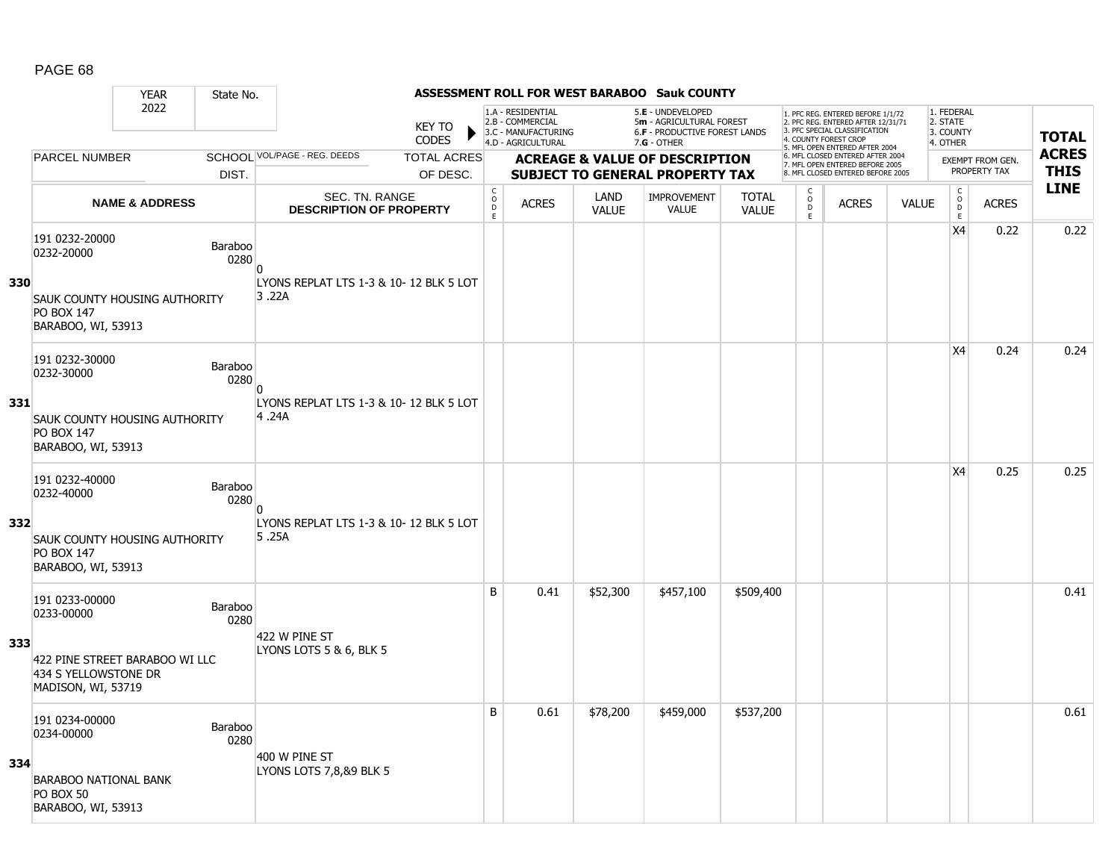#### YEAR State No. **ASSESSMENT ROLL FOR WEST BARABOO Sauk COUNTY** 2022 KEY TO **CODES** 1. PFC REG. ENTERED BEFORE 1/1/72 2. PFC REG. ENTERED AFTER 12/31/71 3. PFC SPECIAL CLASSIFICATION 4. COUNTY FOREST CROP 5. MFL OPEN ENTERED AFTER 2004 6. MFL CLOSED ENTERED AFTER 2004 7. MFL OPEN ENTERED BEFORE 2005 8. MFL CLOSED ENTERED BEFORE 2005 1. FEDERAL 2. STATE 3. COUNTY 4. OTHER **ACREAGE & VALUE OF DESCRIPTION SUBJECT TO GENERAL PROPERTY TAX** EXEMPT FROM GEN. PROPERTY TAX **TOTAL ACRES THIS LINE** 1.A - RESIDENTIAL 2.B - COMMERCIAL 3.C - MANUFACTURING 4.D - AGRICULTURAL 5.**E** - UNDEVELOPED 5**m** - AGRICULTURAL FOREST 6.**F** - PRODUCTIVE FOREST LANDS 7.**G** - OTHER TOTAL ACRES OF DESC. SCHOOL VOL/PAGE - REG. DEEDS DIST. PARCEL NUMBER ACRES C O  $\overline{D}$ E ACRES VALUE  $\mathsf{C}$ O  $\overline{D}$ E TOTAL VALUE IMPROVEMENT VALUE LAND ACRES | VALUE C O  $\overline{D}$ E SEC. TN. RANGE **DESCRIPTION OF PROPERTY NAME & ADDRESS 330** 191 0232-20000 131 0232-20000<br>0232-20000 Baraboo 0280 SAUK COUNTY HOUSING AUTHORITY PO BOX 147 BARABOO, WI, 53913  $\overline{0}$ LYONS REPLAT LTS 1-3 & 10- 12 BLK 5 LOT 3 .22A  $X4$  0.22 0.22 **331** 191 0232-30000 191 0232-30000<br>0232-30000 Baraboo 0280 SAUK COUNTY HOUSING AUTHORITY PO BOX 147 BARABOO, WI, 53913  $\overline{0}$ LYONS REPLAT LTS 1-3 & 10- 12 BLK 5 LOT 4 .24A  $X4$  0.24 0.24 **332** 191 0232-40000 131 0232-40000<br>0232-40000 Baraboo 0280 SAUK COUNTY HOUSING AUTHORITY PO BOX 147 BARABOO, WI, 53913  $\overline{0}$ LYONS REPLAT LTS 1-3 & 10- 12 BLK 5 LOT 5 .25A  $X4$  0.25 0.25 **333** 191 0233-00000 131 0233-00000<br>0233-00000 Baraboo 0280 422 PINE STREET BARABOO WI LLC 434 S YELLOWSTONE DR MADISON, WI, 53719 422 W PINE ST LYONS LOTS 5 & 6, BLK 5 B 0.41 \$52,300 \$457,100 \$509,400 distribution of the 10.41 contract of the 10.41 contract of the 10.41 contract o **334** 191 0234-00000 131 0234-00000<br>0234-00000 Baraboo 0280 BARABOO NATIONAL BANK PO BOX 50 BARABOO, WI, 53913 400 W PINE ST LYONS LOTS 7,8,89 BLK 5 B 0.61 \$78,200 \$459,000 \$537,200 distribution of the 10.61  $\,$  0.61  $\,$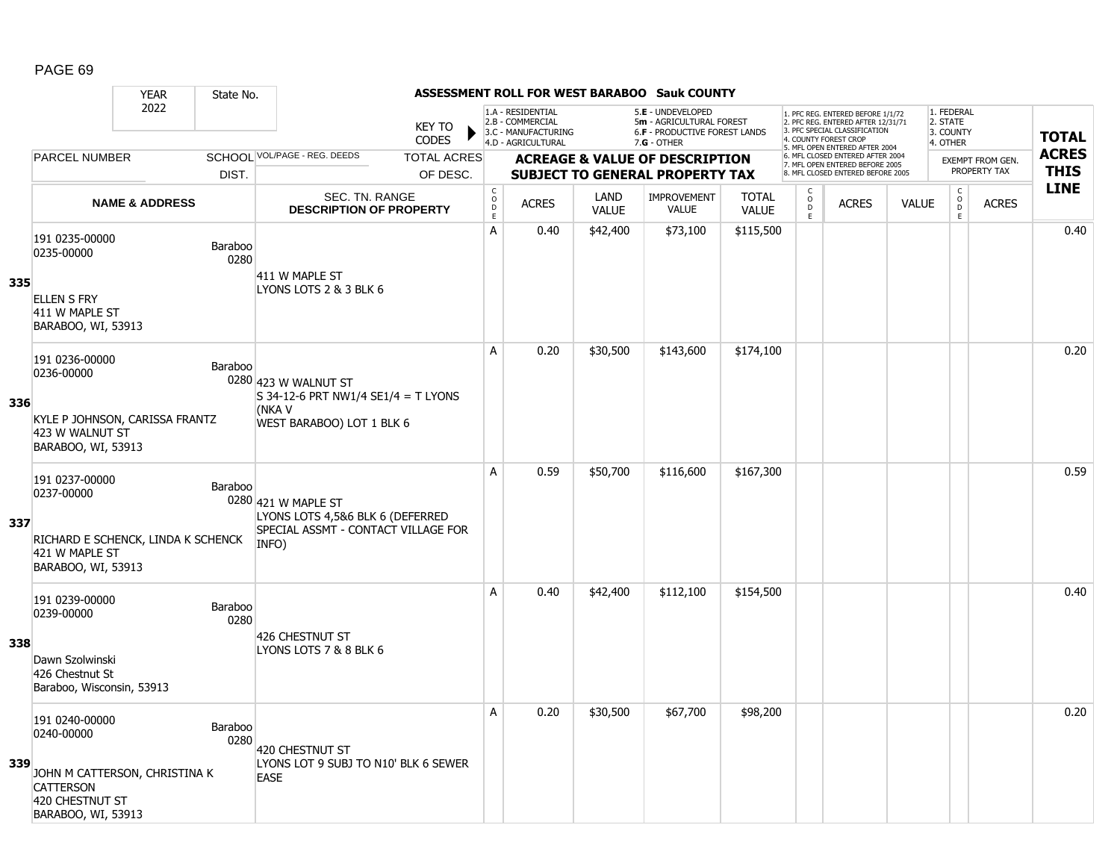|     |                                                                                                                            | <b>YEAR</b>               | State No.              |                                                                                                         |                               |                                                 |                                                                                    |                      | ASSESSMENT ROLL FOR WEST BARABOO Sauk COUNTY                                                         |                              |                                   |                                                                                                                                   |              |                                                 |                         |              |              |
|-----|----------------------------------------------------------------------------------------------------------------------------|---------------------------|------------------------|---------------------------------------------------------------------------------------------------------|-------------------------------|-------------------------------------------------|------------------------------------------------------------------------------------|----------------------|------------------------------------------------------------------------------------------------------|------------------------------|-----------------------------------|-----------------------------------------------------------------------------------------------------------------------------------|--------------|-------------------------------------------------|-------------------------|--------------|--------------|
|     |                                                                                                                            | 2022                      |                        |                                                                                                         | <b>KEY TO</b><br><b>CODES</b> |                                                 | 1.A - RESIDENTIAL<br>2.B - COMMERCIAL<br>3.C - MANUFACTURING<br>4.D - AGRICULTURAL |                      | 5.E - UNDEVELOPED<br>5m - AGRICULTURAL FOREST<br><b>6.F - PRODUCTIVE FOREST LANDS</b><br>7.G - OTHER |                              |                                   | 1. PFC REG. ENTERED BEFORE 1/1/72<br>2. PFC REG. ENTERED AFTER 12/31/71<br>3. PFC SPECIAL CLASSIFICATION<br>4. COUNTY FOREST CROP |              | 1. FEDERAL<br>2. STATE<br>3. COUNTY<br>4. OTHER |                         |              | <b>TOTAL</b> |
|     | <b>PARCEL NUMBER</b>                                                                                                       |                           |                        | SCHOOL VOL/PAGE - REG. DEEDS                                                                            | <b>TOTAL ACRES</b>            |                                                 |                                                                                    |                      | <b>ACREAGE &amp; VALUE OF DESCRIPTION</b>                                                            |                              |                                   | 5. MFL OPEN ENTERED AFTER 2004<br>6. MFL CLOSED ENTERED AFTER 2004<br>7. MFL OPEN ENTERED BEFORE 2005                             |              |                                                 | <b>EXEMPT FROM GEN.</b> |              | <b>ACRES</b> |
|     |                                                                                                                            |                           | DIST.                  |                                                                                                         | OF DESC.                      |                                                 |                                                                                    |                      | <b>SUBJECT TO GENERAL PROPERTY TAX</b>                                                               |                              |                                   | 8. MFL CLOSED ENTERED BEFORE 2005                                                                                                 |              |                                                 | PROPERTY TAX            |              | <b>THIS</b>  |
|     |                                                                                                                            | <b>NAME &amp; ADDRESS</b> |                        | <b>SEC. TN. RANGE</b><br><b>DESCRIPTION OF PROPERTY</b>                                                 |                               | $\mathsf C$<br>$\mathsf{o}$<br>D<br>$\mathsf E$ | <b>ACRES</b>                                                                       | LAND<br><b>VALUE</b> | <b>IMPROVEMENT</b><br><b>VALUE</b>                                                                   | <b>TOTAL</b><br><b>VALUE</b> | $\mathsf{C}$<br>$\circ$<br>D<br>E | <b>ACRES</b>                                                                                                                      | <b>VALUE</b> | $\mathsf{C}$<br>$\overline{D}$<br>E             |                         | <b>ACRES</b> | <b>LINE</b>  |
|     | 191 0235-00000<br>0235-00000                                                                                               |                           | Baraboo<br>0280        | 411 W MAPLE ST                                                                                          |                               | A                                               | 0.40                                                                               | \$42,400             | \$73,100                                                                                             | \$115,500                    |                                   |                                                                                                                                   |              |                                                 |                         |              | 0.40         |
| 335 | <b>ELLEN S FRY</b><br>411 W MAPLE ST<br>BARABOO, WI, 53913                                                                 |                           |                        | LYONS LOTS 2 & 3 BLK 6                                                                                  |                               |                                                 |                                                                                    |                      |                                                                                                      |                              |                                   |                                                                                                                                   |              |                                                 |                         |              |              |
|     | 191 0236-00000<br>0236-00000                                                                                               |                           | Baraboo                | 0280 423 W WALNUT ST<br>S 34-12-6 PRT NW1/4 SE1/4 = T LYONS                                             |                               | A                                               | 0.20                                                                               | \$30,500             | \$143,600                                                                                            | \$174,100                    |                                   |                                                                                                                                   |              |                                                 |                         |              | 0.20         |
| 336 | KYLE P JOHNSON, CARISSA FRANTZ<br>423 W WALNUT ST<br>BARABOO, WI, 53913                                                    |                           |                        | (NKA V<br>WEST BARABOO) LOT 1 BLK 6                                                                     |                               |                                                 |                                                                                    |                      |                                                                                                      |                              |                                   |                                                                                                                                   |              |                                                 |                         |              |              |
| 337 | 191 0237-00000<br>0237-00000<br>RICHARD E SCHENCK, LINDA K SCHENCK<br>421 W MAPLE ST<br>BARABOO, WI, 53913                 |                           | Baraboo                | 0280 421 W MAPLE ST<br>LYONS LOTS 4,5&6 BLK 6 (DEFERRED<br>SPECIAL ASSMT - CONTACT VILLAGE FOR<br>INFO) |                               | A                                               | 0.59                                                                               | \$50,700             | \$116,600                                                                                            | \$167,300                    |                                   |                                                                                                                                   |              |                                                 |                         |              | 0.59         |
| 338 | 191 0239-00000<br>0239-00000<br>Dawn Szolwinski<br>426 Chestnut St<br>Baraboo, Wisconsin, 53913                            |                           | <b>Baraboo</b><br>0280 | 426 CHESTNUT ST<br>LYONS LOTS 7 & 8 BLK 6                                                               |                               | A                                               | 0.40                                                                               | \$42,400             | \$112,100                                                                                            | \$154,500                    |                                   |                                                                                                                                   |              |                                                 |                         |              | 0.40         |
| 339 | 191 0240-00000<br>0240-00000<br>JOHN M CATTERSON, CHRISTINA K<br><b>CATTERSON</b><br>420 CHESTNUT ST<br>BARABOO, WI, 53913 |                           | Baraboo<br>0280        | 420 CHESTNUT ST<br>LYONS LOT 9 SUBJ TO N10' BLK 6 SEWER<br><b>EASE</b>                                  |                               | A                                               | 0.20                                                                               | \$30,500             | \$67,700                                                                                             | \$98,200                     |                                   |                                                                                                                                   |              |                                                 |                         |              | 0.20         |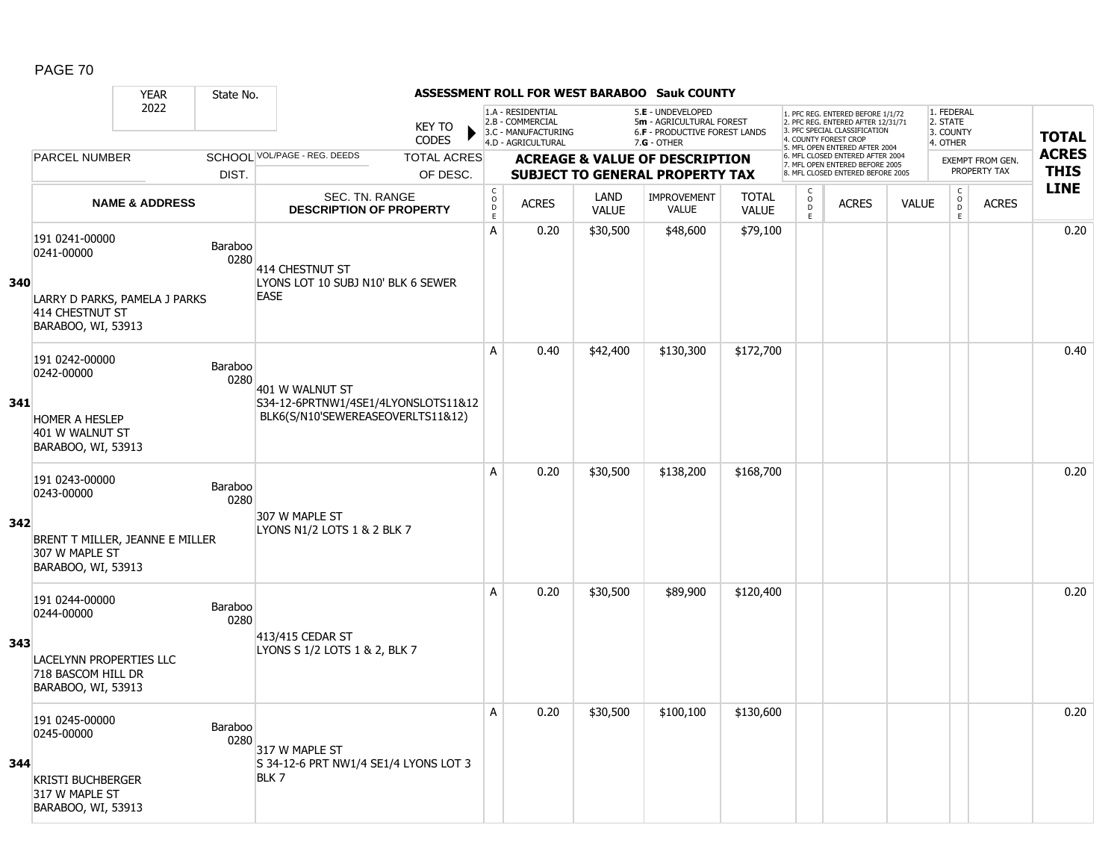|     |                                                                            | <b>YEAR</b>               | State No.       |                                                                          |                               |                                                      |                                                                                    |                      | <b>ASSESSMENT ROLL FOR WEST BARABOO Sauk COUNTY</b>                                             |                              |                                            |                                                                                                                                   |              |                                                          |                  |              |
|-----|----------------------------------------------------------------------------|---------------------------|-----------------|--------------------------------------------------------------------------|-------------------------------|------------------------------------------------------|------------------------------------------------------------------------------------|----------------------|-------------------------------------------------------------------------------------------------|------------------------------|--------------------------------------------|-----------------------------------------------------------------------------------------------------------------------------------|--------------|----------------------------------------------------------|------------------|--------------|
|     |                                                                            | 2022                      |                 |                                                                          | <b>KEY TO</b><br><b>CODES</b> |                                                      | 1.A - RESIDENTIAL<br>2.B - COMMERCIAL<br>3.C - MANUFACTURING<br>4.D - AGRICULTURAL |                      | 5.E - UNDEVELOPED<br>5m - AGRICULTURAL FOREST<br>6.F - PRODUCTIVE FOREST LANDS<br>$7.G - OTHER$ |                              |                                            | 1. PFC REG. ENTERED BEFORE 1/1/72<br>2. PFC REG. ENTERED AFTER 12/31/71<br>3. PFC SPECIAL CLASSIFICATION<br>4. COUNTY FOREST CROP |              | 1. FEDERAL<br>2. STATE<br>3. COUNTY<br>4. OTHER          |                  | <b>TOTAL</b> |
|     | <b>PARCEL NUMBER</b>                                                       |                           |                 | SCHOOL VOL/PAGE - REG. DEEDS                                             | <b>TOTAL ACRES</b>            |                                                      |                                                                                    |                      | <b>ACREAGE &amp; VALUE OF DESCRIPTION</b>                                                       |                              |                                            | 5. MFL OPEN ENTERED AFTER 2004<br>6. MFL CLOSED ENTERED AFTER 2004                                                                |              |                                                          | EXEMPT FROM GEN. | <b>ACRES</b> |
|     |                                                                            |                           | DIST.           |                                                                          | OF DESC.                      |                                                      |                                                                                    |                      | <b>SUBJECT TO GENERAL PROPERTY TAX</b>                                                          |                              |                                            | 7. MFL OPEN ENTERED BEFORE 2005<br>8. MFL CLOSED ENTERED BEFORE 2005                                                              |              |                                                          | PROPERTY TAX     | <b>THIS</b>  |
|     |                                                                            | <b>NAME &amp; ADDRESS</b> |                 | <b>SEC. TN. RANGE</b><br><b>DESCRIPTION OF PROPERTY</b>                  |                               | $\mathsf{C}$<br>$\circ$<br>$\mathsf{D}_{\mathsf{E}}$ | <b>ACRES</b>                                                                       | LAND<br><b>VALUE</b> | <b>IMPROVEMENT</b><br><b>VALUE</b>                                                              | <b>TOTAL</b><br><b>VALUE</b> | $\begin{array}{c} C \\ 0 \\ E \end{array}$ | <b>ACRES</b>                                                                                                                      | <b>VALUE</b> | $\begin{matrix} 0 \\ 0 \\ D \end{matrix}$<br>$\mathsf E$ | <b>ACRES</b>     | <b>LINE</b>  |
| 340 | 191 0241-00000<br>0241-00000                                               |                           | Baraboo<br>0280 | 414 CHESTNUT ST<br>LYONS LOT 10 SUBJ N10' BLK 6 SEWER                    |                               | $\mathsf{A}$                                         | 0.20                                                                               | \$30,500             | \$48,600                                                                                        | \$79,100                     |                                            |                                                                                                                                   |              |                                                          |                  | 0.20         |
|     | LARRY D PARKS, PAMELA J PARKS<br>414 CHESTNUT ST<br>BARABOO, WI, 53913     |                           |                 | <b>EASE</b>                                                              |                               |                                                      |                                                                                    |                      |                                                                                                 |                              |                                            |                                                                                                                                   |              |                                                          |                  |              |
|     | 191 0242-00000<br>0242-00000                                               |                           | Baraboo<br>0280 | 401 W WALNUT ST                                                          |                               | A                                                    | 0.40                                                                               | \$42,400             | \$130,300                                                                                       | \$172,700                    |                                            |                                                                                                                                   |              |                                                          |                  | 0.40         |
| 341 | <b>HOMER A HESLEP</b><br>401 W WALNUT ST<br>BARABOO, WI, 53913             |                           |                 | S34-12-6PRTNW1/4SE1/4LYONSLOTS11&12<br>BLK6(S/N10'SEWEREASEOVERLTS11&12) |                               |                                                      |                                                                                    |                      |                                                                                                 |                              |                                            |                                                                                                                                   |              |                                                          |                  |              |
|     | 191 0243-00000<br>0243-00000                                               |                           | Baraboo<br>0280 | 307 W MAPLE ST                                                           |                               | A                                                    | 0.20                                                                               | \$30,500             | \$138,200                                                                                       | \$168,700                    |                                            |                                                                                                                                   |              |                                                          |                  | 0.20         |
| 342 | BRENT T MILLER, JEANNE E MILLER<br>307 W MAPLE ST<br>BARABOO, WI, 53913    |                           |                 | LYONS N1/2 LOTS 1 & 2 BLK 7                                              |                               |                                                      |                                                                                    |                      |                                                                                                 |                              |                                            |                                                                                                                                   |              |                                                          |                  |              |
|     | 191 0244-00000<br>0244-00000                                               |                           | Baraboo<br>0280 |                                                                          |                               | Α                                                    | 0.20                                                                               | \$30,500             | \$89,900                                                                                        | \$120,400                    |                                            |                                                                                                                                   |              |                                                          |                  | 0.20         |
| 343 | <b>LACELYNN PROPERTIES LLC</b><br>718 BASCOM HILL DR<br>BARABOO, WI, 53913 |                           |                 | 413/415 CEDAR ST<br>LYONS S 1/2 LOTS 1 & 2, BLK 7                        |                               |                                                      |                                                                                    |                      |                                                                                                 |                              |                                            |                                                                                                                                   |              |                                                          |                  |              |
| 344 | 191 0245-00000<br>0245-00000                                               |                           | Baraboo<br>0280 | 317 W MAPLE ST<br>S 34-12-6 PRT NW1/4 SE1/4 LYONS LOT 3                  |                               | A                                                    | 0.20                                                                               | \$30,500             | \$100,100                                                                                       | \$130,600                    |                                            |                                                                                                                                   |              |                                                          |                  | 0.20         |
|     | <b>KRISTI BUCHBERGER</b><br>317 W MAPLE ST<br>BARABOO, WI, 53913           |                           |                 | BLK 7                                                                    |                               |                                                      |                                                                                    |                      |                                                                                                 |                              |                                            |                                                                                                                                   |              |                                                          |                  |              |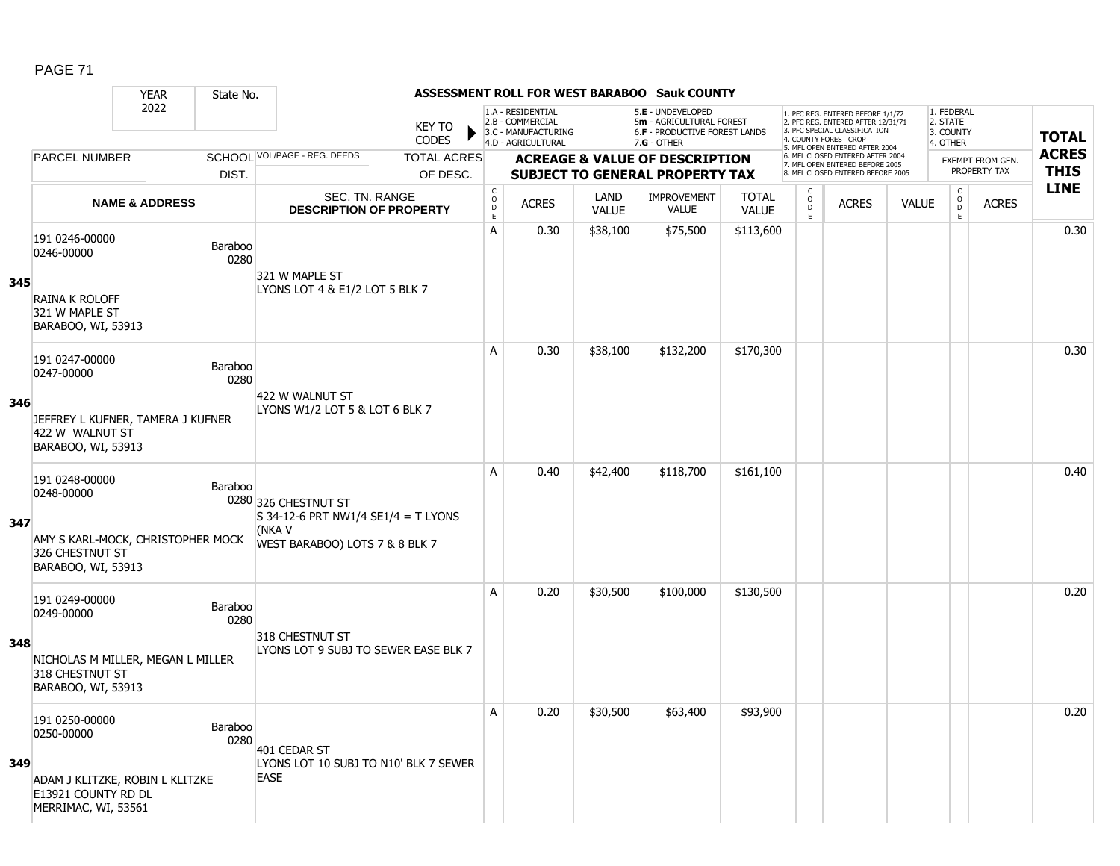#### YEAR State No. **ASSESSMENT ROLL FOR WEST BARABOO Sauk COUNTY** 2022 KEY TO **CODES** 1. PFC REG. ENTERED BEFORE 1/1/72 2. PFC REG. ENTERED AFTER 12/31/71 3. PFC SPECIAL CLASSIFICATION 4. COUNTY FOREST CROP 5. MFL OPEN ENTERED AFTER 2004 6. MFL CLOSED ENTERED AFTER 2004 7. MFL OPEN ENTERED BEFORE 2005 8. MFL CLOSED ENTERED BEFORE 2005 1. FEDERAL 2. STATE 3. COUNTY 4. OTHER **ACREAGE & VALUE OF DESCRIPTION SUBJECT TO GENERAL PROPERTY TAX** EXEMPT FROM GEN. PROPERTY TAX **TOTAL ACRES THIS LINE** 1.A - RESIDENTIAL 2.B - COMMERCIAL 3.C - MANUFACTURING 4.D - AGRICULTURAL 5.**E** - UNDEVELOPED 5**m** - AGRICULTURAL FOREST 6.**F** - PRODUCTIVE FOREST LANDS 7.**G** - OTHER TOTAL ACRES OF DESC. SCHOOL VOL/PAGE - REG. DEEDS DIST. **PARCEL NUMBER** ACRES C O  $\overline{D}$ E ACRES VALUE  $\mathsf{C}$ O  $\overline{D}$ E TOTAL VALUE IMPROVEMENT VALUE LAND ACRES | VALUE C O  $\overline{D}$ E SEC. TN. RANGE **DESCRIPTION OF PROPERTY NAME & ADDRESS 345** 191 0246-00000 151 0240-00000<br>0246-00000 Baraboo 0280 RAINA K ROLOFF 321 W MAPLE ST BARABOO, WI, 53913 321 W MAPLE ST LYONS LOT 4 & E1/2 LOT 5 BLK 7 A 0.30 \$38,100 \$75,500 \$113,600 distribution of the 10.30  $\,$ **346** 191 0247-00000 131 0247-00000<br>0247-00000 Baraboo 0280 JEFFREY L KUFNER, TAMERA J KUFNER 422 W WALNUT ST BARABOO, WI, 53913 422 W WALNUT ST LYONS W1/2 LOT 5 & LOT 6 BLK 7 A 0.30 \$38,100 \$132,200 \$170,300 distance the same of the same of the same of the same of the same of the same **347** 191 0248-00000 131 0248-00000<br>0248-00000 Baraboo 0280 326 CHESTNUT ST AMY S KARL-MOCK, CHRISTOPHER MOCK 326 CHESTNUT ST BARABOO, WI, 53913 S 34-12-6 PRT NW1/4 SE1/4 = T LYONS (NKA V WEST BARABOO) LOTS 7 & 8 BLK 7 A 0.40 \$42,400 \$118,700 \$161,100 degree between the set o.40  $\,$ **348** 191 0249-00000 131 0243-00000<br>0249-00000 Baraboo 0280 NICHOLAS M MILLER, MEGAN L MILLER 318 CHESTNUT ST BARABOO, WI, 53913 318 CHESTNUT ST LYONS LOT 9 SUBJ TO SEWER EASE BLK 7 A 0.20 \$30,500 \$100,000 \$130,500 distance the set of the set of the set of the set of the set of the set of th **349** 191 0250-00000 0250-00000 Baraboo 0280 ADAM J KLITZKE, ROBIN L KLITZKE E13921 COUNTY RD DL MERRIMAC, WI, 53561 401 CEDAR ST LYONS LOT 10 SUBJ TO N10' BLK 7 SEWER **EASE** A 0.20 \$30,500 \$63,400 \$93,900 0.20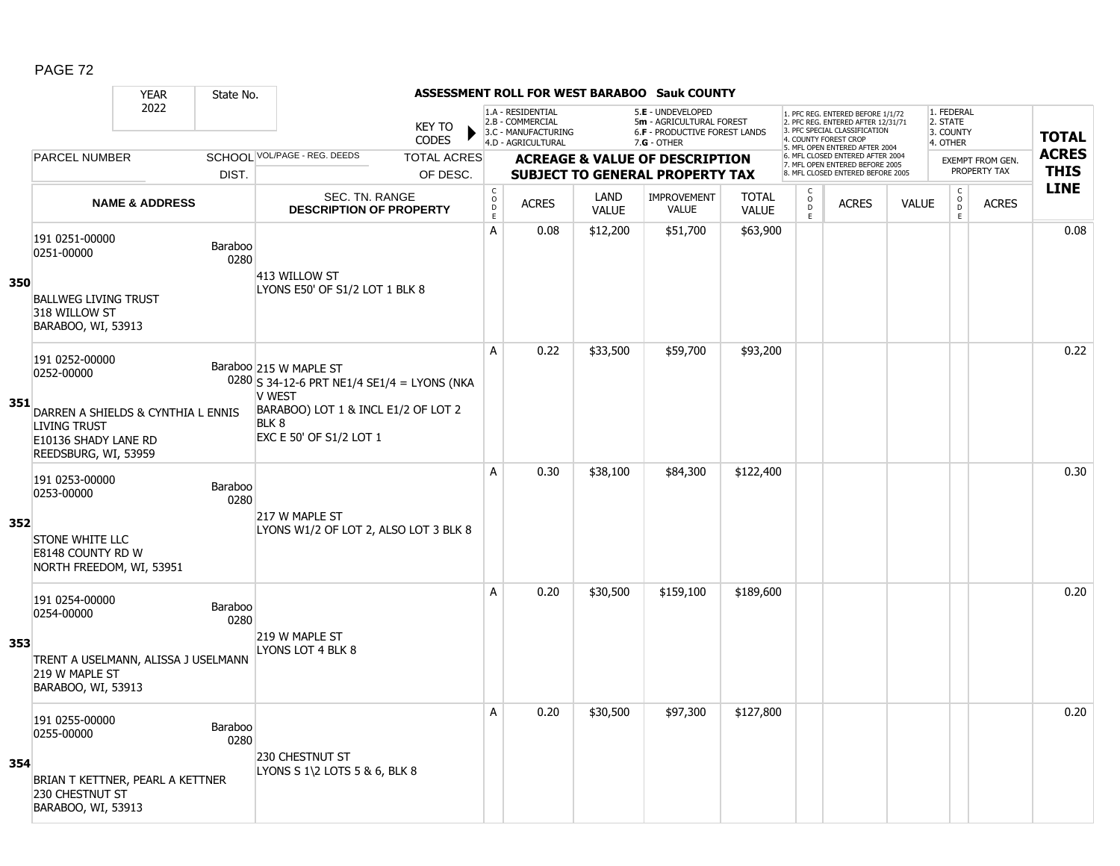|     |                                                                                                                   | <b>YEAR</b>               | State No.       |                                                                                                                                                              |                                            |                                                              |                      | ASSESSMENT ROLL FOR WEST BARABOO Sauk COUNTY                                        |                              |                                     |                                                                                                          |              |                                                |                                  |              |
|-----|-------------------------------------------------------------------------------------------------------------------|---------------------------|-----------------|--------------------------------------------------------------------------------------------------------------------------------------------------------------|--------------------------------------------|--------------------------------------------------------------|----------------------|-------------------------------------------------------------------------------------|------------------------------|-------------------------------------|----------------------------------------------------------------------------------------------------------|--------------|------------------------------------------------|----------------------------------|--------------|
|     |                                                                                                                   | 2022                      |                 | <b>KEY TO</b>                                                                                                                                                |                                            | 1.A - RESIDENTIAL<br>2.B - COMMERCIAL<br>3.C - MANUFACTURING |                      | 5.E - UNDEVELOPED<br>5m - AGRICULTURAL FOREST<br>6.F - PRODUCTIVE FOREST LANDS      |                              |                                     | 1. PFC REG. ENTERED BEFORE 1/1/72<br>2. PFC REG. ENTERED AFTER 12/31/71<br>3. PFC SPECIAL CLASSIFICATION |              | 1. FEDERAL<br>2. STATE<br>3. COUNTY            |                                  | <b>TOTAL</b> |
|     |                                                                                                                   |                           |                 | <b>CODES</b>                                                                                                                                                 |                                            | 4.D - AGRICULTURAL                                           |                      | $7.G - OTHER$                                                                       |                              |                                     | 4. COUNTY FOREST CROP<br>5. MFL OPEN ENTERED AFTER 2004                                                  |              | 4. OTHER                                       |                                  | <b>ACRES</b> |
|     | <b>PARCEL NUMBER</b>                                                                                              |                           | DIST.           | SCHOOL VOL/PAGE - REG. DEEDS<br><b>TOTAL ACRES</b><br>OF DESC.                                                                                               |                                            |                                                              |                      | <b>ACREAGE &amp; VALUE OF DESCRIPTION</b><br><b>SUBJECT TO GENERAL PROPERTY TAX</b> |                              |                                     | 6. MFL CLOSED ENTERED AFTER 2004<br>7. MFL OPEN ENTERED BEFORE 2005<br>8. MFL CLOSED ENTERED BEFORE 2005 |              |                                                | EXEMPT FROM GEN.<br>PROPERTY TAX | <b>THIS</b>  |
|     |                                                                                                                   | <b>NAME &amp; ADDRESS</b> |                 | SEC. TN. RANGE<br><b>DESCRIPTION OF PROPERTY</b>                                                                                                             | $\mathsf C$<br>$\circ$<br>D<br>$\mathsf E$ | <b>ACRES</b>                                                 | LAND<br><b>VALUE</b> | <b>IMPROVEMENT</b><br><b>VALUE</b>                                                  | <b>TOTAL</b><br><b>VALUE</b> | $\mathsf{C}$<br>$\overline{0}$<br>E | <b>ACRES</b>                                                                                             | <b>VALUE</b> | $\begin{matrix} 0 \\ 0 \\ 0 \end{matrix}$<br>E | <b>ACRES</b>                     | <b>LINE</b>  |
| 350 | 191 0251-00000<br>0251-00000<br><b>BALLWEG LIVING TRUST</b>                                                       |                           | Baraboo<br>0280 | 413 WILLOW ST<br>LYONS E50' OF S1/2 LOT 1 BLK 8                                                                                                              | A                                          | 0.08                                                         | \$12,200             | \$51,700                                                                            | \$63,900                     |                                     |                                                                                                          |              |                                                |                                  | 0.08         |
|     | 318 WILLOW ST<br>BARABOO, WI, 53913                                                                               |                           |                 |                                                                                                                                                              | A                                          | 0.22                                                         | \$33,500             | \$59,700                                                                            | \$93,200                     |                                     |                                                                                                          |              |                                                |                                  | 0.22         |
| 351 | 191 0252-00000<br>0252-00000<br>DARREN A SHIELDS & CYNTHIA L ENNIS<br><b>LIVING TRUST</b><br>E10136 SHADY LANE RD |                           |                 | Baraboo 215 W MAPLE ST<br>$0280$ S 34-12-6 PRT NE1/4 SE1/4 = LYONS (NKA<br>V WEST<br>BARABOO) LOT 1 & INCL E1/2 OF LOT 2<br>BLK 8<br>EXC E 50' OF S1/2 LOT 1 |                                            |                                                              |                      |                                                                                     |                              |                                     |                                                                                                          |              |                                                |                                  |              |
| 352 | REEDSBURG, WI, 53959<br>191 0253-00000<br>0253-00000<br><b>STONE WHITE LLC</b>                                    |                           | Baraboo<br>0280 | 217 W MAPLE ST<br>LYONS W1/2 OF LOT 2, ALSO LOT 3 BLK 8                                                                                                      | A                                          | 0.30                                                         | \$38,100             | \$84,300                                                                            | \$122,400                    |                                     |                                                                                                          |              |                                                |                                  | 0.30         |
|     | <b>E8148 COUNTY RD W</b><br>NORTH FREEDOM, WI, 53951                                                              |                           |                 |                                                                                                                                                              |                                            |                                                              |                      |                                                                                     |                              |                                     |                                                                                                          |              |                                                |                                  |              |
| 353 | 191 0254-00000<br>0254-00000<br>TRENT A USELMANN, ALISSA J USELMANN<br>219 W MAPLE ST<br>BARABOO, WI, 53913       |                           | Baraboo<br>0280 | 219 W MAPLE ST<br>LYONS LOT 4 BLK 8                                                                                                                          | A                                          | 0.20                                                         | \$30,500             | \$159,100                                                                           | \$189,600                    |                                     |                                                                                                          |              |                                                |                                  | 0.20         |
| 354 | 191 0255-00000<br>0255-00000<br>BRIAN T KETTNER, PEARL A KETTNER<br>230 CHESTNUT ST<br>BARABOO, WI, 53913         |                           | Baraboo<br>0280 | 230 CHESTNUT ST<br>LYONS S $1\$ 2 LOTS 5 & 6, BLK 8                                                                                                          | Α                                          | 0.20                                                         | \$30,500             | \$97,300                                                                            | \$127,800                    |                                     |                                                                                                          |              |                                                |                                  | 0.20         |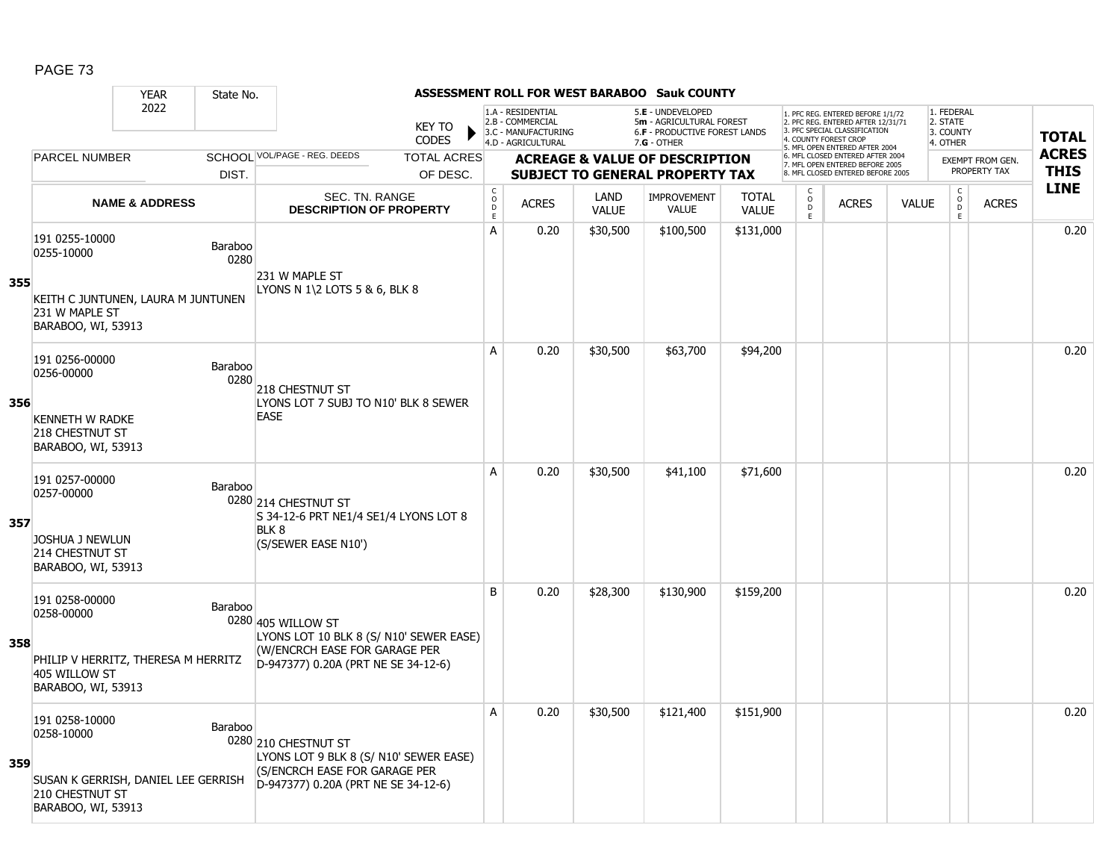#### YEAR State No. **ASSESSMENT ROLL FOR WEST BARABOO Sauk COUNTY** 2022 KEY TO **CODES** 1. PFC REG. ENTERED BEFORE 1/1/72 2. PFC REG. ENTERED AFTER 12/31/71 3. PFC SPECIAL CLASSIFICATION 4. COUNTY FOREST CROP 5. MFL OPEN ENTERED AFTER 2004 6. MFL CLOSED ENTERED AFTER 2004 7. MFL OPEN ENTERED BEFORE 2005 8. MFL CLOSED ENTERED BEFORE 2005 1. FEDERAL 2. STATE 3. COUNTY 4. OTHER **ACREAGE & VALUE OF DESCRIPTION SUBJECT TO GENERAL PROPERTY TAX** EXEMPT FROM GEN. PROPERTY TAX **TOTAL ACRES THIS LINE** 1.A - RESIDENTIAL 2.B - COMMERCIAL 3.C - MANUFACTURING 4.D - AGRICULTURAL 5.**E** - UNDEVELOPED 5**m** - AGRICULTURAL FOREST 6.**F** - PRODUCTIVE FOREST LANDS 7.**G** - OTHER TOTAL ACRES OF DESC. SCHOOL VOL/PAGE - REG. DEEDS DIST. PARCEL NUMBER ACRES C O D E ACRES VALUE  $\mathsf{C}$ O  $\overline{D}$ E TOTAL VALUE IMPROVEMENT VALUE LAND ACRES | VALUE C O  $\overline{D}$ E SEC. TN. RANGE **DESCRIPTION OF PROPERTY NAME & ADDRESS 355** 191 0255-10000 0255-10000 Baraboo 0280 KEITH C JUNTUNEN, LAURA M JUNTUNEN 231 W MAPLE ST BARABOO, WI, 53913 231 W MAPLE ST LYONS N 1\2 LOTS 5 & 6, BLK 8 A 0.20 \$30,500 \$100,500 \$131,000 distribution and 0.20  $\,$ **356** 191 0256-00000 191 0230-00000<br>0256-00000 Baraboo 0280 KENNETH W RADKE 218 CHESTNUT ST BARABOO, WI, 53913 218 CHESTNUT ST LYONS LOT 7 SUBJ TO N10' BLK 8 SEWER **EASE** A | 0.20 | \$30,500 | \$63,700 | \$94,200 | | | | | | | | | | | 0.20 **357** 191 0257-00000 0257-00000 Baraboo 0280 214 CHESTNUT ST JOSHUA J NEWLUN 214 CHESTNUT ST BARABOO, WI, 53913 S 34-12-6 PRT NE1/4 SE1/4 LYONS LOT 8 BLK<sub>8</sub> (S/SEWER EASE N10') A | 0.20 | \$30,500 | \$41,100 | \$71,600 | | | | | | | | | | | | 0.20 **358** 191 0258-00000 151 0256-00000<br>0258-00000 Baraboo 0280 405 WILLOW ST PHILIP V HERRITZ, THERESA M HERRITZ 405 WILLOW ST BARABOO, WI, 53913 LYONS LOT 10 BLK 8 (S/ N10' SEWER EASE) (W/ENCRCH EASE FOR GARAGE PER D-947377) 0.20A (PRT NE SE 34-12-6) B 0.20 \$28,300 \$130,900 \$159,200 distance the control of the control of the control of the control of the control o **359** 191 0258-10000 P 0280 210 CHESTNUT ST SUSAN K GERRISH, DANIEL LEE GERRISH 210 CHESTNUT ST BARABOO, WI, 53913 LYONS LOT 9 BLK 8 (S/ N10' SEWER EASE) (S/ENCRCH EASE FOR GARAGE PER D-947377) 0.20A (PRT NE SE 34-12-6) A 0.20 \$30,500 \$121,400 \$151,900 distribution and 0.20  $\,$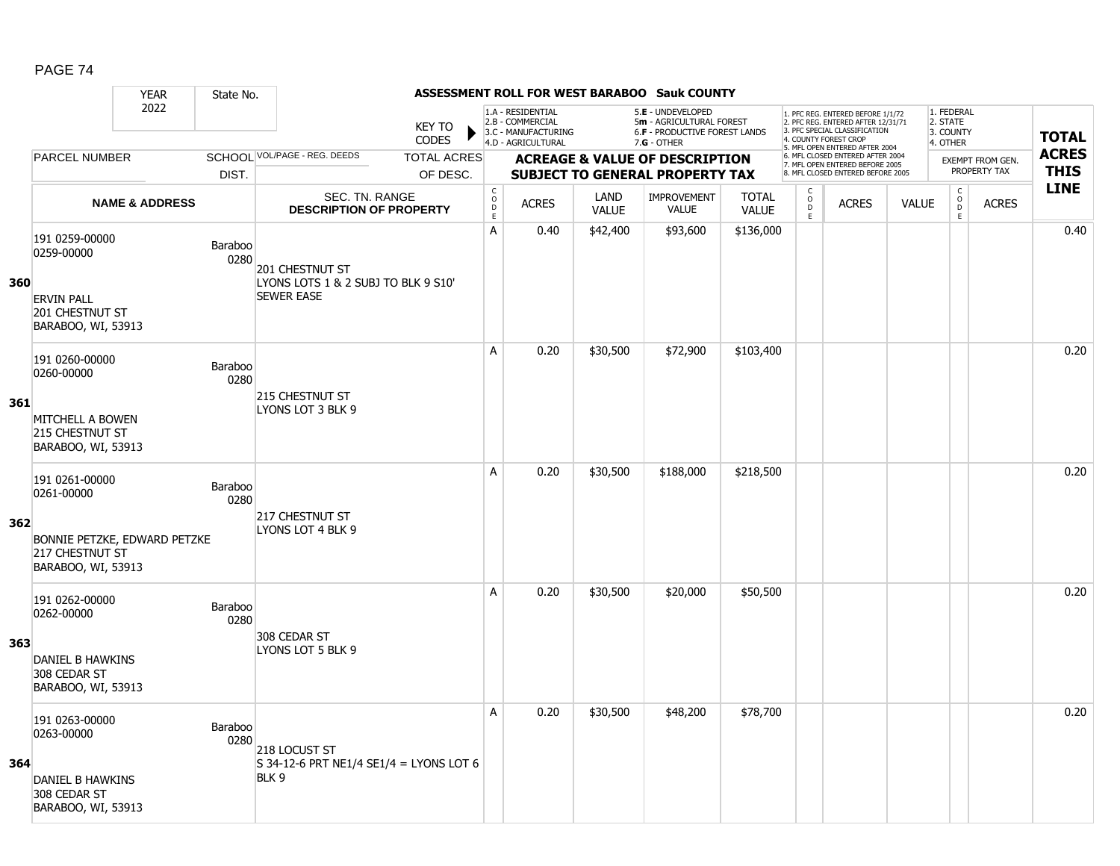|     |                                                                       | <b>YEAR</b>               | State No.       |                                                          |                               |                                  |                                                                                    |                      | <b>ASSESSMENT ROLL FOR WEST BARABOO Sauk COUNTY</b>                                             |                              |                         |                                                                                                                                   |              |                                                 |                                         |                             |
|-----|-----------------------------------------------------------------------|---------------------------|-----------------|----------------------------------------------------------|-------------------------------|----------------------------------|------------------------------------------------------------------------------------|----------------------|-------------------------------------------------------------------------------------------------|------------------------------|-------------------------|-----------------------------------------------------------------------------------------------------------------------------------|--------------|-------------------------------------------------|-----------------------------------------|-----------------------------|
|     |                                                                       | 2022                      |                 |                                                          | <b>KEY TO</b><br><b>CODES</b> |                                  | 1.A - RESIDENTIAL<br>2.B - COMMERCIAL<br>3.C - MANUFACTURING<br>4.D - AGRICULTURAL |                      | 5.E - UNDEVELOPED<br>5m - AGRICULTURAL FOREST<br>6.F - PRODUCTIVE FOREST LANDS<br>$7.G - OTHER$ |                              |                         | 1. PFC REG. ENTERED BEFORE 1/1/72<br>2. PFC REG. ENTERED AFTER 12/31/71<br>3. PFC SPECIAL CLASSIFICATION<br>4. COUNTY FOREST CROP |              | 1. FEDERAL<br>2. STATE<br>3. COUNTY<br>4. OTHER |                                         | <b>TOTAL</b>                |
|     | PARCEL NUMBER                                                         |                           |                 | SCHOOL VOL/PAGE - REG. DEEDS                             | <b>TOTAL ACRES</b>            |                                  |                                                                                    |                      | <b>ACREAGE &amp; VALUE OF DESCRIPTION</b>                                                       |                              |                         | 5. MFL OPEN ENTERED AFTER 2004<br>6. MFL CLOSED ENTERED AFTER 2004<br>7. MFL OPEN ENTERED BEFORE 2005                             |              |                                                 | <b>EXEMPT FROM GEN.</b><br>PROPERTY TAX | <b>ACRES</b><br><b>THIS</b> |
|     |                                                                       |                           | DIST.           |                                                          | OF DESC.                      | C                                |                                                                                    |                      | <b>SUBJECT TO GENERAL PROPERTY TAX</b>                                                          |                              | C                       | 8. MFL CLOSED ENTERED BEFORE 2005                                                                                                 |              | $\mathsf{C}$                                    |                                         | <b>LINE</b>                 |
|     |                                                                       | <b>NAME &amp; ADDRESS</b> |                 | SEC. TN. RANGE<br><b>DESCRIPTION OF PROPERTY</b>         |                               | $\mathsf{O}$<br>$\mathsf D$<br>E | <b>ACRES</b>                                                                       | LAND<br><b>VALUE</b> | <b>IMPROVEMENT</b><br>VALUE                                                                     | <b>TOTAL</b><br><b>VALUE</b> | $_{\rm D}^{\rm O}$<br>E | <b>ACRES</b>                                                                                                                      | <b>VALUE</b> | $_{\rm D}^{\rm O}$<br>E                         | <b>ACRES</b>                            |                             |
| 360 | 191 0259-00000<br>0259-00000                                          |                           | Baraboo<br>0280 | 201 CHESTNUT ST<br>LYONS LOTS 1 & 2 SUBJ TO BLK 9 S10'   |                               | А                                | 0.40                                                                               | \$42,400             | \$93,600                                                                                        | \$136,000                    |                         |                                                                                                                                   |              |                                                 |                                         | 0.40                        |
|     | <b>ERVIN PALL</b><br><b>201 CHESTNUT ST</b><br>BARABOO, WI, 53913     |                           |                 | <b>SEWER EASE</b>                                        |                               |                                  |                                                                                    |                      |                                                                                                 |                              |                         |                                                                                                                                   |              |                                                 |                                         |                             |
|     | 191 0260-00000<br>0260-00000                                          |                           | Baraboo<br>0280 | <b>215 CHESTNUT ST</b>                                   |                               | A                                | 0.20                                                                               | \$30,500             | \$72,900                                                                                        | \$103,400                    |                         |                                                                                                                                   |              |                                                 |                                         | 0.20                        |
| 361 | MITCHELL A BOWEN<br>215 CHESTNUT ST<br>BARABOO, WI, 53913             |                           |                 | LYONS LOT 3 BLK 9                                        |                               |                                  |                                                                                    |                      |                                                                                                 |                              |                         |                                                                                                                                   |              |                                                 |                                         |                             |
|     | 191 0261-00000<br>0261-00000                                          |                           | Baraboo<br>0280 | 217 CHESTNUT ST                                          |                               | A                                | 0.20                                                                               | \$30,500             | \$188,000                                                                                       | \$218,500                    |                         |                                                                                                                                   |              |                                                 |                                         | 0.20                        |
| 362 | BONNIE PETZKE, EDWARD PETZKE<br>217 CHESTNUT ST<br>BARABOO, WI, 53913 |                           |                 | LYONS LOT 4 BLK 9                                        |                               |                                  |                                                                                    |                      |                                                                                                 |                              |                         |                                                                                                                                   |              |                                                 |                                         |                             |
|     | 191 0262-00000<br>0262-00000                                          |                           | Baraboo<br>0280 |                                                          |                               | A                                | 0.20                                                                               | \$30,500             | \$20,000                                                                                        | \$50,500                     |                         |                                                                                                                                   |              |                                                 |                                         | 0.20                        |
| 363 | DANIEL B HAWKINS<br>308 CEDAR ST<br>BARABOO, WI, 53913                |                           |                 | 308 CEDAR ST<br>LYONS LOT 5 BLK 9                        |                               |                                  |                                                                                    |                      |                                                                                                 |                              |                         |                                                                                                                                   |              |                                                 |                                         |                             |
| 364 | 191 0263-00000<br>0263-00000                                          |                           | Baraboo<br>0280 | 218 LOCUST ST<br>S 34-12-6 PRT NE1/4 SE1/4 = LYONS LOT 6 |                               | Α                                | 0.20                                                                               | \$30,500             | \$48,200                                                                                        | \$78,700                     |                         |                                                                                                                                   |              |                                                 |                                         | 0.20                        |
|     | DANIEL B HAWKINS<br>308 CEDAR ST<br>BARABOO, WI, 53913                |                           |                 | BLK 9                                                    |                               |                                  |                                                                                    |                      |                                                                                                 |                              |                         |                                                                                                                                   |              |                                                 |                                         |                             |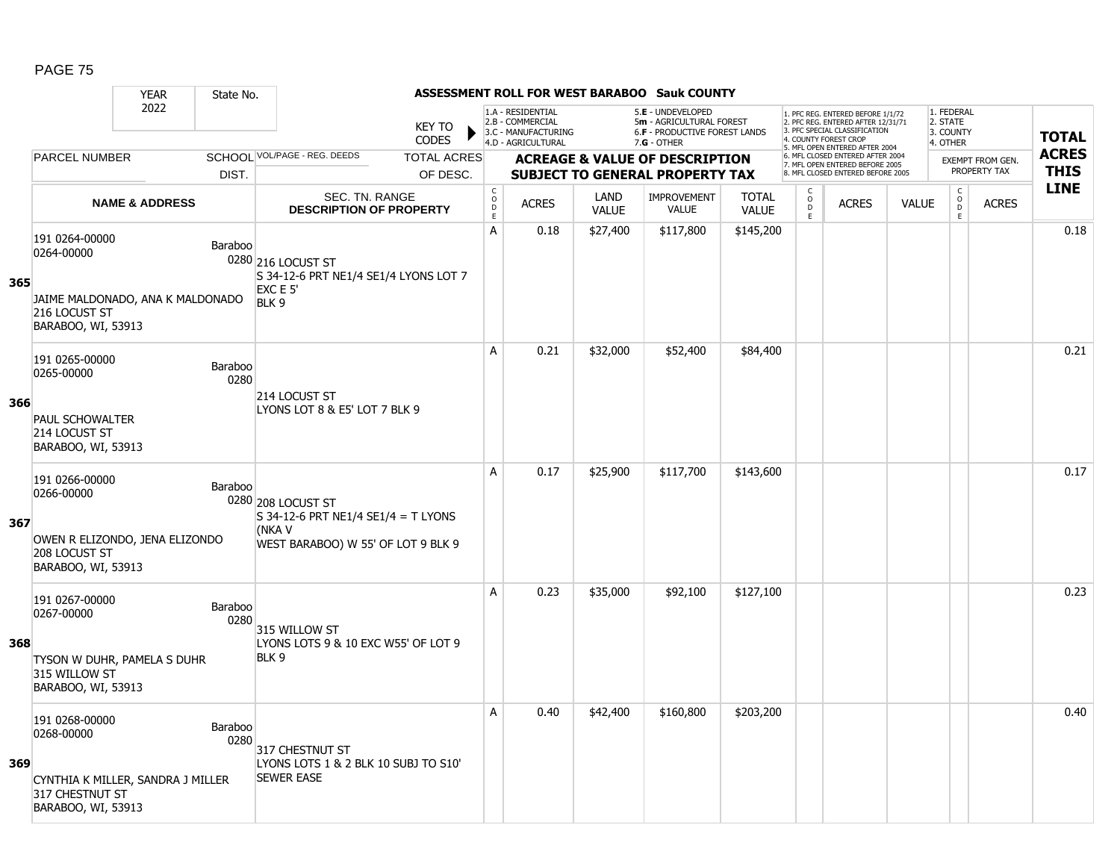|     |                                                                                                            | <b>YEAR</b>               | State No.              |                                                                                                           |                        |                                                  |                                                                                    |                      | <b>ASSESSMENT ROLL FOR WEST BARABOO Sauk COUNTY</b>                                                    |                              |                         |                                                                                                          |              |                                                 |                         |              |
|-----|------------------------------------------------------------------------------------------------------------|---------------------------|------------------------|-----------------------------------------------------------------------------------------------------------|------------------------|--------------------------------------------------|------------------------------------------------------------------------------------|----------------------|--------------------------------------------------------------------------------------------------------|------------------------------|-------------------------|----------------------------------------------------------------------------------------------------------|--------------|-------------------------------------------------|-------------------------|--------------|
|     |                                                                                                            | 2022                      |                        |                                                                                                           | <b>KEY TO</b><br>CODES |                                                  | 1.A - RESIDENTIAL<br>2.B - COMMERCIAL<br>3.C - MANUFACTURING<br>4.D - AGRICULTURAL |                      | 5.E - UNDEVELOPED<br>5m - AGRICULTURAL FOREST<br><b>6.F - PRODUCTIVE FOREST LANDS</b><br>$7.G - OTHER$ |                              | 4. COUNTY FOREST CROP   | 1. PFC REG. ENTERED BEFORE 1/1/72<br>2. PFC REG. ENTERED AFTER 12/31/71<br>3. PFC SPECIAL CLASSIFICATION |              | 1. FEDERAL<br>2. STATE<br>3. COUNTY<br>4. OTHER |                         | <b>TOTAL</b> |
|     | <b>PARCEL NUMBER</b>                                                                                       |                           |                        | SCHOOL VOL/PAGE - REG. DEEDS                                                                              | <b>TOTAL ACRES</b>     |                                                  |                                                                                    |                      | <b>ACREAGE &amp; VALUE OF DESCRIPTION</b>                                                              |                              |                         | 5. MFL OPEN ENTERED AFTER 2004<br>6. MFL CLOSED ENTERED AFTER 2004<br>7. MFL OPEN ENTERED BEFORE 2005    |              |                                                 | <b>EXEMPT FROM GEN.</b> | <b>ACRES</b> |
|     |                                                                                                            |                           | DIST.                  |                                                                                                           | OF DESC.               |                                                  |                                                                                    |                      | <b>SUBJECT TO GENERAL PROPERTY TAX</b>                                                                 |                              |                         | 8. MFL CLOSED ENTERED BEFORE 2005                                                                        |              |                                                 | PROPERTY TAX            | <b>THIS</b>  |
|     |                                                                                                            | <b>NAME &amp; ADDRESS</b> |                        | <b>SEC. TN. RANGE</b><br><b>DESCRIPTION OF PROPERTY</b>                                                   |                        | $_{\rm o}^{\rm c}$<br>$\mathsf D$<br>$\mathsf E$ | <b>ACRES</b>                                                                       | LAND<br><b>VALUE</b> | <b>IMPROVEMENT</b><br><b>VALUE</b>                                                                     | <b>TOTAL</b><br><b>VALUE</b> | C<br>$\circ$<br>D<br>E. | <b>ACRES</b>                                                                                             | <b>VALUE</b> | $\mathsf C$<br>$_{\rm D}^{\rm O}$<br>E          | <b>ACRES</b>            | <b>LINE</b>  |
| 365 | 191 0264-00000<br>0264-00000<br>JAIME MALDONADO, ANA K MALDONADO<br>216 LOCUST ST<br>BARABOO, WI, 53913    |                           | Baraboo                | 0280 216 LOCUST ST<br>S 34-12-6 PRT NE1/4 SE1/4 LYONS LOT 7<br>EXC E 5'<br>BLK 9                          |                        | A                                                | 0.18                                                                               | \$27,400             | \$117,800                                                                                              | \$145,200                    |                         |                                                                                                          |              |                                                 |                         | 0.18         |
| 366 | 191 0265-00000<br>0265-00000<br><b>PAUL SCHOWALTER</b><br>214 LOCUST ST<br>BARABOO, WI, 53913              |                           | Baraboo<br>0280        | 214 LOCUST ST<br>LYONS LOT 8 & E5' LOT 7 BLK 9                                                            |                        | A                                                | 0.21                                                                               | \$32,000             | \$52,400                                                                                               | \$84,400                     |                         |                                                                                                          |              |                                                 |                         | 0.21         |
| 367 | 191 0266-00000<br>0266-00000<br>OWEN R ELIZONDO, JENA ELIZONDO<br>208 LOCUST ST<br>BARABOO, WI, 53913      |                           | Baraboo                | 0280 208 LOCUST ST<br>S 34-12-6 PRT NE1/4 SE1/4 = T LYONS<br>(NKA V<br>WEST BARABOO) W 55' OF LOT 9 BLK 9 |                        | A                                                | 0.17                                                                               | \$25,900             | \$117,700                                                                                              | \$143,600                    |                         |                                                                                                          |              |                                                 |                         | 0.17         |
| 368 | 191 0267-00000<br>0267-00000<br>TYSON W DUHR, PAMELA S DUHR<br>315 WILLOW ST<br>BARABOO, WI, 53913         |                           | <b>Baraboo</b><br>0280 | 315 WILLOW ST<br>LYONS LOTS 9 & 10 EXC W55' OF LOT 9<br>BLK 9                                             |                        | A                                                | 0.23                                                                               | \$35,000             | \$92,100                                                                                               | \$127,100                    |                         |                                                                                                          |              |                                                 |                         | 0.23         |
| 369 | 191 0268-00000<br>0268-00000<br>CYNTHIA K MILLER, SANDRA J MILLER<br>317 CHESTNUT ST<br>BARABOO, WI, 53913 |                           | Baraboo<br>0280        | 317 CHESTNUT ST<br>LYONS LOTS 1 & 2 BLK 10 SUBJ TO S10'<br><b>SEWER EASE</b>                              |                        | A                                                | 0.40                                                                               | \$42,400             | \$160,800                                                                                              | \$203,200                    |                         |                                                                                                          |              |                                                 |                         | 0.40         |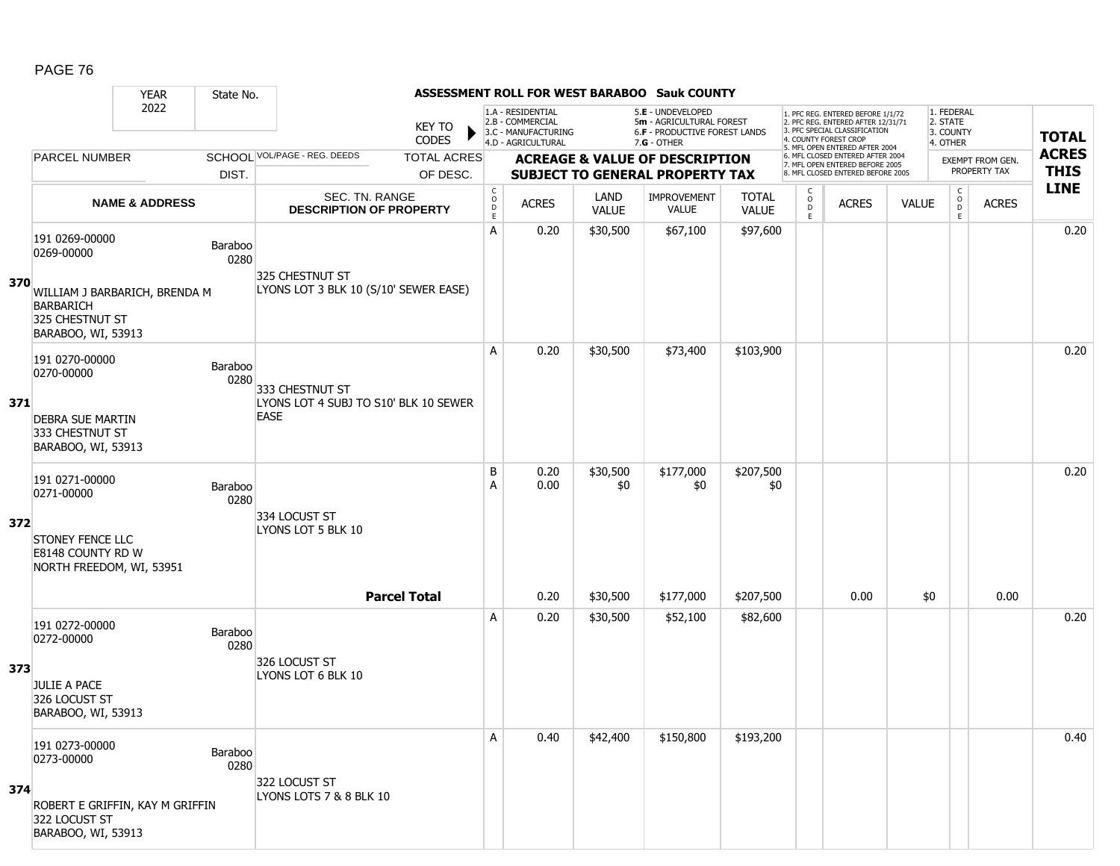|     |                                                                                                                            | <b>YEAR</b>               | State No.       |                                                                         |                                |                               |                                                              |                      | ASSESSMENT ROLL FOR WEST BARABOO Sauk COUNTY                                        |                              |                                                 |                                                                                                          |              |                                        |                                  |              |
|-----|----------------------------------------------------------------------------------------------------------------------------|---------------------------|-----------------|-------------------------------------------------------------------------|--------------------------------|-------------------------------|--------------------------------------------------------------|----------------------|-------------------------------------------------------------------------------------|------------------------------|-------------------------------------------------|----------------------------------------------------------------------------------------------------------|--------------|----------------------------------------|----------------------------------|--------------|
|     |                                                                                                                            | 2022                      |                 |                                                                         | <b>KEY TO</b>                  |                               | 1.A - RESIDENTIAL<br>2.B - COMMERCIAL<br>3.C - MANUFACTURING |                      | 5.E - UNDEVELOPED<br>5m - AGRICULTURAL FOREST<br>6.F - PRODUCTIVE FOREST LANDS      |                              |                                                 | 1. PFC REG. ENTERED BEFORE 1/1/72<br>2. PFC REG. ENTERED AFTER 12/31/71<br>3. PFC SPECIAL CLASSIFICATION |              | 1. FEDERAL<br>2. STATE<br>3. COUNTY    |                                  | <b>TOTAL</b> |
|     |                                                                                                                            |                           |                 | SCHOOL VOL/PAGE - REG. DEEDS                                            | <b>CODES</b>                   |                               | 4.D - AGRICULTURAL                                           |                      | 7.G - OTHER                                                                         |                              |                                                 | 4. COUNTY FOREST CROP<br>5. MFL OPEN ENTERED AFTER 2004                                                  |              | 4. OTHER                               |                                  | <b>ACRES</b> |
|     | <b>PARCEL NUMBER</b>                                                                                                       |                           | DIST.           |                                                                         | <b>TOTAL ACRES</b><br>OF DESC. |                               |                                                              |                      | <b>ACREAGE &amp; VALUE OF DESCRIPTION</b><br><b>SUBJECT TO GENERAL PROPERTY TAX</b> |                              |                                                 | 6. MFL CLOSED ENTERED AFTER 2004<br>7. MFL OPEN ENTERED BEFORE 2005<br>8. MFL CLOSED ENTERED BEFORE 2005 |              |                                        | EXEMPT FROM GEN.<br>PROPERTY TAX | <b>THIS</b>  |
|     |                                                                                                                            | <b>NAME &amp; ADDRESS</b> |                 | SEC. TN. RANGE<br><b>DESCRIPTION OF PROPERTY</b>                        |                                | C<br>$_{\rm D}^{\rm O}$<br>E. | <b>ACRES</b>                                                 | <b>LAND</b><br>VALUE | IMPROVEMENT<br><b>VALUE</b>                                                         | <b>TOTAL</b><br><b>VALUE</b> | $\begin{matrix} 0 \\ 0 \\ D \end{matrix}$<br>E. | <b>ACRES</b>                                                                                             | <b>VALUE</b> | $\mathsf{C}$<br>$\mathsf{o}$<br>D<br>E | <b>ACRES</b>                     | <b>LINE</b>  |
| 370 | 191 0269-00000<br>0269-00000<br>WILLIAM J BARBARICH, BRENDA M<br><b>BARBARICH</b><br>325 CHESTNUT ST<br>BARABOO, WI, 53913 |                           | Baraboo<br>0280 | 325 CHESTNUT ST<br>LYONS LOT 3 BLK 10 (S/10' SEWER EASE)                |                                | Α                             | 0.20                                                         | \$30,500             | \$67,100                                                                            | \$97,600                     |                                                 |                                                                                                          |              |                                        |                                  | 0.20         |
| 371 | 191 0270-00000<br>0270-00000<br><b>DEBRA SUE MARTIN</b><br>333 CHESTNUT ST<br>BARABOO, WI, 53913                           |                           | Baraboo<br>0280 | 333 CHESTNUT ST<br>LYONS LOT 4 SUBJ TO S10' BLK 10 SEWER<br><b>EASE</b> |                                | Α                             | 0.20                                                         | \$30,500             | \$73,400                                                                            | \$103,900                    |                                                 |                                                                                                          |              |                                        |                                  | 0.20         |
| 372 | 191 0271-00000<br>0271-00000<br><b>STONEY FENCE LLC</b><br>E8148 COUNTY RD W<br>NORTH FREEDOM, WI, 53951                   |                           | Baraboo<br>0280 | 334 LOCUST ST<br>LYONS LOT 5 BLK 10                                     |                                | B<br>Α                        | 0.20<br>0.00                                                 | \$30,500<br>\$0      | \$177,000<br>\$0                                                                    | \$207,500<br>\$0             |                                                 |                                                                                                          |              |                                        |                                  | 0.20         |
|     |                                                                                                                            |                           |                 |                                                                         | <b>Parcel Total</b>            |                               | 0.20                                                         | \$30,500             | \$177,000                                                                           | \$207,500                    |                                                 | 0.00                                                                                                     | \$0          |                                        | 0.00                             |              |
| 373 | 191 0272-00000<br>0272-00000<br><b>JULIE A PACE</b><br>326 LOCUST ST<br>BARABOO, WI, 53913                                 |                           | Baraboo<br>0280 | 326 LOCUST ST<br>LYONS LOT 6 BLK 10                                     |                                | A                             | 0.20                                                         | \$30,500             | \$52,100                                                                            | \$82,600                     |                                                 |                                                                                                          |              |                                        |                                  | 0.20         |
| 374 | 191 0273-00000<br>0273-00000<br>ROBERT E GRIFFIN, KAY M GRIFFIN<br>322 LOCUST ST<br>BARABOO, WI, 53913                     |                           | Baraboo<br>0280 | 322 LOCUST ST<br>LYONS LOTS 7 & 8 BLK 10                                |                                | Α                             | 0.40                                                         | \$42,400             | \$150,800                                                                           | \$193,200                    |                                                 |                                                                                                          |              |                                        |                                  | 0.40         |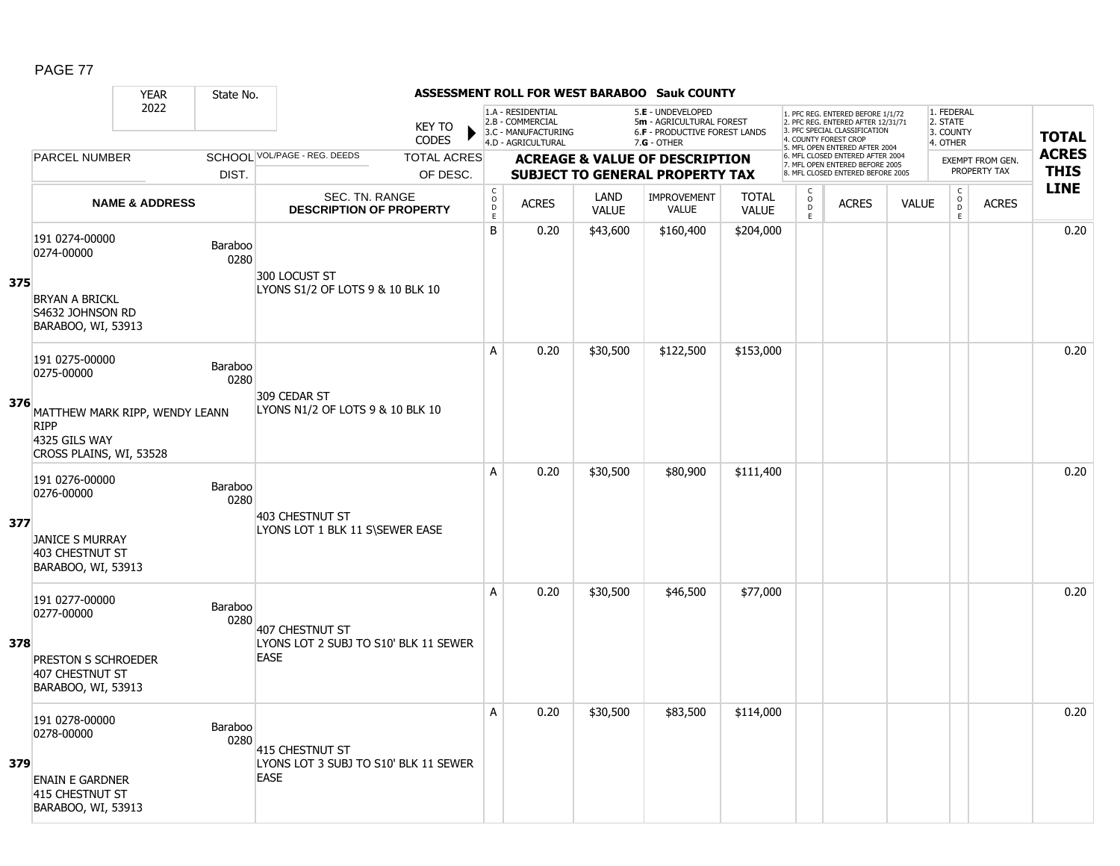#### YEAR State No. **ASSESSMENT ROLL FOR WEST BARABOO Sauk COUNTY** 2022 KEY TO **CODES** 1. PFC REG. ENTERED BEFORE 1/1/72 2. PFC REG. ENTERED AFTER 12/31/71 3. PFC SPECIAL CLASSIFICATION 4. COUNTY FOREST CROP 5. MFL OPEN ENTERED AFTER 2004 6. MFL CLOSED ENTERED AFTER 2004 7. MFL OPEN ENTERED BEFORE 2005 8. MFL CLOSED ENTERED BEFORE 2005 1. FEDERAL 2. STATE 3. COUNTY 4. OTHER **ACREAGE & VALUE OF DESCRIPTION SUBJECT TO GENERAL PROPERTY TAX** EXEMPT FROM GEN. PROPERTY TAX **TOTAL ACRES THIS LINE** 1.A - RESIDENTIAL 2.B - COMMERCIAL 3.C - MANUFACTURING 4.D - AGRICULTURAL 5.**E** - UNDEVELOPED 5**m** - AGRICULTURAL FOREST 6.**F** - PRODUCTIVE FOREST LANDS 7.**G** - OTHER TOTAL ACRES OF DESC. SCHOOL VOL/PAGE - REG. DEEDS DIST. PARCEL NUMBER ACRES C O D E ACRES VALUE  $\mathsf{C}$ O  $\overline{D}$ E TOTAL VALUE IMPROVEMENT VALUE LAND ACRES | VALUE C O  $\overline{D}$ E SEC. TN. RANGE **DESCRIPTION OF PROPERTY NAME & ADDRESS 375** 191 0274-00000 131 0274-00000<br>0274-00000 Baraboo 0280 BRYAN A BRICKL S4632 JOHNSON RD BARABOO, WI, 53913 300 LOCUST ST LYONS S1/2 OF LOTS 9 & 10 BLK 10 B 0.20 \$43,600 \$160,400 \$204,000 direct below that the 0.20  $\,$ **376** 191 0275-00000 131 0273-00000<br>0275-00000 Baraboo 0280 MATTHEW MARK RIPP, WENDY LEANN RIPP 4325 GILS WAY CROSS PLAINS, WI, 53528 309 CEDAR ST LYONS N1/2 OF LOTS 9 & 10 BLK 10 A 0.20 \$30,500 \$122,500 \$153,000 distance the control of the control of the control of the control of the contr **377** 191 0276-00000 131 0276-00000<br>0276-00000 Baraboo 0280 JANICE S MURRAY 403 CHESTNUT ST BARABOO, WI, 53913 403 CHESTNUT ST LYONS LOT 1 BLK 11 S\SEWER EASE A 0.20 \$30,500 \$80,900 \$111,400 0.20 **378** 191 0277-00000 Paraboo Baraboo Baraboo Baraboo 0280 PRESTON S SCHROEDER 407 CHESTNUT ST BARABOO, WI, 53913 407 CHESTNUT ST LYONS LOT 2 SUBJ TO S10' BLK 11 SEWER EASE A 0.20 \$30,500 \$46,500 \$77,000 0.20 **379** 191 0278-00000 Processor Baraboo<br>0278-00000 Baraboo 0280 ENAIN E GARDNER 415 CHESTNUT ST BARABOO, WI, 53913 415 CHESTNUT ST LYONS LOT 3 SUBJ TO S10' BLK 11 SEWER **EASE** A 0.20 \$30,500 \$83,500 \$114,000 0.20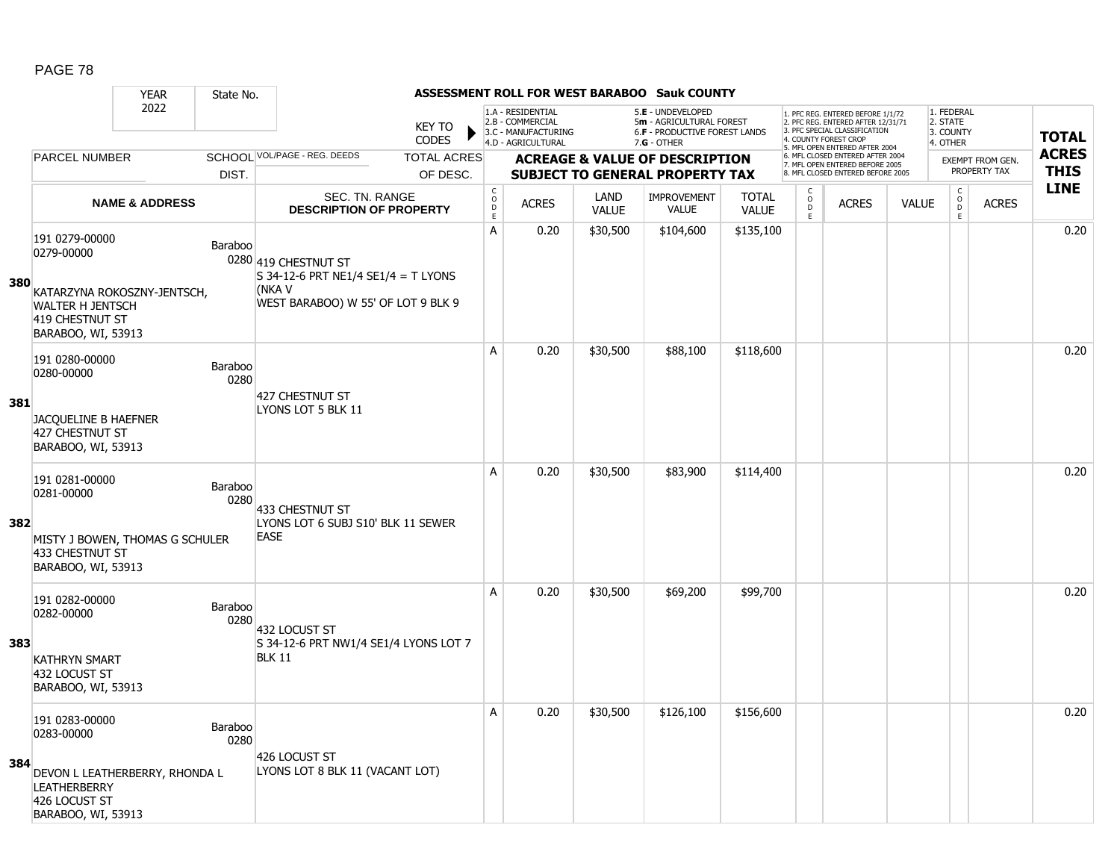|     |                                                                                                                              | <b>YEAR</b>               | State No.              |                                                                                                             |                               |                                                 |                                                                                    |                      | <b>ASSESSMENT ROLL FOR WEST BARABOO Sauk COUNTY</b>                                             |                              |                                                 |                                                                                                                                                                     |              |                                                          |                         |              |
|-----|------------------------------------------------------------------------------------------------------------------------------|---------------------------|------------------------|-------------------------------------------------------------------------------------------------------------|-------------------------------|-------------------------------------------------|------------------------------------------------------------------------------------|----------------------|-------------------------------------------------------------------------------------------------|------------------------------|-------------------------------------------------|---------------------------------------------------------------------------------------------------------------------------------------------------------------------|--------------|----------------------------------------------------------|-------------------------|--------------|
|     |                                                                                                                              | 2022                      |                        |                                                                                                             | <b>KEY TO</b><br><b>CODES</b> |                                                 | 1.A - RESIDENTIAL<br>2.B - COMMERCIAL<br>3.C - MANUFACTURING<br>4.D - AGRICULTURAL |                      | 5.E - UNDEVELOPED<br>5m - AGRICULTURAL FOREST<br>6.F - PRODUCTIVE FOREST LANDS<br>$7.G - OTHER$ |                              |                                                 | 1. PFC REG. ENTERED BEFORE 1/1/72<br>2. PFC REG. ENTERED AFTER 12/31/71<br>3. PFC SPECIAL CLASSIFICATION<br>4. COUNTY FOREST CROP<br>5. MFL OPEN ENTERED AFTER 2004 |              | 1. FEDERAL<br>2. STATE<br>3. COUNTY<br>4. OTHER          |                         | <b>TOTAL</b> |
|     | <b>PARCEL NUMBER</b>                                                                                                         |                           |                        | SCHOOL VOL/PAGE - REG. DEEDS                                                                                | <b>TOTAL ACRES</b>            |                                                 |                                                                                    |                      | <b>ACREAGE &amp; VALUE OF DESCRIPTION</b>                                                       |                              |                                                 | 6. MFL CLOSED ENTERED AFTER 2004<br>7. MFL OPEN ENTERED BEFORE 2005                                                                                                 |              |                                                          | <b>EXEMPT FROM GEN.</b> | <b>ACRES</b> |
|     |                                                                                                                              |                           | DIST.                  |                                                                                                             | OF DESC.                      |                                                 |                                                                                    |                      | <b>SUBJECT TO GENERAL PROPERTY TAX</b>                                                          |                              |                                                 | 8. MFL CLOSED ENTERED BEFORE 2005                                                                                                                                   |              |                                                          | PROPERTY TAX            | <b>THIS</b>  |
|     |                                                                                                                              | <b>NAME &amp; ADDRESS</b> |                        | SEC. TN. RANGE<br><b>DESCRIPTION OF PROPERTY</b>                                                            |                               | $_{\rm o}^{\rm c}$<br>$\mathsf{D}_{\mathsf{E}}$ | <b>ACRES</b>                                                                       | LAND<br><b>VALUE</b> | <b>IMPROVEMENT</b><br><b>VALUE</b>                                                              | <b>TOTAL</b><br><b>VALUE</b> | $\begin{matrix} 0 \\ 0 \\ D \end{matrix}$<br>E. | <b>ACRES</b>                                                                                                                                                        | <b>VALUE</b> | $\begin{matrix} 0 \\ 0 \\ 0 \end{matrix}$<br>$\mathsf E$ | <b>ACRES</b>            | <b>LINE</b>  |
| 380 | 191 0279-00000<br>0279-00000<br>KATARZYNA ROKOSZNY-JENTSCH,<br>WALTER H JENTSCH<br>419 CHESTNUT ST<br>BARABOO, WI, 53913     |                           | Baraboo                | 0280 419 CHESTNUT ST<br>S 34-12-6 PRT NE1/4 SE1/4 = T LYONS<br>(NKA V<br>WEST BARABOO) W 55' OF LOT 9 BLK 9 |                               | А                                               | 0.20                                                                               | \$30,500             | \$104,600                                                                                       | \$135,100                    |                                                 |                                                                                                                                                                     |              |                                                          |                         | 0.20         |
| 381 | 191 0280-00000<br>0280-00000<br>JACQUELINE B HAEFNER<br>427 CHESTNUT ST<br>BARABOO, WI, 53913                                |                           | Baraboo<br>0280        | 427 CHESTNUT ST<br>LYONS LOT 5 BLK 11                                                                       |                               | A                                               | 0.20                                                                               | \$30,500             | \$88,100                                                                                        | \$118,600                    |                                                 |                                                                                                                                                                     |              |                                                          |                         | 0.20         |
| 382 | 191 0281-00000<br>0281-00000<br>MISTY J BOWEN, THOMAS G SCHULER<br>433 CHESTNUT ST<br>BARABOO, WI, 53913                     |                           | <b>Baraboo</b><br>0280 | 433 CHESTNUT ST<br>LYONS LOT 6 SUBJ S10' BLK 11 SEWER<br><b>EASE</b>                                        |                               | A                                               | 0.20                                                                               | \$30,500             | \$83,900                                                                                        | \$114,400                    |                                                 |                                                                                                                                                                     |              |                                                          |                         | 0.20         |
| 383 | 191 0282-00000<br>0282-00000<br><b>KATHRYN SMART</b><br>432 LOCUST ST<br>BARABOO, WI, 53913                                  |                           | <b>Baraboo</b><br>0280 | 432 LOCUST ST<br>S 34-12-6 PRT NW1/4 SE1/4 LYONS LOT 7<br><b>BLK 11</b>                                     |                               | A                                               | 0.20                                                                               | \$30,500             | \$69,200                                                                                        | \$99,700                     |                                                 |                                                                                                                                                                     |              |                                                          |                         | 0.20         |
| 384 | 191 0283-00000<br>0283-00000<br>DEVON L LEATHERBERRY, RHONDA L<br><b>LEATHERBERRY</b><br>426 LOCUST ST<br>BARABOO, WI, 53913 |                           | <b>Baraboo</b><br>0280 | 426 LOCUST ST<br>LYONS LOT 8 BLK 11 (VACANT LOT)                                                            |                               | A                                               | 0.20                                                                               | \$30,500             | \$126,100                                                                                       | \$156,600                    |                                                 |                                                                                                                                                                     |              |                                                          |                         | 0.20         |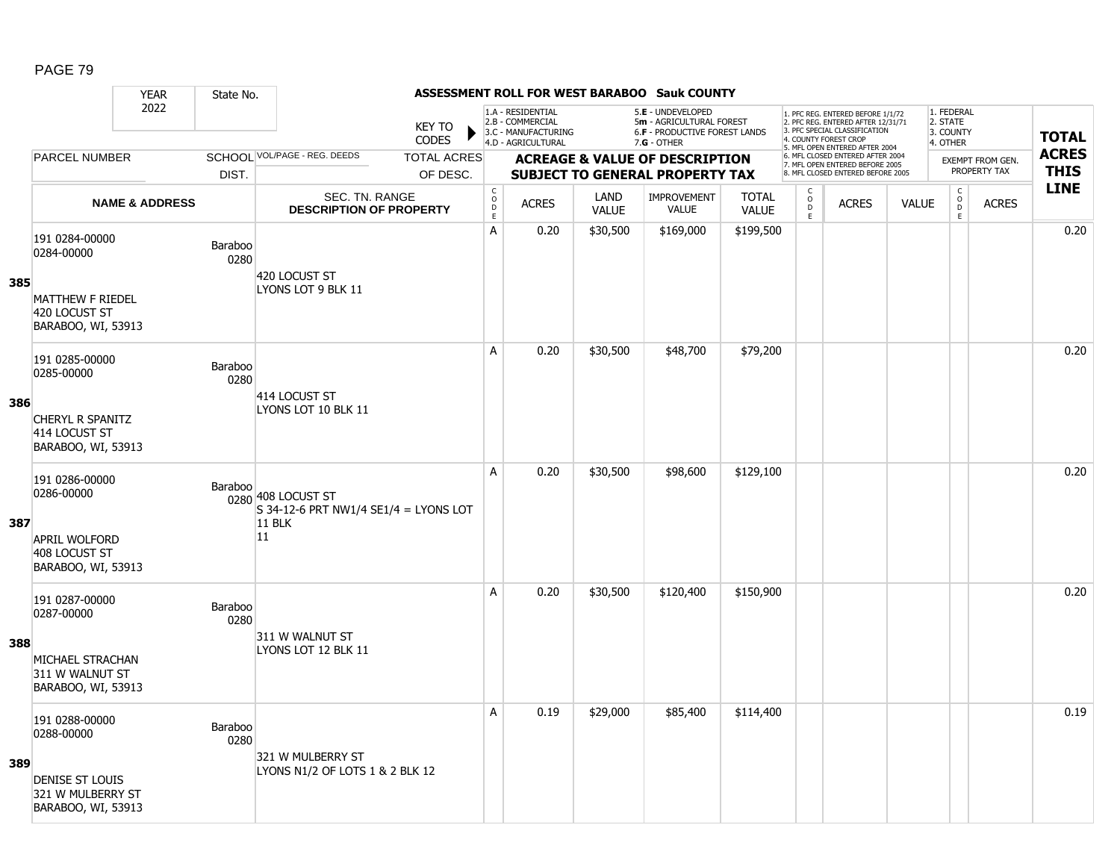#### YEAR State No. **ASSESSMENT ROLL FOR WEST BARABOO Sauk COUNTY** 2022 KEY TO **CODES** 1. PFC REG. ENTERED BEFORE 1/1/72 2. PFC REG. ENTERED AFTER 12/31/71 3. PFC SPECIAL CLASSIFICATION 4. COUNTY FOREST CROP 5. MFL OPEN ENTERED AFTER 2004 6. MFL CLOSED ENTERED AFTER 2004 7. MFL OPEN ENTERED BEFORE 2005 8. MFL CLOSED ENTERED BEFORE 2005 1. FEDERAL 2. STATE 3. COUNTY 4. OTHER **ACREAGE & VALUE OF DESCRIPTION SUBJECT TO GENERAL PROPERTY TAX** EXEMPT FROM GEN. PROPERTY TAX **TOTAL ACRES THIS LINE** 1.A - RESIDENTIAL 2.B - COMMERCIAL 3.C - MANUFACTURING 4.D - AGRICULTURAL 5.**E** - UNDEVELOPED 5**m** - AGRICULTURAL FOREST 6.**F** - PRODUCTIVE FOREST LANDS 7.**G** - OTHER TOTAL ACRES OF DESC. SCHOOL VOL/PAGE - REG. DEEDS DIST. PARCEL NUMBER ACRES C O D E ACRES VALUE  $\mathsf{C}$ O  $\overline{D}$ E TOTAL VALUE IMPROVEMENT VALUE LAND ACRES | VALUE C O  $\overline{D}$ E SEC. TN. RANGE **DESCRIPTION OF PROPERTY NAME & ADDRESS 385** 191 0284-00000 131 0264-00000<br>0284-00000 Baraboo 0280 MATTHEW F RIEDEL 420 LOCUST ST BARABOO, WI, 53913 420 LOCUST ST LYONS LOT 9 BLK 11 A 0.20 \$30,500 \$169,000 \$199,500 distance the control of the control of the control of the control of the contr **386** 191 0285-00000 131 0263-00000<br>0285-00000 Baraboo 0280 CHERYL R SPANITZ 414 LOCUST ST BARABOO, WI, 53913 414 LOCUST ST LYONS LOT 10 BLK 11 A | 0.20 | \$30,500 | \$48,700 | \$79,200 | | | | | | | | | | | 0.20 **387** 191 0286-00000 131 0266 00666<br>0286-00000 Baraboo 0280 408 LOCUST ST APRIL WOLFORD 408 LOCUST ST BARABOO, WI, 53913  $S$  34-12-6 PRT NW1/4 SE1/4 = LYONS LOT 11 BLK 11 A 0.20 \$30,500 \$98,600 \$129,100 0.20 **388** 191 0287-00000 151 0267-00000<br>0287-00000 Baraboo 0280 MICHAEL STRACHAN 311 W WALNUT ST BARABOO, WI, 53913 311 W WALNUT ST LYONS LOT 12 BLK 11 A 0.20 \$30,500 \$120,400 \$150,900 distance the set of the set of the set of the set of the set of the set of th **389** 191 0288-00000 131 0200-00000<br>0288-00000 Baraboo 0280 DENISE ST LOUIS 321 W MULBERRY ST BARABOO, WI, 53913 321 W MULBERRY ST LYONS N1/2 OF LOTS 1 & 2 BLK 12 A 0.19 \$29,000 \$85,400 \$114,400 0.19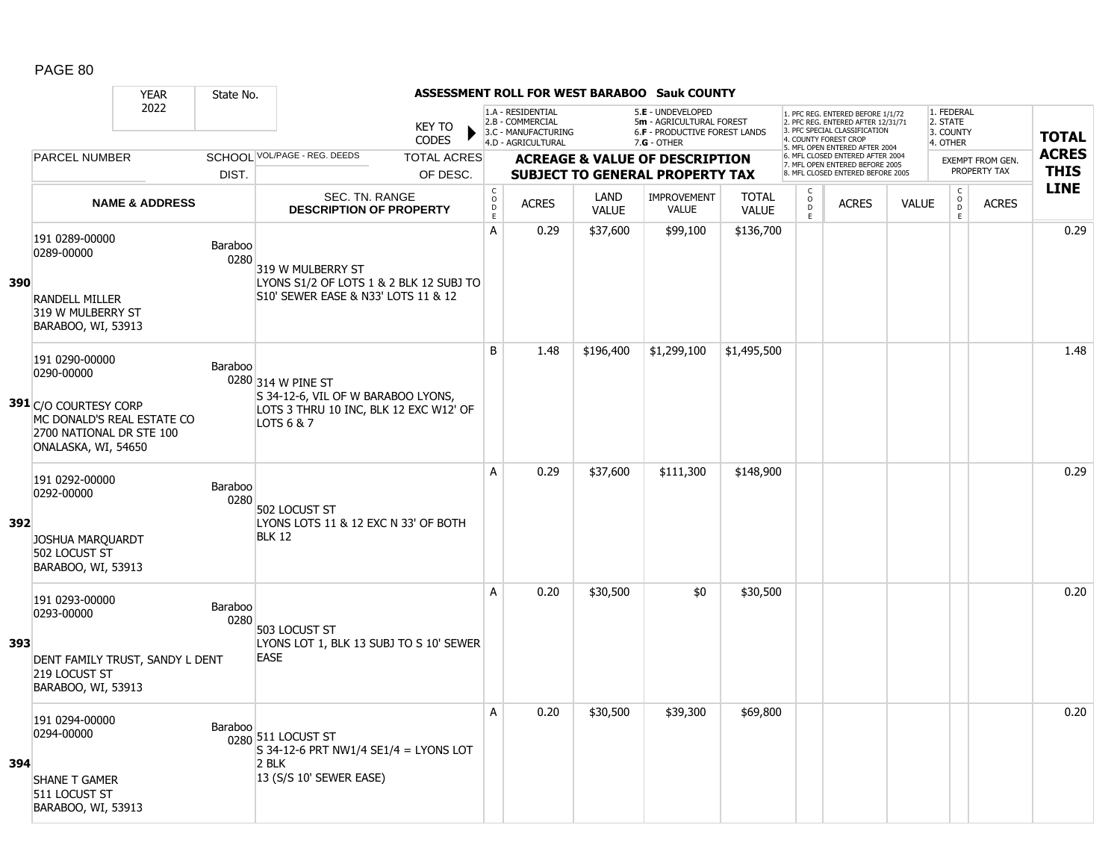|     |                                                                                                        | <b>YEAR</b>               | State No.       |                                                                                            |                                            |                                                                                    |                             | ASSESSMENT ROLL FOR WEST BARABOO Sauk COUNTY                                                    |                              |                          |                                                                                                                                   |              |                                                 |                  |              |
|-----|--------------------------------------------------------------------------------------------------------|---------------------------|-----------------|--------------------------------------------------------------------------------------------|--------------------------------------------|------------------------------------------------------------------------------------|-----------------------------|-------------------------------------------------------------------------------------------------|------------------------------|--------------------------|-----------------------------------------------------------------------------------------------------------------------------------|--------------|-------------------------------------------------|------------------|--------------|
|     |                                                                                                        | 2022                      |                 | <b>KEY TO</b><br><b>CODES</b>                                                              |                                            | 1.A - RESIDENTIAL<br>2.B - COMMERCIAL<br>3.C - MANUFACTURING<br>4.D - AGRICULTURAL |                             | 5.E - UNDEVELOPED<br>5m - AGRICULTURAL FOREST<br>6.F - PRODUCTIVE FOREST LANDS<br>$7.G - OTHER$ |                              |                          | 1. PFC REG. ENTERED BEFORE 1/1/72<br>2. PFC REG. ENTERED AFTER 12/31/71<br>3. PFC SPECIAL CLASSIFICATION<br>4. COUNTY FOREST CROP |              | 1. FEDERAL<br>2. STATE<br>3. COUNTY<br>4. OTHER |                  | <b>TOTAL</b> |
|     | <b>PARCEL NUMBER</b>                                                                                   |                           |                 | SCHOOL VOL/PAGE - REG. DEEDS<br><b>TOTAL ACRES</b>                                         |                                            |                                                                                    |                             | <b>ACREAGE &amp; VALUE OF DESCRIPTION</b>                                                       |                              |                          | 5. MFL OPEN ENTERED AFTER 2004<br>6. MFL CLOSED ENTERED AFTER 2004                                                                |              |                                                 | EXEMPT FROM GEN. | <b>ACRES</b> |
|     |                                                                                                        |                           | DIST.           | OF DESC.                                                                                   |                                            |                                                                                    |                             | <b>SUBJECT TO GENERAL PROPERTY TAX</b>                                                          |                              |                          | 7. MFL OPEN ENTERED BEFORE 2005<br>8. MFL CLOSED ENTERED BEFORE 2005                                                              |              |                                                 | PROPERTY TAX     | <b>THIS</b>  |
|     |                                                                                                        | <b>NAME &amp; ADDRESS</b> |                 | SEC. TN. RANGE<br><b>DESCRIPTION OF PROPERTY</b>                                           | $\mathsf C$<br>$\circ$<br>D<br>$\mathsf E$ | <b>ACRES</b>                                                                       | <b>LAND</b><br><b>VALUE</b> | <b>IMPROVEMENT</b><br>VALUE                                                                     | <b>TOTAL</b><br><b>VALUE</b> | C<br>$\overline{0}$<br>E | <b>ACRES</b>                                                                                                                      | <b>VALUE</b> | $\begin{matrix} 0 \\ 0 \\ 0 \end{matrix}$<br>E  | <b>ACRES</b>     | <b>LINE</b>  |
|     | 191 0289-00000<br>0289-00000                                                                           |                           | Baraboo<br>0280 | 319 W MULBERRY ST                                                                          | A                                          | 0.29                                                                               | \$37,600                    | \$99,100                                                                                        | \$136,700                    |                          |                                                                                                                                   |              |                                                 |                  | 0.29         |
| 390 | <b>RANDELL MILLER</b><br>319 W MULBERRY ST<br>BARABOO, WI, 53913                                       |                           |                 | LYONS S1/2 OF LOTS 1 & 2 BLK 12 SUBJ TO<br>S10' SEWER EASE & N33' LOTS 11 & 12             |                                            |                                                                                    |                             |                                                                                                 |                              |                          |                                                                                                                                   |              |                                                 |                  |              |
|     | 191 0290-00000<br>0290-00000                                                                           |                           | <b>Baraboo</b>  | 0280 314 W PINE ST                                                                         | B                                          | 1.48                                                                               | \$196,400                   | \$1,299,100                                                                                     | \$1,495,500                  |                          |                                                                                                                                   |              |                                                 |                  | 1.48         |
|     | 391 C/O COURTESY CORP<br>MC DONALD'S REAL ESTATE CO<br>2700 NATIONAL DR STE 100<br>ONALASKA, WI, 54650 |                           |                 | S 34-12-6, VIL OF W BARABOO LYONS,<br>LOTS 3 THRU 10 INC, BLK 12 EXC W12' OF<br>LOTS 6 & 7 |                                            |                                                                                    |                             |                                                                                                 |                              |                          |                                                                                                                                   |              |                                                 |                  |              |
| 392 | 191 0292-00000<br>0292-00000                                                                           |                           | Baraboo<br>0280 | 502 LOCUST ST<br>LYONS LOTS 11 & 12 EXC N 33' OF BOTH                                      | A                                          | 0.29                                                                               | \$37,600                    | \$111,300                                                                                       | \$148,900                    |                          |                                                                                                                                   |              |                                                 |                  | 0.29         |
|     | <b>JOSHUA MARQUARDT</b><br>502 LOCUST ST<br>BARABOO, WI, 53913                                         |                           |                 | <b>BLK 12</b>                                                                              |                                            |                                                                                    |                             |                                                                                                 |                              |                          |                                                                                                                                   |              |                                                 |                  |              |
| 393 | 191 0293-00000<br>0293-00000                                                                           |                           | Baraboo<br>0280 | 503 LOCUST ST<br>LYONS LOT 1, BLK 13 SUBJ TO S 10' SEWER                                   | A                                          | 0.20                                                                               | \$30,500                    | \$0                                                                                             | \$30,500                     |                          |                                                                                                                                   |              |                                                 |                  | 0.20         |
|     | DENT FAMILY TRUST, SANDY L DENT<br>219 LOCUST ST<br>BARABOO, WI, 53913                                 |                           |                 | <b>EASE</b>                                                                                |                                            |                                                                                    |                             |                                                                                                 |                              |                          |                                                                                                                                   |              |                                                 |                  |              |
| 394 | 191 0294-00000<br>0294-00000                                                                           |                           | Baraboo         | 0280 511 LOCUST ST<br>$S$ 34-12-6 PRT NW1/4 SE1/4 = LYONS LOT<br>2 BLK                     | Α                                          | 0.20                                                                               | \$30,500                    | \$39,300                                                                                        | \$69,800                     |                          |                                                                                                                                   |              |                                                 |                  | 0.20         |
|     | <b>SHANE T GAMER</b><br>511 LOCUST ST<br>BARABOO, WI, 53913                                            |                           |                 | 13 (S/S 10' SEWER EASE)                                                                    |                                            |                                                                                    |                             |                                                                                                 |                              |                          |                                                                                                                                   |              |                                                 |                  |              |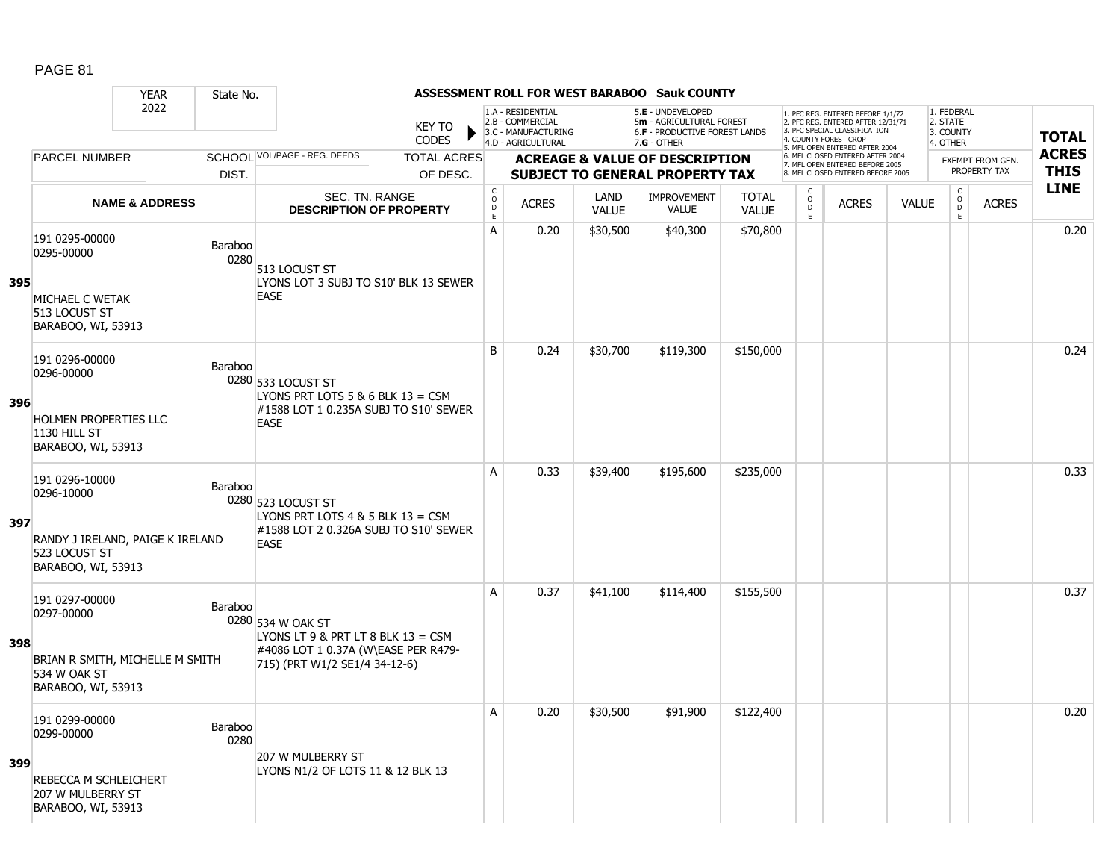|     |                                                                                                         | <b>YEAR</b>                      | State No.       |                                                                                                                                   |                               |                                             |                                                                                    |                             | ASSESSMENT ROLL FOR WEST BARABOO Sauk COUNTY                                                    |                              |                                     |                                                                                                                                   |              |                                                 |                                         |              |
|-----|---------------------------------------------------------------------------------------------------------|----------------------------------|-----------------|-----------------------------------------------------------------------------------------------------------------------------------|-------------------------------|---------------------------------------------|------------------------------------------------------------------------------------|-----------------------------|-------------------------------------------------------------------------------------------------|------------------------------|-------------------------------------|-----------------------------------------------------------------------------------------------------------------------------------|--------------|-------------------------------------------------|-----------------------------------------|--------------|
|     |                                                                                                         | 2022                             |                 |                                                                                                                                   | <b>KEY TO</b><br><b>CODES</b> |                                             | 1.A - RESIDENTIAL<br>2.B - COMMERCIAL<br>3.C - MANUFACTURING<br>4.D - AGRICULTURAL |                             | 5.E - UNDEVELOPED<br>5m - AGRICULTURAL FOREST<br>6.F - PRODUCTIVE FOREST LANDS<br>$7.G - OTHER$ |                              |                                     | 1. PFC REG. ENTERED BEFORE 1/1/72<br>2. PFC REG. ENTERED AFTER 12/31/71<br>3. PFC SPECIAL CLASSIFICATION<br>4. COUNTY FOREST CROP |              | 1. FEDERAL<br>2. STATE<br>3. COUNTY<br>4. OTHER |                                         | <b>TOTAL</b> |
|     | <b>PARCEL NUMBER</b>                                                                                    |                                  |                 | SCHOOL VOL/PAGE - REG. DEEDS                                                                                                      | <b>TOTAL ACRES</b>            |                                             |                                                                                    |                             |                                                                                                 |                              |                                     | 5. MFL OPEN ENTERED AFTER 2004<br>6. MFL CLOSED ENTERED AFTER 2004                                                                |              |                                                 |                                         | <b>ACRES</b> |
|     |                                                                                                         |                                  | DIST.           |                                                                                                                                   | OF DESC.                      |                                             |                                                                                    |                             | <b>ACREAGE &amp; VALUE OF DESCRIPTION</b><br><b>SUBJECT TO GENERAL PROPERTY TAX</b>             |                              |                                     | 7. MFL OPEN ENTERED BEFORE 2005<br>8. MFL CLOSED ENTERED BEFORE 2005                                                              |              |                                                 | <b>EXEMPT FROM GEN.</b><br>PROPERTY TAX | <b>THIS</b>  |
|     |                                                                                                         | <b>NAME &amp; ADDRESS</b>        |                 | SEC. TN. RANGE<br><b>DESCRIPTION OF PROPERTY</b>                                                                                  |                               | $\mathsf{C}$<br>$\circ$<br>D<br>$\mathsf E$ | <b>ACRES</b>                                                                       | <b>LAND</b><br><b>VALUE</b> | <b>IMPROVEMENT</b><br>VALUE                                                                     | <b>TOTAL</b><br><b>VALUE</b> | $\mathsf{C}$<br>$\overline{0}$<br>E | <b>ACRES</b>                                                                                                                      | <b>VALUE</b> | $\begin{matrix} 0 \\ 0 \\ 0 \end{matrix}$<br>E  | <b>ACRES</b>                            | <b>LINE</b>  |
| 395 | 191 0295-00000<br>0295-00000                                                                            |                                  | Baraboo<br>0280 | 513 LOCUST ST<br>LYONS LOT 3 SUBJ TO S10' BLK 13 SEWER                                                                            |                               | A                                           | 0.20                                                                               | \$30,500                    | \$40,300                                                                                        | \$70,800                     |                                     |                                                                                                                                   |              |                                                 |                                         | 0.20         |
|     | MICHAEL C WETAK<br>513 LOCUST ST<br>BARABOO, WI, 53913                                                  |                                  |                 | <b>EASE</b>                                                                                                                       |                               |                                             |                                                                                    |                             |                                                                                                 |                              |                                     |                                                                                                                                   |              |                                                 |                                         |              |
| 396 | 191 0296-00000<br>0296-00000                                                                            |                                  | <b>Baraboo</b>  | 0280 533 LOCUST ST<br>LYONS PRT LOTS $5 & 6$ BLK $13 = CSM$<br>#1588 LOT 1 0.235A SUBJ TO S10' SEWER                              |                               | B                                           | 0.24                                                                               | \$30,700                    | \$119,300                                                                                       | \$150,000                    |                                     |                                                                                                                                   |              |                                                 |                                         | 0.24         |
|     | <b>HOLMEN PROPERTIES LLC</b><br>1130 HILL ST<br>BARABOO, WI, 53913                                      |                                  |                 | <b>EASE</b>                                                                                                                       |                               |                                             |                                                                                    |                             |                                                                                                 |                              |                                     |                                                                                                                                   |              |                                                 |                                         |              |
| 397 | 191 0296-10000<br>0296-10000<br>523 LOCUST ST<br>BARABOO, WI, 53913                                     | RANDY J IRELAND, PAIGE K IRELAND | Baraboo         | 0280 523 LOCUST ST<br>LYONS PRT LOTS $4 \& 5$ BLK $13 = CSM$<br>#1588 LOT 2 0.326A SUBJ TO S10' SEWER<br><b>EASE</b>              |                               | A                                           | 0.33                                                                               | \$39,400                    | \$195,600                                                                                       | \$235,000                    |                                     |                                                                                                                                   |              |                                                 |                                         | 0.33         |
| 398 | 191 0297-00000<br>0297-00000<br>534 W OAK ST<br>BARABOO, WI, 53913                                      | BRIAN R SMITH, MICHELLE M SMITH  | Baraboo         | 0280 534 W OAK ST<br>LYONS LT 9 & PRT LT 8 BLK $13 = CSM$<br>#4086 LOT 1 0.37A (W\EASE PER R479-<br>715) (PRT W1/2 SE1/4 34-12-6) |                               | A                                           | 0.37                                                                               | \$41,100                    | \$114,400                                                                                       | \$155,500                    |                                     |                                                                                                                                   |              |                                                 |                                         | 0.37         |
| 399 | 191 0299-00000<br>0299-00000<br>REBECCA M SCHLEICHERT<br><b>207 W MULBERRY ST</b><br>BARABOO, WI, 53913 |                                  | Baraboo<br>0280 | 207 W MULBERRY ST<br>LYONS N1/2 OF LOTS 11 & 12 BLK 13                                                                            |                               | Α                                           | 0.20                                                                               | \$30,500                    | \$91,900                                                                                        | \$122,400                    |                                     |                                                                                                                                   |              |                                                 |                                         | 0.20         |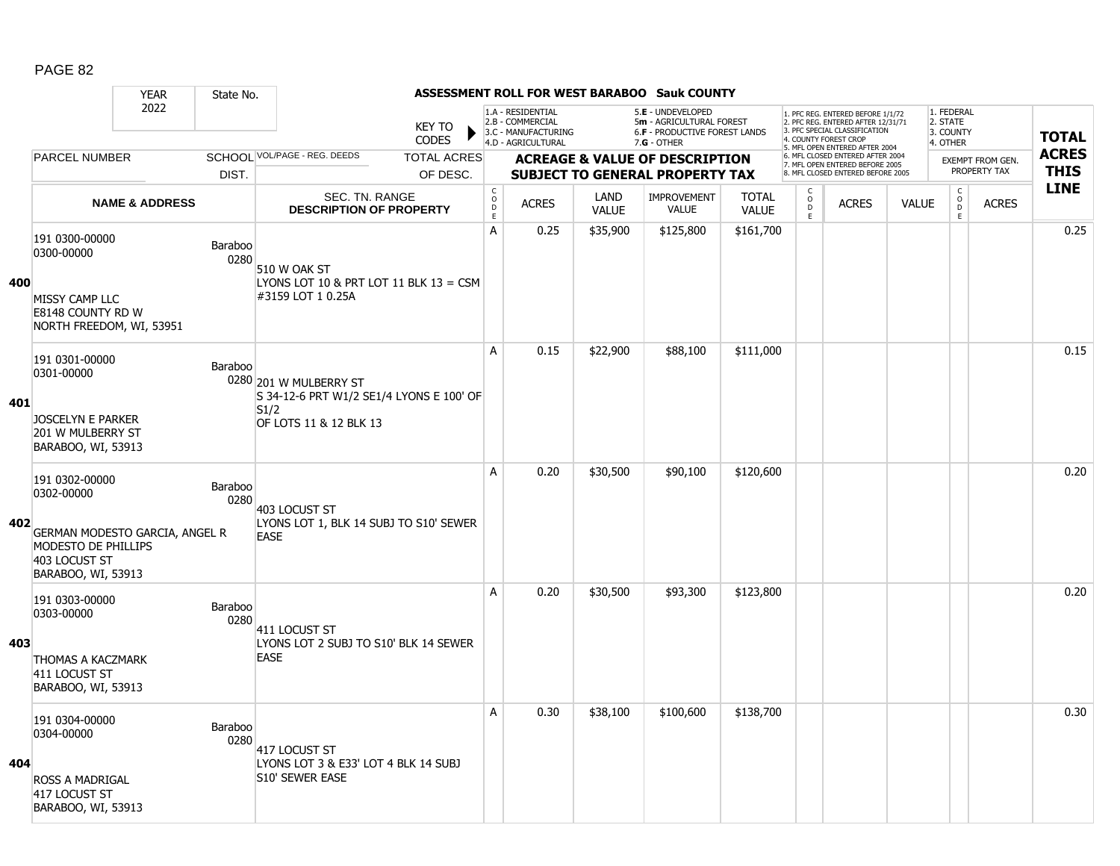|     |                                                                                       | <b>YEAR</b>               | State No.              |                                                                          |                                            |                                                                                    |                      | ASSESSMENT ROLL FOR WEST BARABOO Sauk COUNTY                                                           |                              |                                     |                                                                                                                                   |              |                                                          |                  |              |
|-----|---------------------------------------------------------------------------------------|---------------------------|------------------------|--------------------------------------------------------------------------|--------------------------------------------|------------------------------------------------------------------------------------|----------------------|--------------------------------------------------------------------------------------------------------|------------------------------|-------------------------------------|-----------------------------------------------------------------------------------------------------------------------------------|--------------|----------------------------------------------------------|------------------|--------------|
|     |                                                                                       | 2022                      |                        | <b>KEY TO</b><br><b>CODES</b>                                            |                                            | 1.A - RESIDENTIAL<br>2.B - COMMERCIAL<br>3.C - MANUFACTURING<br>4.D - AGRICULTURAL |                      | 5.E - UNDEVELOPED<br>5m - AGRICULTURAL FOREST<br><b>6.F - PRODUCTIVE FOREST LANDS</b><br>$7.G - OTHER$ |                              |                                     | 1. PFC REG. ENTERED BEFORE 1/1/72<br>2. PFC REG. ENTERED AFTER 12/31/71<br>3. PFC SPECIAL CLASSIFICATION<br>4. COUNTY FOREST CROP |              | 1. FEDERAL<br>2. STATE<br>3. COUNTY<br>4. OTHER          |                  | <b>TOTAL</b> |
|     | <b>PARCEL NUMBER</b>                                                                  |                           |                        | SCHOOL VOL/PAGE - REG. DEEDS<br><b>TOTAL ACRES</b>                       |                                            |                                                                                    |                      | <b>ACREAGE &amp; VALUE OF DESCRIPTION</b>                                                              |                              |                                     | 5. MFL OPEN ENTERED AFTER 2004<br>6. MFL CLOSED ENTERED AFTER 2004                                                                |              |                                                          | EXEMPT FROM GEN. | <b>ACRES</b> |
|     |                                                                                       |                           | DIST.                  | OF DESC.                                                                 |                                            |                                                                                    |                      | <b>SUBJECT TO GENERAL PROPERTY TAX</b>                                                                 |                              |                                     | 7. MFL OPEN ENTERED BEFORE 2005<br>8. MFL CLOSED ENTERED BEFORE 2005                                                              |              |                                                          | PROPERTY TAX     | <b>THIS</b>  |
|     |                                                                                       | <b>NAME &amp; ADDRESS</b> |                        | <b>SEC. TN. RANGE</b><br><b>DESCRIPTION OF PROPERTY</b>                  | $\mathsf C$<br>$\circ$<br>D<br>$\mathsf E$ | <b>ACRES</b>                                                                       | LAND<br><b>VALUE</b> | <b>IMPROVEMENT</b><br><b>VALUE</b>                                                                     | <b>TOTAL</b><br><b>VALUE</b> | $\mathsf{C}$<br>$\overline{0}$<br>E | <b>ACRES</b>                                                                                                                      | <b>VALUE</b> | $\begin{matrix} 0 \\ 0 \\ 0 \end{matrix}$<br>$\mathsf E$ | <b>ACRES</b>     | <b>LINE</b>  |
| 400 | 191 0300-00000<br>0300-00000                                                          |                           | Baraboo<br>0280        | 510 W OAK ST<br>LYONS LOT 10 & PRT LOT 11 BLK 13 = CSM                   | А                                          | 0.25                                                                               | \$35,900             | \$125,800                                                                                              | \$161,700                    |                                     |                                                                                                                                   |              |                                                          |                  | 0.25         |
|     | MISSY CAMP LLC<br>E8148 COUNTY RD W<br>NORTH FREEDOM, WI, 53951                       |                           |                        | #3159 LOT 1 0.25A                                                        |                                            |                                                                                    |                      |                                                                                                        |                              |                                     |                                                                                                                                   |              |                                                          |                  |              |
| 401 | 191 0301-00000<br>0301-00000                                                          |                           | <b>Baraboo</b>         | 0280 201 W MULBERRY ST<br>S 34-12-6 PRT W1/2 SE1/4 LYONS E 100' OF       | A                                          | 0.15                                                                               | \$22,900             | \$88,100                                                                                               | \$111,000                    |                                     |                                                                                                                                   |              |                                                          |                  | 0.15         |
|     | <b>JOSCELYN E PARKER</b><br>201 W MULBERRY ST<br>BARABOO, WI, 53913                   |                           |                        | S1/2<br>OF LOTS 11 & 12 BLK 13                                           |                                            |                                                                                    |                      |                                                                                                        |                              |                                     |                                                                                                                                   |              |                                                          |                  |              |
| 402 | 191 0302-00000<br>0302-00000<br>GERMAN MODESTO GARCIA, ANGEL R<br>MODESTO DE PHILLIPS |                           | <b>Baraboo</b><br>0280 | 403 LOCUST ST<br>LYONS LOT 1, BLK 14 SUBJ TO S10' SEWER<br><b>EASE</b>   | A                                          | 0.20                                                                               | \$30,500             | \$90,100                                                                                               | \$120,600                    |                                     |                                                                                                                                   |              |                                                          |                  | 0.20         |
|     | 403 LOCUST ST<br>BARABOO, WI, 53913                                                   |                           |                        |                                                                          |                                            |                                                                                    |                      |                                                                                                        |                              |                                     |                                                                                                                                   |              |                                                          |                  |              |
|     | 191 0303-00000<br>0303-00000                                                          |                           | Baraboo<br>0280        | 411 LOCUST ST                                                            | Α                                          | 0.20                                                                               | \$30,500             | \$93,300                                                                                               | \$123,800                    |                                     |                                                                                                                                   |              |                                                          |                  | 0.20         |
| 403 | <b>THOMAS A KACZMARK</b><br>411 LOCUST ST<br>BARABOO, WI, 53913                       |                           |                        | LYONS LOT 2 SUBJ TO S10' BLK 14 SEWER<br><b>EASE</b>                     |                                            |                                                                                    |                      |                                                                                                        |                              |                                     |                                                                                                                                   |              |                                                          |                  |              |
| 404 | 191 0304-00000<br>0304-00000<br>ROSS A MADRIGAL                                       |                           | <b>Baraboo</b><br>0280 | 417 LOCUST ST<br>LYONS LOT 3 & E33' LOT 4 BLK 14 SUBJ<br>S10' SEWER EASE | A                                          | 0.30                                                                               | \$38,100             | \$100,600                                                                                              | \$138,700                    |                                     |                                                                                                                                   |              |                                                          |                  | 0.30         |
|     | 417 LOCUST ST<br>BARABOO, WI, 53913                                                   |                           |                        |                                                                          |                                            |                                                                                    |                      |                                                                                                        |                              |                                     |                                                                                                                                   |              |                                                          |                  |              |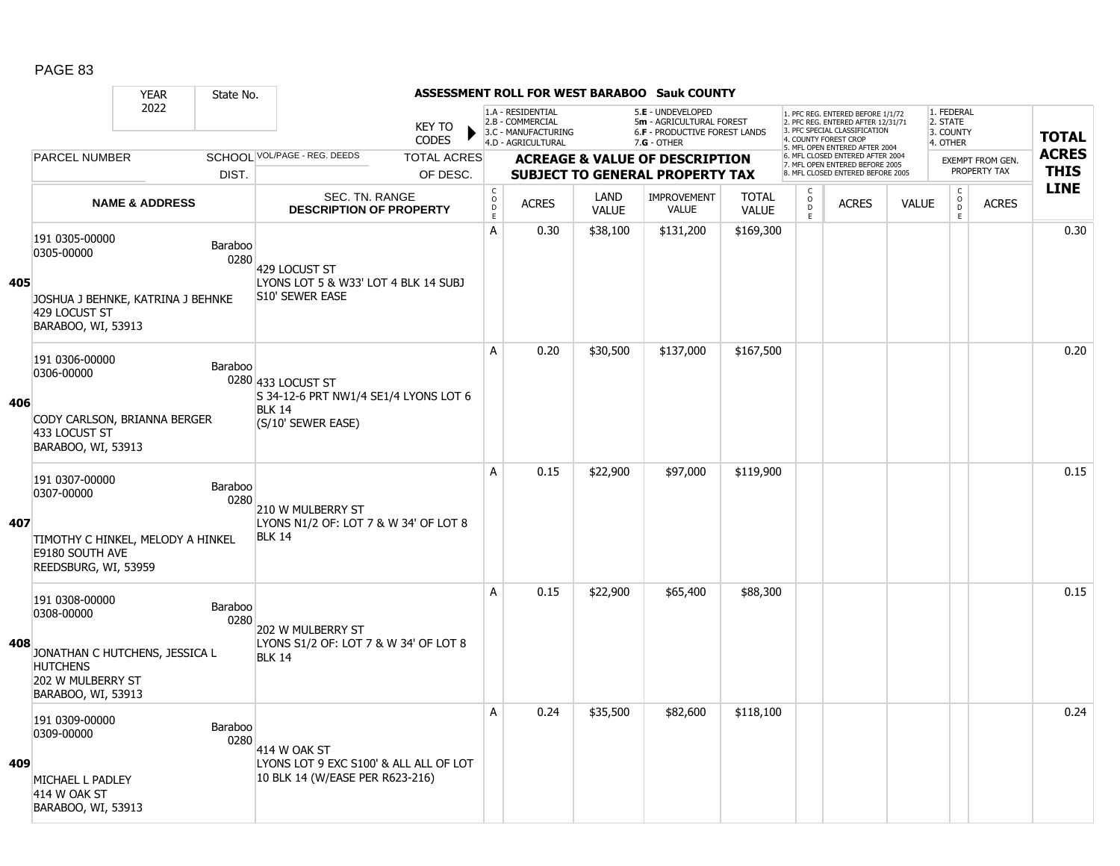|     |                                                                                              | <b>YEAR</b>               | State No.              |                                                                           |                        |                                               |                                                                                    |                      | <b>ASSESSMENT ROLL FOR WEST BARABOO Sauk COUNTY</b>                                             |                              |                              |                                                                                                                                            |              |                                                 |                         |                            |
|-----|----------------------------------------------------------------------------------------------|---------------------------|------------------------|---------------------------------------------------------------------------|------------------------|-----------------------------------------------|------------------------------------------------------------------------------------|----------------------|-------------------------------------------------------------------------------------------------|------------------------------|------------------------------|--------------------------------------------------------------------------------------------------------------------------------------------|--------------|-------------------------------------------------|-------------------------|----------------------------|
|     |                                                                                              | 2022                      |                        |                                                                           | <b>KEY TO</b><br>CODES |                                               | 1.A - RESIDENTIAL<br>2.B - COMMERCIAL<br>3.C - MANUFACTURING<br>4.D - AGRICULTURAL |                      | 5.E - UNDEVELOPED<br>5m - AGRICULTURAL FOREST<br>6.F - PRODUCTIVE FOREST LANDS<br>$7.G - OTHER$ |                              | 4. COUNTY FOREST CROP        | 1. PFC REG. ENTERED BEFORE 1/1/72<br>2. PFC REG. ENTERED AFTER 12/31/71<br>3. PFC SPECIAL CLASSIFICATION<br>5. MFL OPEN ENTERED AFTER 2004 |              | 1. FEDERAL<br>2. STATE<br>3. COUNTY<br>4. OTHER |                         | <b>TOTAL</b>               |
|     | <b>PARCEL NUMBER</b>                                                                         |                           |                        | SCHOOL VOL/PAGE - REG. DEEDS                                              | <b>TOTAL ACRES</b>     |                                               |                                                                                    |                      | <b>ACREAGE &amp; VALUE OF DESCRIPTION</b>                                                       |                              |                              | 6. MFL CLOSED ENTERED AFTER 2004<br>7. MFL OPEN ENTERED BEFORE 2005                                                                        |              |                                                 | <b>EXEMPT FROM GEN.</b> | <b>ACRES</b>               |
|     |                                                                                              |                           | DIST.                  |                                                                           | OF DESC.               |                                               |                                                                                    |                      | <b>SUBJECT TO GENERAL PROPERTY TAX</b>                                                          |                              |                              | 8. MFL CLOSED ENTERED BEFORE 2005                                                                                                          |              |                                                 | PROPERTY TAX            | <b>THIS</b><br><b>LINE</b> |
|     |                                                                                              | <b>NAME &amp; ADDRESS</b> |                        | SEC. TN. RANGE<br><b>DESCRIPTION OF PROPERTY</b>                          |                        | $_{\rm o}^{\rm c}$<br>$\bar{\mathsf{D}}$<br>E | <b>ACRES</b>                                                                       | LAND<br><b>VALUE</b> | <b>IMPROVEMENT</b><br><b>VALUE</b>                                                              | <b>TOTAL</b><br><b>VALUE</b> | C<br>$_{\rm D}^{\rm O}$<br>E | <b>ACRES</b>                                                                                                                               | <b>VALUE</b> | $\mathsf{C}$<br>$\mathsf{O}$<br>D.<br>E.        | <b>ACRES</b>            |                            |
| 405 | 191 0305-00000<br>0305-00000                                                                 |                           | <b>Baraboo</b><br>0280 | 429 LOCUST ST<br>LYONS LOT 5 & W33' LOT 4 BLK 14 SUBJ                     |                        | A                                             | 0.30                                                                               | \$38,100             | \$131,200                                                                                       | \$169,300                    |                              |                                                                                                                                            |              |                                                 |                         | 0.30                       |
|     | JOSHUA J BEHNKE, KATRINA J BEHNKE<br>429 LOCUST ST<br>BARABOO, WI, 53913                     |                           |                        | S10' SEWER EASE                                                           |                        |                                               |                                                                                    |                      |                                                                                                 |                              |                              |                                                                                                                                            |              |                                                 |                         |                            |
| 406 | 191 0306-00000<br>0306-00000                                                                 |                           | Baraboo                | 0280 433 LOCUST ST<br>S 34-12-6 PRT NW1/4 SE1/4 LYONS LOT 6               |                        | A                                             | 0.20                                                                               | \$30,500             | \$137,000                                                                                       | \$167,500                    |                              |                                                                                                                                            |              |                                                 |                         | 0.20                       |
|     | CODY CARLSON, BRIANNA BERGER<br>433 LOCUST ST<br>BARABOO, WI, 53913                          |                           |                        | <b>BLK 14</b><br>(S/10' SEWER EASE)                                       |                        |                                               |                                                                                    |                      |                                                                                                 |                              |                              |                                                                                                                                            |              |                                                 |                         |                            |
|     | 191 0307-00000<br>0307-00000                                                                 |                           | Baraboo<br>0280        | 210 W MULBERRY ST                                                         |                        | A                                             | 0.15                                                                               | \$22,900             | \$97,000                                                                                        | \$119,900                    |                              |                                                                                                                                            |              |                                                 |                         | 0.15                       |
| 407 | TIMOTHY C HINKEL, MELODY A HINKEL<br>E9180 SOUTH AVE<br>REEDSBURG, WI, 53959                 |                           |                        | LYONS N1/2 OF: LOT 7 & W 34' OF LOT 8<br><b>BLK 14</b>                    |                        |                                               |                                                                                    |                      |                                                                                                 |                              |                              |                                                                                                                                            |              |                                                 |                         |                            |
|     | 191 0308-00000<br>0308-00000                                                                 |                           | Baraboo<br>0280        | 202 W MULBERRY ST                                                         |                        | A                                             | 0.15                                                                               | \$22,900             | \$65,400                                                                                        | \$88,300                     |                              |                                                                                                                                            |              |                                                 |                         | 0.15                       |
| 408 | JONATHAN C HUTCHENS, JESSICA L<br><b>HUTCHENS</b><br>202 W MULBERRY ST<br>BARABOO, WI, 53913 |                           |                        | LYONS S1/2 OF: LOT 7 & W 34' OF LOT 8<br><b>BLK 14</b>                    |                        |                                               |                                                                                    |                      |                                                                                                 |                              |                              |                                                                                                                                            |              |                                                 |                         |                            |
|     | 191 0309-00000<br>0309-00000                                                                 |                           | Baraboo<br>0280        | 414 W OAK ST                                                              |                        | A                                             | 0.24                                                                               | \$35,500             | \$82,600                                                                                        | \$118,100                    |                              |                                                                                                                                            |              |                                                 |                         | 0.24                       |
| 409 | MICHAEL L PADLEY<br>414 W OAK ST<br>BARABOO, WI, 53913                                       |                           |                        | LYONS LOT 9 EXC S100' & ALL ALL OF LOT<br>10 BLK 14 (W/EASE PER R623-216) |                        |                                               |                                                                                    |                      |                                                                                                 |                              |                              |                                                                                                                                            |              |                                                 |                         |                            |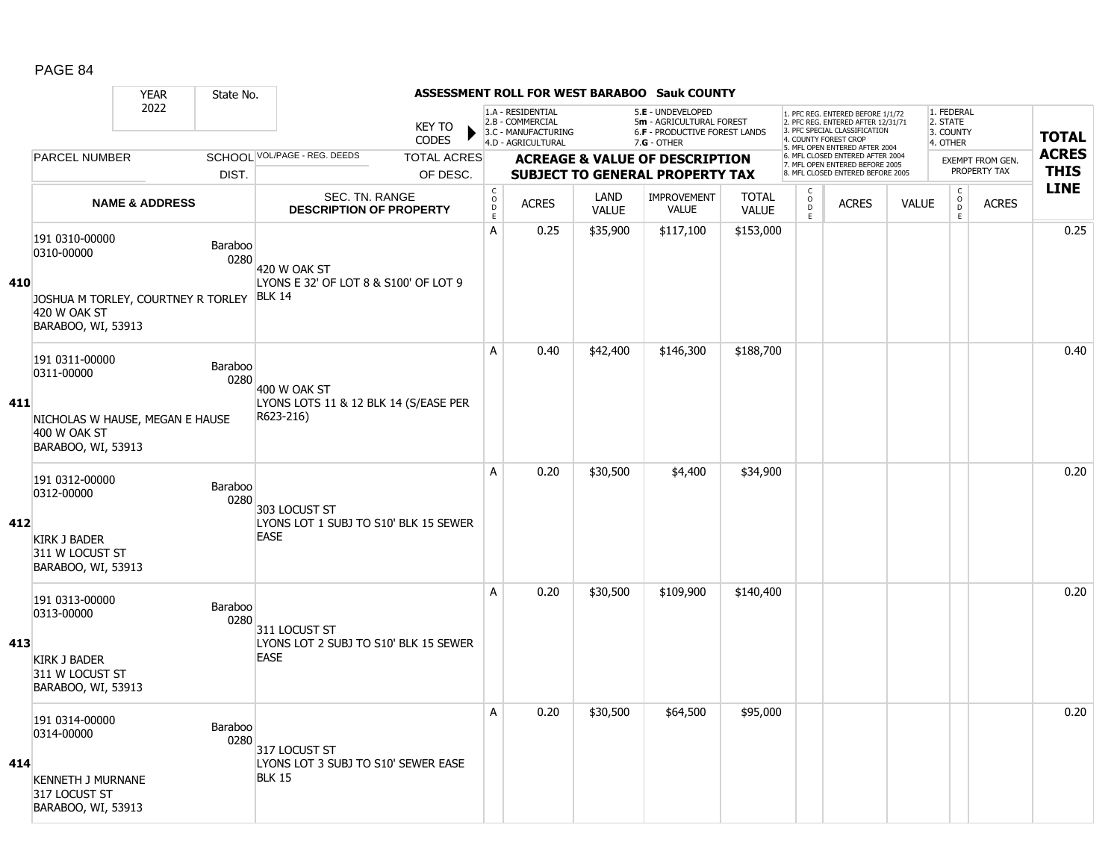#### YEAR State No. **ASSESSMENT ROLL FOR WEST BARABOO Sauk COUNTY** 2022 KEY TO **CODES** 1. PFC REG. ENTERED BEFORE 1/1/72 2. PFC REG. ENTERED AFTER 12/31/71 3. PFC SPECIAL CLASSIFICATION 4. COUNTY FOREST CROP 5. MFL OPEN ENTERED AFTER 2004 6. MFL CLOSED ENTERED AFTER 2004 7. MFL OPEN ENTERED BEFORE 2005 8. MFL CLOSED ENTERED BEFORE 2005 1. FEDERAL 2. STATE 3. COUNTY 4. OTHER **ACREAGE & VALUE OF DESCRIPTION SUBJECT TO GENERAL PROPERTY TAX** EXEMPT FROM GEN. PROPERTY TAX **TOTAL ACRES THIS LINE** 1.A - RESIDENTIAL 2.B - COMMERCIAL 3.C - MANUFACTURING 4.D - AGRICULTURAL 5.**E** - UNDEVELOPED 5**m** - AGRICULTURAL FOREST 6.**F** - PRODUCTIVE FOREST LANDS 7.**G** - OTHER TOTAL ACRES OF DESC. SCHOOL VOL/PAGE - REG. DEEDS DIST. PARCEL NUMBER ACRES C O D E ACRES VALUE  $\mathsf{C}$ O  $\overline{D}$ E TOTAL VALUE IMPROVEMENT VALUE LAND ACRES | VALUE C O  $\overline{D}$ E SEC. TN. RANGE **DESCRIPTION OF PROPERTY NAME & ADDRESS 410** 191 0310-00000 131 0310-00000<br>0310-00000 Baraboo 0280 JOSHUA M TORLEY, COURTNEY R TORLEY BLK 14 420 W OAK ST BARABOO, WI, 53913 420 W OAK ST LYONS E 32' OF LOT 8 & S100' OF LOT 9 A 0.25 \$35,900 \$117,100 \$153,000 0.25 **411** 191 0311-00000 191 0311-00000<br>0311-00000 Baraboo 0280 NICHOLAS W HAUSE, MEGAN E HAUSE 400 W OAK ST BARABOO, WI, 53913 400 W OAK ST LYONS LOTS 11 & 12 BLK 14 (S/EASE PER R623-216) A 0.40 \$42,400 \$146,300 \$188,700 distribution of the 10.40  $\,$ **412** 191 0312-00000 131 0312-00000<br>0312-00000 Baraboo 0280 KIRK J BADER 311 W LOCUST ST BARABOO, WI, 53913 303 LOCUST ST LYONS LOT 1 SUBJ TO S10' BLK 15 SEWER EASE A | 0.20 | \$30,500 | \$4,400 | \$34,900 | | | | | | | | | | | 0.20 **413** 191 0313-00000 Paraboo<br>0313-00000 Baraboo 0280 KIRK J BADER 311 W LOCUST ST BARABOO, WI, 53913 311 LOCUST ST LYONS LOT 2 SUBJ TO S10' BLK 15 SEWER EASE A 0.20 \$30,500 \$109,900 \$140,400 distribution of the 10.20 \$109,900 \$140,400 distribution of the 10.20 distrib **414** 191 0314-00000 131 0314-00000<br>0314-00000 Baraboo 0280 KENNETH J MURNANE 317 LOCUST ST BARABOO, WI, 53913 317 LOCUST ST LYONS LOT 3 SUBJ TO S10' SEWER EASE BLK 15 A 0.20 \$30,500 \$64,500 \$95,000 discussed by the 10.20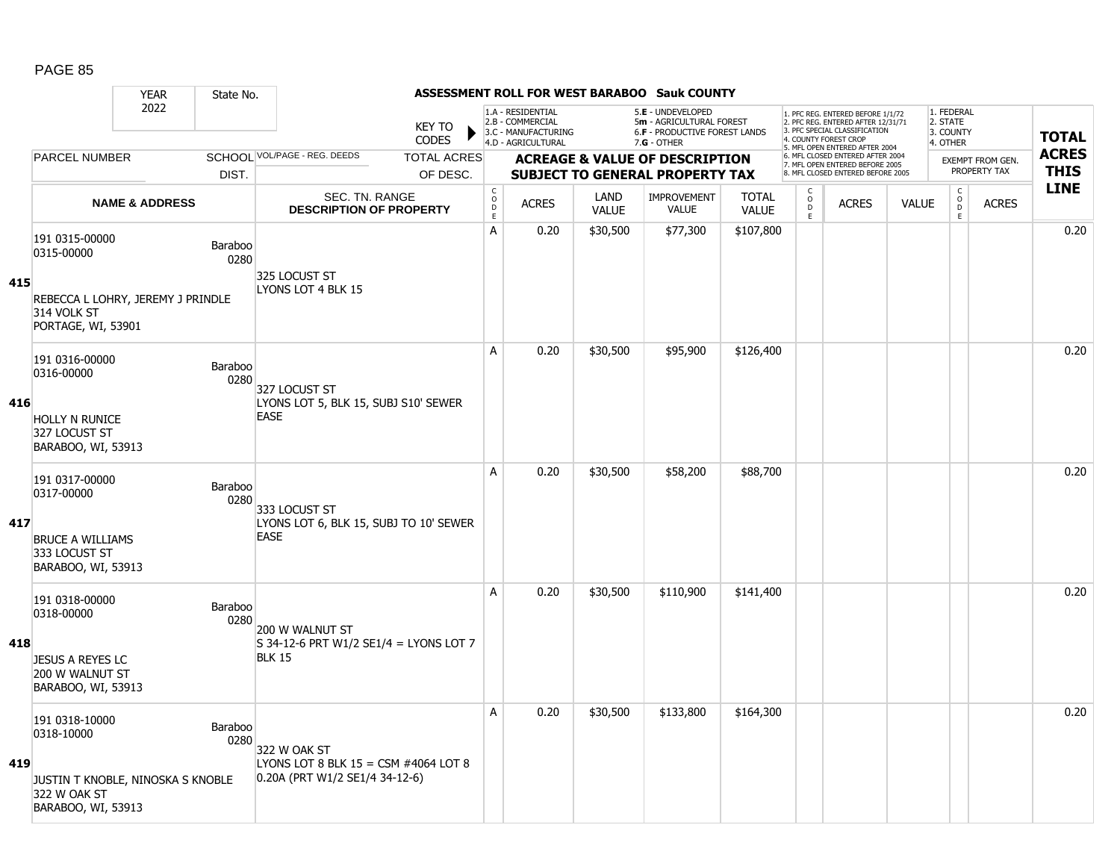|     |                                                                         | <b>YEAR</b>               | State No.              |                                                                          |                               |                               |                                                                                    |                      | ASSESSMENT ROLL FOR WEST BARABOO Sauk COUNTY                                                           |                              |                                   |                                                                                                                                   |              |                                                 |                         |              |
|-----|-------------------------------------------------------------------------|---------------------------|------------------------|--------------------------------------------------------------------------|-------------------------------|-------------------------------|------------------------------------------------------------------------------------|----------------------|--------------------------------------------------------------------------------------------------------|------------------------------|-----------------------------------|-----------------------------------------------------------------------------------------------------------------------------------|--------------|-------------------------------------------------|-------------------------|--------------|
|     |                                                                         | 2022                      |                        |                                                                          | <b>KEY TO</b><br><b>CODES</b> |                               | 1.A - RESIDENTIAL<br>2.B - COMMERCIAL<br>3.C - MANUFACTURING<br>4.D - AGRICULTURAL |                      | 5.E - UNDEVELOPED<br>5m - AGRICULTURAL FOREST<br><b>6.F - PRODUCTIVE FOREST LANDS</b><br>$7.G - OTHER$ |                              |                                   | 1. PFC REG. ENTERED BEFORE 1/1/72<br>2. PFC REG. ENTERED AFTER 12/31/71<br>3. PFC SPECIAL CLASSIFICATION<br>4. COUNTY FOREST CROP |              | 1. FEDERAL<br>2. STATE<br>3. COUNTY<br>4. OTHER |                         | <b>TOTAL</b> |
|     | <b>PARCEL NUMBER</b>                                                    |                           |                        | SCHOOL VOL/PAGE - REG. DEEDS                                             | <b>TOTAL ACRES</b>            |                               |                                                                                    |                      | <b>ACREAGE &amp; VALUE OF DESCRIPTION</b>                                                              |                              |                                   | 5. MFL OPEN ENTERED AFTER 2004<br>6. MFL CLOSED ENTERED AFTER 2004                                                                |              |                                                 | <b>EXEMPT FROM GEN.</b> | <b>ACRES</b> |
|     |                                                                         |                           | DIST.                  |                                                                          | OF DESC.                      |                               |                                                                                    |                      | <b>SUBJECT TO GENERAL PROPERTY TAX</b>                                                                 |                              |                                   | 7. MFL OPEN ENTERED BEFORE 2005<br>8. MFL CLOSED ENTERED BEFORE 2005                                                              |              |                                                 | PROPERTY TAX            | <b>THIS</b>  |
|     |                                                                         | <b>NAME &amp; ADDRESS</b> |                        | <b>SEC. TN. RANGE</b><br><b>DESCRIPTION OF PROPERTY</b>                  |                               | $_{\rm o}^{\rm c}$<br>D<br>E. | <b>ACRES</b>                                                                       | LAND<br><b>VALUE</b> | <b>IMPROVEMENT</b><br><b>VALUE</b>                                                                     | <b>TOTAL</b><br><b>VALUE</b> | $\mathsf{C}$<br>$\circ$<br>D<br>E | <b>ACRES</b>                                                                                                                      | <b>VALUE</b> | $_{\rm o}^{\rm c}$<br>D<br>E                    | <b>ACRES</b>            | <b>LINE</b>  |
|     | 191 0315-00000<br>0315-00000                                            |                           | <b>Baraboo</b><br>0280 | 325 LOCUST ST                                                            |                               | A                             | 0.20                                                                               | \$30,500             | \$77,300                                                                                               | \$107,800                    |                                   |                                                                                                                                   |              |                                                 |                         | 0.20         |
| 415 | REBECCA L LOHRY, JEREMY J PRINDLE<br>314 VOLK ST<br>PORTAGE, WI, 53901  |                           |                        | LYONS LOT 4 BLK 15                                                       |                               |                               |                                                                                    |                      |                                                                                                        |                              |                                   |                                                                                                                                   |              |                                                 |                         |              |
|     | 191 0316-00000<br>0316-00000                                            |                           | Baraboo<br>0280        | 327 LOCUST ST                                                            |                               | A                             | 0.20                                                                               | \$30,500             | \$95,900                                                                                               | \$126,400                    |                                   |                                                                                                                                   |              |                                                 |                         | 0.20         |
| 416 | <b>HOLLY N RUNICE</b><br>327 LOCUST ST<br>BARABOO, WI, 53913            |                           |                        | LYONS LOT 5, BLK 15, SUBJ S10' SEWER<br><b>EASE</b>                      |                               |                               |                                                                                    |                      |                                                                                                        |                              |                                   |                                                                                                                                   |              |                                                 |                         |              |
|     | 191 0317-00000<br>0317-00000                                            |                           | Baraboo<br>0280        | 333 LOCUST ST                                                            |                               | A                             | 0.20                                                                               | \$30,500             | \$58,200                                                                                               | \$88,700                     |                                   |                                                                                                                                   |              |                                                 |                         | 0.20         |
| 417 | <b>BRUCE A WILLIAMS</b><br>333 LOCUST ST<br>BARABOO, WI, 53913          |                           |                        | LYONS LOT 6, BLK 15, SUBJ TO 10' SEWER<br><b>EASE</b>                    |                               |                               |                                                                                    |                      |                                                                                                        |                              |                                   |                                                                                                                                   |              |                                                 |                         |              |
|     | 191 0318-00000<br>0318-00000                                            |                           | Baraboo<br>0280        | 200 W WALNUT ST                                                          |                               | A                             | 0.20                                                                               | \$30,500             | \$110,900                                                                                              | \$141,400                    |                                   |                                                                                                                                   |              |                                                 |                         | 0.20         |
| 418 | <b>JESUS A REYES LC</b><br>200 W WALNUT ST<br>BARABOO, WI, 53913        |                           |                        | $S$ 34-12-6 PRT W1/2 SE1/4 = LYONS LOT 7<br><b>BLK 15</b>                |                               |                               |                                                                                    |                      |                                                                                                        |                              |                                   |                                                                                                                                   |              |                                                 |                         |              |
|     | 191 0318-10000<br>0318-10000                                            |                           | Baraboo<br>0280        | 322 W OAK ST                                                             |                               | A                             | 0.20                                                                               | \$30,500             | \$133,800                                                                                              | \$164,300                    |                                   |                                                                                                                                   |              |                                                 |                         | 0.20         |
| 419 | JUSTIN T KNOBLE, NINOSKA S KNOBLE<br>322 W OAK ST<br>BARABOO, WI, 53913 |                           |                        | LYONS LOT 8 BLK $15 = CSM$ #4064 LOT 8<br>0.20A (PRT W1/2 SE1/4 34-12-6) |                               |                               |                                                                                    |                      |                                                                                                        |                              |                                   |                                                                                                                                   |              |                                                 |                         |              |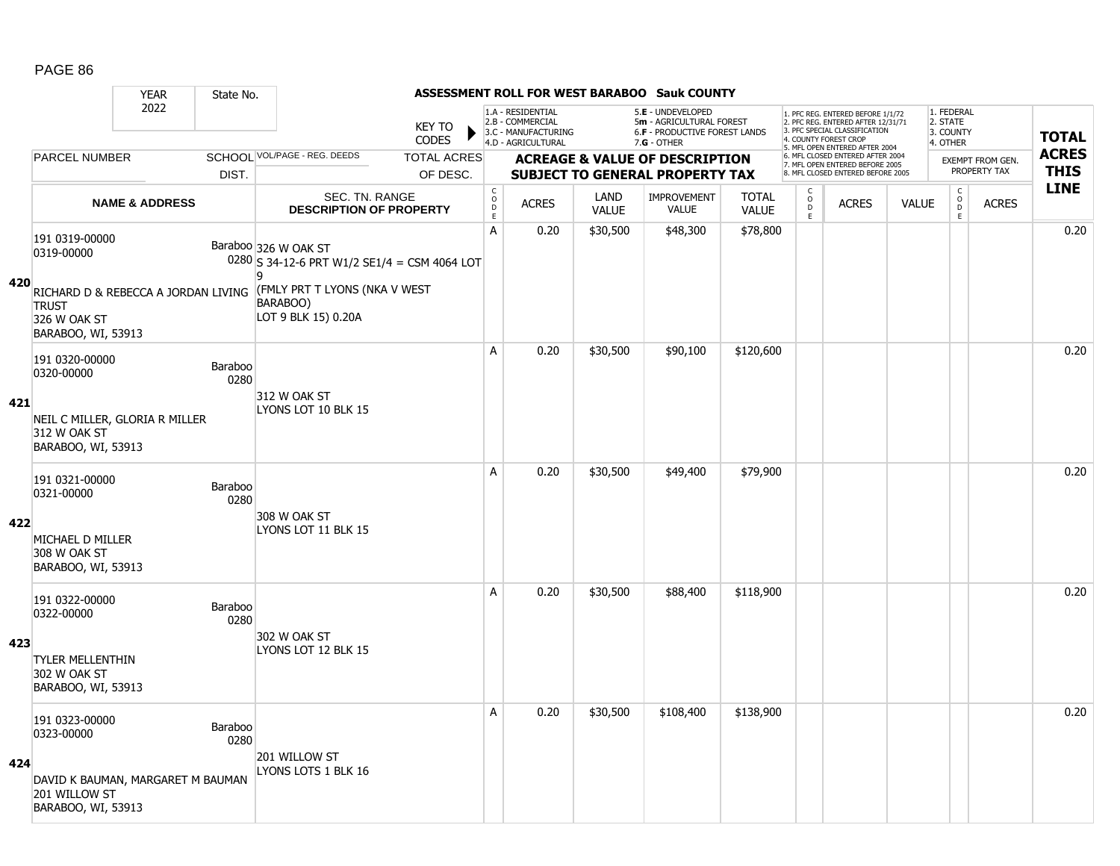|     |                                                               | <b>YEAR</b>                         | State No.       |                                                                             |                               |                                            |                                                                                    |                             | ASSESSMENT ROLL FOR WEST BARABOO Sauk COUNTY                                          |                              |                                            |                                                                                                                                   |              |                                              |                         |              |
|-----|---------------------------------------------------------------|-------------------------------------|-----------------|-----------------------------------------------------------------------------|-------------------------------|--------------------------------------------|------------------------------------------------------------------------------------|-----------------------------|---------------------------------------------------------------------------------------|------------------------------|--------------------------------------------|-----------------------------------------------------------------------------------------------------------------------------------|--------------|----------------------------------------------|-------------------------|--------------|
|     |                                                               | 2022                                |                 |                                                                             | <b>KEY TO</b><br><b>CODES</b> |                                            | 1.A - RESIDENTIAL<br>2.B - COMMERCIAL<br>3.C - MANUFACTURING<br>4.D - AGRICULTURAL |                             | 5.E - UNDEVELOPED<br>5m - AGRICULTURAL FOREST<br><b>6.F - PRODUCTIVE FOREST LANDS</b> |                              |                                            | 1. PFC REG. ENTERED BEFORE 1/1/72<br>2. PFC REG. ENTERED AFTER 12/31/71<br>3. PFC SPECIAL CLASSIFICATION<br>4. COUNTY FOREST CROP |              | 1. FEDERAL<br>2. STATE<br>3. COUNTY          |                         | <b>TOTAL</b> |
|     | <b>PARCEL NUMBER</b>                                          |                                     |                 | SCHOOL VOL/PAGE - REG. DEEDS                                                | <b>TOTAL ACRES</b>            |                                            |                                                                                    |                             | $7.G - OTHER$<br><b>ACREAGE &amp; VALUE OF DESCRIPTION</b>                            |                              |                                            | 5. MFL OPEN ENTERED AFTER 2004<br>6. MFL CLOSED ENTERED AFTER 2004                                                                |              | 4. OTHER                                     | <b>EXEMPT FROM GEN.</b> | <b>ACRES</b> |
|     |                                                               |                                     | DIST.           |                                                                             | OF DESC.                      |                                            |                                                                                    |                             | <b>SUBJECT TO GENERAL PROPERTY TAX</b>                                                |                              |                                            | 7. MFL OPEN ENTERED BEFORE 2005<br>8. MFL CLOSED ENTERED BEFORE 2005                                                              |              |                                              | PROPERTY TAX            | <b>THIS</b>  |
|     |                                                               | <b>NAME &amp; ADDRESS</b>           |                 | SEC. TN. RANGE<br><b>DESCRIPTION OF PROPERTY</b>                            |                               | $\mathsf C$<br>$\circ$<br>D<br>$\mathsf E$ | <b>ACRES</b>                                                                       | <b>LAND</b><br><b>VALUE</b> | <b>IMPROVEMENT</b><br><b>VALUE</b>                                                    | <b>TOTAL</b><br><b>VALUE</b> | $\mathsf C$<br>$\circ$<br>$\mathsf D$<br>E | <b>ACRES</b>                                                                                                                      | <b>VALUE</b> | $\mathsf C$<br>$\overline{0}$<br>$\mathsf E$ | <b>ACRES</b>            | <b>LINE</b>  |
|     | 191 0319-00000<br>0319-00000                                  |                                     |                 | Baraboo 326 W OAK ST<br>$0280$ S 34-12-6 PRT W1/2 SE1/4 = CSM 4064 LOT<br>٥ |                               | A                                          | 0.20                                                                               | \$30,500                    | \$48,300                                                                              | \$78,800                     |                                            |                                                                                                                                   |              |                                              |                         | 0.20         |
| 420 | <b>TRUST</b><br>326 W OAK ST<br>BARABOO, WI, 53913            | RICHARD D & REBECCA A JORDAN LIVING |                 | (FMLY PRT T LYONS (NKA V WEST<br>BARABOO)<br>LOT 9 BLK 15) 0.20A            |                               |                                            |                                                                                    |                             |                                                                                       |                              |                                            |                                                                                                                                   |              |                                              |                         |              |
|     | 191 0320-00000<br>0320-00000                                  |                                     | Baraboo<br>0280 | 312 W OAK ST                                                                |                               | A                                          | 0.20                                                                               | \$30,500                    | \$90,100                                                                              | \$120,600                    |                                            |                                                                                                                                   |              |                                              |                         | 0.20         |
| 421 | 312 W OAK ST<br>BARABOO, WI, 53913                            | NEIL C MILLER, GLORIA R MILLER      |                 | LYONS LOT 10 BLK 15                                                         |                               |                                            |                                                                                    |                             |                                                                                       |                              |                                            |                                                                                                                                   |              |                                              |                         |              |
|     | 191 0321-00000<br>0321-00000                                  |                                     | Baraboo<br>0280 | 308 W OAK ST                                                                |                               | A                                          | 0.20                                                                               | \$30,500                    | \$49,400                                                                              | \$79,900                     |                                            |                                                                                                                                   |              |                                              |                         | 0.20         |
| 422 | MICHAEL D MILLER<br>308 W OAK ST<br>BARABOO, WI, 53913        |                                     |                 | LYONS LOT 11 BLK 15                                                         |                               |                                            |                                                                                    |                             |                                                                                       |                              |                                            |                                                                                                                                   |              |                                              |                         |              |
|     | 191 0322-00000<br>0322-00000                                  |                                     | Baraboo<br>0280 |                                                                             |                               | A                                          | 0.20                                                                               | \$30,500                    | \$88,400                                                                              | \$118,900                    |                                            |                                                                                                                                   |              |                                              |                         | 0.20         |
| 423 | <b>TYLER MELLENTHIN</b><br>302 W OAK ST<br>BARABOO, WI, 53913 |                                     |                 | 302 W OAK ST<br>LYONS LOT 12 BLK 15                                         |                               |                                            |                                                                                    |                             |                                                                                       |                              |                                            |                                                                                                                                   |              |                                              |                         |              |
|     | 191 0323-00000<br>0323-00000                                  |                                     | Baraboo<br>0280 | 201 WILLOW ST                                                               |                               | Α                                          | 0.20                                                                               | \$30,500                    | \$108,400                                                                             | \$138,900                    |                                            |                                                                                                                                   |              |                                              |                         | 0.20         |
| 424 | 201 WILLOW ST<br>BARABOO, WI, 53913                           | DAVID K BAUMAN, MARGARET M BAUMAN   |                 | LYONS LOTS 1 BLK 16                                                         |                               |                                            |                                                                                    |                             |                                                                                       |                              |                                            |                                                                                                                                   |              |                                              |                         |              |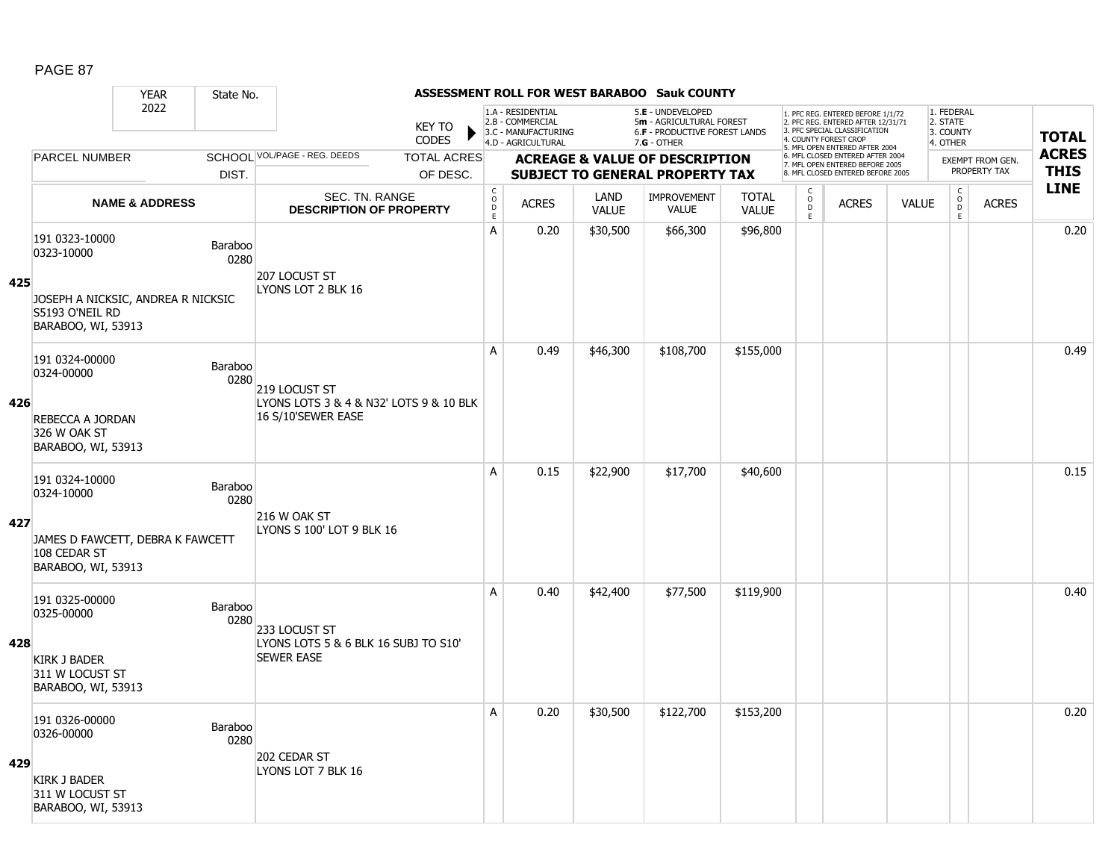|     |                                                                        | <b>YEAR</b>               | State No.       |                                                               |                                                       |                                                                                    |                      | ASSESSMENT ROLL FOR WEST BARABOO Sauk COUNTY                                                           |                              |                        |                                                                                                          |              |                                                 |                         |              |
|-----|------------------------------------------------------------------------|---------------------------|-----------------|---------------------------------------------------------------|-------------------------------------------------------|------------------------------------------------------------------------------------|----------------------|--------------------------------------------------------------------------------------------------------|------------------------------|------------------------|----------------------------------------------------------------------------------------------------------|--------------|-------------------------------------------------|-------------------------|--------------|
|     |                                                                        | 2022                      |                 | <b>KEY TO</b><br><b>CODES</b>                                 |                                                       | 1.A - RESIDENTIAL<br>2.B - COMMERCIAL<br>3.C - MANUFACTURING<br>4.D - AGRICULTURAL |                      | 5.E - UNDEVELOPED<br>5m - AGRICULTURAL FOREST<br><b>6.F - PRODUCTIVE FOREST LANDS</b><br>$7.G - OTHER$ |                              | 4. COUNTY FOREST CROP  | 1. PFC REG. ENTERED BEFORE 1/1/72<br>2. PFC REG. ENTERED AFTER 12/31/71<br>3. PFC SPECIAL CLASSIFICATION |              | 1. FEDERAL<br>2. STATE<br>3. COUNTY<br>4. OTHER |                         | <b>TOTAL</b> |
|     | <b>PARCEL NUMBER</b>                                                   |                           |                 | SCHOOL VOL/PAGE - REG. DEEDS<br><b>TOTAL ACRES</b>            |                                                       |                                                                                    |                      | <b>ACREAGE &amp; VALUE OF DESCRIPTION</b>                                                              |                              |                        | 5. MFL OPEN ENTERED AFTER 2004<br>6. MFL CLOSED ENTERED AFTER 2004                                       |              |                                                 | <b>EXEMPT FROM GEN.</b> | <b>ACRES</b> |
|     |                                                                        |                           | DIST.           | OF DESC.                                                      |                                                       |                                                                                    |                      | <b>SUBJECT TO GENERAL PROPERTY TAX</b>                                                                 |                              |                        | 7. MFL OPEN ENTERED BEFORE 2005<br>8. MFL CLOSED ENTERED BEFORE 2005                                     |              |                                                 | PROPERTY TAX            | <b>THIS</b>  |
|     |                                                                        | <b>NAME &amp; ADDRESS</b> |                 | <b>SEC. TN. RANGE</b><br><b>DESCRIPTION OF PROPERTY</b>       | $\mathsf{C}$<br>$\circ$<br>$\mathsf D$<br>$\mathsf E$ | <b>ACRES</b>                                                                       | LAND<br><b>VALUE</b> | <b>IMPROVEMENT</b><br>VALUE                                                                            | <b>TOTAL</b><br><b>VALUE</b> | C<br>$\circ$<br>D<br>E | <b>ACRES</b>                                                                                             | <b>VALUE</b> | $\mathsf{C}$<br>$\circ$<br>D<br>E               | <b>ACRES</b>            | <b>LINE</b>  |
| 425 | 191 0323-10000<br>0323-10000<br>JOSEPH A NICKSIC, ANDREA R NICKSIC     |                           | Baraboo<br>0280 | 207 LOCUST ST<br>LYONS LOT 2 BLK 16                           | A                                                     | 0.20                                                                               | \$30,500             | \$66,300                                                                                               | \$96,800                     |                        |                                                                                                          |              |                                                 |                         | 0.20         |
|     | S5193 O'NEIL RD<br>BARABOO, WI, 53913                                  |                           |                 |                                                               |                                                       |                                                                                    |                      |                                                                                                        |                              |                        |                                                                                                          |              |                                                 |                         |              |
|     | 191 0324-00000<br>0324-00000                                           |                           | Baraboo<br>0280 | 219 LOCUST ST                                                 | A                                                     | 0.49                                                                               | \$46,300             | \$108,700                                                                                              | \$155,000                    |                        |                                                                                                          |              |                                                 |                         | 0.49         |
| 426 | REBECCA A JORDAN<br>326 W OAK ST<br>BARABOO, WI, 53913                 |                           |                 | LYONS LOTS 3 & 4 & N32' LOTS 9 & 10 BLK<br>16 S/10'SEWER EASE |                                                       |                                                                                    |                      |                                                                                                        |                              |                        |                                                                                                          |              |                                                 |                         |              |
|     | 191 0324-10000<br>0324-10000                                           |                           | Baraboo<br>0280 | 216 W OAK ST                                                  | A                                                     | 0.15                                                                               | \$22,900             | \$17,700                                                                                               | \$40,600                     |                        |                                                                                                          |              |                                                 |                         | 0.15         |
| 427 | JAMES D FAWCETT, DEBRA K FAWCETT<br>108 CEDAR ST<br>BARABOO, WI, 53913 |                           |                 | LYONS S 100' LOT 9 BLK 16                                     |                                                       |                                                                                    |                      |                                                                                                        |                              |                        |                                                                                                          |              |                                                 |                         |              |
|     | 191 0325-00000<br>0325-00000                                           |                           | Baraboo<br>0280 | 233 LOCUST ST                                                 | Α                                                     | 0.40                                                                               | \$42,400             | \$77,500                                                                                               | \$119,900                    |                        |                                                                                                          |              |                                                 |                         | 0.40         |
| 428 | <b>KIRK J BADER</b><br>311 W LOCUST ST<br>BARABOO, WI, 53913           |                           |                 | LYONS LOTS 5 & 6 BLK 16 SUBJ TO S10'<br><b>SEWER EASE</b>     |                                                       |                                                                                    |                      |                                                                                                        |                              |                        |                                                                                                          |              |                                                 |                         |              |
|     | 191 0326-00000<br>0326-00000                                           |                           | Baraboo<br>0280 | 202 CEDAR ST                                                  | A                                                     | 0.20                                                                               | \$30,500             | \$122,700                                                                                              | \$153,200                    |                        |                                                                                                          |              |                                                 |                         | 0.20         |
| 429 | <b>KIRK J BADER</b><br>311 W LOCUST ST<br>BARABOO, WI, 53913           |                           |                 | LYONS LOT 7 BLK 16                                            |                                                       |                                                                                    |                      |                                                                                                        |                              |                        |                                                                                                          |              |                                                 |                         |              |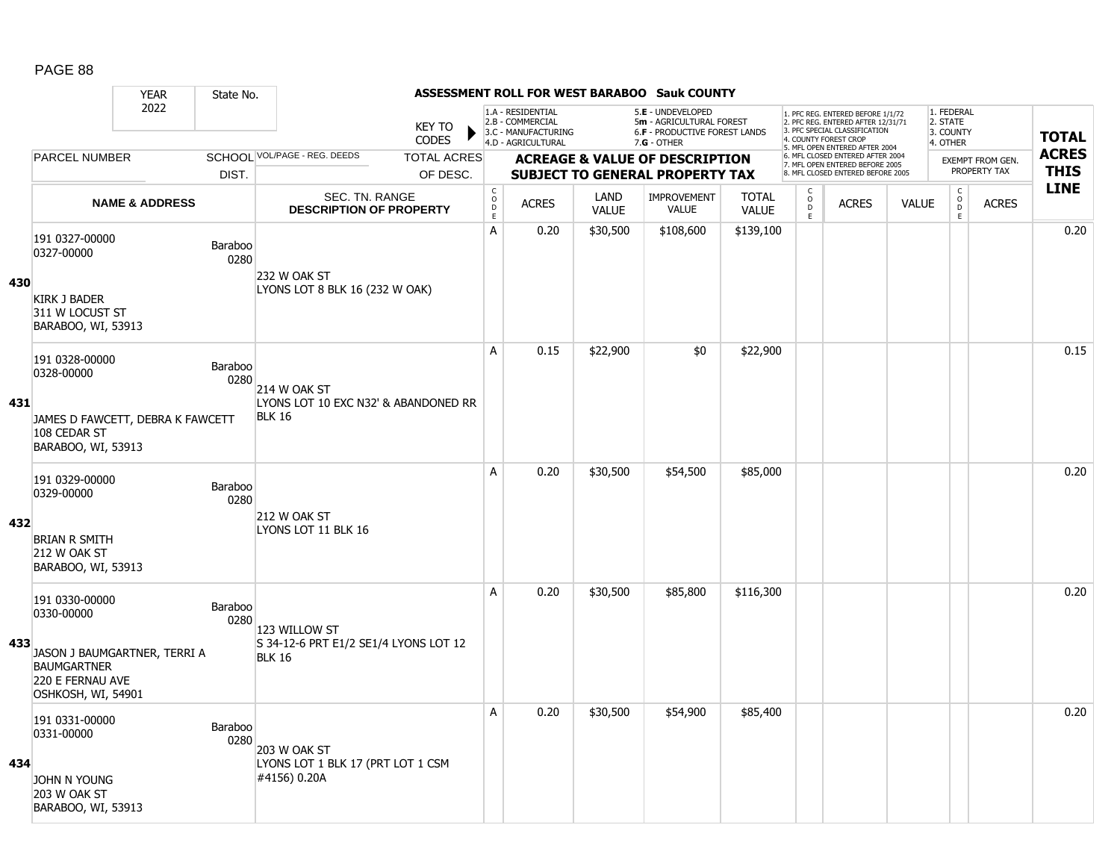|     |                                                                                                                              | <b>YEAR</b>               | State No.              |                                                                         |                        |                                             |                                                                                    |                      | ASSESSMENT ROLL FOR WEST BARABOO Sauk COUNTY                                                    |                              |                                  |                                                                                                          |              |                                                 |                                  |              |
|-----|------------------------------------------------------------------------------------------------------------------------------|---------------------------|------------------------|-------------------------------------------------------------------------|------------------------|---------------------------------------------|------------------------------------------------------------------------------------|----------------------|-------------------------------------------------------------------------------------------------|------------------------------|----------------------------------|----------------------------------------------------------------------------------------------------------|--------------|-------------------------------------------------|----------------------------------|--------------|
|     |                                                                                                                              | 2022                      |                        |                                                                         | <b>KEY TO</b><br>CODES |                                             | 1.A - RESIDENTIAL<br>2.B - COMMERCIAL<br>3.C - MANUFACTURING<br>4.D - AGRICULTURAL |                      | 5.E - UNDEVELOPED<br>5m - AGRICULTURAL FOREST<br>6.F - PRODUCTIVE FOREST LANDS<br>$7.G - OTHER$ |                              | 4. COUNTY FOREST CROP            | 1. PFC REG. ENTERED BEFORE 1/1/72<br>2. PFC REG. ENTERED AFTER 12/31/71<br>3. PFC SPECIAL CLASSIFICATION |              | 1. FEDERAL<br>2. STATE<br>3. COUNTY<br>4. OTHER |                                  | <b>TOTAL</b> |
|     | <b>PARCEL NUMBER</b>                                                                                                         |                           |                        | SCHOOL VOL/PAGE - REG. DEEDS                                            | <b>TOTAL ACRES</b>     |                                             |                                                                                    |                      | <b>ACREAGE &amp; VALUE OF DESCRIPTION</b>                                                       |                              |                                  | 5. MFL OPEN ENTERED AFTER 2004<br>6. MFL CLOSED ENTERED AFTER 2004                                       |              |                                                 |                                  | <b>ACRES</b> |
|     |                                                                                                                              |                           | DIST.                  |                                                                         | OF DESC.               |                                             |                                                                                    |                      | <b>SUBJECT TO GENERAL PROPERTY TAX</b>                                                          |                              |                                  | 7. MFL OPEN ENTERED BEFORE 2005<br>8. MFL CLOSED ENTERED BEFORE 2005                                     |              |                                                 | EXEMPT FROM GEN.<br>PROPERTY TAX | <b>THIS</b>  |
|     |                                                                                                                              | <b>NAME &amp; ADDRESS</b> |                        | SEC. TN. RANGE<br><b>DESCRIPTION OF PROPERTY</b>                        |                        | $\mathsf{C}$<br>$\circ$<br>D<br>$\mathsf E$ | <b>ACRES</b>                                                                       | LAND<br><b>VALUE</b> | <b>IMPROVEMENT</b><br><b>VALUE</b>                                                              | <b>TOTAL</b><br><b>VALUE</b> | C<br>$\circ$<br>D<br>$\mathsf E$ | <b>ACRES</b>                                                                                             | <b>VALUE</b> | $\mathsf{C}$<br>$\overline{0}$<br>E             | <b>ACRES</b>                     | <b>LINE</b>  |
| 430 | 191 0327-00000<br>0327-00000<br>KIRK J BADER                                                                                 |                           | <b>Baraboo</b><br>0280 | <b>232 W OAK ST</b><br>LYONS LOT 8 BLK 16 (232 W OAK)                   |                        | $\mathsf{A}$                                | 0.20                                                                               | \$30,500             | \$108,600                                                                                       | \$139,100                    |                                  |                                                                                                          |              |                                                 |                                  | 0.20         |
|     | 311 W LOCUST ST<br>BARABOO, WI, 53913                                                                                        |                           |                        |                                                                         |                        | A                                           | 0.15                                                                               | \$22,900             | \$0                                                                                             | \$22,900                     |                                  |                                                                                                          |              |                                                 |                                  | 0.15         |
| 431 | 191 0328-00000<br>0328-00000<br>JAMES D FAWCETT, DEBRA K FAWCETT<br>108 CEDAR ST<br>BARABOO, WI, 53913                       |                           | Baraboo<br>0280        | 214 W OAK ST<br>LYONS LOT 10 EXC N32' & ABANDONED RR<br><b>BLK 16</b>   |                        |                                             |                                                                                    |                      |                                                                                                 |                              |                                  |                                                                                                          |              |                                                 |                                  |              |
| 432 | 191 0329-00000<br>0329-00000<br><b>BRIAN R SMITH</b>                                                                         |                           | Baraboo<br>0280        | 212 W OAK ST<br>LYONS LOT 11 BLK 16                                     |                        | A                                           | 0.20                                                                               | \$30,500             | \$54,500                                                                                        | \$85,000                     |                                  |                                                                                                          |              |                                                 |                                  | 0.20         |
|     | 212 W OAK ST<br>BARABOO, WI, 53913                                                                                           |                           |                        |                                                                         |                        |                                             |                                                                                    |                      |                                                                                                 |                              |                                  |                                                                                                          |              |                                                 |                                  |              |
| 433 | 191 0330-00000<br>0330-00000<br>JASON J BAUMGARTNER, TERRI A<br><b>BAUMGARTNER</b><br>220 E FERNAU AVE<br>OSHKOSH, WI, 54901 |                           | Baraboo<br>0280        | 123 WILLOW ST<br>S 34-12-6 PRT E1/2 SE1/4 LYONS LOT 12<br><b>BLK 16</b> |                        | A                                           | 0.20                                                                               | \$30,500             | \$85,800                                                                                        | \$116,300                    |                                  |                                                                                                          |              |                                                 |                                  | 0.20         |
| 434 | 191 0331-00000<br>0331-00000<br><b>JOHN N YOUNG</b><br>203 W OAK ST<br>BARABOO, WI, 53913                                    |                           | Baraboo<br>0280        | 203 W OAK ST<br>LYONS LOT 1 BLK 17 (PRT LOT 1 CSM<br>#4156) 0.20A       |                        | Α                                           | 0.20                                                                               | \$30,500             | \$54,900                                                                                        | \$85,400                     |                                  |                                                                                                          |              |                                                 |                                  | 0.20         |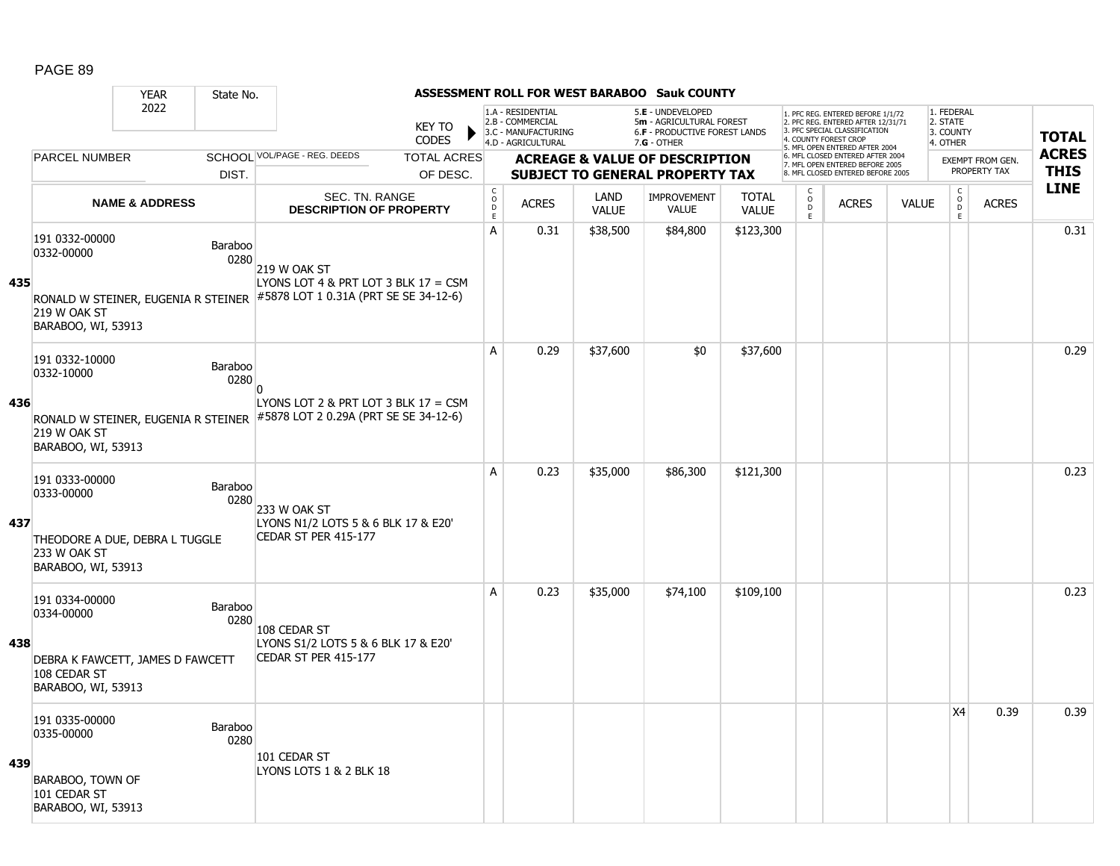|     |                                                                                                        | <b>YEAR</b>               | State No.              |                                                                                                                     |                               |                                                 |                                                              |                      | ASSESSMENT ROLL FOR WEST BARABOO Sauk COUNTY                                          |                              |                                   |                                                                                                                                   |              |                                     |                                         |              |
|-----|--------------------------------------------------------------------------------------------------------|---------------------------|------------------------|---------------------------------------------------------------------------------------------------------------------|-------------------------------|-------------------------------------------------|--------------------------------------------------------------|----------------------|---------------------------------------------------------------------------------------|------------------------------|-----------------------------------|-----------------------------------------------------------------------------------------------------------------------------------|--------------|-------------------------------------|-----------------------------------------|--------------|
|     |                                                                                                        | 2022                      |                        |                                                                                                                     | <b>KEY TO</b><br><b>CODES</b> |                                                 | 1.A - RESIDENTIAL<br>2.B - COMMERCIAL<br>3.C - MANUFACTURING |                      | 5.E - UNDEVELOPED<br>5m - AGRICULTURAL FOREST<br><b>6.F - PRODUCTIVE FOREST LANDS</b> |                              |                                   | 1. PFC REG. ENTERED BEFORE 1/1/72<br>2. PFC REG. ENTERED AFTER 12/31/71<br>3. PFC SPECIAL CLASSIFICATION<br>4. COUNTY FOREST CROP |              | 1. FEDERAL<br>2. STATE<br>3. COUNTY |                                         | <b>TOTAL</b> |
|     | <b>PARCEL NUMBER</b>                                                                                   |                           |                        | SCHOOL VOL/PAGE - REG. DEEDS                                                                                        | <b>TOTAL ACRES</b>            |                                                 | 4.D - AGRICULTURAL                                           |                      | 7.G - OTHER                                                                           |                              |                                   | 5. MFL OPEN ENTERED AFTER 2004<br>6. MFL CLOSED ENTERED AFTER 2004                                                                |              | 4. OTHER                            |                                         | <b>ACRES</b> |
|     |                                                                                                        |                           | DIST.                  |                                                                                                                     | OF DESC.                      |                                                 |                                                              |                      | <b>ACREAGE &amp; VALUE OF DESCRIPTION</b><br><b>SUBJECT TO GENERAL PROPERTY TAX</b>   |                              |                                   | 7. MFL OPEN ENTERED BEFORE 2005<br>8. MFL CLOSED ENTERED BEFORE 2005                                                              |              |                                     | <b>EXEMPT FROM GEN.</b><br>PROPERTY TAX | <b>THIS</b>  |
|     |                                                                                                        | <b>NAME &amp; ADDRESS</b> |                        | <b>SEC. TN. RANGE</b><br><b>DESCRIPTION OF PROPERTY</b>                                                             |                               | $\mathsf C$<br>$\mathsf{o}$<br>D<br>$\mathsf E$ | <b>ACRES</b>                                                 | LAND<br><b>VALUE</b> | <b>IMPROVEMENT</b><br><b>VALUE</b>                                                    | <b>TOTAL</b><br><b>VALUE</b> | $\mathsf{C}$<br>$\circ$<br>D<br>E | <b>ACRES</b>                                                                                                                      | <b>VALUE</b> | C<br>$\overline{D}$<br>E            | <b>ACRES</b>                            | <b>LINE</b>  |
|     | 191 0332-00000<br>0332-00000                                                                           |                           | Baraboo<br>0280        | 219 W OAK ST                                                                                                        |                               | A                                               | 0.31                                                         | \$38,500             | \$84,800                                                                              | \$123,300                    |                                   |                                                                                                                                   |              |                                     |                                         | 0.31         |
| 435 | 219 W OAK ST<br>BARABOO, WI, 53913                                                                     |                           |                        | LYONS LOT 4 & PRT LOT 3 BLK $17 = CSM$<br>RONALD W STEINER, EUGENIA R STEINER #5878 LOT 1 0.31A (PRT SE SE 34-12-6) |                               |                                                 |                                                              |                      |                                                                                       |                              |                                   |                                                                                                                                   |              |                                     |                                         |              |
|     | 191 0332-10000<br>0332-10000                                                                           |                           | Baraboo<br>0280        | n                                                                                                                   |                               | A                                               | 0.29                                                         | \$37,600             | \$0                                                                                   | \$37,600                     |                                   |                                                                                                                                   |              |                                     |                                         | 0.29         |
| 436 | 219 W OAK ST<br>BARABOO, WI, 53913                                                                     |                           |                        | LYONS LOT 2 & PRT LOT 3 BLK $17 = CSM$<br>RONALD W STEINER, EUGENIA R STEINER #5878 LOT 2 0.29A (PRT SE SE 34-12-6) |                               |                                                 |                                                              |                      |                                                                                       |                              |                                   |                                                                                                                                   |              |                                     |                                         |              |
| 437 | 191 0333-00000<br>0333-00000<br>THEODORE A DUE, DEBRA L TUGGLE<br>233 W OAK ST<br>BARABOO, WI, 53913   |                           | Baraboo<br>0280        | 233 W OAK ST<br>LYONS N1/2 LOTS 5 & 6 BLK 17 & E20'<br>CEDAR ST PER 415-177                                         |                               | A                                               | 0.23                                                         | \$35,000             | \$86,300                                                                              | \$121,300                    |                                   |                                                                                                                                   |              |                                     |                                         | 0.23         |
| 438 | 191 0334-00000<br>0334-00000<br>DEBRA K FAWCETT, JAMES D FAWCETT<br>108 CEDAR ST<br>BARABOO, WI, 53913 |                           | <b>Baraboo</b><br>0280 | 108 CEDAR ST<br>LYONS S1/2 LOTS 5 & 6 BLK 17 & E20'<br>CEDAR ST PER 415-177                                         |                               | A                                               | 0.23                                                         | \$35,000             | \$74,100                                                                              | \$109,100                    |                                   |                                                                                                                                   |              |                                     |                                         | 0.23         |
| 439 | 191 0335-00000<br>0335-00000<br>BARABOO, TOWN OF<br>101 CEDAR ST<br>BARABOO, WI, 53913                 |                           | Baraboo<br>0280        | 101 CEDAR ST<br>LYONS LOTS 1 & 2 BLK 18                                                                             |                               |                                                 |                                                              |                      |                                                                                       |                              |                                   |                                                                                                                                   |              | X4                                  | 0.39                                    | 0.39         |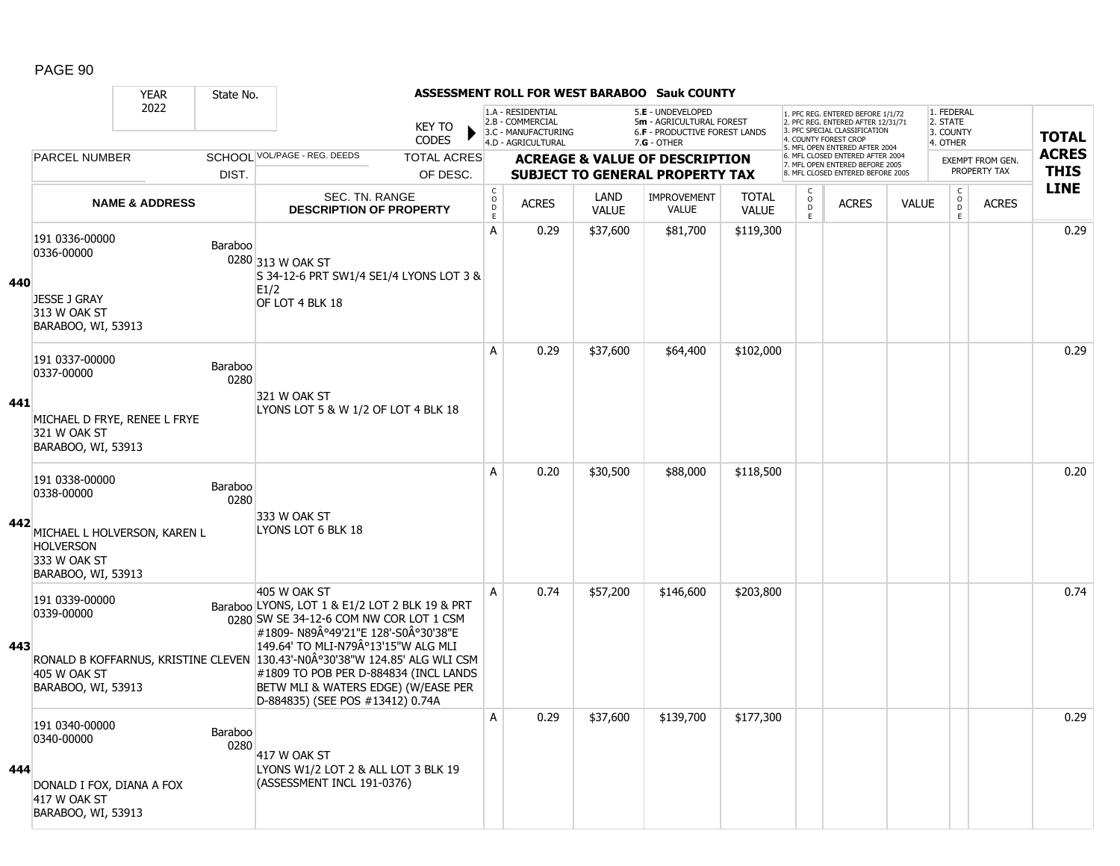|     |                                                                           |                           | State No.       |                                                                                                                                                                                                                                                                                                                                                      |                                                        |                                                                                    |                      | ASSESSMENT ROLL FOR WEST BARABOO Sauk COUNTY                                                    |                              |                              |                                                                                                                                   |              |                                                 |                  |              |
|-----|---------------------------------------------------------------------------|---------------------------|-----------------|------------------------------------------------------------------------------------------------------------------------------------------------------------------------------------------------------------------------------------------------------------------------------------------------------------------------------------------------------|--------------------------------------------------------|------------------------------------------------------------------------------------|----------------------|-------------------------------------------------------------------------------------------------|------------------------------|------------------------------|-----------------------------------------------------------------------------------------------------------------------------------|--------------|-------------------------------------------------|------------------|--------------|
|     |                                                                           | 2022                      |                 | <b>KEY TO</b><br><b>CODES</b>                                                                                                                                                                                                                                                                                                                        |                                                        | 1.A - RESIDENTIAL<br>2.B - COMMERCIAL<br>3.C - MANUFACTURING<br>4.D - AGRICULTURAL |                      | 5.E - UNDEVELOPED<br>5m - AGRICULTURAL FOREST<br>6.F - PRODUCTIVE FOREST LANDS<br>$7.G - OTHER$ |                              |                              | 1. PFC REG. ENTERED BEFORE 1/1/72<br>2. PFC REG. ENTERED AFTER 12/31/71<br>3. PFC SPECIAL CLASSIFICATION<br>4. COUNTY FOREST CROP |              | 1. FEDERAL<br>2. STATE<br>3. COUNTY<br>4. OTHER |                  | <b>TOTAL</b> |
|     | PARCEL NUMBER                                                             |                           |                 | SCHOOL VOL/PAGE - REG. DEEDS<br><b>TOTAL ACRES</b>                                                                                                                                                                                                                                                                                                   |                                                        |                                                                                    |                      | <b>ACREAGE &amp; VALUE OF DESCRIPTION</b>                                                       |                              |                              | 5. MFL OPEN ENTERED AFTER 2004<br>6. MFL CLOSED ENTERED AFTER 2004                                                                |              |                                                 | EXEMPT FROM GEN. | <b>ACRES</b> |
|     |                                                                           |                           | DIST.           | OF DESC.                                                                                                                                                                                                                                                                                                                                             |                                                        |                                                                                    |                      | <b>SUBJECT TO GENERAL PROPERTY TAX</b>                                                          |                              |                              | 7. MFL OPEN ENTERED BEFORE 2005<br>8. MFL CLOSED ENTERED BEFORE 2005                                                              |              |                                                 | PROPERTY TAX     | <b>THIS</b>  |
|     |                                                                           | <b>NAME &amp; ADDRESS</b> |                 | <b>SEC. TN. RANGE</b><br><b>DESCRIPTION OF PROPERTY</b>                                                                                                                                                                                                                                                                                              | $\mathsf C$<br>$_\mathrm{D}^\mathrm{O}$<br>$\mathsf E$ | <b>ACRES</b>                                                                       | LAND<br><b>VALUE</b> | <b>IMPROVEMENT</b><br><b>VALUE</b>                                                              | <b>TOTAL</b><br><b>VALUE</b> | C<br>$_{\rm D}^{\rm O}$<br>E | <b>ACRES</b>                                                                                                                      | <b>VALUE</b> | $\mathsf{C}$<br>$\overline{0}$<br>E             | <b>ACRES</b>     | <b>LINE</b>  |
| 440 | 191 0336-00000<br>0336-00000<br>JESSE J GRAY                              |                           | Baraboo         | 0280 313 W OAK ST<br>S 34-12-6 PRT SW1/4 SE1/4 LYONS LOT 3 &<br>E1/2                                                                                                                                                                                                                                                                                 | A                                                      | 0.29                                                                               | \$37,600             | \$81,700                                                                                        | \$119,300                    |                              |                                                                                                                                   |              |                                                 |                  | 0.29         |
|     | 313 W OAK ST<br>BARABOO, WI, 53913                                        |                           |                 | OF LOT 4 BLK 18                                                                                                                                                                                                                                                                                                                                      |                                                        |                                                                                    |                      |                                                                                                 |                              |                              |                                                                                                                                   |              |                                                 |                  |              |
|     | 191 0337-00000<br>0337-00000                                              |                           | Baraboo<br>0280 | 321 W OAK ST                                                                                                                                                                                                                                                                                                                                         | A                                                      | 0.29                                                                               | \$37,600             | \$64,400                                                                                        | \$102,000                    |                              |                                                                                                                                   |              |                                                 |                  | 0.29         |
| 441 | MICHAEL D FRYE, RENEE L FRYE<br>321 W OAK ST<br>BARABOO, WI, 53913        |                           |                 | LYONS LOT 5 & W 1/2 OF LOT 4 BLK 18                                                                                                                                                                                                                                                                                                                  |                                                        |                                                                                    |                      |                                                                                                 |                              |                              |                                                                                                                                   |              |                                                 |                  |              |
| 442 | 191 0338-00000<br>0338-00000<br>MICHAEL L HOLVERSON, KAREN L              |                           | Baraboo<br>0280 | 333 W OAK ST<br>LYONS LOT 6 BLK 18                                                                                                                                                                                                                                                                                                                   | A                                                      | 0.20                                                                               | \$30,500             | \$88,000                                                                                        | \$118,500                    |                              |                                                                                                                                   |              |                                                 |                  | 0.20         |
|     | <b>HOLVERSON</b><br>333 W OAK ST<br>BARABOO, WI, 53913                    |                           |                 |                                                                                                                                                                                                                                                                                                                                                      |                                                        |                                                                                    |                      |                                                                                                 |                              |                              |                                                                                                                                   |              |                                                 |                  |              |
| 443 | 191 0339-00000<br>0339-00000<br>405 W OAK ST<br>BARABOO, WI, 53913        |                           |                 | 405 W OAK ST<br>Baraboo LYONS, LOT 1 & E1/2 LOT 2 BLK 19 & PRT<br>0280 SW SE 34-12-6 COM NW COR LOT 1 CSM<br>1#1809- N89°49'21"E 128'-S0°30'38"E<br>149.64' TO MLI-N79°13'15"W ALG MLI<br>RONALD B KOFFARNUS, KRISTINE CLEVEN 130.43'-N0°30'38"W 124.85' ALG WLI CSM<br>#1809 TO POB PER D-884834 (INCL LANDS<br>BETW MLI & WATERS EDGE) (W/EASE PER | A                                                      | 0.74                                                                               | \$57,200             | \$146,600                                                                                       | \$203,800                    |                              |                                                                                                                                   |              |                                                 |                  | 0.74         |
| 444 | 191 0340-00000<br>0340-00000<br>DONALD I FOX, DIANA A FOX<br>417 W OAK ST |                           | Baraboo<br>0280 | D-884835) (SEE POS #13412) 0.74A<br>417 W OAK ST<br>LYONS W1/2 LOT 2 & ALL LOT 3 BLK 19<br>(ASSESSMENT INCL 191-0376)                                                                                                                                                                                                                                | A                                                      | 0.29                                                                               | \$37,600             | \$139,700                                                                                       | \$177,300                    |                              |                                                                                                                                   |              |                                                 |                  | 0.29         |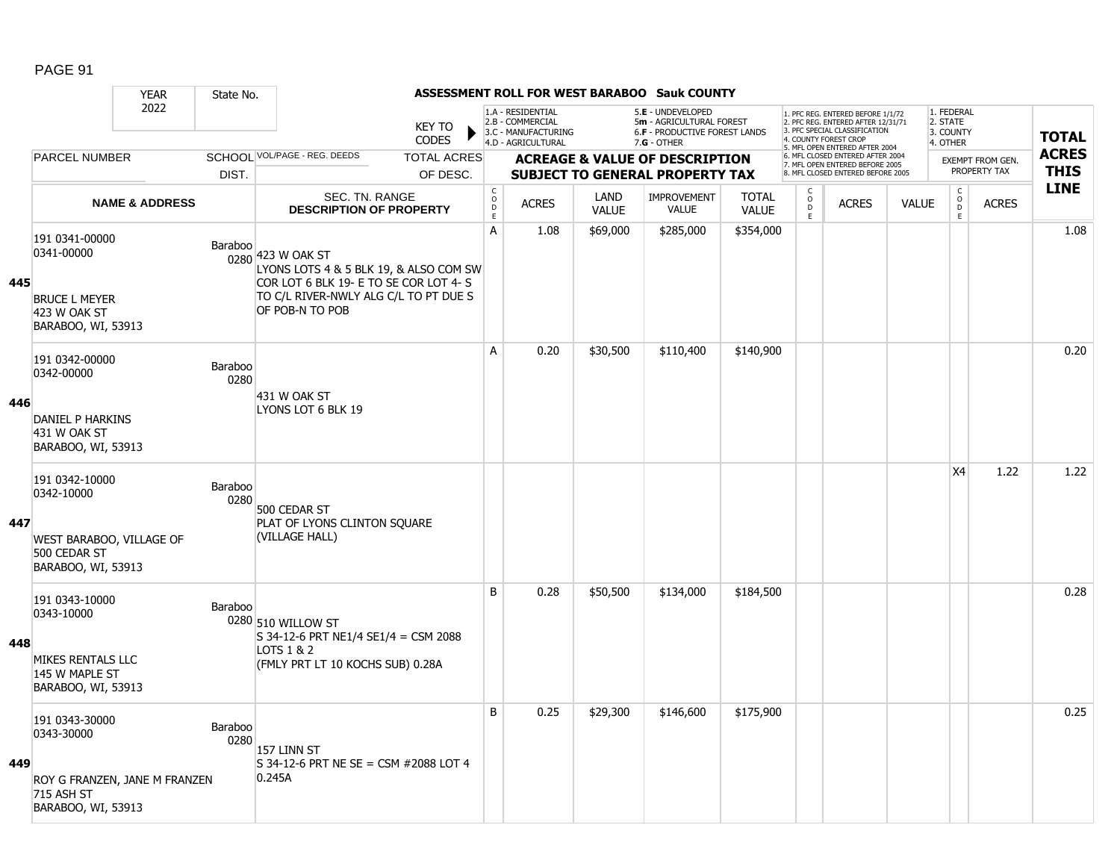|     |                                                                                                   | <b>YEAR</b>               | State No.       |                                                                                                                                                                   |                               |                                            |                                                                                    |                             | ASSESSMENT ROLL FOR WEST BARABOO Sauk COUNTY                                                    |                              |                                     |                                                                                                                                   |              |                                                 |                  |              |
|-----|---------------------------------------------------------------------------------------------------|---------------------------|-----------------|-------------------------------------------------------------------------------------------------------------------------------------------------------------------|-------------------------------|--------------------------------------------|------------------------------------------------------------------------------------|-----------------------------|-------------------------------------------------------------------------------------------------|------------------------------|-------------------------------------|-----------------------------------------------------------------------------------------------------------------------------------|--------------|-------------------------------------------------|------------------|--------------|
|     |                                                                                                   | 2022                      |                 |                                                                                                                                                                   | <b>KEY TO</b><br><b>CODES</b> |                                            | 1.A - RESIDENTIAL<br>2.B - COMMERCIAL<br>3.C - MANUFACTURING<br>4.D - AGRICULTURAL |                             | 5.E - UNDEVELOPED<br>5m - AGRICULTURAL FOREST<br>6.F - PRODUCTIVE FOREST LANDS<br>$7.G - OTHER$ |                              |                                     | 1. PFC REG. ENTERED BEFORE 1/1/72<br>2. PFC REG. ENTERED AFTER 12/31/71<br>3. PFC SPECIAL CLASSIFICATION<br>4. COUNTY FOREST CROP |              | 1. FEDERAL<br>2. STATE<br>3. COUNTY<br>4. OTHER |                  | <b>TOTAL</b> |
|     | <b>PARCEL NUMBER</b>                                                                              |                           |                 | SCHOOL VOL/PAGE - REG. DEEDS                                                                                                                                      | <b>TOTAL ACRES</b>            |                                            |                                                                                    |                             | <b>ACREAGE &amp; VALUE OF DESCRIPTION</b>                                                       |                              |                                     | 5. MFL OPEN ENTERED AFTER 2004<br>6. MFL CLOSED ENTERED AFTER 2004                                                                |              |                                                 | EXEMPT FROM GEN. | <b>ACRES</b> |
|     |                                                                                                   |                           | DIST.           |                                                                                                                                                                   | OF DESC.                      |                                            |                                                                                    |                             | <b>SUBJECT TO GENERAL PROPERTY TAX</b>                                                          |                              |                                     | 7. MFL OPEN ENTERED BEFORE 2005<br>8. MFL CLOSED ENTERED BEFORE 2005                                                              |              |                                                 | PROPERTY TAX     | <b>THIS</b>  |
|     |                                                                                                   | <b>NAME &amp; ADDRESS</b> |                 | SEC. TN. RANGE<br><b>DESCRIPTION OF PROPERTY</b>                                                                                                                  |                               | $\mathsf C$<br>$\circ$<br>D<br>$\mathsf E$ | <b>ACRES</b>                                                                       | <b>LAND</b><br><b>VALUE</b> | <b>IMPROVEMENT</b><br>VALUE                                                                     | <b>TOTAL</b><br><b>VALUE</b> | $\mathsf{C}$<br>$\overline{0}$<br>E | <b>ACRES</b>                                                                                                                      | <b>VALUE</b> | $\mathsf C$<br>$\overline{0}$<br>E              | <b>ACRES</b>     | <b>LINE</b>  |
| 445 | 191 0341-00000<br>0341-00000<br><b>BRUCE L MEYER</b><br>423 W OAK ST<br>BARABOO, WI, 53913        |                           | Baraboo         | 0280 423 W OAK ST<br>LYONS LOTS 4 & 5 BLK 19, & ALSO COM SW<br>COR LOT 6 BLK 19- E TO SE COR LOT 4- S<br>TO C/L RIVER-NWLY ALG C/L TO PT DUE S<br>OF POB-N TO POB |                               | A                                          | 1.08                                                                               | \$69,000                    | \$285,000                                                                                       | \$354,000                    |                                     |                                                                                                                                   |              |                                                 |                  | 1.08         |
|     | 191 0342-00000<br>0342-00000                                                                      |                           | Baraboo<br>0280 |                                                                                                                                                                   |                               | A                                          | 0.20                                                                               | \$30,500                    | \$110,400                                                                                       | \$140,900                    |                                     |                                                                                                                                   |              |                                                 |                  | 0.20         |
| 446 | DANIEL P HARKINS<br>431 W OAK ST<br>BARABOO, WI, 53913                                            |                           |                 | 431 W OAK ST<br>LYONS LOT 6 BLK 19                                                                                                                                |                               |                                            |                                                                                    |                             |                                                                                                 |                              |                                     |                                                                                                                                   |              |                                                 |                  |              |
| 447 | 191 0342-10000<br>0342-10000<br>WEST BARABOO, VILLAGE OF<br>500 CEDAR ST<br>BARABOO, WI, 53913    |                           | Baraboo<br>0280 | 500 CEDAR ST<br>PLAT OF LYONS CLINTON SQUARE<br>(VILLAGE HALL)                                                                                                    |                               |                                            |                                                                                    |                             |                                                                                                 |                              |                                     |                                                                                                                                   |              | X <sub>4</sub>                                  | 1.22             | 1.22         |
| 448 | 191 0343-10000<br>0343-10000<br>MIKES RENTALS LLC<br>145 W MAPLE ST<br>BARABOO, WI, 53913         |                           | Baraboo         | 0280 510 WILLOW ST<br>S 34-12-6 PRT NE1/4 SE1/4 = CSM 2088<br>LOTS 1 & 2<br>(FMLY PRT LT 10 KOCHS SUB) 0.28A                                                      |                               | B                                          | 0.28                                                                               | \$50,500                    | \$134,000                                                                                       | \$184,500                    |                                     |                                                                                                                                   |              |                                                 |                  | 0.28         |
| 449 | 191 0343-30000<br>0343-30000<br>ROY G FRANZEN, JANE M FRANZEN<br>715 ASH ST<br>BARABOO, WI, 53913 |                           | Baraboo<br>0280 | 157 LINN ST<br>S 34-12-6 PRT NE SE = CSM #2088 LOT 4<br>0.245A                                                                                                    |                               | B                                          | 0.25                                                                               | \$29,300                    | \$146,600                                                                                       | \$175,900                    |                                     |                                                                                                                                   |              |                                                 |                  | 0.25         |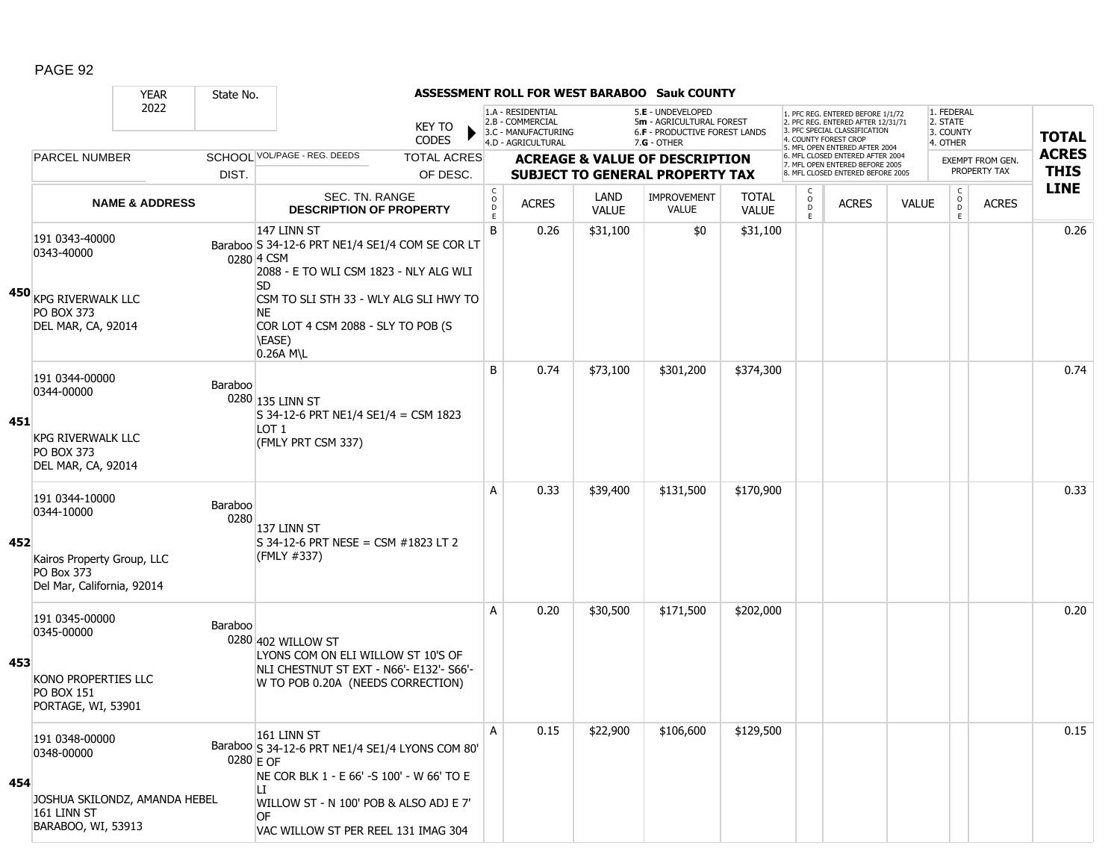|     |                                                                                                               | <b>YEAR</b>               | State No.                |                                                                                                                                                                                                                 |                              |                                                              |                      | ASSESSMENT ROLL FOR WEST BARABOO Sauk COUNTY                                        |                              |                                                 |                                                                                                                                   |              |                                     |                                  |              |
|-----|---------------------------------------------------------------------------------------------------------------|---------------------------|--------------------------|-----------------------------------------------------------------------------------------------------------------------------------------------------------------------------------------------------------------|------------------------------|--------------------------------------------------------------|----------------------|-------------------------------------------------------------------------------------|------------------------------|-------------------------------------------------|-----------------------------------------------------------------------------------------------------------------------------------|--------------|-------------------------------------|----------------------------------|--------------|
|     |                                                                                                               | 2022                      |                          | <b>KEY TO</b><br><b>CODES</b>                                                                                                                                                                                   |                              | 1.A - RESIDENTIAL<br>2.B - COMMERCIAL<br>3.C - MANUFACTURING |                      | 5.E - UNDEVELOPED<br>5m - AGRICULTURAL FOREST<br>6.F - PRODUCTIVE FOREST LANDS      |                              |                                                 | 1. PFC REG. ENTERED BEFORE 1/1/72<br>2. PFC REG. ENTERED AFTER 12/31/71<br>3. PFC SPECIAL CLASSIFICATION<br>4. COUNTY FOREST CROP |              | 1. FEDERAL<br>2. STATE<br>3. COUNTY |                                  | <b>TOTAL</b> |
|     |                                                                                                               |                           |                          | SCHOOL VOL/PAGE - REG. DEEDS                                                                                                                                                                                    |                              | 4.D - AGRICULTURAL                                           |                      | $7.G - OTHER$                                                                       |                              |                                                 | 5. MFL OPEN ENTERED AFTER 2004<br>6. MFL CLOSED ENTERED AFTER 2004                                                                |              | 4. OTHER                            |                                  | <b>ACRES</b> |
|     | <b>PARCEL NUMBER</b>                                                                                          |                           | DIST.                    | <b>TOTAL ACRES</b><br>OF DESC.                                                                                                                                                                                  |                              |                                                              |                      | <b>ACREAGE &amp; VALUE OF DESCRIPTION</b><br><b>SUBJECT TO GENERAL PROPERTY TAX</b> |                              |                                                 | 7. MFL OPEN ENTERED BEFORE 2005<br>8. MFL CLOSED ENTERED BEFORE 2005                                                              |              |                                     | EXEMPT FROM GEN.<br>PROPERTY TAX | <b>THIS</b>  |
|     |                                                                                                               | <b>NAME &amp; ADDRESS</b> |                          | SEC. TN. RANGE<br><b>DESCRIPTION OF PROPERTY</b>                                                                                                                                                                | C<br>$_{\rm D}^{\rm O}$<br>E | <b>ACRES</b>                                                 | <b>LAND</b><br>VALUE | IMPROVEMENT<br><b>VALUE</b>                                                         | <b>TOTAL</b><br><b>VALUE</b> | $\begin{matrix} 0 \\ 0 \\ D \end{matrix}$<br>E. | <b>ACRES</b>                                                                                                                      | <b>VALUE</b> | $\rm _o^C$<br>D<br>E.               | <b>ACRES</b>                     | <b>LINE</b>  |
|     | 191 0343-40000<br>0343-40000                                                                                  |                           |                          | 147 LINN ST<br>Baraboo S 34-12-6 PRT NE1/4 SE1/4 COM SE COR LT<br>0280 4 CSM<br>2088 - E TO WLI CSM 1823 - NLY ALG WLI<br><b>SD</b>                                                                             | B                            | 0.26                                                         | \$31,100             | \$0                                                                                 | \$31,100                     |                                                 |                                                                                                                                   |              |                                     |                                  | 0.26         |
|     | 450 KPG RIVERWALK LLC<br><b>PO BOX 373</b><br>DEL MAR, CA, 92014                                              |                           |                          | CSM TO SLI STH 33 - WLY ALG SLI HWY TO<br>NΕ<br>COR LOT 4 CSM 2088 - SLY TO POB (S<br>\EASE)<br>0.26A M\L                                                                                                       |                              |                                                              |                      |                                                                                     |                              |                                                 |                                                                                                                                   |              |                                     |                                  |              |
| 451 | 191 0344-00000<br>0344-00000<br><b>KPG RIVERWALK LLC</b><br><b>PO BOX 373</b><br>DEL MAR, CA, 92014           |                           | Baraboo                  | 0280 135 LINN ST<br>S 34-12-6 PRT NE1/4 SE1/4 = CSM 1823<br>LOT 1<br>(FMLY PRT CSM 337)                                                                                                                         | B                            | 0.74                                                         | \$73,100             | \$301,200                                                                           | \$374,300                    |                                                 |                                                                                                                                   |              |                                     |                                  | 0.74         |
| 452 | 191 0344-10000<br>0344-10000<br>Kairos Property Group, LLC<br><b>PO Box 373</b><br>Del Mar, California, 92014 |                           | Baraboo<br>0280          | 137 LINN ST<br>$S$ 34-12-6 PRT NESE = CSM #1823 LT 2<br>(FMLY #337)                                                                                                                                             | A                            | 0.33                                                         | \$39,400             | \$131,500                                                                           | \$170,900                    |                                                 |                                                                                                                                   |              |                                     |                                  | 0.33         |
| 453 | 191 0345-00000<br>0345-00000<br>KONO PROPERTIES LLC<br><b>PO BOX 151</b><br>PORTAGE, WI, 53901                |                           | Baraboo                  | 0280 402 WILLOW ST<br>LYONS COM ON ELI WILLOW ST 10'S OF<br>NLI CHESTNUT ST EXT - N66'- E132'- S66'-<br>W TO POB 0.20A (NEEDS CORRECTION)                                                                       | A                            | 0.20                                                         | \$30,500             | \$171,500                                                                           | \$202,000                    |                                                 |                                                                                                                                   |              |                                     |                                  | 0.20         |
| 454 | 191 0348-00000<br>0348-00000<br>JOSHUA SKILONDZ, AMANDA HEBEL<br>161 LINN ST<br>BARABOO, WI, 53913            |                           | $0280 \, \varepsilon$ OF | 161 LINN ST<br>Baraboo S 34-12-6 PRT NE1/4 SE1/4 LYONS COM 80'<br>NE COR BLK 1 - E 66' -S 100' - W 66' TO E<br>LI<br>WILLOW ST - N 100' POB & ALSO ADJ E 7'<br><b>OF</b><br>VAC WILLOW ST PER REEL 131 IMAG 304 | Α                            | 0.15                                                         | \$22,900             | \$106,600                                                                           | \$129,500                    |                                                 |                                                                                                                                   |              |                                     |                                  | 0.15         |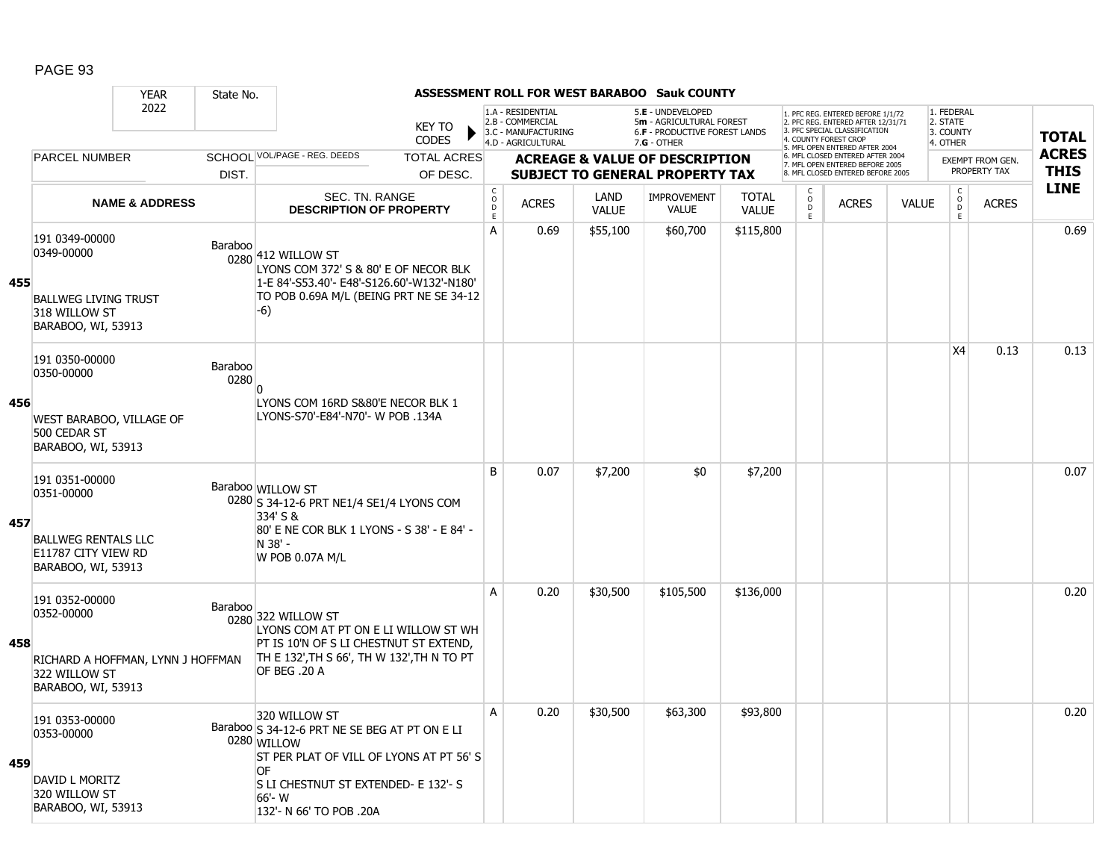|     |                                                                                                          | <b>YEAR</b>               | State No.       |                                                                                                                                                                                                              |                                     |                                                                                    |                      | <b>ASSESSMENT ROLL FOR WEST BARABOO Sauk COUNTY</b>                                           |                              |                         |                                                                                                                                   |              |                                                 |                                       |              |
|-----|----------------------------------------------------------------------------------------------------------|---------------------------|-----------------|--------------------------------------------------------------------------------------------------------------------------------------------------------------------------------------------------------------|-------------------------------------|------------------------------------------------------------------------------------|----------------------|-----------------------------------------------------------------------------------------------|------------------------------|-------------------------|-----------------------------------------------------------------------------------------------------------------------------------|--------------|-------------------------------------------------|---------------------------------------|--------------|
|     |                                                                                                          | 2022                      |                 | <b>KEY TO</b><br><b>CODES</b>                                                                                                                                                                                |                                     | 1.A - RESIDENTIAL<br>2.B - COMMERCIAL<br>3.C - MANUFACTURING<br>4.D - AGRICULTURAL |                      | 5.E - UNDEVELOPED<br>5m - AGRICULTURAL FOREST<br>6.F - PRODUCTIVE FOREST LANDS<br>7.G - OTHER |                              |                         | 1. PFC REG. ENTERED BEFORE 1/1/72<br>2. PFC REG. ENTERED AFTER 12/31/71<br>3. PFC SPECIAL CLASSIFICATION<br>4. COUNTY FOREST CROP |              | 1. FEDERAL<br>2. STATE<br>3. COUNTY<br>4. OTHER |                                       | <b>TOTAL</b> |
|     | <b>PARCEL NUMBER</b>                                                                                     |                           |                 | SCHOOL VOL/PAGE - REG. DEEDS<br><b>TOTAL ACRES</b>                                                                                                                                                           |                                     |                                                                                    |                      | <b>ACREAGE &amp; VALUE OF DESCRIPTION</b>                                                     |                              |                         | 5. MFL OPEN ENTERED AFTER 2004<br>6. MFL CLOSED ENTERED AFTER 2004                                                                |              |                                                 | EXEMPT FROM GEN.                      | <b>ACRES</b> |
|     |                                                                                                          |                           | DIST.           | OF DESC.                                                                                                                                                                                                     |                                     |                                                                                    |                      | <b>SUBJECT TO GENERAL PROPERTY TAX</b>                                                        |                              |                         | 7. MFL OPEN ENTERED BEFORE 2005<br>8. MFL CLOSED ENTERED BEFORE 2005                                                              |              |                                                 | PROPERTY TAX                          | <b>THIS</b>  |
|     |                                                                                                          | <b>NAME &amp; ADDRESS</b> |                 | SEC. TN. RANGE<br><b>DESCRIPTION OF PROPERTY</b>                                                                                                                                                             | $_{\rm o}^{\rm c}$<br>$\frac{D}{E}$ | <b>ACRES</b>                                                                       | LAND<br><b>VALUE</b> | <b>IMPROVEMENT</b><br>VALUE                                                                   | <b>TOTAL</b><br><b>VALUE</b> | C<br>$\circ$<br>D<br>Ε. | <b>ACRES</b>                                                                                                                      | <b>VALUE</b> | $\mathsf{o}$                                    | $\mathsf C$<br><b>ACRES</b><br>D<br>E | <b>LINE</b>  |
| 455 | 191 0349-00000<br>0349-00000<br><b>BALLWEG LIVING TRUST</b><br>318 WILLOW ST<br>BARABOO, WI, 53913       |                           | Baraboo         | 0280 412 WILLOW ST<br>LYONS COM 372' S & 80' E OF NECOR BLK<br>1-E 84'-S53.40'- E48'-S126.60'-W132'-N180'<br>TO POB 0.69A M/L (BEING PRT NE SE 34-12<br>$-6)$                                                | A                                   | 0.69                                                                               | \$55,100             | \$60,700                                                                                      | \$115,800                    |                         |                                                                                                                                   |              |                                                 |                                       | 0.69         |
|     | 191 0350-00000<br>0350-00000                                                                             |                           | Baraboo<br>0280 | n                                                                                                                                                                                                            |                                     |                                                                                    |                      |                                                                                               |                              |                         |                                                                                                                                   |              | X <sub>4</sub>                                  | 0.13                                  | 0.13         |
| 456 | WEST BARABOO, VILLAGE OF<br>500 CEDAR ST<br>BARABOO, WI, 53913                                           |                           |                 | LYONS COM 16RD S&80'E NECOR BLK 1<br>LYONS-S70'-E84'-N70'- W POB .134A                                                                                                                                       |                                     |                                                                                    |                      |                                                                                               |                              |                         |                                                                                                                                   |              |                                                 |                                       |              |
| 457 | 191 0351-00000<br>0351-00000<br><b>BALLWEG RENTALS LLC</b><br>E11787 CITY VIEW RD<br>BARABOO, WI, 53913  |                           |                 | Baraboo WILLOW ST<br>0280 S 34-12-6 PRT NE1/4 SE1/4 LYONS COM<br>334' S &<br>80' E NE COR BLK 1 LYONS - S 38' - E 84' -<br>N 38' -<br>W POB 0.07A M/L                                                        | B                                   | 0.07                                                                               | \$7,200              | \$0                                                                                           | \$7,200                      |                         |                                                                                                                                   |              |                                                 |                                       | 0.07         |
| 458 | 191 0352-00000<br>0352-00000<br>RICHARD A HOFFMAN, LYNN J HOFFMAN<br>322 WILLOW ST<br>BARABOO, WI, 53913 |                           | Baraboo         | 0280 322 WILLOW ST<br>LYONS COM AT PT ON E LI WILLOW ST WH<br>PT IS 10'N OF S LI CHESTNUT ST EXTEND,<br>TH E 132', TH S 66', TH W 132', TH N TO PT<br>OF BEG .20 A                                           | A                                   | 0.20                                                                               | \$30,500             | \$105,500                                                                                     | \$136,000                    |                         |                                                                                                                                   |              |                                                 |                                       | 0.20         |
| 459 | 191 0353-00000<br>0353-00000<br>DAVID L MORITZ<br>320 WILLOW ST<br>BARABOO, WI, 53913                    |                           |                 | 320 WILLOW ST<br>Baraboo S 34-12-6 PRT NE SE BEG AT PT ON E LI<br>0280 WILLOW<br>ST PER PLAT OF VILL OF LYONS AT PT 56' S<br>OF<br>S LI CHESTNUT ST EXTENDED- E 132'- S<br>66'- W<br>132'- N 66' TO POB .20A | A                                   | 0.20                                                                               | \$30,500             | \$63,300                                                                                      | \$93,800                     |                         |                                                                                                                                   |              |                                                 |                                       | 0.20         |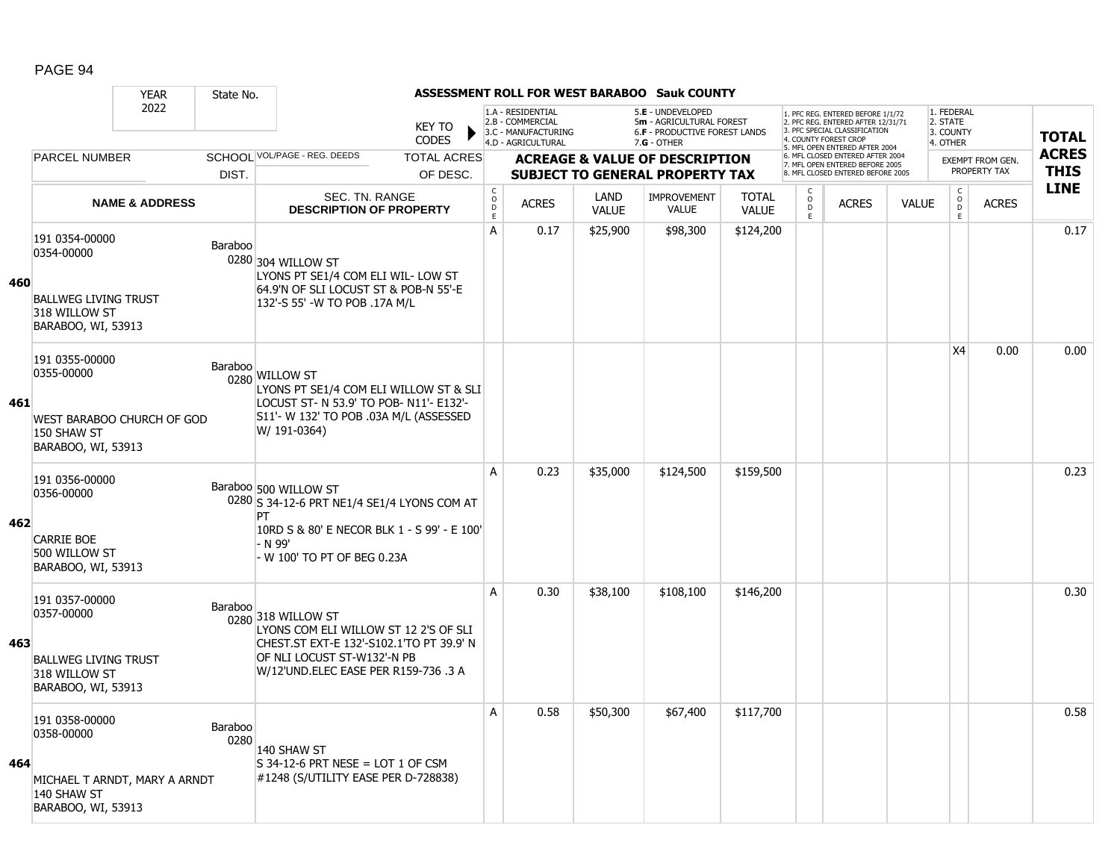|     |                                                                                                    | <b>YEAR</b>                   | State No.       |                                                                                                                                                                                |                               |                                                 |                                                                                    |                      | <b>ASSESSMENT ROLL FOR WEST BARABOO Sauk COUNTY</b>                                             |                              |                                       |                                                                                                                                   |              |                                                 |                         |              |
|-----|----------------------------------------------------------------------------------------------------|-------------------------------|-----------------|--------------------------------------------------------------------------------------------------------------------------------------------------------------------------------|-------------------------------|-------------------------------------------------|------------------------------------------------------------------------------------|----------------------|-------------------------------------------------------------------------------------------------|------------------------------|---------------------------------------|-----------------------------------------------------------------------------------------------------------------------------------|--------------|-------------------------------------------------|-------------------------|--------------|
|     |                                                                                                    | 2022                          |                 |                                                                                                                                                                                | <b>KEY TO</b><br><b>CODES</b> |                                                 | 1.A - RESIDENTIAL<br>2.B - COMMERCIAL<br>3.C - MANUFACTURING<br>4.D - AGRICULTURAL |                      | 5.E - UNDEVELOPED<br>5m - AGRICULTURAL FOREST<br>6.F - PRODUCTIVE FOREST LANDS<br>$7.G - OTHER$ |                              |                                       | 1. PFC REG. ENTERED BEFORE 1/1/72<br>2. PFC REG. ENTERED AFTER 12/31/71<br>3. PFC SPECIAL CLASSIFICATION<br>4. COUNTY FOREST CROP |              | 1. FEDERAL<br>2. STATE<br>3. COUNTY<br>4. OTHER |                         | <b>TOTAL</b> |
|     | <b>PARCEL NUMBER</b>                                                                               |                               |                 | SCHOOL VOL/PAGE - REG. DEEDS                                                                                                                                                   | <b>TOTAL ACRES</b>            |                                                 |                                                                                    |                      | <b>ACREAGE &amp; VALUE OF DESCRIPTION</b>                                                       |                              |                                       | 5. MFL OPEN ENTERED AFTER 2004<br>6. MFL CLOSED ENTERED AFTER 2004                                                                |              |                                                 | <b>EXEMPT FROM GEN.</b> | <b>ACRES</b> |
|     |                                                                                                    |                               | DIST.           |                                                                                                                                                                                | OF DESC.                      |                                                 |                                                                                    |                      | <b>SUBJECT TO GENERAL PROPERTY TAX</b>                                                          |                              |                                       | 7. MFL OPEN ENTERED BEFORE 2005<br>8. MFL CLOSED ENTERED BEFORE 2005                                                              |              |                                                 | PROPERTY TAX            | <b>THIS</b>  |
|     |                                                                                                    | <b>NAME &amp; ADDRESS</b>     |                 | SEC. TN. RANGE<br><b>DESCRIPTION OF PROPERTY</b>                                                                                                                               |                               | $_{\rm o}^{\rm c}$<br>$\mathsf{D}_{\mathsf{E}}$ | <b>ACRES</b>                                                                       | LAND<br><b>VALUE</b> | <b>IMPROVEMENT</b><br><b>VALUE</b>                                                              | <b>TOTAL</b><br><b>VALUE</b> | $\frac{c}{0}$<br>$\overline{D}$<br>E. | <b>ACRES</b>                                                                                                                      | <b>VALUE</b> | $\begin{matrix} 0 \\ 0 \\ 0 \end{matrix}$<br>E  | <b>ACRES</b>            | <b>LINE</b>  |
| 460 | 191 0354-00000<br>0354-00000<br><b>BALLWEG LIVING TRUST</b><br>318 WILLOW ST<br>BARABOO, WI, 53913 |                               | Baraboo         | 0280 304 WILLOW ST<br>LYONS PT SE1/4 COM ELI WIL- LOW ST<br>64.9'N OF SLI LOCUST ST & POB-N 55'-E<br>132'-S 55' -W TO POB .17A M/L                                             |                               | А                                               | 0.17                                                                               | \$25,900             | \$98,300                                                                                        | \$124,200                    |                                       |                                                                                                                                   |              |                                                 |                         | 0.17         |
| 461 | 191 0355-00000<br>0355-00000<br>150 SHAW ST<br>BARABOO, WI, 53913                                  | WEST BARABOO CHURCH OF GOD    | Baraboo         | 0280 WILLOW ST<br>LYONS PT SE1/4 COM ELI WILLOW ST & SLI<br>LOCUST ST- N 53.9' TO POB- N11'- E132'-<br>S11'- W 132' TO POB .03A M/L (ASSESSED<br>W/ 191-0364)                  |                               |                                                 |                                                                                    |                      |                                                                                                 |                              |                                       |                                                                                                                                   |              | X4                                              | 0.00                    | 0.00         |
| 462 | 191 0356-00000<br>0356-00000<br><b>CARRIE BOE</b><br>500 WILLOW ST<br>BARABOO, WI, 53913           |                               |                 | Baraboo 500 WILLOW ST<br>0280 S 34-12-6 PRT NE1/4 SE1/4 LYONS COM AT<br>PT<br>10RD S & 80' E NECOR BLK 1 - S 99' - E 100'<br>- N 99'<br>W 100' TO PT OF BEG 0.23A              |                               | A                                               | 0.23                                                                               | \$35,000             | \$124,500                                                                                       | \$159,500                    |                                       |                                                                                                                                   |              |                                                 |                         | 0.23         |
| 463 | 191 0357-00000<br>0357-00000<br><b>BALLWEG LIVING TRUST</b><br>318 WILLOW ST<br>BARABOO, WI, 53913 |                               | Baraboo         | 0280 318 WILLOW ST<br>LYONS COM ELI WILLOW ST 12 2'S OF SLI<br>CHEST.ST EXT-E 132'-S102.1'TO PT 39.9' N<br>OF NLI LOCUST ST-W132'-N PB<br>W/12'UND.ELEC EASE PER R159-736 .3 A |                               | A                                               | 0.30                                                                               | \$38,100             | \$108,100                                                                                       | \$146,200                    |                                       |                                                                                                                                   |              |                                                 |                         | 0.30         |
| 464 | 191 0358-00000<br>0358-00000<br>140 SHAW ST<br>BARABOO, WI, 53913                                  | MICHAEL T ARNDT, MARY A ARNDT | Baraboo<br>0280 | 140 SHAW ST<br>$S$ 34-12-6 PRT NESE = LOT 1 OF CSM<br>#1248 (S/UTILITY EASE PER D-728838)                                                                                      |                               | A                                               | 0.58                                                                               | \$50,300             | \$67,400                                                                                        | \$117,700                    |                                       |                                                                                                                                   |              |                                                 |                         | 0.58         |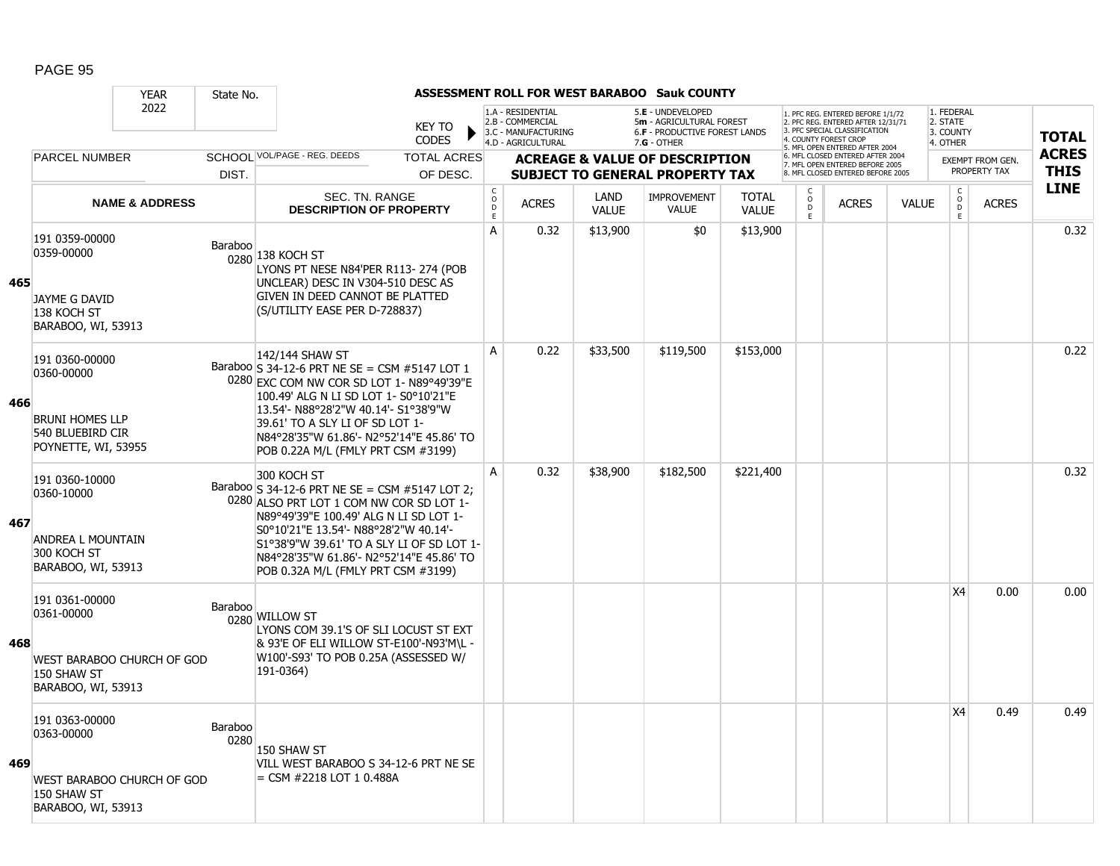|     |                                                                                                        | <b>YEAR</b>               | State No.       |                                                                                                                                                                                                                                                                                                                             |                        |                                     |                                                                                    |                      | <b>ASSESSMENT ROLL FOR WEST BARABOO Sauk COUNTY</b>                                                    |                              |                        |                                                                                                         |              |                                                 |                         |              |
|-----|--------------------------------------------------------------------------------------------------------|---------------------------|-----------------|-----------------------------------------------------------------------------------------------------------------------------------------------------------------------------------------------------------------------------------------------------------------------------------------------------------------------------|------------------------|-------------------------------------|------------------------------------------------------------------------------------|----------------------|--------------------------------------------------------------------------------------------------------|------------------------------|------------------------|---------------------------------------------------------------------------------------------------------|--------------|-------------------------------------------------|-------------------------|--------------|
|     |                                                                                                        | 2022                      |                 |                                                                                                                                                                                                                                                                                                                             | <b>KEY TO</b><br>CODES |                                     | 1.A - RESIDENTIAL<br>2.B - COMMERCIAL<br>3.C - MANUFACTURING<br>4.D - AGRICULTURAL |                      | 5.E - UNDEVELOPED<br>5m - AGRICULTURAL FOREST<br><b>6.F - PRODUCTIVE FOREST LANDS</b><br>$7.G - OTHER$ |                              | 4. COUNTY FOREST CROP  | . PFC REG. ENTERED BEFORE 1/1/72<br>2. PFC REG. ENTERED AFTER 12/31/71<br>3. PFC SPECIAL CLASSIFICATION |              | 1. FEDERAL<br>2. STATE<br>3. COUNTY<br>4. OTHER |                         | <b>TOTAL</b> |
|     | <b>PARCEL NUMBER</b>                                                                                   |                           |                 | SCHOOL VOL/PAGE - REG. DEEDS                                                                                                                                                                                                                                                                                                | <b>TOTAL ACRES</b>     |                                     |                                                                                    |                      | <b>ACREAGE &amp; VALUE OF DESCRIPTION</b>                                                              |                              |                        | 5. MFL OPEN ENTERED AFTER 2004<br>6. MFL CLOSED ENTERED AFTER 2004                                      |              |                                                 | <b>EXEMPT FROM GEN.</b> | <b>ACRES</b> |
|     |                                                                                                        |                           | DIST.           |                                                                                                                                                                                                                                                                                                                             | OF DESC.               |                                     |                                                                                    |                      | <b>SUBJECT TO GENERAL PROPERTY TAX</b>                                                                 |                              |                        | 7. MFL OPEN ENTERED BEFORE 2005<br>8. MFL CLOSED ENTERED BEFORE 2005                                    |              |                                                 | PROPERTY TAX            | <b>THIS</b>  |
|     |                                                                                                        | <b>NAME &amp; ADDRESS</b> |                 | SEC. TN. RANGE<br><b>DESCRIPTION OF PROPERTY</b>                                                                                                                                                                                                                                                                            |                        | $_{\rm o}^{\rm c}$<br>$\frac{D}{E}$ | <b>ACRES</b>                                                                       | LAND<br><b>VALUE</b> | <b>IMPROVEMENT</b><br><b>VALUE</b>                                                                     | <b>TOTAL</b><br><b>VALUE</b> | C<br>$\circ$<br>D<br>E | <b>ACRES</b>                                                                                            | <b>VALUE</b> | $_{\rm o}^{\rm c}$<br>D<br>E                    | <b>ACRES</b>            | <b>LINE</b>  |
| 465 | 191 0359-00000<br>0359-00000<br>JAYME G DAVID<br>138 KOCH ST<br>BARABOO, WI, 53913                     |                           | Baraboo         | 0280 138 KOCH ST<br>LYONS PT NESE N84'PER R113-274 (POB<br>UNCLEAR) DESC IN V304-510 DESC AS<br>GIVEN IN DEED CANNOT BE PLATTED<br>(S/UTILITY EASE PER D-728837)                                                                                                                                                            |                        | A                                   | 0.32                                                                               | \$13,900             | \$0                                                                                                    | \$13,900                     |                        |                                                                                                         |              |                                                 |                         | 0.32         |
| 466 | 191 0360-00000<br>0360-00000<br><b>BRUNI HOMES LLP</b><br>540 BLUEBIRD CIR<br>POYNETTE, WI, 53955      |                           |                 | 142/144 SHAW ST<br>Baraboo S 34-12-6 PRT NE SE = CSM #5147 LOT 1<br>0280 EXC COM NW COR SD LOT 1- N89°49'39"E<br>100.49' ALG N LI SD LOT 1- S0°10'21"E<br>13.54'- N88°28'2"W 40.14'- S1°38'9"W<br>39.61' TO A SLY LI OF SD LOT 1-<br>N84°28'35"W 61.86'- N2°52'14"E 45.86' TO<br>POB 0.22A M/L (FMLY PRT CSM #3199)         |                        | A                                   | 0.22                                                                               | \$33,500             | \$119,500                                                                                              | \$153,000                    |                        |                                                                                                         |              |                                                 |                         | 0.22         |
| 467 | 191 0360-10000<br>0360-10000<br><b>ANDREA L MOUNTAIN</b><br>300 KOCH ST<br>BARABOO, WI, 53913          |                           |                 | 300 KOCH ST<br>Baraboo S 34-12-6 PRT NE SE = CSM #5147 LOT 2;<br>0280 ALSO PRT LOT 1 COM NW COR SD LOT 1-<br>N89°49'39"E 100.49' ALG N LI SD LOT 1-<br>S0°10'21"E 13.54'- N88°28'2"W 40.14'-<br>S1°38'9"W 39.61' TO A SLY LI OF SD LOT 1-<br>N84°28'35"W 61.86'- N2°52'14"E 45.86' TO<br>POB 0.32A M/L (FMLY PRT CSM #3199) |                        | A                                   | 0.32                                                                               | \$38,900             | \$182,500                                                                                              | \$221,400                    |                        |                                                                                                         |              |                                                 |                         | 0.32         |
| 468 | 191 0361-00000<br>0361-00000<br><b>WEST BARABOO CHURCH OF GOD</b><br>150 SHAW ST<br>BARABOO, WI, 53913 |                           | Baraboo         | 0280 WILLOW ST<br>LYONS COM 39.1'S OF SLI LOCUST ST EXT<br>& 93'E OF ELI WILLOW ST-E100'-N93'M\L -<br>W100'-S93' TO POB 0.25A (ASSESSED W/<br>191-0364)                                                                                                                                                                     |                        |                                     |                                                                                    |                      |                                                                                                        |                              |                        |                                                                                                         |              | X4                                              | 0.00                    | 0.00         |
| 469 | 191 0363-00000<br>0363-00000<br>WEST BARABOO CHURCH OF GOD<br>150 SHAW ST<br>BARABOO, WI, 53913        |                           | Baraboo<br>0280 | 150 SHAW ST<br>VILL WEST BARABOO S 34-12-6 PRT NE SE<br>$=$ CSM #2218 LOT 1 0.488A                                                                                                                                                                                                                                          |                        |                                     |                                                                                    |                      |                                                                                                        |                              |                        |                                                                                                         |              | X4                                              | 0.49                    | 0.49         |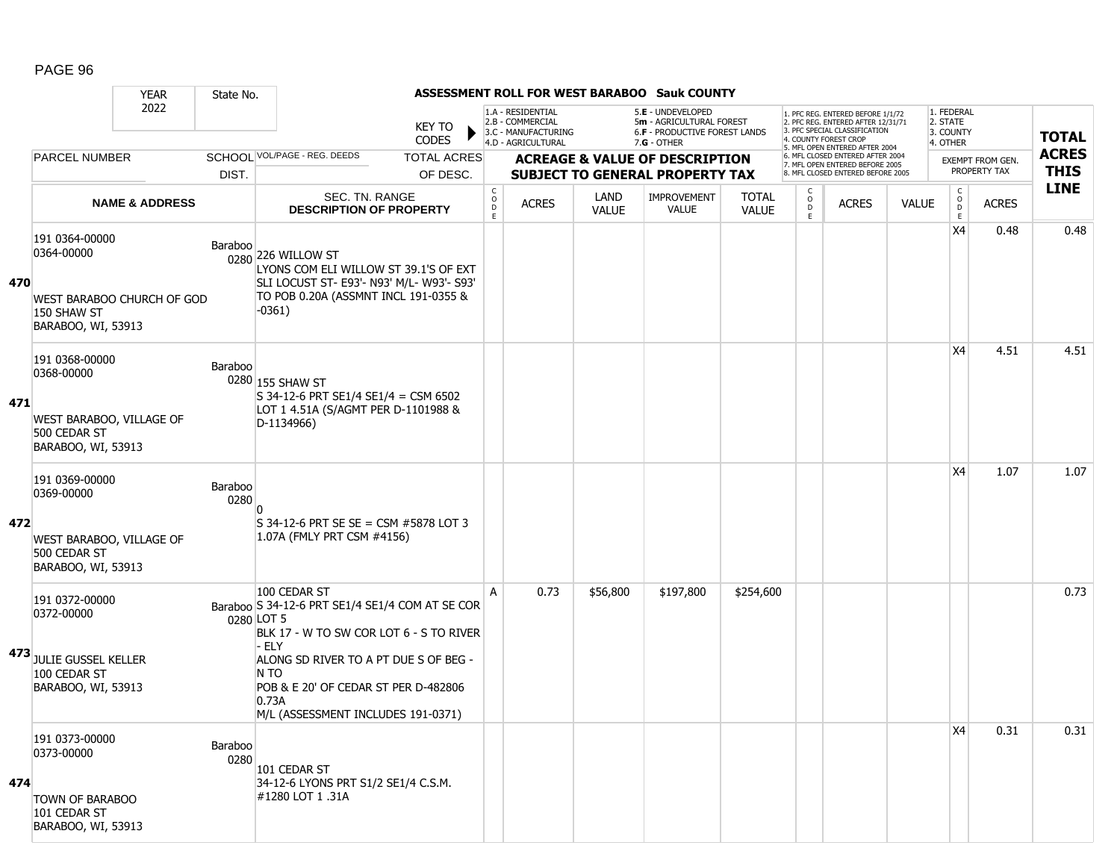|     |                                                                                                       | <b>YEAR</b>                       | State No.       |                                                                                                                                                                                                                                                                           |                        |                                       |                                                              |                             | ASSESSMENT ROLL FOR WEST BARABOO Sauk COUNTY                                        |                              |                                                 |                                                                                                                                   |              |                                         |                                         |              |
|-----|-------------------------------------------------------------------------------------------------------|-----------------------------------|-----------------|---------------------------------------------------------------------------------------------------------------------------------------------------------------------------------------------------------------------------------------------------------------------------|------------------------|---------------------------------------|--------------------------------------------------------------|-----------------------------|-------------------------------------------------------------------------------------|------------------------------|-------------------------------------------------|-----------------------------------------------------------------------------------------------------------------------------------|--------------|-----------------------------------------|-----------------------------------------|--------------|
|     |                                                                                                       | 2022                              |                 |                                                                                                                                                                                                                                                                           | KEY TO<br><b>CODES</b> |                                       | 1.A - RESIDENTIAL<br>2.B - COMMERCIAL<br>3.C - MANUFACTURING |                             | 5.E - UNDEVELOPED<br>5m - AGRICULTURAL FOREST<br>6.F - PRODUCTIVE FOREST LANDS      |                              |                                                 | 1. PFC REG. ENTERED BEFORE 1/1/72<br>2. PFC REG. ENTERED AFTER 12/31/71<br>3. PFC SPECIAL CLASSIFICATION<br>4. COUNTY FOREST CROP |              | 1. FEDERAL<br>2. STATE<br>3. COUNTY     |                                         | <b>TOTAL</b> |
|     | <b>PARCEL NUMBER</b>                                                                                  |                                   |                 | SCHOOL VOL/PAGE - REG. DEEDS                                                                                                                                                                                                                                              | <b>TOTAL ACRES</b>     |                                       | 4.D - AGRICULTURAL                                           |                             | $7.G - OTHER$                                                                       |                              |                                                 | 5. MFL OPEN ENTERED AFTER 2004<br>6. MFL CLOSED ENTERED AFTER 2004                                                                |              | 4. OTHER                                |                                         | <b>ACRES</b> |
|     |                                                                                                       |                                   | DIST.           |                                                                                                                                                                                                                                                                           | OF DESC.               |                                       |                                                              |                             | <b>ACREAGE &amp; VALUE OF DESCRIPTION</b><br><b>SUBJECT TO GENERAL PROPERTY TAX</b> |                              |                                                 | 7. MFL OPEN ENTERED BEFORE 2005<br>8. MFL CLOSED ENTERED BEFORE 2005                                                              |              |                                         | <b>EXEMPT FROM GEN.</b><br>PROPERTY TAX | <b>THIS</b>  |
|     |                                                                                                       | <b>NAME &amp; ADDRESS</b>         |                 | SEC. TN. RANGE<br><b>DESCRIPTION OF PROPERTY</b>                                                                                                                                                                                                                          |                        | C<br>$\mathsf{o}$<br>$\mathsf D$<br>E | <b>ACRES</b>                                                 | <b>LAND</b><br><b>VALUE</b> | IMPROVEMENT<br><b>VALUE</b>                                                         | <b>TOTAL</b><br><b>VALUE</b> | $\begin{matrix} 0 \\ 0 \\ D \end{matrix}$<br>E. | <b>ACRES</b>                                                                                                                      | <b>VALUE</b> | $\mathsf{C}$<br>$_{\rm D}^{\rm O}$<br>E | <b>ACRES</b>                            | <b>LINE</b>  |
| 470 | 191 0364-00000<br>0364-00000<br>150 SHAW ST<br>BARABOO, WI, 53913                                     | <b>WEST BARABOO CHURCH OF GOD</b> | Baraboo         | 0280 226 WILLOW ST<br>LYONS COM ELI WILLOW ST 39.1'S OF EXT<br>SLI LOCUST ST- E93'- N93' M/L- W93'- S93'<br>TO POB 0.20A (ASSMNT INCL 191-0355 &<br>-0361)                                                                                                                |                        |                                       |                                                              |                             |                                                                                     |                              |                                                 |                                                                                                                                   |              | X4                                      | 0.48                                    | 0.48         |
| 471 | 191 0368-00000<br>0368-00000<br>WEST BARABOO, VILLAGE OF<br>500 CEDAR ST<br>BARABOO, WI, 53913        |                                   | Baraboo         | 0280 155 SHAW ST<br>S 34-12-6 PRT SE1/4 SE1/4 = CSM 6502<br>LOT 1 4.51A (S/AGMT PER D-1101988 &<br>D-1134966)                                                                                                                                                             |                        |                                       |                                                              |                             |                                                                                     |                              |                                                 |                                                                                                                                   |              | X4                                      | 4.51                                    | 4.51         |
| 472 | 191 0369-00000<br>0369-00000<br><b>WEST BARABOO, VILLAGE OF</b><br>500 CEDAR ST<br>BARABOO, WI, 53913 |                                   | Baraboo<br>0280 | S 34-12-6 PRT SE SE = CSM #5878 LOT 3<br>1.07A (FMLY PRT CSM #4156)                                                                                                                                                                                                       |                        |                                       |                                                              |                             |                                                                                     |                              |                                                 |                                                                                                                                   |              | X4                                      | 1.07                                    | 1.07         |
|     | 191 0372-00000<br>0372-00000<br>473 JULIE GUSSEL KELLER<br>100 CEDAR ST<br>BARABOO, WI, 53913         |                                   |                 | 100 CEDAR ST<br>Baraboo S 34-12-6 PRT SE1/4 SE1/4 COM AT SE COR<br>0280 LOT 5<br>BLK 17 - W TO SW COR LOT 6 - S TO RIVER<br>- Ely<br>ALONG SD RIVER TO A PT DUE S OF BEG -<br>N TO<br>POB & E 20' OF CEDAR ST PER D-482806<br>0.73A<br>M/L (ASSESSMENT INCLUDES 191-0371) |                        | Α                                     | 0.73                                                         | \$56,800                    | \$197,800                                                                           | \$254,600                    |                                                 |                                                                                                                                   |              |                                         |                                         | 0.73         |
| 474 | 191 0373-00000<br>0373-00000<br><b>TOWN OF BARABOO</b><br>101 CEDAR ST<br>BARABOO, WI, 53913          |                                   | Baraboo<br>0280 | 101 CEDAR ST<br>34-12-6 LYONS PRT S1/2 SE1/4 C.S.M.<br>#1280 LOT 1 .31A                                                                                                                                                                                                   |                        |                                       |                                                              |                             |                                                                                     |                              |                                                 |                                                                                                                                   |              | X4                                      | 0.31                                    | 0.31         |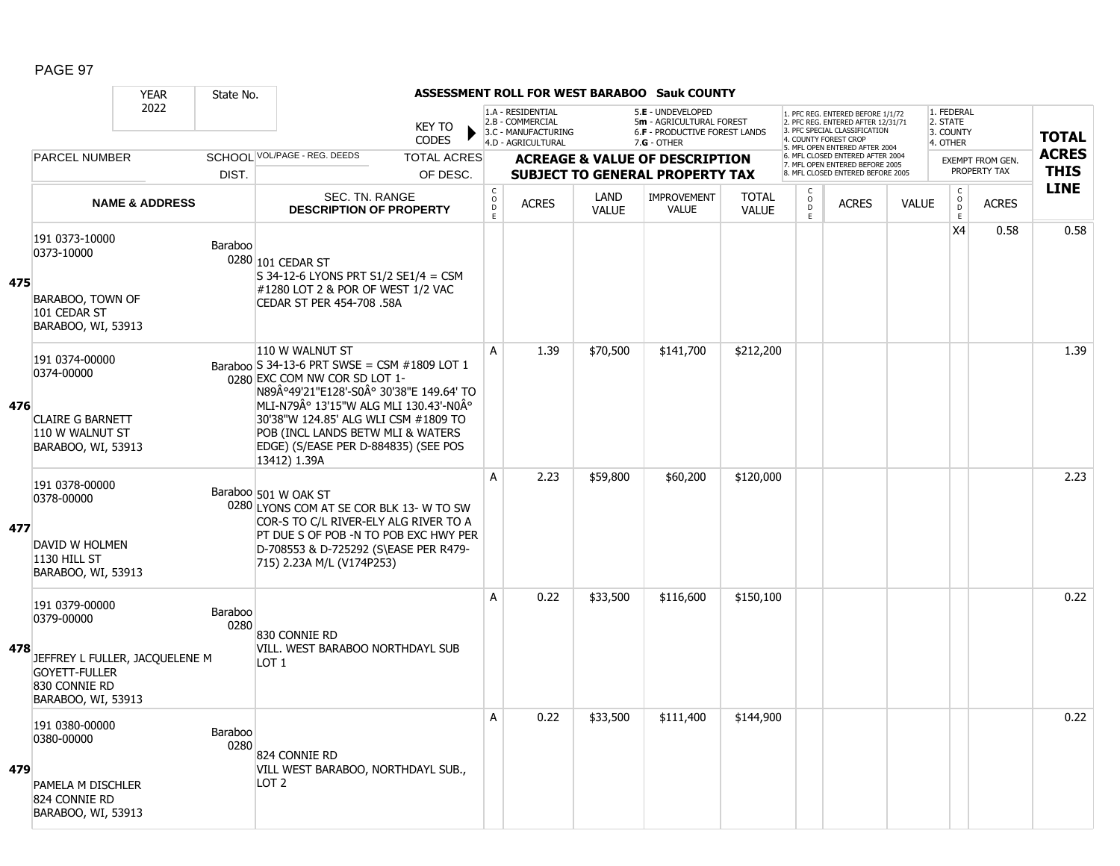|     |                                                                                                  | <b>YEAR</b>                    | State No.       |                                                                                                                                                                                                                                                                                                                         |                               |                                                         |                                                              |                      | ASSESSMENT ROLL FOR WEST BARABOO Sauk COUNTY                                   |                              |                           |                                                                                                                                   |              |                                         |                                  |              |
|-----|--------------------------------------------------------------------------------------------------|--------------------------------|-----------------|-------------------------------------------------------------------------------------------------------------------------------------------------------------------------------------------------------------------------------------------------------------------------------------------------------------------------|-------------------------------|---------------------------------------------------------|--------------------------------------------------------------|----------------------|--------------------------------------------------------------------------------|------------------------------|---------------------------|-----------------------------------------------------------------------------------------------------------------------------------|--------------|-----------------------------------------|----------------------------------|--------------|
|     | 2022<br><b>PARCEL NUMBER</b>                                                                     |                                |                 |                                                                                                                                                                                                                                                                                                                         | <b>KEY TO</b><br><b>CODES</b> |                                                         | 1.A - RESIDENTIAL<br>2.B - COMMERCIAL<br>3.C - MANUFACTURING |                      | 5.E - UNDEVELOPED<br>5m - AGRICULTURAL FOREST<br>6.F - PRODUCTIVE FOREST LANDS |                              |                           | 1. PFC REG. ENTERED BEFORE 1/1/72<br>2. PFC REG. ENTERED AFTER 12/31/71<br>3. PFC SPECIAL CLASSIFICATION<br>4. COUNTY FOREST CROP |              | 1. FEDERAL<br>2. STATE<br>3. COUNTY     |                                  | <b>TOTAL</b> |
|     |                                                                                                  |                                |                 | SCHOOL VOL/PAGE - REG. DEEDS                                                                                                                                                                                                                                                                                            | <b>TOTAL ACRES</b>            |                                                         | 4.D - AGRICULTURAL                                           |                      | $7.G - OTHER$<br><b>ACREAGE &amp; VALUE OF DESCRIPTION</b>                     |                              |                           | 5. MFL OPEN ENTERED AFTER 2004<br>6. MFL CLOSED ENTERED AFTER 2004                                                                |              | 4. OTHER                                |                                  | <b>ACRES</b> |
|     |                                                                                                  |                                | DIST.           |                                                                                                                                                                                                                                                                                                                         | OF DESC.                      |                                                         |                                                              |                      | <b>SUBJECT TO GENERAL PROPERTY TAX</b>                                         |                              |                           | 7. MFL OPEN ENTERED BEFORE 2005<br>8. MFL CLOSED ENTERED BEFORE 2005                                                              |              |                                         | EXEMPT FROM GEN.<br>PROPERTY TAX | <b>THIS</b>  |
|     |                                                                                                  | <b>NAME &amp; ADDRESS</b>      |                 | SEC. TN. RANGE<br><b>DESCRIPTION OF PROPERTY</b>                                                                                                                                                                                                                                                                        |                               | $\mathsf{C}$<br>$\overset{\circ}{\phantom{\circ}}$<br>E | <b>ACRES</b>                                                 | LAND<br><b>VALUE</b> | <b>IMPROVEMENT</b><br><b>VALUE</b>                                             | <b>TOTAL</b><br><b>VALUE</b> | C<br>$\overline{D}$<br>E. | <b>ACRES</b>                                                                                                                      | <b>VALUE</b> | $\mathsf{C}$<br>$_{\rm D}^{\rm O}$<br>E | <b>ACRES</b>                     | <b>LINE</b>  |
| 475 | 191 0373-10000<br>0373-10000<br>BARABOO, TOWN OF<br>101 CEDAR ST<br>BARABOO, WI, 53913           |                                | Baraboo         | 0280 101 CEDAR ST<br>S 34-12-6 LYONS PRT S1/2 SE1/4 = CSM<br>#1280 LOT 2 & POR OF WEST 1/2 VAC<br>CEDAR ST PER 454-708 .58A                                                                                                                                                                                             |                               |                                                         |                                                              |                      |                                                                                |                              |                           |                                                                                                                                   |              | X4                                      | 0.58                             | 0.58         |
| 476 | 191 0374-00000<br>0374-00000<br><b>CLAIRE G BARNETT</b><br>110 W WALNUT ST<br>BARABOO, WI, 53913 |                                |                 | 110 W WALNUT ST<br>Baraboo S 34-13-6 PRT SWSE = CSM #1809 LOT 1<br>0280 EXC COM NW COR SD LOT 1-<br>N89°49'21"E128'-S0° 30'38"E 149.64' TO<br>MLI-N79° 13'15"W ALG MLI 130.43'-N0°<br>30'38"W 124.85' ALG WLI CSM #1809 TO<br>POB (INCL LANDS BETW MLI & WATERS<br>EDGE) (S/EASE PER D-884835) (SEE POS<br>13412) 1.39A |                               | A                                                       | 1.39                                                         | \$70,500             | \$141,700                                                                      | \$212,200                    |                           |                                                                                                                                   |              |                                         |                                  | 1.39         |
| 477 | 191 0378-00000<br>0378-00000<br>DAVID W HOLMEN<br>1130 HILL ST<br>BARABOO, WI, 53913             |                                |                 | Baraboo 501 W OAK ST<br>0280 LYONS COM AT SE COR BLK 13- W TO SW<br>COR-S TO C/L RIVER-ELY ALG RIVER TO A<br>PT DUE S OF POB -N TO POB EXC HWY PER<br>D-708553 & D-725292 (S\EASE PER R479-<br>715) 2.23A M/L (V174P253)                                                                                                |                               | $\mathsf{A}$                                            | 2.23                                                         | \$59,800             | \$60,200                                                                       | \$120,000                    |                           |                                                                                                                                   |              |                                         |                                  | 2.23         |
| 478 | 191 0379-00000<br>0379-00000<br><b>GOYETT-FULLER</b><br>830 CONNIE RD<br>BARABOO, WI, 53913      | JEFFREY L FULLER, JACQUELENE M | Baraboo<br>0280 | 830 CONNIE RD<br>VILL, WEST BARABOO NORTHDAYL SUB<br>LOT <sub>1</sub>                                                                                                                                                                                                                                                   |                               | A                                                       | 0.22                                                         | \$33,500             | \$116,600                                                                      | \$150,100                    |                           |                                                                                                                                   |              |                                         |                                  | 0.22         |
| 479 | 191 0380-00000<br>0380-00000<br>PAMELA M DISCHLER<br>824 CONNIE RD<br>BARABOO, WI, 53913         |                                | Baraboo<br>0280 | 824 CONNIE RD<br>VILL WEST BARABOO, NORTHDAYL SUB.,<br>LOT <sub>2</sub>                                                                                                                                                                                                                                                 |                               | A                                                       | 0.22                                                         | \$33,500             | \$111,400                                                                      | \$144,900                    |                           |                                                                                                                                   |              |                                         |                                  | 0.22         |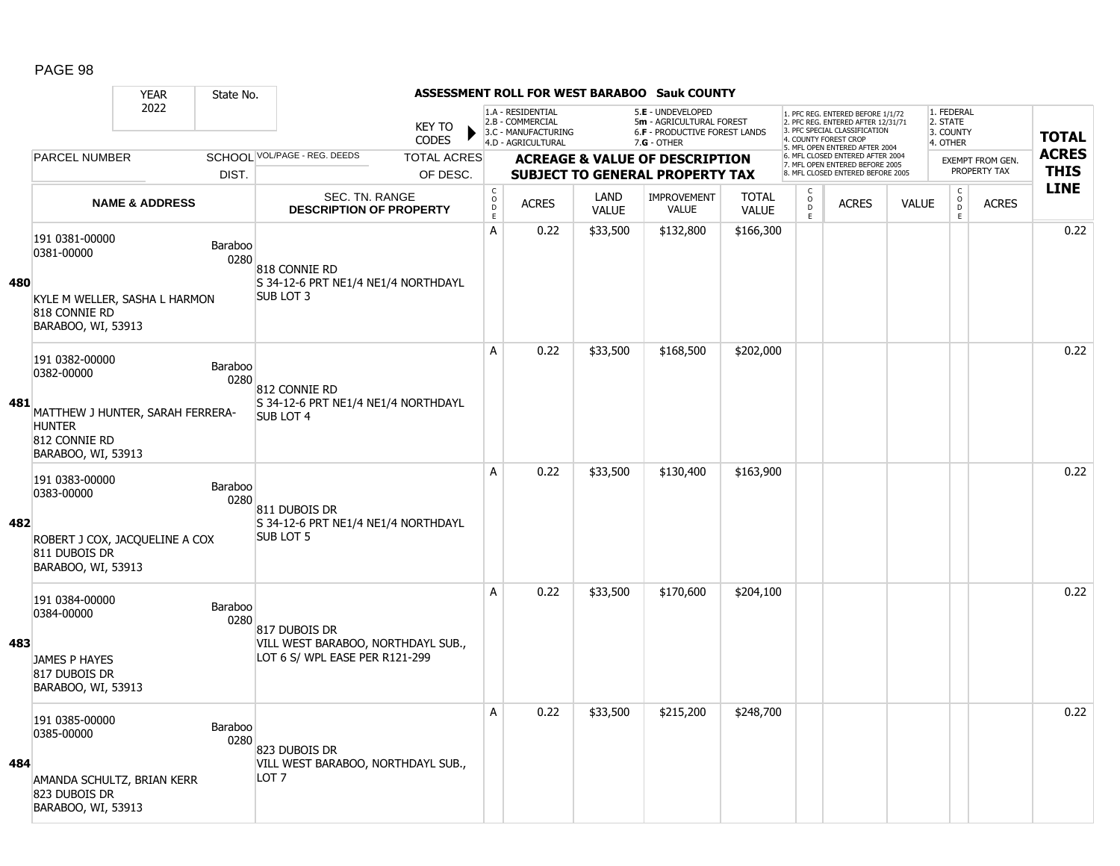|     |                                                                                          | <b>YEAR</b>                  | State No.              |                                                                      |                               |                                            |                                                                                    |                      | ASSESSMENT ROLL FOR WEST BARABOO Sauk COUNTY                                          |                              |                                   |                                                                                                          |              |                                               |                                         |              |
|-----|------------------------------------------------------------------------------------------|------------------------------|------------------------|----------------------------------------------------------------------|-------------------------------|--------------------------------------------|------------------------------------------------------------------------------------|----------------------|---------------------------------------------------------------------------------------|------------------------------|-----------------------------------|----------------------------------------------------------------------------------------------------------|--------------|-----------------------------------------------|-----------------------------------------|--------------|
|     |                                                                                          | 2022<br><b>PARCEL NUMBER</b> |                        |                                                                      | <b>KEY TO</b><br><b>CODES</b> |                                            | 1.A - RESIDENTIAL<br>2.B - COMMERCIAL<br>3.C - MANUFACTURING<br>4.D - AGRICULTURAL |                      | 5.E - UNDEVELOPED<br>5m - AGRICULTURAL FOREST<br><b>6.F - PRODUCTIVE FOREST LANDS</b> |                              | 4. COUNTY FOREST CROP             | 1. PFC REG. ENTERED BEFORE 1/1/72<br>2. PFC REG. ENTERED AFTER 12/31/71<br>3. PFC SPECIAL CLASSIFICATION |              | 1. FEDERAL<br>2. STATE<br>3. COUNTY           |                                         | <b>TOTAL</b> |
|     |                                                                                          |                              |                        | SCHOOL VOL/PAGE - REG. DEEDS                                         | <b>TOTAL ACRES</b>            |                                            |                                                                                    |                      | 7.G - OTHER                                                                           |                              |                                   | 5. MFL OPEN ENTERED AFTER 2004<br>6. MFL CLOSED ENTERED AFTER 2004                                       |              | 4. OTHER                                      |                                         | <b>ACRES</b> |
|     |                                                                                          |                              | DIST.                  |                                                                      | OF DESC.                      |                                            |                                                                                    |                      | <b>ACREAGE &amp; VALUE OF DESCRIPTION</b><br><b>SUBJECT TO GENERAL PROPERTY TAX</b>   |                              |                                   | 7. MFL OPEN ENTERED BEFORE 2005<br>8. MFL CLOSED ENTERED BEFORE 2005                                     |              |                                               | <b>EXEMPT FROM GEN.</b><br>PROPERTY TAX | <b>THIS</b>  |
|     |                                                                                          | <b>NAME &amp; ADDRESS</b>    |                        | SEC. TN. RANGE<br><b>DESCRIPTION OF PROPERTY</b>                     |                               | $\mathsf C$<br>$\circ$<br>D<br>$\mathsf E$ | <b>ACRES</b>                                                                       | LAND<br><b>VALUE</b> | <b>IMPROVEMENT</b><br><b>VALUE</b>                                                    | <b>TOTAL</b><br><b>VALUE</b> | $\mathsf{C}$<br>$\circ$<br>D<br>E | <b>ACRES</b>                                                                                             | <b>VALUE</b> | $\mathsf{C}$<br>$\overline{0}$<br>$\mathsf E$ | <b>ACRES</b>                            | <b>LINE</b>  |
| 480 | 191 0381-00000<br>0381-00000                                                             |                              | Baraboo<br>0280        | 818 CONNIE RD<br>S 34-12-6 PRT NE1/4 NE1/4 NORTHDAYL                 |                               | A                                          | 0.22                                                                               | \$33,500             | \$132,800                                                                             | \$166,300                    |                                   |                                                                                                          |              |                                               |                                         | 0.22         |
|     | KYLE M WELLER, SASHA L HARMON<br>818 CONNIE RD<br>BARABOO, WI, 53913                     |                              |                        | <b>SUB LOT 3</b>                                                     |                               |                                            |                                                                                    |                      |                                                                                       |                              |                                   |                                                                                                          |              |                                               |                                         |              |
|     | 191 0382-00000<br>0382-00000                                                             |                              | <b>Baraboo</b><br>0280 | 812 CONNIE RD                                                        |                               | A                                          | 0.22                                                                               | \$33,500             | \$168,500                                                                             | \$202,000                    |                                   |                                                                                                          |              |                                               |                                         | 0.22         |
| 481 | MATTHEW J HUNTER, SARAH FERRERA-<br><b>HUNTER</b><br>812 CONNIE RD<br>BARABOO, WI, 53913 |                              |                        | S 34-12-6 PRT NE1/4 NE1/4 NORTHDAYL<br><b>SUB LOT 4</b>              |                               |                                            |                                                                                    |                      |                                                                                       |                              |                                   |                                                                                                          |              |                                               |                                         |              |
| 482 | 191 0383-00000<br>0383-00000                                                             |                              | Baraboo<br>0280        | 811 DUBOIS DR<br>S 34-12-6 PRT NE1/4 NE1/4 NORTHDAYL                 |                               | A                                          | 0.22                                                                               | \$33,500             | \$130,400                                                                             | \$163,900                    |                                   |                                                                                                          |              |                                               |                                         | 0.22         |
|     | ROBERT J COX, JACQUELINE A COX<br>811 DUBOIS DR<br>BARABOO, WI, 53913                    |                              |                        | <b>SUB LOT 5</b>                                                     |                               |                                            |                                                                                    |                      |                                                                                       |                              |                                   |                                                                                                          |              |                                               |                                         |              |
|     | 191 0384-00000<br>0384-00000                                                             |                              | Baraboo<br>0280        | 817 DUBOIS DR                                                        |                               | A                                          | 0.22                                                                               | \$33,500             | \$170,600                                                                             | \$204,100                    |                                   |                                                                                                          |              |                                               |                                         | 0.22         |
| 483 | <b>JAMES P HAYES</b><br>817 DUBOIS DR<br>BARABOO, WI, 53913                              |                              |                        | VILL WEST BARABOO, NORTHDAYL SUB.,<br>LOT 6 S/ WPL EASE PER R121-299 |                               |                                            |                                                                                    |                      |                                                                                       |                              |                                   |                                                                                                          |              |                                               |                                         |              |
| 484 | 191 0385-00000<br>0385-00000                                                             |                              | Baraboo<br>0280        | 823 DUBOIS DR                                                        |                               | A                                          | 0.22                                                                               | \$33,500             | \$215,200                                                                             | \$248,700                    |                                   |                                                                                                          |              |                                               |                                         | 0.22         |
|     | AMANDA SCHULTZ, BRIAN KERR<br>823 DUBOIS DR<br>BARABOO, WI, 53913                        |                              |                        | VILL WEST BARABOO, NORTHDAYL SUB.,<br>LOT 7                          |                               |                                            |                                                                                    |                      |                                                                                       |                              |                                   |                                                                                                          |              |                                               |                                         |              |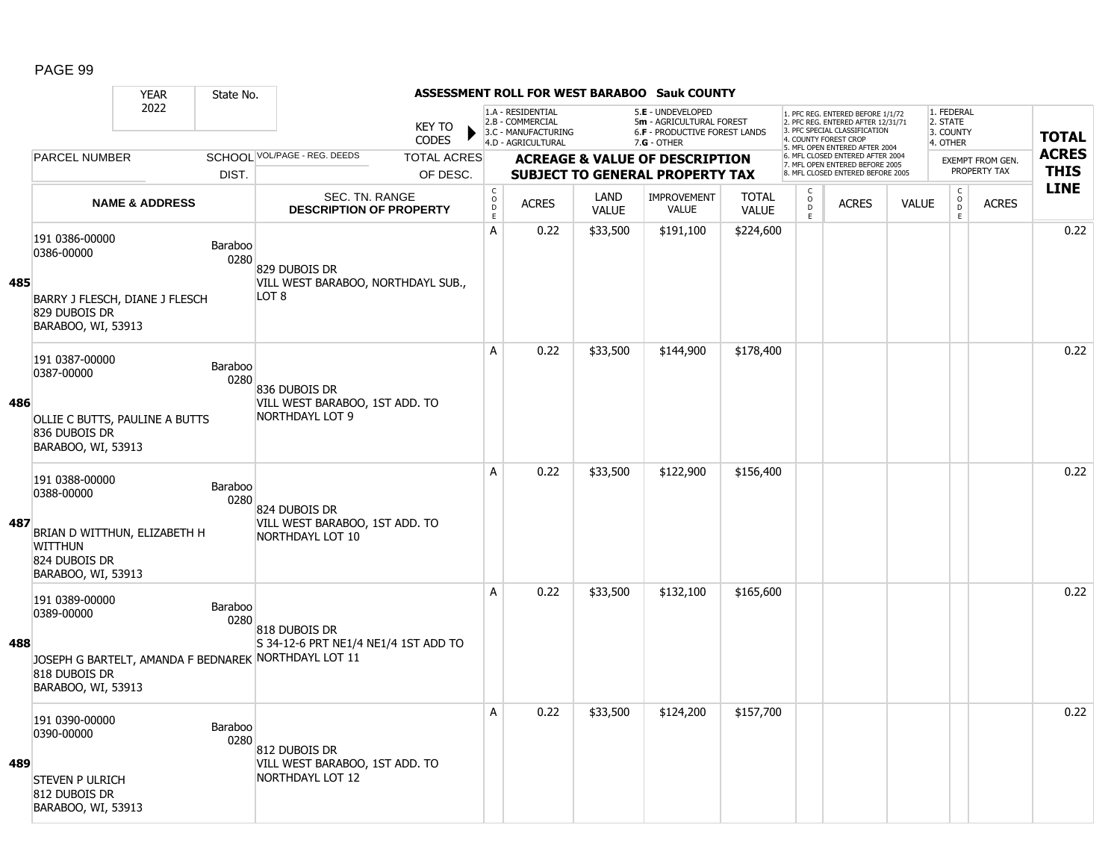|     |                                                                                                                       | <b>YEAR</b>               | State No.       |                                                                                                               |                               |                                            |                                                                                    |                      | ASSESSMENT ROLL FOR WEST BARABOO Sauk COUNTY                                                    |                              |                                     |                                                                                                                                   |              |                                                 |                  |              |
|-----|-----------------------------------------------------------------------------------------------------------------------|---------------------------|-----------------|---------------------------------------------------------------------------------------------------------------|-------------------------------|--------------------------------------------|------------------------------------------------------------------------------------|----------------------|-------------------------------------------------------------------------------------------------|------------------------------|-------------------------------------|-----------------------------------------------------------------------------------------------------------------------------------|--------------|-------------------------------------------------|------------------|--------------|
|     |                                                                                                                       | 2022                      |                 |                                                                                                               | <b>KEY TO</b><br><b>CODES</b> |                                            | 1.A - RESIDENTIAL<br>2.B - COMMERCIAL<br>3.C - MANUFACTURING<br>4.D - AGRICULTURAL |                      | 5.E - UNDEVELOPED<br>5m - AGRICULTURAL FOREST<br>6.F - PRODUCTIVE FOREST LANDS<br>$7.G - OTHER$ |                              |                                     | 1. PFC REG. ENTERED BEFORE 1/1/72<br>2. PFC REG. ENTERED AFTER 12/31/71<br>3. PFC SPECIAL CLASSIFICATION<br>4. COUNTY FOREST CROP |              | 1. FEDERAL<br>2. STATE<br>3. COUNTY<br>4. OTHER |                  | <b>TOTAL</b> |
|     | <b>PARCEL NUMBER</b>                                                                                                  |                           |                 | SCHOOL VOL/PAGE - REG. DEEDS                                                                                  | <b>TOTAL ACRES</b>            |                                            |                                                                                    |                      | <b>ACREAGE &amp; VALUE OF DESCRIPTION</b>                                                       |                              |                                     | 5. MFL OPEN ENTERED AFTER 2004<br>6. MFL CLOSED ENTERED AFTER 2004                                                                |              |                                                 | EXEMPT FROM GEN. | <b>ACRES</b> |
|     |                                                                                                                       |                           | DIST.           |                                                                                                               | OF DESC.                      |                                            |                                                                                    |                      | <b>SUBJECT TO GENERAL PROPERTY TAX</b>                                                          |                              |                                     | 7. MFL OPEN ENTERED BEFORE 2005<br>8. MFL CLOSED ENTERED BEFORE 2005                                                              |              |                                                 | PROPERTY TAX     | <b>THIS</b>  |
|     |                                                                                                                       | <b>NAME &amp; ADDRESS</b> |                 | SEC. TN. RANGE<br><b>DESCRIPTION OF PROPERTY</b>                                                              |                               | $\mathsf C$<br>$\circ$<br>D<br>$\mathsf E$ | <b>ACRES</b>                                                                       | LAND<br><b>VALUE</b> | IMPROVEMENT<br><b>VALUE</b>                                                                     | <b>TOTAL</b><br><b>VALUE</b> | $\mathsf{C}$<br>$\overline{0}$<br>E | <b>ACRES</b>                                                                                                                      | <b>VALUE</b> | $\begin{matrix} 0 \\ 0 \\ 0 \end{matrix}$<br>E  | <b>ACRES</b>     | <b>LINE</b>  |
| 485 | 191 0386-00000<br>0386-00000                                                                                          |                           | Baraboo<br>0280 | 829 DUBOIS DR<br>VILL WEST BARABOO, NORTHDAYL SUB.,                                                           |                               | A                                          | 0.22                                                                               | \$33,500             | \$191,100                                                                                       | \$224,600                    |                                     |                                                                                                                                   |              |                                                 |                  | 0.22         |
|     | BARRY J FLESCH, DIANE J FLESCH<br>829 DUBOIS DR<br>BARABOO, WI, 53913                                                 |                           |                 | LOT <sub>8</sub>                                                                                              |                               |                                            |                                                                                    |                      |                                                                                                 |                              |                                     |                                                                                                                                   |              |                                                 |                  |              |
|     | 191 0387-00000<br>0387-00000                                                                                          |                           | Baraboo<br>0280 | 836 DUBOIS DR                                                                                                 |                               | A                                          | 0.22                                                                               | \$33,500             | \$144,900                                                                                       | \$178,400                    |                                     |                                                                                                                                   |              |                                                 |                  | 0.22         |
| 486 | OLLIE C BUTTS, PAULINE A BUTTS<br>836 DUBOIS DR<br>BARABOO, WI, 53913                                                 |                           |                 | VILL WEST BARABOO, 1ST ADD. TO<br><b>NORTHDAYL LOT 9</b>                                                      |                               |                                            |                                                                                    |                      |                                                                                                 |                              |                                     |                                                                                                                                   |              |                                                 |                  |              |
| 487 | 191 0388-00000<br>0388-00000<br>BRIAN D WITTHUN, ELIZABETH H<br><b>WITTHUN</b><br>824 DUBOIS DR<br>BARABOO, WI, 53913 |                           | Baraboo<br>0280 | 824 DUBOIS DR<br>VILL WEST BARABOO, 1ST ADD. TO<br>NORTHDAYL LOT 10                                           |                               | A                                          | 0.22                                                                               | \$33,500             | \$122,900                                                                                       | \$156,400                    |                                     |                                                                                                                                   |              |                                                 |                  | 0.22         |
| 488 | 191 0389-00000<br>0389-00000<br>818 DUBOIS DR<br>BARABOO, WI, 53913                                                   |                           | Baraboo<br>0280 | 818 DUBOIS DR<br>S 34-12-6 PRT NE1/4 NE1/4 1ST ADD TO<br>JOSEPH G BARTELT, AMANDA F BEDNAREK NORTHDAYL LOT 11 |                               | A                                          | 0.22                                                                               | \$33,500             | \$132,100                                                                                       | \$165,600                    |                                     |                                                                                                                                   |              |                                                 |                  | 0.22         |
| 489 | 191 0390-00000<br>0390-00000<br><b>STEVEN P ULRICH</b><br>812 DUBOIS DR<br>BARABOO, WI, 53913                         |                           | Baraboo<br>0280 | 812 DUBOIS DR<br>VILL WEST BARABOO, 1ST ADD. TO<br>NORTHDAYL LOT 12                                           |                               | Α                                          | 0.22                                                                               | \$33,500             | \$124,200                                                                                       | \$157,700                    |                                     |                                                                                                                                   |              |                                                 |                  | 0.22         |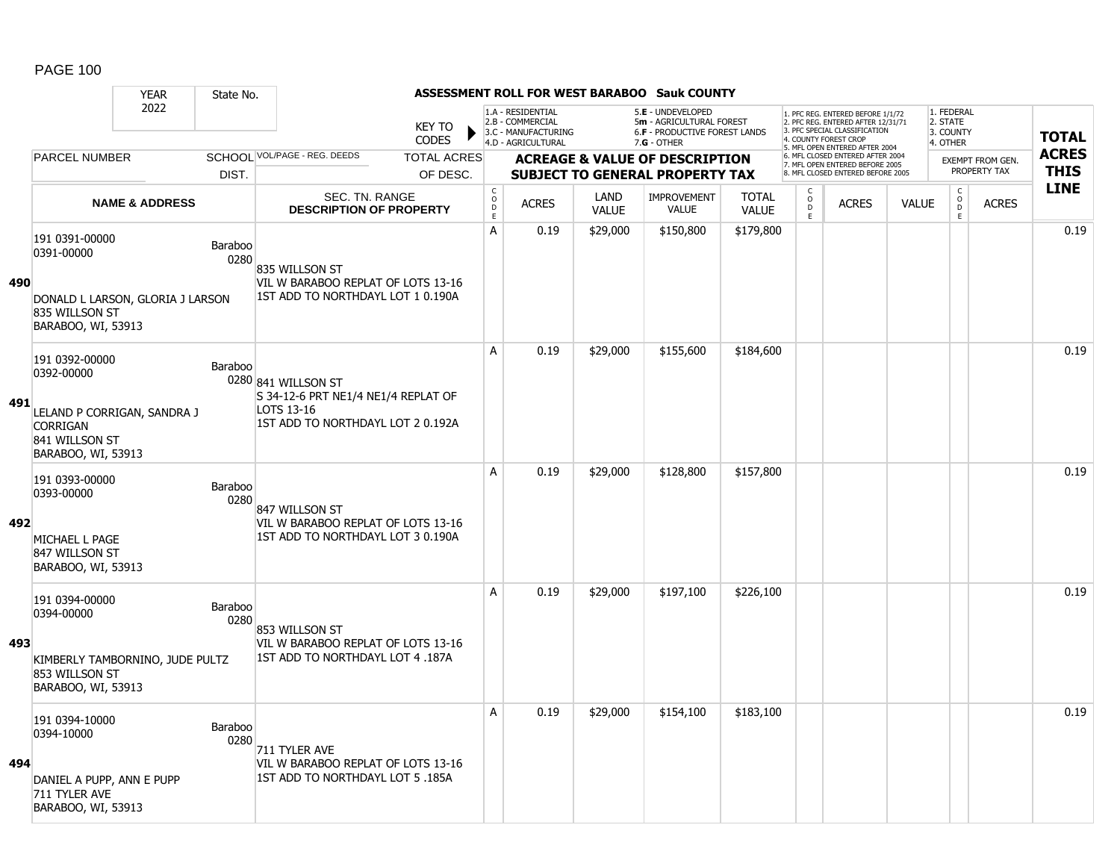#### YEAR State No. **ASSESSMENT ROLL FOR WEST BARABOO Sauk COUNTY** 2022 KEY TO **CODES** 1. PFC REG. ENTERED BEFORE 1/1/72 2. PFC REG. ENTERED AFTER 12/31/71 3. PFC SPECIAL CLASSIFICATION 4. COUNTY FOREST CROP 5. MFL OPEN ENTERED AFTER 2004 6. MFL CLOSED ENTERED AFTER 2004 7. MFL OPEN ENTERED BEFORE 2005 8. MFL CLOSED ENTERED BEFORE 2005 1. FEDERAL 2. STATE 3. COUNTY 4. OTHER **ACREAGE & VALUE OF DESCRIPTION SUBJECT TO GENERAL PROPERTY TAX** EXEMPT FROM GEN. PROPERTY TAX **TOTAL ACRES THIS LINE** 1.A - RESIDENTIAL 2.B - COMMERCIAL 3.C - MANUFACTURING 4.D - AGRICULTURAL 5.**E** - UNDEVELOPED 5**m** - AGRICULTURAL FOREST 6.**F** - PRODUCTIVE FOREST LANDS 7.**G** - OTHER TOTAL ACRES OF DESC. SCHOOL VOL/PAGE - REG. DEEDS DIST. **PARCEL NUMBER** ACRES C O D E ACRES VALUE  $\mathsf{C}$ O  $\overline{D}$ E TOTAL VALUE IMPROVEMENT VALUE LAND ACRES | VALUE C O  $\overline{D}$ E SEC. TN. RANGE **DESCRIPTION OF PROPERTY NAME & ADDRESS 490** 191 0391-00000 131 0331-00000<br>0391-00000 Baraboo 0280 DONALD L LARSON, GLORIA J LARSON 835 WILLSON ST BARABOO, WI, 53913 835 WILLSON ST VIL W BARABOO REPLAT OF LOTS 13-16 1ST ADD TO NORTHDAYL LOT 1 0.190A A 0.19 \$29,000 \$150,800 \$179,800 0.19 **491** 191 0392-00000 131 0332-00000<br>0392-00000 Baraboo 0280 841 WILLSON ST LELAND P CORRIGAN, SANDRA J CORRIGAN 841 WILLSON ST BARABOO, WI, 53913 S 34-12-6 PRT NE1/4 NE1/4 REPLAT OF LOTS 13-16 1ST ADD TO NORTHDAYL LOT 2 0.192A A 0.19 \$29,000 \$155,600 \$184,600 0.19 **492** 191 0393-00000 131 0333-00000<br>0393-00000 Baraboo 0280 MICHAEL L PAGE 847 WILLSON ST BARABOO, WI, 53913 847 WILLSON ST VIL W BARABOO REPLAT OF LOTS 13-16 1ST ADD TO NORTHDAYL LOT 3 0.190A A 0.19 \$29,000 \$128,800 \$157,800 0.19 **493** 191 0394-00000 151 0354-00000<br>0394-00000 Baraboo 0280 KIMBERLY TAMBORNINO, JUDE PULTZ 853 WILLSON ST BARABOO, WI, 53913 853 WILLSON ST VIL W BARABOO REPLAT OF LOTS 13-16 1ST ADD TO NORTHDAYL LOT 4 .187A A 0.19 \$29,000 \$197,100 \$226,100 0.19 **494** 191 0394-10000 131 0334-10000<br>0394-10000 Baraboo 0280 DANIEL A PUPP, ANN E PUPP 711 TYLER AVE BARABOO, WI, 53913 711 TYLER AVE VIL W BARABOO REPLAT OF LOTS 13-16 1ST ADD TO NORTHDAYL LOT 5 .185A A 0.19 \$29,000 \$154,100 \$183,100 distribution of the 10.19 contract of the 10.19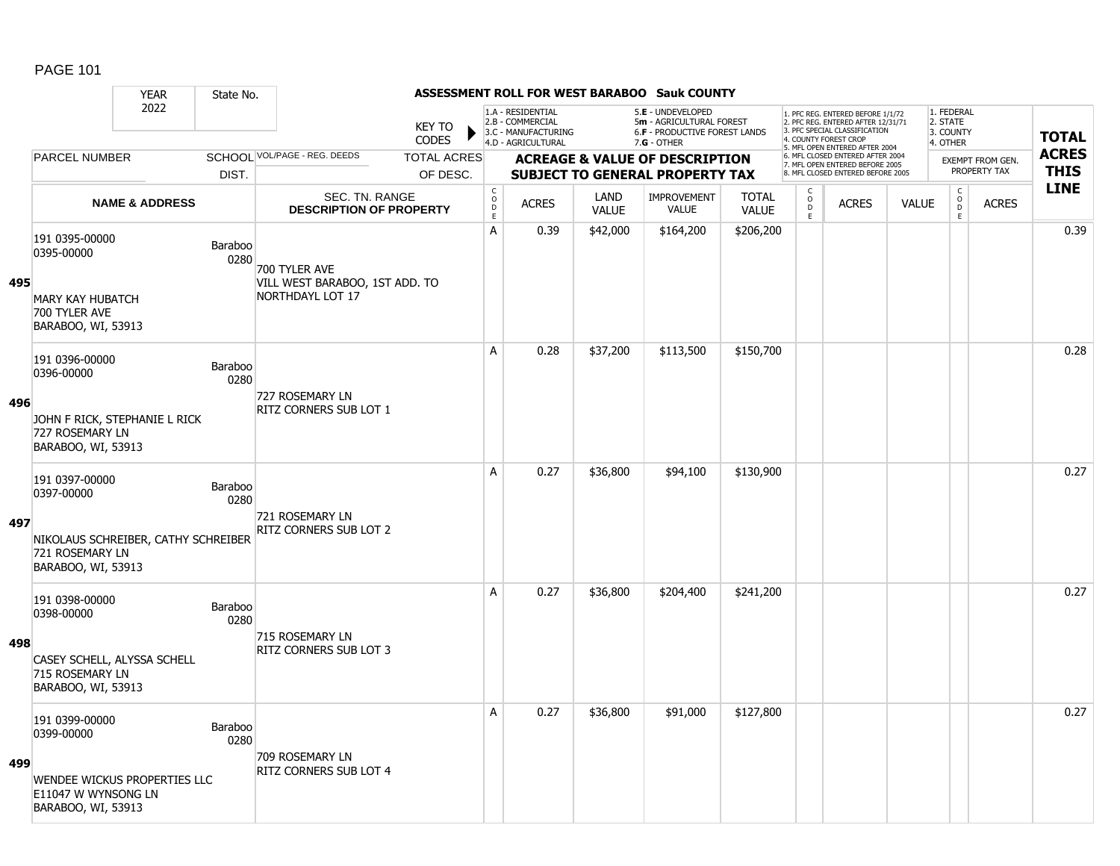|     |                                                                      | <b>YEAR</b>                         | State No.       |                                                         |                               |                                                      |                                                                                    |                             | ASSESSMENT ROLL FOR WEST BARABOO Sauk COUNTY                                          |                              |                                     |                                                                                                                                   |              |                                                          |                                         |              |
|-----|----------------------------------------------------------------------|-------------------------------------|-----------------|---------------------------------------------------------|-------------------------------|------------------------------------------------------|------------------------------------------------------------------------------------|-----------------------------|---------------------------------------------------------------------------------------|------------------------------|-------------------------------------|-----------------------------------------------------------------------------------------------------------------------------------|--------------|----------------------------------------------------------|-----------------------------------------|--------------|
|     |                                                                      | 2022                                |                 |                                                         | <b>KEY TO</b><br><b>CODES</b> |                                                      | 1.A - RESIDENTIAL<br>2.B - COMMERCIAL<br>3.C - MANUFACTURING<br>4.D - AGRICULTURAL |                             | 5.E - UNDEVELOPED<br>5m - AGRICULTURAL FOREST<br><b>6.F - PRODUCTIVE FOREST LANDS</b> |                              |                                     | 1. PFC REG. ENTERED BEFORE 1/1/72<br>2. PFC REG. ENTERED AFTER 12/31/71<br>3. PFC SPECIAL CLASSIFICATION<br>4. COUNTY FOREST CROP |              | 1. FEDERAL<br>2. STATE<br>3. COUNTY<br>4. OTHER          |                                         | <b>TOTAL</b> |
|     | <b>PARCEL NUMBER</b>                                                 |                                     |                 | SCHOOL VOL/PAGE - REG. DEEDS                            | <b>TOTAL ACRES</b>            |                                                      |                                                                                    |                             | $7.G - OTHER$                                                                         |                              |                                     | 5. MFL OPEN ENTERED AFTER 2004<br>6. MFL CLOSED ENTERED AFTER 2004                                                                |              |                                                          |                                         | <b>ACRES</b> |
|     |                                                                      |                                     | DIST.           |                                                         | OF DESC.                      |                                                      |                                                                                    |                             | <b>ACREAGE &amp; VALUE OF DESCRIPTION</b><br><b>SUBJECT TO GENERAL PROPERTY TAX</b>   |                              |                                     | 7. MFL OPEN ENTERED BEFORE 2005<br>8. MFL CLOSED ENTERED BEFORE 2005                                                              |              |                                                          | <b>EXEMPT FROM GEN.</b><br>PROPERTY TAX | <b>THIS</b>  |
|     |                                                                      | <b>NAME &amp; ADDRESS</b>           |                 | <b>SEC. TN. RANGE</b><br><b>DESCRIPTION OF PROPERTY</b> |                               | $\mathsf{C}$<br>$\circ$<br>$\mathsf{D}_{\mathsf{E}}$ | <b>ACRES</b>                                                                       | <b>LAND</b><br><b>VALUE</b> | <b>IMPROVEMENT</b><br>VALUE                                                           | <b>TOTAL</b><br><b>VALUE</b> | $\mathsf{C}$<br>$\overline{0}$<br>E | <b>ACRES</b>                                                                                                                      | <b>VALUE</b> | $\begin{matrix} C \\ O \\ D \end{matrix}$<br>$\mathsf E$ | <b>ACRES</b>                            | <b>LINE</b>  |
| 495 | 191 0395-00000<br>0395-00000                                         |                                     | Baraboo<br>0280 | 700 TYLER AVE<br>VILL WEST BARABOO, 1ST ADD. TO         |                               | А                                                    | 0.39                                                                               | \$42,000                    | \$164,200                                                                             | \$206,200                    |                                     |                                                                                                                                   |              |                                                          |                                         | 0.39         |
|     | <b>MARY KAY HUBATCH</b><br>700 TYLER AVE<br>BARABOO, WI, 53913       |                                     |                 | NORTHDAYL LOT 17                                        |                               |                                                      |                                                                                    |                             |                                                                                       |                              |                                     |                                                                                                                                   |              |                                                          |                                         |              |
|     | 191 0396-00000<br>0396-00000                                         |                                     | Baraboo<br>0280 | 727 ROSEMARY LN                                         |                               | A                                                    | 0.28                                                                               | \$37,200                    | \$113,500                                                                             | \$150,700                    |                                     |                                                                                                                                   |              |                                                          |                                         | 0.28         |
| 496 | 727 ROSEMARY LN<br>BARABOO, WI, 53913                                | JOHN F RICK, STEPHANIE L RICK       |                 | RITZ CORNERS SUB LOT 1                                  |                               |                                                      |                                                                                    |                             |                                                                                       |                              |                                     |                                                                                                                                   |              |                                                          |                                         |              |
|     | 191 0397-00000<br>0397-00000                                         |                                     | Baraboo<br>0280 | 721 ROSEMARY LN                                         |                               | A                                                    | 0.27                                                                               | \$36,800                    | \$94,100                                                                              | \$130,900                    |                                     |                                                                                                                                   |              |                                                          |                                         | 0.27         |
| 497 | 721 ROSEMARY LN<br>BARABOO, WI, 53913                                | NIKOLAUS SCHREIBER, CATHY SCHREIBER |                 | RITZ CORNERS SUB LOT 2                                  |                               |                                                      |                                                                                    |                             |                                                                                       |                              |                                     |                                                                                                                                   |              |                                                          |                                         |              |
|     | 191 0398-00000<br>0398-00000                                         |                                     | Baraboo<br>0280 | 715 ROSEMARY LN                                         |                               | A                                                    | 0.27                                                                               | \$36,800                    | \$204,400                                                                             | \$241,200                    |                                     |                                                                                                                                   |              |                                                          |                                         | 0.27         |
| 498 | CASEY SCHELL, ALYSSA SCHELL<br>715 ROSEMARY LN<br>BARABOO, WI, 53913 |                                     |                 | RITZ CORNERS SUB LOT 3                                  |                               |                                                      |                                                                                    |                             |                                                                                       |                              |                                     |                                                                                                                                   |              |                                                          |                                         |              |
|     | 191 0399-00000<br>0399-00000                                         |                                     | Baraboo<br>0280 | 709 ROSEMARY LN                                         |                               | A                                                    | 0.27                                                                               | \$36,800                    | \$91,000                                                                              | \$127,800                    |                                     |                                                                                                                                   |              |                                                          |                                         | 0.27         |
| 499 | E11047 W WYNSONG LN<br>BARABOO, WI, 53913                            | WENDEE WICKUS PROPERTIES LLC        |                 | RITZ CORNERS SUB LOT 4                                  |                               |                                                      |                                                                                    |                             |                                                                                       |                              |                                     |                                                                                                                                   |              |                                                          |                                         |              |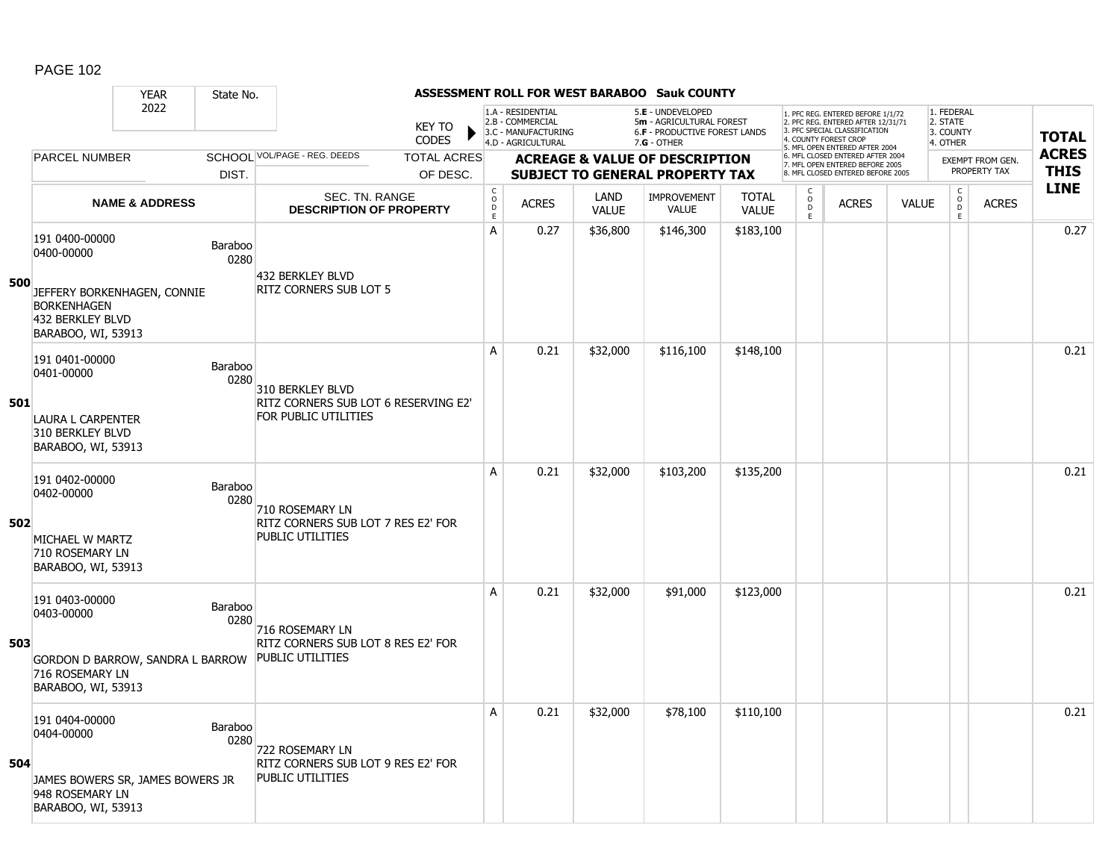#### YEAR State No. **ASSESSMENT ROLL FOR WEST BARABOO Sauk COUNTY** 2022 KEY TO **CODES** 1. PFC REG. ENTERED BEFORE 1/1/72 2. PFC REG. ENTERED AFTER 12/31/71 3. PFC SPECIAL CLASSIFICATION 4. COUNTY FOREST CROP 5. MFL OPEN ENTERED AFTER 2004 6. MFL CLOSED ENTERED AFTER 2004 7. MFL OPEN ENTERED BEFORE 2005 8. MFL CLOSED ENTERED BEFORE 2005 1. FEDERAL 2. STATE 3. COUNTY 4. OTHER **ACREAGE & VALUE OF DESCRIPTION SUBJECT TO GENERAL PROPERTY TAX** EXEMPT FROM GEN. PROPERTY TAX **TOTAL ACRES THIS LINE** 1.A - RESIDENTIAL 2.B - COMMERCIAL 3.C - MANUFACTURING 4.D - AGRICULTURAL 5.**E** - UNDEVELOPED 5**m** - AGRICULTURAL FOREST 6.**F** - PRODUCTIVE FOREST LANDS 7.**G** - OTHER TOTAL ACRES OF DESC. SCHOOL VOL/PAGE - REG. DEEDS DIST. PARCEL NUMBER ACRES C O D E ACRES VALUE  $\mathsf{C}$ O  $\overline{D}$ E TOTAL VALUE IMPROVEMENT VALUE LAND ACRES | VALUE C O  $\overline{D}$ E SEC. TN. RANGE **DESCRIPTION OF PROPERTY NAME & ADDRESS 500** 191 0400-00000 131 0<del>1</del>00-00000<br>0400-00000 Baraboo 0280 JEFFERY BORKENHAGEN, CONNIE BORKENHAGEN 432 BERKLEY BLVD BARABOO, WI, 53913 432 BERKLEY BLVD RITZ CORNERS SUB LOT 5 A 0.27 \$36,800 \$146,300 \$183,100 0.27 **501** 191 0401-00000 P 0280 LAURA L CARPENTER 310 BERKLEY BLVD BARABOO, WI, 53913 310 BERKLEY BLVD RITZ CORNERS SUB LOT 6 RESERVING E2' FOR PUBLIC UTILITIES A 0.21 \$32,000 \$116,100 \$148,100 distribution of the 10.21 0.21 distribution of the 10.21 distribution of the 1 **502** 191 0402-00000 131 0402-00000<br>0402-00000 Baraboo 0280 MICHAEL W MARTZ 710 ROSEMARY LN BARABOO, WI, 53913 710 ROSEMARY LN RITZ CORNERS SUB LOT 7 RES E2' FOR PUBLIC UTILITIES A 0.21 \$32,000 \$103,200 \$135,200 0.21 **503** 191 0403-00000 151 0403-00000<br>0403-00000 Baraboo 0280 GORDON D BARROW, SANDRA L BARROW 716 ROSEMARY LN BARABOO, WI, 53913 716 ROSEMARY LN RITZ CORNERS SUB LOT 8 RES E2' FOR PUBLIC UTILITIES A 0.21 \$32,000 \$91,000 \$123,000 0.21 **504** 191 0404-00000 131 0404-00000<br>0404-00000 Baraboo 0280 JAMES BOWERS SR, JAMES BOWERS JR 948 ROSEMARY LN BARABOO, WI, 53913 722 ROSEMARY LN RITZ CORNERS SUB LOT 9 RES E2' FOR PUBLIC UTILITIES A 0.21 \$32,000 \$78,100 \$110,100 discussed by the control of the control of the control of the control of the co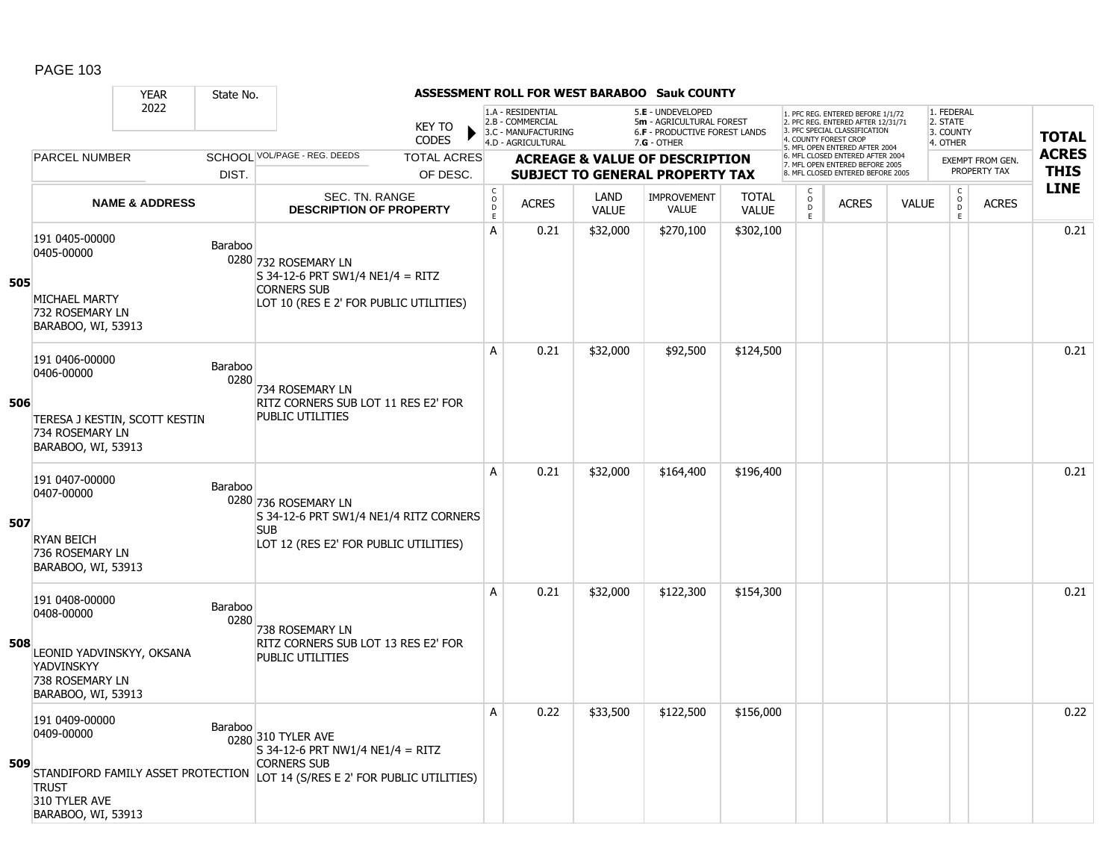|     |                                                                                                                  | <b>YEAR</b>               | State No.       |                                                                                                                                                               |                    |                                   |                                                                                    |                      | <b>ASSESSMENT ROLL FOR WEST BARABOO Sauk COUNTY</b>                                           |                              |                                    |                                                                                                                                                                     |              |                                                 |                                  |                             |
|-----|------------------------------------------------------------------------------------------------------------------|---------------------------|-----------------|---------------------------------------------------------------------------------------------------------------------------------------------------------------|--------------------|-----------------------------------|------------------------------------------------------------------------------------|----------------------|-----------------------------------------------------------------------------------------------|------------------------------|------------------------------------|---------------------------------------------------------------------------------------------------------------------------------------------------------------------|--------------|-------------------------------------------------|----------------------------------|-----------------------------|
|     |                                                                                                                  | 2022                      |                 | <b>KEY TO</b><br><b>CODES</b>                                                                                                                                 |                    |                                   | 1.A - RESIDENTIAL<br>2.B - COMMERCIAL<br>3.C - MANUFACTURING<br>4.D - AGRICULTURAL |                      | 5.E - UNDEVELOPED<br>5m - AGRICULTURAL FOREST<br>6.F - PRODUCTIVE FOREST LANDS<br>7.G - OTHER |                              |                                    | 1. PFC REG. ENTERED BEFORE 1/1/72<br>2. PFC REG. ENTERED AFTER 12/31/71<br>3. PFC SPECIAL CLASSIFICATION<br>4. COUNTY FOREST CROP<br>5. MFL OPEN ENTERED AFTER 2004 |              | 1. FEDERAL<br>2. STATE<br>3. COUNTY<br>4. OTHER |                                  | <b>TOTAL</b>                |
|     | <b>PARCEL NUMBER</b>                                                                                             |                           |                 | SCHOOL VOL/PAGE - REG. DEEDS                                                                                                                                  | <b>TOTAL ACRES</b> |                                   |                                                                                    |                      | <b>ACREAGE &amp; VALUE OF DESCRIPTION</b>                                                     |                              |                                    | 6. MFL CLOSED ENTERED AFTER 2004<br>7. MFL OPEN ENTERED BEFORE 2005<br>8. MFL CLOSED ENTERED BEFORE 2005                                                            |              |                                                 | EXEMPT FROM GEN.<br>PROPERTY TAX | <b>ACRES</b><br><b>THIS</b> |
|     |                                                                                                                  | <b>NAME &amp; ADDRESS</b> | DIST.           | <b>SEC. TN. RANGE</b><br><b>DESCRIPTION OF PROPERTY</b>                                                                                                       | OF DESC.           | $_{\rm o}^{\rm c}$<br>$\mathsf D$ | <b>ACRES</b>                                                                       | LAND<br><b>VALUE</b> | <b>SUBJECT TO GENERAL PROPERTY TAX</b><br><b>IMPROVEMENT</b><br>VALUE                         | <b>TOTAL</b><br><b>VALUE</b> | C<br>$\mathsf O$<br>$\overline{D}$ | <b>ACRES</b>                                                                                                                                                        | <b>VALUE</b> | $\mathsf{C}$<br>$\mathsf{o}$<br>D               | <b>ACRES</b>                     | <b>LINE</b>                 |
| 505 | 191 0405-00000<br>0405-00000<br>MICHAEL MARTY<br>732 ROSEMARY LN<br>BARABOO, WI, 53913                           |                           | Baraboo         | 0280 732 ROSEMARY LN<br>$S$ 34-12-6 PRT SW1/4 NE1/4 = RITZ<br><b>CORNERS SUB</b><br>LOT 10 (RES E 2' FOR PUBLIC UTILITIES)                                    |                    | E<br>А                            | 0.21                                                                               | \$32,000             | \$270,100                                                                                     | \$302,100                    | E.                                 |                                                                                                                                                                     |              | E                                               |                                  | 0.21                        |
| 506 | 191 0406-00000<br>0406-00000<br>TERESA J KESTIN, SCOTT KESTIN<br>734 ROSEMARY LN<br>BARABOO, WI, 53913           |                           | Baraboo<br>0280 | 734 ROSEMARY LN<br>RITZ CORNERS SUB LOT 11 RES E2' FOR<br><b>PUBLIC UTILITIES</b>                                                                             |                    | A                                 | 0.21                                                                               | \$32,000             | \$92,500                                                                                      | \$124,500                    |                                    |                                                                                                                                                                     |              |                                                 |                                  | 0.21                        |
| 507 | 191 0407-00000<br>0407-00000<br><b>RYAN BEICH</b><br>736 ROSEMARY LN<br>BARABOO, WI, 53913                       |                           | Baraboo         | 0280 736 ROSEMARY LN<br>S 34-12-6 PRT SW1/4 NE1/4 RITZ CORNERS<br><b>SUB</b><br>LOT 12 (RES E2' FOR PUBLIC UTILITIES)                                         |                    | A                                 | 0.21                                                                               | \$32,000             | \$164,400                                                                                     | \$196,400                    |                                    |                                                                                                                                                                     |              |                                                 |                                  | 0.21                        |
| 508 | 191 0408-00000<br>0408-00000<br>LEONID YADVINSKYY, OKSANA<br>YADVINSKYY<br>738 ROSEMARY LN<br>BARABOO, WI, 53913 |                           | Baraboo<br>0280 | 738 ROSEMARY LN<br>RITZ CORNERS SUB LOT 13 RES E2' FOR<br>PUBLIC UTILITIES                                                                                    |                    | A                                 | 0.21                                                                               | \$32,000             | \$122,300                                                                                     | \$154,300                    |                                    |                                                                                                                                                                     |              |                                                 |                                  | 0.21                        |
| 509 | 191 0409-00000<br>0409-00000<br><b>TRUST</b><br>310 TYLER AVE<br>BARABOO, WI, 53913                              |                           | Baraboo         | 0280 310 TYLER AVE<br>$S$ 34-12-6 PRT NW1/4 NE1/4 = RITZ<br><b>CORNERS SUB</b><br>STANDIFORD FAMILY ASSET PROTECTION LOT 14 (S/RES E 2' FOR PUBLIC UTILITIES) |                    | A                                 | 0.22                                                                               | \$33,500             | \$122,500                                                                                     | \$156,000                    |                                    |                                                                                                                                                                     |              |                                                 |                                  | 0.22                        |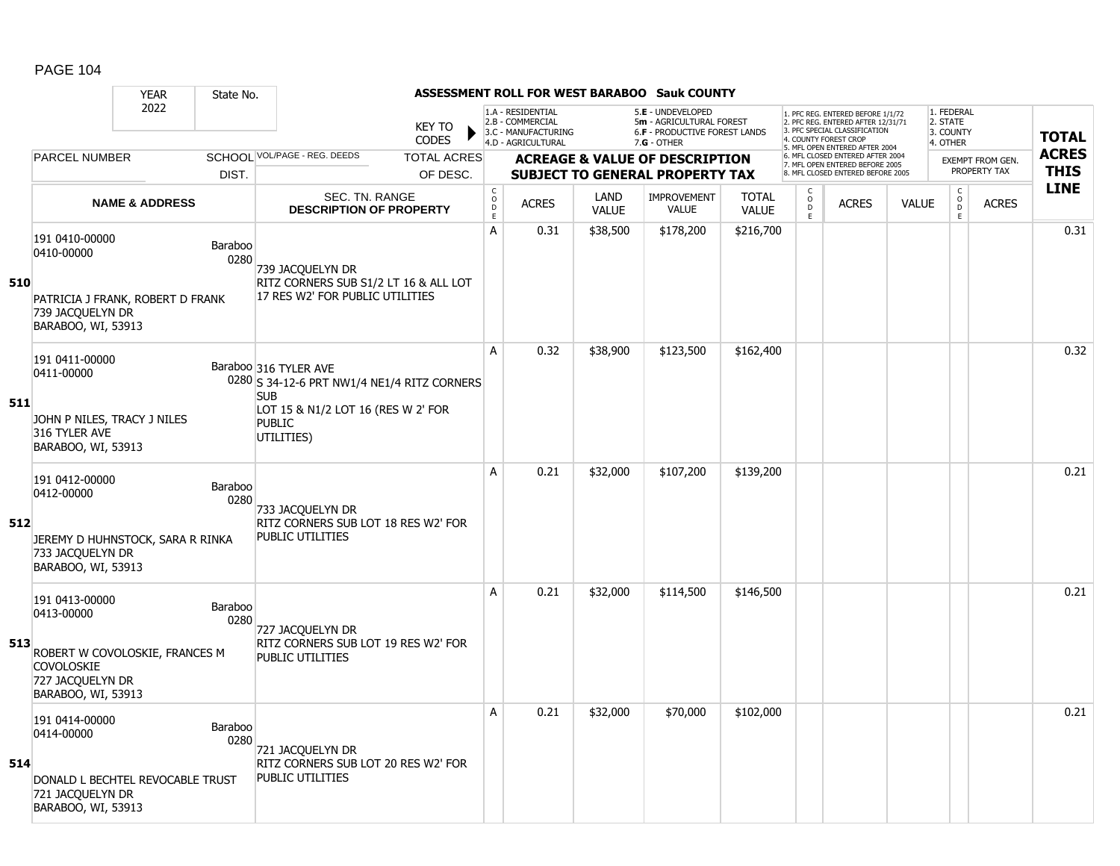|     |                                                                                                                               | <b>YEAR</b>               | State No.              |                                                                                              |                        |                                     |                                                                                    |                      | <b>ASSESSMENT ROLL FOR WEST BARABOO Sauk COUNTY</b>                                                    |                              |                                   |                                                                                                          |              |                                                 |                         |              |
|-----|-------------------------------------------------------------------------------------------------------------------------------|---------------------------|------------------------|----------------------------------------------------------------------------------------------|------------------------|-------------------------------------|------------------------------------------------------------------------------------|----------------------|--------------------------------------------------------------------------------------------------------|------------------------------|-----------------------------------|----------------------------------------------------------------------------------------------------------|--------------|-------------------------------------------------|-------------------------|--------------|
|     |                                                                                                                               | 2022                      |                        |                                                                                              | <b>KEY TO</b><br>CODES |                                     | 1.A - RESIDENTIAL<br>2.B - COMMERCIAL<br>3.C - MANUFACTURING<br>4.D - AGRICULTURAL |                      | 5.E - UNDEVELOPED<br>5m - AGRICULTURAL FOREST<br><b>6.F - PRODUCTIVE FOREST LANDS</b><br>$7.G - OTHER$ |                              | 4. COUNTY FOREST CROP             | 1. PFC REG. ENTERED BEFORE 1/1/72<br>2. PFC REG. ENTERED AFTER 12/31/71<br>3. PFC SPECIAL CLASSIFICATION |              | 1. FEDERAL<br>2. STATE<br>3. COUNTY<br>4. OTHER |                         | <b>TOTAL</b> |
|     | <b>PARCEL NUMBER</b>                                                                                                          |                           |                        | SCHOOL VOL/PAGE - REG. DEEDS                                                                 | <b>TOTAL ACRES</b>     |                                     |                                                                                    |                      | <b>ACREAGE &amp; VALUE OF DESCRIPTION</b>                                                              |                              |                                   | 5. MFL OPEN ENTERED AFTER 2004<br>6. MFL CLOSED ENTERED AFTER 2004<br>7. MFL OPEN ENTERED BEFORE 2005    |              |                                                 | <b>EXEMPT FROM GEN.</b> | <b>ACRES</b> |
|     |                                                                                                                               |                           | DIST.                  |                                                                                              | OF DESC.               |                                     |                                                                                    |                      | <b>SUBJECT TO GENERAL PROPERTY TAX</b>                                                                 |                              |                                   | 8. MFL CLOSED ENTERED BEFORE 2005                                                                        |              |                                                 | PROPERTY TAX            | <b>THIS</b>  |
|     |                                                                                                                               | <b>NAME &amp; ADDRESS</b> |                        | <b>SEC. TN. RANGE</b><br><b>DESCRIPTION OF PROPERTY</b>                                      |                        | $_{\rm o}^{\rm c}$<br>$\frac{D}{E}$ | <b>ACRES</b>                                                                       | LAND<br><b>VALUE</b> | <b>IMPROVEMENT</b><br><b>VALUE</b>                                                                     | <b>TOTAL</b><br><b>VALUE</b> | C<br>$\circ$<br>$\mathsf D$<br>E. | <b>ACRES</b>                                                                                             | <b>VALUE</b> | $\begin{matrix} C \\ O \\ D \end{matrix}$<br>E  | <b>ACRES</b>            | <b>LINE</b>  |
| 510 | 191 0410-00000<br>0410-00000<br>PATRICIA J FRANK, ROBERT D FRANK                                                              |                           | Baraboo<br>0280        | 739 JACQUELYN DR<br>RITZ CORNERS SUB S1/2 LT 16 & ALL LOT<br>17 RES W2' FOR PUBLIC UTILITIES |                        | A                                   | 0.31                                                                               | \$38,500             | \$178,200                                                                                              | \$216,700                    |                                   |                                                                                                          |              |                                                 |                         | 0.31         |
|     | 739 JACQUELYN DR<br>BARABOO, WI, 53913                                                                                        |                           |                        |                                                                                              |                        |                                     |                                                                                    |                      |                                                                                                        |                              |                                   |                                                                                                          |              |                                                 |                         |              |
|     | 191 0411-00000<br>0411-00000                                                                                                  |                           |                        | Baraboo 316 TYLER AVE<br>0280 S 34-12-6 PRT NW1/4 NE1/4 RITZ CORNERS<br><b>SUB</b>           |                        | A                                   | 0.32                                                                               | \$38,900             | \$123,500                                                                                              | \$162,400                    |                                   |                                                                                                          |              |                                                 |                         | 0.32         |
| 511 | JOHN P NILES, TRACY J NILES<br>316 TYLER AVE<br>BARABOO, WI, 53913                                                            |                           |                        | LOT 15 & N1/2 LOT 16 (RES W 2' FOR<br><b>PUBLIC</b><br>UTILITIES)                            |                        |                                     |                                                                                    |                      |                                                                                                        |                              |                                   |                                                                                                          |              |                                                 |                         |              |
| 512 | 191 0412-00000<br>0412-00000<br>JEREMY D HUHNSTOCK, SARA R RINKA<br>733 JACQUELYN DR<br>BARABOO, WI, 53913                    |                           | Baraboo<br>0280        | 733 JACQUELYN DR<br>RITZ CORNERS SUB LOT 18 RES W2' FOR<br>PUBLIC UTILITIES                  |                        | A                                   | 0.21                                                                               | \$32,000             | \$107,200                                                                                              | \$139,200                    |                                   |                                                                                                          |              |                                                 |                         | 0.21         |
| 513 | 191 0413-00000<br>0413-00000<br>ROBERT W COVOLOSKIE, FRANCES M<br><b>COVOLOSKIE</b><br>727 JACQUELYN DR<br>BARABOO, WI, 53913 |                           | <b>Baraboo</b><br>0280 | 727 JACQUELYN DR<br>RITZ CORNERS SUB LOT 19 RES W2' FOR<br><b>PUBLIC UTILITIES</b>           |                        | A                                   | 0.21                                                                               | \$32,000             | \$114,500                                                                                              | \$146,500                    |                                   |                                                                                                          |              |                                                 |                         | 0.21         |
| 514 | 191 0414-00000<br>0414-00000<br>DONALD L BECHTEL REVOCABLE TRUST<br>721 JACQUELYN DR<br>BARABOO, WI, 53913                    |                           | Baraboo<br>0280        | 721 JACQUELYN DR<br>RITZ CORNERS SUB LOT 20 RES W2' FOR<br>PUBLIC UTILITIES                  |                        | A                                   | 0.21                                                                               | \$32,000             | \$70,000                                                                                               | \$102,000                    |                                   |                                                                                                          |              |                                                 |                         | 0.21         |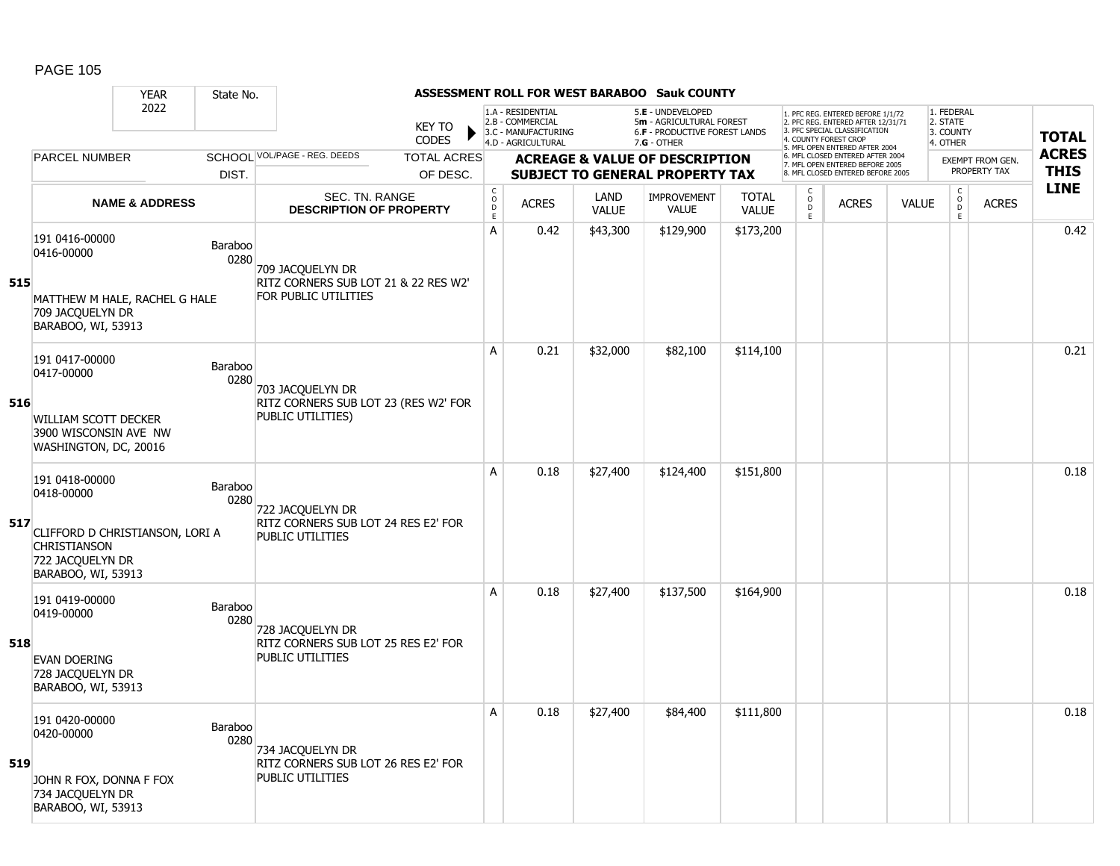|     |                                                                                                  | <b>YEAR</b>               | State No.            |                                                                |                               |                    |                                                                                    |              | <b>ASSESSMENT ROLL FOR WEST BARABOO Sauk COUNTY</b>                                             |              |                                           |                                                                                                                                            |              |                                                 |                                  |                             |
|-----|--------------------------------------------------------------------------------------------------|---------------------------|----------------------|----------------------------------------------------------------|-------------------------------|--------------------|------------------------------------------------------------------------------------|--------------|-------------------------------------------------------------------------------------------------|--------------|-------------------------------------------|--------------------------------------------------------------------------------------------------------------------------------------------|--------------|-------------------------------------------------|----------------------------------|-----------------------------|
|     |                                                                                                  | 2022                      |                      |                                                                | <b>KEY TO</b><br><b>CODES</b> |                    | 1.A - RESIDENTIAL<br>2.B - COMMERCIAL<br>3.C - MANUFACTURING<br>4.D - AGRICULTURAL |              | 5.E - UNDEVELOPED<br>5m - AGRICULTURAL FOREST<br>6.F - PRODUCTIVE FOREST LANDS<br>$7.G - OTHER$ |              | 4. COUNTY FOREST CROP                     | 1. PFC REG. ENTERED BEFORE 1/1/72<br>2. PFC REG. ENTERED AFTER 12/31/71<br>3. PFC SPECIAL CLASSIFICATION<br>5. MFL OPEN ENTERED AFTER 2004 |              | 1. FEDERAL<br>2. STATE<br>3. COUNTY<br>4. OTHER |                                  | <b>TOTAL</b>                |
|     | <b>PARCEL NUMBER</b>                                                                             |                           |                      | SCHOOL VOL/PAGE - REG. DEEDS                                   | <b>TOTAL ACRES</b>            |                    |                                                                                    |              | <b>ACREAGE &amp; VALUE OF DESCRIPTION</b>                                                       |              |                                           | 6. MFL CLOSED ENTERED AFTER 2004<br>7. MFL OPEN ENTERED BEFORE 2005<br>8. MFL CLOSED ENTERED BEFORE 2005                                   |              |                                                 | EXEMPT FROM GEN.<br>PROPERTY TAX | <b>ACRES</b><br><b>THIS</b> |
|     |                                                                                                  |                           | DIST.                | SEC. TN. RANGE                                                 | OF DESC.                      | $_{\rm o}^{\rm c}$ |                                                                                    | LAND         | <b>SUBJECT TO GENERAL PROPERTY TAX</b><br><b>IMPROVEMENT</b>                                    | <b>TOTAL</b> | $\begin{matrix} 0 \\ 0 \\ D \end{matrix}$ |                                                                                                                                            |              | $\begin{matrix} 0 \\ 0 \end{matrix}$            |                                  | <b>LINE</b>                 |
|     |                                                                                                  | <b>NAME &amp; ADDRESS</b> |                      | <b>DESCRIPTION OF PROPERTY</b>                                 |                               | $\mathsf D$<br>E   | <b>ACRES</b>                                                                       | <b>VALUE</b> | <b>VALUE</b>                                                                                    | <b>VALUE</b> | E                                         | <b>ACRES</b>                                                                                                                               | <b>VALUE</b> | E                                               | <b>ACRES</b>                     |                             |
|     | 191 0416-00000<br>0416-00000                                                                     |                           | Baraboo<br>0280      | 709 JACQUELYN DR<br>RITZ CORNERS SUB LOT 21 & 22 RES W2'       |                               | A                  | 0.42                                                                               | \$43,300     | \$129,900                                                                                       | \$173,200    |                                           |                                                                                                                                            |              |                                                 |                                  | 0.42                        |
| 515 | MATTHEW M HALE, RACHEL G HALE<br>709 JACQUELYN DR<br>BARABOO, WI, 53913                          |                           | FOR PUBLIC UTILITIES |                                                                |                               |                    |                                                                                    |              |                                                                                                 |              |                                           |                                                                                                                                            |              |                                                 |                                  |                             |
|     | 191 0417-00000<br>0417-00000                                                                     |                           | Baraboo<br>0280      | 703 JACQUELYN DR                                               |                               | A                  | 0.21                                                                               | \$32,000     | \$82,100                                                                                        | \$114,100    |                                           |                                                                                                                                            |              |                                                 |                                  | 0.21                        |
| 516 | WILLIAM SCOTT DECKER<br>3900 WISCONSIN AVE NW<br>WASHINGTON, DC, 20016                           |                           |                      | RITZ CORNERS SUB LOT 23 (RES W2' FOR<br>PUBLIC UTILITIES)      |                               |                    |                                                                                    |              |                                                                                                 |              |                                           |                                                                                                                                            |              |                                                 |                                  |                             |
|     | 191 0418-00000<br>0418-00000                                                                     |                           | Baraboo<br>0280      | 722 JACQUELYN DR                                               |                               | A                  | 0.18                                                                               | \$27,400     | \$124,400                                                                                       | \$151,800    |                                           |                                                                                                                                            |              |                                                 |                                  | 0.18                        |
| 517 | CLIFFORD D CHRISTIANSON, LORI A<br><b>CHRISTIANSON</b><br>722 JACQUELYN DR<br>BARABOO, WI, 53913 |                           |                      | RITZ CORNERS SUB LOT 24 RES E2' FOR<br><b>PUBLIC UTILITIES</b> |                               |                    |                                                                                    |              |                                                                                                 |              |                                           |                                                                                                                                            |              |                                                 |                                  |                             |
|     | 191 0419-00000<br>0419-00000                                                                     |                           | Baraboo<br>0280      | 728 JACQUELYN DR                                               |                               | A                  | 0.18                                                                               | \$27,400     | \$137,500                                                                                       | \$164,900    |                                           |                                                                                                                                            |              |                                                 |                                  | 0.18                        |
| 518 | <b>EVAN DOERING</b><br>728 JACQUELYN DR<br>BARABOO, WI, 53913                                    |                           |                      | RITZ CORNERS SUB LOT 25 RES E2' FOR<br><b>PUBLIC UTILITIES</b> |                               |                    |                                                                                    |              |                                                                                                 |              |                                           |                                                                                                                                            |              |                                                 |                                  |                             |
|     | 191 0420-00000<br>0420-00000                                                                     |                           | Baraboo<br>0280      | 734 JACQUELYN DR                                               |                               | A                  | 0.18                                                                               | \$27,400     | \$84,400                                                                                        | \$111,800    |                                           |                                                                                                                                            |              |                                                 |                                  | 0.18                        |
| 519 | JOHN R FOX, DONNA F FOX<br>734 JACQUELYN DR<br>BARABOO, WI, 53913                                |                           |                      | RITZ CORNERS SUB LOT 26 RES E2' FOR<br><b>PUBLIC UTILITIES</b> |                               |                    |                                                                                    |              |                                                                                                 |              |                                           |                                                                                                                                            |              |                                                 |                                  |                             |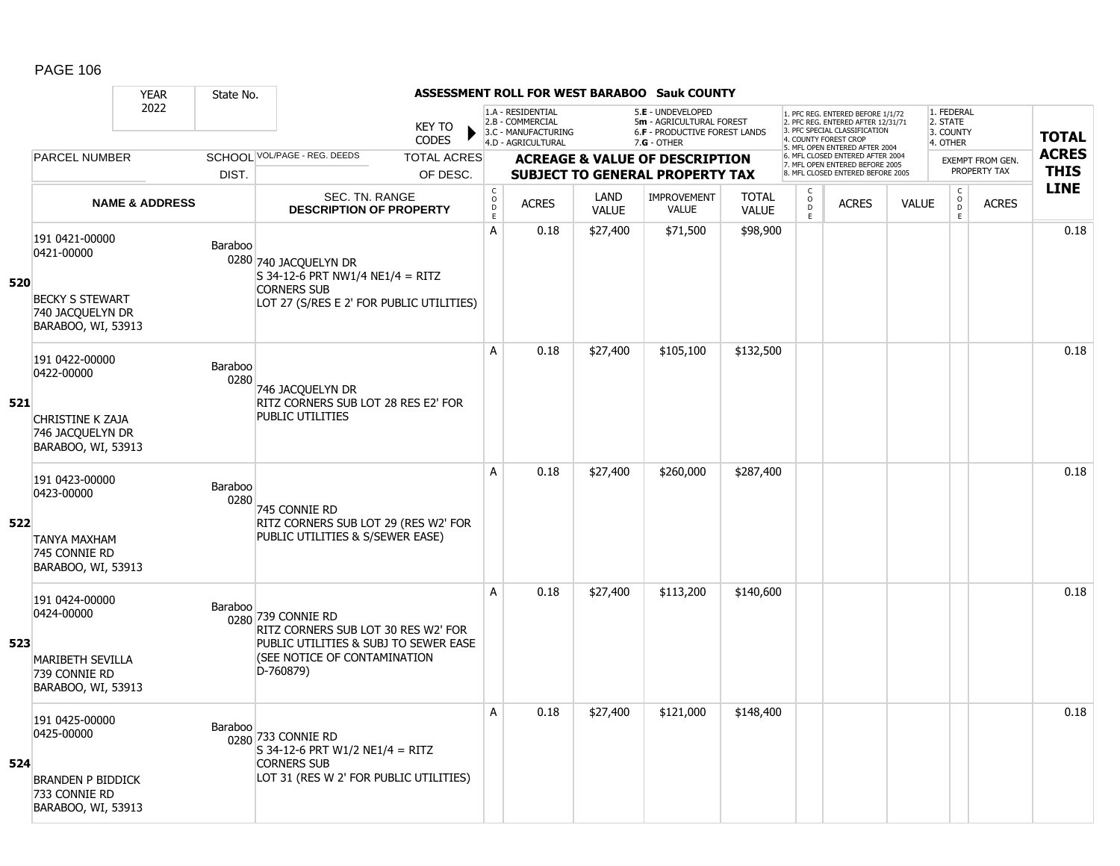|     |                                                                                                   | <b>YEAR</b>               | State No.              |                                                                                                                                                 |                                                                                    |              |                      | <b>ASSESSMENT ROLL FOR WEST BARABOO Sauk COUNTY</b>                                           |                                                                                                                                   |                           |                                                                      |                                                 |                               |                  |              |
|-----|---------------------------------------------------------------------------------------------------|---------------------------|------------------------|-------------------------------------------------------------------------------------------------------------------------------------------------|------------------------------------------------------------------------------------|--------------|----------------------|-----------------------------------------------------------------------------------------------|-----------------------------------------------------------------------------------------------------------------------------------|---------------------------|----------------------------------------------------------------------|-------------------------------------------------|-------------------------------|------------------|--------------|
|     |                                                                                                   | 2022                      |                        | <b>KEY TO</b><br><b>CODES</b>                                                                                                                   | 1.A - RESIDENTIAL<br>2.B - COMMERCIAL<br>3.C - MANUFACTURING<br>4.D - AGRICULTURAL |              |                      | 5.E - UNDEVELOPED<br>5m - AGRICULTURAL FOREST<br>6.F - PRODUCTIVE FOREST LANDS<br>7.G - OTHER | 1. PFC REG. ENTERED BEFORE 1/1/72<br>2. PFC REG. ENTERED AFTER 12/31/71<br>3. PFC SPECIAL CLASSIFICATION<br>4. COUNTY FOREST CROP |                           |                                                                      | 1. FEDERAL<br>2. STATE<br>3. COUNTY<br>4. OTHER |                               | <b>TOTAL</b>     |              |
|     | <b>PARCEL NUMBER</b>                                                                              |                           |                        | SCHOOL VOL/PAGE - REG. DEEDS<br><b>TOTAL ACRES</b>                                                                                              |                                                                                    |              |                      | <b>ACREAGE &amp; VALUE OF DESCRIPTION</b>                                                     |                                                                                                                                   |                           | 5. MFL OPEN ENTERED AFTER 2004<br>6. MFL CLOSED ENTERED AFTER 2004   |                                                 |                               | EXEMPT FROM GEN. | <b>ACRES</b> |
|     |                                                                                                   |                           | DIST.                  | OF DESC.                                                                                                                                        |                                                                                    |              |                      | <b>SUBJECT TO GENERAL PROPERTY TAX</b>                                                        |                                                                                                                                   |                           | 7. MFL OPEN ENTERED BEFORE 2005<br>8. MFL CLOSED ENTERED BEFORE 2005 |                                                 |                               | PROPERTY TAX     | <b>THIS</b>  |
|     |                                                                                                   | <b>NAME &amp; ADDRESS</b> |                        | SEC. TN. RANGE<br><b>DESCRIPTION OF PROPERTY</b>                                                                                                | $_{\rm o}^{\rm c}$<br>$\frac{D}{E}$                                                | <b>ACRES</b> | LAND<br><b>VALUE</b> | <b>IMPROVEMENT</b><br><b>VALUE</b>                                                            | <b>TOTAL</b><br><b>VALUE</b>                                                                                                      | $\int_{0}^{c}$<br>D<br>E. | <b>ACRES</b>                                                         | <b>VALUE</b>                                    | $_{\rm o}^{\rm c}$<br>D<br>E. | <b>ACRES</b>     | <b>LINE</b>  |
| 520 | 191 0421-00000<br>0421-00000<br><b>BECKY S STEWART</b><br>740 JACQUELYN DR<br>BARABOO, WI, 53913  |                           | Baraboo                | 0280 740 JACQUELYN DR<br>$S$ 34-12-6 PRT NW1/4 NE1/4 = RITZ<br><b>CORNERS SUB</b><br>LOT 27 (S/RES E 2' FOR PUBLIC UTILITIES)                   | A                                                                                  | 0.18         | \$27,400             | \$71,500                                                                                      | \$98,900                                                                                                                          |                           |                                                                      |                                                 |                               |                  | 0.18         |
| 521 | 191 0422-00000<br>0422-00000<br><b>CHRISTINE K ZAJA</b><br>746 JACQUELYN DR<br>BARABOO, WI, 53913 |                           | <b>Baraboo</b><br>0280 | 746 JACQUELYN DR<br>RITZ CORNERS SUB LOT 28 RES E2' FOR<br><b>PUBLIC UTILITIES</b>                                                              | A                                                                                  | 0.18         | \$27,400             | \$105,100                                                                                     | \$132,500                                                                                                                         |                           |                                                                      |                                                 |                               |                  | 0.18         |
| 522 | 191 0423-00000<br>0423-00000<br>TANYA MAXHAM<br>745 CONNIE RD<br>BARABOO, WI, 53913               |                           | Baraboo<br>0280        | 745 CONNIE RD<br>RITZ CORNERS SUB LOT 29 (RES W2' FOR<br>PUBLIC UTILITIES & S/SEWER EASE)                                                       | A                                                                                  | 0.18         | \$27,400             | \$260,000                                                                                     | \$287,400                                                                                                                         |                           |                                                                      |                                                 |                               |                  | 0.18         |
| 523 | 191 0424-00000<br>0424-00000<br><b>MARIBETH SEVILLA</b><br>739 CONNIE RD<br>BARABOO, WI, 53913    |                           | Baraboo                | 0280 739 CONNIE RD<br>RITZ CORNERS SUB LOT 30 RES W2' FOR<br>PUBLIC UTILITIES & SUBJ TO SEWER EASE<br>(SEE NOTICE OF CONTAMINATION<br>D-760879) | A                                                                                  | 0.18         | \$27,400             | \$113,200                                                                                     | \$140,600                                                                                                                         |                           |                                                                      |                                                 |                               |                  | 0.18         |
| 524 | 191 0425-00000<br>0425-00000<br><b>BRANDEN P BIDDICK</b><br>733 CONNIE RD<br>BARABOO, WI, 53913   |                           | Baraboo                | 0280 733 CONNIE RD<br>$S$ 34-12-6 PRT W1/2 NE1/4 = RITZ<br><b>CORNERS SUB</b><br>LOT 31 (RES W 2' FOR PUBLIC UTILITIES)                         | A                                                                                  | 0.18         | \$27,400             | \$121,000                                                                                     | \$148,400                                                                                                                         |                           |                                                                      |                                                 |                               |                  | 0.18         |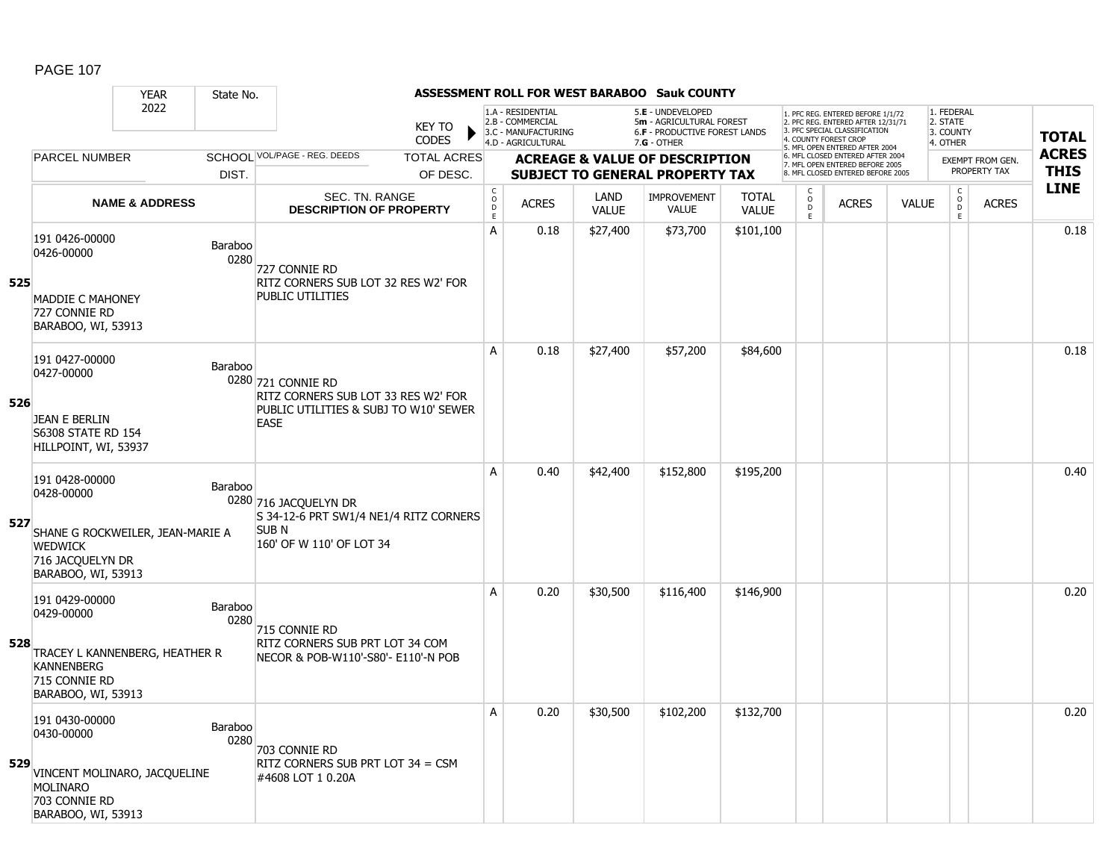|     |                                                                                                                              | <b>YEAR</b>               | State No.       |                                                                                                                   |                                     |                                                                                    |                      | <b>ASSESSMENT ROLL FOR WEST BARABOO Sauk COUNTY</b>                                                    |                              |                              |                                                                                                                                  |              |                                                 |                      |                         |                            |
|-----|------------------------------------------------------------------------------------------------------------------------------|---------------------------|-----------------|-------------------------------------------------------------------------------------------------------------------|-------------------------------------|------------------------------------------------------------------------------------|----------------------|--------------------------------------------------------------------------------------------------------|------------------------------|------------------------------|----------------------------------------------------------------------------------------------------------------------------------|--------------|-------------------------------------------------|----------------------|-------------------------|----------------------------|
|     |                                                                                                                              | 2022                      |                 | <b>KEY TO</b><br><b>CODES</b>                                                                                     |                                     | 1.A - RESIDENTIAL<br>2.B - COMMERCIAL<br>3.C - MANUFACTURING<br>4.D - AGRICULTURAL |                      | 5.E - UNDEVELOPED<br>5m - AGRICULTURAL FOREST<br><b>6.F - PRODUCTIVE FOREST LANDS</b><br>$7.G - OTHER$ |                              |                              | . PFC REG. ENTERED BEFORE 1/1/72<br>2. PFC REG. ENTERED AFTER 12/31/71<br>3. PFC SPECIAL CLASSIFICATION<br>4. COUNTY FOREST CROP |              | 1. FEDERAL<br>2. STATE<br>3. COUNTY<br>4. OTHER |                      |                         | <b>TOTAL</b>               |
|     | <b>PARCEL NUMBER</b>                                                                                                         |                           |                 | SCHOOL VOL/PAGE - REG. DEEDS<br><b>TOTAL ACRES</b>                                                                |                                     |                                                                                    |                      | <b>ACREAGE &amp; VALUE OF DESCRIPTION</b>                                                              |                              |                              | 5. MFL OPEN ENTERED AFTER 2004<br>6. MFL CLOSED ENTERED AFTER 2004<br>7. MFL OPEN ENTERED BEFORE 2005                            |              |                                                 |                      | <b>EXEMPT FROM GEN.</b> | <b>ACRES</b>               |
|     |                                                                                                                              |                           | DIST.           | OF DESC.                                                                                                          |                                     |                                                                                    |                      | <b>SUBJECT TO GENERAL PROPERTY TAX</b>                                                                 |                              |                              | 8. MFL CLOSED ENTERED BEFORE 2005                                                                                                |              |                                                 |                      | PROPERTY TAX            | <b>THIS</b><br><b>LINE</b> |
|     |                                                                                                                              | <b>NAME &amp; ADDRESS</b> |                 | SEC. TN. RANGE<br><b>DESCRIPTION OF PROPERTY</b>                                                                  | $_{\rm o}^{\rm c}$<br>$\frac{D}{E}$ | <b>ACRES</b>                                                                       | LAND<br><b>VALUE</b> | <b>IMPROVEMENT</b><br><b>VALUE</b>                                                                     | <b>TOTAL</b><br><b>VALUE</b> | $_{\rm o}^{\rm c}$<br>D<br>E | <b>ACRES</b>                                                                                                                     | <b>VALUE</b> |                                                 | $\rm _c^C$<br>D<br>E | <b>ACRES</b>            |                            |
| 525 | 191 0426-00000<br>0426-00000<br><b>MADDIE C MAHONEY</b><br>727 CONNIE RD                                                     |                           | Baraboo<br>0280 | 727 Connie RD<br>RITZ CORNERS SUB LOT 32 RES W2' FOR<br>PUBLIC UTILITIES                                          | A                                   | 0.18                                                                               | \$27,400             | \$73,700                                                                                               | \$101,100                    |                              |                                                                                                                                  |              |                                                 |                      |                         | 0.18                       |
|     | BARABOO, WI, 53913                                                                                                           |                           |                 |                                                                                                                   | A                                   | 0.18                                                                               | \$27,400             | \$57,200                                                                                               | \$84,600                     |                              |                                                                                                                                  |              |                                                 |                      |                         | 0.18                       |
| 526 | 191 0427-00000<br>0427-00000<br><b>JEAN E BERLIN</b><br><b>S6308 STATE RD 154</b><br>HILLPOINT, WI, 53937                    |                           | Baraboo         | 0280 721 CONNIE RD<br>RITZ CORNERS SUB LOT 33 RES W2' FOR<br>PUBLIC UTILITIES & SUBJ TO W10' SEWER<br><b>EASE</b> |                                     |                                                                                    |                      |                                                                                                        |                              |                              |                                                                                                                                  |              |                                                 |                      |                         |                            |
| 527 | 191 0428-00000<br>0428-00000<br>SHANE G ROCKWEILER, JEAN-MARIE A<br><b>WEDWICK</b><br>716 JACQUELYN DR<br>BARABOO, WI, 53913 |                           | Baraboo         | 0280 716 JACQUELYN DR<br>S 34-12-6 PRT SW1/4 NE1/4 RITZ CORNERS<br>SUB N<br>160' OF W 110' OF LOT 34              | A                                   | 0.40                                                                               | \$42,400             | \$152,800                                                                                              | \$195,200                    |                              |                                                                                                                                  |              |                                                 |                      |                         | 0.40                       |
| 528 | 191 0429-00000<br>0429-00000<br>TRACEY L KANNENBERG, HEATHER R<br><b>KANNENBERG</b><br>715 CONNIE RD<br>BARABOO, WI, 53913   |                           | Baraboo<br>0280 | 715 CONNIE RD<br>RITZ CORNERS SUB PRT LOT 34 COM<br>NECOR & POB-W110'-S80'- E110'-N POB                           | A                                   | 0.20                                                                               | \$30,500             | \$116,400                                                                                              | \$146,900                    |                              |                                                                                                                                  |              |                                                 |                      |                         | 0.20                       |
| 529 | 191 0430-00000<br>0430-00000<br>VINCENT MOLINARO, JACQUELINE<br><b>MOLINARO</b><br>703 CONNIE RD<br>BARABOO, WI, 53913       |                           | Baraboo<br>0280 | 703 CONNIE RD<br>RITZ CORNERS SUB PRT LOT 34 = CSM<br>#4608 LOT 1 0.20A                                           | A                                   | 0.20                                                                               | \$30,500             | \$102,200                                                                                              | \$132,700                    |                              |                                                                                                                                  |              |                                                 |                      |                         | 0.20                       |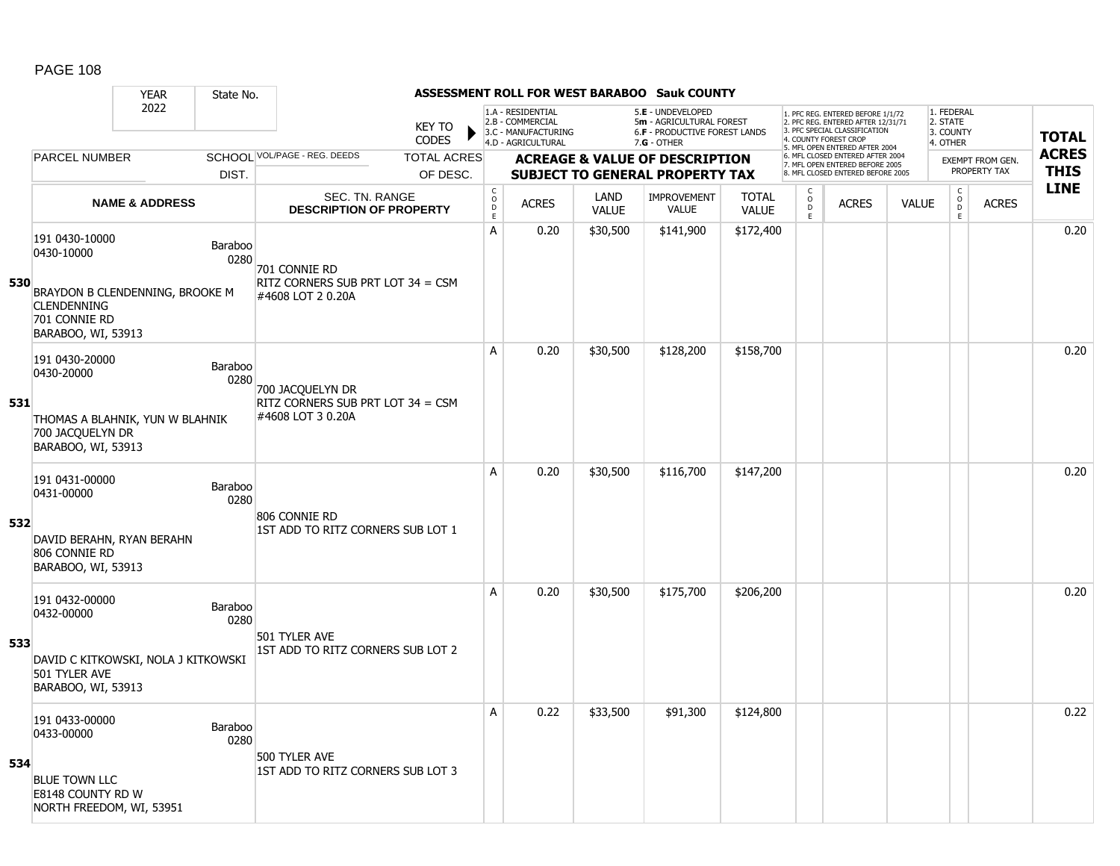|     |                                                                            | <b>YEAR</b>                                           | State No.       |                                                         |                               |                                                           |                                                                                    |                      | <b>ASSESSMENT ROLL FOR WEST BARABOO Sauk COUNTY</b>                                                  |                              |                                                                      |                                                                                                                                   |              |                                                 |                         |              |
|-----|----------------------------------------------------------------------------|-------------------------------------------------------|-----------------|---------------------------------------------------------|-------------------------------|-----------------------------------------------------------|------------------------------------------------------------------------------------|----------------------|------------------------------------------------------------------------------------------------------|------------------------------|----------------------------------------------------------------------|-----------------------------------------------------------------------------------------------------------------------------------|--------------|-------------------------------------------------|-------------------------|--------------|
|     |                                                                            | 2022                                                  |                 |                                                         | <b>KEY TO</b><br><b>CODES</b> |                                                           | 1.A - RESIDENTIAL<br>2.B - COMMERCIAL<br>3.C - MANUFACTURING<br>4.D - AGRICULTURAL |                      | 5.E - UNDEVELOPED<br>5m - AGRICULTURAL FOREST<br><b>6.F - PRODUCTIVE FOREST LANDS</b><br>7.G - OTHER |                              |                                                                      | 1. PFC REG. ENTERED BEFORE 1/1/72<br>2. PFC REG. ENTERED AFTER 12/31/71<br>3. PFC SPECIAL CLASSIFICATION<br>4. COUNTY FOREST CROP |              | 1. FEDERAL<br>2. STATE<br>3. COUNTY<br>4. OTHER |                         | <b>TOTAL</b> |
|     | <b>PARCEL NUMBER</b>                                                       |                                                       |                 | SCHOOL VOL/PAGE - REG. DEEDS                            | <b>TOTAL ACRES</b>            |                                                           |                                                                                    |                      | <b>ACREAGE &amp; VALUE OF DESCRIPTION</b>                                                            |                              |                                                                      | 5. MFL OPEN ENTERED AFTER 2004<br>6. MFL CLOSED ENTERED AFTER 2004                                                                |              |                                                 | <b>EXEMPT FROM GEN.</b> | <b>ACRES</b> |
|     |                                                                            |                                                       | DIST.           |                                                         | OF DESC.                      |                                                           |                                                                                    |                      | <b>SUBJECT TO GENERAL PROPERTY TAX</b>                                                               |                              | 7. MFL OPEN ENTERED BEFORE 2005<br>8. MFL CLOSED ENTERED BEFORE 2005 |                                                                                                                                   |              |                                                 | PROPERTY TAX            | <b>THIS</b>  |
|     |                                                                            | <b>NAME &amp; ADDRESS</b>                             |                 | <b>SEC. TN. RANGE</b><br><b>DESCRIPTION OF PROPERTY</b> |                               | $\mathsf C$<br>$\mathsf{O}$<br>$\mathsf D$<br>$\mathsf E$ | <b>ACRES</b>                                                                       | LAND<br><b>VALUE</b> | <b>IMPROVEMENT</b><br><b>VALUE</b>                                                                   | <b>TOTAL</b><br><b>VALUE</b> | C<br>$_{\rm D}^{\rm O}$<br>E.                                        | <b>ACRES</b>                                                                                                                      | <b>VALUE</b> | $\mathsf{C}$<br>$_{\rm D}^{\rm O}$<br>E.        | <b>ACRES</b>            | <b>LINE</b>  |
| 530 | 191 0430-10000<br>0430-10000                                               |                                                       | Baraboo<br>0280 | 701 CONNIE RD<br>RITZ CORNERS SUB PRT LOT 34 = CSM      |                               | Α                                                         | 0.20                                                                               | \$30,500             | \$141,900                                                                                            | \$172,400                    |                                                                      |                                                                                                                                   |              |                                                 |                         | 0.20         |
|     | <b>CLENDENNING</b><br>701 CONNIE RD                                        | BRAYDON B CLENDENNING, BROOKE M<br>BARABOO, WI, 53913 |                 | #4608 LOT 2 0.20A                                       |                               |                                                           |                                                                                    |                      |                                                                                                      |                              |                                                                      |                                                                                                                                   |              |                                                 |                         |              |
|     | 191 0430-20000<br>0430-20000                                               |                                                       | Baraboo<br>0280 | 700 JACQUELYN DR                                        |                               | A                                                         | 0.20                                                                               | \$30,500             | \$128,200                                                                                            | \$158,700                    |                                                                      |                                                                                                                                   |              |                                                 |                         | 0.20         |
| 531 | THOMAS A BLAHNIK, YUN W BLAHNIK<br>700 JACQUELYN DR<br>BARABOO, WI, 53913  |                                                       |                 | RITZ CORNERS SUB PRT LOT 34 = CSM<br>#4608 LOT 3 0.20A  |                               |                                                           |                                                                                    |                      |                                                                                                      |                              |                                                                      |                                                                                                                                   |              |                                                 |                         |              |
|     | 191 0431-00000<br>0431-00000                                               |                                                       | Baraboo<br>0280 | 806 CONNIE RD                                           |                               | A                                                         | 0.20                                                                               | \$30,500             | \$116,700                                                                                            | \$147,200                    |                                                                      |                                                                                                                                   |              |                                                 |                         | 0.20         |
| 532 | DAVID BERAHN, RYAN BERAHN<br>806 CONNIE RD<br>BARABOO, WI, 53913           |                                                       |                 | 1ST ADD TO RITZ CORNERS SUB LOT 1                       |                               |                                                           |                                                                                    |                      |                                                                                                      |                              |                                                                      |                                                                                                                                   |              |                                                 |                         |              |
|     | 191 0432-00000<br>0432-00000                                               |                                                       | Baraboo<br>0280 |                                                         |                               | A                                                         | 0.20                                                                               | \$30,500             | \$175,700                                                                                            | \$206,200                    |                                                                      |                                                                                                                                   |              |                                                 |                         | 0.20         |
| 533 | DAVID C KITKOWSKI, NOLA J KITKOWSKI<br>501 TYLER AVE<br>BARABOO, WI, 53913 |                                                       |                 | 501 TYLER AVE<br>1ST ADD TO RITZ CORNERS SUB LOT 2      |                               |                                                           |                                                                                    |                      |                                                                                                      |                              |                                                                      |                                                                                                                                   |              |                                                 |                         |              |
|     | 191 0433-00000<br>0433-00000                                               |                                                       | Baraboo<br>0280 |                                                         |                               | Α                                                         | 0.22                                                                               | \$33,500             | \$91,300                                                                                             | \$124,800                    |                                                                      |                                                                                                                                   |              |                                                 |                         | 0.22         |
| 534 | <b>BLUE TOWN LLC</b><br>E8148 COUNTY RD W<br>NORTH FREEDOM, WI, 53951      |                                                       |                 | 500 TYLER AVE<br>1ST ADD TO RITZ CORNERS SUB LOT 3      |                               |                                                           |                                                                                    |                      |                                                                                                      |                              |                                                                      |                                                                                                                                   |              |                                                 |                         |              |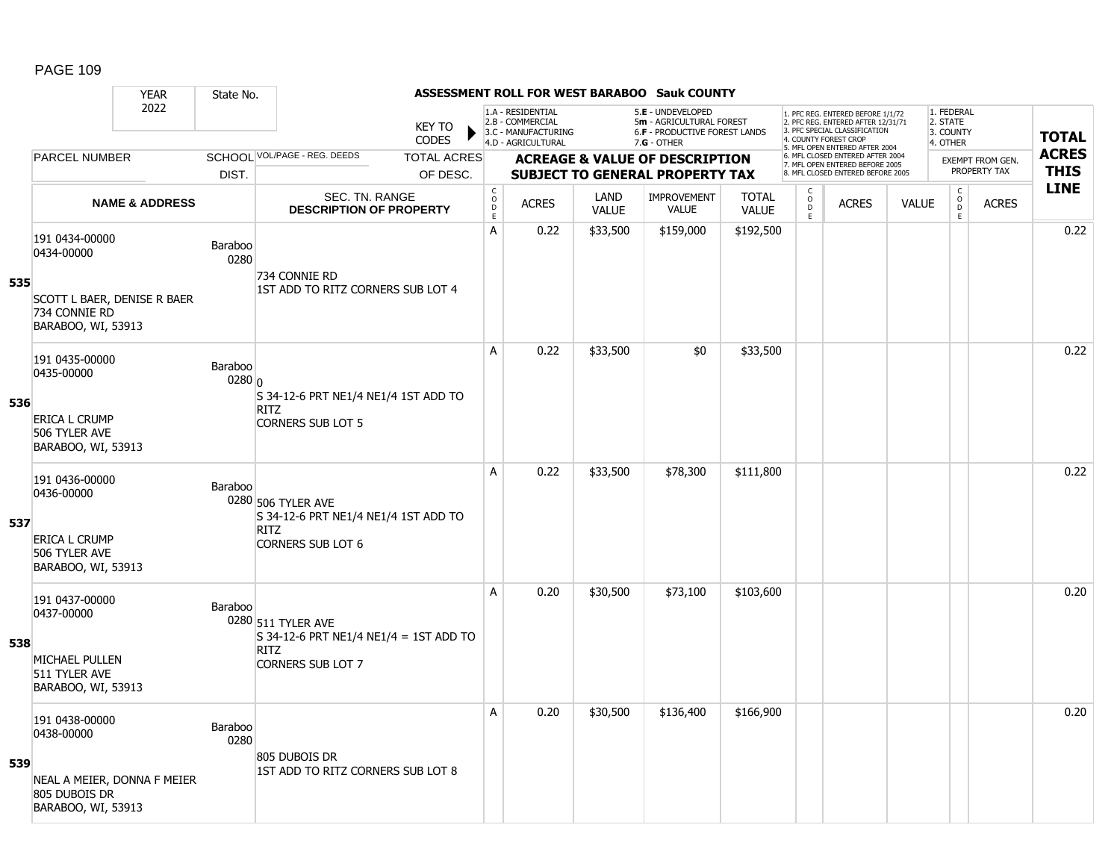#### YEAR State No. **ASSESSMENT ROLL FOR WEST BARABOO Sauk COUNTY** 2022 KEY TO **CODES** 1. PFC REG. ENTERED BEFORE 1/1/72 2. PFC REG. ENTERED AFTER 12/31/71 3. PFC SPECIAL CLASSIFICATION 4. COUNTY FOREST CROP 5. MFL OPEN ENTERED AFTER 2004 6. MFL CLOSED ENTERED AFTER 2004 7. MFL OPEN ENTERED BEFORE 2005 8. MFL CLOSED ENTERED BEFORE 2005 1. FEDERAL 2. STATE 3. COUNTY 4. OTHER **ACREAGE & VALUE OF DESCRIPTION SUBJECT TO GENERAL PROPERTY TAX** EXEMPT FROM GEN. PROPERTY TAX **TOTAL ACRES THIS LINE** 1.A - RESIDENTIAL 2.B - COMMERCIAL 3.C - MANUFACTURING 4.D - AGRICULTURAL 5.**E** - UNDEVELOPED 5**m** - AGRICULTURAL FOREST 6.**F** - PRODUCTIVE FOREST LANDS 7.**G** - OTHER TOTAL ACRES OF DESC. SCHOOL VOL/PAGE - REG. DEEDS DIST. PARCEL NUMBER ACRES C O D E ACRES VALUE  $\mathsf{C}$ O  $\overline{D}$ E TOTAL VALUE IMPROVEMENT VALUE LAND ACRES | VALUE C O  $\overline{D}$ E SEC. TN. RANGE **DESCRIPTION OF PROPERTY NAME & ADDRESS 535** 191 0434-00000 131 0434-00000<br>0434-00000 Baraboo 0280 SCOTT L BAER, DENISE R BAER 734 CONNIE RD BARABOO, WI, 53913 734 CONNIE RD 1ST ADD TO RITZ CORNERS SUB LOT 4 A 0.22 \$33,500 \$159,000 \$192,500 0.22 **536** 191 0435-00000 131 0435-00000<br>0435-00000 Baraboo 0280 0 ERICA L CRUMP 506 TYLER AVE BARABOO, WI, 53913 S 34-12-6 PRT NE1/4 NE1/4 1ST ADD TO RITZ CORNERS SUB LOT 5 A 0.22 \$33,500 \$0 \$33,500 distance the set of the set of the set of the set of the set of the set o **537** 191 0436-00000 131 0436-00000<br>0436-00000 Baraboo 0280 506 TYLER AVE ERICA L CRUMP 506 TYLER AVE BARABOO, WI, 53913 S 34-12-6 PRT NE1/4 NE1/4 1ST ADD TO RITZ CORNERS SUB LOT 6 A 0.22 \$33,500 \$78,300 \$111,800 0.22 **538** 191 0437-00000 131 0437-00000<br>0437-00000 Baraboo 0280 511 TYLER AVE MICHAEL PULLEN 511 TYLER AVE BARABOO, WI, 53913 S 34-12-6 PRT NE1/4 NE1/4 = 1ST ADD TO RITZ CORNERS SUB LOT 7 A 0.20 \$30,500 \$73,100 \$103,600 0.20 **539** 191 0438-00000 131 0438-00000<br>0438-00000 Baraboo 0280 NEAL A MEIER, DONNA F MEIER 805 DUBOIS DR BARABOO, WI, 53913 805 DUBOIS DR 1ST ADD TO RITZ CORNERS SUB LOT 8 A 0.20 \$30,500 \$136,400 \$166,900 discussed by the control of the control of the control of the control of the c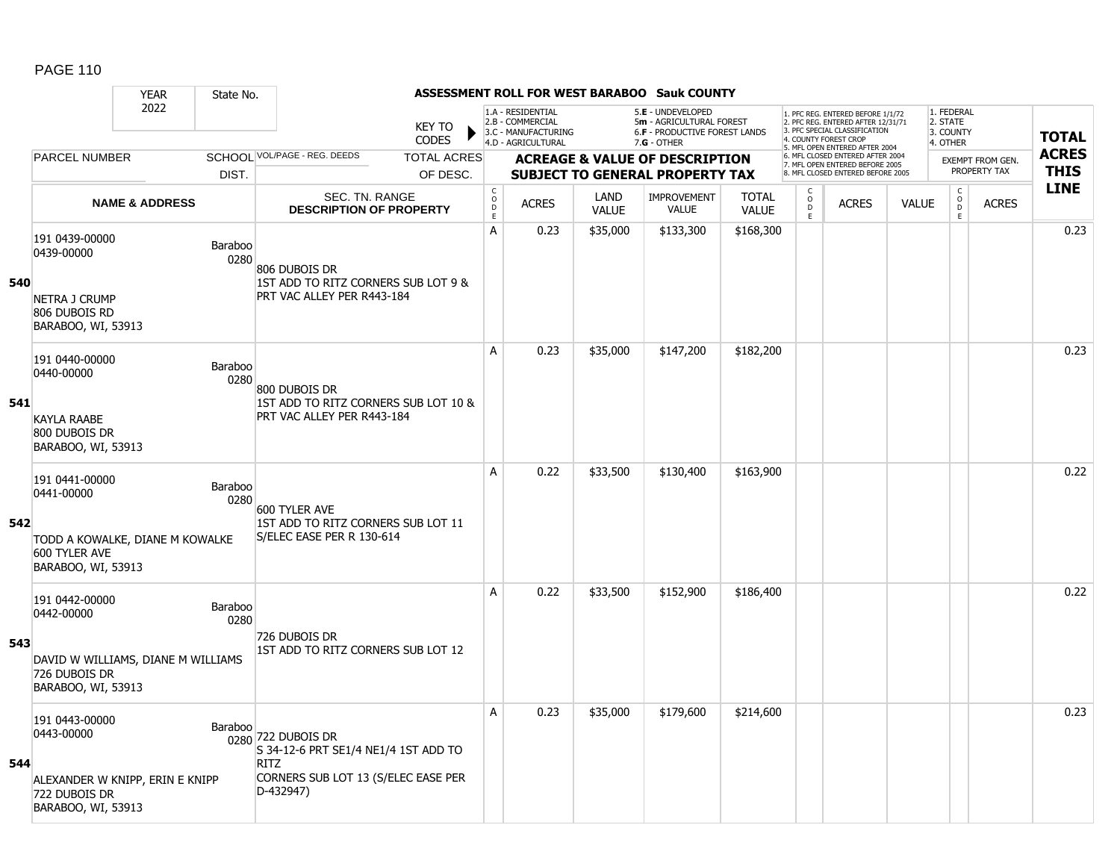|     |                                                                                                           | <b>YEAR</b>               | State No.              |                                                                                                                               |                               |                                                          |                                                                                    |                      | <b>ASSESSMENT ROLL FOR WEST BARABOO Sauk COUNTY</b>                                           |                              |                                   |                                                                                                          |              |                                                 |                         |              |
|-----|-----------------------------------------------------------------------------------------------------------|---------------------------|------------------------|-------------------------------------------------------------------------------------------------------------------------------|-------------------------------|----------------------------------------------------------|------------------------------------------------------------------------------------|----------------------|-----------------------------------------------------------------------------------------------|------------------------------|-----------------------------------|----------------------------------------------------------------------------------------------------------|--------------|-------------------------------------------------|-------------------------|--------------|
|     |                                                                                                           | 2022                      |                        |                                                                                                                               | <b>KEY TO</b><br><b>CODES</b> |                                                          | 1.A - RESIDENTIAL<br>2.B - COMMERCIAL<br>3.C - MANUFACTURING<br>4.D - AGRICULTURAL |                      | 5.E - UNDEVELOPED<br>5m - AGRICULTURAL FOREST<br>6.F - PRODUCTIVE FOREST LANDS<br>7.G - OTHER |                              | 4. COUNTY FOREST CROP             | 1. PFC REG. ENTERED BEFORE 1/1/72<br>2. PFC REG. ENTERED AFTER 12/31/71<br>3. PFC SPECIAL CLASSIFICATION |              | 1. FEDERAL<br>2. STATE<br>3. COUNTY<br>4. OTHER |                         | <b>TOTAL</b> |
|     | <b>PARCEL NUMBER</b>                                                                                      |                           |                        | SCHOOL VOL/PAGE - REG. DEEDS                                                                                                  | <b>TOTAL ACRES</b>            |                                                          |                                                                                    |                      | <b>ACREAGE &amp; VALUE OF DESCRIPTION</b>                                                     |                              |                                   | 5. MFL OPEN ENTERED AFTER 2004<br>6. MFL CLOSED ENTERED AFTER 2004                                       |              |                                                 | <b>EXEMPT FROM GEN.</b> | <b>ACRES</b> |
|     |                                                                                                           |                           | DIST.                  |                                                                                                                               | OF DESC.                      |                                                          |                                                                                    |                      | <b>SUBJECT TO GENERAL PROPERTY TAX</b>                                                        |                              |                                   | 7. MFL OPEN ENTERED BEFORE 2005<br>8. MFL CLOSED ENTERED BEFORE 2005                                     |              |                                                 | PROPERTY TAX            | <b>THIS</b>  |
|     |                                                                                                           | <b>NAME &amp; ADDRESS</b> |                        | SEC. TN. RANGE<br><b>DESCRIPTION OF PROPERTY</b>                                                                              |                               | $\mathsf C$<br>$\mathsf O$<br>$\mathsf D$<br>$\mathsf E$ | <b>ACRES</b>                                                                       | LAND<br><b>VALUE</b> | <b>IMPROVEMENT</b><br><b>VALUE</b>                                                            | <b>TOTAL</b><br><b>VALUE</b> | C<br>$\circ$<br>$\mathsf D$<br>E. | <b>ACRES</b>                                                                                             | <b>VALUE</b> | $\mathsf C$<br>$_{\rm D}^{\rm O}$<br>E          | <b>ACRES</b>            | <b>LINE</b>  |
| 540 | 191 0439-00000<br>0439-00000<br><b>NETRA J CRUMP</b><br>806 DUBOIS RD<br>BARABOO, WI, 53913               |                           | Baraboo<br>0280        | 806 DUBOIS DR<br>1ST ADD TO RITZ CORNERS SUB LOT 9 &<br>PRT VAC ALLEY PER R443-184                                            |                               | А                                                        | 0.23                                                                               | \$35,000             | \$133,300                                                                                     | \$168,300                    |                                   |                                                                                                          |              |                                                 |                         | 0.23         |
| 541 | 191 0440-00000<br>0440-00000<br><b>KAYLA RAABE</b><br>800 DUBOIS DR<br>BARABOO, WI, 53913                 |                           | Baraboo<br>0280        | 800 DUBOIS DR<br>1ST ADD TO RITZ CORNERS SUB LOT 10 &<br>PRT VAC ALLEY PER R443-184                                           |                               | A                                                        | 0.23                                                                               | \$35,000             | \$147,200                                                                                     | \$182,200                    |                                   |                                                                                                          |              |                                                 |                         | 0.23         |
| 542 | 191 0441-00000<br>0441-00000<br>TODD A KOWALKE, DIANE M KOWALKE<br>600 TYLER AVE<br>BARABOO, WI, 53913    |                           | Baraboo<br>0280        | 600 TYLER AVE<br>1ST ADD TO RITZ CORNERS SUB LOT 11<br>S/ELEC EASE PER R 130-614                                              |                               | A                                                        | 0.22                                                                               | \$33,500             | \$130,400                                                                                     | \$163,900                    |                                   |                                                                                                          |              |                                                 |                         | 0.22         |
| 543 | 191 0442-00000<br>0442-00000<br>DAVID W WILLIAMS, DIANE M WILLIAMS<br>726 DUBOIS DR<br>BARABOO, WI, 53913 |                           | <b>Baraboo</b><br>0280 | 726 DUBOIS DR<br>1ST ADD TO RITZ CORNERS SUB LOT 12                                                                           |                               | А                                                        | 0.22                                                                               | \$33,500             | \$152,900                                                                                     | \$186,400                    |                                   |                                                                                                          |              |                                                 |                         | 0.22         |
| 544 | 191 0443-00000<br>0443-00000<br>ALEXANDER W KNIPP, ERIN E KNIPP<br>722 DUBOIS DR<br>BARABOO, WI, 53913    |                           | Baraboo                | 0280 722 DUBOIS DR<br>S 34-12-6 PRT SE1/4 NE1/4 1ST ADD TO<br><b>RITZ</b><br>CORNERS SUB LOT 13 (S/ELEC EASE PER<br>D-432947) |                               | A                                                        | 0.23                                                                               | \$35,000             | \$179,600                                                                                     | \$214,600                    |                                   |                                                                                                          |              |                                                 |                         | 0.23         |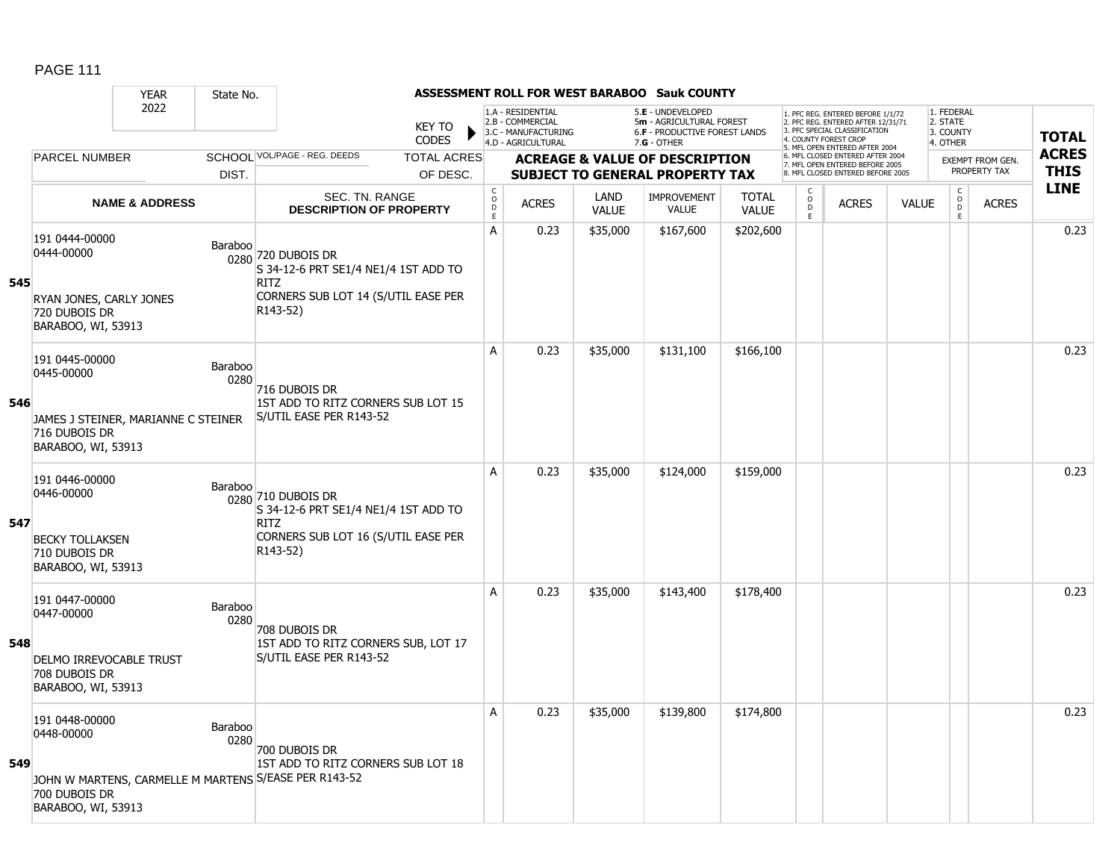|     |                                                                                                            | <b>YEAR</b>               | State No.       |                                                                                                                              |                               |                                       |                                                                                    |                      | <b>ASSESSMENT ROLL FOR WEST BARABOO Sauk COUNTY</b>                                             |                              |                                                 |                                                                                                                                   |              |                                                 |                         |              |
|-----|------------------------------------------------------------------------------------------------------------|---------------------------|-----------------|------------------------------------------------------------------------------------------------------------------------------|-------------------------------|---------------------------------------|------------------------------------------------------------------------------------|----------------------|-------------------------------------------------------------------------------------------------|------------------------------|-------------------------------------------------|-----------------------------------------------------------------------------------------------------------------------------------|--------------|-------------------------------------------------|-------------------------|--------------|
|     |                                                                                                            | 2022                      |                 |                                                                                                                              | <b>KEY TO</b><br><b>CODES</b> |                                       | 1.A - RESIDENTIAL<br>2.B - COMMERCIAL<br>3.C - MANUFACTURING<br>4.D - AGRICULTURAL |                      | 5.E - UNDEVELOPED<br>5m - AGRICULTURAL FOREST<br>6.F - PRODUCTIVE FOREST LANDS<br>$7.G - OTHER$ |                              |                                                 | 1. PFC REG. ENTERED BEFORE 1/1/72<br>2. PFC REG. ENTERED AFTER 12/31/71<br>3. PFC SPECIAL CLASSIFICATION<br>4. COUNTY FOREST CROP |              | 1. FEDERAL<br>2. STATE<br>3. COUNTY<br>4. OTHER |                         | <b>TOTAL</b> |
|     | <b>PARCEL NUMBER</b>                                                                                       |                           |                 | SCHOOL VOL/PAGE - REG. DEEDS                                                                                                 | <b>TOTAL ACRES</b>            |                                       |                                                                                    |                      | <b>ACREAGE &amp; VALUE OF DESCRIPTION</b>                                                       |                              |                                                 | 5. MFL OPEN ENTERED AFTER 2004<br>6. MFL CLOSED ENTERED AFTER 2004                                                                |              |                                                 | <b>EXEMPT FROM GEN.</b> | <b>ACRES</b> |
|     |                                                                                                            |                           | DIST.           |                                                                                                                              | OF DESC.                      |                                       |                                                                                    |                      | <b>SUBJECT TO GENERAL PROPERTY TAX</b>                                                          |                              |                                                 | 7. MFL OPEN ENTERED BEFORE 2005<br>8. MFL CLOSED ENTERED BEFORE 2005                                                              |              |                                                 | PROPERTY TAX            | <b>THIS</b>  |
|     |                                                                                                            | <b>NAME &amp; ADDRESS</b> |                 | SEC. TN. RANGE<br><b>DESCRIPTION OF PROPERTY</b>                                                                             |                               | C<br>$\mathsf{O}$<br>$\mathsf D$<br>E | <b>ACRES</b>                                                                       | LAND<br><b>VALUE</b> | IMPROVEMENT<br><b>VALUE</b>                                                                     | <b>TOTAL</b><br><b>VALUE</b> | $\begin{matrix} 0 \\ 0 \\ D \end{matrix}$<br>E. | <b>ACRES</b>                                                                                                                      | <b>VALUE</b> | $\begin{matrix} 0 \\ 0 \\ 0 \end{matrix}$<br>E  | <b>ACRES</b>            | <b>LINE</b>  |
| 545 | 191 0444-00000<br>0444-00000<br>RYAN JONES, CARLY JONES<br>720 DUBOIS DR<br>BARABOO, WI, 53913             |                           | Baraboo         | 0280 720 DUBOIS DR<br>S 34-12-6 PRT SE1/4 NE1/4 1ST ADD TO<br><b>RITZ</b><br>CORNERS SUB LOT 14 (S/UTIL EASE PER<br>R143-52) |                               | A                                     | 0.23                                                                               | \$35,000             | \$167,600                                                                                       | \$202,600                    |                                                 |                                                                                                                                   |              |                                                 |                         | 0.23         |
| 546 | 191 0445-00000<br>0445-00000<br>JAMES J STEINER, MARIANNE C STEINER<br>716 DUBOIS DR<br>BARABOO, WI, 53913 |                           | Baraboo<br>0280 | 716 DUBOIS DR<br>1ST ADD TO RITZ CORNERS SUB LOT 15<br>S/UTIL EASE PER R143-52                                               |                               | A                                     | 0.23                                                                               | \$35,000             | \$131,100                                                                                       | \$166,100                    |                                                 |                                                                                                                                   |              |                                                 |                         | 0.23         |
| 547 | 191 0446-00000<br>0446-00000<br><b>BECKY TOLLAKSEN</b><br>710 DUBOIS DR<br>BARABOO, WI, 53913              |                           | Baraboo         | 0280 710 DUBOIS DR<br>S 34-12-6 PRT SE1/4 NE1/4 1ST ADD TO<br><b>RITZ</b><br>CORNERS SUB LOT 16 (S/UTIL EASE PER<br>R143-52) |                               | A                                     | 0.23                                                                               | \$35,000             | \$124,000                                                                                       | \$159,000                    |                                                 |                                                                                                                                   |              |                                                 |                         | 0.23         |
| 548 | 191 0447-00000<br>0447-00000<br>DELMO IRREVOCABLE TRUST<br>708 DUBOIS DR<br>BARABOO, WI, 53913             |                           | Baraboo<br>0280 | 708 DUBOIS DR<br>1ST ADD TO RITZ CORNERS SUB, LOT 17<br>S/UTIL EASE PER R143-52                                              |                               | A                                     | 0.23                                                                               | \$35,000             | \$143,400                                                                                       | \$178,400                    |                                                 |                                                                                                                                   |              |                                                 |                         | 0.23         |
| 549 | 191 0448-00000<br>0448-00000<br>700 DUBOIS DR<br>BARABOO, WI, 53913                                        |                           | Baraboo<br>0280 | 700 DUBOIS DR<br>1ST ADD TO RITZ CORNERS SUB LOT 18<br>JOHN W MARTENS, CARMELLE M MARTENS S/EASE PER R143-52                 |                               | A                                     | 0.23                                                                               | \$35,000             | \$139,800                                                                                       | \$174,800                    |                                                 |                                                                                                                                   |              |                                                 |                         | 0.23         |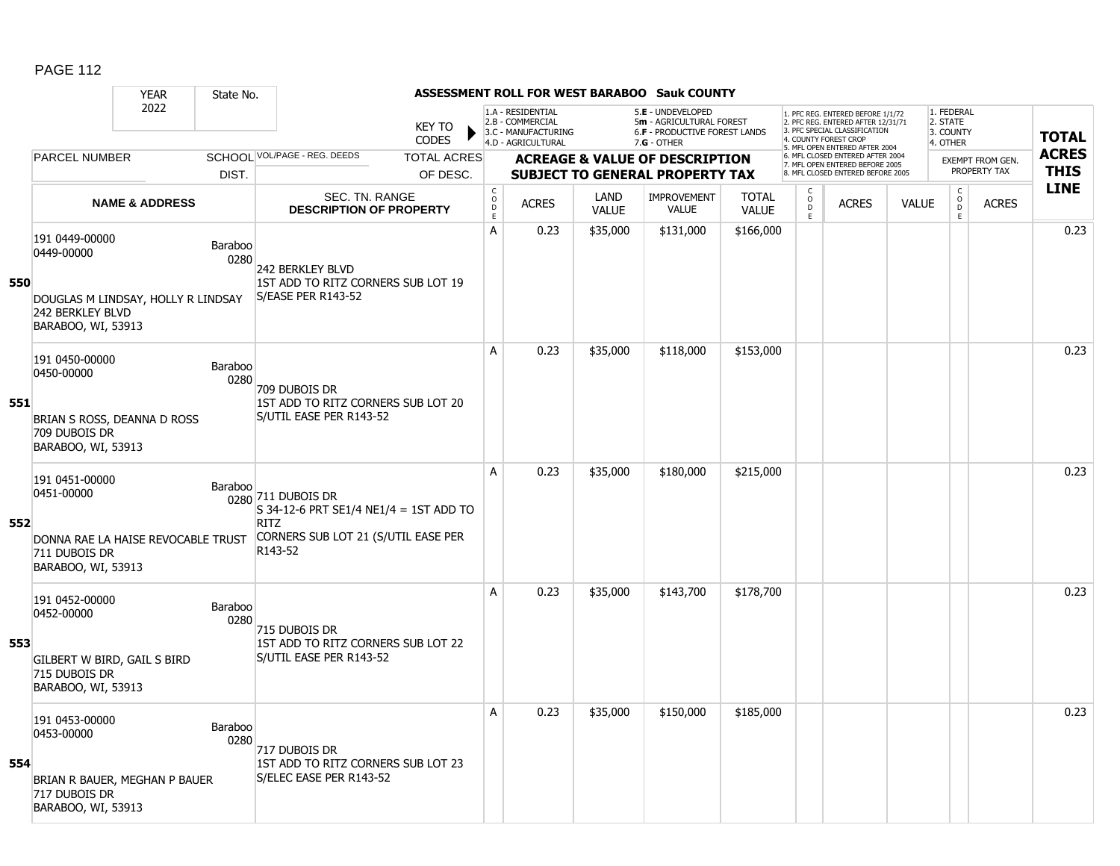|     |                                                                                                              | <b>YEAR</b>               | State No.              |                                                                                                                                 |                        |                                                          |                                                                                    |                      | <b>ASSESSMENT ROLL FOR WEST BARABOO Sauk COUNTY</b>                                                    |                              |                                   |                                                                                                          |              |                                                 |                         |              |
|-----|--------------------------------------------------------------------------------------------------------------|---------------------------|------------------------|---------------------------------------------------------------------------------------------------------------------------------|------------------------|----------------------------------------------------------|------------------------------------------------------------------------------------|----------------------|--------------------------------------------------------------------------------------------------------|------------------------------|-----------------------------------|----------------------------------------------------------------------------------------------------------|--------------|-------------------------------------------------|-------------------------|--------------|
|     |                                                                                                              | 2022                      |                        |                                                                                                                                 | <b>KEY TO</b><br>CODES |                                                          | 1.A - RESIDENTIAL<br>2.B - COMMERCIAL<br>3.C - MANUFACTURING<br>4.D - AGRICULTURAL |                      | 5.E - UNDEVELOPED<br>5m - AGRICULTURAL FOREST<br><b>6.F - PRODUCTIVE FOREST LANDS</b><br>$7.G - OTHER$ |                              | 4. COUNTY FOREST CROP             | 1. PFC REG. ENTERED BEFORE 1/1/72<br>2. PFC REG. ENTERED AFTER 12/31/71<br>3. PFC SPECIAL CLASSIFICATION |              | 1. FEDERAL<br>2. STATE<br>3. COUNTY<br>4. OTHER |                         | <b>TOTAL</b> |
|     | <b>PARCEL NUMBER</b>                                                                                         |                           |                        | SCHOOL VOL/PAGE - REG. DEEDS                                                                                                    | <b>TOTAL ACRES</b>     |                                                          |                                                                                    |                      | <b>ACREAGE &amp; VALUE OF DESCRIPTION</b>                                                              |                              |                                   | 5. MFL OPEN ENTERED AFTER 2004<br>6. MFL CLOSED ENTERED AFTER 2004                                       |              |                                                 | <b>EXEMPT FROM GEN.</b> | <b>ACRES</b> |
|     |                                                                                                              |                           | DIST.                  |                                                                                                                                 | OF DESC.               |                                                          |                                                                                    |                      | <b>SUBJECT TO GENERAL PROPERTY TAX</b>                                                                 |                              |                                   | 7. MFL OPEN ENTERED BEFORE 2005<br>8. MFL CLOSED ENTERED BEFORE 2005                                     |              |                                                 | PROPERTY TAX            | <b>THIS</b>  |
|     |                                                                                                              | <b>NAME &amp; ADDRESS</b> |                        | <b>SEC. TN. RANGE</b><br><b>DESCRIPTION OF PROPERTY</b>                                                                         |                        | $\mathsf C$<br>$\mathsf O$<br>$\mathsf D$<br>$\mathsf E$ | <b>ACRES</b>                                                                       | LAND<br><b>VALUE</b> | <b>IMPROVEMENT</b><br><b>VALUE</b>                                                                     | <b>TOTAL</b><br><b>VALUE</b> | C<br>$\circ$<br>$\mathsf D$<br>E. | <b>ACRES</b>                                                                                             | <b>VALUE</b> | $\mathsf C$<br>$_{\rm D}^{\rm O}$<br>E          | <b>ACRES</b>            | <b>LINE</b>  |
| 550 | 191 0449-00000<br>0449-00000<br>DOUGLAS M LINDSAY, HOLLY R LINDSAY<br>242 BERKLEY BLVD<br>BARABOO, WI, 53913 |                           | Baraboo<br>0280        | <b>242 BERKLEY BLVD</b><br>1ST ADD TO RITZ CORNERS SUB LOT 19<br>S/EASE PER R143-52                                             |                        | A                                                        | 0.23                                                                               | \$35,000             | \$131,000                                                                                              | \$166,000                    |                                   |                                                                                                          |              |                                                 |                         | 0.23         |
| 551 | 191 0450-00000<br>0450-00000<br>BRIAN S ROSS, DEANNA D ROSS<br>709 DUBOIS DR<br>BARABOO, WI, 53913           |                           | Baraboo<br>0280        | 709 DUBOIS DR<br>1ST ADD TO RITZ CORNERS SUB LOT 20<br>S/UTIL EASE PER R143-52                                                  |                        | A                                                        | 0.23                                                                               | \$35,000             | \$118,000                                                                                              | \$153,000                    |                                   |                                                                                                          |              |                                                 |                         | 0.23         |
| 552 | 191 0451-00000<br>0451-00000<br>DONNA RAE LA HAISE REVOCABLE TRUST<br>711 DUBOIS DR<br>BARABOO, WI, 53913    |                           | Baraboo                | 0280 711 DUBOIS DR<br>$S$ 34-12-6 PRT SE1/4 NE1/4 = 1ST ADD TO<br><b>RITZ</b><br>CORNERS SUB LOT 21 (S/UTIL EASE PER<br>R143-52 |                        | A                                                        | 0.23                                                                               | \$35,000             | \$180,000                                                                                              | \$215,000                    |                                   |                                                                                                          |              |                                                 |                         | 0.23         |
| 553 | 191 0452-00000<br>0452-00000<br>GILBERT W BIRD, GAIL S BIRD<br>715 DUBOIS DR<br>BARABOO, WI, 53913           |                           | <b>Baraboo</b><br>0280 | 715 DUBOIS DR<br>1ST ADD TO RITZ CORNERS SUB LOT 22<br>S/UTIL EASE PER R143-52                                                  |                        | A                                                        | 0.23                                                                               | \$35,000             | \$143,700                                                                                              | \$178,700                    |                                   |                                                                                                          |              |                                                 |                         | 0.23         |
| 554 | 191 0453-00000<br>0453-00000<br>BRIAN R BAUER, MEGHAN P BAUER<br>717 DUBOIS DR<br>BARABOO, WI, 53913         |                           | Baraboo<br>0280        | 717 Dubois Dr<br>1ST ADD TO RITZ CORNERS SUB LOT 23<br>S/ELEC EASE PER R143-52                                                  |                        | A                                                        | 0.23                                                                               | \$35,000             | \$150,000                                                                                              | \$185,000                    |                                   |                                                                                                          |              |                                                 |                         | 0.23         |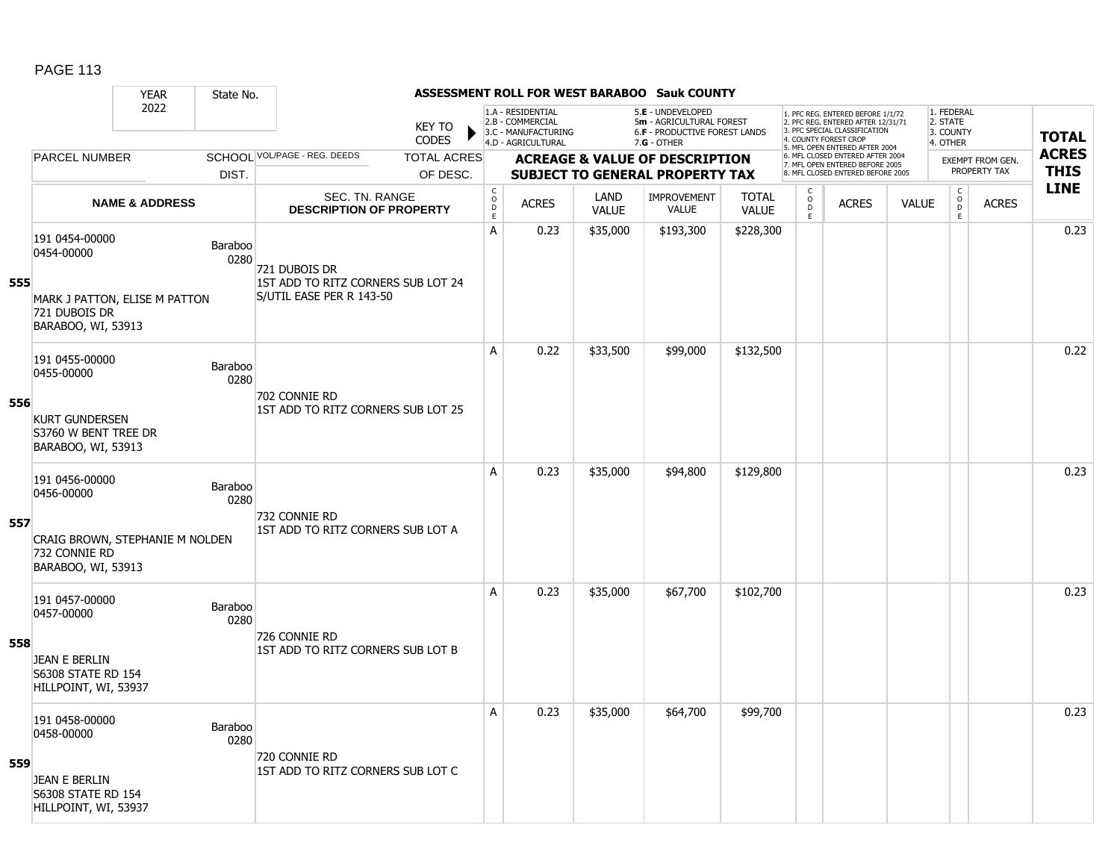|     |                                                                           | <b>YEAR</b>               | State No.              |                                                     |                        |                                        |                                                                                    |                      | <b>ASSESSMENT ROLL FOR WEST BARABOO Sauk COUNTY</b>                                                    |                              |                         |                                                                                                          |              |                                                 |                         |              |
|-----|---------------------------------------------------------------------------|---------------------------|------------------------|-----------------------------------------------------|------------------------|----------------------------------------|------------------------------------------------------------------------------------|----------------------|--------------------------------------------------------------------------------------------------------|------------------------------|-------------------------|----------------------------------------------------------------------------------------------------------|--------------|-------------------------------------------------|-------------------------|--------------|
|     |                                                                           | 2022                      |                        |                                                     | <b>KEY TO</b><br>CODES |                                        | 1.A - RESIDENTIAL<br>2.B - COMMERCIAL<br>3.C - MANUFACTURING<br>4.D - AGRICULTURAL |                      | 5.E - UNDEVELOPED<br>5m - AGRICULTURAL FOREST<br><b>6.F - PRODUCTIVE FOREST LANDS</b><br>$7.G - OTHER$ |                              | 4. COUNTY FOREST CROP   | 1. PFC REG. ENTERED BEFORE 1/1/72<br>2. PFC REG. ENTERED AFTER 12/31/71<br>3. PFC SPECIAL CLASSIFICATION |              | 1. FEDERAL<br>2. STATE<br>3. COUNTY<br>4. OTHER |                         | <b>TOTAL</b> |
|     | <b>PARCEL NUMBER</b>                                                      |                           |                        | SCHOOL VOL/PAGE - REG. DEEDS                        | <b>TOTAL ACRES</b>     |                                        |                                                                                    |                      | <b>ACREAGE &amp; VALUE OF DESCRIPTION</b>                                                              |                              |                         | 5. MFL OPEN ENTERED AFTER 2004<br>6. MFL CLOSED ENTERED AFTER 2004                                       |              |                                                 | <b>EXEMPT FROM GEN.</b> | <b>ACRES</b> |
|     |                                                                           |                           | DIST.                  |                                                     | OF DESC.               |                                        |                                                                                    |                      | <b>SUBJECT TO GENERAL PROPERTY TAX</b>                                                                 |                              |                         | 7. MFL OPEN ENTERED BEFORE 2005<br>8. MFL CLOSED ENTERED BEFORE 2005                                     |              |                                                 | PROPERTY TAX            | <b>THIS</b>  |
|     |                                                                           | <b>NAME &amp; ADDRESS</b> |                        | SEC. TN. RANGE<br><b>DESCRIPTION OF PROPERTY</b>    |                        | $_{\rm o}^{\rm c}$<br>$\mathsf D$<br>E | <b>ACRES</b>                                                                       | LAND<br><b>VALUE</b> | <b>IMPROVEMENT</b><br><b>VALUE</b>                                                                     | <b>TOTAL</b><br><b>VALUE</b> | C<br>$\circ$<br>D<br>E. | <b>ACRES</b>                                                                                             | <b>VALUE</b> | $\mathsf C$<br>$_{\rm D}^{\rm O}$<br>E          | <b>ACRES</b>            | <b>LINE</b>  |
| 555 | 191 0454-00000<br>0454-00000                                              |                           | Baraboo<br>0280        | 721 Dubois Dr<br>1ST ADD TO RITZ CORNERS SUB LOT 24 |                        | A                                      | 0.23                                                                               | \$35,000             | \$193,300                                                                                              | \$228,300                    |                         |                                                                                                          |              |                                                 |                         | 0.23         |
|     | MARK J PATTON, ELISE M PATTON<br>721 DUBOIS DR<br>BARABOO, WI, 53913      |                           |                        | S/UTIL EASE PER R 143-50                            |                        |                                        |                                                                                    |                      |                                                                                                        |                              |                         |                                                                                                          |              |                                                 |                         |              |
|     | 191 0455-00000<br>0455-00000                                              |                           | Baraboo<br>0280        | 702 CONNIE RD                                       |                        | A                                      | 0.22                                                                               | \$33,500             | \$99,000                                                                                               | \$132,500                    |                         |                                                                                                          |              |                                                 |                         | 0.22         |
| 556 | <b>KURT GUNDERSEN</b><br>S3760 W BENT TREE DR<br>BARABOO, WI, 53913       |                           |                        | 1ST ADD TO RITZ CORNERS SUB LOT 25                  |                        |                                        |                                                                                    |                      |                                                                                                        |                              |                         |                                                                                                          |              |                                                 |                         |              |
|     | 191 0456-00000<br>0456-00000                                              |                           | <b>Baraboo</b><br>0280 | 732 CONNIE RD                                       |                        | A                                      | 0.23                                                                               | \$35,000             | \$94,800                                                                                               | \$129,800                    |                         |                                                                                                          |              |                                                 |                         | 0.23         |
| 557 | CRAIG BROWN, STEPHANIE M NOLDEN<br>732 CONNIE RD<br>BARABOO, WI, 53913    |                           |                        | 1ST ADD TO RITZ CORNERS SUB LOT A                   |                        |                                        |                                                                                    |                      |                                                                                                        |                              |                         |                                                                                                          |              |                                                 |                         |              |
|     | 191 0457-00000<br>0457-00000                                              |                           | Baraboo<br>0280        |                                                     |                        | A                                      | 0.23                                                                               | \$35,000             | \$67,700                                                                                               | \$102,700                    |                         |                                                                                                          |              |                                                 |                         | 0.23         |
| 558 | <b>JEAN E BERLIN</b><br><b>S6308 STATE RD 154</b><br>HILLPOINT, WI, 53937 |                           |                        | 726 CONNIE RD<br>1ST ADD TO RITZ CORNERS SUB LOT B  |                        |                                        |                                                                                    |                      |                                                                                                        |                              |                         |                                                                                                          |              |                                                 |                         |              |
|     | 191 0458-00000<br>0458-00000                                              |                           | Baraboo<br>0280        | 720 CONNIE RD                                       |                        | A                                      | 0.23                                                                               | \$35,000             | \$64,700                                                                                               | \$99,700                     |                         |                                                                                                          |              |                                                 |                         | 0.23         |
| 559 | JEAN E BERLIN<br>S6308 STATE RD 154<br>HILLPOINT, WI, 53937               |                           |                        | 1ST ADD TO RITZ CORNERS SUB LOT C                   |                        |                                        |                                                                                    |                      |                                                                                                        |                              |                         |                                                                                                          |              |                                                 |                         |              |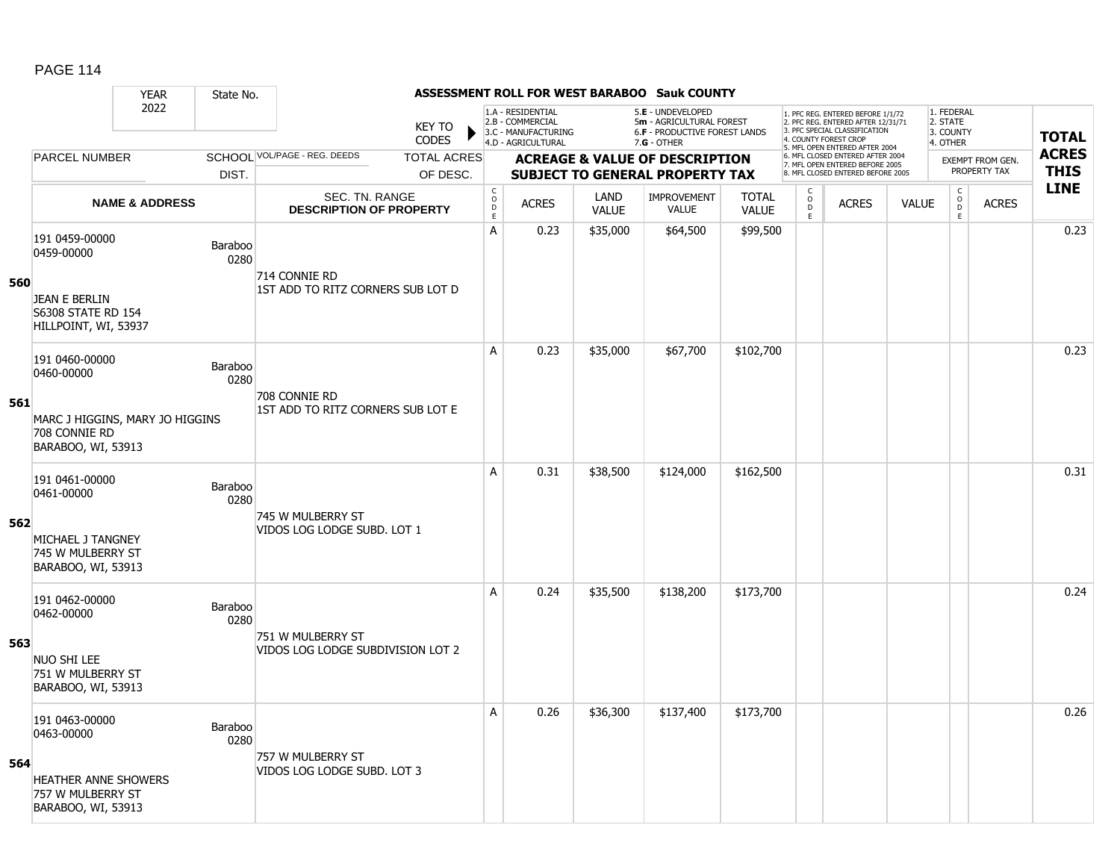|     |                                                                        | <b>YEAR</b>               | State No.       |                                                         |                               |                                        |                                                                                    |                      | <b>ASSESSMENT ROLL FOR WEST BARABOO Sauk COUNTY</b>                                           |                              |                         |                                                                                                                                  |              |                                                 |                  |              |
|-----|------------------------------------------------------------------------|---------------------------|-----------------|---------------------------------------------------------|-------------------------------|----------------------------------------|------------------------------------------------------------------------------------|----------------------|-----------------------------------------------------------------------------------------------|------------------------------|-------------------------|----------------------------------------------------------------------------------------------------------------------------------|--------------|-------------------------------------------------|------------------|--------------|
|     |                                                                        | 2022                      |                 |                                                         | <b>KEY TO</b><br><b>CODES</b> |                                        | 1.A - RESIDENTIAL<br>2.B - COMMERCIAL<br>3.C - MANUFACTURING<br>4.D - AGRICULTURAL |                      | 5.E - UNDEVELOPED<br>5m - AGRICULTURAL FOREST<br>6.F - PRODUCTIVE FOREST LANDS<br>7.G - OTHER |                              |                         | . PFC REG. ENTERED BEFORE 1/1/72<br>2. PFC REG. ENTERED AFTER 12/31/71<br>3. PFC SPECIAL CLASSIFICATION<br>4. COUNTY FOREST CROP |              | 1. FEDERAL<br>2. STATE<br>3. COUNTY<br>4. OTHER |                  | <b>TOTAL</b> |
|     | <b>PARCEL NUMBER</b>                                                   |                           |                 | SCHOOL VOL/PAGE - REG. DEEDS                            | <b>TOTAL ACRES</b>            |                                        |                                                                                    |                      | <b>ACREAGE &amp; VALUE OF DESCRIPTION</b>                                                     |                              |                         | 5. MFL OPEN ENTERED AFTER 2004<br>6. MFL CLOSED ENTERED AFTER 2004                                                               |              |                                                 | EXEMPT FROM GEN. | <b>ACRES</b> |
|     |                                                                        |                           | DIST.           |                                                         | OF DESC.                      |                                        |                                                                                    |                      | <b>SUBJECT TO GENERAL PROPERTY TAX</b>                                                        |                              |                         | 7. MFL OPEN ENTERED BEFORE 2005<br>8. MFL CLOSED ENTERED BEFORE 2005                                                             |              |                                                 | PROPERTY TAX     | <b>THIS</b>  |
|     |                                                                        | <b>NAME &amp; ADDRESS</b> |                 | <b>SEC. TN. RANGE</b><br><b>DESCRIPTION OF PROPERTY</b> |                               | $_{\rm o}^{\rm c}$<br>$\mathsf D$<br>E | <b>ACRES</b>                                                                       | LAND<br><b>VALUE</b> | <b>IMPROVEMENT</b><br><b>VALUE</b>                                                            | <b>TOTAL</b><br><b>VALUE</b> | C<br>$\circ$<br>D<br>E. | <b>ACRES</b>                                                                                                                     | <b>VALUE</b> | $\begin{matrix} 0 \\ 0 \\ 0 \end{matrix}$<br>E  | <b>ACRES</b>     | <b>LINE</b>  |
| 560 | 191 0459-00000<br>0459-00000                                           |                           | Baraboo<br>0280 | 714 CONNIE RD                                           |                               | A                                      | 0.23                                                                               | \$35,000             | \$64,500                                                                                      | \$99,500                     |                         |                                                                                                                                  |              |                                                 |                  | 0.23         |
|     | JEAN E BERLIN<br><b>S6308 STATE RD 154</b><br>HILLPOINT, WI, 53937     |                           |                 | 1ST ADD TO RITZ CORNERS SUB LOT D                       |                               |                                        |                                                                                    |                      |                                                                                               |                              |                         |                                                                                                                                  |              |                                                 |                  |              |
|     | 191 0460-00000<br>0460-00000                                           |                           | Baraboo<br>0280 | 708 CONNIE RD                                           |                               | A                                      | 0.23                                                                               | \$35,000             | \$67,700                                                                                      | \$102,700                    |                         |                                                                                                                                  |              |                                                 |                  | 0.23         |
| 561 | MARC J HIGGINS, MARY JO HIGGINS<br>708 CONNIE RD<br>BARABOO, WI, 53913 |                           |                 | 1ST ADD TO RITZ CORNERS SUB LOT E                       |                               |                                        |                                                                                    |                      |                                                                                               |                              |                         |                                                                                                                                  |              |                                                 |                  |              |
|     | 191 0461-00000<br>0461-00000                                           |                           | Baraboo<br>0280 | 745 W MULBERRY ST                                       |                               | A                                      | 0.31                                                                               | \$38,500             | \$124,000                                                                                     | \$162,500                    |                         |                                                                                                                                  |              |                                                 |                  | 0.31         |
| 562 | MICHAEL J TANGNEY<br>745 W MULBERRY ST<br>BARABOO, WI, 53913           |                           |                 | VIDOS LOG LODGE SUBD. LOT 1                             |                               |                                        |                                                                                    |                      |                                                                                               |                              |                         |                                                                                                                                  |              |                                                 |                  |              |
|     | 191 0462-00000<br>0462-00000                                           |                           | Baraboo<br>0280 | 751 W MULBERRY ST                                       |                               | A                                      | 0.24                                                                               | \$35,500             | \$138,200                                                                                     | \$173,700                    |                         |                                                                                                                                  |              |                                                 |                  | 0.24         |
| 563 | <b>NUO SHI LEE</b><br>751 W MULBERRY ST<br>BARABOO, WI, 53913          |                           |                 | VIDOS LOG LODGE SUBDIVISION LOT 2                       |                               |                                        |                                                                                    |                      |                                                                                               |                              |                         |                                                                                                                                  |              |                                                 |                  |              |
|     | 191 0463-00000<br>0463-00000                                           |                           | Baraboo<br>0280 | 757 W MULBERRY ST                                       |                               | A                                      | 0.26                                                                               | \$36,300             | \$137,400                                                                                     | \$173,700                    |                         |                                                                                                                                  |              |                                                 |                  | 0.26         |
| 564 | <b>HEATHER ANNE SHOWERS</b><br>757 W MULBERRY ST<br>BARABOO, WI, 53913 |                           |                 | VIDOS LOG LODGE SUBD. LOT 3                             |                               |                                        |                                                                                    |                      |                                                                                               |                              |                         |                                                                                                                                  |              |                                                 |                  |              |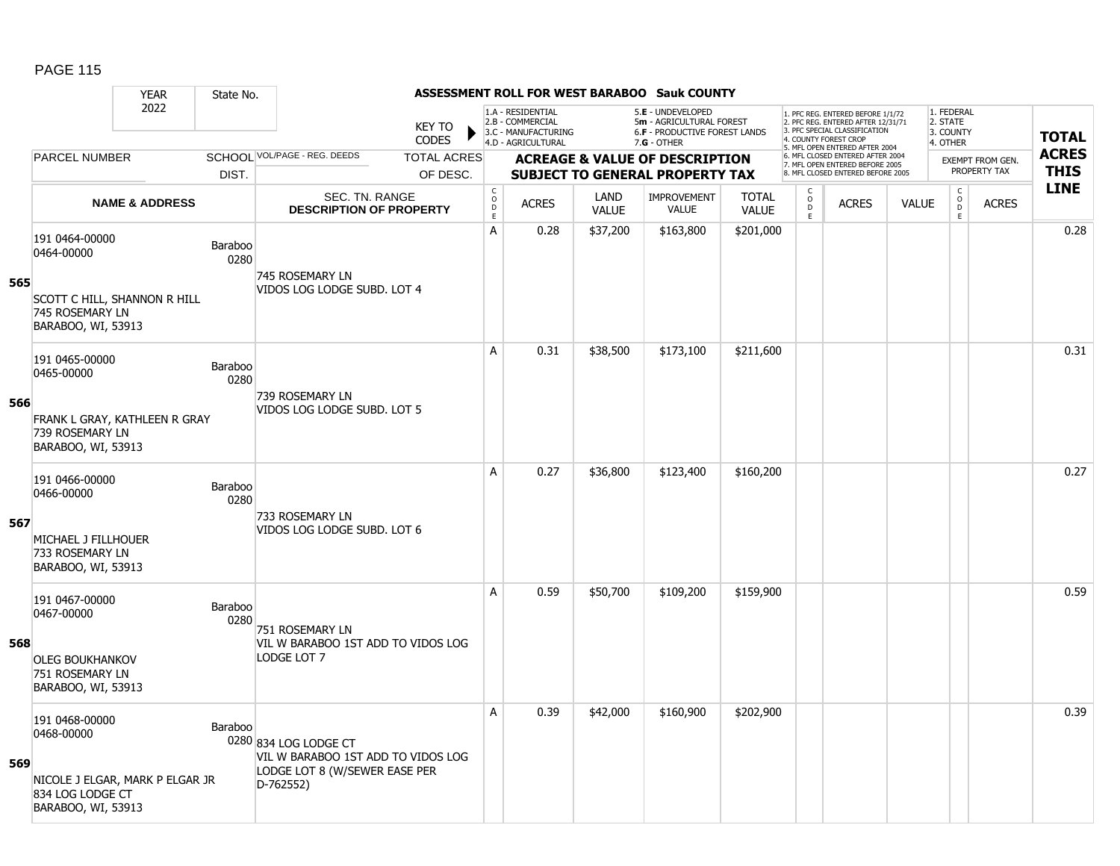#### YEAR State No. **ASSESSMENT ROLL FOR WEST BARABOO Sauk COUNTY** 2022 KEY TO **CODES** 1. PFC REG. ENTERED BEFORE 1/1/72 2. PFC REG. ENTERED AFTER 12/31/71 3. PFC SPECIAL CLASSIFICATION 4. COUNTY FOREST CROP 5. MFL OPEN ENTERED AFTER 2004 6. MFL CLOSED ENTERED AFTER 2004 7. MFL OPEN ENTERED BEFORE 2005 8. MFL CLOSED ENTERED BEFORE 2005 1. FEDERAL 2. STATE 3. COUNTY 4. OTHER **ACREAGE & VALUE OF DESCRIPTION SUBJECT TO GENERAL PROPERTY TAX** EXEMPT FROM GEN. PROPERTY TAX **TOTAL ACRES THIS LINE** 1.A - RESIDENTIAL 2.B - COMMERCIAL 3.C - MANUFACTURING 4.D - AGRICULTURAL 5.**E** - UNDEVELOPED 5**m** - AGRICULTURAL FOREST 6.**F** - PRODUCTIVE FOREST LANDS 7.**G** - OTHER TOTAL ACRES OF DESC. SCHOOL VOL/PAGE - REG. DEEDS DIST. PARCEL NUMBER ACRES C O  $\overline{D}$ E ACRES VALUE C O  $\overline{D}$ E TOTAL VALUE IMPROVEMENT VALUE LAND ACRES | VALUE C O  $\overline{D}$ E SEC. TN. RANGE **DESCRIPTION OF PROPERTY NAME & ADDRESS 565** 191 0464-00000 131 0<del>1</del>0464-00000<br>0464-00000 Baraboo 0280 SCOTT C HILL, SHANNON R HILL 745 ROSEMARY LN BARABOO, WI, 53913 745 ROSEMARY LN VIDOS LOG LODGE SUBD. LOT 4 A 0.28 \$37,200 \$163,800 \$201,000 0.28 **566** 191 0465-00000 P 0280 FRANK L GRAY, KATHLEEN R GRAY 739 ROSEMARY LN BARABOO, WI, 53913 739 ROSEMARY LN VIDOS LOG LODGE SUBD. LOT 5 A 0.31 \$38,500 \$173,100 \$211,600 distance the set of the set of the set of the set of the set of the set of th **567** 191 0466-00000 131 0<del>1</del>00-00000<br>0466-00000 Baraboo 0280 MICHAEL J FILLHOUER 733 ROSEMARY LN BARABOO, WI, 53913 733 ROSEMARY LN VIDOS LOG LODGE SUBD. LOT 6 A 0.27 \$36,800 \$123,400 \$160,200 0.27 **568** 191 0467-00000 151 0467-00000<br>0467-00000 Baraboo 0280 OLEG BOUKHANKOV 751 ROSEMARY LN BARABOO, WI, 53913 751 ROSEMARY LN VIL W BARABOO 1ST ADD TO VIDOS LOG LODGE LOT 7 A 0.59 \$50,700 \$109,200 \$159,900 distance the set of the set of the set of the set of the set of the set of th **569** 191 0468-00000 131 0468-00000<br>0468-00000 Baraboo 0280 834 LOG LODGE CT NICOLE J ELGAR, MARK P ELGAR JR 834 LOG LODGE CT BARABOO, WI, 53913 VIL W BARABOO 1ST ADD TO VIDOS LOG LODGE LOT 8 (W/SEWER EASE PER D-762552) A 0.39 \$42,000 \$160,900 \$202,900 discussed by the control 0.39  $\,$  0.39  $\,$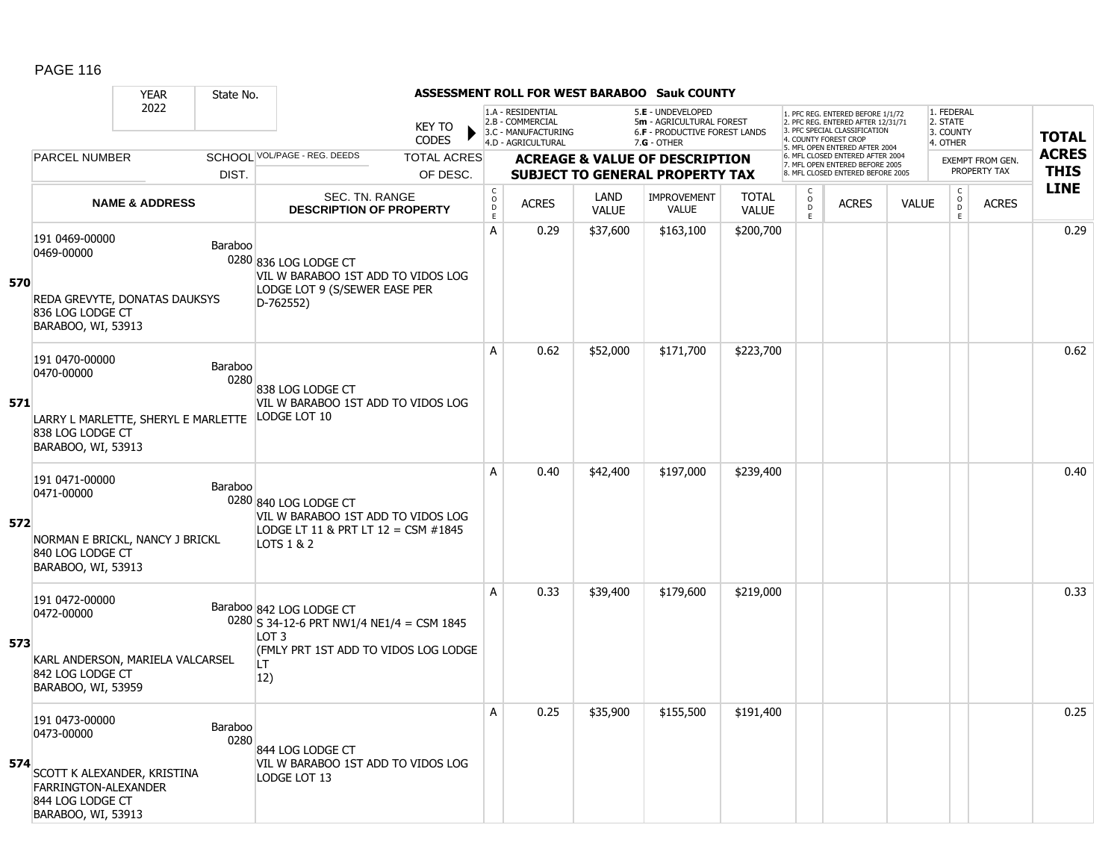|     |                                                                                                                               | <b>YEAR</b>               | State No.       |                                                                                                                                                |                             |                                                                                    |                      | <b>ASSESSMENT ROLL FOR WEST BARABOO Sauk COUNTY</b>                                             |                              |                                            |                                                                                                                                                                     |              |                                                          |                         |              |
|-----|-------------------------------------------------------------------------------------------------------------------------------|---------------------------|-----------------|------------------------------------------------------------------------------------------------------------------------------------------------|-----------------------------|------------------------------------------------------------------------------------|----------------------|-------------------------------------------------------------------------------------------------|------------------------------|--------------------------------------------|---------------------------------------------------------------------------------------------------------------------------------------------------------------------|--------------|----------------------------------------------------------|-------------------------|--------------|
|     |                                                                                                                               | 2022                      |                 | <b>KEY TO</b><br><b>CODES</b>                                                                                                                  |                             | 1.A - RESIDENTIAL<br>2.B - COMMERCIAL<br>3.C - MANUFACTURING<br>4.D - AGRICULTURAL |                      | 5.E - UNDEVELOPED<br>5m - AGRICULTURAL FOREST<br>6.F - PRODUCTIVE FOREST LANDS<br>$7.G - OTHER$ |                              |                                            | 1. PFC REG. ENTERED BEFORE 1/1/72<br>2. PFC REG. ENTERED AFTER 12/31/71<br>3. PFC SPECIAL CLASSIFICATION<br>4. COUNTY FOREST CROP<br>5. MFL OPEN ENTERED AFTER 2004 |              | 1. FEDERAL<br>2. STATE<br>3. COUNTY<br>4. OTHER          |                         | <b>TOTAL</b> |
|     | <b>PARCEL NUMBER</b>                                                                                                          |                           |                 | SCHOOL VOL/PAGE - REG. DEEDS<br><b>TOTAL ACRES</b>                                                                                             |                             |                                                                                    |                      | <b>ACREAGE &amp; VALUE OF DESCRIPTION</b>                                                       |                              |                                            | 6. MFL CLOSED ENTERED AFTER 2004<br>7. MFL OPEN ENTERED BEFORE 2005                                                                                                 |              |                                                          | <b>EXEMPT FROM GEN.</b> | <b>ACRES</b> |
|     |                                                                                                                               |                           | DIST.           | OF DESC.                                                                                                                                       |                             |                                                                                    |                      | <b>SUBJECT TO GENERAL PROPERTY TAX</b>                                                          |                              |                                            | 8. MFL CLOSED ENTERED BEFORE 2005                                                                                                                                   |              |                                                          | PROPERTY TAX            | <b>THIS</b>  |
|     |                                                                                                                               | <b>NAME &amp; ADDRESS</b> |                 | SEC. TN. RANGE<br><b>DESCRIPTION OF PROPERTY</b>                                                                                               | $\rm _c^C$<br>$\frac{D}{E}$ | <b>ACRES</b>                                                                       | LAND<br><b>VALUE</b> | <b>IMPROVEMENT</b><br><b>VALUE</b>                                                              | <b>TOTAL</b><br><b>VALUE</b> | $\frac{c}{0}$<br>$\ddot{\mathsf{D}}$<br>E. | <b>ACRES</b>                                                                                                                                                        | <b>VALUE</b> | $\begin{matrix} 0 \\ 0 \\ 0 \end{matrix}$<br>$\mathsf E$ | <b>ACRES</b>            | <b>LINE</b>  |
| 570 | 191 0469-00000<br>0469-00000<br>REDA GREVYTE, DONATAS DAUKSYS<br>836 LOG LODGE CT<br>BARABOO, WI, 53913                       |                           | Baraboo         | 0280 836 LOG LODGE CT<br>VIL W BARABOO 1ST ADD TO VIDOS LOG<br>LODGE LOT 9 (S/SEWER EASE PER<br>D-762552)                                      | A                           | 0.29                                                                               | \$37,600             | \$163,100                                                                                       | \$200,700                    |                                            |                                                                                                                                                                     |              |                                                          |                         | 0.29         |
| 571 | 191 0470-00000<br>0470-00000<br>LARRY L MARLETTE, SHERYL E MARLETTE LODGE LOT 10<br>838 LOG LODGE CT<br>BARABOO, WI, 53913    |                           | Baraboo<br>0280 | 838 LOG LODGE CT<br>VIL W BARABOO 1ST ADD TO VIDOS LOG                                                                                         | A                           | 0.62                                                                               | \$52,000             | \$171,700                                                                                       | \$223,700                    |                                            |                                                                                                                                                                     |              |                                                          |                         | 0.62         |
| 572 | 191 0471-00000<br>0471-00000<br>NORMAN E BRICKL, NANCY J BRICKL<br>840 LOG LODGE CT<br>BARABOO, WI, 53913                     |                           | Baraboo         | 0280 840 LOG LODGE CT<br>VIL W BARABOO 1ST ADD TO VIDOS LOG<br>LODGE LT 11 & PRT LT 12 = CSM #1845<br>LOTS 1 & 2                               | A                           | 0.40                                                                               | \$42,400             | \$197,000                                                                                       | \$239,400                    |                                            |                                                                                                                                                                     |              |                                                          |                         | 0.40         |
| 573 | 191 0472-00000<br>0472-00000<br>KARL ANDERSON, MARIELA VALCARSEL<br>842 LOG LODGE CT<br>BARABOO, WI, 53959                    |                           |                 | Baraboo 842 LOG LODGE CT<br>0280 S 34-12-6 PRT NW1/4 NE1/4 = CSM 1845<br>LOT <sub>3</sub><br>(FMLY PRT 1ST ADD TO VIDOS LOG LODGE<br>LT<br>12) | A                           | 0.33                                                                               | \$39,400             | \$179,600                                                                                       | \$219,000                    |                                            |                                                                                                                                                                     |              |                                                          |                         | 0.33         |
| 574 | 191 0473-00000<br>0473-00000<br>SCOTT K ALEXANDER, KRISTINA<br>FARRINGTON-ALEXANDER<br>844 LOG LODGE CT<br>BARABOO, WI, 53913 |                           | Baraboo<br>0280 | 844 LOG LODGE CT<br>VIL W BARABOO 1ST ADD TO VIDOS LOG<br>LODGE LOT 13                                                                         | Α                           | 0.25                                                                               | \$35,900             | \$155,500                                                                                       | \$191,400                    |                                            |                                                                                                                                                                     |              |                                                          |                         | 0.25         |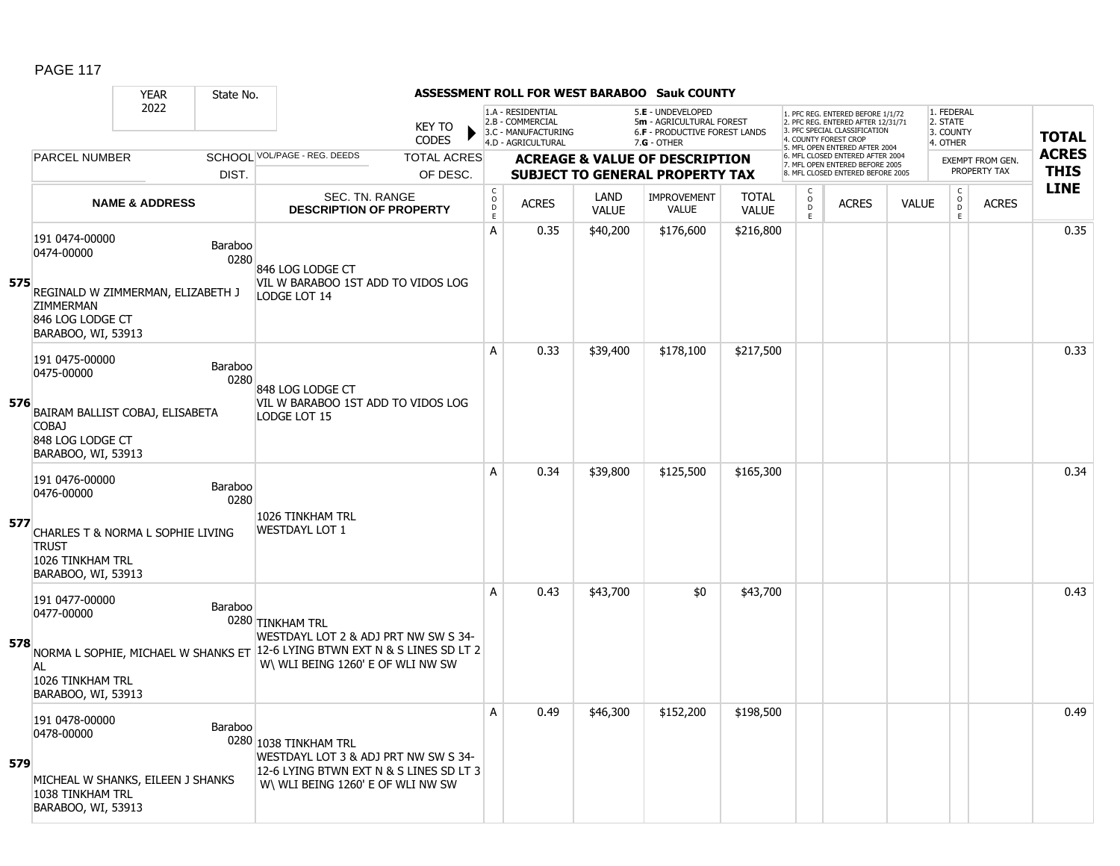|     |                                                                                                             | <b>YEAR</b>               | State No.       |                                                                                                                                               |                             |                                                                                    |                      | ASSESSMENT ROLL FOR WEST BARABOO Sauk COUNTY                                                    |                              |                          |                                                                                                                                   |              |                                                 |                  |              |
|-----|-------------------------------------------------------------------------------------------------------------|---------------------------|-----------------|-----------------------------------------------------------------------------------------------------------------------------------------------|-----------------------------|------------------------------------------------------------------------------------|----------------------|-------------------------------------------------------------------------------------------------|------------------------------|--------------------------|-----------------------------------------------------------------------------------------------------------------------------------|--------------|-------------------------------------------------|------------------|--------------|
|     |                                                                                                             | 2022                      |                 | <b>KEY TO</b><br>CODES                                                                                                                        |                             | 1.A - RESIDENTIAL<br>2.B - COMMERCIAL<br>3.C - MANUFACTURING<br>4.D - AGRICULTURAL |                      | 5.E - UNDEVELOPED<br>5m - AGRICULTURAL FOREST<br>6.F - PRODUCTIVE FOREST LANDS<br>$7.G - OTHER$ |                              |                          | 1. PFC REG. ENTERED BEFORE 1/1/72<br>2. PFC REG. ENTERED AFTER 12/31/71<br>3. PFC SPECIAL CLASSIFICATION<br>4. COUNTY FOREST CROP |              | 1. FEDERAL<br>2. STATE<br>3. COUNTY<br>4. OTHER |                  | <b>TOTAL</b> |
|     | <b>PARCEL NUMBER</b>                                                                                        |                           |                 | SCHOOL VOL/PAGE - REG. DEEDS<br><b>TOTAL ACRES</b>                                                                                            |                             |                                                                                    |                      | <b>ACREAGE &amp; VALUE OF DESCRIPTION</b>                                                       |                              |                          | 5. MFL OPEN ENTERED AFTER 2004<br>6. MFL CLOSED ENTERED AFTER 2004                                                                |              |                                                 | EXEMPT FROM GEN. | <b>ACRES</b> |
|     |                                                                                                             |                           | DIST.           | OF DESC.                                                                                                                                      |                             |                                                                                    |                      | <b>SUBJECT TO GENERAL PROPERTY TAX</b>                                                          |                              |                          | 7. MFL OPEN ENTERED BEFORE 2005<br>8. MFL CLOSED ENTERED BEFORE 2005                                                              |              |                                                 | PROPERTY TAX     | <b>THIS</b>  |
|     |                                                                                                             | <b>NAME &amp; ADDRESS</b> |                 | SEC. TN. RANGE<br><b>DESCRIPTION OF PROPERTY</b>                                                                                              | C<br>$\mathsf{O}$<br>D<br>E | <b>ACRES</b>                                                                       | LAND<br><b>VALUE</b> | <b>IMPROVEMENT</b><br><b>VALUE</b>                                                              | <b>TOTAL</b><br><b>VALUE</b> | C<br>$\overline{0}$<br>E | <b>ACRES</b>                                                                                                                      | <b>VALUE</b> | $\begin{matrix} 0 \\ 0 \\ 0 \end{matrix}$<br>E  | <b>ACRES</b>     | <b>LINE</b>  |
| 575 | 191 0474-00000<br>0474-00000<br>REGINALD W ZIMMERMAN, ELIZABETH J<br><b>ZIMMERMAN</b>                       |                           | Baraboo<br>0280 | 846 LOG LODGE CT<br>VIL W BARABOO 1ST ADD TO VIDOS LOG<br>LODGE LOT 14                                                                        | A                           | 0.35                                                                               | \$40,200             | \$176,600                                                                                       | \$216,800                    |                          |                                                                                                                                   |              |                                                 |                  | 0.35         |
|     | 846 LOG LODGE CT<br>BARABOO, WI, 53913                                                                      |                           |                 |                                                                                                                                               |                             |                                                                                    |                      |                                                                                                 |                              |                          |                                                                                                                                   |              |                                                 |                  |              |
|     | 191 0475-00000<br>0475-00000                                                                                |                           | Baraboo<br>0280 | 848 LOG LODGE CT                                                                                                                              | Α                           | 0.33                                                                               | \$39,400             | \$178,100                                                                                       | \$217,500                    |                          |                                                                                                                                   |              |                                                 |                  | 0.33         |
| 576 | BAIRAM BALLIST COBAJ, ELISABETA<br><b>COBAJ</b><br>848 LOG LODGE CT<br>BARABOO, WI, 53913                   |                           |                 | VIL W BARABOO 1ST ADD TO VIDOS LOG<br>LODGE LOT 15                                                                                            |                             |                                                                                    |                      |                                                                                                 |                              |                          |                                                                                                                                   |              |                                                 |                  |              |
| 577 | 191 0476-00000<br>0476-00000<br>CHARLES T & NORMA L SOPHIE LIVING<br><b>TRUST</b>                           |                           | Baraboo<br>0280 | 1026 TINKHAM TRL<br><b>WESTDAYL LOT 1</b>                                                                                                     | A                           | 0.34                                                                               | \$39,800             | \$125,500                                                                                       | \$165,300                    |                          |                                                                                                                                   |              |                                                 |                  | 0.34         |
|     | 1026 TINKHAM TRL<br>BARABOO, WI, 53913                                                                      |                           |                 |                                                                                                                                               |                             |                                                                                    |                      |                                                                                                 |                              |                          |                                                                                                                                   |              |                                                 |                  |              |
| 578 | 191 0477-00000<br>0477-00000                                                                                |                           | Baraboo         | 0280 TINKHAM TRL<br>WESTDAYL LOT 2 & ADJ PRT NW SW S 34-                                                                                      | Α                           | 0.43                                                                               | \$43,700             | \$0                                                                                             | \$43,700                     |                          |                                                                                                                                   |              |                                                 |                  | 0.43         |
|     | AL<br>1026 TINKHAM TRL<br>BARABOO, WI, 53913                                                                |                           |                 | NORMA L SOPHIE, MICHAEL W SHANKS ET 12-6 LYING BTWN EXT N & S LINES SD LT 2<br>W\ WLI BEING 1260' E OF WLI NW SW                              |                             |                                                                                    |                      |                                                                                                 |                              |                          |                                                                                                                                   |              |                                                 |                  |              |
| 579 | 191 0478-00000<br>0478-00000<br>MICHEAL W SHANKS, EILEEN J SHANKS<br>1038 TINKHAM TRL<br>BARABOO, WI, 53913 |                           | Baraboo         | 0280 1038 TINKHAM TRL<br>WESTDAYL LOT 3 & ADJ PRT NW SW S 34-<br>12-6 LYING BTWN EXT N & S LINES SD LT 3<br>W\ WLI BEING 1260' E OF WLI NW SW | A                           | 0.49                                                                               | \$46,300             | \$152,200                                                                                       | \$198,500                    |                          |                                                                                                                                   |              |                                                 |                  | 0.49         |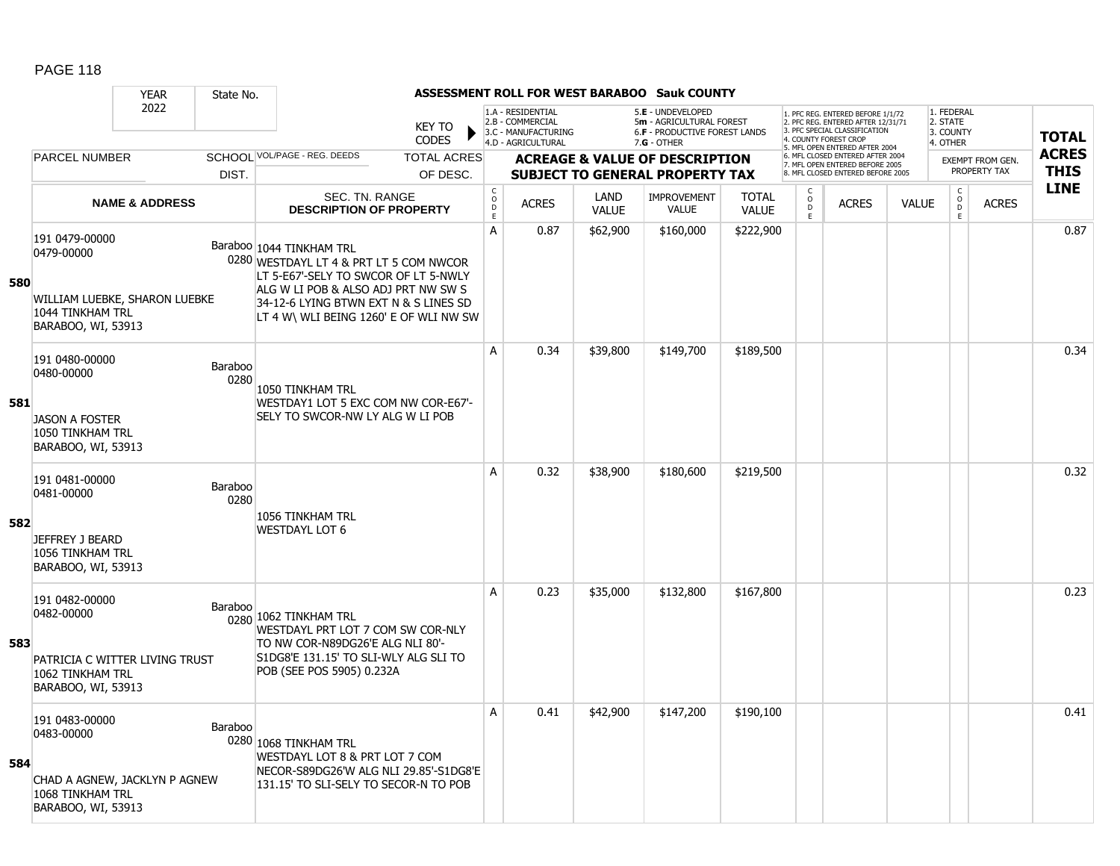|     |                                                                                                          | <b>YEAR</b>               | State No.              |                                                                                                                                                                                                                                       |                                |                                         |                                                                                    |                      | <b>ASSESSMENT ROLL FOR WEST BARABOO Sauk COUNTY</b>                                                    |                              |                                          |                                                                                                                                            |              |                                                 |                                         |                             |
|-----|----------------------------------------------------------------------------------------------------------|---------------------------|------------------------|---------------------------------------------------------------------------------------------------------------------------------------------------------------------------------------------------------------------------------------|--------------------------------|-----------------------------------------|------------------------------------------------------------------------------------|----------------------|--------------------------------------------------------------------------------------------------------|------------------------------|------------------------------------------|--------------------------------------------------------------------------------------------------------------------------------------------|--------------|-------------------------------------------------|-----------------------------------------|-----------------------------|
|     |                                                                                                          | 2022                      |                        |                                                                                                                                                                                                                                       | <b>KEY TO</b><br>CODES         |                                         | 1.A - RESIDENTIAL<br>2.B - COMMERCIAL<br>3.C - MANUFACTURING<br>4.D - AGRICULTURAL |                      | 5.E - UNDEVELOPED<br>5m - AGRICULTURAL FOREST<br><b>6.F - PRODUCTIVE FOREST LANDS</b><br>$7.G - OTHER$ |                              |                                          | 1. PFC REG. ENTERED BEFORE 1/1/72<br>2. PFC REG. ENTERED AFTER 12/31/71<br>3. PFC SPECIAL CLASSIFICATION<br>4. COUNTY FOREST CROP          |              | 1. FEDERAL<br>2. STATE<br>3. COUNTY<br>4. OTHER |                                         | <b>TOTAL</b>                |
|     | <b>PARCEL NUMBER</b>                                                                                     |                           | DIST.                  | SCHOOL VOL/PAGE - REG. DEEDS                                                                                                                                                                                                          | <b>TOTAL ACRES</b><br>OF DESC. |                                         |                                                                                    |                      | <b>ACREAGE &amp; VALUE OF DESCRIPTION</b><br><b>SUBJECT TO GENERAL PROPERTY TAX</b>                    |                              |                                          | 5. MFL OPEN ENTERED AFTER 2004<br>6. MFL CLOSED ENTERED AFTER 2004<br>7. MFL OPEN ENTERED BEFORE 2005<br>8. MFL CLOSED ENTERED BEFORE 2005 |              |                                                 | <b>EXEMPT FROM GEN.</b><br>PROPERTY TAX | <b>ACRES</b><br><b>THIS</b> |
|     |                                                                                                          | <b>NAME &amp; ADDRESS</b> |                        | SEC. TN. RANGE<br><b>DESCRIPTION OF PROPERTY</b>                                                                                                                                                                                      |                                | $_{\rm o}^{\rm c}$<br>$\mathsf{D}$<br>E | <b>ACRES</b>                                                                       | LAND<br><b>VALUE</b> | <b>IMPROVEMENT</b><br><b>VALUE</b>                                                                     | <b>TOTAL</b><br><b>VALUE</b> | C<br>$\circ$<br>$\ddot{\mathsf{D}}$<br>E | <b>ACRES</b>                                                                                                                               | <b>VALUE</b> | $\begin{matrix} 0 \\ 0 \\ 0 \end{matrix}$<br>E  | <b>ACRES</b>                            | <b>LINE</b>                 |
| 580 | 191 0479-00000<br>0479-00000<br>WILLIAM LUEBKE, SHARON LUEBKE<br>1044 TINKHAM TRL<br>BARABOO, WI, 53913  |                           |                        | Baraboo 1044 TINKHAM TRL<br>0280 WESTDAYL LT 4 & PRT LT 5 COM NWCOR<br>LT 5-E67'-SELY TO SWCOR OF LT 5-NWLY<br>ALG W LI POB & ALSO ADJ PRT NW SW S<br>34-12-6 LYING BTWN EXT N & S LINES SD<br>LT 4 W\ WLI BEING 1260' E OF WLI NW SW |                                | A                                       | 0.87                                                                               | \$62,900             | \$160,000                                                                                              | \$222,900                    |                                          |                                                                                                                                            |              |                                                 |                                         | 0.87                        |
| 581 | 191 0480-00000<br>0480-00000<br><b>JASON A FOSTER</b><br>1050 TINKHAM TRL<br>BARABOO, WI, 53913          |                           | Baraboo<br>0280        | 1050 TINKHAM TRL<br>WESTDAY1 LOT 5 EXC COM NW COR-E67'-<br>SELY TO SWCOR-NW LY ALG W LI POB                                                                                                                                           |                                | A                                       | 0.34                                                                               | \$39,800             | \$149,700                                                                                              | \$189,500                    |                                          |                                                                                                                                            |              |                                                 |                                         | 0.34                        |
| 582 | 191 0481-00000<br>0481-00000<br>JEFFREY J BEARD<br>1056 TINKHAM TRL<br>BARABOO, WI, 53913                |                           | <b>Baraboo</b><br>0280 | 1056 TINKHAM TRL<br><b>WESTDAYL LOT 6</b>                                                                                                                                                                                             |                                | A                                       | 0.32                                                                               | \$38,900             | \$180,600                                                                                              | \$219,500                    |                                          |                                                                                                                                            |              |                                                 |                                         | 0.32                        |
| 583 | 191 0482-00000<br>0482-00000<br>PATRICIA C WITTER LIVING TRUST<br>1062 TINKHAM TRL<br>BARABOO, WI, 53913 |                           | Baraboo                | 0280 1062 TINKHAM TRL<br>WESTDAYL PRT LOT 7 COM SW COR-NLY<br>TO NW COR-N89DG26'E ALG NLI 80'-<br>S1DG8'E 131.15' TO SLI-WLY ALG SLI TO<br>POB (SEE POS 5905) 0.232A                                                                  |                                | A                                       | 0.23                                                                               | \$35,000             | \$132,800                                                                                              | \$167,800                    |                                          |                                                                                                                                            |              |                                                 |                                         | 0.23                        |
| 584 | 191 0483-00000<br>0483-00000<br>CHAD A AGNEW, JACKLYN P AGNEW<br>1068 TINKHAM TRL<br>BARABOO, WI, 53913  |                           | Baraboo                | 0280 1068 TINKHAM TRL<br>WESTDAYL LOT 8 & PRT LOT 7 COM<br>NECOR-S89DG26'W ALG NLI 29.85'-S1DG8'E<br>131.15' TO SLI-SELY TO SECOR-N TO POB                                                                                            |                                | A                                       | 0.41                                                                               | \$42,900             | \$147,200                                                                                              | \$190,100                    |                                          |                                                                                                                                            |              |                                                 |                                         | 0.41                        |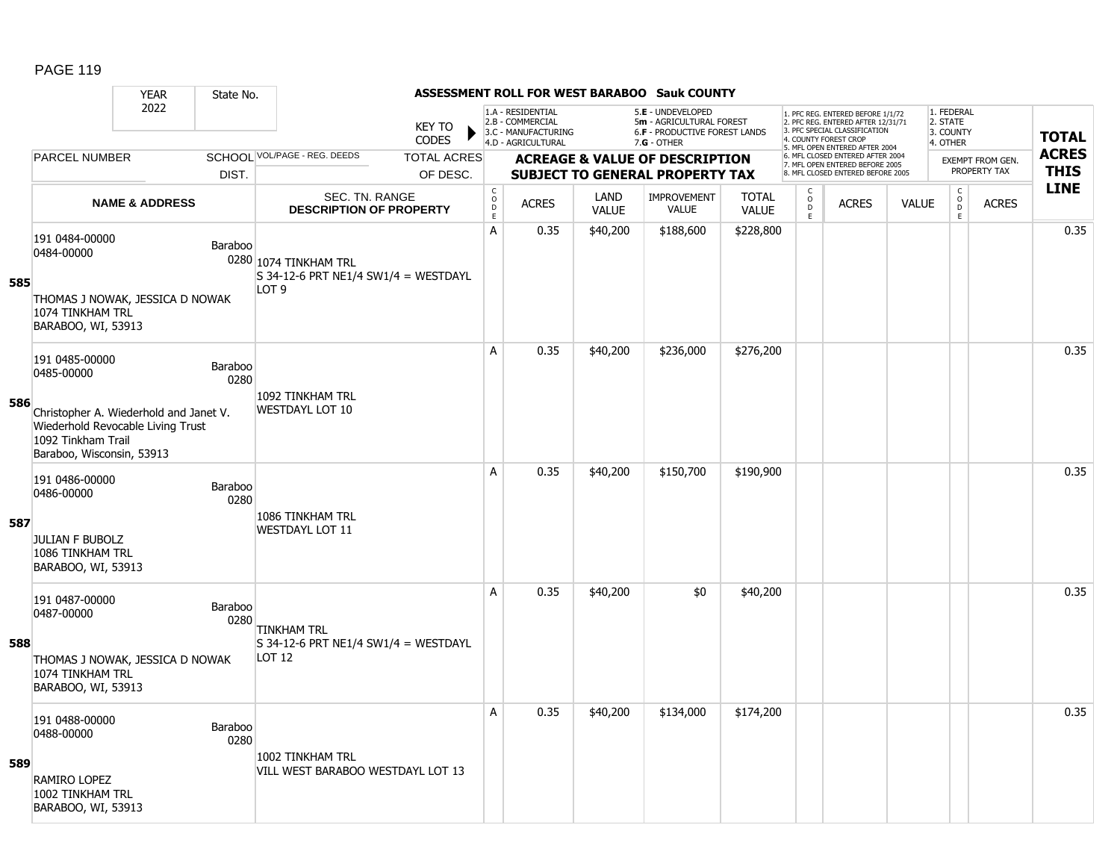|     |                                                                                                                                | <b>YEAR</b>               | State No.       |                                                                                   |                               |                                     |                                                                                    |                      | <b>ASSESSMENT ROLL FOR WEST BARABOO Sauk COUNTY</b>                                 |                              |                             |                                                                                                                                   |              |                                     |                                  |              |
|-----|--------------------------------------------------------------------------------------------------------------------------------|---------------------------|-----------------|-----------------------------------------------------------------------------------|-------------------------------|-------------------------------------|------------------------------------------------------------------------------------|----------------------|-------------------------------------------------------------------------------------|------------------------------|-----------------------------|-----------------------------------------------------------------------------------------------------------------------------------|--------------|-------------------------------------|----------------------------------|--------------|
|     |                                                                                                                                | 2022                      |                 |                                                                                   | <b>KEY TO</b><br><b>CODES</b> |                                     | 1.A - RESIDENTIAL<br>2.B - COMMERCIAL<br>3.C - MANUFACTURING<br>4.D - AGRICULTURAL |                      | 5.E - UNDEVELOPED<br>5m - AGRICULTURAL FOREST<br>6.F - PRODUCTIVE FOREST LANDS      |                              |                             | 1. PFC REG. ENTERED BEFORE 1/1/72<br>2. PFC REG. ENTERED AFTER 12/31/71<br>3. PFC SPECIAL CLASSIFICATION<br>4. COUNTY FOREST CROP |              | 1. FEDERAL<br>2. STATE<br>3. COUNTY |                                  | <b>TOTAL</b> |
|     | <b>PARCEL NUMBER</b>                                                                                                           |                           |                 | SCHOOL VOL/PAGE - REG. DEEDS                                                      | <b>TOTAL ACRES</b>            |                                     |                                                                                    |                      | 7.G - OTHER                                                                         |                              |                             | 5. MFL OPEN ENTERED AFTER 2004<br>6. MFL CLOSED ENTERED AFTER 2004                                                                |              | 4. OTHER                            |                                  | <b>ACRES</b> |
|     |                                                                                                                                |                           | DIST.           |                                                                                   | OF DESC.                      |                                     |                                                                                    |                      | <b>ACREAGE &amp; VALUE OF DESCRIPTION</b><br><b>SUBJECT TO GENERAL PROPERTY TAX</b> |                              |                             | 7. MFL OPEN ENTERED BEFORE 2005<br>8. MFL CLOSED ENTERED BEFORE 2005                                                              |              |                                     | EXEMPT FROM GEN.<br>PROPERTY TAX | <b>THIS</b>  |
|     |                                                                                                                                | <b>NAME &amp; ADDRESS</b> |                 | SEC. TN. RANGE<br><b>DESCRIPTION OF PROPERTY</b>                                  |                               | $_{\rm o}^{\rm c}$<br>$\frac{D}{E}$ | <b>ACRES</b>                                                                       | LAND<br><b>VALUE</b> | <b>IMPROVEMENT</b><br><b>VALUE</b>                                                  | <b>TOTAL</b><br><b>VALUE</b> | $\rm_{o}^{\rm c}$<br>D<br>E | <b>ACRES</b>                                                                                                                      | <b>VALUE</b> | $_{\rm o}^{\rm c}$<br>D.<br>E       | <b>ACRES</b>                     | <b>LINE</b>  |
| 585 | 191 0484-00000<br>0484-00000<br>THOMAS J NOWAK, JESSICA D NOWAK                                                                |                           | Baraboo         | 0280 1074 TINKHAM TRL<br>S 34-12-6 PRT NE1/4 SW1/4 = WESTDAYL<br>LOT <sub>9</sub> |                               | A                                   | 0.35                                                                               | \$40,200             | \$188,600                                                                           | \$228,800                    |                             |                                                                                                                                   |              |                                     |                                  | 0.35         |
|     | 1074 TINKHAM TRL<br>BARABOO, WI, 53913                                                                                         |                           |                 |                                                                                   |                               |                                     |                                                                                    |                      |                                                                                     |                              |                             |                                                                                                                                   |              |                                     |                                  |              |
|     | 191 0485-00000<br>0485-00000                                                                                                   |                           | Baraboo<br>0280 | 1092 TINKHAM TRL                                                                  |                               | A                                   | 0.35                                                                               | \$40,200             | \$236,000                                                                           | \$276,200                    |                             |                                                                                                                                   |              |                                     |                                  | 0.35         |
| 586 | Christopher A. Wiederhold and Janet V.<br>Wiederhold Revocable Living Trust<br>1092 Tinkham Trail<br>Baraboo, Wisconsin, 53913 |                           |                 | <b>WESTDAYL LOT 10</b>                                                            |                               |                                     |                                                                                    |                      |                                                                                     |                              |                             |                                                                                                                                   |              |                                     |                                  |              |
|     | 191 0486-00000<br>0486-00000                                                                                                   |                           | Baraboo<br>0280 | 1086 TINKHAM TRL                                                                  |                               | A                                   | 0.35                                                                               | \$40,200             | \$150,700                                                                           | \$190,900                    |                             |                                                                                                                                   |              |                                     |                                  | 0.35         |
| 587 | <b>JULIAN F BUBOLZ</b><br>1086 TINKHAM TRL<br>BARABOO, WI, 53913                                                               |                           |                 | WESTDAYL LOT 11                                                                   |                               |                                     |                                                                                    |                      |                                                                                     |                              |                             |                                                                                                                                   |              |                                     |                                  |              |
|     | 191 0487-00000<br>0487-00000                                                                                                   |                           | Baraboo<br>0280 | TINKHAM TRL                                                                       |                               | Α                                   | 0.35                                                                               | \$40,200             | \$0                                                                                 | \$40,200                     |                             |                                                                                                                                   |              |                                     |                                  | 0.35         |
| 588 | THOMAS J NOWAK, JESSICA D NOWAK<br>1074 TINKHAM TRL<br>BARABOO, WI, 53913                                                      |                           |                 | S 34-12-6 PRT NE1/4 SW1/4 = WESTDAYL<br>LOT 12                                    |                               |                                     |                                                                                    |                      |                                                                                     |                              |                             |                                                                                                                                   |              |                                     |                                  |              |
|     | 191 0488-00000<br>0488-00000                                                                                                   |                           | Baraboo<br>0280 | 1002 TINKHAM TRL                                                                  |                               | Α                                   | 0.35                                                                               | \$40,200             | \$134,000                                                                           | \$174,200                    |                             |                                                                                                                                   |              |                                     |                                  | 0.35         |
| 589 | RAMIRO LOPEZ<br>1002 TINKHAM TRL<br>BARABOO, WI, 53913                                                                         |                           |                 | VILL WEST BARABOO WESTDAYL LOT 13                                                 |                               |                                     |                                                                                    |                      |                                                                                     |                              |                             |                                                                                                                                   |              |                                     |                                  |              |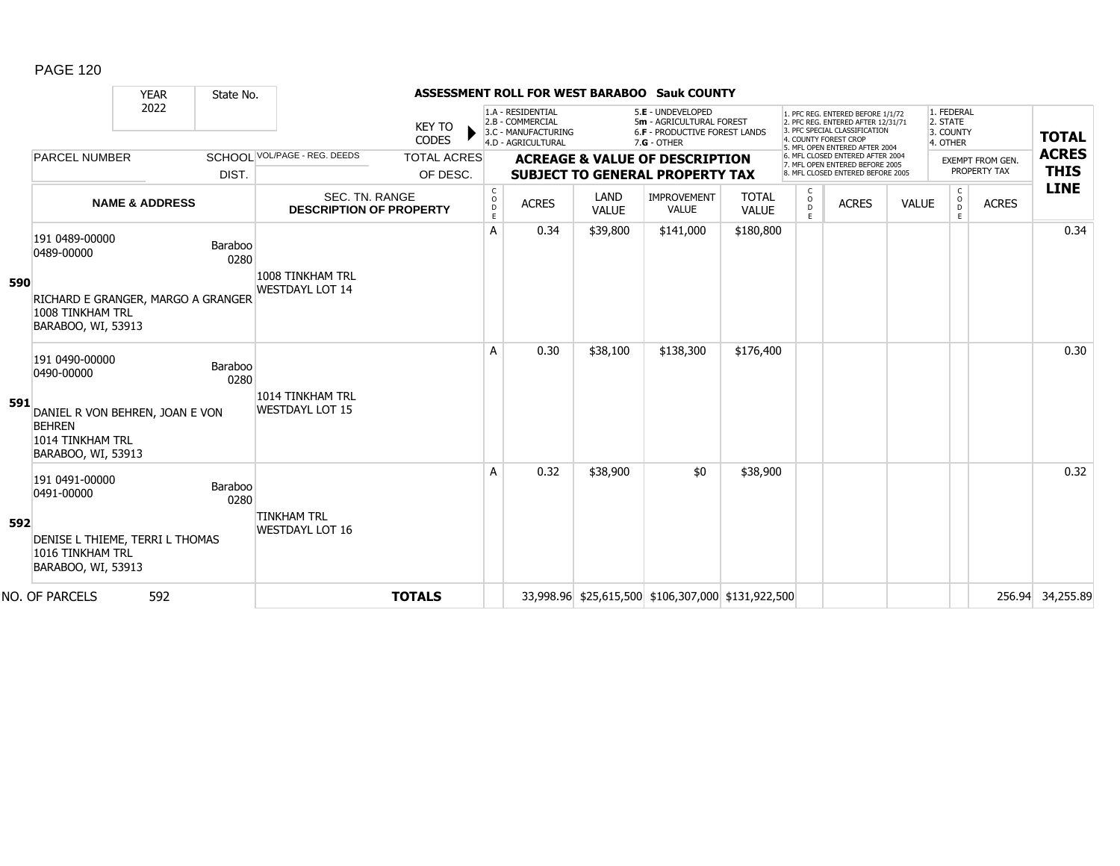|     |                                                                                            | <b>YEAR</b>               | State No.       |                                                  |                               |                        |                                                                                    |                      | ASSESSMENT ROLL FOR WEST BARABOO Sauk COUNTY                                                         |                              |                        |                                                                                                                                                                     |              |                                                 |                  |                            |
|-----|--------------------------------------------------------------------------------------------|---------------------------|-----------------|--------------------------------------------------|-------------------------------|------------------------|------------------------------------------------------------------------------------|----------------------|------------------------------------------------------------------------------------------------------|------------------------------|------------------------|---------------------------------------------------------------------------------------------------------------------------------------------------------------------|--------------|-------------------------------------------------|------------------|----------------------------|
|     |                                                                                            | 2022                      |                 |                                                  | <b>KEY TO</b><br><b>CODES</b> |                        | 1.A - RESIDENTIAL<br>2.B - COMMERCIAL<br>3.C - MANUFACTURING<br>4.D - AGRICULTURAL |                      | 5.E - UNDEVELOPED<br>5m - AGRICULTURAL FOREST<br><b>6.F - PRODUCTIVE FOREST LANDS</b><br>7.G - OTHER |                              |                        | 1. PFC REG. ENTERED BEFORE 1/1/72<br>2. PFC REG. ENTERED AFTER 12/31/71<br>3. PFC SPECIAL CLASSIFICATION<br>4. COUNTY FOREST CROP<br>5. MFL OPEN ENTERED AFTER 2004 |              | 1. FEDERAL<br>2. STATE<br>3. COUNTY<br>4. OTHER |                  | <b>TOTAL</b>               |
|     | <b>PARCEL NUMBER</b>                                                                       |                           |                 | SCHOOI VOL/PAGE - REG. DEEDS                     | <b>TOTAL ACRES</b>            |                        |                                                                                    |                      | <b>ACREAGE &amp; VALUE OF DESCRIPTION</b>                                                            |                              |                        | 6. MFL CLOSED ENTERED AFTER 2004<br>7. MFL OPEN ENTERED BEFORE 2005                                                                                                 |              |                                                 | EXEMPT FROM GEN. | <b>ACRES</b>               |
|     |                                                                                            |                           | DIST.           |                                                  | OF DESC.                      |                        |                                                                                    |                      | <b>SUBJECT TO GENERAL PROPERTY TAX</b>                                                               |                              |                        | 8. MFL CLOSED ENTERED BEFORE 2005                                                                                                                                   |              |                                                 | PROPERTY TAX     | <b>THIS</b><br><b>LINE</b> |
|     |                                                                                            | <b>NAME &amp; ADDRESS</b> |                 | SEC. TN. RANGE<br><b>DESCRIPTION OF PROPERTY</b> |                               | C<br>$\circ$<br>D<br>E | <b>ACRES</b>                                                                       | LAND<br><b>VALUE</b> | IMPROVEMENT<br><b>VALUE</b>                                                                          | <b>TOTAL</b><br><b>VALUE</b> | C<br>$\circ$<br>D<br>E | <b>ACRES</b>                                                                                                                                                        | <b>VALUE</b> | C<br>$\circ$<br>D<br>E                          | <b>ACRES</b>     |                            |
|     | 191 0489-00000<br>0489-00000                                                               |                           | Baraboo<br>0280 | 1008 TINKHAM TRL                                 |                               | A                      | 0.34                                                                               | \$39,800             | \$141,000                                                                                            | \$180,800                    |                        |                                                                                                                                                                     |              |                                                 |                  | 0.34                       |
| 590 | RICHARD E GRANGER, MARGO A GRANGER<br>1008 TINKHAM TRL<br>BARABOO, WI, 53913               |                           |                 | <b>WESTDAYL LOT 14</b>                           |                               |                        |                                                                                    |                      |                                                                                                      |                              |                        |                                                                                                                                                                     |              |                                                 |                  |                            |
|     | 191 0490-00000<br>0490-00000                                                               |                           | Baraboo<br>0280 |                                                  |                               | A                      | 0.30                                                                               | \$38,100             | \$138,300                                                                                            | \$176,400                    |                        |                                                                                                                                                                     |              |                                                 |                  | 0.30                       |
| 591 | DANIEL R VON BEHREN, JOAN E VON<br><b>BEHREN</b><br>1014 TINKHAM TRL<br>BARABOO, WI, 53913 |                           |                 | 1014 TINKHAM TRL<br><b>WESTDAYL LOT 15</b>       |                               |                        |                                                                                    |                      |                                                                                                      |                              |                        |                                                                                                                                                                     |              |                                                 |                  |                            |
|     | 191 0491-00000<br>0491-00000                                                               |                           | Baraboo<br>0280 |                                                  |                               | A                      | 0.32                                                                               | \$38,900             | \$0                                                                                                  | \$38,900                     |                        |                                                                                                                                                                     |              |                                                 |                  | 0.32                       |
| 592 | DENISE L THIEME, TERRI L THOMAS<br>1016 TINKHAM TRL<br>BARABOO, WI, 53913                  |                           |                 | <b>TINKHAM TRL</b><br><b>WESTDAYL LOT 16</b>     |                               |                        |                                                                                    |                      |                                                                                                      |                              |                        |                                                                                                                                                                     |              |                                                 |                  |                            |
|     | NO. OF PARCELS                                                                             | 592                       |                 |                                                  | <b>TOTALS</b>                 |                        |                                                                                    |                      | 33,998.96 \$25,615,500 \$106,307,000 \$131,922,500                                                   |                              |                        |                                                                                                                                                                     |              |                                                 |                  | 256.94 34,255.89           |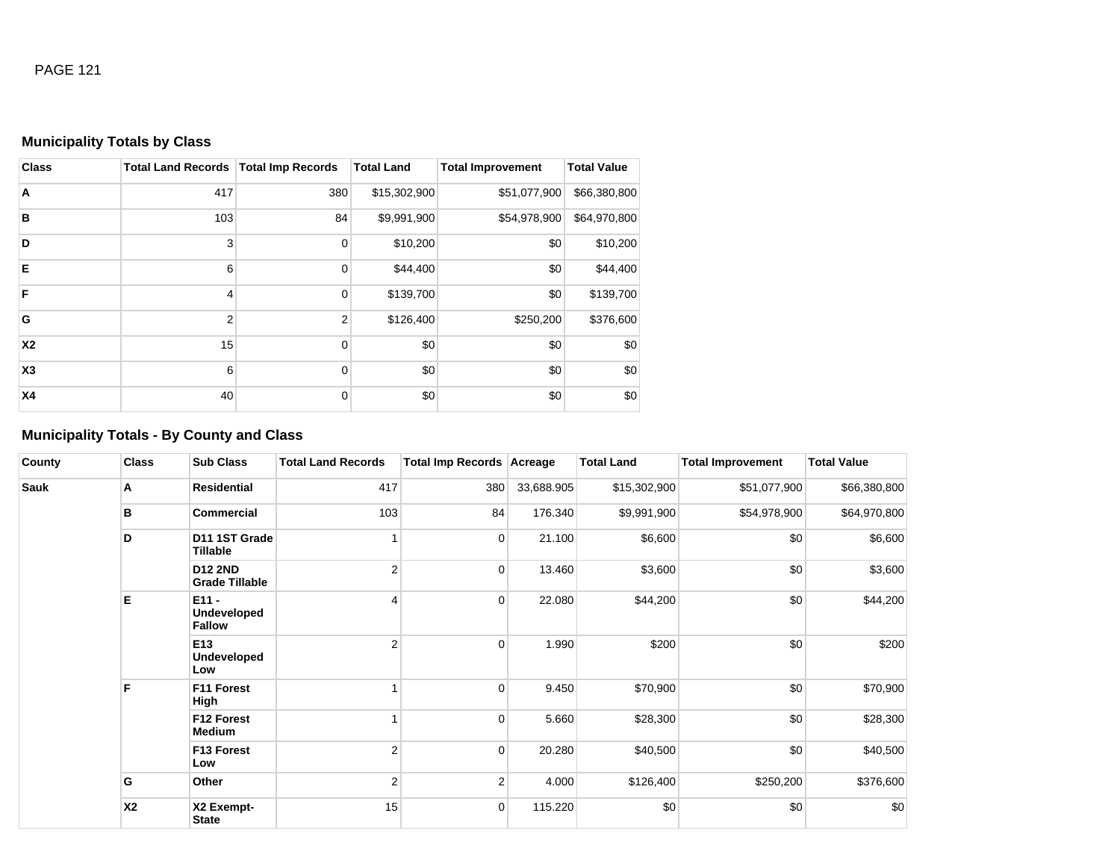# **Municipality Totals by Class**

| <b>Class</b> | Total Land Records   Total Imp Records |                | <b>Total Land</b> | <b>Total Improvement</b> | <b>Total Value</b> |
|--------------|----------------------------------------|----------------|-------------------|--------------------------|--------------------|
| A            | 417                                    | 380            | \$15,302,900      | \$51,077,900             | \$66,380,800       |
| B            | 103                                    | 84             | \$9,991,900       | \$54,978,900             | \$64,970,800       |
| D            | 3                                      | $\mathbf 0$    | \$10,200          | \$0                      | \$10,200           |
| E            | 6                                      | $\mathbf 0$    | \$44,400          | \$0                      | \$44,400           |
| E            | 4                                      | $\mathbf 0$    | \$139,700         | \$0                      | \$139,700          |
| G            | $\overline{2}$                         | $\overline{2}$ | \$126,400         | \$250,200                | \$376,600          |
| <b>X2</b>    | 15                                     | 0              | \$0               | \$0                      | \$0                |
| X3           | 6                                      | $\mathbf 0$    | \$0               | \$0                      | \$0                |
| <b>X4</b>    | 40                                     | $\mathbf 0$    | \$0               | \$0                      | \$0                |

# **Municipality Totals - By County and Class**

| County | <b>Class</b> | <b>Sub Class</b>                        | <b>Total Land Records</b> | Total Imp Records Acreage |            | <b>Total Land</b> | <b>Total Improvement</b> | <b>Total Value</b> |
|--------|--------------|-----------------------------------------|---------------------------|---------------------------|------------|-------------------|--------------------------|--------------------|
| Sauk   | Α            | <b>Residential</b>                      | 417                       | 380                       | 33,688.905 | \$15,302,900      | \$51,077,900             | \$66,380,800       |
|        | в            | <b>Commercial</b>                       | 103                       | 84                        | 176.340    | \$9,991,900       | \$54,978,900             | \$64,970,800       |
|        | D            | D11 1ST Grade<br>Tillable               |                           | $\overline{0}$            | 21.100     | \$6,600           | \$0                      | \$6,600            |
|        |              | <b>D12 2ND</b><br><b>Grade Tillable</b> | $\overline{2}$            | $\overline{0}$            | 13.460     | \$3,600           | \$0                      | \$3,600            |
|        | E            | $E11 -$<br>Undeveloped<br><b>Fallow</b> | 4                         | $\overline{0}$            | 22.080     | \$44,200          | \$0                      | \$44,200           |
|        |              | E13<br><b>Undeveloped</b><br>Low        | $\overline{2}$            | $\overline{0}$            | 1.990      | \$200             | \$0                      | \$200              |
|        | F            | F11 Forest<br>High                      |                           | $\overline{0}$            | 9.450      | \$70,900          | \$0                      | \$70,900           |
|        |              | F12 Forest<br>Medium                    |                           | 0                         | 5.660      | \$28,300          | \$0                      | \$28,300           |
|        |              | F13 Forest<br>Low                       | $\overline{2}$            | $\overline{0}$            | 20.280     | \$40,500          | \$0                      | \$40,500           |
|        | G            | Other                                   | $\overline{2}$            | 2 <sup>1</sup>            | 4.000      | \$126,400         | \$250,200                | \$376,600          |
|        | <b>X2</b>    | X2 Exempt-<br><b>State</b>              | 15                        | $\overline{0}$            | 115.220    | \$0               | \$0                      | \$0                |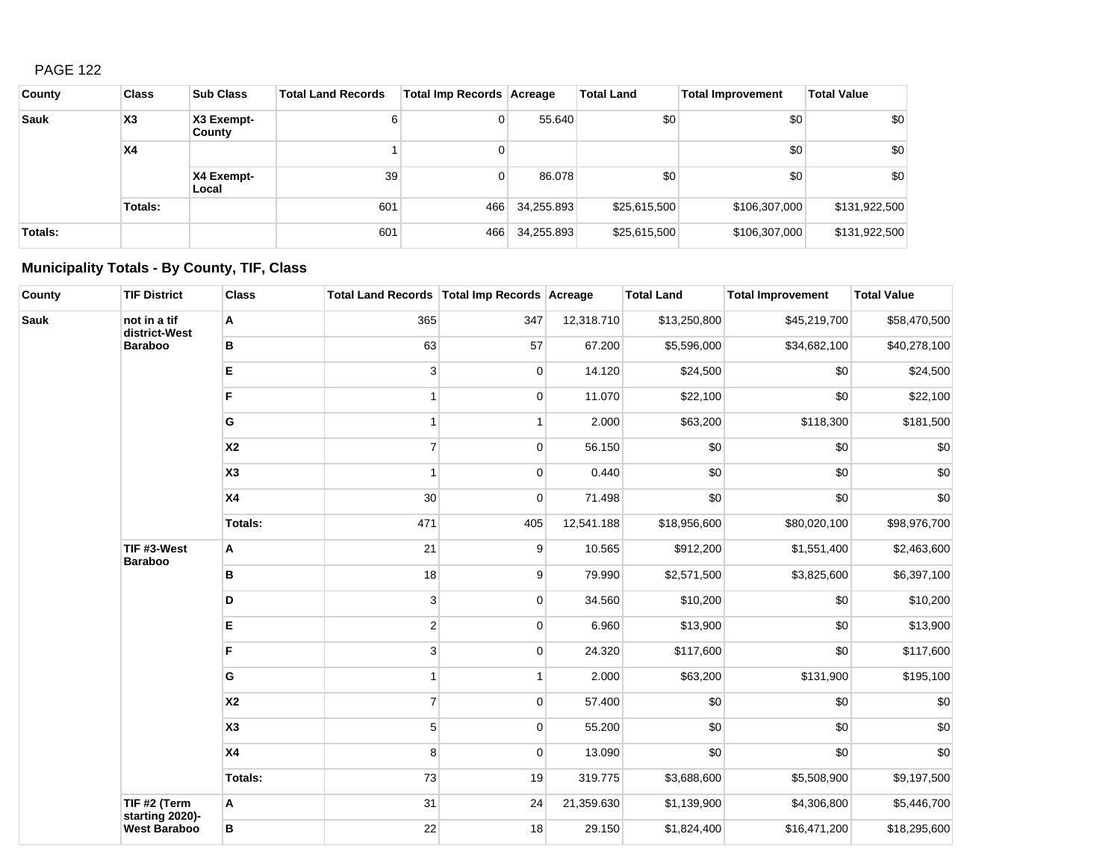| County  | <b>Class</b> | <b>Sub Class</b>     | <b>Total Land Records</b> | Total Imp Records   Acreage |            | Total Land   | <b>Total Improvement</b> | <b>Total Value</b> |
|---------|--------------|----------------------|---------------------------|-----------------------------|------------|--------------|--------------------------|--------------------|
| Sauk    | X3           | X3 Exempt-<br>County | 6                         | 0                           | 55.640     | \$0          | \$0                      | \$0                |
|         | <b>X4</b>    |                      |                           | U                           |            |              | \$0                      | \$0                |
|         |              | X4 Exempt-<br>Local  | 39                        | 0                           | 86.078     | \$0          | \$0                      | \$0                |
|         | Totals:      |                      | 601                       | 466                         | 34,255.893 | \$25,615,500 | \$106,307,000            | \$131,922,500      |
| Totals: |              |                      | 601                       | 466                         | 34,255.893 | \$25,615,500 | \$106,307,000            | \$131,922,500      |

# **Municipality Totals - By County, TIF, Class**

| County      | <b>TIF District</b>                                    | <b>Class</b>   | Total Land Records   Total Imp Records   Acreage |              |            | <b>Total Land</b> | <b>Total Improvement</b> | <b>Total Value</b> |
|-------------|--------------------------------------------------------|----------------|--------------------------------------------------|--------------|------------|-------------------|--------------------------|--------------------|
| <b>Sauk</b> | not in a tif<br>district-West<br><b>Baraboo</b>        | A              | 365                                              | 347          | 12,318.710 | \$13,250,800      | \$45,219,700             | \$58,470,500       |
|             |                                                        | B              | 63                                               | 57           | 67.200     | \$5,596,000       | \$34,682,100             | \$40,278,100       |
|             |                                                        | Е              | 3                                                | $\mathbf 0$  | 14.120     | \$24,500          | \$0                      | \$24,500           |
|             |                                                        | F              | 1                                                | $\mathbf 0$  | 11.070     | \$22,100          | \$0                      | \$22,100           |
|             |                                                        | G              |                                                  | $\mathbf{1}$ | 2.000      | \$63,200          | \$118,300                | \$181,500          |
|             |                                                        | X <sub>2</sub> | $\overline{7}$                                   | $\mathbf 0$  | 56.150     | \$0               | \$0                      | \$0                |
|             |                                                        | X <sub>3</sub> |                                                  | 0            | 0.440      | \$0               | \$0                      | \$0                |
|             |                                                        | <b>X4</b>      | 30                                               | $\mathbf 0$  | 71.498     | \$0               | \$0                      | \$0                |
|             |                                                        | <b>Totals:</b> | 471                                              | 405          | 12,541.188 | \$18,956,600      | \$80,020,100             | \$98,976,700       |
|             | TIF #3-West<br><b>Baraboo</b>                          | Α              | 21                                               | 9            | 10.565     | \$912,200         | \$1,551,400              | \$2,463,600        |
|             |                                                        | B              | 18                                               | 9            | 79.990     | \$2,571,500       | \$3,825,600              | \$6,397,100        |
|             |                                                        | D              | 3                                                | $\pmb{0}$    | 34.560     | \$10,200          | \$0                      | \$10,200           |
|             |                                                        | E              | $\overline{2}$                                   | $\mathbf 0$  | 6.960      | \$13,900          | \$0                      | \$13,900           |
|             |                                                        | F              | 3                                                | $\mathbf 0$  | 24.320     | \$117,600         | \$0                      | \$117,600          |
|             |                                                        | G              | 1                                                | $\mathbf{1}$ | 2.000      | \$63,200          | \$131,900                | \$195,100          |
|             |                                                        | X <sub>2</sub> | $\overline{7}$                                   | $\mathbf 0$  | 57.400     | \$0               | \$0                      | \$0                |
|             |                                                        | X <sub>3</sub> | 5                                                | $\mathbf 0$  | 55.200     | \$0               | \$0                      | \$0                |
|             |                                                        | <b>X4</b>      | 8                                                | $\mathbf 0$  | 13.090     | \$0               | \$0                      | \$0                |
|             |                                                        | Totals:        | 73                                               | 19           | 319.775    | \$3,688,600       | \$5,508,900              | \$9,197,500        |
|             | TIF #2 (Term<br>starting 2020)-<br><b>West Baraboo</b> | Α              | 31                                               | 24           | 21,359.630 | \$1,139,900       | \$4,306,800              | \$5,446,700        |
|             |                                                        | В              | 22                                               | 18           | 29.150     | \$1,824,400       | \$16,471,200             | \$18,295,600       |